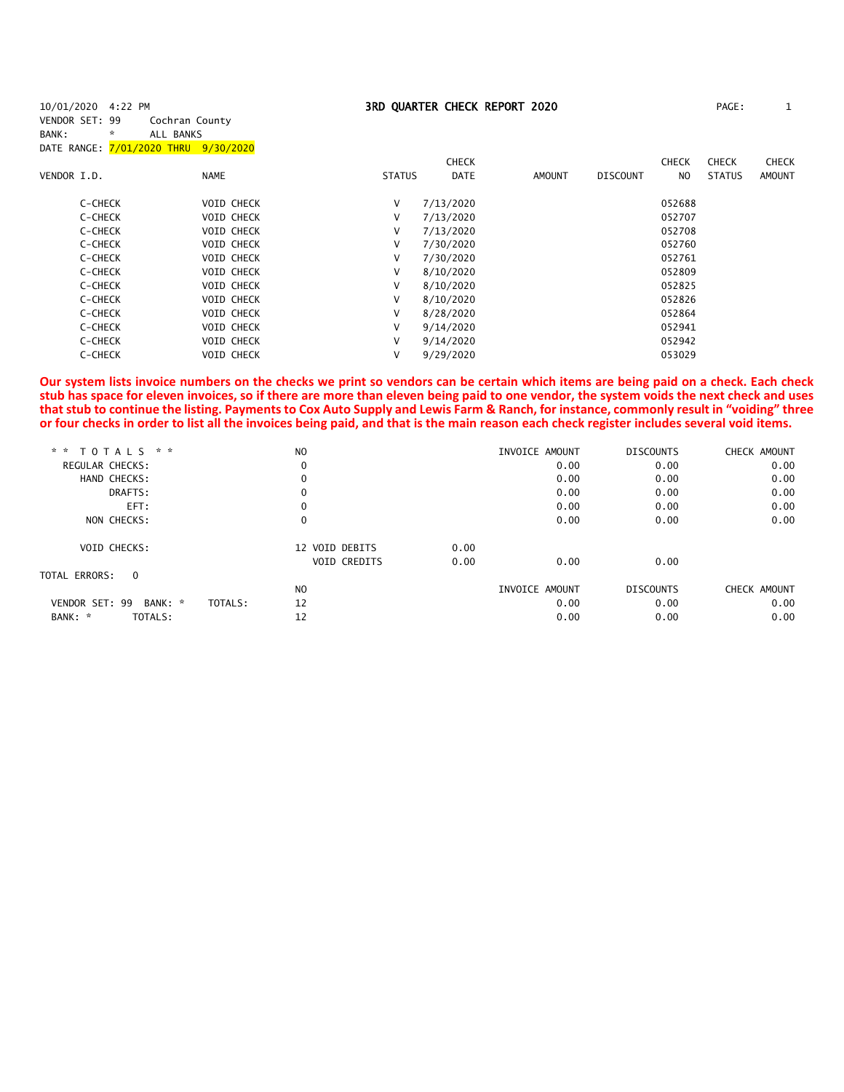| 10/01/2020 4:22 PM    |                                      |               |              | 3RD QUARTER CHECK REPORT 2020 |                 |              | PAGE:         | $\mathbf{1}$  |
|-----------------------|--------------------------------------|---------------|--------------|-------------------------------|-----------------|--------------|---------------|---------------|
| VENDOR SET: 99        | Cochran County                       |               |              |                               |                 |              |               |               |
| BANK:<br>$\mathbf{x}$ | ALL BANKS                            |               |              |                               |                 |              |               |               |
|                       | DATE RANGE: 7/01/2020 THRU 9/30/2020 |               |              |                               |                 |              |               |               |
|                       |                                      |               | <b>CHECK</b> |                               |                 | <b>CHECK</b> | <b>CHECK</b>  | <b>CHECK</b>  |
| VENDOR I.D.           | <b>NAME</b>                          | <b>STATUS</b> | <b>DATE</b>  | <b>AMOUNT</b>                 | <b>DISCOUNT</b> | NO.          | <b>STATUS</b> | <b>AMOUNT</b> |
| C-CHECK               | <b>VOID CHECK</b>                    | V             | 7/13/2020    |                               |                 | 052688       |               |               |
| C-CHECK               | <b>VOID CHECK</b>                    | V             | 7/13/2020    |                               |                 | 052707       |               |               |
| C-CHECK               | <b>VOID CHECK</b>                    | V             | 7/13/2020    |                               |                 | 052708       |               |               |
| C-CHECK               | VOID CHECK                           | V             | 7/30/2020    |                               |                 | 052760       |               |               |
| C-CHECK               | <b>VOID CHECK</b>                    | V             | 7/30/2020    |                               |                 | 052761       |               |               |
| C-CHECK               | <b>VOID CHECK</b>                    | v             | 8/10/2020    |                               |                 | 052809       |               |               |
| C-CHECK               | <b>VOID CHECK</b>                    | v             | 8/10/2020    |                               |                 | 052825       |               |               |
| C-CHECK               | <b>VOID CHECK</b>                    | v             | 8/10/2020    |                               |                 | 052826       |               |               |
| C-CHECK               | <b>VOID CHECK</b>                    | V             | 8/28/2020    |                               |                 | 052864       |               |               |
| C-CHECK               | <b>VOID CHECK</b>                    | V             | 9/14/2020    |                               |                 | 052941       |               |               |
| C-CHECK               | <b>VOID CHECK</b>                    | V             | 9/14/2020    |                               |                 | 052942       |               |               |
| C-CHECK               | <b>VOID CHECK</b>                    | ٧             | 9/29/2020    |                               |                 | 053029       |               |               |
|                       |                                      |               |              |                               |                 |              |               |               |

**Our system lists invoice numbers on the checks we print so vendors can be certain which items are being paid on a check. Each check stub has space for eleven invoices, so if there are more than eleven being paid to one vendor, the system voids the next check and uses that stub to continue the listing. Payments to Cox Auto Supply and Lewis Farm & Ranch, for instance, commonly result in "voiding" three or four checks in order to list all the invoices being paid, and that is the main reason each check register includes several void items.**

| * *<br><b>TOTALS</b><br>* *     | N <sub>O</sub> |                     |      | INVOICE AMOUNT |      | <b>DISCOUNTS</b> | CHECK AMOUNT |
|---------------------------------|----------------|---------------------|------|----------------|------|------------------|--------------|
| REGULAR CHECKS:                 | 0              |                     |      |                | 0.00 | 0.00             | 0.00         |
| HAND CHECKS:                    | $\mathbf 0$    |                     |      |                | 0.00 | 0.00             | 0.00         |
| DRAFTS:                         | 0              |                     |      |                | 0.00 | 0.00             | 0.00         |
| EFT:                            | $\mathbf 0$    |                     |      |                | 0.00 | 0.00             | 0.00         |
| NON CHECKS:                     | $\mathbf 0$    |                     |      |                | 0.00 | 0.00             | 0.00         |
| <b>VOID CHECKS:</b>             |                | 12 VOID DEBITS      | 0.00 |                |      |                  |              |
|                                 |                | <b>VOID CREDITS</b> | 0.00 |                | 0.00 | 0.00             |              |
| TOTAL ERRORS:<br>$\overline{0}$ |                |                     |      |                |      |                  |              |
|                                 | NO.            |                     |      | INVOICE AMOUNT |      | <b>DISCOUNTS</b> | CHECK AMOUNT |
| VENDOR SET: 99<br>BANK: *       | 12<br>TOTALS:  |                     |      |                | 0.00 | 0.00             | 0.00         |
| BANK: *<br>TOTALS:              | 12             |                     |      |                | 0.00 | 0.00             | 0.00         |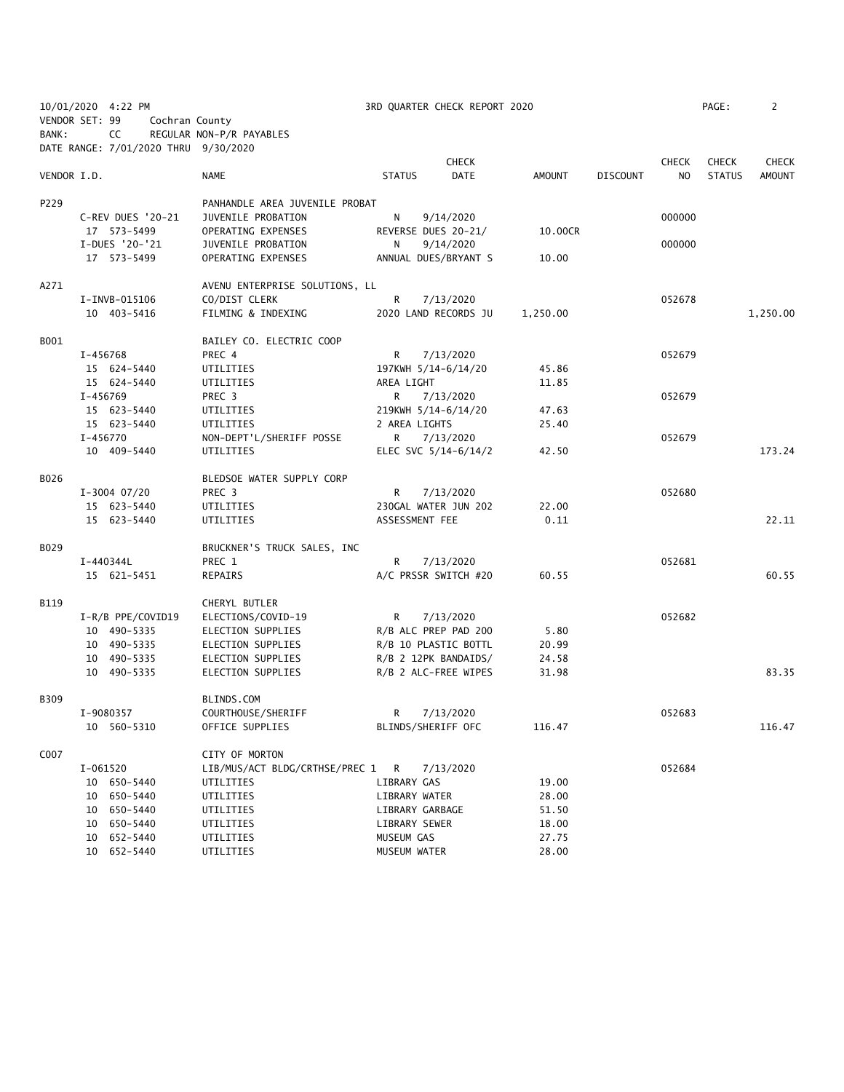| 10/01/2020 4:22 PM |                                      |                                | 3RD QUARTER CHECK REPORT 2020 |          |                 |              |               |               |  |
|--------------------|--------------------------------------|--------------------------------|-------------------------------|----------|-----------------|--------------|---------------|---------------|--|
|                    | VENDOR SET: 99                       | Cochran County                 |                               |          |                 |              |               |               |  |
| BANK:              | CC                                   | REGULAR NON-P/R PAYABLES       |                               |          |                 |              |               |               |  |
|                    | DATE RANGE: 7/01/2020 THRU 9/30/2020 |                                |                               |          |                 |              |               |               |  |
|                    |                                      |                                | <b>CHECK</b>                  |          |                 | <b>CHECK</b> | <b>CHECK</b>  | <b>CHECK</b>  |  |
| VENDOR I.D.        |                                      | NAME                           | <b>DATE</b><br><b>STATUS</b>  | AMOUNT   | <b>DISCOUNT</b> | NO.          | <b>STATUS</b> | <b>AMOUNT</b> |  |
|                    |                                      |                                |                               |          |                 |              |               |               |  |
| P229               |                                      | PANHANDLE AREA JUVENILE PROBAT |                               |          |                 |              |               |               |  |
|                    | C-REV DUES '20-21                    | JUVENILE PROBATION             | N<br>9/14/2020                |          |                 | 000000       |               |               |  |
|                    | 17 573-5499                          | OPERATING EXPENSES             | REVERSE DUES 20-21/           | 10.00CR  |                 |              |               |               |  |
|                    | I-DUES '20-'21                       | JUVENILE PROBATION             | 9/14/2020<br>N                |          |                 | 000000       |               |               |  |
|                    | 17 573-5499                          | OPERATING EXPENSES             | ANNUAL DUES/BRYANT S          | 10.00    |                 |              |               |               |  |
| A271               |                                      | AVENU ENTERPRISE SOLUTIONS, LL |                               |          |                 |              |               |               |  |
|                    | I-INVB-015106                        | CO/DIST CLERK                  | R<br>7/13/2020                |          |                 | 052678       |               |               |  |
|                    | 10 403-5416                          | FILMING & INDEXING             | 2020 LAND RECORDS JU          | 1,250.00 |                 |              |               | 1,250.00      |  |
| B001               |                                      | BAILEY CO. ELECTRIC COOP       |                               |          |                 |              |               |               |  |
|                    | I-456768                             | PREC 4                         | R<br>7/13/2020                |          |                 | 052679       |               |               |  |
|                    | 15 624-5440                          | UTILITIES                      | 197KWH 5/14-6/14/20           | 45.86    |                 |              |               |               |  |
|                    | 15 624-5440                          | UTILITIES                      | AREA LIGHT                    | 11.85    |                 |              |               |               |  |
|                    | I-456769                             | PREC 3                         | R.<br>7/13/2020               |          |                 | 052679       |               |               |  |
|                    | 15 623-5440                          | UTILITIES                      | 219KWH 5/14-6/14/20           | 47.63    |                 |              |               |               |  |
|                    | 15 623-5440                          | UTILITIES                      | 2 AREA LIGHTS                 | 25.40    |                 |              |               |               |  |
|                    | I-456770                             | NON-DEPT'L/SHERIFF POSSE       | R.<br>7/13/2020               |          |                 | 052679       |               |               |  |
|                    | 10 409-5440                          | UTILITIES                      | ELEC SVC $5/14-6/14/2$        | 42.50    |                 |              |               | 173.24        |  |
| B026               |                                      | BLEDSOE WATER SUPPLY CORP      |                               |          |                 |              |               |               |  |
|                    | $I-3004$ 07/20                       | PREC 3                         | R<br>7/13/2020                |          |                 | 052680       |               |               |  |
|                    | 15 623-5440                          | UTILITIES                      | 230GAL WATER JUN 202          | 22.00    |                 |              |               |               |  |
|                    | 15 623-5440                          | UTILITIES                      | ASSESSMENT FEE                | 0.11     |                 |              |               | 22.11         |  |
| B029               |                                      | BRUCKNER'S TRUCK SALES, INC    |                               |          |                 |              |               |               |  |
|                    | I-440344L                            | PREC 1                         | R<br>7/13/2020                |          |                 | 052681       |               |               |  |
|                    | 15 621-5451                          | REPAIRS                        | A/C PRSSR SWITCH #20          | 60.55    |                 |              |               | 60.55         |  |
| B119               |                                      | CHERYL BUTLER                  |                               |          |                 |              |               |               |  |
|                    | I-R/B PPE/COVID19                    | ELECTIONS/COVID-19             | R<br>7/13/2020                |          |                 | 052682       |               |               |  |
|                    | 10 490-5335                          | ELECTION SUPPLIES              | R/B ALC PREP PAD 200          | 5.80     |                 |              |               |               |  |
|                    | 10 490-5335                          | ELECTION SUPPLIES              | R/B 10 PLASTIC BOTTL          | 20.99    |                 |              |               |               |  |
|                    | 10 490-5335                          | ELECTION SUPPLIES              | R/B 2 12PK BANDAIDS/          | 24.58    |                 |              |               |               |  |
|                    | 10 490-5335                          | ELECTION SUPPLIES              | R/B 2 ALC-FREE WIPES          | 31.98    |                 |              |               | 83.35         |  |
| B309               |                                      | BLINDS.COM                     |                               |          |                 |              |               |               |  |
|                    | I-9080357                            | COURTHOUSE/SHERIFF             | R<br>7/13/2020                |          |                 | 052683       |               |               |  |
|                    | 10 560-5310                          | OFFICE SUPPLIES                | BLINDS/SHERIFF OFC            | 116.47   |                 |              |               | 116.47        |  |
| C007               |                                      | CITY OF MORTON                 |                               |          |                 |              |               |               |  |
|                    | I-061520                             | LIB/MUS/ACT BLDG/CRTHSE/PREC 1 | R<br>7/13/2020                |          |                 | 052684       |               |               |  |
|                    | 10 650-5440                          | UTILITIES                      | LIBRARY GAS                   | 19.00    |                 |              |               |               |  |
|                    | 10 650-5440                          | UTILITIES                      | LIBRARY WATER                 | 28.00    |                 |              |               |               |  |
|                    | 10 650-5440                          | UTILITIES                      | LIBRARY GARBAGE               | 51.50    |                 |              |               |               |  |
|                    | 10 650-5440                          | UTILITIES                      | LIBRARY SEWER                 | 18.00    |                 |              |               |               |  |
|                    | 10 652-5440                          | UTILITIES                      | MUSEUM GAS                    | 27.75    |                 |              |               |               |  |
|                    | 10 652-5440                          | UTILITIES                      | MUSEUM WATER                  | 28.00    |                 |              |               |               |  |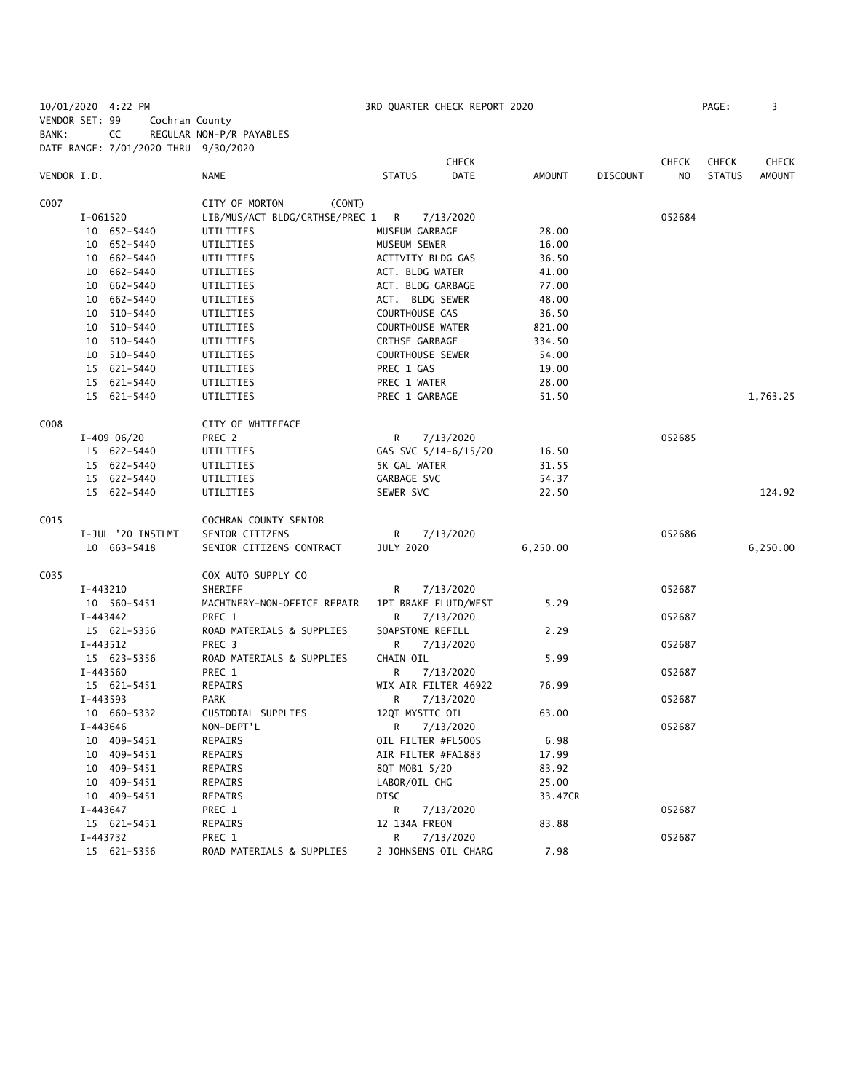| VENDOR SET: 99 |          |                   | Cochran County                       |                    |                      |               |                 |              |               |               |
|----------------|----------|-------------------|--------------------------------------|--------------------|----------------------|---------------|-----------------|--------------|---------------|---------------|
| BANK:          |          | CC                | REGULAR NON-P/R PAYABLES             |                    |                      |               |                 |              |               |               |
|                |          |                   | DATE RANGE: 7/01/2020 THRU 9/30/2020 |                    |                      |               |                 |              |               |               |
|                |          |                   |                                      |                    | <b>CHECK</b>         |               |                 | <b>CHECK</b> | <b>CHECK</b>  | <b>CHECK</b>  |
| VENDOR I.D.    |          |                   | NAME                                 | <b>STATUS</b>      | <b>DATE</b>          | <b>AMOUNT</b> | <b>DISCOUNT</b> | NO.          | <b>STATUS</b> | <b>AMOUNT</b> |
|                |          |                   |                                      |                    |                      |               |                 |              |               |               |
| C007           |          |                   | CITY OF MORTON<br>(CONT)             |                    |                      |               |                 |              |               |               |
|                | I-061520 |                   | LIB/MUS/ACT BLDG/CRTHSE/PREC 1       | R                  | 7/13/2020            |               |                 | 052684       |               |               |
|                |          | 10 652-5440       | UTILITIES                            | MUSEUM GARBAGE     |                      | 28.00         |                 |              |               |               |
|                |          | 10 652-5440       | UTILITIES                            | MUSEUM SEWER       |                      | 16.00         |                 |              |               |               |
|                |          | 10 662-5440       | UTILITIES                            | ACTIVITY BLDG GAS  |                      | 36.50         |                 |              |               |               |
|                |          | 10 662-5440       | UTILITIES                            | ACT. BLDG WATER    |                      | 41.00         |                 |              |               |               |
|                |          | 10 662-5440       | UTILITIES                            | ACT. BLDG GARBAGE  |                      | 77.00         |                 |              |               |               |
|                |          | 10 662-5440       | UTILITIES                            | ACT. BLDG SEWER    |                      | 48.00         |                 |              |               |               |
|                |          | 10 510-5440       | UTILITIES                            | COURTHOUSE GAS     |                      | 36.50         |                 |              |               |               |
|                |          | 10 510-5440       | UTILITIES                            | COURTHOUSE WATER   |                      | 821.00        |                 |              |               |               |
|                |          | 10 510-5440       | UTILITIES                            | CRTHSE GARBAGE     |                      | 334.50        |                 |              |               |               |
|                |          | 10 510-5440       | UTILITIES                            | COURTHOUSE SEWER   |                      | 54.00         |                 |              |               |               |
|                |          | 15 621-5440       | UTILITIES                            | PREC 1 GAS         |                      | 19.00         |                 |              |               |               |
|                |          | 15 621-5440       | UTILITIES                            | PREC 1 WATER       |                      | 28.00         |                 |              |               |               |
|                |          | 15 621-5440       | UTILITIES                            | PREC 1 GARBAGE     |                      | 51.50         |                 |              |               | 1,763.25      |
|                |          |                   |                                      |                    |                      |               |                 |              |               |               |
| C008           |          |                   | CITY OF WHITEFACE                    |                    |                      |               |                 |              |               |               |
|                |          | $I-409$ 06/20     | PREC 2                               | R                  | 7/13/2020            |               |                 | 052685       |               |               |
|                |          | 15 622-5440       | UTILITIES                            |                    | GAS SVC 5/14-6/15/20 | 16.50         |                 |              |               |               |
|                |          | 15 622-5440       | UTILITIES                            | 5K GAL WATER       |                      | 31.55         |                 |              |               |               |
|                |          | 15 622-5440       | UTILITIES                            | GARBAGE SVC        |                      | 54.37         |                 |              |               |               |
|                |          | 15 622-5440       | UTILITIES                            | SEWER SVC          |                      | 22.50         |                 |              |               | 124.92        |
| C015           |          |                   | COCHRAN COUNTY SENIOR                |                    |                      |               |                 |              |               |               |
|                |          | I-JUL '20 INSTLMT | SENIOR CITIZENS                      | R                  | 7/13/2020            |               |                 | 052686       |               |               |
|                |          | 10 663-5418       | SENIOR CITIZENS CONTRACT             | <b>JULY 2020</b>   |                      | 6,250.00      |                 |              |               | 6,250.00      |
|                |          |                   |                                      |                    |                      |               |                 |              |               |               |
| C035           |          |                   | COX AUTO SUPPLY CO                   |                    |                      |               |                 |              |               |               |
|                | I-443210 |                   | SHERIFF                              | R                  | 7/13/2020            |               |                 | 052687       |               |               |
|                |          | 10 560-5451       | MACHINERY-NON-OFFICE REPAIR          |                    | 1PT BRAKE FLUID/WEST | 5.29          |                 |              |               |               |
|                | I-443442 |                   | PREC 1                               | R                  | 7/13/2020            |               |                 | 052687       |               |               |
|                |          | 15 621-5356       | ROAD MATERIALS & SUPPLIES            | SOAPSTONE REFILL   |                      | 2.29          |                 |              |               |               |
|                | I-443512 |                   | PREC 3                               | R                  | 7/13/2020            |               |                 | 052687       |               |               |
|                |          | 15 623-5356       | ROAD MATERIALS & SUPPLIES            | CHAIN OIL          |                      | 5.99          |                 |              |               |               |
|                | I-443560 |                   | PREC 1                               | R                  | 7/13/2020            |               |                 | 052687       |               |               |
|                |          | 15 621-5451       | REPAIRS                              |                    | WIX AIR FILTER 46922 | 76.99         |                 |              |               |               |
|                | I-443593 |                   | PARK                                 | R                  | 7/13/2020            |               |                 | 052687       |               |               |
|                |          | 10 660-5332       | CUSTODIAL SUPPLIES                   | 12QT MYSTIC OIL    |                      | 63.00         |                 |              |               |               |
|                | I-443646 |                   | NON-DEPT'L                           | R                  | 7/13/2020            |               |                 | 052687       |               |               |
|                |          | 10 409-5451       | REPAIRS                              | OIL FILTER #FL500S |                      | 6.98          |                 |              |               |               |
|                |          | 10 409-5451       | REPAIRS                              | AIR FILTER #FA1883 |                      | 17.99         |                 |              |               |               |
|                |          | 10 409-5451       | REPAIRS                              | 8QT MOB1 5/20      |                      | 83.92         |                 |              |               |               |
|                |          | 10 409-5451       | REPAIRS                              | LABOR/OIL CHG      |                      | 25.00         |                 |              |               |               |
|                |          | 10 409-5451       | REPAIRS                              | <b>DISC</b>        |                      | 33.47CR       |                 |              |               |               |
|                | I-443647 |                   | PREC 1                               | R                  | 7/13/2020            |               |                 | 052687       |               |               |
|                |          | 15 621-5451       | REPAIRS                              | 12 134A FREON      |                      | 83.88         |                 |              |               |               |
|                | I-443732 |                   | PREC 1                               | R                  | 7/13/2020            |               |                 | 052687       |               |               |
|                |          | 15 621-5356       | ROAD MATERIALS & SUPPLIES            |                    | 2 JOHNSENS OIL CHARG | 7.98          |                 |              |               |               |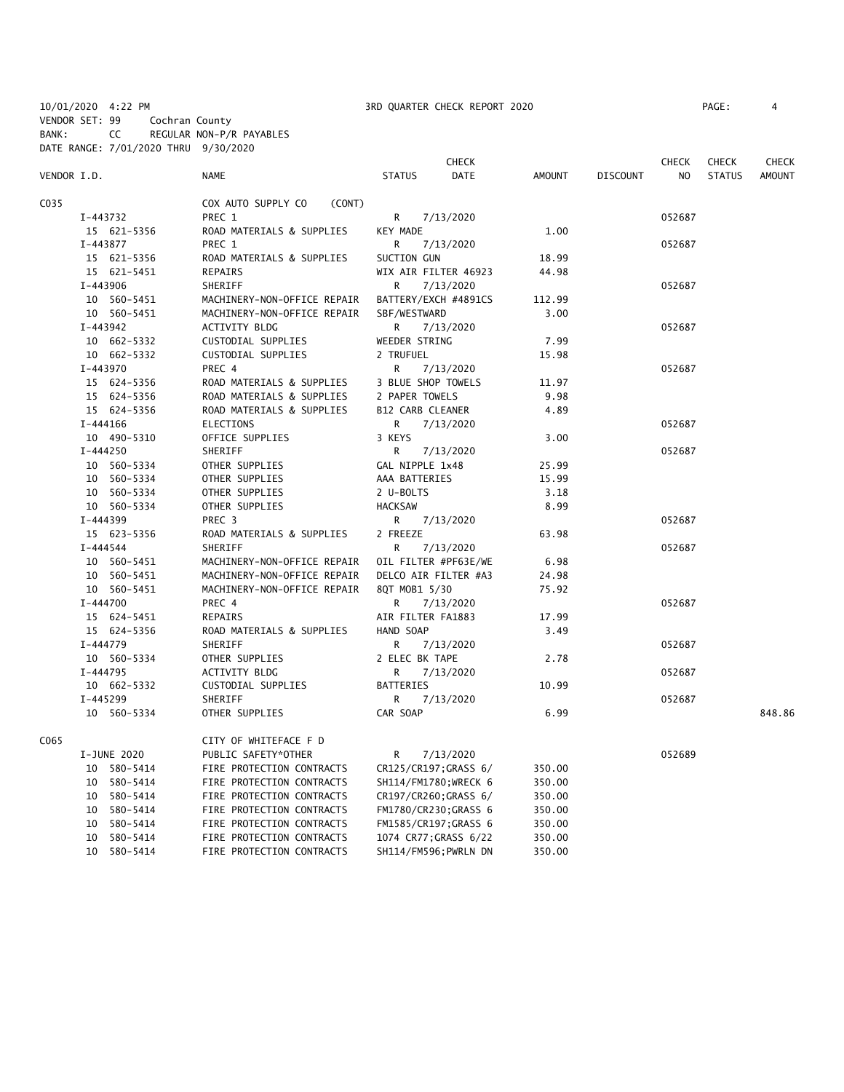BANK: CC REGULAR NON-P/R PAYABLES DATE RANGE: 7/01/2020 THRU 9/30/2020

|             |              |                              |                       | <b>CHECK</b> |               |                 | <b>CHECK</b>   | <b>CHECK</b>  | CHECK         |
|-------------|--------------|------------------------------|-----------------------|--------------|---------------|-----------------|----------------|---------------|---------------|
| VENDOR I.D. |              | <b>NAME</b>                  | <b>STATUS</b>         | <b>DATE</b>  | <b>AMOUNT</b> | <b>DISCOUNT</b> | N <sub>O</sub> | <b>STATUS</b> | <b>AMOUNT</b> |
| C035        |              | COX AUTO SUPPLY CO<br>(CONT) |                       |              |               |                 |                |               |               |
|             | I-443732     | PREC 1                       | R                     | 7/13/2020    |               |                 | 052687         |               |               |
|             | 15 621-5356  | ROAD MATERIALS & SUPPLIES    | KEY MADE              |              | 1.00          |                 |                |               |               |
|             | I-443877     | PREC 1                       | R                     | 7/13/2020    |               |                 | 052687         |               |               |
|             | 15 621-5356  | ROAD MATERIALS & SUPPLIES    | SUCTION GUN           |              | 18.99         |                 |                |               |               |
|             | 15 621-5451  | REPAIRS                      | WIX AIR FILTER 46923  |              | 44.98         |                 |                |               |               |
|             | I-443906     | SHERIFF                      | R.                    | 7/13/2020    |               |                 | 052687         |               |               |
|             | 10 560-5451  | MACHINERY-NON-OFFICE REPAIR  | BATTERY/EXCH #4891CS  |              | 112.99        |                 |                |               |               |
|             | 10 560-5451  | MACHINERY-NON-OFFICE REPAIR  | SBF/WESTWARD          |              | 3.00          |                 |                |               |               |
|             | I-443942     | ACTIVITY BLDG                | R                     | 7/13/2020    |               |                 | 052687         |               |               |
|             | 10 662-5332  | CUSTODIAL SUPPLIES           | WEEDER STRING         |              | 7.99          |                 |                |               |               |
|             | 10 662-5332  | CUSTODIAL SUPPLIES           | 2 TRUFUEL             |              | 15.98         |                 |                |               |               |
|             | I-443970     | PREC 4                       | R                     | 7/13/2020    |               |                 | 052687         |               |               |
|             | 15 624-5356  | ROAD MATERIALS & SUPPLIES    | 3 BLUE SHOP TOWELS    |              | 11.97         |                 |                |               |               |
|             | 15 624-5356  | ROAD MATERIALS & SUPPLIES    | 2 PAPER TOWELS        |              | 9.98          |                 |                |               |               |
|             | 15 624-5356  | ROAD MATERIALS & SUPPLIES    | B12 CARB CLEANER      |              | 4.89          |                 |                |               |               |
|             | $I-444166$   | ELECTIONS                    | R                     | 7/13/2020    |               |                 | 052687         |               |               |
|             | 10 490-5310  | OFFICE SUPPLIES              | 3 KEYS                |              | 3.00          |                 |                |               |               |
|             | I-444250     | <b>SHERIFF</b>               | R.                    | 7/13/2020    |               |                 | 052687         |               |               |
|             | 10 560-5334  | OTHER SUPPLIES               | GAL NIPPLE 1x48       |              | 25.99         |                 |                |               |               |
|             | 10 560-5334  | OTHER SUPPLIES               | AAA BATTERIES         |              | 15.99         |                 |                |               |               |
|             | 10 560-5334  | OTHER SUPPLIES               | 2 U-BOLTS             |              | 3.18          |                 |                |               |               |
|             | 10 560-5334  | OTHER SUPPLIES               | <b>HACKSAW</b>        |              | 8.99          |                 |                |               |               |
|             | I-444399     | PREC 3                       | R                     | 7/13/2020    |               |                 | 052687         |               |               |
|             | 15 623-5356  | ROAD MATERIALS & SUPPLIES    | 2 FREEZE              |              | 63.98         |                 |                |               |               |
|             | $I - 444544$ | SHERIFF                      | R                     | 7/13/2020    |               |                 | 052687         |               |               |
|             | 10 560-5451  | MACHINERY-NON-OFFICE REPAIR  | OIL FILTER #PF63E/WE  |              | 6.98          |                 |                |               |               |
|             | 10 560-5451  | MACHINERY-NON-OFFICE REPAIR  | DELCO AIR FILTER #A3  |              | 24.98         |                 |                |               |               |
|             | 10 560-5451  | MACHINERY-NON-OFFICE REPAIR  | 8QT MOB1 5/30         |              | 75.92         |                 |                |               |               |
|             | I-444700     | PREC 4                       | R                     | 7/13/2020    |               |                 | 052687         |               |               |
|             | 15 624-5451  | <b>REPAIRS</b>               | AIR FILTER FA1883     |              | 17.99         |                 |                |               |               |
|             | 15 624-5356  | ROAD MATERIALS & SUPPLIES    | HAND SOAP             |              | 3.49          |                 |                |               |               |
|             | $I-444779$   | SHERIFF                      | R                     | 7/13/2020    |               |                 | 052687         |               |               |
|             | 10 560-5334  | OTHER SUPPLIES               | 2 ELEC BK TAPE        |              | 2.78          |                 |                |               |               |
|             | I-444795     | <b>ACTIVITY BLDG</b>         | R                     | 7/13/2020    |               |                 | 052687         |               |               |
|             | 10 662-5332  | CUSTODIAL SUPPLIES           | <b>BATTERIES</b>      |              | 10.99         |                 |                |               |               |
|             | I-445299     | SHERIFF                      | R                     | 7/13/2020    |               |                 | 052687         |               |               |
|             | 10 560-5334  | OTHER SUPPLIES               | CAR SOAP              |              | 6.99          |                 |                |               | 848.86        |
| C065        |              | CITY OF WHITEFACE F D        |                       |              |               |                 |                |               |               |
|             | I-JUNE 2020  | PUBLIC SAFETY*OTHER          | R                     | 7/13/2020    |               |                 | 052689         |               |               |
|             | 10 580-5414  | FIRE PROTECTION CONTRACTS    | CR125/CR197; GRASS 6/ |              | 350.00        |                 |                |               |               |
|             | 10 580-5414  | FIRE PROTECTION CONTRACTS    | SH114/FM1780; WRECK 6 |              | 350.00        |                 |                |               |               |
|             | 10 580-5414  | FIRE PROTECTION CONTRACTS    | CR197/CR260; GRASS 6/ |              | 350.00        |                 |                |               |               |
|             | 10 580-5414  | FIRE PROTECTION CONTRACTS    | FM1780/CR230; GRASS 6 |              | 350.00        |                 |                |               |               |
|             | 10 580-5414  | FIRE PROTECTION CONTRACTS    | FM1585/CR197; GRASS 6 |              | 350.00        |                 |                |               |               |
|             | 10 580-5414  | FIRE PROTECTION CONTRACTS    | 1074 CR77; GRASS 6/22 |              | 350.00        |                 |                |               |               |
|             | 10 580-5414  | FIRE PROTECTION CONTRACTS    | SH114/FM596;PWRLN DN  |              | 350.00        |                 |                |               |               |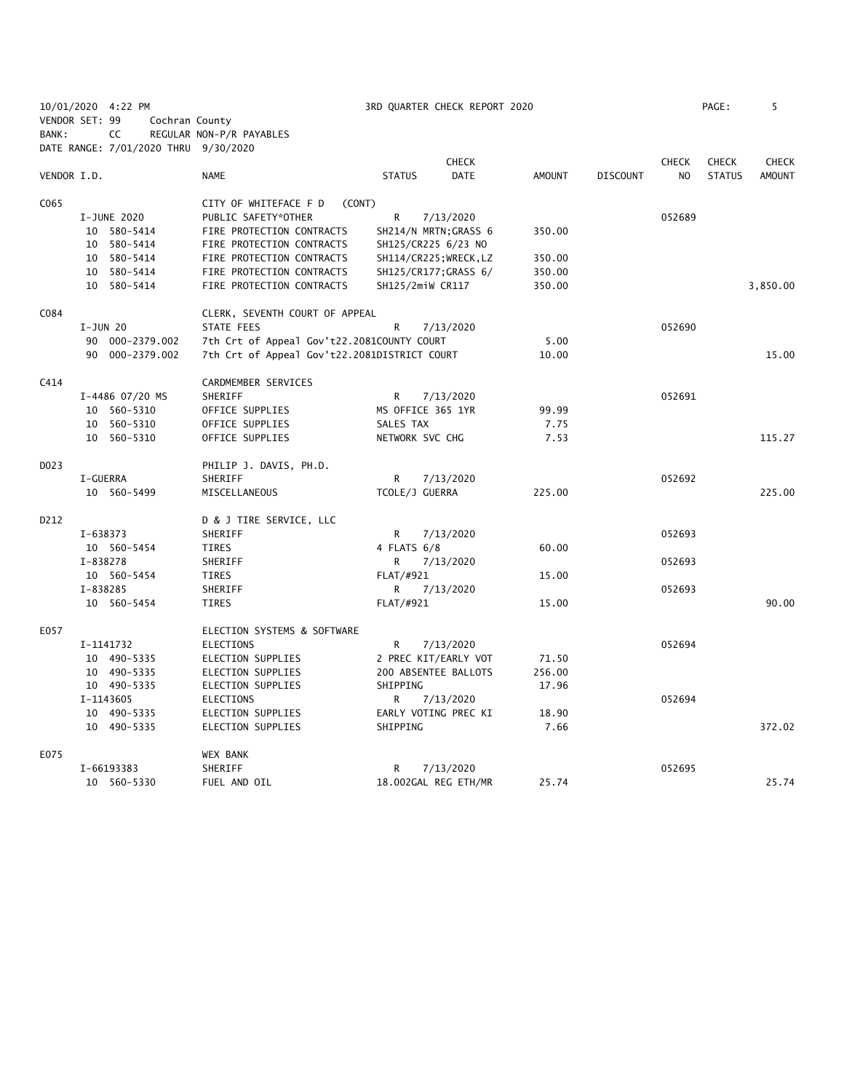|                   | 10/01/2020 4:22 PM                   |                                              | 3RD QUARTER CHECK REPORT 2020 |               |                 |              | PAGE:         | 5             |
|-------------------|--------------------------------------|----------------------------------------------|-------------------------------|---------------|-----------------|--------------|---------------|---------------|
| VENDOR SET: 99    | Cochran County                       |                                              |                               |               |                 |              |               |               |
| BANK:             | CC                                   | REGULAR NON-P/R PAYABLES                     |                               |               |                 |              |               |               |
|                   | DATE RANGE: 7/01/2020 THRU 9/30/2020 |                                              |                               |               |                 |              |               |               |
|                   |                                      |                                              | <b>CHECK</b>                  |               |                 | <b>CHECK</b> | <b>CHECK</b>  | <b>CHECK</b>  |
| VENDOR I.D.       |                                      | <b>NAME</b>                                  | <b>STATUS</b><br><b>DATE</b>  | <b>AMOUNT</b> | <b>DISCOUNT</b> | NO.          | <b>STATUS</b> | <b>AMOUNT</b> |
| C <sub>065</sub>  |                                      | CITY OF WHITEFACE F D<br>(CONT)              |                               |               |                 |              |               |               |
|                   | I-JUNE 2020                          | PUBLIC SAFETY*OTHER                          | R<br>7/13/2020                |               |                 | 052689       |               |               |
|                   | 10 580-5414                          | FIRE PROTECTION CONTRACTS                    | SH214/N MRTN; GRASS 6         | 350.00        |                 |              |               |               |
|                   | 10 580-5414                          | FIRE PROTECTION CONTRACTS                    | SH125/CR225 6/23 NO           |               |                 |              |               |               |
|                   | 10 580-5414                          | FIRE PROTECTION CONTRACTS                    | SH114/CR225; WRECK, LZ        | 350.00        |                 |              |               |               |
|                   | 10 580-5414                          | FIRE PROTECTION CONTRACTS                    | SH125/CR177; GRASS 6/         | 350.00        |                 |              |               |               |
|                   | 10 580-5414                          | FIRE PROTECTION CONTRACTS                    | SH125/2miW CR117              | 350.00        |                 |              |               | 3,850.00      |
| C084              |                                      | CLERK, SEVENTH COURT OF APPEAL               |                               |               |                 |              |               |               |
|                   | $I-JUN$ 20                           | <b>STATE FEES</b>                            | $\mathsf{R}$<br>7/13/2020     |               |                 | 052690       |               |               |
|                   | 90 000-2379.002                      | 7th Crt of Appeal Gov't22.2081COUNTY COURT   |                               | 5.00          |                 |              |               |               |
|                   | 90 000-2379.002                      | 7th Crt of Appeal Gov't22.2081DISTRICT COURT |                               | 10.00         |                 |              |               | 15.00         |
| C414              |                                      | CARDMEMBER SERVICES                          |                               |               |                 |              |               |               |
|                   | I-4486 07/20 MS                      | SHERIFF                                      | R<br>7/13/2020                |               |                 | 052691       |               |               |
|                   | 10 560-5310                          | OFFICE SUPPLIES                              | MS OFFICE 365 1YR             | 99.99         |                 |              |               |               |
|                   | 10 560-5310                          | OFFICE SUPPLIES                              | SALES TAX                     | 7.75          |                 |              |               |               |
|                   | 10 560-5310                          | OFFICE SUPPLIES                              | NETWORK SVC CHG               | 7.53          |                 |              |               | 115.27        |
| D <sub>0</sub> 23 |                                      | PHILIP J. DAVIS, PH.D.                       |                               |               |                 |              |               |               |
|                   | I-GUERRA                             | SHERIFF                                      | R<br>7/13/2020                |               |                 | 052692       |               |               |
|                   | 10 560-5499                          | MISCELLANEOUS                                | TCOLE/J GUERRA                | 225.00        |                 |              |               | 225.00        |
| D212              |                                      | D & J TIRE SERVICE, LLC                      |                               |               |                 |              |               |               |
|                   | I-638373                             | SHERIFF                                      | 7/13/2020<br>R                |               |                 | 052693       |               |               |
|                   | 10 560-5454                          | <b>TIRES</b>                                 | 4 FLATS 6/8                   | 60.00         |                 |              |               |               |
|                   | I-838278                             | SHERIFF                                      | 7/13/2020<br>R                |               |                 | 052693       |               |               |
|                   | 10 560-5454                          | <b>TIRES</b>                                 | FLAT/#921                     | 15.00         |                 |              |               |               |
|                   | I-838285                             | SHERIFF                                      | 7/13/2020<br>R                |               |                 | 052693       |               |               |
|                   | 10 560-5454                          | TIRES                                        | FLAT/#921                     | 15.00         |                 |              |               | 90.00         |
| E057              |                                      | ELECTION SYSTEMS & SOFTWARE                  |                               |               |                 |              |               |               |
|                   | I-1141732                            | <b>ELECTIONS</b>                             | R<br>7/13/2020                |               |                 | 052694       |               |               |
|                   | 10 490-5335                          | ELECTION SUPPLIES                            | 2 PREC KIT/EARLY VOT          | 71.50         |                 |              |               |               |
|                   | 10 490-5335                          | ELECTION SUPPLIES                            | 200 ABSENTEE BALLOTS          | 256.00        |                 |              |               |               |
|                   | 10 490-5335                          | ELECTION SUPPLIES                            | SHIPPING                      | 17.96         |                 |              |               |               |
|                   | I-1143605                            | ELECTIONS                                    | R<br>7/13/2020                |               |                 | 052694       |               |               |
|                   | 10 490-5335                          | ELECTION SUPPLIES                            | EARLY VOTING PREC KI          | 18.90         |                 |              |               |               |
|                   | 10 490-5335                          | ELECTION SUPPLIES                            | SHIPPING                      | 7.66          |                 |              |               | 372.02        |
| E075              |                                      | <b>WEX BANK</b>                              |                               |               |                 |              |               |               |
|                   | I-66193383                           | SHERIFF                                      | R<br>7/13/2020                |               |                 | 052695       |               |               |
|                   | 10 560-5330                          | FUEL AND OIL                                 | 18.002GAL REG ETH/MR          | 25.74         |                 |              |               | 25.74         |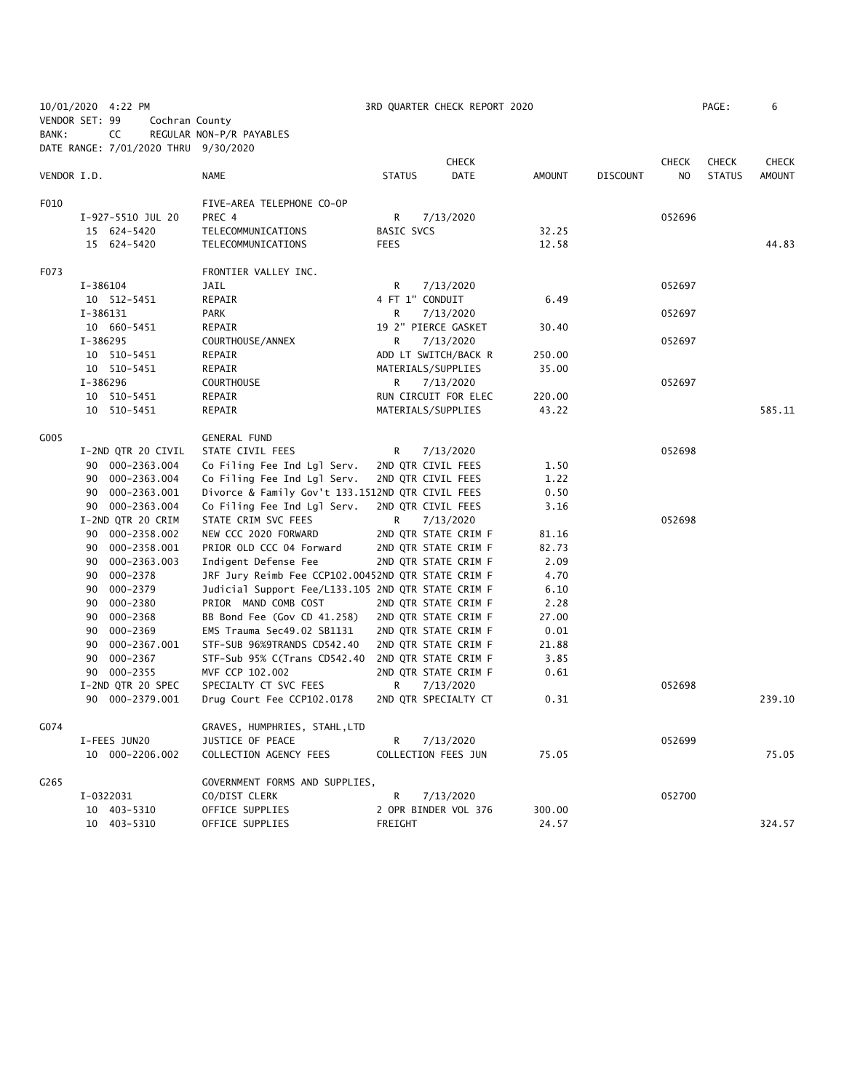10/01/2020 4:22 PM 3RD QUARTER CHECK REPORT 2020 PAGE: 6 VENDOR SET: 99 Cochran County BANK: CC REGULAR NON-P/R PAYABLES

|             | DATE RANGE: 7/01/2020 THRU 9/30/2020 |                                                    |                     |                      |        |                 |              |               |               |
|-------------|--------------------------------------|----------------------------------------------------|---------------------|----------------------|--------|-----------------|--------------|---------------|---------------|
|             |                                      |                                                    |                     | <b>CHECK</b>         |        |                 | <b>CHECK</b> | <b>CHECK</b>  | <b>CHECK</b>  |
| VENDOR I.D. |                                      | NAME                                               | <b>STATUS</b>       | <b>DATE</b>          | AMOUNT | <b>DISCOUNT</b> | NO.          | <b>STATUS</b> | <b>AMOUNT</b> |
| F010        |                                      | FIVE-AREA TELEPHONE CO-OP                          |                     |                      |        |                 |              |               |               |
|             | I-927-5510 JUL 20                    | PREC 4                                             | R                   | 7/13/2020            |        |                 | 052696       |               |               |
|             | 15 624-5420                          | TELECOMMUNICATIONS                                 | BASIC SVCS          |                      | 32.25  |                 |              |               |               |
|             | 15 624-5420                          | TELECOMMUNICATIONS                                 | <b>FEES</b>         |                      | 12.58  |                 |              |               | 44.83         |
| F073        |                                      | FRONTIER VALLEY INC.                               |                     |                      |        |                 |              |               |               |
|             | I-386104                             | <b>JAIL</b>                                        | R                   | 7/13/2020            |        |                 | 052697       |               |               |
|             | 10 512-5451                          | REPAIR                                             | 4 FT 1" CONDUIT     |                      | 6.49   |                 |              |               |               |
|             | I-386131                             | <b>PARK</b>                                        | R                   | 7/13/2020            |        |                 | 052697       |               |               |
|             | 10 660-5451                          | REPAIR                                             | 19 2" PIERCE GASKET |                      | 30.40  |                 |              |               |               |
|             | I-386295                             | COURTHOUSE/ANNEX                                   | R                   | 7/13/2020            |        |                 | 052697       |               |               |
|             | 10 510-5451                          | REPAIR                                             |                     | ADD LT SWITCH/BACK R | 250.00 |                 |              |               |               |
|             | 10 510-5451                          | REPAIR                                             | MATERIALS/SUPPLIES  |                      | 35.00  |                 |              |               |               |
|             | I-386296                             | <b>COURTHOUSE</b>                                  | R                   | 7/13/2020            |        |                 | 052697       |               |               |
|             | 10 510-5451                          | REPAIR                                             |                     | RUN CIRCUIT FOR ELEC | 220.00 |                 |              |               |               |
|             | 10 510-5451                          | REPAIR                                             | MATERIALS/SUPPLIES  |                      | 43.22  |                 |              |               | 585.11        |
| G005        |                                      | <b>GENERAL FUND</b>                                |                     |                      |        |                 |              |               |               |
|             | I-2ND QTR 20 CIVIL                   | STATE CIVIL FEES                                   | R                   | 7/13/2020            |        |                 | 052698       |               |               |
|             | 90 000-2363.004                      | Co Filing Fee Ind Lgl Serv.                        | 2ND QTR CIVIL FEES  |                      | 1.50   |                 |              |               |               |
|             | 90 000-2363.004                      | Co Filing Fee Ind Lgl Serv.                        | 2ND QTR CIVIL FEES  |                      | 1.22   |                 |              |               |               |
|             | 90 000-2363.001                      | Divorce & Family Gov't 133.1512ND QTR CIVIL FEES   |                     |                      | 0.50   |                 |              |               |               |
|             | 90 000-2363.004                      | Co Filing Fee Ind Lgl Serv.                        | 2ND QTR CIVIL FEES  |                      | 3.16   |                 |              |               |               |
|             | I-2ND QTR 20 CRIM                    | STATE CRIM SVC FEES                                | R                   | 7/13/2020            |        |                 | 052698       |               |               |
|             | 90 000-2358.002                      | NEW CCC 2020 FORWARD                               |                     | 2ND QTR STATE CRIM F | 81.16  |                 |              |               |               |
|             | 90 000-2358.001                      | PRIOR OLD CCC 04 Forward                           |                     | 2ND QTR STATE CRIM F | 82.73  |                 |              |               |               |
|             | 90 000-2363.003                      | Indigent Defense Fee                               |                     | 2ND QTR STATE CRIM F | 2.09   |                 |              |               |               |
|             | 90<br>000-2378                       | JRF Jury Reimb Fee CCP102.00452ND QTR STATE CRIM F |                     |                      | 4.70   |                 |              |               |               |
|             | 90 000-2379                          | Judicial Support Fee/L133.105 2ND QTR STATE CRIM F |                     |                      | 6.10   |                 |              |               |               |
|             | 90<br>000-2380                       | PRIOR MAND COMB COST                               |                     | 2ND QTR STATE CRIM F | 2.28   |                 |              |               |               |
|             | 90 000-2368                          | BB Bond Fee (Gov CD 41.258)                        |                     | 2ND QTR STATE CRIM F | 27.00  |                 |              |               |               |
|             | 000-2369<br>90                       | EMS Trauma Sec49.02 SB1131                         |                     | 2ND QTR STATE CRIM F | 0.01   |                 |              |               |               |
|             | 90<br>000-2367.001                   | STF-SUB 96%9TRANDS CD542.40                        |                     | 2ND QTR STATE CRIM F | 21.88  |                 |              |               |               |
|             | 000-2367<br>90                       | STF-Sub 95% C(Trans CD542.40                       |                     | 2ND QTR STATE CRIM F | 3.85   |                 |              |               |               |
|             | 90 000-2355                          | MVF CCP 102.002                                    |                     | 2ND QTR STATE CRIM F | 0.61   |                 |              |               |               |
|             | I-2ND QTR 20 SPEC                    | SPECIALTY CT SVC FEES                              | R                   | 7/13/2020            |        |                 | 052698       |               |               |
|             | 90 000-2379.001                      | Drug Court Fee CCP102.0178                         |                     | 2ND QTR SPECIALTY CT | 0.31   |                 |              |               | 239.10        |
| G074        |                                      | GRAVES, HUMPHRIES, STAHL,LTD                       |                     |                      |        |                 |              |               |               |
|             | I-FEES JUN20                         | JUSTICE OF PEACE                                   | R                   | 7/13/2020            |        |                 | 052699       |               |               |
|             | 10 000-2206.002                      | COLLECTION AGENCY FEES                             |                     | COLLECTION FEES JUN  | 75.05  |                 |              |               | 75.05         |
| G265        |                                      | GOVERNMENT FORMS AND SUPPLIES,                     |                     |                      |        |                 |              |               |               |
|             | I-0322031                            | CO/DIST CLERK                                      | R                   | 7/13/2020            |        |                 | 052700       |               |               |
|             | 10 403-5310                          | OFFICE SUPPLIES                                    |                     | 2 OPR BINDER VOL 376 | 300.00 |                 |              |               |               |
|             | 10 403-5310                          | OFFICE SUPPLIES                                    | FREIGHT             |                      | 24.57  |                 |              |               | 324.57        |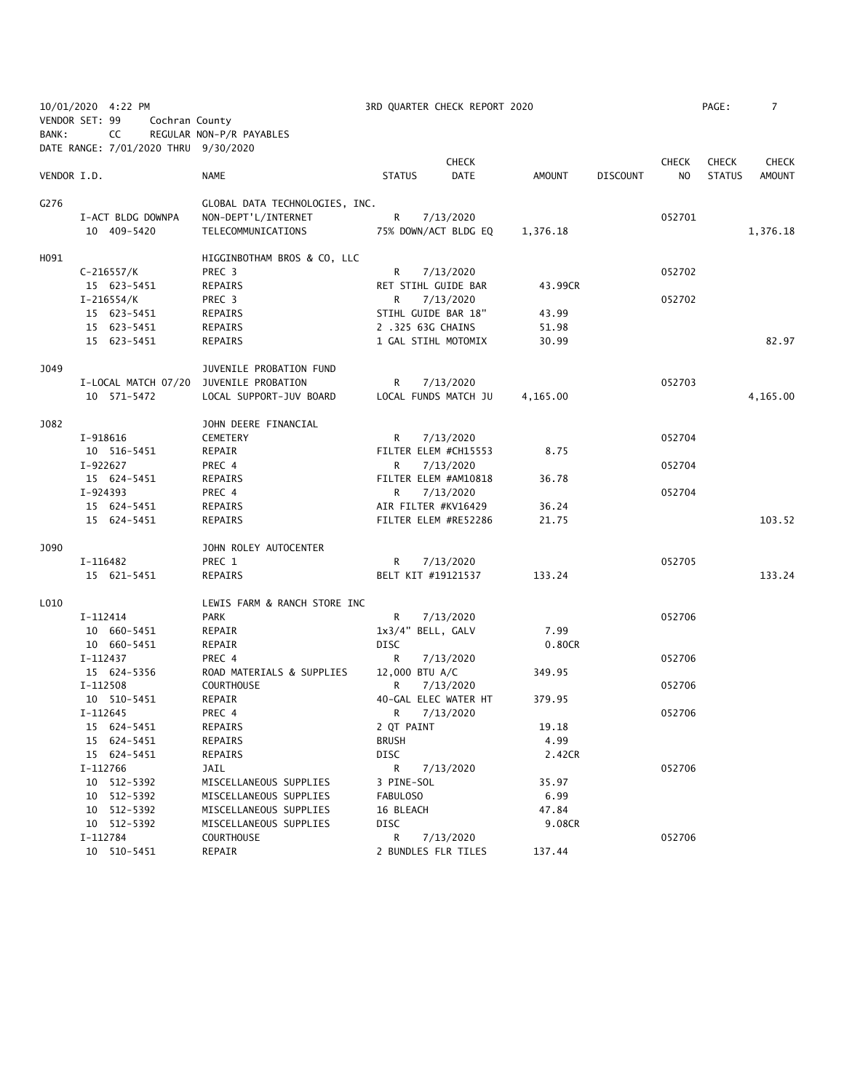|             | 10/01/2020 4:22 PM                   |                                        | 3RD QUARTER CHECK REPORT 2020 |              |          |                 |                | PAGE:         | 7            |
|-------------|--------------------------------------|----------------------------------------|-------------------------------|--------------|----------|-----------------|----------------|---------------|--------------|
|             | VENDOR SET: 99<br>Cochran County     |                                        |                               |              |          |                 |                |               |              |
| BANK:       | CC                                   | REGULAR NON-P/R PAYABLES               |                               |              |          |                 |                |               |              |
|             | DATE RANGE: 7/01/2020 THRU 9/30/2020 |                                        |                               |              |          |                 |                |               |              |
|             |                                      |                                        |                               | <b>CHECK</b> |          |                 | <b>CHECK</b>   | <b>CHECK</b>  | <b>CHECK</b> |
| VENDOR I.D. |                                      | <b>NAME</b>                            | <b>STATUS</b>                 | <b>DATE</b>  | AMOUNT   | <b>DISCOUNT</b> | N <sub>O</sub> | <b>STATUS</b> | AMOUNT       |
|             |                                      |                                        |                               |              |          |                 |                |               |              |
| G276        |                                      | GLOBAL DATA TECHNOLOGIES, INC.         |                               |              |          |                 |                |               |              |
|             | I-ACT BLDG DOWNPA                    | NON-DEPT'L/INTERNET                    | R.                            | 7/13/2020    |          |                 | 052701         |               |              |
|             | 10 409-5420                          | TELECOMMUNICATIONS                     | 75% DOWN/ACT BLDG EQ          |              | 1,376.18 |                 |                |               | 1,376.18     |
|             |                                      |                                        |                               |              |          |                 |                |               |              |
| H091        |                                      | HIGGINBOTHAM BROS & CO, LLC            |                               |              |          |                 |                |               |              |
|             | $C-216557/K$                         | PREC 3                                 | R                             | 7/13/2020    |          |                 | 052702         |               |              |
|             | 15 623-5451                          | REPAIRS                                | RET STIHL GUIDE BAR           |              | 43.99CR  |                 |                |               |              |
|             | $I - 216554/K$                       | PREC 3                                 | R.                            | 7/13/2020    |          |                 | 052702         |               |              |
|             | 15 623-5451                          | REPAIRS                                | STIHL GUIDE BAR 18"           |              | 43.99    |                 |                |               |              |
|             | 15 623-5451                          | REPAIRS                                | 2 .325 63G CHAINS             |              | 51.98    |                 |                |               |              |
|             | 15 623-5451                          | REPAIRS                                | 1 GAL STIHL MOTOMIX           |              | 30.99    |                 |                |               | 82.97        |
|             |                                      |                                        |                               |              |          |                 |                |               |              |
| J049        |                                      | JUVENILE PROBATION FUND                |                               |              |          |                 |                |               |              |
|             |                                      | I-LOCAL MATCH 07/20 JUVENILE PROBATION | R                             | 7/13/2020    |          |                 | 052703         |               |              |
|             | 10 571-5472                          | LOCAL SUPPORT-JUV BOARD                | LOCAL FUNDS MATCH JU          |              | 4,165.00 |                 |                |               | 4,165.00     |
|             |                                      |                                        |                               |              |          |                 |                |               |              |
| J082        |                                      | JOHN DEERE FINANCIAL                   |                               |              |          |                 |                |               |              |
|             | I-918616                             | CEMETERY                               | R.                            | 7/13/2020    |          |                 | 052704         |               |              |
|             | 10 516-5451                          | REPAIR                                 | FILTER ELEM #CH15553          |              | 8.75     |                 |                |               |              |
|             | I-922627                             | PREC 4                                 | R                             | 7/13/2020    |          |                 | 052704         |               |              |
|             | 15 624-5451                          | REPAIRS                                | FILTER ELEM #AM10818          |              | 36.78    |                 |                |               |              |
|             | $I-924393$                           | PREC 4                                 | R.                            | 7/13/2020    |          |                 | 052704         |               |              |
|             | 15 624-5451                          | REPAIRS                                | AIR FILTER #KV16429           |              | 36.24    |                 |                |               |              |
|             | 15 624-5451                          | REPAIRS                                | FILTER ELEM #RE52286          |              | 21.75    |                 |                |               | 103.52       |
|             |                                      |                                        |                               |              |          |                 |                |               |              |
| J090        |                                      | JOHN ROLEY AUTOCENTER                  |                               |              |          |                 |                |               |              |
|             | I-116482                             | PREC 1                                 | R                             | 7/13/2020    |          |                 | 052705         |               |              |
|             | 15 621-5451                          | REPAIRS                                | BELT KIT #19121537            |              | 133.24   |                 |                |               | 133.24       |
|             |                                      |                                        |                               |              |          |                 |                |               |              |
| L010        |                                      | LEWIS FARM & RANCH STORE INC           |                               |              |          |                 |                |               |              |
|             | I-112414                             | <b>PARK</b>                            | R                             | 7/13/2020    |          |                 | 052706         |               |              |
|             | 10 660-5451                          | REPAIR                                 | 1x3/4" BELL, GALV             |              | 7.99     |                 |                |               |              |
|             | 10 660-5451                          | REPAIR                                 | <b>DISC</b>                   |              | 0.80CR   |                 |                |               |              |
|             | I-112437                             | PREC 4                                 | R                             | 7/13/2020    |          |                 | 052706         |               |              |
|             | 15 624-5356                          | ROAD MATERIALS & SUPPLIES              | 12,000 BTU A/C                |              | 349.95   |                 |                |               |              |
|             | I-112508                             | <b>COURTHOUSE</b>                      | R                             | 7/13/2020    |          |                 | 052706         |               |              |
|             | 10 510-5451                          | REPAIR                                 | 40-GAL ELEC WATER HT          |              | 379.95   |                 |                |               |              |
|             | I-112645                             | PREC 4                                 | R                             | 7/13/2020    |          |                 | 052706         |               |              |
|             | 15 624-5451                          | REPAIRS                                | 2 QT PAINT                    |              | 19.18    |                 |                |               |              |
|             | 15 624-5451                          | REPAIRS                                | <b>BRUSH</b>                  |              | 4.99     |                 |                |               |              |
|             | 15 624-5451                          | REPAIRS                                | <b>DISC</b>                   |              | 2.42CR   |                 |                |               |              |
|             | I-112766                             | JAIL                                   | R                             | 7/13/2020    |          |                 | 052706         |               |              |
|             | 10 512-5392                          | MISCELLANEOUS SUPPLIES                 | 3 PINE-SOL                    |              | 35.97    |                 |                |               |              |
|             | 10 512-5392                          | MISCELLANEOUS SUPPLIES                 | FABULOSO                      |              | 6.99     |                 |                |               |              |
|             | 10 512-5392                          | MISCELLANEOUS SUPPLIES                 | 16 BLEACH                     |              | 47.84    |                 |                |               |              |
|             | 10 512-5392                          | MISCELLANEOUS SUPPLIES                 | <b>DISC</b>                   |              | 9.08CR   |                 |                |               |              |
|             | I-112784                             | <b>COURTHOUSE</b>                      | R                             | 7/13/2020    |          |                 | 052706         |               |              |
|             | 10 510-5451                          | REPAIR                                 | 2 BUNDLES FLR TILES           |              | 137.44   |                 |                |               |              |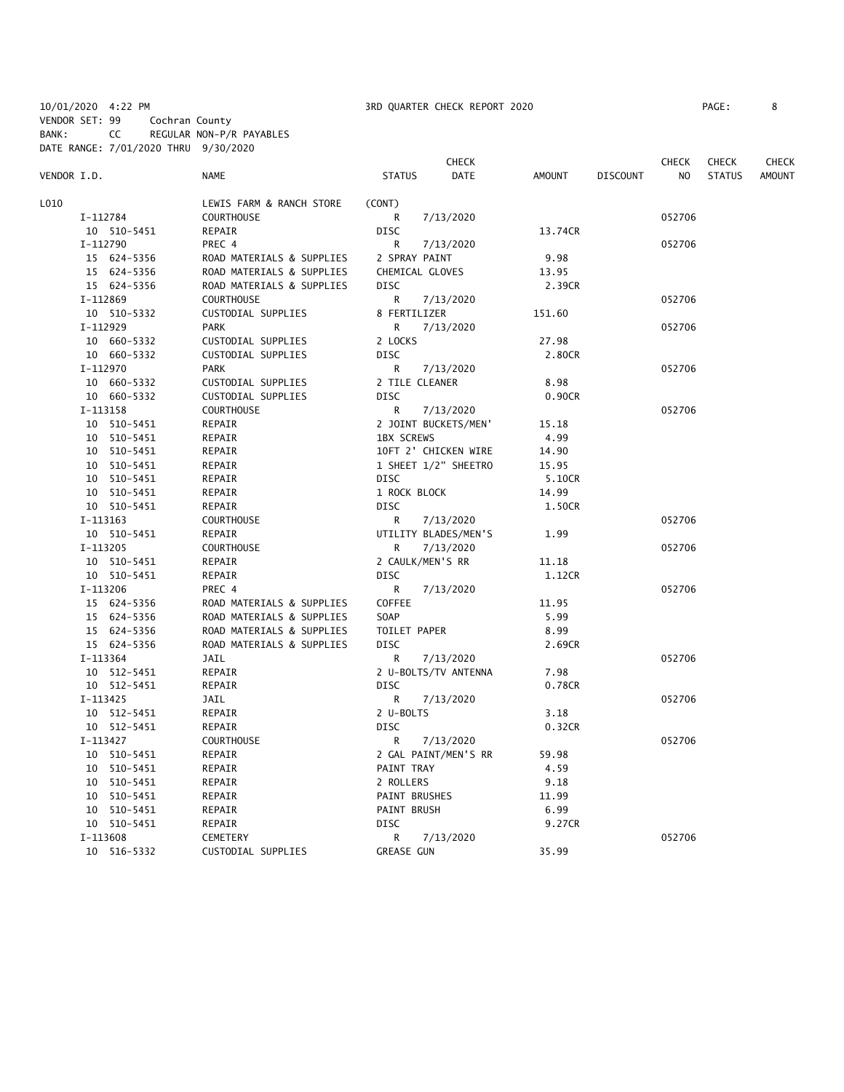VENDOR SET: 99 Cochran County

BANK: CC REGULAR NON-P/R PAYABLES DATE RANGE: 7/01/2020 THRU 9/30/2020

|             |             |                           |                      | CHECK       |               |                 | <b>CHECK</b> | <b>CHECK</b>  | CHECK         |
|-------------|-------------|---------------------------|----------------------|-------------|---------------|-----------------|--------------|---------------|---------------|
| VENDOR I.D. |             | <b>NAME</b>               | <b>STATUS</b>        | <b>DATE</b> | <b>AMOUNT</b> | <b>DISCOUNT</b> | NO           | <b>STATUS</b> | <b>AMOUNT</b> |
| L010        |             | LEWIS FARM & RANCH STORE  | (CONT)               |             |               |                 |              |               |               |
|             | I-112784    | <b>COURTHOUSE</b>         | R                    | 7/13/2020   |               |                 | 052706       |               |               |
|             | 10 510-5451 | REPAIR                    | <b>DISC</b>          |             | 13.74CR       |                 |              |               |               |
|             | I-112790    | PREC 4                    | R                    | 7/13/2020   |               |                 | 052706       |               |               |
|             | 15 624-5356 | ROAD MATERIALS & SUPPLIES | 2 SPRAY PAINT        |             | 9.98          |                 |              |               |               |
|             | 15 624-5356 | ROAD MATERIALS & SUPPLIES | CHEMICAL GLOVES      |             | 13.95         |                 |              |               |               |
|             | 15 624-5356 | ROAD MATERIALS & SUPPLIES | <b>DISC</b>          |             | 2.39CR        |                 |              |               |               |
|             | I-112869    | <b>COURTHOUSE</b>         | R                    | 7/13/2020   |               |                 | 052706       |               |               |
|             | 10 510-5332 | CUSTODIAL SUPPLIES        | 8 FERTILIZER         |             | 151.60        |                 |              |               |               |
|             | I-112929    | <b>PARK</b>               | R                    | 7/13/2020   |               |                 | 052706       |               |               |
|             | 10 660-5332 | CUSTODIAL SUPPLIES        | 2 LOCKS              |             | 27.98         |                 |              |               |               |
|             | 10 660-5332 | CUSTODIAL SUPPLIES        | <b>DISC</b>          |             | 2.80CR        |                 |              |               |               |
|             | I-112970    | <b>PARK</b>               | R                    | 7/13/2020   |               |                 | 052706       |               |               |
|             | 10 660-5332 | CUSTODIAL SUPPLIES        | 2 TILE CLEANER       |             | 8.98          |                 |              |               |               |
|             | 10 660-5332 | CUSTODIAL SUPPLIES        | <b>DISC</b>          |             | 0.90CR        |                 |              |               |               |
|             | I-113158    | <b>COURTHOUSE</b>         | R                    | 7/13/2020   |               |                 | 052706       |               |               |
|             | 10 510-5451 | REPAIR                    | 2 JOINT BUCKETS/MEN' |             | 15.18         |                 |              |               |               |
|             | 10 510-5451 | REPAIR                    | <b>1BX SCREWS</b>    |             | 4.99          |                 |              |               |               |
|             | 10 510-5451 | REPAIR                    | 10FT 2' CHICKEN WIRE |             | 14.90         |                 |              |               |               |
|             | 10 510-5451 | REPAIR                    | 1 SHEET 1/2" SHEETRO |             | 15.95         |                 |              |               |               |
|             | 10 510-5451 | REPAIR                    | <b>DISC</b>          |             | 5.10CR        |                 |              |               |               |
|             | 10 510-5451 | REPAIR                    | 1 ROCK BLOCK         |             | 14.99         |                 |              |               |               |
|             | 10 510-5451 | REPAIR                    | <b>DISC</b>          |             | 1.50CR        |                 |              |               |               |
|             | I-113163    | <b>COURTHOUSE</b>         | R                    | 7/13/2020   |               |                 | 052706       |               |               |
|             | 10 510-5451 | REPAIR                    | UTILITY BLADES/MEN'S |             | 1.99          |                 |              |               |               |
|             | I-113205    | <b>COURTHOUSE</b>         | R                    | 7/13/2020   |               |                 | 052706       |               |               |
|             | 10 510-5451 | REPAIR                    | 2 CAULK/MEN'S RR     |             | 11.18         |                 |              |               |               |
|             | 10 510-5451 | REPAIR                    | <b>DISC</b>          |             | 1.12CR        |                 |              |               |               |
|             | I-113206    | PREC 4                    | R                    | 7/13/2020   |               |                 | 052706       |               |               |
|             | 15 624-5356 | ROAD MATERIALS & SUPPLIES | COFFEE               |             | 11.95         |                 |              |               |               |
|             | 15 624-5356 | ROAD MATERIALS & SUPPLIES | <b>SOAP</b>          |             | 5.99          |                 |              |               |               |
|             | 15 624-5356 | ROAD MATERIALS & SUPPLIES | TOILET PAPER         |             | 8.99          |                 |              |               |               |
|             | 15 624-5356 | ROAD MATERIALS & SUPPLIES | <b>DISC</b>          |             | 2.69CR        |                 |              |               |               |
|             | I-113364    | JAIL                      | R                    | 7/13/2020   |               |                 | 052706       |               |               |
|             | 10 512-5451 | REPAIR                    | 2 U-BOLTS/TV ANTENNA |             | 7.98          |                 |              |               |               |
|             | 10 512-5451 | REPAIR                    | <b>DISC</b>          |             | 0.78CR        |                 |              |               |               |
|             | I-113425    | JAIL                      | R                    | 7/13/2020   |               |                 | 052706       |               |               |
|             | 10 512-5451 | REPAIR                    | 2 U-BOLTS            |             | 3.18          |                 |              |               |               |
|             | 10 512-5451 | REPAIR                    | <b>DISC</b>          |             | 0.32CR        |                 |              |               |               |
|             | I-113427    | <b>COURTHOUSE</b>         | R                    | 7/13/2020   |               |                 | 052706       |               |               |
|             | 10 510-5451 | REPAIR                    | 2 GAL PAINT/MEN'S RR |             | 59.98         |                 |              |               |               |
|             | 10 510-5451 | REPAIR                    | PAINT TRAY           |             | 4.59          |                 |              |               |               |
|             | 10 510-5451 | REPAIR                    | 2 ROLLERS            |             | 9.18          |                 |              |               |               |
|             | 10 510-5451 | REPAIR                    | PAINT BRUSHES        |             | 11.99         |                 |              |               |               |
|             | 10 510-5451 | REPAIR                    | <b>PAINT BRUSH</b>   |             | 6.99          |                 |              |               |               |
|             | 10 510-5451 | REPAIR                    | <b>DISC</b>          |             | 9.27CR        |                 |              |               |               |
|             | I-113608    | CEMETERY                  | R                    | 7/13/2020   |               |                 | 052706       |               |               |
|             | 10 516-5332 | CUSTODIAL SUPPLIES        | <b>GREASE GUN</b>    |             | 35.99         |                 |              |               |               |
|             |             |                           |                      |             |               |                 |              |               |               |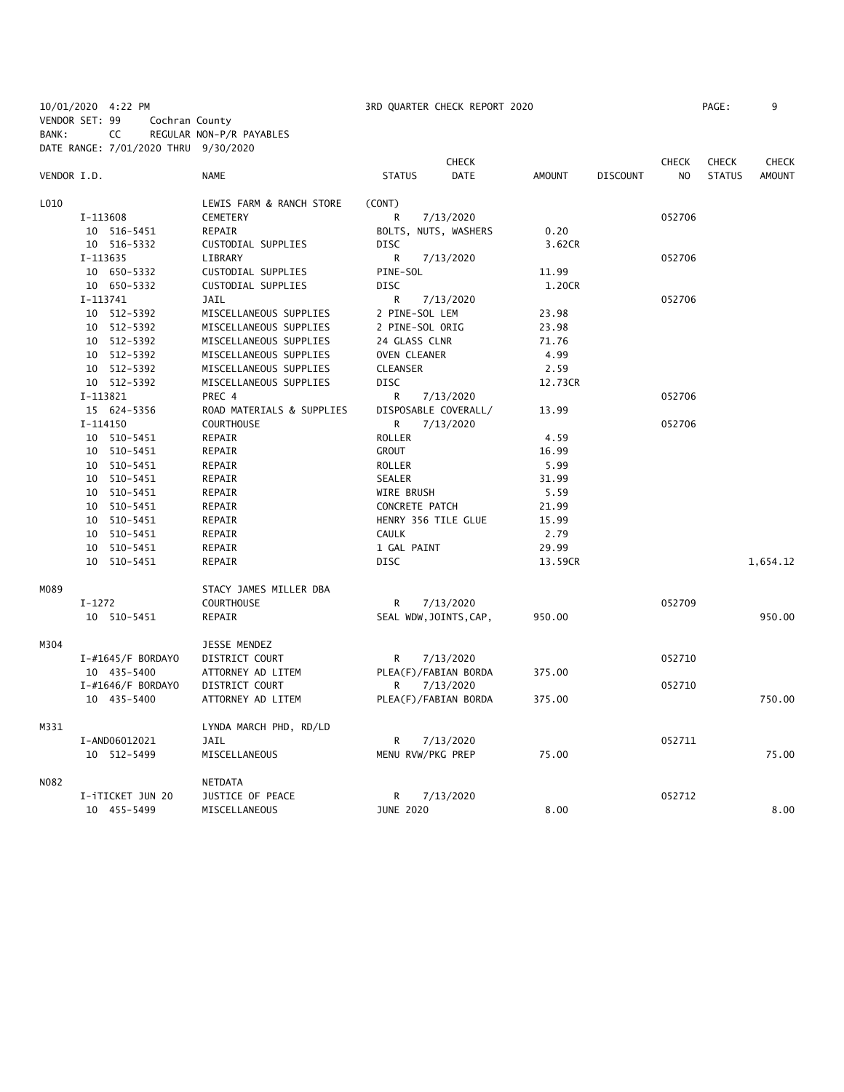10/01/2020 4:22 PM 3RD QUARTER CHECK REPORT 2020 PAGE: 9 VENDOR SET: 99 Cochran County BANK: CC REGULAR NON-P/R PAYABLES

|             | DATE RANGE: 7/01/2020 THRU 9/30/2020 |                           |                     |                        |               |                 |                |               |               |
|-------------|--------------------------------------|---------------------------|---------------------|------------------------|---------------|-----------------|----------------|---------------|---------------|
|             |                                      |                           |                     | <b>CHECK</b>           |               |                 | <b>CHECK</b>   | <b>CHECK</b>  | <b>CHECK</b>  |
| VENDOR I.D. |                                      | <b>NAME</b>               | <b>STATUS</b>       | <b>DATE</b>            | <b>AMOUNT</b> | <b>DISCOUNT</b> | N <sub>O</sub> | <b>STATUS</b> | <b>AMOUNT</b> |
| L010        |                                      | LEWIS FARM & RANCH STORE  | (CONT)              |                        |               |                 |                |               |               |
|             | I-113608                             | CEMETERY                  | R                   | 7/13/2020              |               |                 | 052706         |               |               |
|             | 10 516-5451                          | REPAIR                    |                     | BOLTS, NUTS, WASHERS   | 0.20          |                 |                |               |               |
|             | 10 516-5332                          | CUSTODIAL SUPPLIES        | <b>DISC</b>         |                        | 3.62CR        |                 |                |               |               |
|             | I-113635                             | LIBRARY                   | R                   | 7/13/2020              |               |                 | 052706         |               |               |
|             | 10 650-5332                          | CUSTODIAL SUPPLIES        | PINE-SOL            |                        | 11.99         |                 |                |               |               |
|             | 10 650-5332                          | CUSTODIAL SUPPLIES        | <b>DISC</b>         |                        | 1.20CR        |                 |                |               |               |
|             | I-113741                             | <b>JAIL</b>               | R                   | 7/13/2020              |               |                 | 052706         |               |               |
|             | 10 512-5392                          | MISCELLANEOUS SUPPLIES    | 2 PINE-SOL LEM      |                        | 23.98         |                 |                |               |               |
|             | 10 512-5392                          | MISCELLANEOUS SUPPLIES    | 2 PINE-SOL ORIG     |                        | 23.98         |                 |                |               |               |
|             | 10 512-5392                          | MISCELLANEOUS SUPPLIES    | 24 GLASS CLNR       |                        | 71.76         |                 |                |               |               |
|             | 10 512-5392                          | MISCELLANEOUS SUPPLIES    | OVEN CLEANER        |                        | 4.99          |                 |                |               |               |
|             | 10 512-5392                          | MISCELLANEOUS SUPPLIES    | <b>CLEANSER</b>     |                        | 2.59          |                 |                |               |               |
|             | 10 512-5392                          | MISCELLANEOUS SUPPLIES    | <b>DISC</b>         |                        | 12.73CR       |                 |                |               |               |
|             | I-113821                             | PREC 4                    | R                   | 7/13/2020              |               |                 | 052706         |               |               |
|             | 15 624-5356                          | ROAD MATERIALS & SUPPLIES |                     | DISPOSABLE COVERALL/   | 13.99         |                 |                |               |               |
|             | I-114150                             | <b>COURTHOUSE</b>         | R                   | 7/13/2020              |               |                 | 052706         |               |               |
|             | 10 510-5451                          | REPAIR                    | ROLLER              |                        | 4.59          |                 |                |               |               |
|             | 10 510-5451                          | REPAIR                    | <b>GROUT</b>        |                        | 16.99         |                 |                |               |               |
|             | 10 510-5451                          | REPAIR                    | ROLLER              |                        | 5.99          |                 |                |               |               |
|             | 10 510-5451                          | REPAIR                    | SEALER              |                        | 31.99         |                 |                |               |               |
|             | 10 510-5451                          | REPAIR                    | WIRE BRUSH          |                        | 5.59          |                 |                |               |               |
|             | 10 510-5451                          | REPAIR                    | CONCRETE PATCH      |                        | 21.99         |                 |                |               |               |
|             | 10 510-5451                          | REPAIR                    | HENRY 356 TILE GLUE |                        | 15.99         |                 |                |               |               |
|             | 10 510-5451                          | REPAIR                    | <b>CAULK</b>        |                        | 2.79          |                 |                |               |               |
|             | 10 510-5451                          | REPAIR                    | 1 GAL PAINT         |                        | 29.99         |                 |                |               |               |
|             | 10 510-5451                          | REPAIR                    | <b>DISC</b>         |                        | 13.59CR       |                 |                |               | 1,654.12      |
| MO89        |                                      | STACY JAMES MILLER DBA    |                     |                        |               |                 |                |               |               |
|             | $I-1272$                             | <b>COURTHOUSE</b>         | R                   | 7/13/2020              |               |                 | 052709         |               |               |
|             | 10 510-5451                          | REPAIR                    |                     | SEAL WDW, JOINTS, CAP, | 950.00        |                 |                |               | 950.00        |
| M304        |                                      | JESSE MENDEZ              |                     |                        |               |                 |                |               |               |
|             | $I$ -#1645/F BORDAYO                 | DISTRICT COURT            | R                   | 7/13/2020              |               |                 | 052710         |               |               |
|             | 10 435-5400                          | ATTORNEY AD LITEM         |                     | PLEA(F)/FABIAN BORDA   | 375.00        |                 |                |               |               |
|             | $I$ -#1646/F BORDAYO                 | DISTRICT COURT            | R                   | 7/13/2020              |               |                 | 052710         |               |               |
|             | 10 435-5400                          | ATTORNEY AD LITEM         |                     | PLEA(F)/FABIAN BORDA   | 375.00        |                 |                |               | 750.00        |
| M331        |                                      | LYNDA MARCH PHD, RD/LD    |                     |                        |               |                 |                |               |               |
|             | I-AND06012021                        | JAIL                      | R                   | 7/13/2020              |               |                 | 052711         |               |               |
|             | 10 512-5499                          | MISCELLANEOUS             | MENU RVW/PKG PREP   |                        | 75.00         |                 |                |               | 75.00         |
| N082        |                                      | NETDATA                   |                     |                        |               |                 |                |               |               |
|             | I-iTICKET JUN 20                     | JUSTICE OF PEACE          | R                   | 7/13/2020              |               |                 | 052712         |               |               |
|             | 10 455-5499                          | MISCELLANEOUS             | <b>JUNE 2020</b>    |                        | 8.00          |                 |                |               | 8.00          |
|             |                                      |                           |                     |                        |               |                 |                |               |               |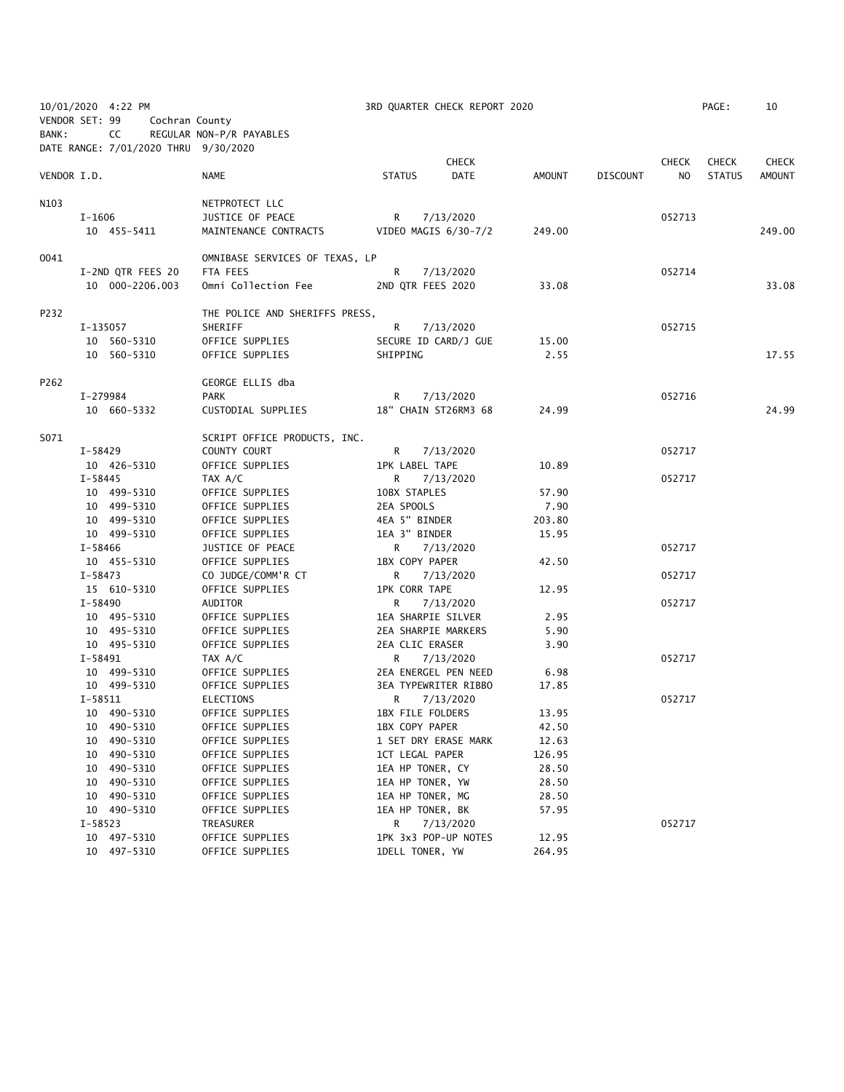| 10/01/2020 4:22 PM<br>VENDOR SET: 99<br>Cochran County |                                            | 3RD QUARTER CHECK REPORT 2020  |                              |        |                 |              |               | 10            |
|--------------------------------------------------------|--------------------------------------------|--------------------------------|------------------------------|--------|-----------------|--------------|---------------|---------------|
| BANK:                                                  | CC<br>DATE RANGE: 7/01/2020 THRU 9/30/2020 | REGULAR NON-P/R PAYABLES       |                              |        |                 |              |               |               |
|                                                        |                                            |                                | <b>CHECK</b>                 |        |                 | <b>CHECK</b> | <b>CHECK</b>  | <b>CHECK</b>  |
| VENDOR I.D.                                            |                                            | <b>NAME</b>                    | <b>DATE</b><br><b>STATUS</b> | AMOUNT | <b>DISCOUNT</b> | NO           | <b>STATUS</b> | <b>AMOUNT</b> |
| N103                                                   |                                            | NETPROTECT LLC                 |                              |        |                 |              |               |               |
|                                                        | I-1606                                     | JUSTICE OF PEACE               | $R \Box$<br>7/13/2020        |        |                 | 052713       |               |               |
|                                                        | 10 455-5411                                | MAINTENANCE CONTRACTS          | VIDEO MAGIS 6/30-7/2         | 249.00 |                 |              |               | 249.00        |
| 0041                                                   |                                            | OMNIBASE SERVICES OF TEXAS, LP |                              |        |                 |              |               |               |
|                                                        | I-2ND QTR FEES 20                          | FTA FEES                       | R.<br>7/13/2020              |        |                 | 052714       |               |               |
|                                                        | 10 000-2206.003                            | Omni Collection Fee            | 2ND QTR FEES 2020            | 33.08  |                 |              |               | 33.08         |
| P232                                                   |                                            | THE POLICE AND SHERIFFS PRESS, |                              |        |                 |              |               |               |
|                                                        | I-135057                                   | SHERIFF                        | R<br>7/13/2020               |        |                 | 052715       |               |               |
|                                                        | 10 560-5310                                | OFFICE SUPPLIES                | SECURE ID CARD/J GUE         | 15.00  |                 |              |               |               |
|                                                        | 10 560-5310                                | OFFICE SUPPLIES                | SHIPPING                     | 2.55   |                 |              |               | 17.55         |
| P262                                                   |                                            | GEORGE ELLIS dba               |                              |        |                 |              |               |               |
|                                                        | I-279984                                   | PARK                           | R <sub>a</sub><br>7/13/2020  |        |                 | 052716       |               |               |
|                                                        | 10 660-5332                                | CUSTODIAL SUPPLIES             | 18" CHAIN ST26RM3 68         | 24.99  |                 |              |               | 24.99         |
| S071                                                   |                                            | SCRIPT OFFICE PRODUCTS, INC.   |                              |        |                 |              |               |               |
|                                                        | I-58429                                    | COUNTY COURT                   | 7/13/2020<br>R <sub>a</sub>  |        |                 | 052717       |               |               |
|                                                        | 10 426-5310                                | OFFICE SUPPLIES                | <b>1PK LABEL TAPE</b>        | 10.89  |                 |              |               |               |
|                                                        | I-58445                                    | TAX A/C                        | R.<br>7/13/2020              |        |                 | 052717       |               |               |
|                                                        | 10 499-5310                                | OFFICE SUPPLIES                | 10BX STAPLES                 | 57.90  |                 |              |               |               |
|                                                        | 10 499-5310                                | OFFICE SUPPLIES                | 2EA SPOOLS                   | 7.90   |                 |              |               |               |
|                                                        | 10 499-5310                                | OFFICE SUPPLIES                | 4EA 5" BINDER                | 203.80 |                 |              |               |               |
|                                                        | 10 499-5310                                | OFFICE SUPPLIES                | 1EA 3" BINDER                | 15.95  |                 |              |               |               |
|                                                        | I-58466                                    | JUSTICE OF PEACE               | R 7/13/2020                  |        |                 | 052717       |               |               |
|                                                        | 10 455-5310                                | OFFICE SUPPLIES                | 1BX COPY PAPER               | 42.50  |                 |              |               |               |
|                                                        | $I-58473$                                  | CO JUDGE/COMM'R CT             | 7/13/2020<br>R.              |        |                 | 052717       |               |               |
|                                                        | 15 610-5310                                | OFFICE SUPPLIES                | <b>1PK CORR TAPE</b>         | 12.95  |                 |              |               |               |
|                                                        | $I - 58490$                                | AUDITOR                        | R.<br>7/13/2020              |        |                 | 052717       |               |               |
|                                                        | 10 495-5310                                | OFFICE SUPPLIES                | 1EA SHARPIE SILVER           | 2.95   |                 |              |               |               |
|                                                        | 10 495-5310                                | OFFICE SUPPLIES                | 2EA SHARPIE MARKERS          | 5.90   |                 |              |               |               |
|                                                        | 10 495-5310                                | OFFICE SUPPLIES                | 2EA CLIC ERASER              | 3.90   |                 |              |               |               |
|                                                        | I-58491                                    | TAX A/C                        | 7/13/2020<br>R.              |        |                 | 052717       |               |               |
|                                                        | 10 499-5310                                | OFFICE SUPPLIES                | 2EA ENERGEL PEN NEED         | 6.98   |                 |              |               |               |
|                                                        | 10 499-5310                                | OFFICE SUPPLIES                | 3EA TYPEWRITER RIBBO         | 17.85  |                 |              |               |               |
|                                                        | $I - 58511$                                | ELECTIONS                      | 7/13/2020<br>R               |        |                 | 052717       |               |               |
|                                                        | 10 490-5310                                | OFFICE SUPPLIES                | 1BX FILE FOLDERS             | 13.95  |                 |              |               |               |
|                                                        | 10 490-5310                                | OFFICE SUPPLIES                | 1BX COPY PAPER               | 42.50  |                 |              |               |               |
|                                                        | 490-5310<br>10                             | OFFICE SUPPLIES                | 1 SET DRY ERASE MARK         | 12.63  |                 |              |               |               |
|                                                        | 490-5310<br>10                             | OFFICE SUPPLIES                | 1CT LEGAL PAPER              | 126.95 |                 |              |               |               |
|                                                        | 490-5310<br>10                             | OFFICE SUPPLIES                | 1EA HP TONER, CY             | 28.50  |                 |              |               |               |
|                                                        | 490-5310<br>10                             | OFFICE SUPPLIES                | 1EA HP TONER, YW             | 28.50  |                 |              |               |               |
|                                                        | 10 490-5310                                | OFFICE SUPPLIES                | 1EA HP TONER, MG             | 28.50  |                 |              |               |               |
|                                                        | 10 490-5310                                | OFFICE SUPPLIES                | 1EA HP TONER, BK             | 57.95  |                 |              |               |               |
|                                                        | I-58523                                    | TREASURER                      | R<br>7/13/2020               |        |                 | 052717       |               |               |
|                                                        | 10 497-5310                                | OFFICE SUPPLIES                | 1PK 3x3 POP-UP NOTES         | 12.95  |                 |              |               |               |
|                                                        | 10 497-5310                                | OFFICE SUPPLIES                | 1DELL TONER, YW              | 264.95 |                 |              |               |               |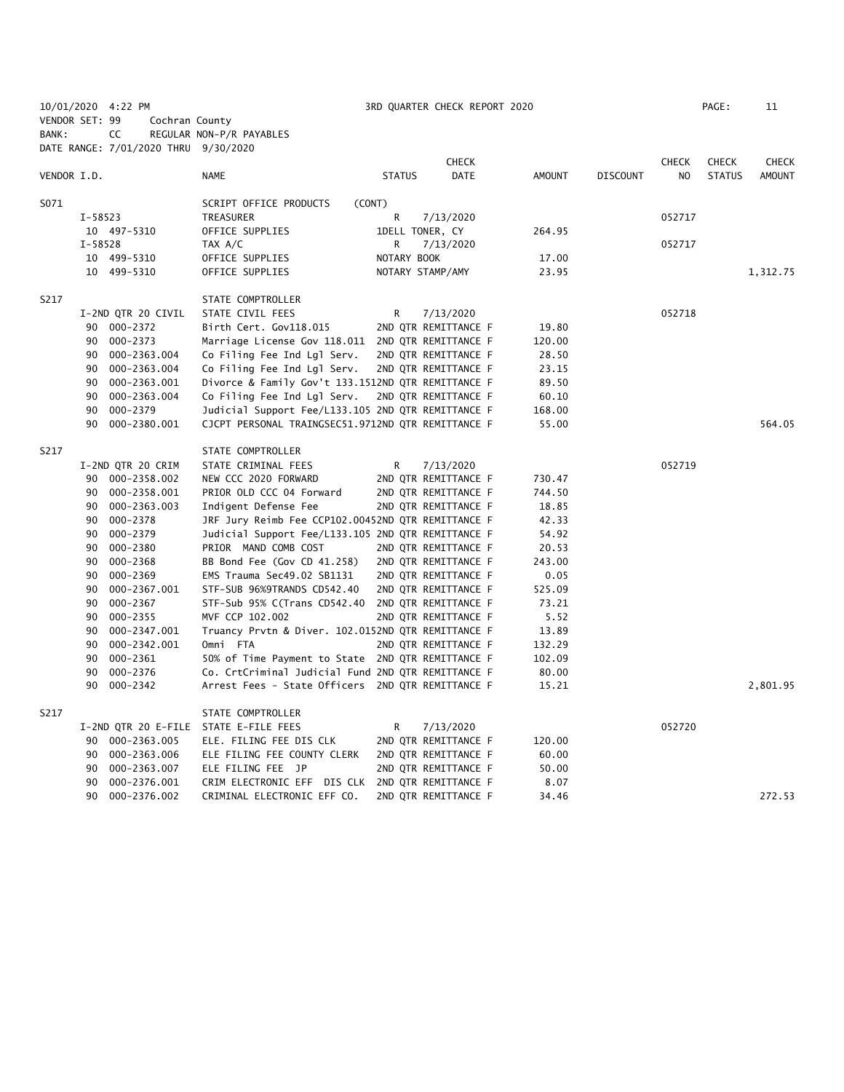|             | 10/01/2020 4:22 PM |                                      |                                                    |               | 3RD QUARTER CHECK REPORT 2020 |        |                |                 |              | PAGE:         | 11            |
|-------------|--------------------|--------------------------------------|----------------------------------------------------|---------------|-------------------------------|--------|----------------|-----------------|--------------|---------------|---------------|
|             | VENDOR SET: 99     | Cochran County                       |                                                    |               |                               |        |                |                 |              |               |               |
| BANK:       | CC                 |                                      | REGULAR NON-P/R PAYABLES                           |               |                               |        |                |                 |              |               |               |
|             |                    | DATE RANGE: 7/01/2020 THRU 9/30/2020 |                                                    |               |                               |        |                |                 |              |               |               |
|             |                    |                                      |                                                    |               | <b>CHECK</b>                  |        |                |                 | <b>CHECK</b> | <b>CHECK</b>  | <b>CHECK</b>  |
| VENDOR I.D. |                    |                                      | NAME                                               | <b>STATUS</b> | DATE                          | AMOUNT |                | <b>DISCOUNT</b> | NO           | <b>STATUS</b> | <b>AMOUNT</b> |
|             |                    |                                      |                                                    |               |                               |        |                |                 |              |               |               |
| S071        |                    |                                      | SCRIPT OFFICE PRODUCTS                             | (CONT)        |                               |        |                |                 |              |               |               |
|             | I-58523            |                                      | TREASURER                                          | R             | 7/13/2020                     |        |                |                 | 052717       |               |               |
|             | 10 497-5310        |                                      | OFFICE SUPPLIES                                    |               | 1DELL TONER, CY               | 264.95 |                |                 |              |               |               |
|             | I-58528            |                                      | TAX A/C                                            | R             | 7/13/2020                     |        |                |                 | 052717       |               |               |
|             | 10 499-5310        |                                      | OFFICE SUPPLIES                                    | NOTARY BOOK   |                               |        | 17.00          |                 |              |               |               |
|             | 10 499-5310        |                                      | OFFICE SUPPLIES                                    |               | NOTARY STAMP/AMY              |        | 23.95          |                 |              |               | 1,312.75      |
| S217        |                    |                                      | STATE COMPTROLLER                                  |               |                               |        |                |                 |              |               |               |
|             |                    | I-2ND QTR 20 CIVIL                   | STATE CIVIL FEES                                   | R             | 7/13/2020                     |        |                |                 | 052718       |               |               |
|             | 90 000-2372        |                                      | Birth Cert. Gov118.015                             |               | 2ND QTR REMITTANCE F          |        | 19.80          |                 |              |               |               |
|             | 90 000-2373        |                                      | Marriage License Gov 118.011                       |               | 2ND QTR REMITTANCE F          | 120.00 |                |                 |              |               |               |
|             |                    | 90 000-2363.004                      | Co Filing Fee Ind Lgl Serv.                        |               | 2ND QTR REMITTANCE F          |        | 28.50          |                 |              |               |               |
|             |                    | 90 000-2363.004                      | Co Filing Fee Ind Lgl Serv.                        |               | 2ND QTR REMITTANCE F          |        | 23.15          |                 |              |               |               |
|             |                    | 90 000-2363.001                      | Divorce & Family Gov't 133.1512ND QTR REMITTANCE F |               |                               |        |                |                 |              |               |               |
|             |                    | 90 000-2363.004                      | Co Filing Fee Ind Lgl Serv.                        |               | 2ND QTR REMITTANCE F          |        | 89.50<br>60.10 |                 |              |               |               |
|             |                    |                                      |                                                    |               |                               |        |                |                 |              |               |               |
|             | 90 000-2379        |                                      | Judicial Support Fee/L133.105 2ND QTR REMITTANCE F |               |                               | 168.00 |                |                 |              |               |               |
|             | 90                 | 000-2380.001                         | CJCPT PERSONAL TRAINGSEC51.9712ND QTR REMITTANCE F |               |                               |        | 55.00          |                 |              |               | 564.05        |
| S217        |                    |                                      | STATE COMPTROLLER                                  |               |                               |        |                |                 |              |               |               |
|             |                    | I-2ND QTR 20 CRIM                    | STATE CRIMINAL FEES                                | R             | 7/13/2020                     |        |                |                 | 052719       |               |               |
|             |                    | 90 000-2358.002                      | NEW CCC 2020 FORWARD                               |               | 2ND QTR REMITTANCE F          | 730.47 |                |                 |              |               |               |
|             | 90                 | 000-2358.001                         | PRIOR OLD CCC 04 Forward                           |               | 2ND QTR REMITTANCE F          | 744.50 |                |                 |              |               |               |
|             | 90                 | 000-2363.003                         | Indigent Defense Fee                               |               | 2ND QTR REMITTANCE F          |        | 18.85          |                 |              |               |               |
|             | 90                 | 000-2378                             | JRF Jury Reimb Fee CCP102.00452ND QTR REMITTANCE F |               |                               |        | 42.33          |                 |              |               |               |
|             | 90                 | 000-2379                             | Judicial Support Fee/L133.105 2ND QTR REMITTANCE F |               |                               |        | 54.92          |                 |              |               |               |
|             | 90 000-2380        |                                      | PRIOR MAND COMB COST                               |               | 2ND QTR REMITTANCE F          |        | 20.53          |                 |              |               |               |
|             | 90 000-2368        |                                      | BB Bond Fee (Gov CD 41.258)                        |               | 2ND QTR REMITTANCE F          | 243.00 |                |                 |              |               |               |
|             | 90                 | 000-2369                             | EMS Trauma Sec49.02 SB1131                         |               | 2ND QTR REMITTANCE F          |        | 0.05           |                 |              |               |               |
|             |                    | 90 000-2367.001                      | STF-SUB 96%9TRANDS CD542.40                        |               | 2ND QTR REMITTANCE F          | 525.09 |                |                 |              |               |               |
|             | 90                 | 000-2367                             | STF-Sub 95% C(Trans CD542.40                       |               | 2ND QTR REMITTANCE F          |        | 73.21          |                 |              |               |               |
|             | 90 000-2355        |                                      | MVF CCP 102.002                                    |               | 2ND QTR REMITTANCE F          |        | 5.52           |                 |              |               |               |
|             | 90                 | 000-2347.001                         | Truancy Prvtn & Diver. 102.0152ND QTR REMITTANCE F |               |                               |        | 13.89          |                 |              |               |               |
|             |                    | 90 000-2342.001                      | Omni FTA                                           |               | 2ND QTR REMITTANCE F          | 132.29 |                |                 |              |               |               |
|             | 90                 | 000-2361                             | 50% of Time Payment to State 2ND QTR REMITTANCE F  |               |                               | 102.09 |                |                 |              |               |               |
|             | 90                 | 000-2376                             | Co. CrtCriminal Judicial Fund 2ND QTR REMITTANCE F |               |                               |        | 80.00          |                 |              |               |               |
|             | 90                 | 000-2342                             | Arrest Fees - State Officers 2ND QTR REMITTANCE F  |               |                               |        | 15.21          |                 |              |               | 2,801.95      |
|             |                    |                                      |                                                    |               |                               |        |                |                 |              |               |               |
| S217        |                    |                                      | STATE COMPTROLLER                                  |               |                               |        |                |                 |              |               |               |
|             |                    |                                      | I-2ND QTR 20 E-FILE STATE E-FILE FEES              | R             | 7/13/2020                     |        |                |                 | 052720       |               |               |
|             |                    | 90 000-2363.005                      | ELE. FILING FEE DIS CLK                            |               | 2ND QTR REMITTANCE F          | 120.00 |                |                 |              |               |               |
|             |                    | 90 000-2363.006                      | ELE FILING FEE COUNTY CLERK                        |               | 2ND QTR REMITTANCE F          |        | 60.00          |                 |              |               |               |
|             |                    | 90 000-2363.007                      | ELE FILING FEE JP                                  |               | 2ND QTR REMITTANCE F          |        | 50.00          |                 |              |               |               |
|             | 90                 | 000-2376.001                         | CRIM ELECTRONIC EFF DIS CLK                        |               | 2ND QTR REMITTANCE F          |        | 8.07           |                 |              |               |               |
|             | 90                 | 000-2376.002                         | CRIMINAL ELECTRONIC EFF CO.                        |               | 2ND QTR REMITTANCE F          |        | 34.46          |                 |              |               | 272.53        |
|             |                    |                                      |                                                    |               |                               |        |                |                 |              |               |               |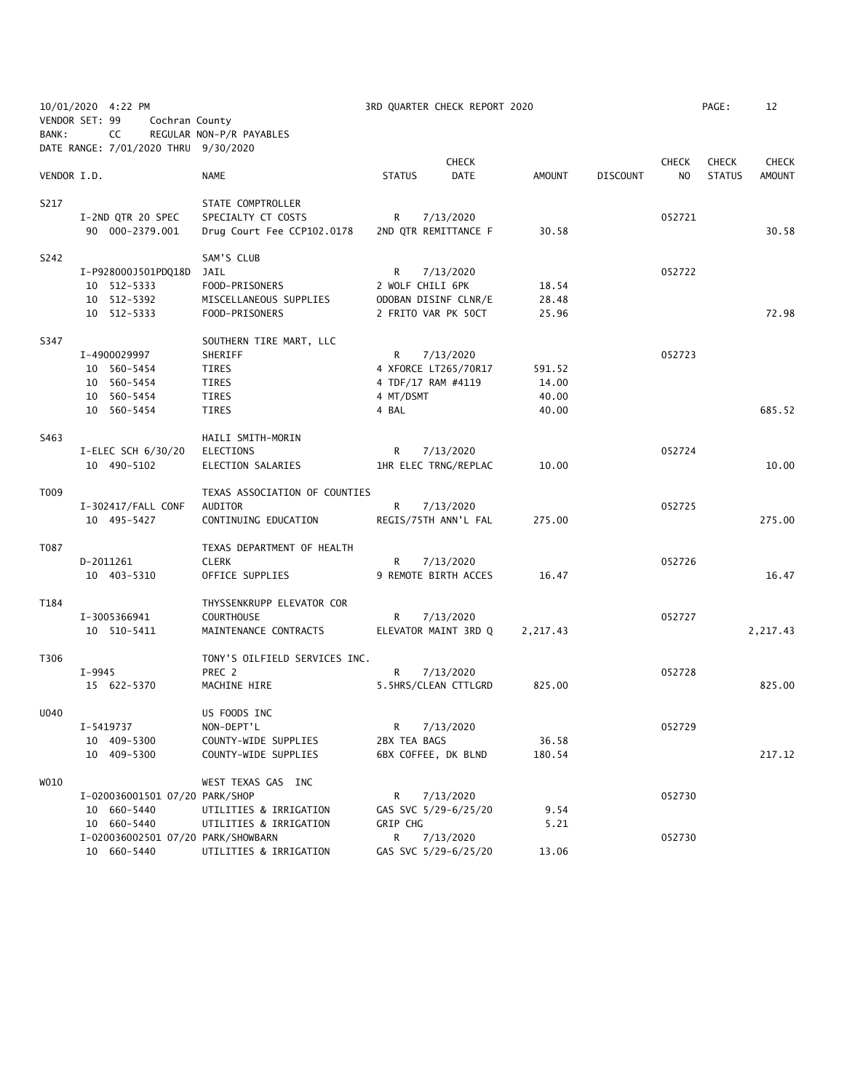| BANK:       | 10/01/2020 4:22 PM<br>VENDOR SET: 99<br>Cochran County<br>CC             | REGULAR NON-P/R PAYABLES                                                         | 3RD QUARTER CHECK REPORT 2020                                                      |                                   |                                 | PAGE:                                           | 12                            |
|-------------|--------------------------------------------------------------------------|----------------------------------------------------------------------------------|------------------------------------------------------------------------------------|-----------------------------------|---------------------------------|-------------------------------------------------|-------------------------------|
|             | DATE RANGE: 7/01/2020 THRU 9/30/2020                                     |                                                                                  |                                                                                    |                                   |                                 |                                                 |                               |
| VENDOR I.D. |                                                                          | <b>NAME</b>                                                                      | <b>CHECK</b><br><b>DATE</b><br><b>STATUS</b>                                       | <b>AMOUNT</b>                     | <b>CHECK</b><br><b>DISCOUNT</b> | <b>CHECK</b><br>N <sub>O</sub><br><b>STATUS</b> | <b>CHECK</b><br><b>AMOUNT</b> |
| S217        | I-2ND QTR 20 SPEC<br>90 000-2379.001                                     | STATE COMPTROLLER<br>SPECIALTY CT COSTS<br>Drug Court Fee CCP102.0178            | 7/13/2020<br>R<br>2ND QTR REMITTANCE F                                             | 30.58                             | 052721                          |                                                 | 30.58                         |
| S242        | I-P928000J501PDQ18D<br>10 512-5333<br>10 512-5392<br>10 512-5333         | SAM'S CLUB<br>JAIL<br>FOOD-PRISONERS<br>MISCELLANEOUS SUPPLIES<br>FOOD-PRISONERS | R<br>7/13/2020<br>2 WOLF CHILI 6PK<br>ODOBAN DISINF CLNR/E<br>2 FRITO VAR PK 50CT  | 18.54<br>28.48<br>25.96           | 052722                          |                                                 | 72.98                         |
| S347        | I-4900029997<br>10 560-5454<br>10 560-5454<br>10 560-5454<br>10 560-5454 | SOUTHERN TIRE MART, LLC<br>SHERIFF<br>TIRES<br>TIRES<br>TIRES<br>TIRES           | R<br>7/13/2020<br>4 XFORCE LT265/70R17<br>4 TDF/17 RAM #4119<br>4 MT/DSMT<br>4 BAL | 591.52<br>14.00<br>40.00<br>40.00 | 052723                          |                                                 | 685.52                        |
| S463        | I-ELEC SCH $6/30/20$<br>10 490-5102                                      | HAILI SMITH-MORIN<br>ELECTIONS<br>ELECTION SALARIES                              | R<br>7/13/2020<br>1HR ELEC TRNG/REPLAC                                             | 10.00                             | 052724                          |                                                 | 10.00                         |
| T009        | I-302417/FALL CONF<br>10 495-5427                                        | TEXAS ASSOCIATION OF COUNTIES<br>AUDITOR<br>CONTINUING EDUCATION                 | R<br>7/13/2020<br>REGIS/75TH ANN'L FAL                                             | 275.00                            | 052725                          |                                                 | 275.00                        |
| T087        | D-2011261<br>10 403-5310                                                 | TEXAS DEPARTMENT OF HEALTH<br><b>CLERK</b><br>OFFICE SUPPLIES                    | R<br>7/13/2020<br>9 REMOTE BIRTH ACCES                                             | 16.47                             | 052726                          |                                                 | 16.47                         |
| T184        | I-3005366941<br>10 510-5411                                              | THYSSENKRUPP ELEVATOR COR<br><b>COURTHOUSE</b><br>MAINTENANCE CONTRACTS          | R<br>7/13/2020<br>ELEVATOR MAINT 3RD Q                                             | 2,217.43                          | 052727                          |                                                 | 2,217.43                      |
| T306        | I-9945<br>15 622-5370                                                    | TONY'S OILFIELD SERVICES INC.<br>PREC 2<br>MACHINE HIRE                          | R<br>7/13/2020<br>5.5HRS/CLEAN CTTLGRD                                             | 825.00                            | 052728                          |                                                 | 825.00                        |
| U040        | I-5419737<br>10 409-5300<br>10 409-5300                                  | US FOODS INC<br>NON-DEPT'L<br>COUNTY-WIDE SUPPLIES<br>COUNTY-WIDE SUPPLIES       | R<br>7/13/2020<br>2BX TEA BAGS<br>6BX COFFEE, DK BLND                              | 36.58<br>180.54                   | 052729                          |                                                 | 217.12                        |
| WO10        | I-020036001501 07/20 PARK/SHOP<br>10 660-5440<br>10 660-5440             | WEST TEXAS GAS INC<br>UTILITIES & IRRIGATION                                     | R<br>7/13/2020<br>GAS SVC 5/29-6/25/20<br>GRIP CHG                                 | 9.54<br>5.21                      | 052730                          |                                                 |                               |
|             | I-020036002501 07/20 PARK/SHOWBARN<br>10 660-5440                        | UTILITIES & IRRIGATION<br>UTILITIES & IRRIGATION                                 | R<br>7/13/2020<br>GAS SVC 5/29-6/25/20                                             | 13.06                             | 052730                          |                                                 |                               |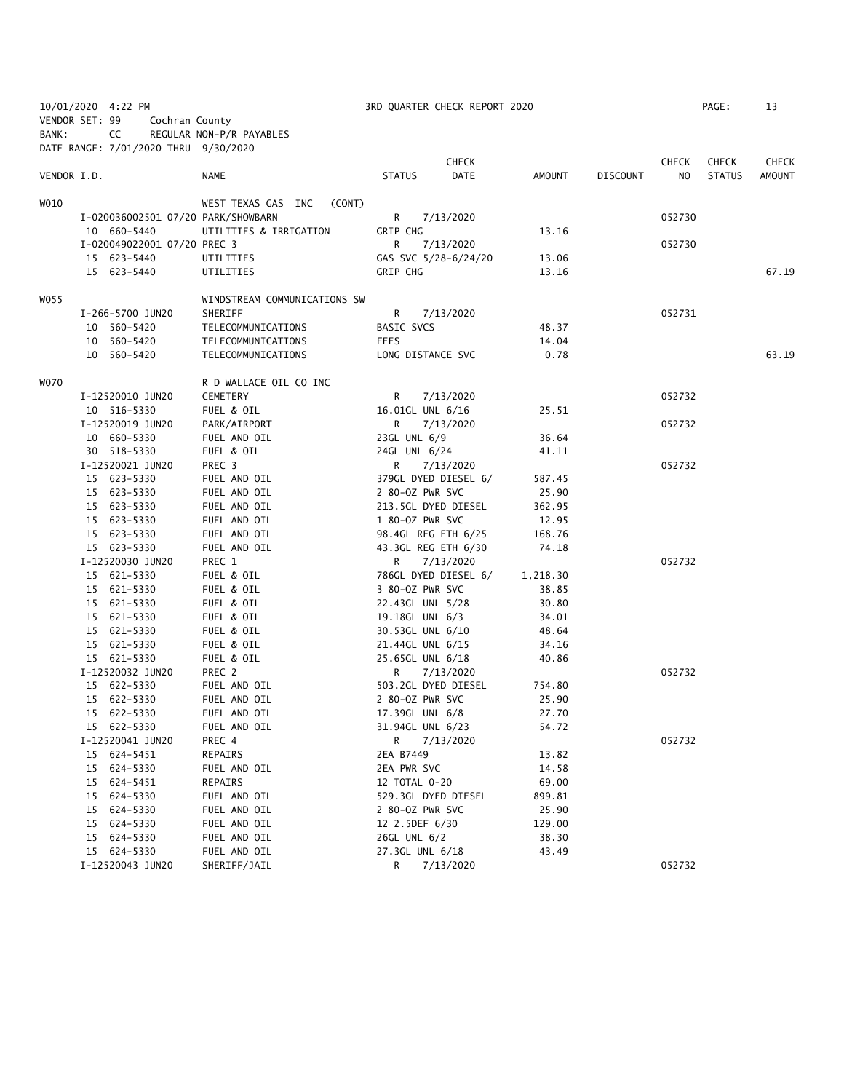|                |    | 10/01/2020 4:22 PM                   |                              |                     | 3RD QUARTER CHECK REPORT 2020 |          |                 |              | PAGE:         | 13            |
|----------------|----|--------------------------------------|------------------------------|---------------------|-------------------------------|----------|-----------------|--------------|---------------|---------------|
| VENDOR SET: 99 |    | Cochran County                       |                              |                     |                               |          |                 |              |               |               |
| BANK:          |    | CC                                   | REGULAR NON-P/R PAYABLES     |                     |                               |          |                 |              |               |               |
|                |    | DATE RANGE: 7/01/2020 THRU 9/30/2020 |                              |                     |                               |          |                 |              |               |               |
|                |    |                                      |                              |                     | <b>CHECK</b>                  |          |                 | <b>CHECK</b> | <b>CHECK</b>  | <b>CHECK</b>  |
| VENDOR I.D.    |    |                                      | NAME                         | <b>STATUS</b>       | DATE                          | AMOUNT   | <b>DISCOUNT</b> | NO.          | <b>STATUS</b> | <b>AMOUNT</b> |
|                |    |                                      |                              |                     |                               |          |                 |              |               |               |
| WO10           |    |                                      | WEST TEXAS GAS INC<br>(CONT) |                     |                               |          |                 |              |               |               |
|                |    | I-020036002501 07/20 PARK/SHOWBARN   |                              | R <sub>a</sub>      | 7/13/2020                     |          |                 | 052730       |               |               |
|                |    | 10 660-5440                          | UTILITIES & IRRIGATION       | GRIP CHG            |                               | 13.16    |                 |              |               |               |
|                |    | I-020049022001 07/20 PREC 3          |                              | R.                  | 7/13/2020                     |          |                 | 052730       |               |               |
|                |    | 15 623-5440                          | UTILITIES                    |                     | GAS SVC 5/28-6/24/20          | 13.06    |                 |              |               |               |
|                |    | 15 623-5440                          | UTILITIES                    | GRIP CHG            |                               | 13.16    |                 |              |               | 67.19         |
| WO 55          |    |                                      | WINDSTREAM COMMUNICATIONS SW |                     |                               |          |                 |              |               |               |
|                |    | I-266-5700 JUN20                     | SHERIFF                      | R.                  | 7/13/2020                     |          |                 | 052731       |               |               |
|                |    | 10 560-5420                          | TELECOMMUNICATIONS           | BASIC SVCS          |                               | 48.37    |                 |              |               |               |
|                |    | 10 560-5420                          | TELECOMMUNICATIONS           | <b>FEES</b>         |                               | 14.04    |                 |              |               |               |
|                |    | 10 560-5420                          | TELECOMMUNICATIONS           | LONG DISTANCE SVC   |                               | 0.78     |                 |              |               | 63.19         |
|                |    |                                      |                              |                     |                               |          |                 |              |               |               |
| WO70           |    |                                      | R D WALLACE OIL CO INC       |                     |                               |          |                 |              |               |               |
|                |    | I-12520010 JUN20                     | CEMETERY                     | R                   | 7/13/2020                     |          |                 | 052732       |               |               |
|                |    | 10 516-5330                          | FUEL & OIL                   | 16.01GL UNL 6/16    |                               | 25.51    |                 |              |               |               |
|                |    | I-12520019 JUN20                     | PARK/AIRPORT                 | R.                  | 7/13/2020                     |          |                 | 052732       |               |               |
|                |    | 10 660-5330                          | FUEL AND OIL                 | 23GL UNL 6/9        |                               | 36.64    |                 |              |               |               |
|                |    | 30 518-5330                          | FUEL & OIL                   | 24GL UNL 6/24       |                               | 41.11    |                 |              |               |               |
|                |    | I-12520021 JUN20                     | PREC <sub>3</sub>            | R                   | 7/13/2020                     |          |                 | 052732       |               |               |
|                |    | 15 623-5330                          | FUEL AND OIL                 |                     | 379GL DYED DIESEL 6/          | 587.45   |                 |              |               |               |
|                |    | 15 623-5330                          | FUEL AND OIL                 | 2 80-0Z PWR SVC     |                               | 25.90    |                 |              |               |               |
|                |    | 15 623-5330                          | FUEL AND OIL                 | 213.5GL DYED DIESEL |                               | 362.95   |                 |              |               |               |
|                |    | 15 623-5330                          | FUEL AND OIL                 | 1 80-0Z PWR SVC     |                               | 12.95    |                 |              |               |               |
|                |    | 15 623-5330                          | FUEL AND OIL                 | 98.4GL REG ETH 6/25 |                               | 168.76   |                 |              |               |               |
|                |    | 15 623-5330                          | FUEL AND OIL                 | 43.3GL REG ETH 6/30 |                               | 74.18    |                 |              |               |               |
|                |    | I-12520030 JUN20                     | PREC 1                       | R.                  | 7/13/2020                     |          |                 | 052732       |               |               |
|                |    | 15 621-5330                          | FUEL & OIL                   |                     | 786GL DYED DIESEL 6/          | 1,218.30 |                 |              |               |               |
|                |    | 15 621-5330                          | FUEL & OIL                   | 3 80-0Z PWR SVC     |                               | 38.85    |                 |              |               |               |
|                |    | 15 621-5330                          | FUEL & OIL                   | 22.43GL UNL 5/28    |                               | 30.80    |                 |              |               |               |
|                |    | 15 621-5330                          | FUEL & OIL                   | 19.18GL UNL 6/3     |                               | 34.01    |                 |              |               |               |
|                |    | 15 621-5330                          | FUEL & OIL                   | 30.53GL UNL 6/10    |                               | 48.64    |                 |              |               |               |
|                |    | 15 621-5330                          | FUEL & OIL                   | 21.44GL UNL 6/15    |                               | 34.16    |                 |              |               |               |
|                |    | 15 621-5330                          | FUEL & OIL                   | 25.65GL UNL 6/18    |                               | 40.86    |                 |              |               |               |
|                |    | I-12520032 JUN20                     | PREC 2                       | R                   | 7/13/2020                     |          |                 | 052732       |               |               |
|                |    | 15 622-5330                          | FUEL AND OIL                 | 503.2GL DYED DIESEL |                               | 754.80   |                 |              |               |               |
|                |    | 15 622-5330                          | FUEL AND OIL                 | 2 80-02 PWR SVC     |                               | 25.90    |                 |              |               |               |
|                |    | 15 622-5330                          | FUEL AND OIL                 | 17.39GL UNL 6/8     |                               | 27.70    |                 |              |               |               |
|                |    | 15 622-5330                          | FUEL AND OIL                 | 31.94GL UNL 6/23    |                               | 54.72    |                 |              |               |               |
|                |    | I-12520041 JUN20                     | PREC 4                       | R                   | 7/13/2020                     |          |                 | 052732       |               |               |
|                |    | 15 624-5451                          | REPAIRS                      | 2EA B7449           |                               | 13.82    |                 |              |               |               |
|                | 15 | 624-5330                             | FUEL AND OIL                 | 2EA PWR SVC         |                               | 14.58    |                 |              |               |               |
|                | 15 | 624-5451                             | REPAIRS                      | 12 TOTAL 0-20       |                               | 69.00    |                 |              |               |               |
|                | 15 | 624-5330                             | FUEL AND OIL                 | 529.3GL DYED DIESEL |                               | 899.81   |                 |              |               |               |
|                | 15 | 624-5330                             | FUEL AND OIL                 | 2 80-0Z PWR SVC     |                               | 25.90    |                 |              |               |               |
|                | 15 | 624-5330                             | FUEL AND OIL                 | 12 2.5DEF 6/30      |                               | 129.00   |                 |              |               |               |
|                |    | 15 624-5330                          | FUEL AND OIL                 | 26GL UNL 6/2        |                               | 38.30    |                 |              |               |               |
|                |    | 15 624-5330                          | FUEL AND OIL                 | 27.3GL UNL 6/18     |                               | 43.49    |                 |              |               |               |
|                |    | I-12520043 JUN20                     | SHERIFF/JAIL                 | R                   | 7/13/2020                     |          |                 | 052732       |               |               |
|                |    |                                      |                              |                     |                               |          |                 |              |               |               |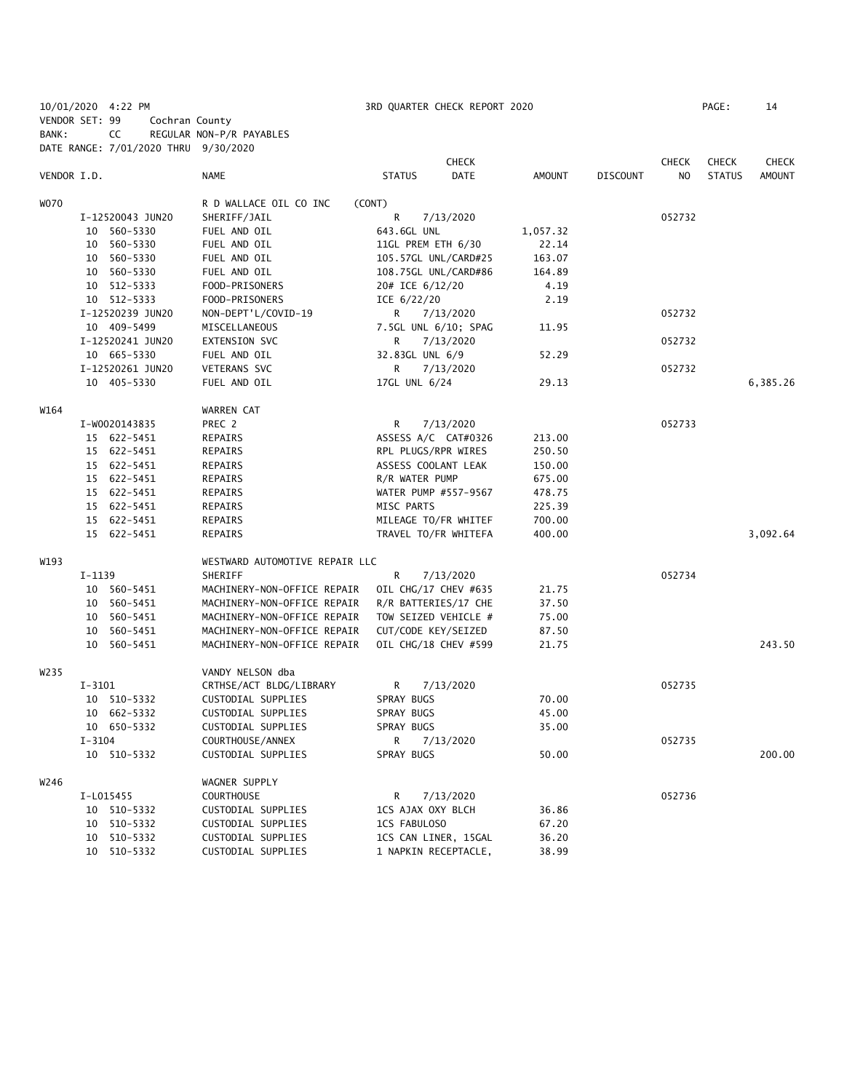10/01/2020 4:22 PM 3RD QUARTER CHECK REPORT 2020 PAGE: 14 VENDOR SET: 99 Cochran County BANK: CC REGULAR NON-P/R PAYABLES DATE RANGE: 7/01/2020 THRU 9/30/2020

|                  | $10112$ 10 and $11121$ $11222$ $11112$ |  |                                |                      | <b>CHECK</b> |               |                 | <b>CHECK</b> | <b>CHECK</b>  | <b>CHECK</b>  |
|------------------|----------------------------------------|--|--------------------------------|----------------------|--------------|---------------|-----------------|--------------|---------------|---------------|
| VENDOR I.D.      |                                        |  | NAME                           | <b>STATUS</b>        | DATE         | <b>AMOUNT</b> | <b>DISCOUNT</b> | NO           | <b>STATUS</b> | <b>AMOUNT</b> |
| <b>WO70</b>      |                                        |  | R D WALLACE OIL CO INC         | (CONT)               |              |               |                 |              |               |               |
|                  | I-12520043 JUN20                       |  | SHERIFF/JAIL                   | R                    | 7/13/2020    |               |                 | 052732       |               |               |
|                  | 10 560-5330                            |  | FUEL AND OIL                   | 643.6GL UNL          |              | 1,057.32      |                 |              |               |               |
|                  | 560-5330<br>10                         |  | FUEL AND OIL                   | 11GL PREM ETH 6/30   |              | 22.14         |                 |              |               |               |
|                  | 10 560-5330                            |  | FUEL AND OIL                   | 105.57GL UNL/CARD#25 |              | 163.07        |                 |              |               |               |
|                  | 560-5330<br>10                         |  | FUEL AND OIL                   | 108.75GL UNL/CARD#86 |              | 164.89        |                 |              |               |               |
|                  | 512-5333<br>10                         |  | FOOD-PRISONERS                 | 20# ICE 6/12/20      |              | 4.19          |                 |              |               |               |
|                  | 10 512-5333                            |  | FOOD-PRISONERS                 | ICE 6/22/20          |              | 2.19          |                 |              |               |               |
|                  | I-12520239 JUN20                       |  | NON-DEPT'L/COVID-19            | R                    | 7/13/2020    |               |                 | 052732       |               |               |
|                  | 10 409-5499                            |  | MISCELLANEOUS                  | 7.5GL UNL 6/10; SPAG |              | 11.95         |                 |              |               |               |
|                  | I-12520241 JUN20                       |  | EXTENSION SVC                  | R                    | 7/13/2020    |               |                 | 052732       |               |               |
|                  | 10 665-5330                            |  | FUEL AND OIL                   | 32.83GL UNL 6/9      |              | 52.29         |                 |              |               |               |
|                  | I-12520261 JUN20                       |  | VETERANS SVC                   | R                    | 7/13/2020    |               |                 | 052732       |               |               |
|                  | 10 405-5330                            |  | FUEL AND OIL                   | 17GL UNL 6/24        |              | 29.13         |                 |              |               | 6,385.26      |
| W164             |                                        |  | WARREN CAT                     |                      |              |               |                 |              |               |               |
|                  | I-W0020143835                          |  | PREC 2                         | R                    | 7/13/2020    |               |                 | 052733       |               |               |
|                  | 15 622-5451                            |  | REPAIRS                        | ASSESS A/C CAT#0326  |              | 213.00        |                 |              |               |               |
|                  | 15 622-5451                            |  | REPAIRS                        | RPL PLUGS/RPR WIRES  |              | 250.50        |                 |              |               |               |
|                  | 15 622-5451                            |  | <b>REPAIRS</b>                 | ASSESS COOLANT LEAK  |              | 150.00        |                 |              |               |               |
|                  | 15 622-5451                            |  | REPAIRS                        | R/R WATER PUMP       |              | 675.00        |                 |              |               |               |
|                  | 15 622-5451                            |  | REPAIRS                        | WATER PUMP #557-9567 |              | 478.75        |                 |              |               |               |
|                  | 15 622-5451                            |  | REPAIRS                        | MISC PARTS           |              | 225.39        |                 |              |               |               |
|                  | 15 622-5451                            |  | REPAIRS                        | MILEAGE TO/FR WHITEF |              | 700.00        |                 |              |               |               |
|                  | 15 622-5451                            |  | <b>REPAIRS</b>                 | TRAVEL TO/FR WHITEFA |              | 400.00        |                 |              |               | 3,092.64      |
| W193             |                                        |  | WESTWARD AUTOMOTIVE REPAIR LLC |                      |              |               |                 |              |               |               |
|                  | I-1139                                 |  | SHERIFF                        | R                    | 7/13/2020    |               |                 | 052734       |               |               |
|                  | 10 560-5451                            |  | MACHINERY-NON-OFFICE REPAIR    | OIL CHG/17 CHEV #635 |              | 21.75         |                 |              |               |               |
|                  | 10 560-5451                            |  | MACHINERY-NON-OFFICE REPAIR    | R/R BATTERIES/17 CHE |              | 37.50         |                 |              |               |               |
|                  | 10 560-5451                            |  | MACHINERY-NON-OFFICE REPAIR    | TOW SEIZED VEHICLE # |              | 75.00         |                 |              |               |               |
|                  | 560-5451<br>10                         |  | MACHINERY-NON-OFFICE REPAIR    | CUT/CODE KEY/SEIZED  |              | 87.50         |                 |              |               |               |
|                  | 10<br>560-5451                         |  | MACHINERY-NON-OFFICE REPAIR    | OIL CHG/18 CHEV #599 |              | 21.75         |                 |              |               | 243.50        |
| W <sub>235</sub> |                                        |  | VANDY NELSON dba               |                      |              |               |                 |              |               |               |
|                  | $I - 3101$                             |  | CRTHSE/ACT BLDG/LIBRARY        | R                    | 7/13/2020    |               |                 | 052735       |               |               |
|                  | 10 510-5332                            |  | CUSTODIAL SUPPLIES             | SPRAY BUGS           |              | 70.00         |                 |              |               |               |
|                  | 10 662-5332                            |  | CUSTODIAL SUPPLIES             | SPRAY BUGS           |              | 45.00         |                 |              |               |               |
|                  | 10 650-5332                            |  | CUSTODIAL SUPPLIES             | SPRAY BUGS           |              | 35.00         |                 |              |               |               |
|                  | $I - 3104$                             |  | COURTHOUSE/ANNEX               | R                    | 7/13/2020    |               |                 | 052735       |               |               |
|                  | 10 510-5332                            |  | CUSTODIAL SUPPLIES             | SPRAY BUGS           |              | 50.00         |                 |              |               | 200.00        |
| W246             |                                        |  | WAGNER SUPPLY                  |                      |              |               |                 |              |               |               |
|                  | I-L015455                              |  | <b>COURTHOUSE</b>              | R                    | 7/13/2020    |               |                 | 052736       |               |               |
|                  | 10 510-5332                            |  | CUSTODIAL SUPPLIES             | 1CS AJAX OXY BLCH    |              | 36.86         |                 |              |               |               |
|                  | 10<br>510-5332                         |  | CUSTODIAL SUPPLIES             | 1CS FABULOSO         |              | 67.20         |                 |              |               |               |
|                  | 510-5332<br>10                         |  | CUSTODIAL SUPPLIES             | 1CS CAN LINER, 15GAL |              | 36.20         |                 |              |               |               |
|                  | 10<br>510-5332                         |  | CUSTODIAL SUPPLIES             | 1 NAPKIN RECEPTACLE, |              | 38.99         |                 |              |               |               |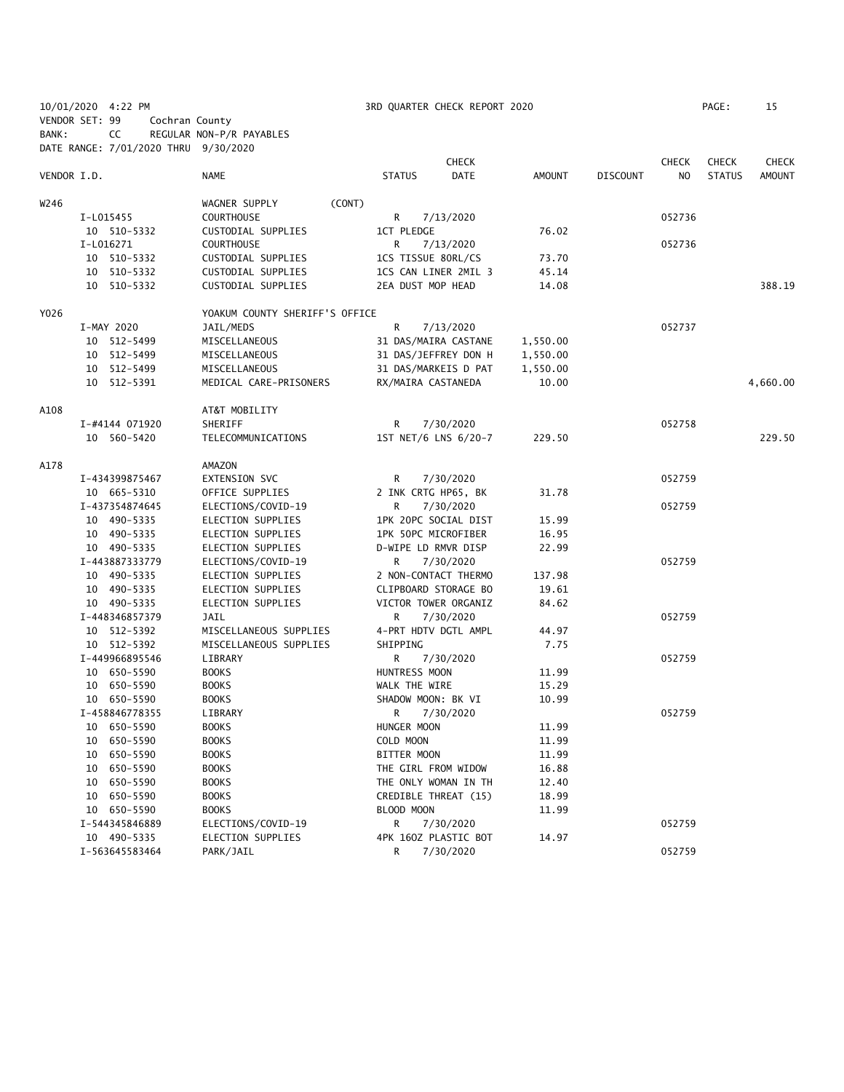|                |    | 10/01/2020 4:22 PM |                |                                      |                    | 3RD QUARTER CHECK REPORT 2020 |               |                 |                | PAGE:         | 15            |
|----------------|----|--------------------|----------------|--------------------------------------|--------------------|-------------------------------|---------------|-----------------|----------------|---------------|---------------|
| VENDOR SET: 99 |    |                    | Cochran County |                                      |                    |                               |               |                 |                |               |               |
| BANK:          |    | CC                 |                | REGULAR NON-P/R PAYABLES             |                    |                               |               |                 |                |               |               |
|                |    |                    |                | DATE RANGE: 7/01/2020 THRU 9/30/2020 |                    |                               |               |                 |                |               |               |
|                |    |                    |                |                                      |                    | <b>CHECK</b>                  |               |                 | <b>CHECK</b>   | <b>CHECK</b>  | <b>CHECK</b>  |
| VENDOR I.D.    |    |                    |                | <b>NAME</b>                          | <b>STATUS</b>      | <b>DATE</b>                   | <b>AMOUNT</b> | <b>DISCOUNT</b> | N <sub>O</sub> | <b>STATUS</b> | <b>AMOUNT</b> |
| W246           |    |                    |                | (CONT)<br>WAGNER SUPPLY              |                    |                               |               |                 |                |               |               |
|                |    | I-L015455          |                | <b>COURTHOUSE</b>                    | R                  | 7/13/2020                     |               |                 | 052736         |               |               |
|                |    | 10 510-5332        |                | CUSTODIAL SUPPLIES                   | <b>1CT PLEDGE</b>  |                               | 76.02         |                 |                |               |               |
|                |    | I-L016271          |                | <b>COURTHOUSE</b>                    | R                  | 7/13/2020                     |               |                 | 052736         |               |               |
|                |    | 10 510-5332        |                | CUSTODIAL SUPPLIES                   | 1CS TISSUE 80RL/CS |                               | 73.70         |                 |                |               |               |
|                |    | 10 510-5332        |                | CUSTODIAL SUPPLIES                   |                    | 1CS CAN LINER 2MIL 3          | 45.14         |                 |                |               |               |
|                |    | 10 510-5332        |                | CUSTODIAL SUPPLIES                   | 2EA DUST MOP HEAD  |                               | 14.08         |                 |                |               | 388.19        |
| Y026           |    |                    |                | YOAKUM COUNTY SHERIFF'S OFFICE       |                    |                               |               |                 |                |               |               |
|                |    | I-MAY 2020         |                | JAIL/MEDS                            | R                  | 7/13/2020                     |               |                 | 052737         |               |               |
|                |    | 10 512-5499        |                | MISCELLANEOUS                        |                    | 31 DAS/MAIRA CASTANE          | 1,550.00      |                 |                |               |               |
|                |    | 10 512-5499        |                | MISCELLANEOUS                        |                    | 31 DAS/JEFFREY DON H          | 1,550.00      |                 |                |               |               |
|                |    | 10 512-5499        |                | MISCELLANEOUS                        |                    | 31 DAS/MARKEIS D PAT          | 1,550.00      |                 |                |               |               |
|                |    | 10 512-5391        |                | MEDICAL CARE-PRISONERS               | RX/MAIRA CASTANEDA |                               | 10.00         |                 |                |               | 4,660.00      |
| A108           |    |                    |                | AT&T MOBILITY                        |                    |                               |               |                 |                |               |               |
|                |    | I-#4144 071920     |                | SHERIFF                              | R                  | 7/30/2020                     |               |                 | 052758         |               |               |
|                |    | 10 560-5420        |                | TELECOMMUNICATIONS                   |                    | 1ST NET/6 LNS 6/20-7          | 229.50        |                 |                |               | 229.50        |
| A178           |    |                    |                | AMAZON                               |                    |                               |               |                 |                |               |               |
|                |    | I-434399875467     |                | EXTENSION SVC                        | R                  | 7/30/2020                     |               |                 | 052759         |               |               |
|                |    | 10 665-5310        |                | OFFICE SUPPLIES                      |                    | 2 INK CRTG HP65, BK           | 31.78         |                 |                |               |               |
|                |    | I-437354874645     |                | ELECTIONS/COVID-19                   | R.                 | 7/30/2020                     |               |                 | 052759         |               |               |
|                |    | 10 490-5335        |                | ELECTION SUPPLIES                    |                    | 1PK 20PC SOCIAL DIST          | 15.99         |                 |                |               |               |
|                |    | 10 490-5335        |                | ELECTION SUPPLIES                    |                    | 1PK 50PC MICROFIBER           | 16.95         |                 |                |               |               |
|                |    | 10 490-5335        |                | ELECTION SUPPLIES                    |                    | D-WIPE LD RMVR DISP           | 22.99         |                 |                |               |               |
|                |    | I-443887333779     |                | ELECTIONS/COVID-19                   | R                  | 7/30/2020                     |               |                 | 052759         |               |               |
|                |    | 10 490-5335        |                | ELECTION SUPPLIES                    |                    | 2 NON-CONTACT THERMO          | 137.98        |                 |                |               |               |
|                |    | 10 490-5335        |                | ELECTION SUPPLIES                    |                    | CLIPBOARD STORAGE BO          | 19.61         |                 |                |               |               |
|                |    | 10 490-5335        |                | ELECTION SUPPLIES                    |                    | VICTOR TOWER ORGANIZ          | 84.62         |                 |                |               |               |
|                |    | I-448346857379     |                | <b>JAIL</b>                          | R                  | 7/30/2020                     |               |                 | 052759         |               |               |
|                |    | 10 512-5392        |                | MISCELLANEOUS SUPPLIES               |                    | 4-PRT HDTV DGTL AMPL          | 44.97         |                 |                |               |               |
|                |    | 10 512-5392        |                | MISCELLANEOUS SUPPLIES               | SHIPPING           |                               | 7.75          |                 |                |               |               |
|                |    | I-449966895546     |                | LIBRARY                              | R                  | 7/30/2020                     |               |                 | 052759         |               |               |
|                |    | 10 650-5590        |                | <b>BOOKS</b>                         | HUNTRESS MOON      |                               | 11.99         |                 |                |               |               |
|                |    | 10 650-5590        |                | <b>BOOKS</b>                         | WALK THE WIRE      |                               | 15.29         |                 |                |               |               |
|                |    | 10 650-5590        |                | <b>BOOKS</b>                         | SHADOW MOON: BK VI |                               | 10.99         |                 |                |               |               |
|                |    | I-458846778355     |                | LIBRARY                              | R                  | 7/30/2020                     |               |                 | 052759         |               |               |
|                |    | 10 650-5590        |                | <b>BOOKS</b>                         | HUNGER MOON        |                               | 11.99         |                 |                |               |               |
|                | 10 | 650-5590           |                | <b>BOOKS</b>                         | COLD MOON          |                               | 11.99         |                 |                |               |               |
|                |    | 10 650-5590        |                | <b>BOOKS</b>                         | BITTER MOON        |                               | 11.99         |                 |                |               |               |
|                |    | 10 650-5590        |                | <b>BOOKS</b>                         |                    | THE GIRL FROM WIDOW           | 16.88         |                 |                |               |               |
|                | 10 | 650-5590           |                | <b>BOOKS</b>                         |                    | THE ONLY WOMAN IN TH          | 12.40         |                 |                |               |               |
|                |    | 10 650-5590        |                | <b>BOOKS</b>                         |                    | CREDIBLE THREAT (15)          | 18.99         |                 |                |               |               |
|                |    | 10 650-5590        |                | <b>BOOKS</b>                         | BLOOD MOON         |                               | 11.99         |                 |                |               |               |
|                |    | I-544345846889     |                | ELECTIONS/COVID-19                   | R                  | 7/30/2020                     |               |                 | 052759         |               |               |
|                |    | 10 490-5335        |                | ELECTION SUPPLIES                    |                    | 4PK 160Z PLASTIC BOT          | 14.97         |                 |                |               |               |
|                |    | I-563645583464     |                | PARK/JAIL                            | R                  | 7/30/2020                     |               |                 | 052759         |               |               |
|                |    |                    |                |                                      |                    |                               |               |                 |                |               |               |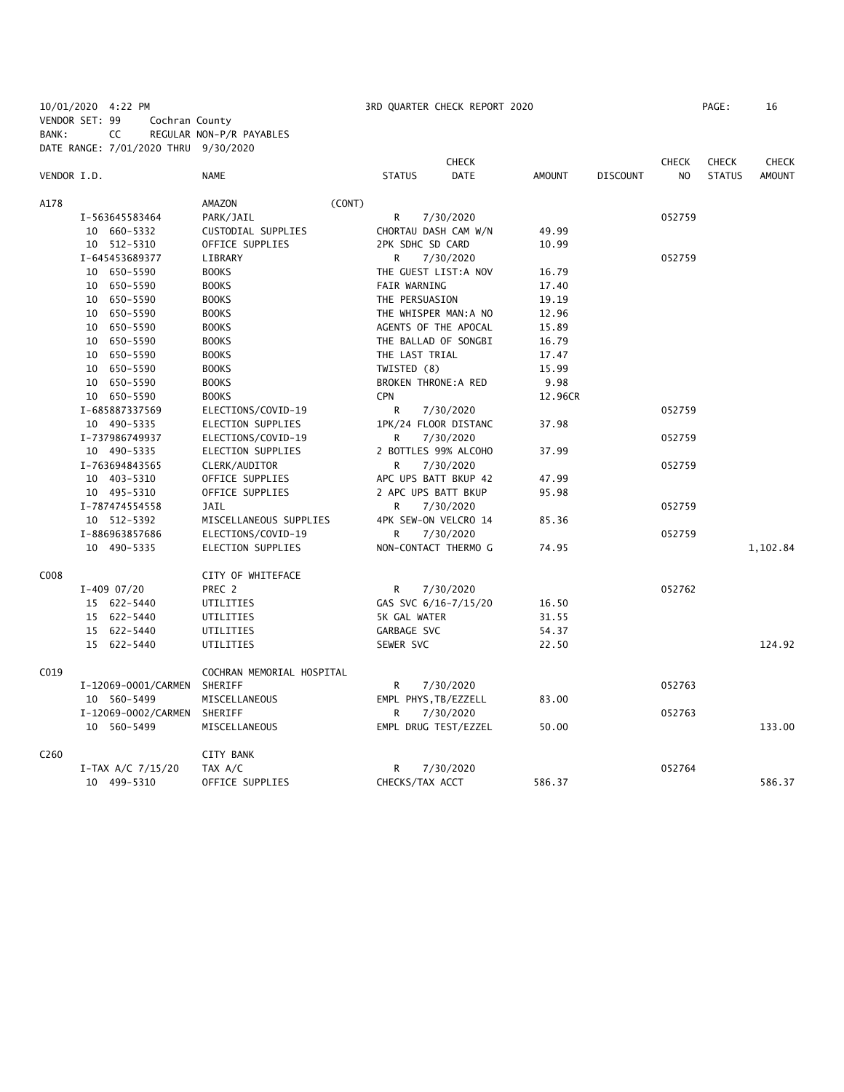10/01/2020 4:22 PM 3RD QUARTER CHECK REPORT 2020 PAGE: 16 VENDOR SET: 99 Cochran County BANK: CC REGULAR NON-P/R PAYABLES DATE RANGE: 7/01/2020 THRU 9/30/2020

|                  |                     |                           |        |                     | <b>CHECK</b>                |               |                 | <b>CHECK</b>   | <b>CHECK</b>  | <b>CHECK</b>  |
|------------------|---------------------|---------------------------|--------|---------------------|-----------------------------|---------------|-----------------|----------------|---------------|---------------|
| VENDOR I.D.      |                     | <b>NAME</b>               |        | <b>STATUS</b>       | <b>DATE</b>                 | <b>AMOUNT</b> | <b>DISCOUNT</b> | N <sub>O</sub> | <b>STATUS</b> | <b>AMOUNT</b> |
| A178             |                     | AMAZON                    | (CONT) |                     |                             |               |                 |                |               |               |
|                  | I-563645583464      | PARK/JAIL                 |        | R                   | 7/30/2020                   |               |                 | 052759         |               |               |
|                  | 10 660-5332         | CUSTODIAL SUPPLIES        |        |                     | CHORTAU DASH CAM W/N        | 49.99         |                 |                |               |               |
|                  | 10 512-5310         | OFFICE SUPPLIES           |        | 2PK SDHC SD CARD    |                             | 10.99         |                 |                |               |               |
|                  | I-645453689377      | LIBRARY                   |        | R.                  | 7/30/2020                   |               |                 | 052759         |               |               |
|                  | 10 650-5590         | <b>BOOKS</b>              |        |                     | THE GUEST LIST:A NOV        | 16.79         |                 |                |               |               |
|                  | 10 650-5590         | <b>BOOKS</b>              |        | <b>FAIR WARNING</b> |                             | 17.40         |                 |                |               |               |
|                  | 10 650-5590         | <b>BOOKS</b>              |        | THE PERSUASION      |                             | 19.19         |                 |                |               |               |
|                  | 10 650-5590         | <b>BOOKS</b>              |        |                     | THE WHISPER MAN: A NO       | 12.96         |                 |                |               |               |
|                  | 10 650-5590         | <b>BOOKS</b>              |        |                     | AGENTS OF THE APOCAL        | 15.89         |                 |                |               |               |
|                  | 10 650-5590         | <b>BOOKS</b>              |        |                     | THE BALLAD OF SONGBI        | 16.79         |                 |                |               |               |
|                  | 10 650-5590         | <b>BOOKS</b>              |        | THE LAST TRIAL      |                             | 17.47         |                 |                |               |               |
|                  | 10 650-5590         | <b>BOOKS</b>              |        | TWISTED (8)         |                             | 15.99         |                 |                |               |               |
|                  | 10 650-5590         | <b>BOOKS</b>              |        |                     | <b>BROKEN THRONE: A RED</b> | 9.98          |                 |                |               |               |
|                  | 10 650-5590         | <b>BOOKS</b>              |        | <b>CPN</b>          |                             | 12.96CR       |                 |                |               |               |
|                  | I-685887337569      | ELECTIONS/COVID-19        |        | R                   | 7/30/2020                   |               |                 | 052759         |               |               |
|                  | 10 490-5335         | ELECTION SUPPLIES         |        |                     | 1PK/24 FLOOR DISTANC        | 37.98         |                 |                |               |               |
|                  | I-737986749937      | ELECTIONS/COVID-19        |        | R                   | 7/30/2020                   |               |                 | 052759         |               |               |
|                  | 10 490-5335         | ELECTION SUPPLIES         |        |                     | 2 BOTTLES 99% ALCOHO        | 37.99         |                 |                |               |               |
|                  | I-763694843565      | CLERK/AUDITOR             |        | R.                  | 7/30/2020                   |               |                 | 052759         |               |               |
|                  | 10 403-5310         | OFFICE SUPPLIES           |        |                     | APC UPS BATT BKUP 42        | 47.99         |                 |                |               |               |
|                  | 10 495-5310         | OFFICE SUPPLIES           |        |                     | 2 APC UPS BATT BKUP         | 95.98         |                 |                |               |               |
|                  | I-787474554558      | <b>JAIL</b>               |        | R                   | 7/30/2020                   |               |                 | 052759         |               |               |
|                  | 10 512-5392         | MISCELLANEOUS SUPPLIES    |        |                     | 4PK SEW-ON VELCRO 14        | 85.36         |                 |                |               |               |
|                  | I-886963857686      | ELECTIONS/COVID-19        |        | R.                  | 7/30/2020                   |               |                 | 052759         |               |               |
|                  | 10 490-5335         | ELECTION SUPPLIES         |        |                     | NON-CONTACT THERMO G        | 74.95         |                 |                |               | 1,102.84      |
| C008             |                     | CITY OF WHITEFACE         |        |                     |                             |               |                 |                |               |               |
|                  | $I-409$ 07/20       | PREC 2                    |        | R                   | 7/30/2020                   |               |                 | 052762         |               |               |
|                  | 15 622-5440         | UTILITIES                 |        |                     | GAS SVC 6/16-7/15/20        | 16.50         |                 |                |               |               |
|                  | 15 622-5440         | UTILITIES                 |        | 5K GAL WATER        |                             | 31.55         |                 |                |               |               |
|                  | 15 622-5440         | UTILITIES                 |        | GARBAGE SVC         |                             | 54.37         |                 |                |               |               |
|                  | 15 622-5440         | UTILITIES                 |        | SEWER SVC           |                             | 22.50         |                 |                |               | 124.92        |
| C019             |                     | COCHRAN MEMORIAL HOSPITAL |        |                     |                             |               |                 |                |               |               |
|                  | I-12069-0001/CARMEN | SHERIFF                   |        | R                   | 7/30/2020                   |               |                 | 052763         |               |               |
|                  | 10 560-5499         | MISCELLANEOUS             |        |                     | EMPL PHYS, TB/EZZELL        | 83.00         |                 |                |               |               |
|                  | I-12069-0002/CARMEN | SHERIFF                   |        | R                   | 7/30/2020                   |               |                 | 052763         |               |               |
|                  | 10 560-5499         | MISCELLANEOUS             |        |                     | EMPL DRUG TEST/EZZEL        | 50.00         |                 |                |               | 133.00        |
| C <sub>260</sub> |                     | <b>CITY BANK</b>          |        |                     |                             |               |                 |                |               |               |
|                  | $I-TAX A/C 7/15/20$ | TAX A/C                   |        | R                   | 7/30/2020                   |               |                 | 052764         |               |               |
|                  | 10 499-5310         | OFFICE SUPPLIES           |        | CHECKS/TAX ACCT     |                             | 586.37        |                 |                |               | 586.37        |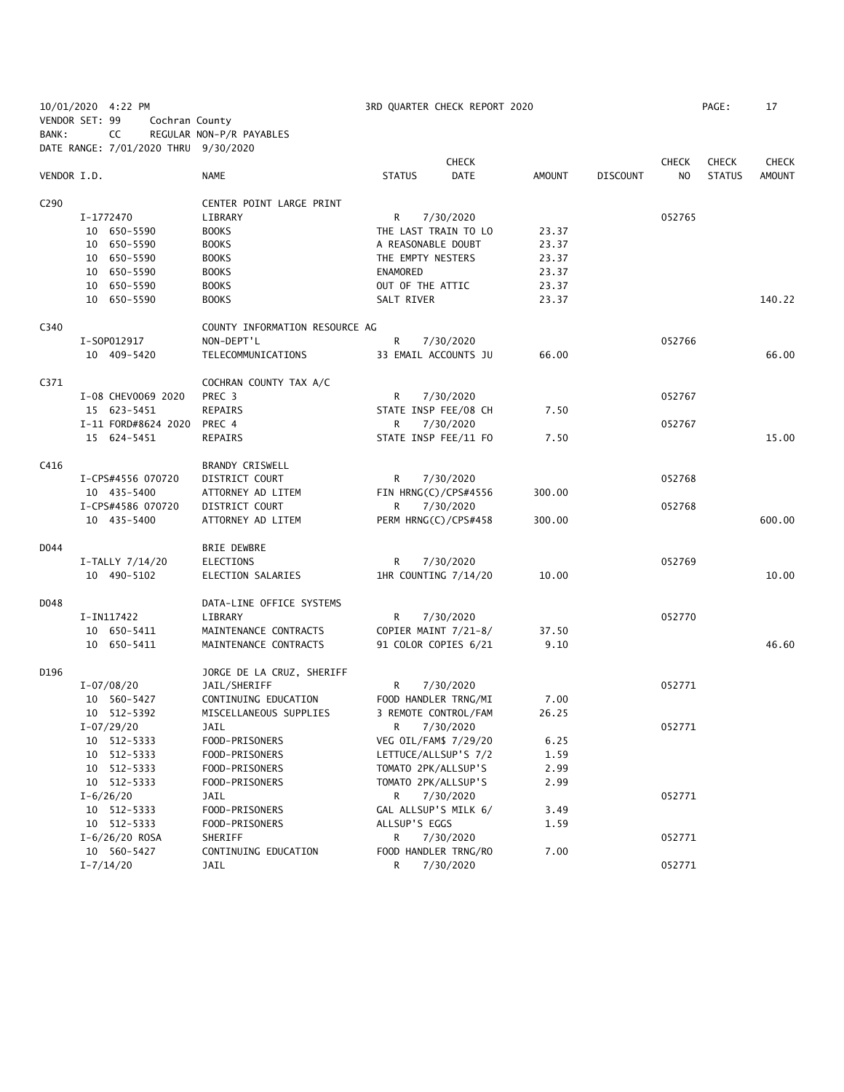| VENDOR SET: 99   | 10/01/2020 4:22 PM<br>Cochran County |                                 |                     | 3RD QUARTER CHECK REPORT 2020     |               |                 |              | PAGE:         | 17            |
|------------------|--------------------------------------|---------------------------------|---------------------|-----------------------------------|---------------|-----------------|--------------|---------------|---------------|
| BANK:            | CC                                   | REGULAR NON-P/R PAYABLES        |                     |                                   |               |                 |              |               |               |
|                  | DATE RANGE: 7/01/2020 THRU 9/30/2020 |                                 |                     |                                   |               |                 |              |               |               |
|                  |                                      |                                 |                     | <b>CHECK</b>                      |               |                 | <b>CHECK</b> | <b>CHECK</b>  | <b>CHECK</b>  |
| VENDOR I.D.      |                                      | <b>NAME</b>                     | <b>STATUS</b>       | <b>DATE</b>                       | <b>AMOUNT</b> | <b>DISCOUNT</b> | NO.          | <b>STATUS</b> | <b>AMOUNT</b> |
| C <sub>290</sub> |                                      | CENTER POINT LARGE PRINT        |                     |                                   |               |                 |              |               |               |
|                  | I-1772470                            | LIBRARY                         | R                   | 7/30/2020                         |               |                 | 052765       |               |               |
|                  | 10 650-5590                          | <b>BOOKS</b>                    |                     | THE LAST TRAIN TO LO              | 23.37         |                 |              |               |               |
|                  | 10 650-5590                          | <b>BOOKS</b>                    | A REASONABLE DOUBT  |                                   | 23.37         |                 |              |               |               |
|                  | 10 650-5590                          | <b>BOOKS</b>                    | THE EMPTY NESTERS   |                                   | 23.37         |                 |              |               |               |
|                  | 10 650-5590                          | <b>BOOKS</b>                    | <b>ENAMORED</b>     |                                   | 23.37         |                 |              |               |               |
|                  | 10 650-5590                          | <b>BOOKS</b>                    | OUT OF THE ATTIC    |                                   | 23.37         |                 |              |               |               |
|                  | 10 650-5590                          | <b>BOOKS</b>                    | SALT RIVER          |                                   | 23.37         |                 |              |               | 140.22        |
| C340             |                                      | COUNTY INFORMATION RESOURCE AG  |                     |                                   |               |                 |              |               |               |
|                  | I-S0P012917                          | NON-DEPT'L                      | R                   | 7/30/2020                         |               |                 | 052766       |               |               |
|                  | 10 409-5420                          | TELECOMMUNICATIONS              |                     | 33 EMAIL ACCOUNTS JU              | 66.00         |                 |              |               | 66.00         |
| C371             |                                      | COCHRAN COUNTY TAX A/C          |                     |                                   |               |                 |              |               |               |
|                  | I-08 CHEV0069 2020                   | PREC 3                          | R                   | 7/30/2020                         |               |                 | 052767       |               |               |
|                  | 15 623-5451                          | <b>REPAIRS</b>                  |                     | STATE INSP FEE/08 CH              | 7.50          |                 |              |               |               |
|                  | I-11 FORD#8624 2020                  | PREC 4                          | R                   | 7/30/2020                         |               |                 | 052767       |               |               |
|                  | 15 624-5451                          | <b>REPAIRS</b>                  |                     | STATE INSP FEE/11 FO              | 7.50          |                 |              |               | 15.00         |
| C416             |                                      | <b>BRANDY CRISWELL</b>          |                     |                                   |               |                 |              |               |               |
|                  | I-CPS#4556 070720                    | DISTRICT COURT                  | R                   | 7/30/2020                         |               |                 | 052768       |               |               |
|                  | 10 435-5400                          | ATTORNEY AD LITEM               |                     | FIN HRNG(C)/CPS#4556              | 300.00        |                 |              |               |               |
|                  | I-CPS#4586 070720                    | DISTRICT COURT                  | R                   | 7/30/2020                         |               |                 | 052768       |               |               |
|                  | 10 435-5400                          | ATTORNEY AD LITEM               |                     | PERM HRNG(C)/CPS#458              | 300.00        |                 |              |               | 600.00        |
| D044             |                                      | BRIE DEWBRE                     |                     |                                   |               |                 |              |               |               |
|                  | I-TALLY 7/14/20                      | ELECTIONS                       | R                   | 7/30/2020                         |               |                 | 052769       |               |               |
|                  | 10 490-5102                          | ELECTION SALARIES               |                     | 1HR COUNTING 7/14/20              | 10.00         |                 |              |               | 10.00         |
| D048             |                                      | DATA-LINE OFFICE SYSTEMS        |                     |                                   |               |                 |              |               |               |
|                  | I-IN117422                           | LIBRARY                         | R                   | 7/30/2020                         |               |                 | 052770       |               |               |
|                  | 10 650-5411                          | MAINTENANCE CONTRACTS           |                     | COPIER MAINT 7/21-8/              | 37.50         |                 |              |               |               |
|                  | 10 650-5411                          | MAINTENANCE CONTRACTS           |                     | 91 COLOR COPIES 6/21              | 9.10          |                 |              |               | 46.60         |
| D196             |                                      | JORGE DE LA CRUZ, SHERIFF       |                     |                                   |               |                 |              |               |               |
|                  | $I - 07/08/20$                       | JAIL/SHERIFF                    | R                   | 7/30/2020                         |               |                 | 052771       |               |               |
|                  | 10 560-5427                          | CONTINUING EDUCATION            |                     | FOOD HANDLER TRNG/MI              | 7.00          |                 |              |               |               |
|                  | 10 512-5392                          | MISCELLANEOUS SUPPLIES          |                     | 3 REMOTE CONTROL/FAM              | 26.25         |                 |              |               |               |
|                  | $I-07/29/20$                         | JAIL                            | R                   | 7/30/2020                         |               |                 | 052771       |               |               |
|                  | 10 512-5333                          | FOOD-PRISONERS                  |                     | VEG OIL/FAM\$ 7/29/20             | 6.25          |                 |              |               |               |
|                  | 10 512-5333                          | FOOD-PRISONERS                  |                     | LETTUCE/ALLSUP'S 7/2              | 1.59          |                 |              |               |               |
|                  | 10 512-5333                          | FOOD-PRISONERS                  |                     | TOMATO 2PK/ALLSUP'S               | 2.99          |                 |              |               |               |
|                  | 10 512-5333                          | FOOD-PRISONERS                  | TOMATO 2PK/ALLSUP'S |                                   | 2.99          |                 |              |               |               |
|                  | $I - 6/26/20$                        | JAIL                            | R                   | 7/30/2020                         |               |                 | 052771       |               |               |
|                  | 10 512-5333                          | FOOD-PRISONERS                  |                     | GAL ALLSUP'S MILK 6/              | 3.49          |                 |              |               |               |
|                  | 10 512-5333                          | FOOD-PRISONERS                  | ALLSUP'S EGGS       |                                   | 1.59          |                 |              |               |               |
|                  | $I-6/26/20$ ROSA<br>10 560-5427      | SHERIFF<br>CONTINUING EDUCATION | R                   | 7/30/2020<br>FOOD HANDLER TRNG/RO |               |                 | 052771       |               |               |
|                  | $I - 7/14/20$                        | JAIL                            | R                   | 7/30/2020                         | 7.00          |                 | 052771       |               |               |
|                  |                                      |                                 |                     |                                   |               |                 |              |               |               |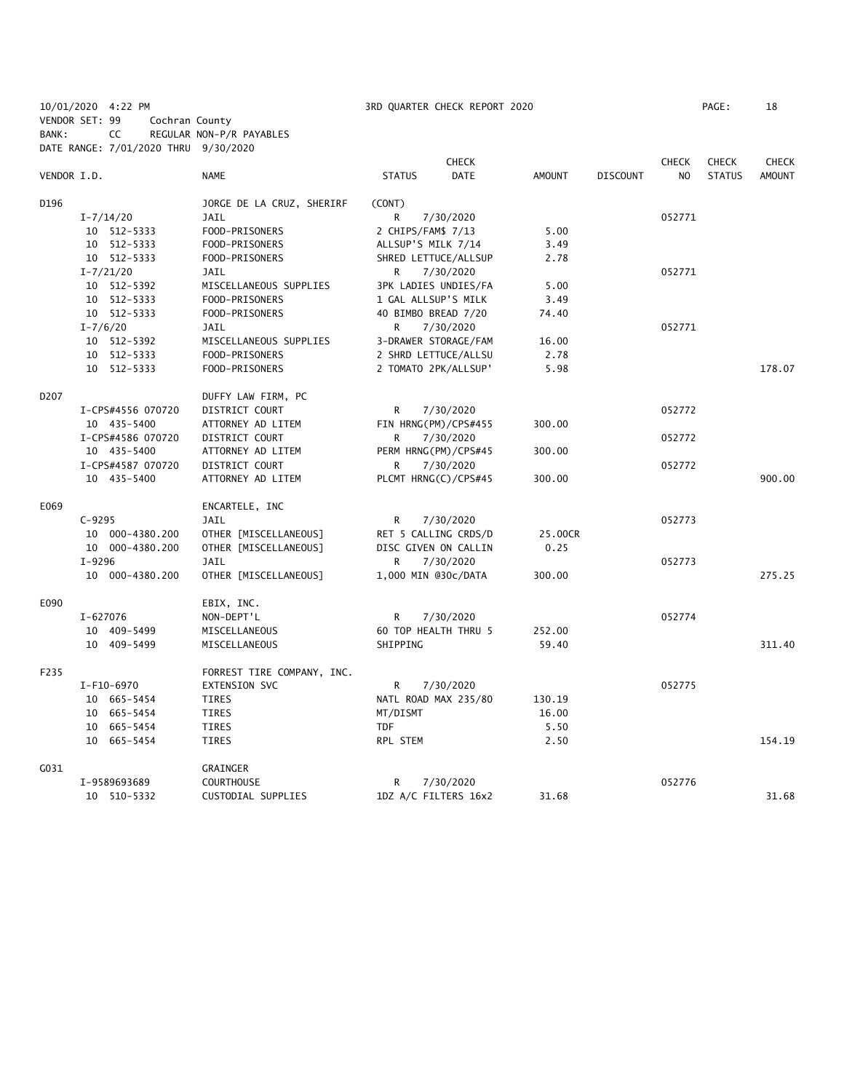## 10/01/2020 4:22 PM 3RD QUARTER CHECK REPORT 2020 PAGE: 18 VENDOR SET: 99 Cochran County

BANK: CC REGULAR NON-P/R PAYABLES

DATE RANGE: 7/01/2020 THRU 9/30/2020 CHECK CHECK CHECK CHECK VENDOR I.D. NAME STATUS DATE AMOUNT DISCOUNT NO STATUS AMOUNT D196 **JORGE DE LA CRUZ, SHERIRF** (CONT) I-7/14/20 JAIL R 7/30/2020 052771 10 512-5333 FOOD-PRISONERS 2 CHIPS/FAM\$ 7/13 5.00 10 512-5333 FOOD-PRISONERS ALLSUP'S MILK 7/14 3.49 10 512-5333 FOOD-PRISONERS SHRED LETTUCE/ALLSUP 2.78 I-7/21/20 JAIL R 7/30/2020 052771 10 512-5392 MISCELLANEOUS SUPPLIES 3PK LADIES UNDIES/FA 5.00 10 512-5333 FOOD-PRISONERS 1 GAL ALLSUP'S MILK 3.49 10 512-5333 FOOD-PRISONERS 40 BIMBO BREAD 7/20 74.40 I-7/6/20 JAIL R 7/30/2020 052771 10 512-5392 MISCELLANEOUS SUPPLIES 3-DRAWER STORAGE/FAM 16.00<br>10 512-5333 FOOD-PRISONERS 2 SHRD LETTUCE/ALLSU 2.78 FOOD-PRISONERS 2 SHRD LETTUCE/ALLSU 2.78 10 512-5333 FOOD-PRISONERS 2 TOMATO 2PK/ALLSUP' 5.98 178.07 D207 DUFFY LAW FIRM, PC I-CPS#4556 070720 DISTRICT COURT R 7/30/2020 052772 10 435-5400 ATTORNEY AD LITEM FIN HRNG(PM)/CPS#455 300.00 I-CPS#4586 070720 DISTRICT COURT R 7/30/2020 052772 10 435-5400 ATTORNEY AD LITEM PERM HRNG(PM)/CPS#45 300.00 I-CPS#4587 070720 DISTRICT COURT R 7/30/2020 052772 10 435-5400 ATTORNEY AD LITEM PLCMT HRNG(C)/CPS#45 300.00 900.00 E069 ENCARTELE, INC C-9295 JAIL R 7/30/2020 052773 10 000-4380.200 OTHER [MISCELLANEOUS] RET 5 CALLING CRDS/D 25.00CR 10 000-4380.200 OTHER [MISCELLANEOUS] DISC GIVEN ON CALLIN 0.25 I-9296 JAIL R 7/30/2020 052773 10 000-4380.200 OTHER [MISCELLANEOUS] 1,000 MIN @30c/DATA 300.00 275.25 E090 EBIX, INC. I-627076 NON-DEPT'L R 7/30/2020 052774 10 409-5499 MISCELLANEOUS 60 TOP HEALTH THRU 5 252.00 10 409-5499 MISCELLANEOUS SHIPPING 59.40 311.40 F235 FORREST TIRE COMPANY, INC. I-F10-6970 EXTENSION SVC R 7/30/2020 052775 10 665-5454 TIRES NATL ROAD MAX 235/80 130.19 10 665-5454 TIRES MT/DISMT 16.00 10 665-5454 TIRES TDF 5.50 10 665-5454 TIRES RPL STEM 2.50 154.19 G031 GRAINGER I-9589693689 COURTHOUSE R 7/30/2020 052776 10 510-5332 CUSTODIAL SUPPLIES 1DZ A/C FILTERS 16x2 31.68 31.68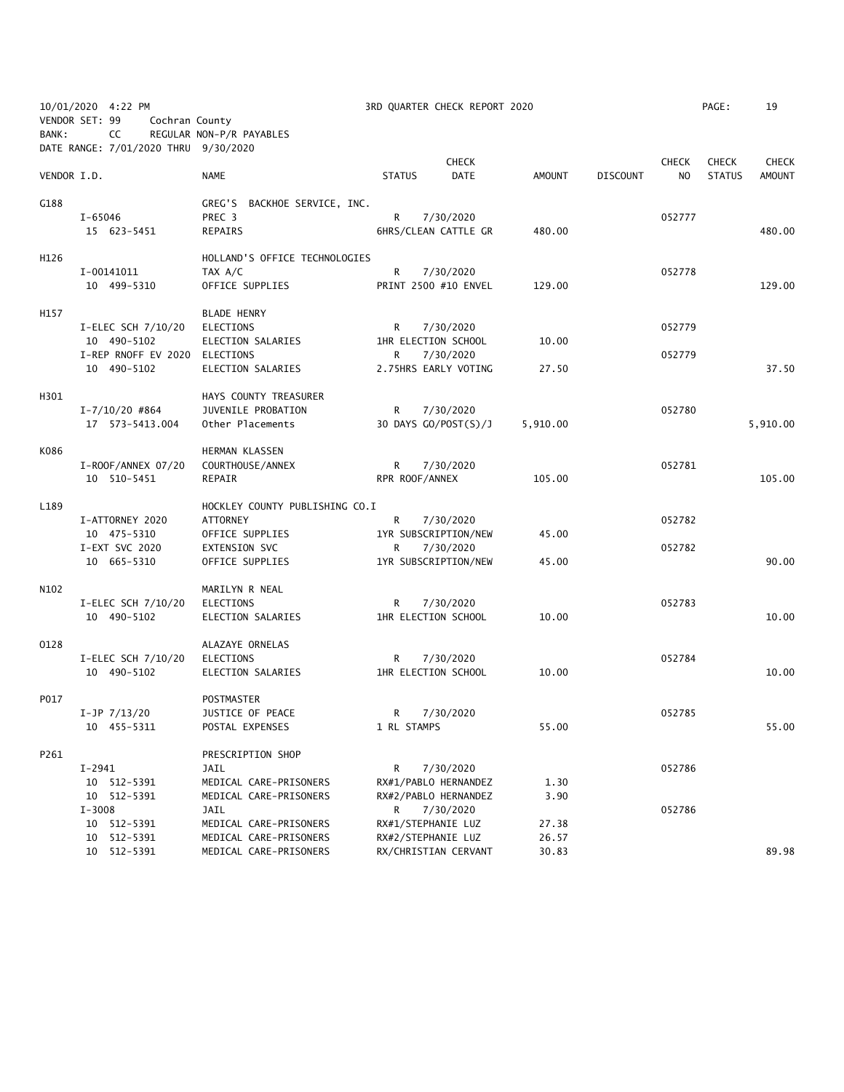|             | 10/01/2020 4:22 PM<br>VENDOR SET: 99<br>Cochran County |                                                  | 3RD QUARTER CHECK REPORT 2020              |              |                |                 |                | PAGE:         | 19            |
|-------------|--------------------------------------------------------|--------------------------------------------------|--------------------------------------------|--------------|----------------|-----------------|----------------|---------------|---------------|
| BANK:       | CC<br>DATE RANGE: 7/01/2020 THRU 9/30/2020             | REGULAR NON-P/R PAYABLES                         |                                            |              |                |                 |                |               |               |
|             |                                                        |                                                  |                                            | <b>CHECK</b> |                |                 | <b>CHECK</b>   | <b>CHECK</b>  | <b>CHECK</b>  |
| VENDOR I.D. |                                                        | <b>NAME</b>                                      | <b>STATUS</b>                              | <b>DATE</b>  | <b>AMOUNT</b>  | <b>DISCOUNT</b> | N <sub>O</sub> | <b>STATUS</b> | <b>AMOUNT</b> |
| G188        |                                                        | GREG'S BACKHOE SERVICE, INC.                     |                                            |              |                |                 |                |               |               |
|             | I-65046<br>15 623-5451                                 | PREC 3<br>REPAIRS                                | R<br>6HRS/CLEAN CATTLE GR                  | 7/30/2020    | 480.00         |                 | 052777         |               | 480.00        |
|             |                                                        |                                                  |                                            |              |                |                 |                |               |               |
| H126        |                                                        | HOLLAND'S OFFICE TECHNOLOGIES                    |                                            |              |                |                 |                |               |               |
|             | I-00141011                                             | TAX A/C                                          | R                                          | 7/30/2020    |                |                 | 052778         |               |               |
|             | 10 499-5310                                            | OFFICE SUPPLIES                                  | PRINT 2500 #10 ENVEL                       |              | 129.00         |                 |                |               | 129.00        |
| H157        |                                                        | <b>BLADE HENRY</b>                               |                                            |              |                |                 |                |               |               |
|             | I-ELEC SCH 7/10/20                                     | ELECTIONS                                        | R                                          | 7/30/2020    |                |                 | 052779         |               |               |
|             | 10 490-5102                                            | ELECTION SALARIES                                | 1HR ELECTION SCHOOL                        |              | 10.00          |                 |                |               |               |
|             | I-REP RNOFF EV 2020 ELECTIONS                          |                                                  | 7/30/2020<br>R                             |              |                |                 | 052779         |               |               |
|             | 10 490-5102                                            | ELECTION SALARIES                                | 2.75HRS EARLY VOTING                       |              | 27.50          |                 |                |               | 37.50         |
| H301        |                                                        | HAYS COUNTY TREASURER                            |                                            |              |                |                 |                |               |               |
|             | $I - 7/10/20$ #864                                     | JUVENILE PROBATION                               | R                                          | 7/30/2020    |                |                 | 052780         |               |               |
|             | 17  573-5413.004                                       | Other Placements                                 | 30 DAYS GO/POST(S)/J                       |              | 5,910.00       |                 |                |               | 5,910.00      |
| K086        |                                                        | HERMAN KLASSEN                                   |                                            |              |                |                 |                |               |               |
|             | I-ROOF/ANNEX 07/20                                     | COURTHOUSE/ANNEX                                 | R<br>7/30/2020                             |              |                |                 | 052781         |               |               |
|             | 10 510-5451                                            | REPAIR                                           | RPR ROOF/ANNEX                             |              | 105.00         |                 |                |               | 105.00        |
| L189        |                                                        | HOCKLEY COUNTY PUBLISHING CO.I                   |                                            |              |                |                 |                |               |               |
|             | I-ATTORNEY 2020                                        | <b>ATTORNEY</b>                                  | R<br>7/30/2020                             |              |                |                 | 052782         |               |               |
|             | 10 475-5310                                            | OFFICE SUPPLIES                                  | 1YR SUBSCRIPTION/NEW                       |              | 45.00          |                 |                |               |               |
|             | I-EXT SVC 2020                                         | EXTENSION SVC                                    | R                                          | 7/30/2020    |                |                 | 052782         |               |               |
|             | 10 665-5310                                            | OFFICE SUPPLIES                                  | 1YR SUBSCRIPTION/NEW                       |              | 45.00          |                 |                |               | 90.00         |
| N102        |                                                        | MARILYN R NEAL                                   |                                            |              |                |                 |                |               |               |
|             | I-ELEC SCH 7/10/20                                     | ELECTIONS                                        | R<br>7/30/2020                             |              |                |                 | 052783         |               |               |
|             | 10 490-5102                                            | ELECTION SALARIES                                | 1HR ELECTION SCHOOL                        |              | 10.00          |                 |                |               | 10.00         |
|             |                                                        |                                                  |                                            |              |                |                 |                |               |               |
| 0128        |                                                        | ALAZAYE ORNELAS                                  |                                            |              |                |                 |                |               |               |
|             | I-ELEC SCH 7/10/20<br>10 490-5102                      | ELECTIONS<br>ELECTION SALARIES                   | R<br>1HR ELECTION SCHOOL                   | 7/30/2020    | 10.00          |                 | 052784         |               | 10.00         |
|             |                                                        |                                                  |                                            |              |                |                 |                |               |               |
| P017        |                                                        | POSTMASTER                                       |                                            |              |                |                 |                |               |               |
|             | $I-JP$ $7/13/20$                                       | JUSTICE OF PEACE                                 | 7/30/2020<br>R <sub>a</sub>                |              |                |                 | 052785         |               |               |
|             | 10 455-5311                                            | POSTAL EXPENSES                                  | 1 RL STAMPS                                |              | 55.00          |                 |                |               | 55.00         |
| P261        |                                                        | PRESCRIPTION SHOP                                |                                            |              |                |                 |                |               |               |
|             | I-2941                                                 | JAIL                                             | R                                          | 7/30/2020    |                |                 | 052786         |               |               |
|             | 10 512-5391                                            | MEDICAL CARE-PRISONERS                           | RX#1/PABLO HERNANDEZ                       |              | 1.30           |                 |                |               |               |
|             | 10 512-5391                                            | MEDICAL CARE-PRISONERS                           | RX#2/PABLO HERNANDEZ                       |              | 3.90           |                 |                |               |               |
|             | $I - 3008$                                             | JAIL                                             | R <sub>a</sub><br>7/30/2020                |              |                |                 | 052786         |               |               |
|             | 10 512-5391                                            | MEDICAL CARE-PRISONERS                           | RX#1/STEPHANIE LUZ                         |              | 27.38          |                 |                |               |               |
|             | 10 512-5391<br>10 512-5391                             | MEDICAL CARE-PRISONERS<br>MEDICAL CARE-PRISONERS | RX#2/STEPHANIE LUZ<br>RX/CHRISTIAN CERVANT |              | 26.57<br>30.83 |                 |                |               | 89.98         |
|             |                                                        |                                                  |                                            |              |                |                 |                |               |               |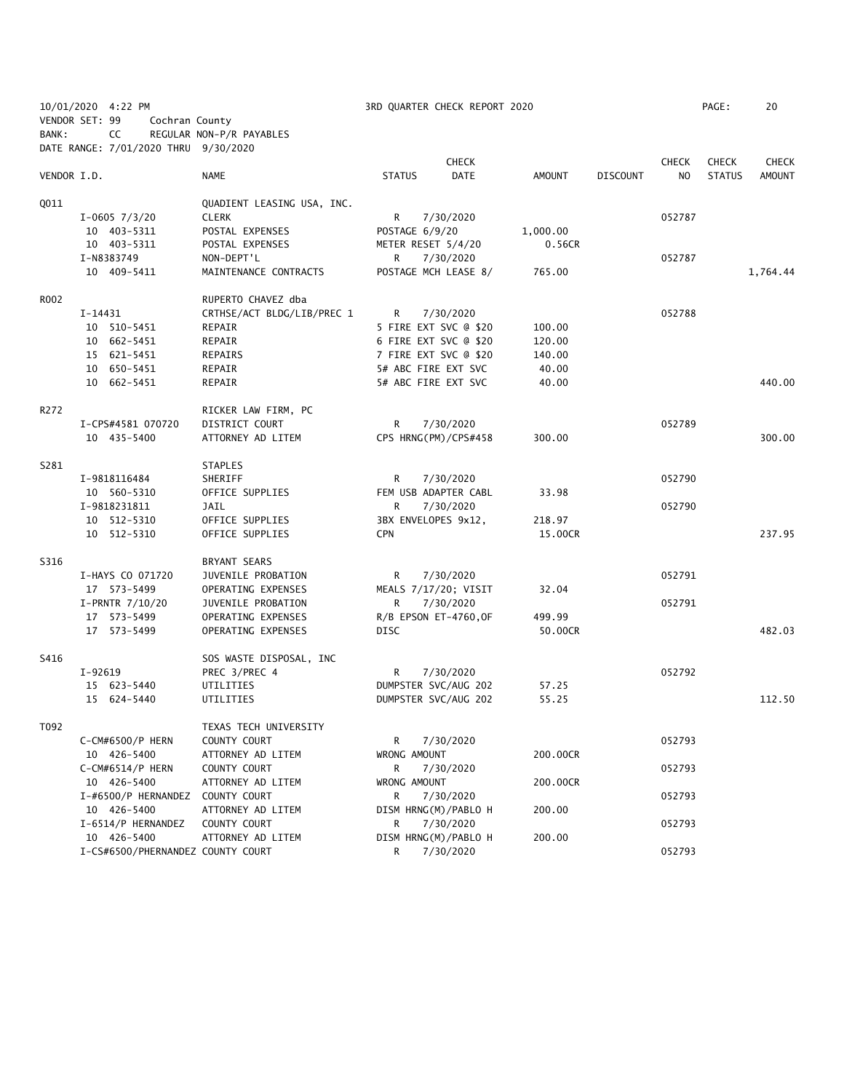|             | 10/01/2020 4:22 PM                   |                                     |                     | 3RD QUARTER CHECK REPORT 2020     |          |                 |              | PAGE:         | 20            |
|-------------|--------------------------------------|-------------------------------------|---------------------|-----------------------------------|----------|-----------------|--------------|---------------|---------------|
|             | VENDOR SET: 99<br>Cochran County     |                                     |                     |                                   |          |                 |              |               |               |
| BANK:       | CC                                   | REGULAR NON-P/R PAYABLES            |                     |                                   |          |                 |              |               |               |
|             | DATE RANGE: 7/01/2020 THRU 9/30/2020 |                                     |                     |                                   |          |                 |              |               |               |
|             |                                      |                                     |                     | <b>CHECK</b>                      |          |                 | <b>CHECK</b> | <b>CHECK</b>  | <b>CHECK</b>  |
| VENDOR I.D. |                                      | NAME                                | <b>STATUS</b>       | DATE                              | AMOUNT   | <b>DISCOUNT</b> | NO.          | <b>STATUS</b> | <b>AMOUNT</b> |
|             |                                      |                                     |                     |                                   |          |                 |              |               |               |
| Q011        |                                      | QUADIENT LEASING USA, INC.          |                     |                                   |          |                 |              |               |               |
|             | $I-0605$ 7/3/20                      | <b>CLERK</b>                        | R                   | 7/30/2020                         |          |                 | 052787       |               |               |
|             | 10 403-5311                          | POSTAL EXPENSES                     | POSTAGE 6/9/20      |                                   | 1,000.00 |                 |              |               |               |
|             | 10 403-5311                          | POSTAL EXPENSES                     | METER RESET 5/4/20  |                                   | 0.56CR   |                 |              |               |               |
|             | I-N8383749                           | NON-DEPT'L                          | R                   | 7/30/2020                         |          |                 | 052787       |               |               |
|             | 10 409-5411                          | MAINTENANCE CONTRACTS               |                     | POSTAGE MCH LEASE 8/              | 765.00   |                 |              |               | 1,764.44      |
|             |                                      |                                     |                     |                                   |          |                 |              |               |               |
| R002        |                                      | RUPERTO CHAVEZ dba                  |                     |                                   |          |                 |              |               |               |
|             | I-14431                              | CRTHSE/ACT BLDG/LIB/PREC 1          | R                   | 7/30/2020                         |          |                 | 052788       |               |               |
|             | 10 510-5451                          | REPAIR                              |                     | 5 FIRE EXT SVC @ \$20             | 100.00   |                 |              |               |               |
|             | 10 662-5451                          | REPAIR                              |                     | 6 FIRE EXT SVC @ \$20             | 120.00   |                 |              |               |               |
|             | 15 621-5451                          | REPAIRS                             |                     | 7 FIRE EXT SVC @ \$20             | 140.00   |                 |              |               |               |
|             | 10 650-5451                          | REPAIR                              |                     | 5# ABC FIRE EXT SVC               | 40.00    |                 |              |               |               |
|             | 10 662-5451                          | REPAIR                              |                     | 5# ABC FIRE EXT SVC               | 40.00    |                 |              |               | 440.00        |
|             |                                      |                                     |                     |                                   |          |                 |              |               |               |
| R272        | I-CPS#4581 070720                    | RICKER LAW FIRM, PC                 |                     |                                   |          |                 |              |               |               |
|             | 10 435-5400                          | DISTRICT COURT<br>ATTORNEY AD LITEM | R.                  | 7/30/2020<br>CPS HRNG(PM)/CPS#458 | 300.00   |                 | 052789       |               | 300.00        |
|             |                                      |                                     |                     |                                   |          |                 |              |               |               |
| S281        |                                      | <b>STAPLES</b>                      |                     |                                   |          |                 |              |               |               |
|             | I-9818116484                         | SHERIFF                             | R                   | 7/30/2020                         |          |                 | 052790       |               |               |
|             | 10 560-5310                          | OFFICE SUPPLIES                     |                     | FEM USB ADAPTER CABL              | 33.98    |                 |              |               |               |
|             | I-9818231811                         | JAIL                                | R                   | 7/30/2020                         |          |                 | 052790       |               |               |
|             | 10 512-5310                          | OFFICE SUPPLIES                     | 3BX ENVELOPES 9x12, |                                   | 218.97   |                 |              |               |               |
|             | 10 512-5310                          | OFFICE SUPPLIES                     | <b>CPN</b>          |                                   | 15.00CR  |                 |              |               | 237.95        |
|             |                                      |                                     |                     |                                   |          |                 |              |               |               |
| S316        |                                      | BRYANT SEARS                        |                     |                                   |          |                 |              |               |               |
|             | I-HAYS CO 071720                     | JUVENILE PROBATION                  | R                   | 7/30/2020                         |          |                 | 052791       |               |               |
|             | 17 573-5499                          | OPERATING EXPENSES                  |                     | MEALS 7/17/20; VISIT              | 32.04    |                 |              |               |               |
|             | I-PRNTR 7/10/20                      | JUVENILE PROBATION                  | R.                  | 7/30/2020                         |          |                 | 052791       |               |               |
|             | 17 573-5499                          | OPERATING EXPENSES                  |                     | R/B EPSON ET-4760, OF             | 499.99   |                 |              |               |               |
|             | 17 573-5499                          | OPERATING EXPENSES                  | DISC                |                                   | 50.00CR  |                 |              |               | 482.03        |
|             |                                      |                                     |                     |                                   |          |                 |              |               |               |
| S416        |                                      | SOS WASTE DISPOSAL, INC             |                     |                                   |          |                 |              |               |               |
|             | I-92619                              | PREC 3/PREC 4                       | R                   | 7/30/2020                         |          |                 | 052792       |               |               |
|             | 15 623-5440                          | UTILITIES                           |                     | DUMPSTER SVC/AUG 202              | 57.25    |                 |              |               |               |
|             | 15 624-5440                          | UTILITIES                           |                     | DUMPSTER SVC/AUG 202              | 55.25    |                 |              |               | 112.50        |
|             |                                      |                                     |                     |                                   |          |                 |              |               |               |
| T092        |                                      | TEXAS TECH UNIVERSITY               |                     |                                   |          |                 |              |               |               |
|             | C-CM#6500/P HERN                     | COUNTY COURT                        | R                   | 7/30/2020                         |          |                 | 052793       |               |               |
|             | 10 426-5400                          | ATTORNEY AD LITEM                   | WRONG AMOUNT        |                                   | 200.00CR |                 |              |               |               |
|             | C-CM#6514/P HERN                     | COUNTY COURT                        | R                   | 7/30/2020                         |          |                 | 052793       |               |               |
|             | 10 426-5400                          | ATTORNEY AD LITEM                   | WRONG AMOUNT        |                                   | 200.00CR |                 |              |               |               |
|             | I-#6500/P HERNANDEZ                  | COUNTY COURT                        | R                   | 7/30/2020                         |          |                 | 052793       |               |               |
|             | 10 426-5400                          | ATTORNEY AD LITEM                   |                     | DISM HRNG(M)/PABLO H              | 200.00   |                 |              |               |               |
|             | I-6514/P HERNANDEZ                   | COUNTY COURT                        | R                   | 7/30/2020                         |          |                 | 052793       |               |               |
|             | 10 426-5400                          | ATTORNEY AD LITEM                   |                     | DISM HRNG(M)/PABLO H              | 200.00   |                 |              |               |               |
|             | I-CS#6500/PHERNANDEZ COUNTY COURT    |                                     | R                   | 7/30/2020                         |          |                 | 052793       |               |               |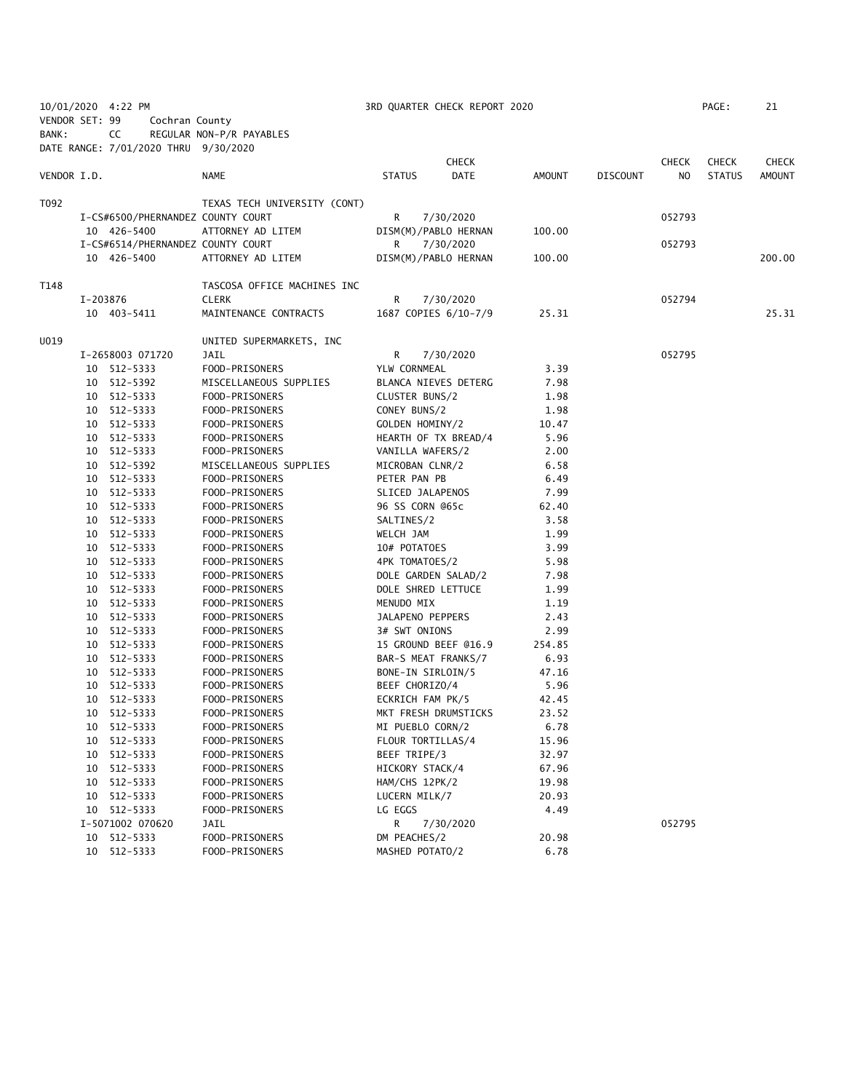|                |          | 10/01/2020 4:22 PM                   |                              |                    | 3RD QUARTER CHECK REPORT 2020 |        |                 |        | PAGE:         | 21            |
|----------------|----------|--------------------------------------|------------------------------|--------------------|-------------------------------|--------|-----------------|--------|---------------|---------------|
| VENDOR SET: 99 |          | Cochran County                       |                              |                    |                               |        |                 |        |               |               |
| BANK:          |          | CC                                   | REGULAR NON-P/R PAYABLES     |                    |                               |        |                 |        |               |               |
|                |          | DATE RANGE: 7/01/2020 THRU 9/30/2020 |                              |                    |                               |        |                 |        |               |               |
|                |          |                                      |                              |                    | <b>CHECK</b>                  |        |                 | CHECK  | <b>CHECK</b>  | <b>CHECK</b>  |
| VENDOR I.D.    |          |                                      | NAME                         | <b>STATUS</b>      | <b>DATE</b>                   | AMOUNT | <b>DISCOUNT</b> | NO.    | <b>STATUS</b> | <b>AMOUNT</b> |
| T092           |          |                                      | TEXAS TECH UNIVERSITY (CONT) |                    |                               |        |                 |        |               |               |
|                |          | I-CS#6500/PHERNANDEZ COUNTY COURT    |                              | R.                 | 7/30/2020                     |        |                 | 052793 |               |               |
|                |          | 10 426-5400                          | ATTORNEY AD LITEM            |                    | DISM(M)/PABLO HERNAN          | 100.00 |                 |        |               |               |
|                |          | I-CS#6514/PHERNANDEZ COUNTY COURT    |                              | R                  | 7/30/2020                     |        |                 | 052793 |               |               |
|                |          | 10 426-5400                          | ATTORNEY AD LITEM            |                    | DISM(M)/PABLO HERNAN          | 100.00 |                 |        |               | 200.00        |
| T148           |          |                                      | TASCOSA OFFICE MACHINES INC  |                    |                               |        |                 |        |               |               |
|                | I-203876 |                                      | <b>CLERK</b>                 | R                  | 7/30/2020                     |        |                 | 052794 |               |               |
|                |          | 10 403-5411                          | MAINTENANCE CONTRACTS        |                    | 1687 COPIES 6/10-7/9          | 25.31  |                 |        |               | 25.31         |
| U019           |          |                                      | UNITED SUPERMARKETS, INC     |                    |                               |        |                 |        |               |               |
|                |          | I-2658003 071720                     | JAIL                         | R                  | 7/30/2020                     |        |                 | 052795 |               |               |
|                |          | 10 512-5333                          | FOOD-PRISONERS               | YLW CORNMEAL       |                               | 3.39   |                 |        |               |               |
|                |          | 10 512-5392                          | MISCELLANEOUS SUPPLIES       |                    | BLANCA NIEVES DETERG          | 7.98   |                 |        |               |               |
|                |          | 10 512-5333                          | FOOD-PRISONERS               | CLUSTER BUNS/2     |                               | 1.98   |                 |        |               |               |
|                |          | 10 512-5333                          | FOOD-PRISONERS               | CONEY BUNS/2       |                               | 1.98   |                 |        |               |               |
|                |          | 10 512-5333                          | FOOD-PRISONERS               | GOLDEN HOMINY/2    |                               | 10.47  |                 |        |               |               |
|                |          | 10 512-5333                          | FOOD-PRISONERS               |                    | HEARTH OF TX BREAD/4          | 5.96   |                 |        |               |               |
|                |          | 10 512-5333                          | FOOD-PRISONERS               | VANILLA WAFERS/2   |                               | 2.00   |                 |        |               |               |
|                |          | 10 512-5392                          | MISCELLANEOUS SUPPLIES       | MICROBAN CLNR/2    |                               | 6.58   |                 |        |               |               |
|                |          | 10 512-5333                          | FOOD-PRISONERS               | PETER PAN PB       |                               | 6.49   |                 |        |               |               |
|                |          | 10 512-5333                          | FOOD-PRISONERS               | SLICED JALAPENOS   |                               | 7.99   |                 |        |               |               |
|                |          | 10 512-5333                          | FOOD-PRISONERS               | 96 SS CORN @65c    |                               | 62.40  |                 |        |               |               |
|                |          | 10 512-5333                          | FOOD-PRISONERS               | SALTINES/2         |                               | 3.58   |                 |        |               |               |
|                |          | 10 512-5333                          | FOOD-PRISONERS               | WELCH JAM          |                               | 1.99   |                 |        |               |               |
|                |          | 10 512-5333                          | FOOD-PRISONERS               | 10# POTATOES       |                               | 3.99   |                 |        |               |               |
|                |          | 10 512-5333                          | FOOD-PRISONERS               | 4PK TOMATOES/2     |                               | 5.98   |                 |        |               |               |
|                |          | 10 512-5333                          | FOOD-PRISONERS               |                    | DOLE GARDEN SALAD/2           | 7.98   |                 |        |               |               |
|                |          | 10 512-5333                          | FOOD-PRISONERS               | DOLE SHRED LETTUCE |                               | 1.99   |                 |        |               |               |
|                |          | 10 512-5333                          | FOOD-PRISONERS               | MENUDO MIX         |                               | 1.19   |                 |        |               |               |
|                |          | 10 512-5333                          | FOOD-PRISONERS               | JALAPENO PEPPERS   |                               | 2.43   |                 |        |               |               |
|                |          | 10 512-5333                          | FOOD-PRISONERS               | 3# SWT ONIONS      |                               | 2.99   |                 |        |               |               |
|                |          | 10 512-5333                          | FOOD-PRISONERS               |                    | 15 GROUND BEEF @16.9          | 254.85 |                 |        |               |               |
|                |          | 10 512-5333                          | FOOD-PRISONERS               |                    | BAR-S MEAT FRANKS/7           | 6.93   |                 |        |               |               |
|                |          | 10 512-5333                          | FOOD-PRISONERS               | BONE-IN SIRLOIN/5  |                               | 47.16  |                 |        |               |               |
|                |          | 10 512-5333                          | FOOD-PRISONERS               | BEEF CHORIZO/4     |                               | 5.96   |                 |        |               |               |
|                |          | 10 512-5333                          | FOOD-PRISONERS               | ECKRICH FAM PK/5   |                               | 42.45  |                 |        |               |               |
|                |          | 10 512-5333                          | FOOD-PRISONERS               |                    | MKT FRESH DRUMSTICKS          | 23.52  |                 |        |               |               |
|                | 10       | 512-5333                             | FOOD-PRISONERS               | MI PUEBLO CORN/2   |                               | 6.78   |                 |        |               |               |
|                | 10       | 512-5333                             | FOOD-PRISONERS               | FLOUR TORTILLAS/4  |                               | 15.96  |                 |        |               |               |
|                | 10       | 512-5333                             | FOOD-PRISONERS               | BEEF TRIPE/3       |                               | 32.97  |                 |        |               |               |
|                | 10       | 512-5333                             | FOOD-PRISONERS               | HICKORY STACK/4    |                               | 67.96  |                 |        |               |               |
|                | 10       | 512-5333                             | FOOD-PRISONERS               | HAM/CHS 12PK/2     |                               | 19.98  |                 |        |               |               |
|                | 10       | 512-5333                             | FOOD-PRISONERS               | LUCERN MILK/7      |                               | 20.93  |                 |        |               |               |
|                |          | 10 512-5333                          | FOOD-PRISONERS               | LG EGGS            |                               | 4.49   |                 |        |               |               |
|                |          | I-5071002 070620                     | JAIL                         | R                  | 7/30/2020                     |        |                 | 052795 |               |               |
|                | 10       | 512-5333                             | FOOD-PRISONERS               | DM PEACHES/2       |                               | 20.98  |                 |        |               |               |
|                |          | 10 512-5333                          | FOOD-PRISONERS               | MASHED POTATO/2    |                               | 6.78   |                 |        |               |               |
|                |          |                                      |                              |                    |                               |        |                 |        |               |               |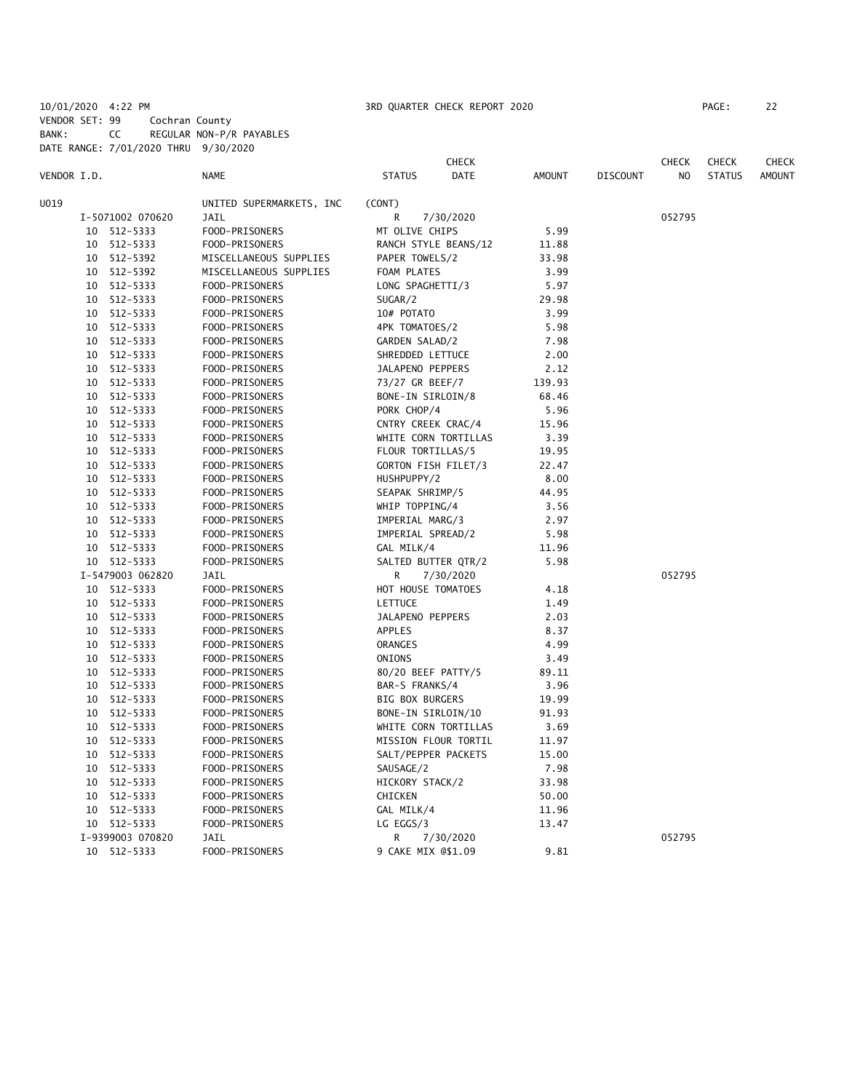10/01/2020 4:22 PM 3RD QUARTER CHECK REPORT 2020 PAGE: 22 VENDOR SET: 99 Cochran County BANK: CC REGULAR NON-P/R PAYABLES

DATE RANGE: 7/01/2020 THRU 9/30/2020

**CHECK CHECK CHECK CHECK CHECK CHECK CHECK** VENDOR I.D. NAME STATUS DATE AMOUNT DISCOUNT NO STATUS AMOUNT U019 UNITED SUPERMARKETS, INC (CONT) I-5071002 070620 JAIL R 7/30/2020 052795 10 512-5333 FOOD-PRISONERS MT OLIVE CHIPS 5.99 10 512-5333 FOOD-PRISONERS RANCH STYLE BEANS/12 11.88 10 512-5392 MISCELLANEOUS SUPPLIES PAPER TOWELS/2 33.98 10 512-5392 MISCELLANEOUS SUPPLIES FOAM PLATES 3.99 10 512-5333 FOOD-PRISONERS LONG SPAGHETTI/3 5.97 10 512-5333 FOOD-PRISONERS SUGAR/2 29.98 10 512-5333 FOOD-PRISONERS 10# POTATO 3.99 10 512-5333 FOOD-PRISONERS 4PK TOMATOES/2 5.98 10 512-5333 FOOD-PRISONERS GARDEN SALAD/2 7.98 10 512-5333 FOOD-PRISONERS SHREDDED LETTUCE 2.00 10 512-5333 FOOD-PRISONERS JALAPENO PEPPERS 2.12 10 512-5333 FOOD-PRISONERS 73/27 GR BEEF/7 139.93 10 512-5333 FOOD-PRISONERS BONE-IN SIRLOIN/8 68.46 10 512-5333 FOOD-PRISONERS PORK CHOP/4 5.96 10 512-5333 FOOD-PRISONERS CNTRY CREEK CRAC/4 15.96 10 512-5333 FOOD-PRISONERS WHITE CORN TORTILLAS 3.39 10 512-5333 FOOD-PRISONERS FLOUR TORTILLAS/5 19.95 10 512-5333 FOOD-PRISONERS GORTON FISH FILET/3 22.47 10 512-5333 FOOD-PRISONERS HUSHPUPPY/2 8.00 10 512-5333 FOOD-PRISONERS SEAPAK SHRIMP/5 44.95 10 512-5333 FOOD-PRISONERS WHIP TOPPING/4 3.56 10 512-5333 FOOD-PRISONERS IMPERIAL MARG/3 2.97 10 512-5333 FOOD-PRISONERS IMPERIAL SPREAD/2 5.98 10 512-5333 FOOD-PRISONERS GAL MILK/4 11.96 10 512-5333 FOOD-PRISONERS SALTED BUTTER QTR/2 5.98 I-5479003 062820 JAIL R 7/30/2020 052795 10 512-5333 FOOD-PRISONERS HOT HOUSE TOMATOES 4.18 10 512-5333 FOOD-PRISONERS LETTUCE 1.49 10 512-5333 FOOD-PRISONERS JALAPENO PEPPERS 2.03 10 512-5333 FOOD-PRISONERS APPLES 8.37 10 512-5333 FOOD-PRISONERS ORANGES 4.99 10 512-5333 FOOD-PRISONERS ONIONS 3.49 10 512-5333 FOOD-PRISONERS 80/20 BEEF PATTY/5 89.11 10 512-5333 FOOD-PRISONERS BAR-S FRANKS/4 3.96 10 512-5333 FOOD-PRISONERS BIG BOX BURGERS 19.99 10 512-5333 FOOD-PRISONERS BONE-IN SIRLOIN/10 91.93 10 512-5333 FOOD-PRISONERS WHITE CORN TORTILLAS 3.69 10 512-5333 FOOD-PRISONERS MISSION FLOUR TORTIL 11.97 10 512-5333 FOOD-PRISONERS SALT/PEPPER PACKETS 15.00 10 512-5333 FOOD-PRISONERS SAUSAGE/2 7.98 10 512-5333 FOOD-PRISONERS HICKORY STACK/2 33.98 10 512-5333 FOOD-PRISONERS CHICKEN 50.00 10 512-5333 FOOD-PRISONERS GAL MILK/4 11.96 10 512-5333 FOOD-PRISONERS LG EGGS/3 13.47 I-9399003 070820 JAIL R 7/30/2020 052795 10 512-5333 FOOD-PRISONERS 9 CAKE MIX @\$1.09 9.81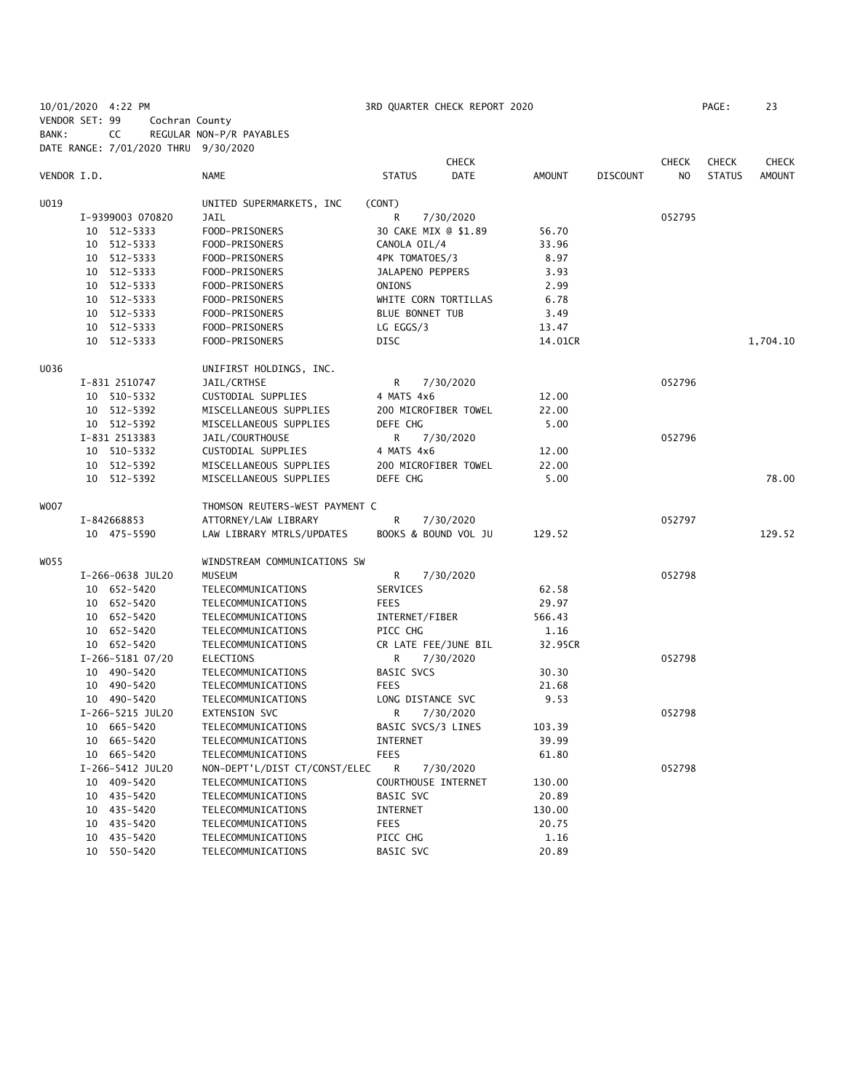10/01/2020 4:22 PM 3RD QUARTER CHECK REPORT 2020 PAGE: 23 VENDOR SET: 99 Cochran County BANK: CC REGULAR NON-P/R PAYABLES

|             | DATE RANGE: 7/01/2020 THRU 9/30/2020 |                                |                        |                      |               |                 |                |               |               |
|-------------|--------------------------------------|--------------------------------|------------------------|----------------------|---------------|-----------------|----------------|---------------|---------------|
|             |                                      |                                |                        | <b>CHECK</b>         |               |                 | <b>CHECK</b>   | <b>CHECK</b>  | CHECK         |
| VENDOR I.D. |                                      | <b>NAME</b>                    | <b>STATUS</b>          | <b>DATE</b>          | <b>AMOUNT</b> | <b>DISCOUNT</b> | N <sub>O</sub> | <b>STATUS</b> | <b>AMOUNT</b> |
| U019        |                                      | UNITED SUPERMARKETS, INC       | (CONT)                 |                      |               |                 |                |               |               |
|             | I-9399003 070820                     | <b>JAIL</b>                    | R.                     | 7/30/2020            |               |                 | 052795         |               |               |
|             | 10 512-5333                          | FOOD-PRISONERS                 |                        | 30 CAKE MIX @ \$1.89 | 56.70         |                 |                |               |               |
|             | 10 512-5333                          | FOOD-PRISONERS                 | CANOLA OIL/4           |                      | 33.96         |                 |                |               |               |
|             | 10 512-5333                          | FOOD-PRISONERS                 | 4PK TOMATOES/3         |                      | 8.97          |                 |                |               |               |
|             | 10 512-5333                          | FOOD-PRISONERS                 | JALAPENO PEPPERS       |                      | 3.93          |                 |                |               |               |
|             | 10 512-5333                          | FOOD-PRISONERS                 | ONIONS                 |                      | 2.99          |                 |                |               |               |
|             | 10 512-5333                          | FOOD-PRISONERS                 |                        | WHITE CORN TORTILLAS | 6.78          |                 |                |               |               |
|             | 10 512-5333                          | FOOD-PRISONERS                 | <b>BLUE BONNET TUB</b> |                      | 3.49          |                 |                |               |               |
|             | 10 512-5333                          | FOOD-PRISONERS                 | LG EGGS/3              |                      | 13.47         |                 |                |               |               |
|             | 10 512-5333                          | FOOD-PRISONERS                 | <b>DISC</b>            |                      | 14.01CR       |                 |                |               | 1,704.10      |
| U036        |                                      | UNIFIRST HOLDINGS, INC.        |                        |                      |               |                 |                |               |               |
|             | I-831 2510747                        | JAIL/CRTHSE                    | R                      | 7/30/2020            |               |                 | 052796         |               |               |
|             | 10 510-5332                          | CUSTODIAL SUPPLIES             | 4 MATS 4x6             |                      | 12.00         |                 |                |               |               |
|             | 10 512-5392                          | MISCELLANEOUS SUPPLIES         |                        | 200 MICROFIBER TOWEL | 22.00         |                 |                |               |               |
|             | 10 512-5392                          | MISCELLANEOUS SUPPLIES         | DEFE CHG               |                      | 5.00          |                 |                |               |               |
|             | I-831 2513383                        | JAIL/COURTHOUSE                | R                      | 7/30/2020            |               |                 | 052796         |               |               |
|             | 10 510-5332                          | CUSTODIAL SUPPLIES             | 4 MATS 4x6             |                      | 12.00         |                 |                |               |               |
|             | 10 512-5392                          | MISCELLANEOUS SUPPLIES         |                        | 200 MICROFIBER TOWEL | 22.00         |                 |                |               |               |
|             | 10 512-5392                          | MISCELLANEOUS SUPPLIES         | DEFE CHG               |                      | 5.00          |                 |                |               | 78.00         |
|             |                                      |                                |                        |                      |               |                 |                |               |               |
| WOO7        |                                      | THOMSON REUTERS-WEST PAYMENT C |                        |                      |               |                 |                |               |               |
|             | I-842668853                          | ATTORNEY/LAW LIBRARY           | R                      | 7/30/2020            |               |                 | 052797         |               |               |
|             | 10 475-5590                          | LAW LIBRARY MTRLS/UPDATES      |                        | BOOKS & BOUND VOL JU | 129.52        |                 |                |               | 129.52        |
| WO55        |                                      | WINDSTREAM COMMUNICATIONS SW   |                        |                      |               |                 |                |               |               |
|             | I-266-0638 JUL20                     | MUSEUM                         | R                      | 7/30/2020            |               |                 | 052798         |               |               |
|             | 10 652-5420                          | TELECOMMUNICATIONS             | SERVICES               |                      | 62.58         |                 |                |               |               |
|             | 10 652-5420                          | TELECOMMUNICATIONS             | <b>FEES</b>            |                      | 29.97         |                 |                |               |               |
|             | 10 652-5420                          | TELECOMMUNICATIONS             | INTERNET/FIBER         |                      | 566.43        |                 |                |               |               |
|             | 10 652-5420                          | TELECOMMUNICATIONS             | PICC CHG               |                      | 1.16          |                 |                |               |               |
|             | 10 652-5420                          | TELECOMMUNICATIONS             |                        | CR LATE FEE/JUNE BIL | 32.95CR       |                 |                |               |               |
|             | I-266-5181 07/20                     | ELECTIONS                      | R                      | 7/30/2020            |               |                 | 052798         |               |               |
|             | 10 490-5420                          | TELECOMMUNICATIONS             | BASIC SVCS             |                      | 30.30         |                 |                |               |               |
|             | 10 490-5420                          | TELECOMMUNICATIONS             | <b>FEES</b>            |                      | 21.68         |                 |                |               |               |
|             | 10 490-5420                          | TELECOMMUNICATIONS             |                        | LONG DISTANCE SVC    | 9.53          |                 |                |               |               |
|             | I-266-5215 JUL20                     | <b>EXTENSION SVC</b>           | R                      | 7/30/2020            |               |                 | 052798         |               |               |
|             | 10 665-5420                          | TELECOMMUNICATIONS             |                        | BASIC SVCS/3 LINES   | 103.39        |                 |                |               |               |
|             | 10 665-5420                          | TELECOMMUNICATIONS             | INTERNET               |                      | 39.99         |                 |                |               |               |
|             | 10 665-5420                          | TELECOMMUNICATIONS             | <b>FEES</b>            |                      | 61.80         |                 |                |               |               |
|             | I-266-5412 JUL20                     | NON-DEPT'L/DIST CT/CONST/ELEC  | R                      | 7/30/2020            |               |                 | 052798         |               |               |
|             | 10 409-5420                          | TELECOMMUNICATIONS             |                        | COURTHOUSE INTERNET  | 130.00        |                 |                |               |               |
|             | 10 435-5420                          | TELECOMMUNICATIONS             | BASIC SVC              |                      | 20.89         |                 |                |               |               |
|             | 10 435-5420                          | TELECOMMUNICATIONS             | INTERNET               |                      | 130.00        |                 |                |               |               |
|             | 10 435-5420                          | TELECOMMUNICATIONS             | <b>FEES</b>            |                      | 20.75         |                 |                |               |               |
|             | 10 435-5420                          | TELECOMMUNICATIONS             | PICC CHG               |                      | 1.16          |                 |                |               |               |
|             | 10 550-5420                          | TELECOMMUNICATIONS             | BASIC SVC              |                      | 20.89         |                 |                |               |               |
|             |                                      |                                |                        |                      |               |                 |                |               |               |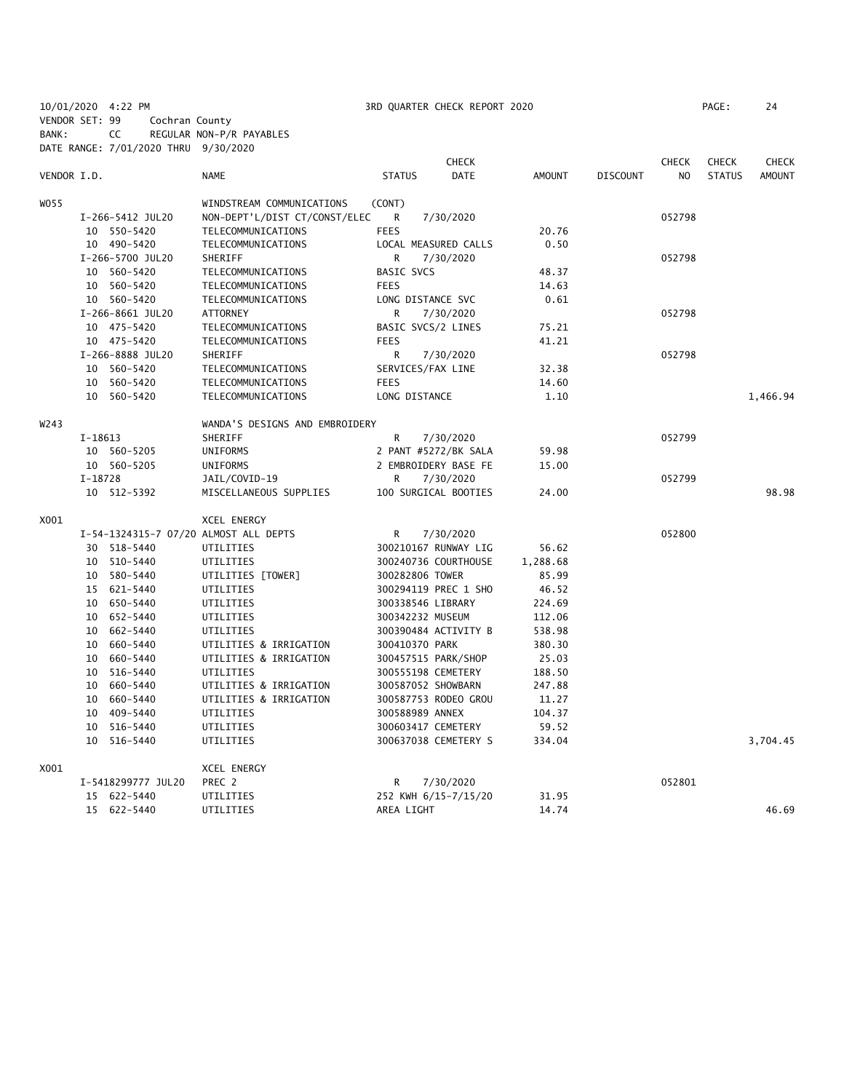BANK: CC REGULAR NON-P/R PAYABLES DATE RANGE: 7/01/2020 THRU 9/30/2020 **CHECK CHECK CHECK CHECK CHECK CHECK CHECK** VENDOR I.D. NAME STATUS DATE AMOUNT DISCOUNT NO STATUS AMOUNT WOSS WINDSTREAM COMMUNICATIONS (CONT) I-266-5412 JUL20 NON-DEPT'L/DIST CT/CONST/ELEC R 7/30/2020 052798 10 550-5420 TELECOMMUNICATIONS FEES 20.76 10 490-5420 TELECOMMUNICATIONS LOCAL MEASURED CALLS 0.50 I-266-5700 JUL20 SHERIFF R 7/30/2020 052798 10 560-5420 TELECOMMUNICATIONS BASIC SVCS 48.37 TELECOMMUNICATIONS FEES FEES 14.63 10 560-5420 TELECOMMUNICATIONS LONG DISTANCE SVC 0.61 I-266-8661 JUL20 ATTORNEY R 7/30/2020 052798 10 475-5420 TELECOMMUNICATIONS BASIC SVCS/2 LINES 75.21 10 475-5420 TELECOMMUNICATIONS FEES 41.21 I-266-8888 JUL20 SHERIFF R R 7/30/2020 R 7/30/2020 10 560-5420 TELECOMMUNICATIONS SERVICES/FAX LINE 32.38 10 560-5420 TELECOMMUNICATIONS FEES 14.60 10 560-5420 TELECOMMUNICATIONS LONG DISTANCE 1.10 1,466.94 W243 WANDA'S DESIGNS AND EMBROIDERY I-18613 SHERIFF R 7/30/2020 851 873 873 887 89 10 560-5205 UNIFORMS 2 PANT #5272/BK SALA 59.98 10 560-5205 UNIFORMS 2 EMBROIDERY BASE FE 15.00 I-18728 JAIL/COVID-19 R 7/30/2020 052799 10 512-5392 MISCELLANEOUS SUPPLIES 100 SURGICAL BOOTIES 24.00 98.98 X001 XCEL ENERGY I-54-1324315-7 07/20 ALMOST ALL DEPTS R 7/30/2020 052800 30 518-5440 UTILITIES 300210167 RUNWAY LIG 56.62 10 510-5440 UTILITIES 300240736 COURTHOUSE 1,288.68 10 580-5440 UTILITIES [TOWER] 300282806 TOWER 85.99 15 621-5440 UTILITIES 300294119 PREC 1 SHO 46.52 10 650-5440 UTILITIES 300338546 LIBRARY 224.69 10 652-5440 UTILITIES 300342232 MUSEUM 112.06 10 662-5440 UTILITIES 300390484 ACTIVITY B 538.98 10 660-5440 UTILITIES & IRRIGATION 300410370 PARK 380.30 10 660-5440 UTILITIES & IRRIGATION 300457515 PARK/SHOP 25.03 10 516-5440 UTILITIES 300555198 CEMETERY 188.50 10 660-5440 UTILITIES & IRRIGATION 300587052 SHOWBARN 247.88 10 660-5440 UTILITIES & IRRIGATION 300587753 RODEO GROU 11.27 10 409-5440 UTILITIES 300588989 ANNEX 104.37 10 516-5440 UTILITIES 300603417 CEMETERY 59.52 10 516-5440 UTILITIES 300637038 CEMETERY S 334.04 3,704.45 X001 XCEL ENERGY I-5418299777 JUL20 PREC 2 R 7/30/2020 052801 15 622-5440 UTILITIES 252 KWH 6/15-7/15/20 31.95 15 622-5440 UTILITIES AREA LIGHT 14.74 146.69

10/01/2020 4:22 PM 3RD QUARTER CHECK REPORT 2020 PAGE: 24

VENDOR SET: 99 Cochran County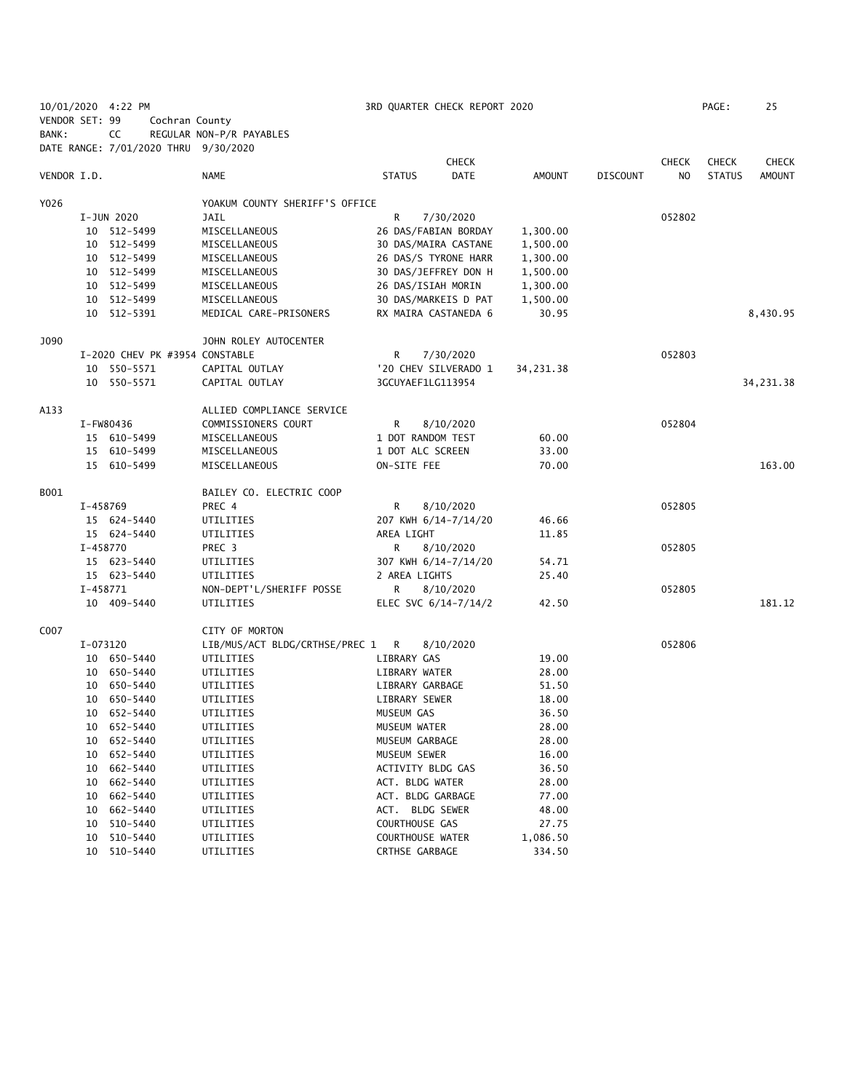|                |          | 10/01/2020 4:22 PM                   |                                  | 3RD QUARTER CHECK REPORT 2020     |                      |                |                 |              | PAGE:         | 25           |
|----------------|----------|--------------------------------------|----------------------------------|-----------------------------------|----------------------|----------------|-----------------|--------------|---------------|--------------|
| VENDOR SET: 99 |          | Cochran County                       |                                  |                                   |                      |                |                 |              |               |              |
| BANK:          |          | CC                                   | REGULAR NON-P/R PAYABLES         |                                   |                      |                |                 |              |               |              |
|                |          | DATE RANGE: 7/01/2020 THRU 9/30/2020 |                                  |                                   |                      |                |                 |              |               |              |
|                |          |                                      |                                  |                                   | <b>CHECK</b>         |                |                 | <b>CHECK</b> | <b>CHECK</b>  | <b>CHECK</b> |
| VENDOR I.D.    |          |                                      | <b>NAME</b>                      | <b>STATUS</b>                     | <b>DATE</b>          | AMOUNT         | <b>DISCOUNT</b> | NO           | <b>STATUS</b> | AMOUNT       |
| Y026           |          |                                      | YOAKUM COUNTY SHERIFF'S OFFICE   |                                   |                      |                |                 |              |               |              |
|                |          | I-JUN 2020                           | JAIL                             | R                                 | 7/30/2020            |                |                 | 052802       |               |              |
|                |          | 10 512-5499                          | MISCELLANEOUS                    |                                   | 26 DAS/FABIAN BORDAY | 1,300.00       |                 |              |               |              |
|                |          | 10 512-5499                          | MISCELLANEOUS                    |                                   | 30 DAS/MAIRA CASTANE | 1,500.00       |                 |              |               |              |
|                |          | 10 512-5499                          | MISCELLANEOUS                    |                                   | 26 DAS/S TYRONE HARR | 1,300.00       |                 |              |               |              |
|                |          | 10 512-5499                          | MISCELLANEOUS                    |                                   | 30 DAS/JEFFREY DON H | 1,500.00       |                 |              |               |              |
|                |          | 10 512-5499                          | MISCELLANEOUS                    | 26 DAS/ISIAH MORIN                |                      | 1,300.00       |                 |              |               |              |
|                |          | 10 512-5499                          | MISCELLANEOUS                    |                                   | 30 DAS/MARKEIS D PAT | 1,500.00       |                 |              |               |              |
|                |          | 10 512-5391                          | MEDICAL CARE-PRISONERS           |                                   | RX MAIRA CASTANEDA 6 | 30.95          |                 |              |               | 8,430.95     |
| J090           |          |                                      | JOHN ROLEY AUTOCENTER            |                                   |                      |                |                 |              |               |              |
|                |          | I-2020 CHEV PK #3954 CONSTABLE       |                                  | R                                 | 7/30/2020            |                |                 | 052803       |               |              |
|                |          | 10 550-5571                          | CAPITAL OUTLAY                   |                                   | '20 CHEV SILVERADO 1 | 34,231.38      |                 |              |               |              |
|                |          | 10 550-5571                          | CAPITAL OUTLAY                   | 3GCUYAEF1LG113954                 |                      |                |                 |              |               | 34,231.38    |
| A133           |          |                                      | ALLIED COMPLIANCE SERVICE        |                                   |                      |                |                 |              |               |              |
|                |          | I-FW80436                            | COMMISSIONERS COURT              | R                                 | 8/10/2020            |                |                 | 052804       |               |              |
|                |          | 15 610-5499                          | MISCELLANEOUS                    | 1 DOT RANDOM TEST                 |                      | 60.00          |                 |              |               |              |
|                |          | 15 610-5499                          | MISCELLANEOUS                    | 1 DOT ALC SCREEN                  |                      | 33.00          |                 |              |               |              |
|                |          | 15 610-5499                          | MISCELLANEOUS                    | ON-SITE FEE                       |                      | 70.00          |                 |              |               | 163.00       |
| B001           |          |                                      | BAILEY CO. ELECTRIC COOP         |                                   |                      |                |                 |              |               |              |
|                | I-458769 |                                      | PREC 4                           | R                                 | 8/10/2020            |                |                 | 052805       |               |              |
|                |          | 15 624-5440                          | UTILITIES                        |                                   | 207 KWH 6/14-7/14/20 | 46.66          |                 |              |               |              |
|                |          | 15 624-5440                          | UTILITIES                        | AREA LIGHT                        |                      | 11.85          |                 |              |               |              |
|                | I-458770 |                                      | PREC 3                           | R                                 | 8/10/2020            |                |                 | 052805       |               |              |
|                |          | 15 623-5440                          | UTILITIES                        |                                   | 307 KWH 6/14-7/14/20 | 54.71          |                 |              |               |              |
|                |          | 15 623-5440                          | UTILITIES                        | 2 AREA LIGHTS                     |                      | 25.40          |                 |              |               |              |
|                | I-458771 |                                      | NON-DEPT'L/SHERIFF POSSE         | R                                 | 8/10/2020            |                |                 | 052805       |               |              |
|                |          | 10 409-5440                          | UTILITIES                        |                                   | ELEC SVC 6/14-7/14/2 | 42.50          |                 |              |               | 181.12       |
| C007           |          |                                      | CITY OF MORTON                   |                                   |                      |                |                 |              |               |              |
|                | I-073120 |                                      | LIB/MUS/ACT BLDG/CRTHSE/PREC 1 R |                                   | 8/10/2020            |                |                 | 052806       |               |              |
|                |          | 10 650-5440                          | UTILITIES                        | LIBRARY GAS                       |                      | 19.00          |                 |              |               |              |
|                |          | 10 650-5440                          | UTILITIES                        | LIBRARY WATER                     |                      | 28.00          |                 |              |               |              |
|                |          | 10 650-5440                          | UTILITIES                        | LIBRARY GARBAGE                   |                      | 51.50          |                 |              |               |              |
|                |          | 10 650-5440                          | UTILITIES                        | LIBRARY SEWER                     |                      | 18.00          |                 |              |               |              |
|                |          | 10 652-5440                          | UTILITIES                        | MUSEUM GAS                        |                      | 36.50          |                 |              |               |              |
|                | 10       | 652-5440                             | UTILITIES                        | MUSEUM WATER                      |                      | 28.00          |                 |              |               |              |
|                | 10       | 652-5440                             | UTILITIES                        | MUSEUM GARBAGE                    |                      | 28.00          |                 |              |               |              |
|                | 10       | 652-5440                             | UTILITIES                        | MUSEUM SEWER                      |                      | 16.00          |                 |              |               |              |
|                | 10       | 662-5440                             | UTILITIES                        | ACTIVITY BLDG GAS                 |                      | 36.50          |                 |              |               |              |
|                | 10       | 662-5440                             | UTILITIES                        | ACT. BLDG WATER                   |                      | 28.00          |                 |              |               |              |
|                | 10       | 662-5440<br>662-5440                 | UTILITIES                        | ACT. BLDG GARBAGE                 |                      | 77.00          |                 |              |               |              |
|                | 10       | 510-5440                             | UTILITIES                        | ACT. BLDG SEWER<br>COURTHOUSE GAS |                      | 48.00<br>27.75 |                 |              |               |              |
|                | 10<br>10 | 510-5440                             | UTILITIES<br>UTILITIES           | COURTHOUSE WATER                  |                      | 1,086.50       |                 |              |               |              |
|                | 10       | 510-5440                             | UTILITIES                        | CRTHSE GARBAGE                    |                      | 334.50         |                 |              |               |              |
|                |          |                                      |                                  |                                   |                      |                |                 |              |               |              |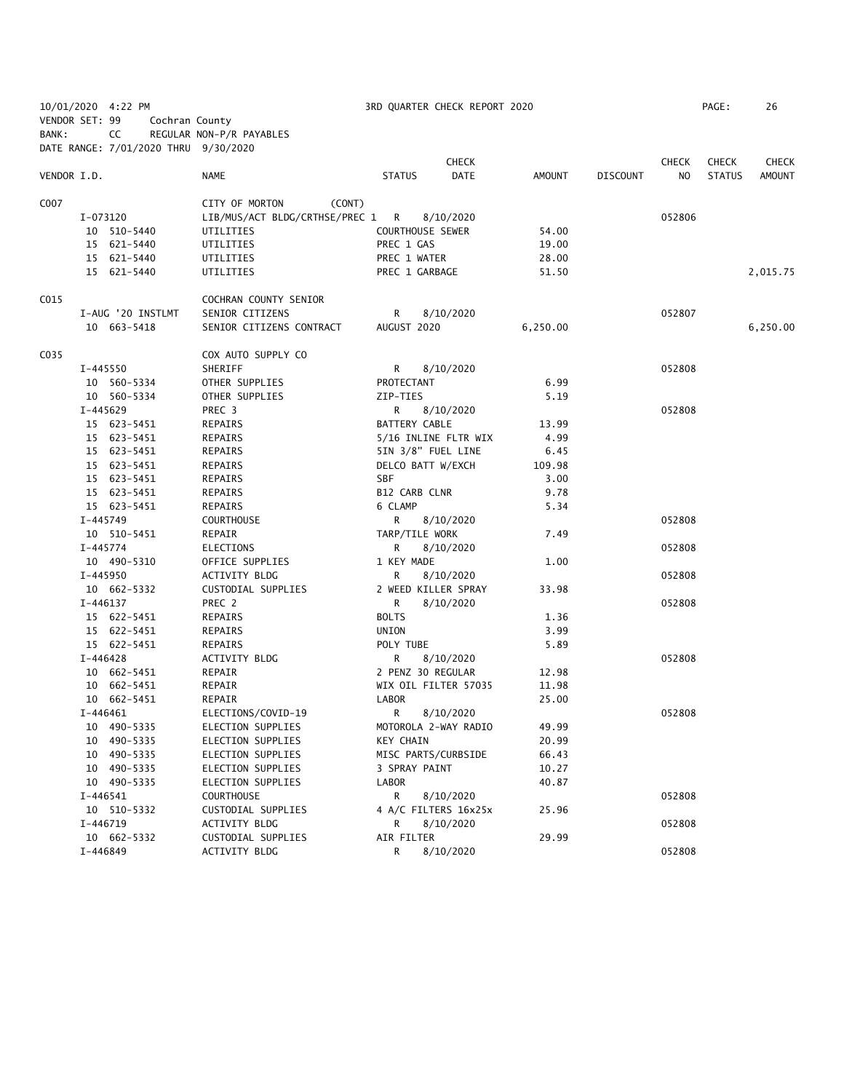|                |              | 10/01/2020 4:22 PM                   |                                  |                         | 3RD QUARTER CHECK REPORT 2020 |          |                 |              | PAGE:         | 26            |
|----------------|--------------|--------------------------------------|----------------------------------|-------------------------|-------------------------------|----------|-----------------|--------------|---------------|---------------|
| VENDOR SET: 99 |              | Cochran County                       |                                  |                         |                               |          |                 |              |               |               |
| BANK:          |              | CC                                   | REGULAR NON-P/R PAYABLES         |                         |                               |          |                 |              |               |               |
|                |              | DATE RANGE: 7/01/2020 THRU 9/30/2020 |                                  |                         |                               |          |                 |              |               |               |
|                |              |                                      |                                  |                         | <b>CHECK</b>                  |          |                 | <b>CHECK</b> | <b>CHECK</b>  | <b>CHECK</b>  |
| VENDOR I.D.    |              |                                      | NAME                             | <b>STATUS</b>           | DATE                          | AMOUNT   | <b>DISCOUNT</b> | NO.          | <b>STATUS</b> | <b>AMOUNT</b> |
|                |              |                                      |                                  |                         |                               |          |                 |              |               |               |
| C007           |              |                                      | CITY OF MORTON<br>(CONT)         |                         |                               |          |                 |              |               |               |
|                | I-073120     |                                      | LIB/MUS/ACT BLDG/CRTHSE/PREC 1 R |                         | 8/10/2020                     |          |                 | 052806       |               |               |
|                |              | 10 510-5440                          | UTILITIES                        | <b>COURTHOUSE SEWER</b> |                               | 54.00    |                 |              |               |               |
|                |              | 15 621-5440                          | UTILITIES                        | PREC 1 GAS              |                               | 19.00    |                 |              |               |               |
|                |              | 15 621-5440                          | UTILITIES                        | PREC 1 WATER            |                               | 28.00    |                 |              |               |               |
|                |              | 15 621-5440                          | UTILITIES                        | PREC 1 GARBAGE          |                               | 51.50    |                 |              |               | 2,015.75      |
| C015           |              |                                      | COCHRAN COUNTY SENIOR            |                         |                               |          |                 |              |               |               |
|                |              | I-AUG '20 INSTLMT                    | SENIOR CITIZENS                  | R                       | 8/10/2020                     |          |                 | 052807       |               |               |
|                |              | 10 663-5418                          | SENIOR CITIZENS CONTRACT         | AUGUST 2020             |                               | 6,250.00 |                 |              |               | 6,250.00      |
|                |              |                                      |                                  |                         |                               |          |                 |              |               |               |
| C035           |              |                                      | COX AUTO SUPPLY CO               |                         |                               |          |                 |              |               |               |
|                | I-445550     |                                      | SHERIFF                          | R                       | 8/10/2020                     |          |                 | 052808       |               |               |
|                |              | 10 560-5334                          | OTHER SUPPLIES                   | PROTECTANT              |                               | 6.99     |                 |              |               |               |
|                |              | 10 560-5334                          | OTHER SUPPLIES                   | ZIP-TIES                |                               | 5.19     |                 |              |               |               |
|                | I-445629     |                                      | PREC 3                           | R                       | 8/10/2020                     |          |                 | 052808       |               |               |
|                |              | 15 623-5451                          | REPAIRS                          | <b>BATTERY CABLE</b>    |                               | 13.99    |                 |              |               |               |
|                |              | 15 623-5451                          | REPAIRS                          |                         | 5/16 INLINE FLTR WIX          | 4.99     |                 |              |               |               |
|                |              | 15 623-5451                          | REPAIRS                          |                         | 5IN 3/8" FUEL LINE            | 6.45     |                 |              |               |               |
|                |              | 15 623-5451                          | REPAIRS                          | DELCO BATT W/EXCH       |                               | 109.98   |                 |              |               |               |
|                |              | 15 623-5451                          | REPAIRS                          | <b>SBF</b>              |                               | 3.00     |                 |              |               |               |
|                |              | 15 623-5451                          | REPAIRS                          | B12 CARB CLNR           |                               | 9.78     |                 |              |               |               |
|                |              | 15 623-5451                          | REPAIRS                          | 6 CLAMP                 |                               | 5.34     |                 |              |               |               |
|                | $I - 445749$ |                                      | <b>COURTHOUSE</b>                | R                       | 8/10/2020                     |          |                 | 052808       |               |               |
|                |              | 10 510-5451                          | REPAIR                           | TARP/TILE WORK          |                               | 7.49     |                 |              |               |               |
|                | I-445774     |                                      | <b>ELECTIONS</b>                 | R                       | 8/10/2020                     |          |                 | 052808       |               |               |
|                |              | 10 490-5310                          | OFFICE SUPPLIES                  | 1 KEY MADE              |                               | 1.00     |                 |              |               |               |
|                | I-445950     |                                      | ACTIVITY BLDG                    | R                       | 8/10/2020                     |          |                 | 052808       |               |               |
|                |              | 10 662-5332                          | CUSTODIAL SUPPLIES               |                         | 2 WEED KILLER SPRAY           | 33.98    |                 |              |               |               |
|                | $I-446137$   |                                      | PREC 2                           | R                       | 8/10/2020                     |          |                 | 052808       |               |               |
|                |              | 15 622-5451                          | REPAIRS                          | <b>BOLTS</b>            |                               | 1.36     |                 |              |               |               |
|                |              | 15 622-5451                          | REPAIRS                          | UNION                   |                               | 3.99     |                 |              |               |               |
|                |              | 15 622-5451                          | REPAIRS                          | POLY TUBE               |                               | 5.89     |                 |              |               |               |
|                | $I - 446428$ |                                      | ACTIVITY BLDG                    | R                       | 8/10/2020                     |          |                 | 052808       |               |               |
|                |              | 10 662-5451                          | REPAIR                           | 2 PENZ 30 REGULAR       |                               | 12.98    |                 |              |               |               |
|                |              | 10 662-5451                          | REPAIR                           |                         | WIX OIL FILTER 57035          | 11.98    |                 |              |               |               |
|                |              | 10 662-5451                          | REPAIR                           | LABOR                   |                               | 25.00    |                 |              |               |               |
|                |              | $I-446461$                           | ELECTIONS/COVID-19               | R                       | 8/10/2020                     |          |                 | 052808       |               |               |
|                |              | 10 490-5335                          | ELECTION SUPPLIES                |                         | MOTOROLA 2-WAY RADIO          | 49.99    |                 |              |               |               |
|                |              |                                      |                                  |                         |                               |          |                 |              |               |               |
|                |              | 10 490-5335                          | ELECTION SUPPLIES                | <b>KEY CHAIN</b>        |                               | 20.99    |                 |              |               |               |
|                |              | 10 490-5335                          | ELECTION SUPPLIES                |                         | MISC PARTS/CURBSIDE           | 66.43    |                 |              |               |               |
|                |              | 10 490-5335                          | ELECTION SUPPLIES                | 3 SPRAY PAINT           |                               | 10.27    |                 |              |               |               |
|                |              | 10 490-5335                          | ELECTION SUPPLIES                | LABOR                   |                               | 40.87    |                 |              |               |               |
|                |              | $I - 446541$                         | <b>COURTHOUSE</b>                | R                       | 8/10/2020                     |          |                 | 052808       |               |               |
|                |              | 10 510-5332                          | CUSTODIAL SUPPLIES               |                         | 4 A/C FILTERS 16x25x          | 25.96    |                 |              |               |               |
|                | I-446719     |                                      | ACTIVITY BLDG                    | R                       | 8/10/2020                     |          |                 | 052808       |               |               |
|                |              | 10 662-5332                          | CUSTODIAL SUPPLIES               | AIR FILTER              |                               | 29.99    |                 |              |               |               |
|                | I-446849     |                                      | ACTIVITY BLDG                    | R                       | 8/10/2020                     |          |                 | 052808       |               |               |
|                |              |                                      |                                  |                         |                               |          |                 |              |               |               |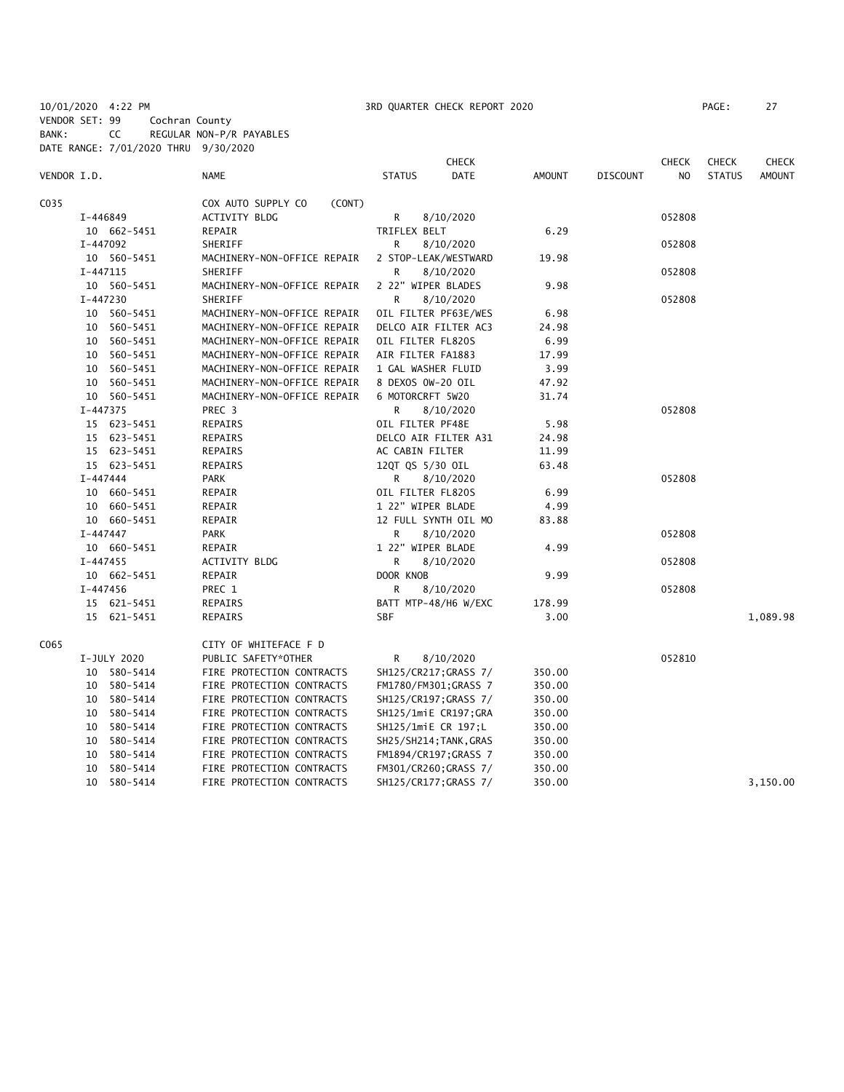10/01/2020 4:22 PM 3RD QUARTER CHECK REPORT 2020 PAGE: 27 VENDOR SET: 99 Cochran County

BANK: CC REGULAR NON-P/R PAYABLES

DATE RANGE: 7/01/2020 THRU 9/30/2020 **CHECK CHECK CHECK CHECK CHECK CHECK CHECK** VENDOR I.D. NAME STATUS DATE AMOUNT DISCOUNT NO STATUS AMOUNT C035 COX AUTO SUPPLY CO (CONT) I-446849 ACTIVITY BLDG R 8/10/2020 052808 10 662-5451 REPAIR TRIFLEX BELT 6.29 I-447092 SHERIFF R 8/10/2020 052808 10 560-5451 MACHINERY-NON-OFFICE REPAIR 2 STOP-LEAK/WESTWARD 19.98 I-447115 SHERIFF R 8/10/2020 R 8/10/2020 952808 10 560-5451 MACHINERY-NON-OFFICE REPAIR 2 22" WIPER BLADES 9.98 I-447230 SHERIFF R 8/10/2020 052808 10 560-5451 MACHINERY-NON-OFFICE REPAIR OIL FILTER PF63E/WES 6.98 10 560-5451 MACHINERY-NON-OFFICE REPAIR DELCO AIR FILTER AC3 24.98 10 560-5451 MACHINERY-NON-OFFICE REPAIR OIL FILTER FL820S 6.99 10 560-5451 MACHINERY-NON-OFFICE REPAIR AIR FILTER FA1883 17.99 10 560-5451 MACHINERY-NON-OFFICE REPAIR 1 GAL WASHER FLUID 3.99 10 560-5451 MACHINERY-NON-OFFICE REPAIR 8 DEXOS 0W-20 OIL 47.92 10 560-5451 MACHINERY-NON-OFFICE REPAIR 6 MOTORCRFT 5W20 31.74 I-447375 PREC 3 R 8/10/2020 052808 15 623-5451 REPAIRS OIL FILTER PF48E 5.98 15 623-5451 REPAIRS DELCO AIR FILTER A31 24.98 15 623-5451 REPAIRS AC CABIN FILTER 11.99 15 623-5451 REPAIRS 12QT QS 5/30 OIL 63.48 I-447444 PARK R 8/10/2020 052808 10 660-5451 REPAIR OIL FILTER FL820S 6.99 10 660-5451 REPAIR 1 22" WIPER BLADE 4.99 10 660-5451 REPAIR 12 FULL SYNTH OIL MO 83.88 I-447447 PARK R 8/10/2020 052808 10 660-5451 REPAIR 1 22" WIPER BLADE 4.99 I-447455 ACTIVITY BLDG R 8/10/2020 052808 10 662-5451 REPAIR DOOR KNOB 9.99 I-447456 PREC 1 R 8/10/2020 052808 15 621-5451 REPAIRS BATT MTP-48/H6 W/EXC 178.99 15 621-5451 REPAIRS SBF 3.00 1,089.98 C065 CITY OF WHITEFACE F D I-JULY 2020 PUBLIC SAFETY\*OTHER R 8/10/2020 852810 10 580-5414 FIRE PROTECTION CONTRACTS SH125/CR217;GRASS 7/ 350.00 10 580-5414 FIRE PROTECTION CONTRACTS FM1780/FM301;GRASS 7 350.00 10 580-5414 FIRE PROTECTION CONTRACTS SH125/CR197;GRASS 7/ 350.00 10 580-5414 FIRE PROTECTION CONTRACTS SH125/1miE CR197;GRA 350.00 10 580-5414 FIRE PROTECTION CONTRACTS SH125/1miE CR 197;L 350.00 10 580-5414 FIRE PROTECTION CONTRACTS SH25/SH214;TANK,GRAS 350.00 10 580-5414 FIRE PROTECTION CONTRACTS FM1894/CR197;GRASS 7 350.00 10 580-5414 FIRE PROTECTION CONTRACTS FM301/CR260;GRASS 7/ 350.00 10 580-5414 FIRE PROTECTION CONTRACTS SH125/CR177;GRASS 7/ 350.00 3,150.00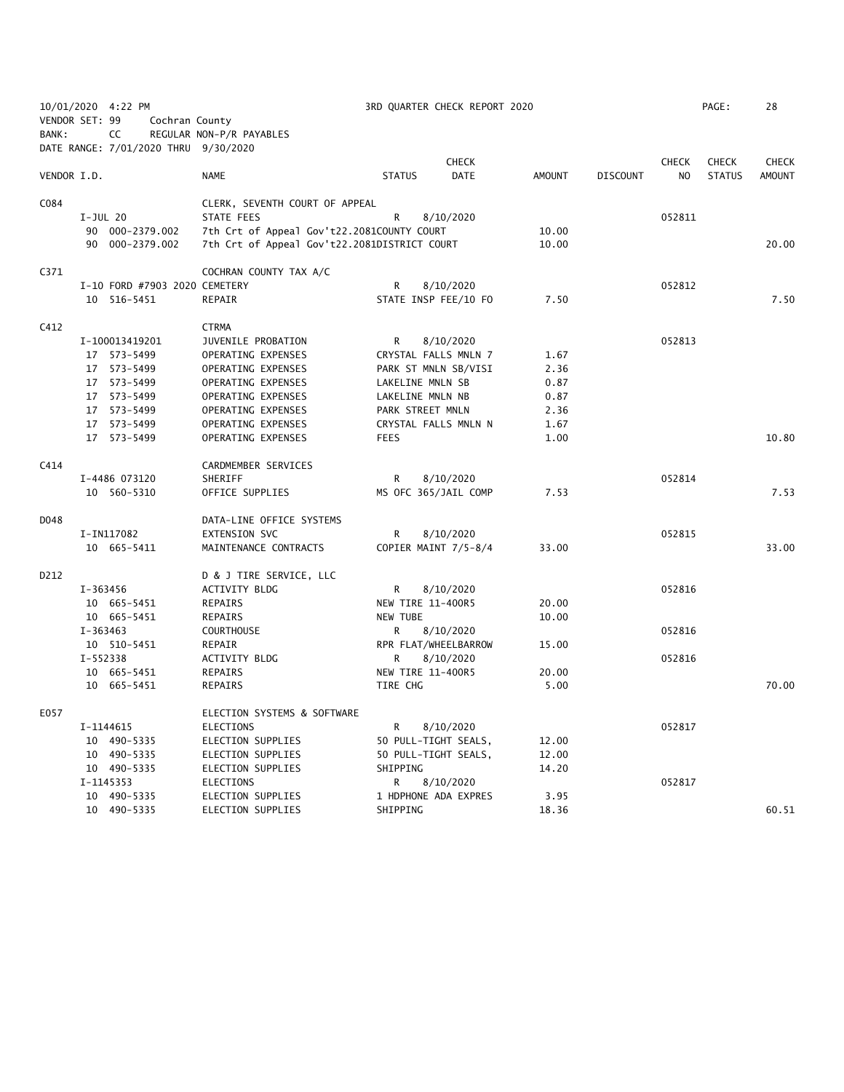|                |            | 10/01/2020 4:22 PM                   |                                              |                      | 3RD QUARTER CHECK REPORT 2020 |        |                 |                | PAGE:         | 28            |
|----------------|------------|--------------------------------------|----------------------------------------------|----------------------|-------------------------------|--------|-----------------|----------------|---------------|---------------|
| VENDOR SET: 99 |            | Cochran County                       |                                              |                      |                               |        |                 |                |               |               |
| BANK:          |            | CC                                   | REGULAR NON-P/R PAYABLES                     |                      |                               |        |                 |                |               |               |
|                |            | DATE RANGE: 7/01/2020 THRU 9/30/2020 |                                              |                      |                               |        |                 |                |               |               |
|                |            |                                      |                                              |                      | <b>CHECK</b>                  |        |                 | <b>CHECK</b>   | <b>CHECK</b>  | <b>CHECK</b>  |
| VENDOR I.D.    |            |                                      | <b>NAME</b>                                  | <b>STATUS</b>        | <b>DATE</b>                   | AMOUNT | <b>DISCOUNT</b> | N <sub>O</sub> | <b>STATUS</b> | <b>AMOUNT</b> |
|                |            |                                      |                                              |                      |                               |        |                 |                |               |               |
| C084           |            |                                      | CLERK, SEVENTH COURT OF APPEAL               |                      |                               |        |                 |                |               |               |
|                | $I-JUL$ 20 |                                      | STATE FEES                                   | R                    | 8/10/2020                     |        |                 | 052811         |               |               |
|                |            | 90 000-2379.002                      | 7th Crt of Appeal Gov't22.2081COUNTY COURT   |                      |                               | 10.00  |                 |                |               |               |
|                |            | 90 000-2379.002                      | 7th Crt of Appeal Gov't22.2081DISTRICT COURT |                      |                               | 10.00  |                 |                |               | 20.00         |
| C371           |            |                                      | COCHRAN COUNTY TAX A/C                       |                      |                               |        |                 |                |               |               |
|                |            | I-10 FORD #7903 2020 CEMETERY        |                                              | R                    | 8/10/2020                     |        |                 | 052812         |               |               |
|                |            | 10 516-5451                          | REPAIR                                       | STATE INSP FEE/10 FO |                               | 7.50   |                 |                |               | 7.50          |
| C412           |            |                                      | <b>CTRMA</b>                                 |                      |                               |        |                 |                |               |               |
|                |            | I-100013419201                       | JUVENILE PROBATION                           | R                    | 8/10/2020                     |        |                 | 052813         |               |               |
|                |            | 17 573-5499                          | OPERATING EXPENSES                           | CRYSTAL FALLS MNLN 7 |                               | 1.67   |                 |                |               |               |
|                |            | 17 573-5499                          | OPERATING EXPENSES                           | PARK ST MNLN SB/VISI |                               | 2.36   |                 |                |               |               |
|                |            | 17 573-5499                          | OPERATING EXPENSES                           | LAKELINE MNLN SB     |                               | 0.87   |                 |                |               |               |
|                |            | 17 573-5499                          | OPERATING EXPENSES                           | LAKELINE MNLN NB     |                               | 0.87   |                 |                |               |               |
|                |            | 17 573-5499                          | OPERATING EXPENSES                           | PARK STREET MNLN     |                               | 2.36   |                 |                |               |               |
|                |            | 17 573-5499                          | OPERATING EXPENSES                           | CRYSTAL FALLS MNLN N |                               | 1.67   |                 |                |               |               |
|                |            | 17 573-5499                          | OPERATING EXPENSES                           | <b>FEES</b>          |                               | 1.00   |                 |                |               | 10.80         |
| C414           |            |                                      | CARDMEMBER SERVICES                          |                      |                               |        |                 |                |               |               |
|                |            | I-4486 073120                        | SHERIFF                                      | R                    | 8/10/2020                     |        |                 | 052814         |               |               |
|                |            | 10 560-5310                          | OFFICE SUPPLIES                              | MS OFC 365/JAIL COMP |                               | 7.53   |                 |                |               | 7.53          |
| D048           |            |                                      | DATA-LINE OFFICE SYSTEMS                     |                      |                               |        |                 |                |               |               |
|                |            | I-IN117082                           | EXTENSION SVC                                | R                    | 8/10/2020                     |        |                 | 052815         |               |               |
|                |            | 10 665-5411                          | MAINTENANCE CONTRACTS                        | COPIER MAINT 7/5-8/4 |                               | 33.00  |                 |                |               | 33.00         |
| D212           |            |                                      | D & J TIRE SERVICE, LLC                      |                      |                               |        |                 |                |               |               |
|                | I-363456   |                                      | ACTIVITY BLDG                                | R                    | 8/10/2020                     |        |                 | 052816         |               |               |
|                |            | 10 665-5451                          | REPAIRS                                      | NEW TIRE 11-400R5    |                               | 20.00  |                 |                |               |               |
|                |            | 10 665-5451                          | REPAIRS                                      | <b>NEW TUBE</b>      |                               | 10.00  |                 |                |               |               |
|                | $I-363463$ |                                      | <b>COURTHOUSE</b>                            | R                    | 8/10/2020                     |        |                 | 052816         |               |               |
|                |            | 10 510-5451                          | REPAIR                                       | RPR FLAT/WHEELBARROW |                               | 15.00  |                 |                |               |               |
|                | I-552338   |                                      | ACTIVITY BLDG                                | R                    | 8/10/2020                     |        |                 | 052816         |               |               |
|                |            | 10 665-5451                          | REPAIRS                                      | NEW TIRE 11-400R5    |                               | 20.00  |                 |                |               |               |
|                |            | 10 665-5451                          | REPAIRS                                      | TIRE CHG             |                               | 5.00   |                 |                |               | 70.00         |
| E057           |            |                                      | ELECTION SYSTEMS & SOFTWARE                  |                      |                               |        |                 |                |               |               |
|                |            | I-1144615                            | ELECTIONS                                    | R.                   | 8/10/2020                     |        |                 | 052817         |               |               |
|                |            | 10 490-5335                          | ELECTION SUPPLIES                            | 50 PULL-TIGHT SEALS, |                               | 12.00  |                 |                |               |               |
|                |            | 10 490-5335                          | ELECTION SUPPLIES                            | 50 PULL-TIGHT SEALS, |                               | 12.00  |                 |                |               |               |
|                |            | 10 490-5335                          | ELECTION SUPPLIES                            | SHIPPING             |                               | 14.20  |                 |                |               |               |
|                |            | I-1145353                            | ELECTIONS                                    | R                    | 8/10/2020                     |        |                 | 052817         |               |               |
|                |            | 10 490-5335                          | ELECTION SUPPLIES                            | 1 HDPHONE ADA EXPRES |                               | 3.95   |                 |                |               |               |
|                |            | 10 490-5335                          | ELECTION SUPPLIES                            | SHIPPING             |                               | 18.36  |                 |                |               | 60.51         |
|                |            |                                      |                                              |                      |                               |        |                 |                |               |               |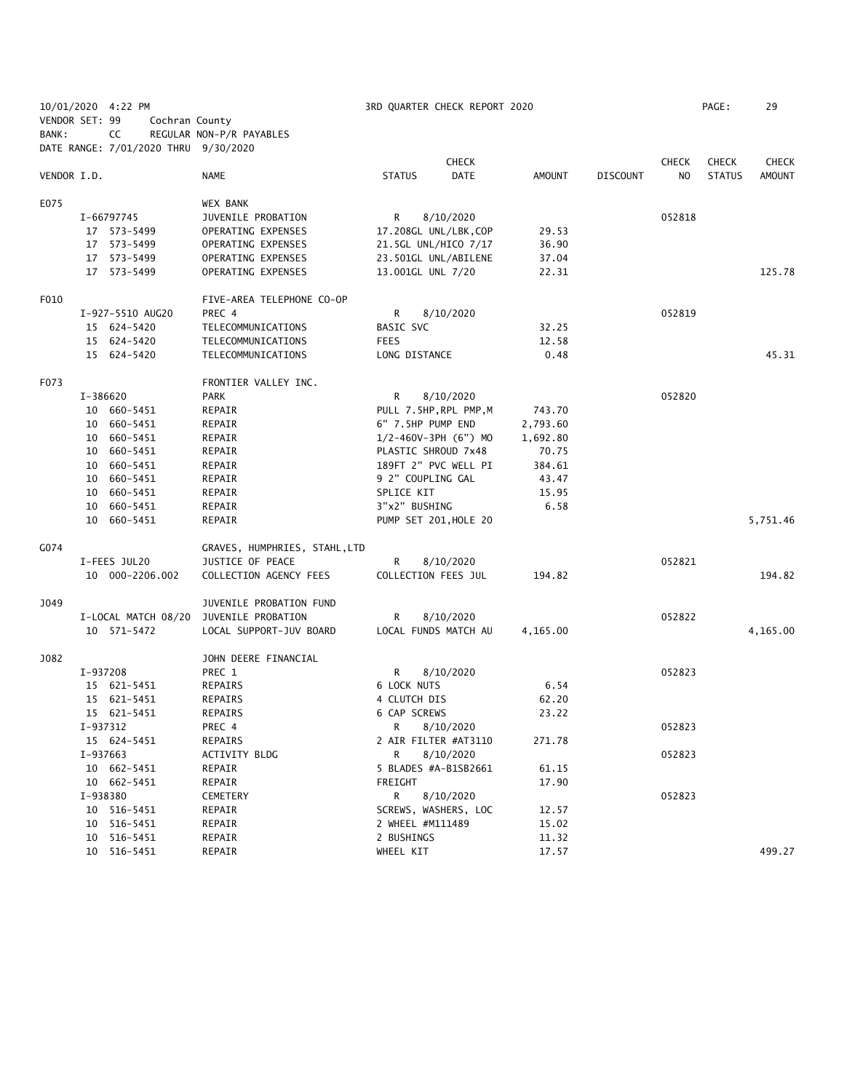| 10/01/2020 4:22 PM<br>VENDOR SET: 99 |          |                                      |                                                  | 3RD QUARTER CHECK REPORT 2020 |                            |               |                 |                |               | 29            |
|--------------------------------------|----------|--------------------------------------|--------------------------------------------------|-------------------------------|----------------------------|---------------|-----------------|----------------|---------------|---------------|
|                                      |          | Cochran County                       |                                                  |                               |                            |               |                 |                |               |               |
| BANK:                                |          | CC                                   | REGULAR NON-P/R PAYABLES                         |                               |                            |               |                 |                |               |               |
|                                      |          | DATE RANGE: 7/01/2020 THRU 9/30/2020 |                                                  |                               |                            |               |                 |                |               |               |
| VENDOR I.D.                          |          |                                      |                                                  |                               | <b>CHECK</b>               |               |                 | <b>CHECK</b>   | <b>CHECK</b>  | <b>CHECK</b>  |
|                                      |          |                                      | <b>NAME</b>                                      | <b>STATUS</b>                 | <b>DATE</b>                | <b>AMOUNT</b> | <b>DISCOUNT</b> | N <sub>O</sub> | <b>STATUS</b> | <b>AMOUNT</b> |
| E075                                 |          |                                      | <b>WEX BANK</b>                                  |                               |                            |               |                 |                |               |               |
|                                      |          | I-66797745                           | JUVENILE PROBATION                               | R                             | 8/10/2020                  |               |                 | 052818         |               |               |
|                                      |          | 17 573-5499                          | OPERATING EXPENSES                               |                               | 17.208GL UNL/LBK, COP      | 29.53         |                 |                |               |               |
|                                      |          | 17 573-5499                          | OPERATING EXPENSES                               |                               | 21.5GL UNL/HICO 7/17       | 36.90         |                 |                |               |               |
|                                      |          | 17 573-5499                          | OPERATING EXPENSES                               |                               | 23.501GL UNL/ABILENE       | 37.04         |                 |                |               |               |
|                                      |          | 17 573-5499                          | OPERATING EXPENSES                               | 13.001GL UNL 7/20             |                            | 22.31         |                 |                |               | 125.78        |
|                                      |          |                                      |                                                  |                               |                            |               |                 |                |               |               |
| F010                                 |          |                                      | FIVE-AREA TELEPHONE CO-OP                        |                               |                            |               |                 |                |               |               |
|                                      |          | I-927-5510 AUG20                     | PREC 4                                           | R                             | 8/10/2020                  |               |                 | 052819         |               |               |
|                                      |          | 15 624-5420                          | TELECOMMUNICATIONS                               | BASIC SVC                     |                            | 32.25         |                 |                |               |               |
|                                      |          | 15 624-5420                          | TELECOMMUNICATIONS                               | <b>FEES</b>                   |                            | 12.58         |                 |                |               |               |
|                                      |          | 15 624-5420                          | TELECOMMUNICATIONS                               | LONG DISTANCE                 |                            | 0.48          |                 |                |               | 45.31         |
|                                      |          |                                      |                                                  |                               |                            |               |                 |                |               |               |
| F073                                 |          |                                      | FRONTIER VALLEY INC.                             |                               |                            |               |                 |                |               |               |
|                                      | I-386620 |                                      | <b>PARK</b>                                      | R                             | 8/10/2020                  |               |                 | 052820         |               |               |
|                                      |          | 10 660-5451                          | REPAIR                                           |                               | PULL 7.5HP, RPL PMP, M     | 743.70        |                 |                |               |               |
|                                      |          | 10 660-5451                          | REPAIR                                           | 6" 7.5HP PUMP END             |                            | 2,793.60      |                 |                |               |               |
|                                      |          | 10 660-5451                          | REPAIR                                           |                               | $1/2 - 460V - 3PH (6") MO$ | 1,692.80      |                 |                |               |               |
|                                      |          | 10 660-5451                          | REPAIR                                           | PLASTIC SHROUD 7x48           |                            | 70.75         |                 |                |               |               |
|                                      |          | 10 660-5451                          | REPAIR                                           |                               | 189FT 2" PVC WELL PI       | 384.61        |                 |                |               |               |
|                                      |          | 10 660-5451                          | REPAIR                                           | 9 2" COUPLING GAL             |                            | 43.47         |                 |                |               |               |
|                                      |          | 10 660-5451                          | REPAIR                                           | SPLICE KIT                    |                            | 15.95         |                 |                |               |               |
|                                      |          | 10 660-5451                          | REPAIR                                           | 3"x2" BUSHING                 |                            | 6.58          |                 |                |               |               |
|                                      |          | 10 660-5451                          | REPAIR                                           |                               | PUMP SET 201, HOLE 20      |               |                 |                |               | 5,751.46      |
| G074                                 |          |                                      |                                                  |                               |                            |               |                 |                |               |               |
|                                      |          | I-FEES JUL20                         | GRAVES, HUMPHRIES, STAHL,LTD<br>JUSTICE OF PEACE |                               |                            |               |                 | 052821         |               |               |
|                                      |          |                                      |                                                  | R                             | 8/10/2020                  | 194.82        |                 |                |               | 194.82        |
|                                      |          | 10 000-2206.002                      | COLLECTION AGENCY FEES                           | COLLECTION FEES JUL           |                            |               |                 |                |               |               |
| J049                                 |          |                                      | JUVENILE PROBATION FUND                          |                               |                            |               |                 |                |               |               |
|                                      |          | I-LOCAL MATCH 08/20                  | JUVENILE PROBATION                               | R                             | 8/10/2020                  |               |                 | 052822         |               |               |
|                                      |          | 10 571-5472                          | LOCAL SUPPORT-JUV BOARD                          |                               | LOCAL FUNDS MATCH AU       | 4,165.00      |                 |                |               | 4,165.00      |
|                                      |          |                                      |                                                  |                               |                            |               |                 |                |               |               |
| J082                                 |          |                                      | JOHN DEERE FINANCIAL                             |                               |                            |               |                 | 052823         |               |               |
|                                      | I-937208 |                                      | PREC 1                                           | R<br><b>6 LOCK NUTS</b>       | 8/10/2020                  |               |                 |                |               |               |
|                                      |          | 15 621-5451                          | REPAIRS                                          | 4 CLUTCH DIS                  |                            | 6.54          |                 |                |               |               |
|                                      |          | 15 621-5451                          | REPAIRS                                          |                               |                            | 62.20         |                 |                |               |               |
|                                      |          | 15 621-5451                          | REPAIRS                                          | 6 CAP SCREWS                  |                            | 23.22         |                 |                |               |               |
|                                      | I-937312 |                                      | PREC 4                                           | R                             | 8/10/2020                  |               |                 | 052823         |               |               |
|                                      |          | 15 624-5451                          | REPAIRS                                          |                               | 2 AIR FILTER #AT3110       | 271.78        |                 |                |               |               |
|                                      | I-937663 |                                      | ACTIVITY BLDG                                    | R                             | 8/10/2020                  |               |                 | 052823         |               |               |
|                                      |          | 10 662-5451                          | REPAIR                                           |                               | 5 BLADES #A-B1SB2661       | 61.15         |                 |                |               |               |
|                                      |          | 10 662-5451                          | REPAIR                                           | FREIGHT                       |                            | 17.90         |                 |                |               |               |
|                                      | I-938380 |                                      | CEMETERY                                         | R                             | 8/10/2020                  |               |                 | 052823         |               |               |
|                                      |          | 10 516-5451                          | REPAIR                                           |                               | SCREWS, WASHERS, LOC       | 12.57         |                 |                |               |               |
|                                      |          | 10 516-5451                          | REPAIR                                           | 2 WHEEL #M111489              |                            | 15.02         |                 |                |               |               |
|                                      |          | 10 516-5451                          | REPAIR                                           | 2 BUSHINGS                    |                            | 11.32         |                 |                |               |               |
|                                      |          | 10 516-5451                          | REPAIR                                           | WHEEL KIT                     |                            | 17.57         |                 |                |               | 499.27        |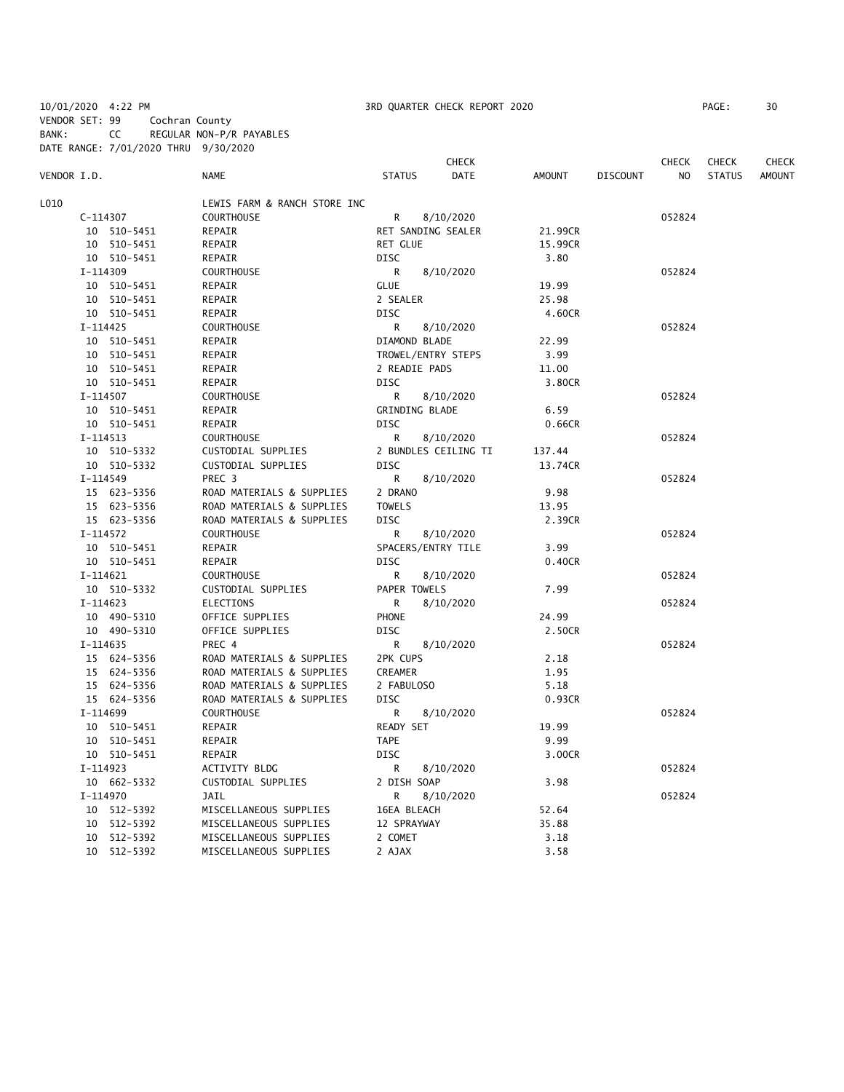10/01/2020 4:22 PM 3RD QUARTER CHECK REPORT 2020 PAGE: 30 VENDOR SET: 99 Cochran County

BANK: CC REGULAR NON-P/R PAYABLES

|             |            | DATE RANGE: 7/01/2020 THRU 9/30/2020 |                              |               |                      |         |                 |              |               |               |
|-------------|------------|--------------------------------------|------------------------------|---------------|----------------------|---------|-----------------|--------------|---------------|---------------|
|             |            |                                      |                              |               | <b>CHECK</b>         |         |                 | <b>CHECK</b> | <b>CHECK</b>  | <b>CHECK</b>  |
| VENDOR I.D. |            |                                      | <b>NAME</b>                  | <b>STATUS</b> | DATE                 | AMOUNT  | <b>DISCOUNT</b> | NO.          | <b>STATUS</b> | <b>AMOUNT</b> |
| L010        |            |                                      | LEWIS FARM & RANCH STORE INC |               |                      |         |                 |              |               |               |
|             | C-114307   |                                      | <b>COURTHOUSE</b>            | R.            | 8/10/2020            |         |                 | 052824       |               |               |
|             |            | 10 510-5451                          | REPAIR                       |               | RET SANDING SEALER   | 21.99CR |                 |              |               |               |
|             |            | 10 510-5451                          | REPAIR                       | RET GLUE      |                      | 15.99CR |                 |              |               |               |
|             |            | 10 510-5451                          | REPAIR                       | DISC          |                      | 3.80    |                 |              |               |               |
|             | I-114309   |                                      | COURTHOUSE                   | R             | 8/10/2020            |         |                 | 052824       |               |               |
|             |            | 10 510-5451                          | REPAIR                       | <b>GLUE</b>   |                      | 19.99   |                 |              |               |               |
|             |            | 10 510-5451                          | REPAIR                       | 2 SEALER      |                      | 25.98   |                 |              |               |               |
|             |            | 10 510-5451                          | REPAIR                       | <b>DISC</b>   |                      | 4.60CR  |                 |              |               |               |
|             | I-114425   |                                      | COURTHOUSE                   | R             | 8/10/2020            |         |                 | 052824       |               |               |
|             |            | 10 510-5451                          | REPAIR                       | DIAMOND BLADE |                      | 22.99   |                 |              |               |               |
|             |            | 10 510-5451                          | REPAIR                       |               | TROWEL/ENTRY STEPS   | 3.99    |                 |              |               |               |
|             |            | 10 510-5451                          | REPAIR                       | 2 READIE PADS |                      | 11.00   |                 |              |               |               |
|             |            | 10 510-5451                          | REPAIR                       | <b>DISC</b>   |                      | 3.80CR  |                 |              |               |               |
|             | I-114507   |                                      | COURTHOUSE                   | R             | 8/10/2020            |         |                 | 052824       |               |               |
|             |            | 10 510-5451                          | REPAIR                       |               | GRINDING BLADE       | 6.59    |                 |              |               |               |
|             |            | 10 510-5451                          | REPAIR                       | DISC          |                      | 0.66CR  |                 |              |               |               |
|             | $I-114513$ |                                      | <b>COURTHOUSE</b>            | R             | 8/10/2020            |         |                 | 052824       |               |               |
|             |            | 10 510-5332                          | CUSTODIAL SUPPLIES           |               | 2 BUNDLES CEILING TI | 137.44  |                 |              |               |               |
|             |            | 10 510-5332                          | CUSTODIAL SUPPLIES           | <b>DISC</b>   |                      | 13.74CR |                 |              |               |               |
|             | I-114549   |                                      | PREC 3                       | R             | 8/10/2020            |         |                 | 052824       |               |               |
|             |            | 15 623-5356                          | ROAD MATERIALS & SUPPLIES    | 2 DRANO       |                      | 9.98    |                 |              |               |               |
|             |            | 15 623-5356                          | ROAD MATERIALS & SUPPLIES    | <b>TOWELS</b> |                      | 13.95   |                 |              |               |               |
|             |            | 15 623-5356                          | ROAD MATERIALS & SUPPLIES    | DISC          |                      | 2.39CR  |                 |              |               |               |
|             | I-114572   |                                      | <b>COURTHOUSE</b>            | R             | 8/10/2020            |         |                 | 052824       |               |               |
|             |            | 10 510-5451                          | REPAIR                       |               | SPACERS/ENTRY TILE   | 3.99    |                 |              |               |               |
|             |            | 10 510-5451                          | REPAIR                       | <b>DISC</b>   |                      | 0.40CR  |                 |              |               |               |
|             | I-114621   |                                      | <b>COURTHOUSE</b>            | R             | 8/10/2020            |         |                 | 052824       |               |               |
|             |            | 10 510-5332                          | CUSTODIAL SUPPLIES           | PAPER TOWELS  |                      | 7.99    |                 |              |               |               |
|             | I-114623   |                                      | ELECTIONS                    | R             | 8/10/2020            |         |                 | 052824       |               |               |
|             |            | 10 490-5310                          | OFFICE SUPPLIES              | PHONE         |                      | 24.99   |                 |              |               |               |
|             |            | 10 490-5310                          | OFFICE SUPPLIES              | <b>DISC</b>   |                      | 2.50CR  |                 |              |               |               |
|             | I-114635   |                                      | PREC 4                       | R             | 8/10/2020            |         |                 | 052824       |               |               |
|             |            | 15 624-5356                          | ROAD MATERIALS & SUPPLIES    | 2PK CUPS      |                      | 2.18    |                 |              |               |               |
|             |            | 15 624-5356                          | ROAD MATERIALS & SUPPLIES    | CREAMER       |                      | 1.95    |                 |              |               |               |
|             |            | 15 624-5356                          | ROAD MATERIALS & SUPPLIES    | 2 FABULOSO    |                      | 5.18    |                 |              |               |               |
|             |            | 15 624-5356                          | ROAD MATERIALS & SUPPLIES    | DISC          |                      | 0.93CR  |                 |              |               |               |
|             | I-114699   |                                      | <b>COURTHOUSE</b>            | R             | 8/10/2020            |         |                 | 052824       |               |               |
|             |            | 10 510-5451                          | REPAIR                       | READY SET     |                      | 19.99   |                 |              |               |               |
|             |            | 10 510-5451                          | REPAIR                       | TAPE          |                      | 9.99    |                 |              |               |               |
|             |            | 10 510-5451                          | REPAIR                       | DISC          |                      | 3.00CR  |                 |              |               |               |
|             | I-114923   |                                      | ACTIVITY BLDG                | R             | 8/10/2020            |         |                 | 052824       |               |               |
|             |            | 10 662-5332                          | CUSTODIAL SUPPLIES           | 2 DISH SOAP   |                      | 3.98    |                 |              |               |               |
|             | I-114970   |                                      | JAIL                         | R             | 8/10/2020            |         |                 | 052824       |               |               |
|             |            | 10 512-5392                          | MISCELLANEOUS SUPPLIES       | 16EA BLEACH   |                      | 52.64   |                 |              |               |               |
|             |            | 10 512-5392                          | MISCELLANEOUS SUPPLIES       | 12 SPRAYWAY   |                      | 35.88   |                 |              |               |               |
|             |            | 10 512-5392                          | MISCELLANEOUS SUPPLIES       | 2 COMET       |                      | 3.18    |                 |              |               |               |
|             |            | 10 512-5392                          | MISCELLANEOUS SUPPLIES       | 2 AJAX        |                      | 3.58    |                 |              |               |               |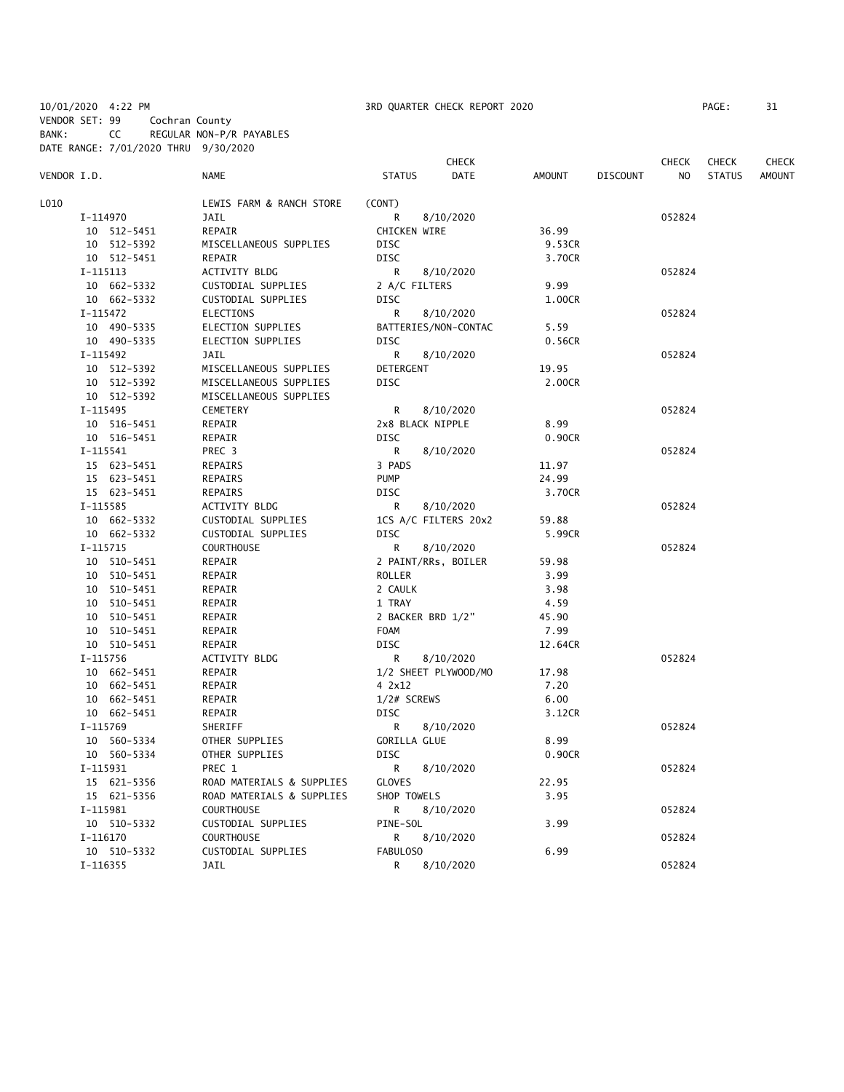10/01/2020 4:22 PM 3RD QUARTER CHECK REPORT 2020 PAGE: 31 VENDOR SET: 99 Cochran County

BANK: CC REGULAR NON-P/R PAYABLES

DATE RANGE: 7/01/2020 THRU 9/30/2020 CHECK CHECK CHECK CHECK VENDOR I.D. NAME STATUS DATE AMOUNT DISCOUNT NO STATUS AMOUNT L010 LEWIS FARM & RANCH STORE (CONT) 1-114970 JAIL 3/10/2020 R 3/10/2020 36.99 052824<br>10 S12-5451 REPAIR CHICKEN WIRE 36.99 10 REPAIR CHICKEN WIRE 36.99 10 512-5392 MISCELLANEOUS SUPPLIES DISC 9.53CR 10 512-5451 REPAIR DISC 3.70CR I-115113 ACTIVITY BLDG R 8/10/2020 052824 10 662-5332 CUSTODIAL SUPPLIES 2 A/C FILTERS 9.99 10 662-5332 CUSTODIAL SUPPLIES DISC 1.00CR I-115472 ELECTIONS R 8/10/2020 052824 10 490-5335 ELECTION SUPPLIES BATTERIES/NON-CONTAC 5.59 10 490-5335 ELECTION SUPPLIES DISC 0.56CR I-115492 JAIL R 8/10/2020 052824 MISCELLANEOUS SUPPLIES DETERGENT 19.95 MISCELLANEOUS SUPPLIES DISC DISC 2.00CR 10 512-5392 MISCELLANEOUS SUPPLIES I-115495 CEMETERY R 8/10/2020 052824 10 516-5451 REPAIR 2x8 BLACK NIPPLE 8.99 10 516-5451 REPAIR DISC 0.90CR I-115541 PREC 3 R 8/10/2020 052824 15 623-5451 REPAIRS 3 PADS 11.97 15 623-5451 REPAIRS PUMP 24.99 15 623-5451 REPAIRS DISC 3.70CR I-115585 ACTIVITY BLDG R 8/10/2020 052824 10 662-5332 CUSTODIAL SUPPLIES 1CS A/C FILTERS 20x2 59.88 10 662-5332 CUSTODIAL SUPPLIES DISC 5.99CR I-115715 COURTHOUSE R 8/10/2020 052824 10 510-5451 REPAIR 2 PAINT/RRs, BOILER 59.98 10 510-5451 REPAIR ROLLER 3.99 10 510-5451 REPAIR 2 CAULK 3.98<br>10 510-5451 REPAIR 1 TRAY 4.59 10 510-5451 REPAIR 1 TRAY 4.59 10 510-5451 REPAIR 2 BACKER BRD 1/2" 45.90 10 510-5451 REPAIR FOAM 7.99 10 510-5451 REPAIR DISC 12.64CR I-115756 ACTIVITY BLDG R 8/10/2020 052824 10 662-5451 REPAIR <br>1/2 SHEET PLYWOOD/MO 17.98<br>10 662-5451 REPAIR <br>1/2 4 2x12 7.20 10 662-5451 REPAIR 4 2x12 7.20 10 662-5451 REPAIR 1/2# SCREWS 6.00 10 662-5451 REPAIR DISC 3.12CR I-115769 SHERIFF R 8/10/2020 8 SHERIFF R 80-10/2020 10 560-5334 OTHER SUPPLIES GORILLA GLUE 8.99 10 560-5334 OTHER SUPPLIES DISC 0.90CR I-115931 PREC 1 R 8/10/2020 052824 15 621-5356 ROAD MATERIALS & SUPPLIES GLOVES 22.95 ROAD MATERIALS & SUPPLIES SHOP TOWELS 3.95 I-115981 COURTHOUSE R 8/10/2020 052824 10 510-5332 CUSTODIAL SUPPLIES PINE-SOL 3.99 I-116170 COURTHOUSE R 8/10/2020 052824 10 510-5332 CUSTODIAL SUPPLIES FABULOSO 6.99 I-116355 JAIL R 8/10/2020 052824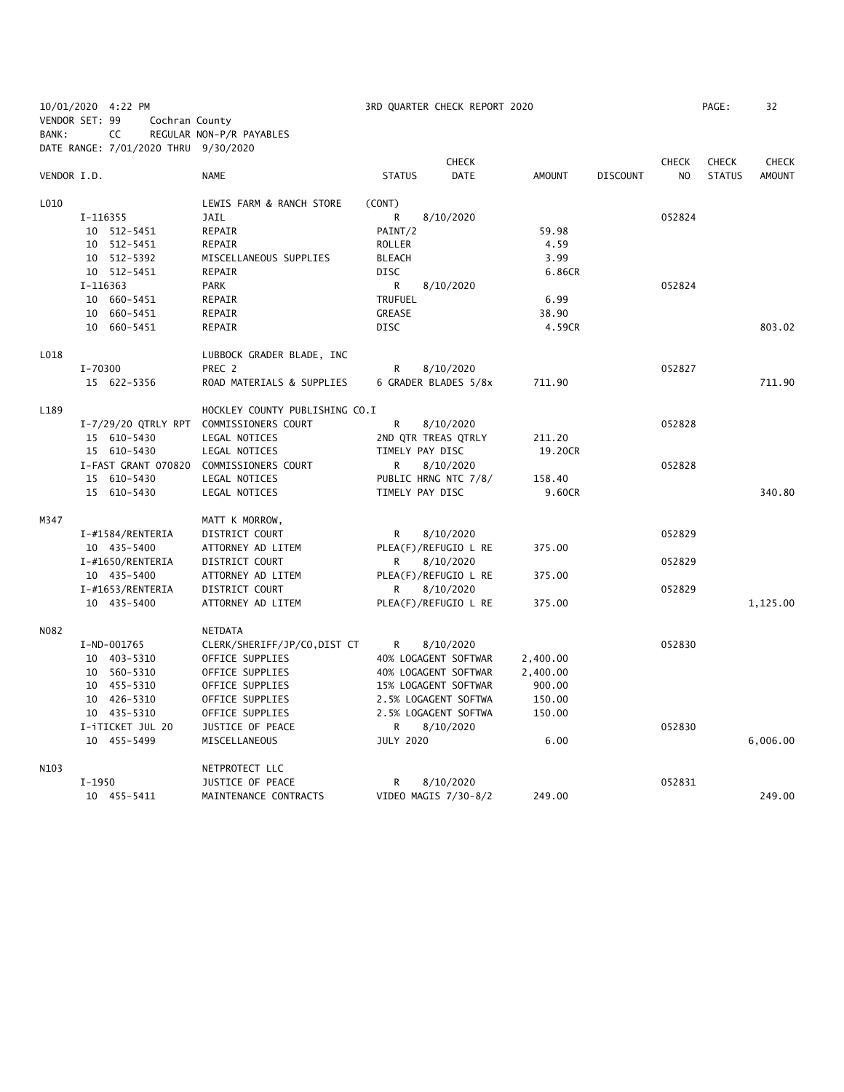|                   | VENDOR SET: 99                       | Cochran County                 |                  |                      |               |          |                |               |               |
|-------------------|--------------------------------------|--------------------------------|------------------|----------------------|---------------|----------|----------------|---------------|---------------|
| BANK:             | CC                                   | REGULAR NON-P/R PAYABLES       |                  |                      |               |          |                |               |               |
|                   | DATE RANGE: 7/01/2020 THRU 9/30/2020 |                                |                  |                      |               |          |                |               |               |
|                   |                                      |                                |                  | <b>CHECK</b>         |               |          | <b>CHECK</b>   | <b>CHECK</b>  | <b>CHECK</b>  |
| VENDOR I.D.       |                                      | <b>NAME</b>                    | <b>STATUS</b>    | DATE                 | <b>AMOUNT</b> | DISCOUNT | N <sub>O</sub> | <b>STATUS</b> | <b>AMOUNT</b> |
| L010              |                                      | LEWIS FARM & RANCH STORE       | (CONT)           |                      |               |          |                |               |               |
|                   | I-116355                             | <b>JAIL</b>                    | R                | 8/10/2020            |               |          | 052824         |               |               |
|                   | 10 512-5451                          | REPAIR                         | PAINT/2          |                      | 59.98         |          |                |               |               |
|                   | 10 512-5451                          | REPAIR                         | <b>ROLLER</b>    |                      | 4.59          |          |                |               |               |
|                   | 10 512-5392                          | MISCELLANEOUS SUPPLIES         | <b>BLEACH</b>    |                      | 3.99          |          |                |               |               |
|                   | 10 512-5451                          | REPAIR                         | <b>DISC</b>      |                      | 6.86CR        |          |                |               |               |
|                   | I-116363                             | <b>PARK</b>                    | R                | 8/10/2020            |               |          | 052824         |               |               |
|                   | 10 660-5451                          | REPAIR                         | <b>TRUFUEL</b>   |                      | 6.99          |          |                |               |               |
|                   | 10 660-5451                          | REPAIR                         | <b>GREASE</b>    |                      | 38.90         |          |                |               |               |
|                   | 10 660-5451                          | REPAIR                         | <b>DISC</b>      |                      | 4.59CR        |          |                |               | 803.02        |
| L018              |                                      | LUBBOCK GRADER BLADE, INC      |                  |                      |               |          |                |               |               |
|                   | I-70300                              | PREC 2                         | R                | 8/10/2020            |               |          | 052827         |               |               |
|                   | 15 622-5356                          | ROAD MATERIALS & SUPPLIES      |                  | 6 GRADER BLADES 5/8x | 711.90        |          |                |               | 711.90        |
| L189              |                                      | HOCKLEY COUNTY PUBLISHING CO.I |                  |                      |               |          |                |               |               |
|                   | I-7/29/20 QTRLY RPT                  | COMMISSIONERS COURT            | R                | 8/10/2020            |               |          | 052828         |               |               |
|                   | 15 610-5430                          | LEGAL NOTICES                  |                  | 2ND QTR TREAS QTRLY  | 211.20        |          |                |               |               |
|                   | 15 610-5430                          | LEGAL NOTICES                  | TIMELY PAY DISC  |                      | 19.20CR       |          |                |               |               |
|                   | I-FAST GRANT 070820                  | COMMISSIONERS COURT            | R                | 8/10/2020            |               |          | 052828         |               |               |
|                   | 15 610-5430                          | LEGAL NOTICES                  |                  | PUBLIC HRNG NTC 7/8/ | 158.40        |          |                |               |               |
|                   | 15 610-5430                          | LEGAL NOTICES                  | TIMELY PAY DISC  |                      | 9.60CR        |          |                |               | 340.80        |
|                   |                                      |                                |                  |                      |               |          |                |               |               |
| M347              |                                      | MATT K MORROW,                 |                  |                      |               |          |                |               |               |
|                   | I-#1584/RENTERIA                     | DISTRICT COURT                 | R                | 8/10/2020            |               |          | 052829         |               |               |
|                   | 10 435-5400                          | ATTORNEY AD LITEM              |                  | PLEA(F)/REFUGIO L RE | 375.00        |          |                |               |               |
|                   | I-#1650/RENTERIA                     | DISTRICT COURT                 | R                | 8/10/2020            |               |          | 052829         |               |               |
|                   | 10 435-5400                          | ATTORNEY AD LITEM              |                  | PLEA(F)/REFUGIO L RE | 375.00        |          |                |               |               |
|                   | I-#1653/RENTERIA                     | DISTRICT COURT                 | R                | 8/10/2020            |               |          | 052829         |               |               |
|                   | 10 435-5400                          | ATTORNEY AD LITEM              |                  | PLEA(F)/REFUGIO L RE | 375.00        |          |                |               | 1,125.00      |
| N082              |                                      | NETDATA                        |                  |                      |               |          |                |               |               |
|                   | I-ND-001765                          | CLERK/SHERIFF/JP/CO, DIST CT   | R                | 8/10/2020            |               |          | 052830         |               |               |
|                   | 10 403-5310                          | OFFICE SUPPLIES                |                  | 40% LOGAGENT SOFTWAR | 2,400.00      |          |                |               |               |
|                   | 10 560-5310                          | OFFICE SUPPLIES                |                  | 40% LOGAGENT SOFTWAR | 2,400.00      |          |                |               |               |
|                   | 10 455-5310                          | OFFICE SUPPLIES                |                  | 15% LOGAGENT SOFTWAR | 900.00        |          |                |               |               |
|                   | 10 426-5310                          | OFFICE SUPPLIES                |                  | 2.5% LOGAGENT SOFTWA | 150.00        |          |                |               |               |
|                   | 10 435-5310                          | OFFICE SUPPLIES                |                  | 2.5% LOGAGENT SOFTWA | 150.00        |          |                |               |               |
|                   | I-iTICKET JUL 20                     | JUSTICE OF PEACE               | R                | 8/10/2020            |               |          | 052830         |               |               |
|                   | 10 455-5499                          | MISCELLANEOUS                  | <b>JULY 2020</b> |                      | 6.00          |          |                |               | 6,006.00      |
| N <sub>10</sub> 3 |                                      | NETPROTECT LLC                 |                  |                      |               |          |                |               |               |
|                   | I-1950                               | JUSTICE OF PEACE               | R                | 8/10/2020            |               |          | 052831         |               |               |
|                   | 10 455-5411                          | MAINTENANCE CONTRACTS          |                  | VIDEO MAGIS 7/30-8/2 | 249.00        |          |                |               | 249.00        |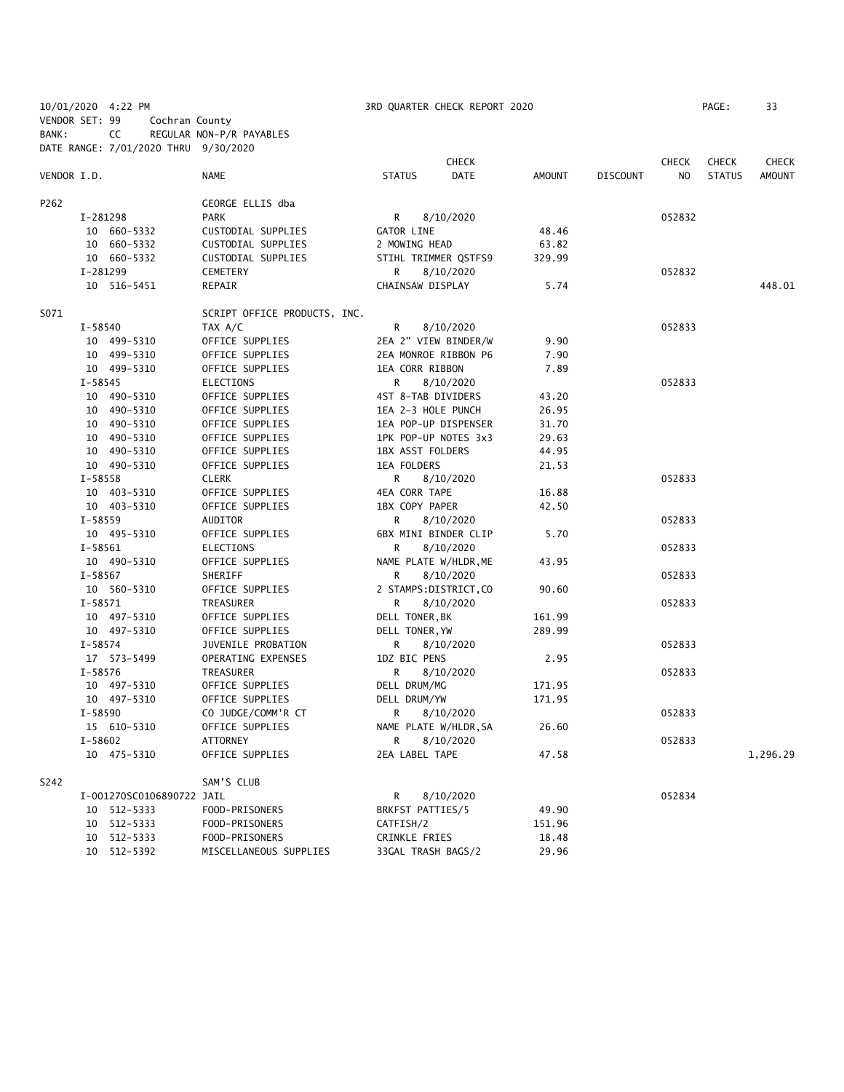| 10/01/2020 4:22 PM<br>VENDOR SET: 99 | Cochran County                       |                              | 3RD QUARTER CHECK REPORT 2020 |              |        |                 |              |               | 33            |
|--------------------------------------|--------------------------------------|------------------------------|-------------------------------|--------------|--------|-----------------|--------------|---------------|---------------|
| BANK:                                | CC                                   | REGULAR NON-P/R PAYABLES     |                               |              |        |                 |              |               |               |
|                                      | DATE RANGE: 7/01/2020 THRU 9/30/2020 |                              |                               |              |        |                 |              |               |               |
|                                      |                                      |                              |                               | <b>CHECK</b> |        |                 | <b>CHECK</b> | <b>CHECK</b>  | <b>CHECK</b>  |
| VENDOR I.D.                          |                                      | NAME                         | <b>STATUS</b>                 | <b>DATE</b>  | AMOUNT | <b>DISCOUNT</b> | NO.          | <b>STATUS</b> | <b>AMOUNT</b> |
| P262                                 |                                      | GEORGE ELLIS dba             |                               |              |        |                 |              |               |               |
| I-281298                             |                                      | <b>PARK</b>                  | R                             | 8/10/2020    |        |                 | 052832       |               |               |
|                                      | 10 660-5332                          | CUSTODIAL SUPPLIES           | <b>GATOR LINE</b>             |              | 48.46  |                 |              |               |               |
|                                      | 10 660-5332                          | CUSTODIAL SUPPLIES           | 2 MOWING HEAD                 |              | 63.82  |                 |              |               |               |
|                                      | 10 660-5332                          | CUSTODIAL SUPPLIES           | STIHL TRIMMER QSTFS9          |              | 329.99 |                 |              |               |               |
| I-281299                             |                                      | CEMETERY                     | R                             | 8/10/2020    |        |                 | 052832       |               |               |
|                                      | 10 516-5451                          | REPAIR                       | CHAINSAW DISPLAY              |              | 5.74   |                 |              |               | 448.01        |
| S071                                 |                                      | SCRIPT OFFICE PRODUCTS, INC. |                               |              |        |                 |              |               |               |
| I-58540                              |                                      | TAX A/C                      | R                             | 8/10/2020    |        |                 | 052833       |               |               |
|                                      | 10 499-5310                          | OFFICE SUPPLIES              | 2EA 2" VIEW BINDER/W          |              | 9.90   |                 |              |               |               |
|                                      | 10 499-5310                          | OFFICE SUPPLIES              | 2EA MONROE RIBBON P6          |              | 7.90   |                 |              |               |               |
|                                      | 10 499-5310                          | OFFICE SUPPLIES              | 1EA CORR RIBBON               |              | 7.89   |                 |              |               |               |
| I-58545                              |                                      | ELECTIONS                    | R                             | 8/10/2020    |        |                 | 052833       |               |               |
|                                      | 10 490-5310                          | OFFICE SUPPLIES              | 4ST 8-TAB DIVIDERS            |              | 43.20  |                 |              |               |               |
|                                      | 10 490-5310                          | OFFICE SUPPLIES              | 1EA 2-3 HOLE PUNCH            |              | 26.95  |                 |              |               |               |
|                                      | 10 490-5310                          | OFFICE SUPPLIES              | 1EA POP-UP DISPENSER          |              | 31.70  |                 |              |               |               |
|                                      | 10 490-5310                          | OFFICE SUPPLIES              | 1PK POP-UP NOTES 3x3          |              | 29.63  |                 |              |               |               |
|                                      | 10 490-5310                          | OFFICE SUPPLIES              | 1BX ASST FOLDERS              |              | 44.95  |                 |              |               |               |
|                                      | 10 490-5310                          | OFFICE SUPPLIES              | 1EA FOLDERS                   |              | 21.53  |                 |              |               |               |
| I-58558                              |                                      | <b>CLERK</b>                 | R                             | 8/10/2020    |        |                 | 052833       |               |               |
|                                      | 10 403-5310                          | OFFICE SUPPLIES              | 4EA CORR TAPE                 |              | 16.88  |                 |              |               |               |
|                                      | 10 403-5310                          | OFFICE SUPPLIES              | 1BX COPY PAPER                |              | 42.50  |                 |              |               |               |
| I-58559                              |                                      | AUDITOR                      | R                             | 8/10/2020    |        |                 | 052833       |               |               |
|                                      | 10 495-5310                          | OFFICE SUPPLIES              | 6BX MINI BINDER CLIP          |              | 5.70   |                 |              |               |               |
| I-58561                              |                                      | ELECTIONS                    | R                             | 8/10/2020    |        |                 | 052833       |               |               |
|                                      | 10 490-5310                          | OFFICE SUPPLIES              | NAME PLATE W/HLDR, ME         |              | 43.95  |                 |              |               |               |
| I-58567                              |                                      | SHERIFF                      | R                             | 8/10/2020    |        |                 | 052833       |               |               |
|                                      | 10 560-5310                          | OFFICE SUPPLIES              | 2 STAMPS: DISTRICT, CO        |              | 90.60  |                 |              |               |               |
| $I - 58571$                          |                                      | TREASURER                    | R                             | 8/10/2020    |        |                 | 052833       |               |               |
|                                      | 10 497-5310                          | OFFICE SUPPLIES              | DELL TONER, BK                |              | 161.99 |                 |              |               |               |
|                                      | 10 497-5310                          | OFFICE SUPPLIES              | DELL TONER, YW                |              | 289.99 |                 |              |               |               |
| I-58574                              |                                      | JUVENILE PROBATION           | R                             | 8/10/2020    |        |                 | 052833       |               |               |
|                                      | 17 573-5499                          | OPERATING EXPENSES           | 1DZ BIC PENS                  |              | 2.95   |                 |              |               |               |
| I-58576                              |                                      | TREASURER                    | R                             | 8/10/2020    |        |                 | 052833       |               |               |
|                                      | 10 497-5310                          | OFFICE SUPPLIES              | DELL DRUM/MG                  |              | 171.95 |                 |              |               |               |
|                                      | 10 497-5310                          | OFFICE SUPPLIES              | DELL DRUM/YW                  |              | 171.95 |                 |              |               |               |
| I-58590                              |                                      | CO JUDGE/COMM'R CT           | $R \sim$                      | 8/10/2020    |        |                 | 052833       |               |               |
|                                      | 15 610-5310                          | OFFICE SUPPLIES              | NAME PLATE W/HLDR, SA         |              | 26.60  |                 |              |               |               |
| I-58602                              |                                      | ATTORNEY                     | R.                            | 8/10/2020    |        |                 | 052833       |               |               |
|                                      | 10 475-5310                          | OFFICE SUPPLIES              | 2EA LABEL TAPE                |              | 47.58  |                 |              |               | 1,296.29      |
| S242                                 |                                      | SAM'S CLUB                   |                               |              |        |                 |              |               |               |
|                                      | I-001270SC0106890722 JAIL            |                              | R                             | 8/10/2020    |        |                 | 052834       |               |               |
|                                      | 10 512-5333                          | FOOD-PRISONERS               | BRKFST PATTIES/5              |              | 49.90  |                 |              |               |               |
|                                      | 10 512-5333                          | FOOD-PRISONERS               | CATFISH/2                     |              | 151.96 |                 |              |               |               |
|                                      | 10 512-5333                          | FOOD-PRISONERS               | CRINKLE FRIES                 |              | 18.48  |                 |              |               |               |
|                                      | 10 512-5392                          | MISCELLANEOUS SUPPLIES       | 33GAL TRASH BAGS/2            |              | 29.96  |                 |              |               |               |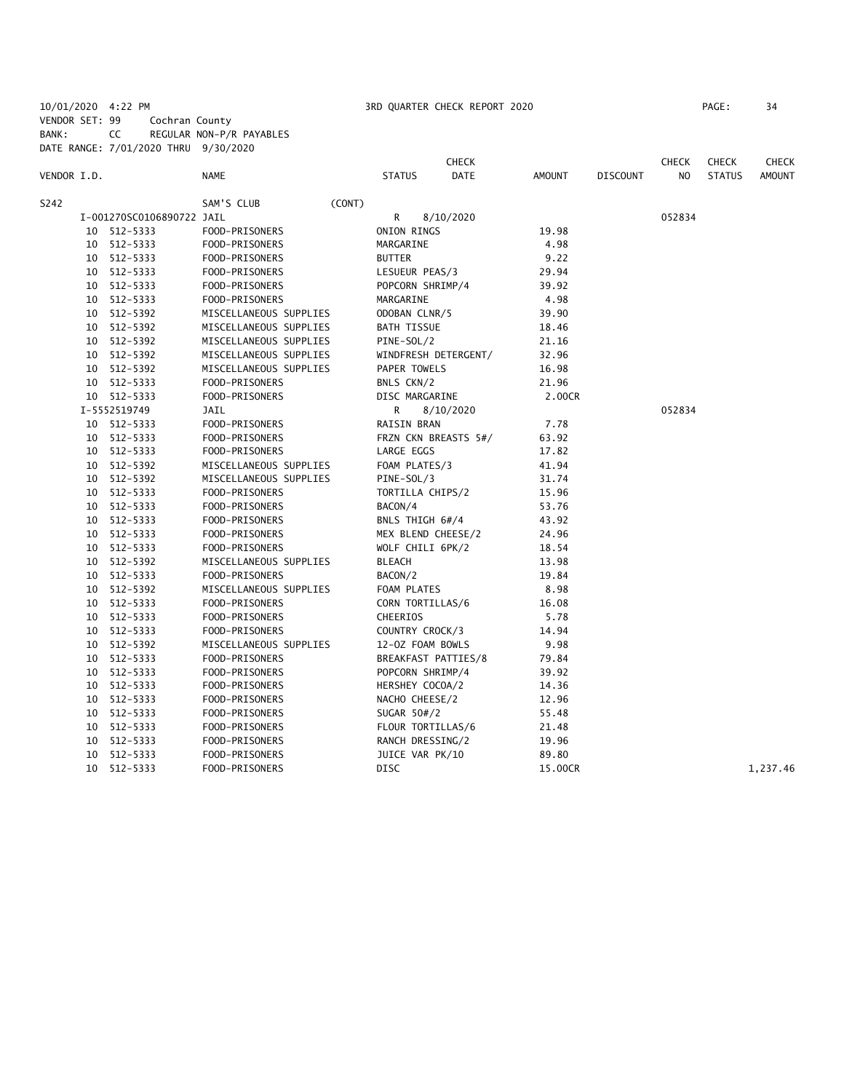10/01/2020 4:22 PM 3RD QUARTER CHECK REPORT 2020 PAGE: 34 VENDOR SET: 99 Cochran County BANK: CC REGULAR NON-P/R PAYABLES DATE RANGE: 7/01/2020 THRU 9/30/2020

|             |    |                           |                        |                     | <b>CHECK</b>         |               |                 | <b>CHECK</b> | <b>CHECK</b>  | CHECK         |
|-------------|----|---------------------------|------------------------|---------------------|----------------------|---------------|-----------------|--------------|---------------|---------------|
| VENDOR I.D. |    |                           | <b>NAME</b>            | <b>STATUS</b>       | <b>DATE</b>          | <b>AMOUNT</b> | <b>DISCOUNT</b> | NO.          | <b>STATUS</b> | <b>AMOUNT</b> |
| S242        |    |                           | SAM'S CLUB<br>(CONT)   |                     |                      |               |                 |              |               |               |
|             |    | I-001270SC0106890722 JAIL |                        | R                   | 8/10/2020            |               |                 | 052834       |               |               |
|             |    | 10 512-5333               | FOOD-PRISONERS         | ONION RINGS         |                      | 19.98         |                 |              |               |               |
|             |    | 10 512-5333               | FOOD-PRISONERS         | MARGARINE           |                      | 4.98          |                 |              |               |               |
|             |    | 10 512-5333               | FOOD-PRISONERS         | <b>BUTTER</b>       |                      | 9.22          |                 |              |               |               |
|             |    | 10 512-5333               | FOOD-PRISONERS         | LESUEUR PEAS/3      |                      | 29.94         |                 |              |               |               |
|             |    | 10 512-5333               | FOOD-PRISONERS         | POPCORN SHRIMP/4    |                      | 39.92         |                 |              |               |               |
|             |    | 10 512-5333               | FOOD-PRISONERS         | MARGARINE           |                      | 4.98          |                 |              |               |               |
|             |    | 10 512-5392               | MISCELLANEOUS SUPPLIES | ODOBAN CLNR/5       |                      | 39.90         |                 |              |               |               |
|             |    | 10 512-5392               | MISCELLANEOUS SUPPLIES | <b>BATH TISSUE</b>  |                      | 18.46         |                 |              |               |               |
|             |    | 10 512-5392               | MISCELLANEOUS SUPPLIES | PINE-SOL/2          |                      | 21.16         |                 |              |               |               |
|             |    | 10 512-5392               | MISCELLANEOUS SUPPLIES |                     | WINDFRESH DETERGENT/ | 32.96         |                 |              |               |               |
|             |    | 10 512-5392               | MISCELLANEOUS SUPPLIES | PAPER TOWELS        |                      | 16.98         |                 |              |               |               |
|             |    | 10 512-5333               | FOOD-PRISONERS         | BNLS CKN/2          |                      | 21.96         |                 |              |               |               |
|             |    | 10 512-5333               | FOOD-PRISONERS         | DISC MARGARINE      |                      | 2.00CR        |                 |              |               |               |
|             |    | I-5552519749              | <b>JAIL</b>            | R                   | 8/10/2020            |               |                 | 052834       |               |               |
|             |    | 10 512-5333               | FOOD-PRISONERS         | <b>RAISIN BRAN</b>  |                      | 7.78          |                 |              |               |               |
|             |    | 10 512-5333               | FOOD-PRISONERS         |                     | FRZN CKN BREASTS 5#/ | 63.92         |                 |              |               |               |
|             |    | 10 512-5333               | FOOD-PRISONERS         | LARGE EGGS          |                      | 17.82         |                 |              |               |               |
|             |    | 10 512-5392               | MISCELLANEOUS SUPPLIES | FOAM PLATES/3       |                      | 41.94         |                 |              |               |               |
|             |    | 10 512-5392               | MISCELLANEOUS SUPPLIES | PINE-SOL/3          |                      | 31.74         |                 |              |               |               |
|             |    | 10 512-5333               | FOOD-PRISONERS         | TORTILLA CHIPS/2    |                      | 15.96         |                 |              |               |               |
|             |    | 10 512-5333               | FOOD-PRISONERS         | BACON/4             |                      | 53.76         |                 |              |               |               |
|             |    | 10 512-5333               | FOOD-PRISONERS         | BNLS THIGH 6#/4     |                      | 43.92         |                 |              |               |               |
|             |    | 10 512-5333               | FOOD-PRISONERS         | MEX BLEND CHEESE/2  |                      | 24.96         |                 |              |               |               |
|             |    | 10 512-5333               | FOOD-PRISONERS         | WOLF CHILI 6PK/2    |                      | 18.54         |                 |              |               |               |
|             |    | 10 512-5392               | MISCELLANEOUS SUPPLIES | <b>BLEACH</b>       |                      | 13.98         |                 |              |               |               |
|             |    | 10 512-5333               | FOOD-PRISONERS         | BACON/2             |                      | 19.84         |                 |              |               |               |
|             |    | 10 512-5392               | MISCELLANEOUS SUPPLIES | FOAM PLATES         |                      | 8.98          |                 |              |               |               |
|             |    | 10 512-5333               | FOOD-PRISONERS         | CORN TORTILLAS/6    |                      | 16.08         |                 |              |               |               |
|             |    | 10 512-5333               | FOOD-PRISONERS         | <b>CHEERIOS</b>     |                      | 5.78          |                 |              |               |               |
|             |    | 10 512-5333               | FOOD-PRISONERS         | COUNTRY CROCK/3     |                      | 14.94         |                 |              |               |               |
|             |    | 10 512-5392               | MISCELLANEOUS SUPPLIES | 12-0Z FOAM BOWLS    |                      | 9.98          |                 |              |               |               |
|             |    | 10 512-5333               | FOOD-PRISONERS         | BREAKFAST PATTIES/8 |                      | 79.84         |                 |              |               |               |
|             |    | 10 512-5333               | FOOD-PRISONERS         | POPCORN SHRIMP/4    |                      | 39.92         |                 |              |               |               |
|             |    | 10 512-5333               | FOOD-PRISONERS         | HERSHEY COCOA/2     |                      | 14.36         |                 |              |               |               |
|             |    | 10 512-5333               | FOOD-PRISONERS         | NACHO CHEESE/2      |                      | 12.96         |                 |              |               |               |
|             |    | 10 512-5333               | FOOD-PRISONERS         | SUGAR 50#/2         |                      | 55.48         |                 |              |               |               |
|             |    | 10 512-5333               | FOOD-PRISONERS         | FLOUR TORTILLAS/6   |                      | 21.48         |                 |              |               |               |
|             |    | 10 512-5333               | FOOD-PRISONERS         | RANCH DRESSING/2    |                      | 19.96         |                 |              |               |               |
|             | 10 | 512-5333                  | FOOD-PRISONERS         | JUICE VAR PK/10     |                      | 89.80         |                 |              |               |               |
|             |    | 10 512-5333               | FOOD-PRISONERS         | <b>DISC</b>         |                      | 15.00CR       |                 |              |               | 1,237.46      |
|             |    |                           |                        |                     |                      |               |                 |              |               |               |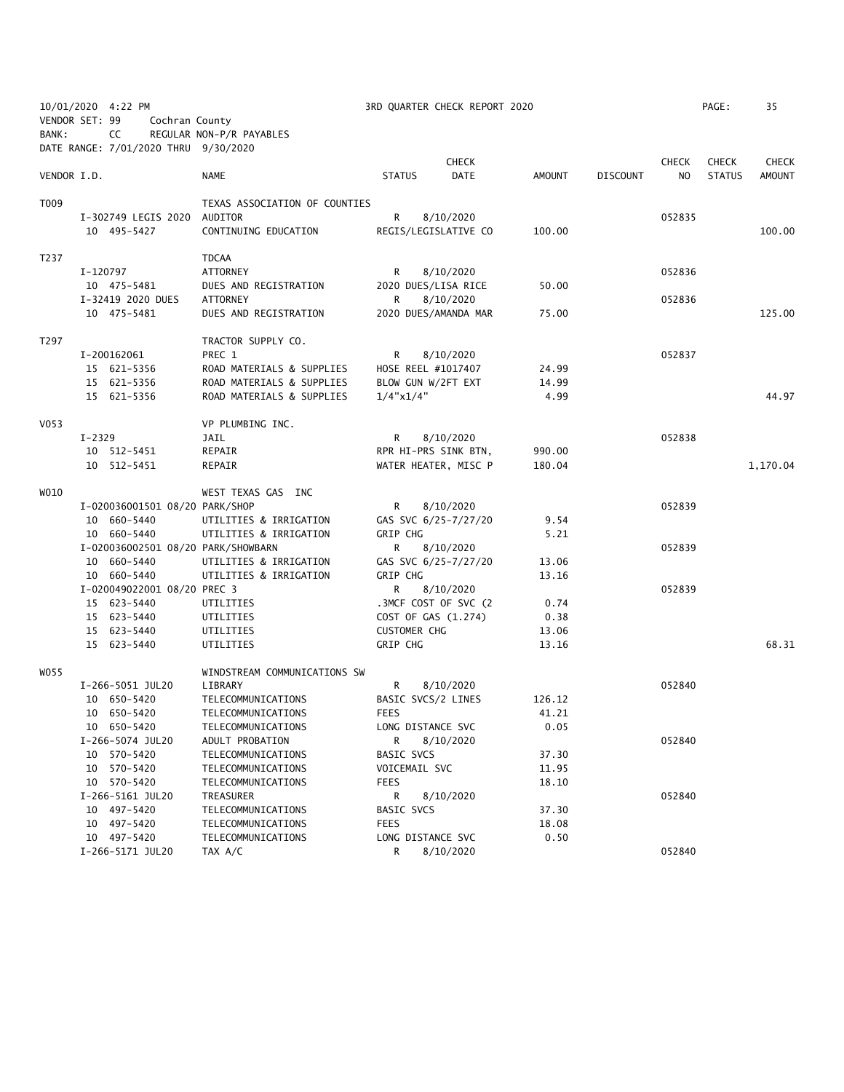| 10/01/2020 4:22 PM<br>VENDOR SET: 99 |          | Cochran County                       | 3RD QUARTER CHECK REPORT 2020 |                           |                      |        |                 |              | PAGE:         | 35           |
|--------------------------------------|----------|--------------------------------------|-------------------------------|---------------------------|----------------------|--------|-----------------|--------------|---------------|--------------|
| BANK:                                |          | CC                                   | REGULAR NON-P/R PAYABLES      |                           |                      |        |                 |              |               |              |
|                                      |          | DATE RANGE: 7/01/2020 THRU 9/30/2020 |                               |                           |                      |        |                 |              |               |              |
|                                      |          |                                      |                               |                           | <b>CHECK</b>         |        |                 | <b>CHECK</b> | <b>CHECK</b>  | <b>CHECK</b> |
| VENDOR I.D.                          |          |                                      | NAME                          | <b>STATUS</b>             | DATE                 | AMOUNT | <b>DISCOUNT</b> | NO.          | <b>STATUS</b> | AMOUNT       |
|                                      |          |                                      |                               |                           |                      |        |                 |              |               |              |
| T009                                 |          |                                      | TEXAS ASSOCIATION OF COUNTIES |                           |                      |        |                 |              |               |              |
|                                      |          | I-302749 LEGIS 2020                  | AUDITOR                       | R                         | 8/10/2020            |        |                 | 052835       |               |              |
|                                      |          | 10 495-5427                          | CONTINUING EDUCATION          | REGIS/LEGISLATIVE CO      |                      | 100.00 |                 |              |               | 100.00       |
|                                      |          |                                      |                               |                           |                      |        |                 |              |               |              |
| T237                                 |          |                                      | <b>TDCAA</b>                  |                           |                      |        |                 |              |               |              |
|                                      | I-120797 |                                      | <b>ATTORNEY</b>               | R                         | 8/10/2020            |        |                 | 052836       |               |              |
|                                      |          | 10 475-5481                          | DUES AND REGISTRATION         | 2020 DUES/LISA RICE       |                      | 50.00  |                 |              |               |              |
|                                      |          | I-32419 2020 DUES                    | <b>ATTORNEY</b>               | R                         | 8/10/2020            |        |                 | 052836       |               |              |
|                                      |          | 10 475-5481                          | DUES AND REGISTRATION         |                           | 2020 DUES/AMANDA MAR | 75.00  |                 |              |               | 125.00       |
| T297                                 |          |                                      | TRACTOR SUPPLY CO.            |                           |                      |        |                 |              |               |              |
|                                      |          | I-200162061                          | PREC 1                        | R.                        | 8/10/2020            |        |                 | 052837       |               |              |
|                                      |          | 15 621-5356                          | ROAD MATERIALS & SUPPLIES     | HOSE REEL #1017407        |                      | 24.99  |                 |              |               |              |
|                                      |          | 15 621-5356                          | ROAD MATERIALS & SUPPLIES     | BLOW GUN W/2FT EXT        |                      | 14.99  |                 |              |               |              |
|                                      |          | 15 621-5356                          | ROAD MATERIALS & SUPPLIES     | $1/4$ "x $1/4$ "          |                      | 4.99   |                 |              |               | 44.97        |
|                                      |          |                                      |                               |                           |                      |        |                 |              |               |              |
| V053                                 |          |                                      | VP PLUMBING INC.              |                           |                      |        |                 |              |               |              |
|                                      | $I-2329$ |                                      | JAIL                          | R                         | 8/10/2020            |        |                 | 052838       |               |              |
|                                      |          | 10 512-5451                          | REPAIR                        | RPR HI-PRS SINK BTN,      |                      | 990.00 |                 |              |               |              |
|                                      |          | 10 512-5451                          | REPAIR                        | WATER HEATER, MISC P      |                      | 180.04 |                 |              |               | 1,170.04     |
| W010                                 |          |                                      | WEST TEXAS GAS INC            |                           |                      |        |                 |              |               |              |
|                                      |          | I-020036001501 08/20 PARK/SHOP       |                               | R                         | 8/10/2020            |        |                 | 052839       |               |              |
|                                      |          | 10 660-5440                          | UTILITIES & IRRIGATION        | GAS SVC 6/25-7/27/20      |                      | 9.54   |                 |              |               |              |
|                                      |          | 10 660-5440                          | UTILITIES & IRRIGATION        | <b>GRIP CHG</b>           |                      | 5.21   |                 |              |               |              |
|                                      |          | I-020036002501 08/20 PARK/SHOWBARN   |                               | R                         | 8/10/2020            |        |                 | 052839       |               |              |
|                                      |          | 10 660-5440                          | UTILITIES & IRRIGATION        | GAS SVC 6/25-7/27/20      |                      | 13.06  |                 |              |               |              |
|                                      |          | 10 660-5440                          | UTILITIES & IRRIGATION        | <b>GRIP CHG</b>           |                      | 13.16  |                 |              |               |              |
|                                      |          | I-020049022001 08/20 PREC 3          |                               | R                         | 8/10/2020            |        |                 | 052839       |               |              |
|                                      |          | 15 623-5440                          | UTILITIES                     |                           | .3MCF COST OF SVC (2 | 0.74   |                 |              |               |              |
|                                      |          | 15 623-5440                          | UTILITIES                     | COST OF GAS (1.274)       |                      | 0.38   |                 |              |               |              |
|                                      |          | 15 623-5440                          | UTILITIES                     | <b>CUSTOMER CHG</b>       |                      | 13.06  |                 |              |               |              |
|                                      |          | 15 623-5440                          | UTILITIES                     | GRIP CHG                  |                      | 13.16  |                 |              |               | 68.31        |
|                                      |          |                                      |                               |                           |                      |        |                 |              |               |              |
| W055                                 |          |                                      | WINDSTREAM COMMUNICATIONS SW  |                           |                      |        |                 |              |               |              |
|                                      |          | I-266-5051 JUL20                     | LIBRARY                       | R                         | 8/10/2020            |        |                 | 052840       |               |              |
|                                      |          | 10 650-5420                          | TELECOMMUNICATIONS            | BASIC SVCS/2 LINES        |                      | 126.12 |                 |              |               |              |
|                                      |          | 10 650-5420                          | TELECOMMUNICATIONS            | FEES                      |                      | 41.21  |                 |              |               |              |
|                                      |          | 10 650-5420                          | TELECOMMUNICATIONS            | LONG DISTANCE SVC         |                      | 0.05   |                 |              |               |              |
|                                      |          | I-266-5074 JUL20                     | ADULT PROBATION               | R                         | 8/10/2020            |        |                 | 052840       |               |              |
|                                      |          | 10 570-5420                          | TELECOMMUNICATIONS            | BASIC SVCS                |                      | 37.30  |                 |              |               |              |
|                                      |          | 10 570-5420                          | TELECOMMUNICATIONS            | VOICEMAIL SVC             |                      | 11.95  |                 |              |               |              |
|                                      |          | 10 570-5420                          | TELECOMMUNICATIONS            | FEES                      |                      | 18.10  |                 |              |               |              |
|                                      |          | I-266-5161 JUL20                     | TREASURER                     | R                         | 8/10/2020            |        |                 | 052840       |               |              |
|                                      |          | 10 497-5420                          | TELECOMMUNICATIONS            | BASIC SVCS<br><b>FEES</b> |                      | 37.30  |                 |              |               |              |
|                                      |          | 10 497-5420                          | TELECOMMUNICATIONS            | LONG DISTANCE SVC         |                      | 18.08  |                 |              |               |              |
|                                      |          | 10 497-5420<br>I-266-5171 JUL20      | TELECOMMUNICATIONS<br>TAX A/C | R                         | 8/10/2020            | 0.50   |                 | 052840       |               |              |
|                                      |          |                                      |                               |                           |                      |        |                 |              |               |              |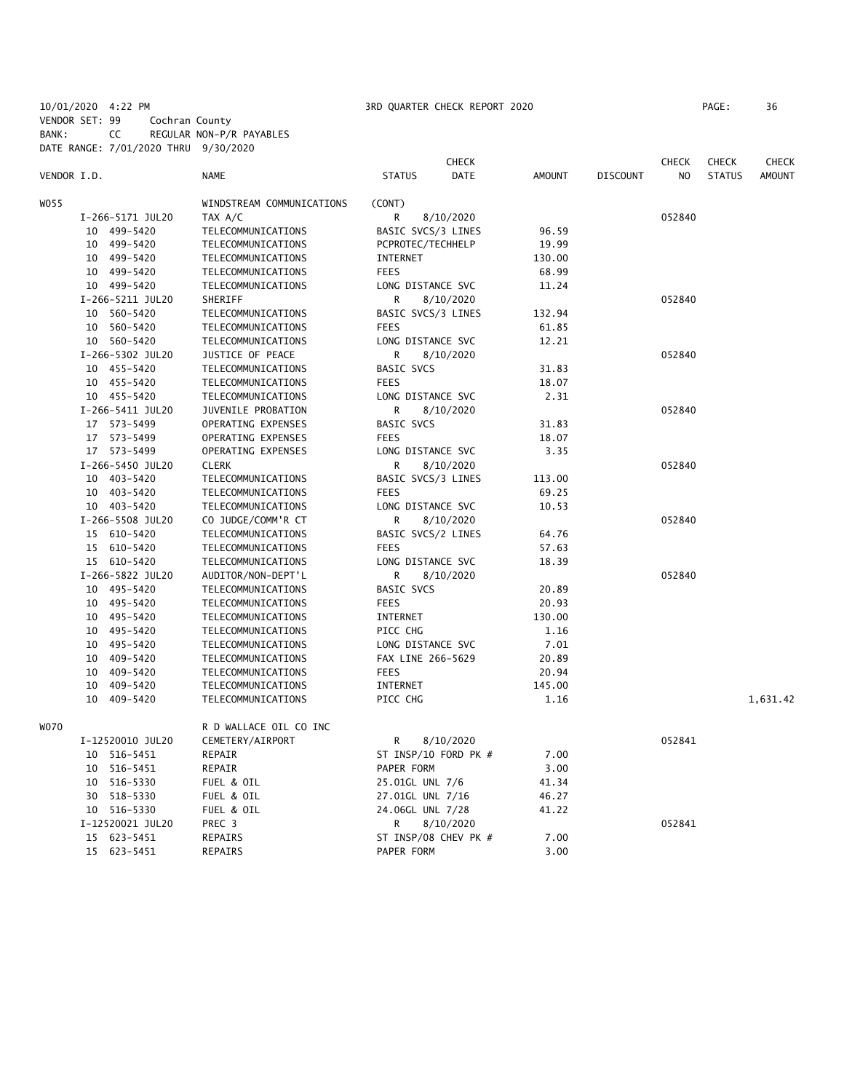10/01/2020 4:22 PM 3RD QUARTER CHECK REPORT 2020 PAGE: 36 VENDOR SET: 99 Cochran County

BANK: CC REGULAR NON-P/R PAYABLES

DATE RANGE: 7/01/2020 THRU 9/30/2020 **CHECK CHECK CHECK CHECK CHECK CHECK CHECK** VENDOR I.D. NAME STATUS DATE AMOUNT DISCOUNT NO STATUS AMOUNT WOSS WINDSTREAM COMMUNICATIONS (CONT) I-266-5171 JUL20 TAX A/C R 8/10/2020 052840 10 499-5420 TELECOMMUNICATIONS BASIC SVCS/3 LINES 96.59 10 499-5420 TELECOMMUNICATIONS PCPROTEC/TECHHELP 19.99 10 499-5420 TELECOMMUNICATIONS INTERNET 130.00 10 499-5420 TELECOMMUNICATIONS FEES 68.99 10 499-5420 TELECOMMUNICATIONS LONG DISTANCE SVC 11.24 I-266-5211 JUL20 SHERIFF R 8/10/2020 052840 10 560-5420 TELECOMMUNICATIONS BASIC SVCS/3 LINES 132.94 10 560-5420 TELECOMMUNICATIONS FEES 61.85 10 560-5420 TELECOMMUNICATIONS LONG DISTANCE SVC 12.21 I-266-5302 JUL20 JUSTICE OF PEACE R 8/10/2020 052840 10 455-5420 TELECOMMUNICATIONS BASIC SVCS 31.83 10 455-5420 TELECOMMUNICATIONS FEES 18.07 10 455-5420 TELECOMMUNICATIONS LONG DISTANCE SVC 2.31 I-266-5411 JUL20 JUVENILE PROBATION R 8/10/2020 052840 17 573-5499 OPERATING EXPENSES BASIC SVCS 31.83 OPERATING EXPENSES FEES 18.07 17 573-5499 OPERATING EXPENSES LONG DISTANCE SVC 3.35 I-266-5450 JUL20 CLERK R 8/10/2020 052840 10 403-5420 TELECOMMUNICATIONS BASIC SVCS/3 LINES 113.00 10 403-5420 TELECOMMUNICATIONS FEES 69.25 10 403-5420 TELECOMMUNICATIONS LONG DISTANCE SVC 10.53 I-266-5508 JUL20 CO JUDGE/COMM'R CT R 8/10/2020 052840 15 610-5420 TELECOMMUNICATIONS BASIC SVCS/2 LINES 64.76 15 610-5420 TELECOMMUNICATIONS FEES 57.63 15 610-5420 TELECOMMUNICATIONS LONG DISTANCE SVC 18.39 I-266-5822 JUL20 AUDITOR/NON-DEPT'L R 8/10/2020 052840 10 495-5420 TELECOMMUNICATIONS BASIC SVCS 20.89 10 495-5420 TELECOMMUNICATIONS FEES 20.93 10 495-5420 TELECOMMUNICATIONS INTERNET 130.00 10 495-5420 TELECOMMUNICATIONS PICC CHG 1.16 10 495-5420 TELECOMMUNICATIONS LONG DISTANCE SVC 7.01 10 409-5420 TELECOMMUNICATIONS FAX LINE 266-5629 20.89 10 409-5420 TELECOMMUNICATIONS FEES 20.94 TELECOMMUNICATIONS INTERNET 145.00 10 409-5420 TELECOMMUNICATIONS PICC CHG 1.16 1,631.42 W070 R D WALLACE OIL CO INC I-12520010 JUL20 CEMETERY/AIRPORT R 8/10/2020 052841 10 516-5451 REPAIR ST INSP/10 FORD PK # 7.00 10 516-5451 REPAIR PAPER FORM 3.00 10 516-5330 FUEL & OIL 25.01GL UNL 7/6 41.34 30 518-5330 FUEL & OIL 27.01GL UNL 7/16 46.27 10 516-5330 FUEL & OIL 24.06GL UNL 7/28 41.22 I-12520021 JUL20 PREC 3 R 8/10/2020 052841 15 623-5451 REPAIRS ST INSP/08 CHEV PK # 7.00 15 623-5451 REPAIRS PAPER FORM 3.00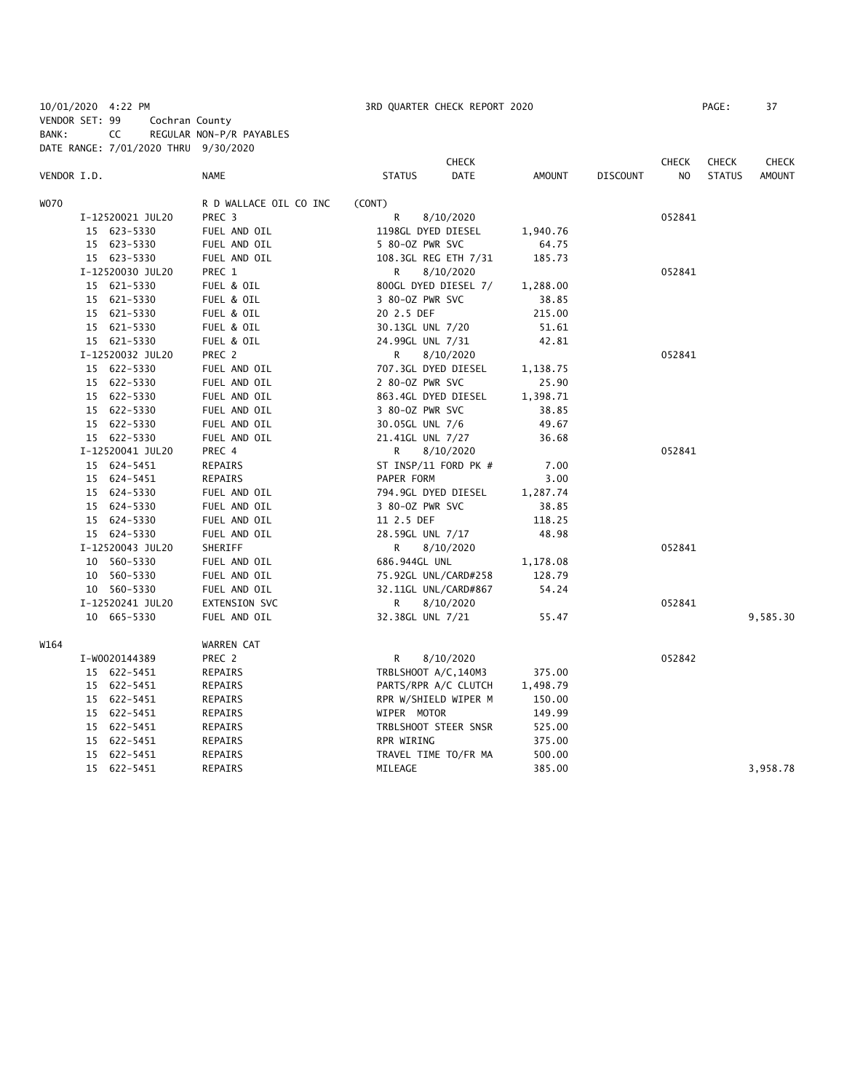10/01/2020 4:22 PM 3RD QUARTER CHECK REPORT 2020 PAGE: 37 VENDOR SET: 99 Cochran County BANK: CC REGULAR NON-P/R PAYABLES DATE RANGE: 7/01/2020 THRU 9/30/2020

|             |                  |                        |                        | <b>CHECK</b>   |                 | <b>CHECK</b> | <b>CHECK</b>  | <b>CHECK</b> |
|-------------|------------------|------------------------|------------------------|----------------|-----------------|--------------|---------------|--------------|
| VENDOR I.D. |                  | NAME                   | <b>STATUS</b>          | DATE<br>AMOUNT | <b>DISCOUNT</b> | NO           | <b>STATUS</b> | AMOUNT       |
| WO70        |                  | R D WALLACE OIL CO INC | (CONT)                 |                |                 |              |               |              |
|             | I-12520021 JUL20 | PREC <sub>3</sub>      | R<br>8/10/2020         |                |                 | 052841       |               |              |
|             | 15 623-5330      | FUEL AND OIL           | 1198GL DYED DIESEL     | 1,940.76       |                 |              |               |              |
|             | 15 623-5330      | FUEL AND OIL           | 5 80-02 PWR SVC        | 64.75          |                 |              |               |              |
|             | 15 623-5330      | FUEL AND OIL           | 108.3GL REG ETH 7/31   | 185.73         |                 |              |               |              |
|             | I-12520030 JUL20 | PREC 1                 | R<br>8/10/2020         |                |                 | 052841       |               |              |
|             | 15 621-5330      | FUEL & OIL             | 800GL DYED DIESEL 7/   | 1,288.00       |                 |              |               |              |
|             | 15 621-5330      | FUEL & OIL             | 3 80-0Z PWR SVC        | 38.85          |                 |              |               |              |
|             | 15 621-5330      | FUEL & OIL             | 20 2.5 DEF             | 215.00         |                 |              |               |              |
|             | 15 621-5330      | FUEL & OIL             | 30.13GL UNL 7/20       | 51.61          |                 |              |               |              |
|             | 15 621-5330      | FUEL & OIL             | 24.99GL UNL 7/31       | 42.81          |                 |              |               |              |
|             | I-12520032 JUL20 | PREC 2                 | R<br>8/10/2020         |                |                 | 052841       |               |              |
|             | 15 622-5330      | FUEL AND OIL           | 707.3GL DYED DIESEL    | 1,138.75       |                 |              |               |              |
|             | 15 622-5330      | FUEL AND OIL           | 2 80-0Z PWR SVC        | 25.90          |                 |              |               |              |
|             | 15 622-5330      | FUEL AND OIL           | 863.4GL DYED DIESEL    | 1,398.71       |                 |              |               |              |
|             | 15 622-5330      | FUEL AND OIL           | 3 80-0Z PWR SVC        | 38.85          |                 |              |               |              |
|             | 15 622-5330      | FUEL AND OIL           | 30.05GL UNL 7/6        | 49.67          |                 |              |               |              |
|             | 15 622-5330      | FUEL AND OIL           | 21.41GL UNL 7/27       | 36.68          |                 |              |               |              |
|             | I-12520041 JUL20 | PREC 4                 | R<br>8/10/2020         |                |                 | 052841       |               |              |
|             | 15 624-5451      | REPAIRS                | ST INSP/11 FORD PK $#$ | 7.00           |                 |              |               |              |
|             | 15 624-5451      | REPAIRS                | PAPER FORM             | 3.00           |                 |              |               |              |
|             | 15 624-5330      | FUEL AND OIL           | 794.9GL DYED DIESEL    | 1,287.74       |                 |              |               |              |
|             | 15 624-5330      | FUEL AND OIL           | 3 80-0Z PWR SVC        | 38.85          |                 |              |               |              |
|             | 15 624-5330      | FUEL AND OIL           | 11 2.5 DEF             | 118.25         |                 |              |               |              |
|             | 15 624-5330      | FUEL AND OIL           | 28.59GL UNL 7/17       | 48.98          |                 |              |               |              |
|             | I-12520043 JUL20 | SHERIFF                | R<br>8/10/2020         |                |                 | 052841       |               |              |
|             | 10 560-5330      | FUEL AND OIL           | 686.944GL UNL          | 1,178.08       |                 |              |               |              |
|             | 10 560-5330      | FUEL AND OIL           | 75.92GL UNL/CARD#258   | 128.79         |                 |              |               |              |
|             | 10 560-5330      | FUEL AND OIL           | 32.11GL UNL/CARD#867   | 54.24          |                 |              |               |              |
|             | I-12520241 JUL20 | EXTENSION SVC          | R<br>8/10/2020         |                |                 | 052841       |               |              |
|             | 10 665-5330      | FUEL AND OIL           | 32.38GL UNL 7/21       | 55.47          |                 |              |               | 9,585.30     |
| W164        |                  | WARREN CAT             |                        |                |                 |              |               |              |
|             | I-W0020144389    | PREC 2                 | R<br>8/10/2020         |                |                 | 052842       |               |              |
|             | 15 622-5451      | REPAIRS                | TRBLSHOOT A/C, 140M3   | 375.00         |                 |              |               |              |
|             | 15 622-5451      | REPAIRS                | PARTS/RPR A/C CLUTCH   | 1,498.79       |                 |              |               |              |
|             | 15 622-5451      | REPAIRS                | RPR W/SHIELD WIPER M   | 150.00         |                 |              |               |              |
|             | 15 622-5451      | REPAIRS                | WIPER MOTOR            | 149.99         |                 |              |               |              |
|             | 15 622-5451      | REPAIRS                | TRBLSHOOT STEER SNSR   | 525.00         |                 |              |               |              |
|             | 15 622-5451      | REPAIRS                | RPR WIRING             | 375.00         |                 |              |               |              |
|             | 15 622-5451      | REPAIRS                | TRAVEL TIME TO/FR MA   | 500.00         |                 |              |               |              |
|             | 15 622-5451      | REPAIRS                | MILEAGE                | 385.00         |                 |              |               | 3,958.78     |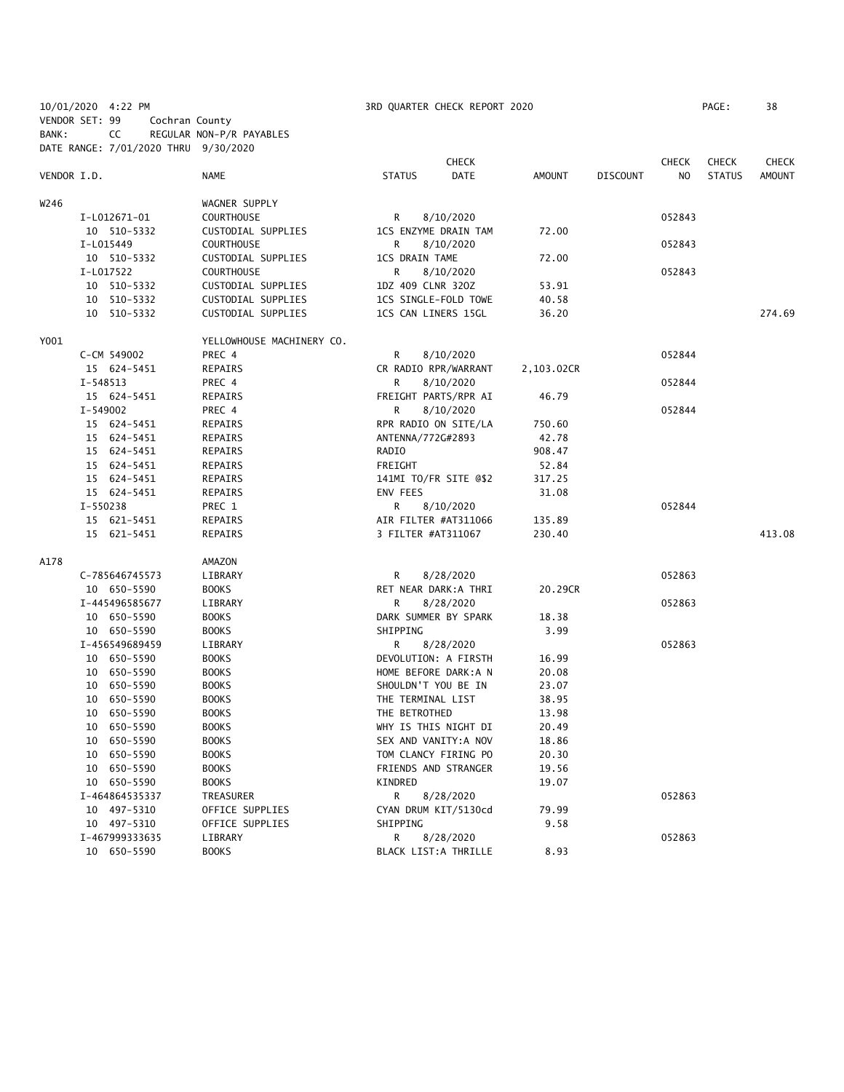|             | 10/01/2020 4:22 PM                   |                           | 3RD QUARTER CHECK REPORT 2020 |              |            |                 |              | PAGE:         | 38            |
|-------------|--------------------------------------|---------------------------|-------------------------------|--------------|------------|-----------------|--------------|---------------|---------------|
|             | VENDOR SET: 99                       | Cochran County            |                               |              |            |                 |              |               |               |
| BANK:       | CC                                   | REGULAR NON-P/R PAYABLES  |                               |              |            |                 |              |               |               |
|             | DATE RANGE: 7/01/2020 THRU 9/30/2020 |                           |                               |              |            |                 |              |               |               |
|             |                                      |                           |                               | <b>CHECK</b> |            |                 | <b>CHECK</b> | <b>CHECK</b>  | <b>CHECK</b>  |
| VENDOR I.D. |                                      | NAME                      | <b>STATUS</b>                 | <b>DATE</b>  | AMOUNT     | <b>DISCOUNT</b> | NO.          | <b>STATUS</b> | <b>AMOUNT</b> |
|             |                                      |                           |                               |              |            |                 |              |               |               |
| W246        |                                      | WAGNER SUPPLY             |                               |              |            |                 |              |               |               |
|             | I-L012671-01                         | <b>COURTHOUSE</b>         | R                             | 8/10/2020    |            |                 | 052843       |               |               |
|             | 10 510-5332                          | CUSTODIAL SUPPLIES        | 1CS ENZYME DRAIN TAM          |              | 72.00      |                 |              |               |               |
|             | I-L015449                            | <b>COURTHOUSE</b>         | R                             | 8/10/2020    |            |                 | 052843       |               |               |
|             | 10 510-5332                          | CUSTODIAL SUPPLIES        | <b>1CS DRAIN TAME</b>         |              | 72.00      |                 |              |               |               |
|             | I-L017522                            | <b>COURTHOUSE</b>         | R                             | 8/10/2020    |            |                 | 052843       |               |               |
|             | 10 510-5332                          | CUSTODIAL SUPPLIES        | 1DZ 409 CLNR 320Z             |              | 53.91      |                 |              |               |               |
|             | 10 510-5332                          | CUSTODIAL SUPPLIES        | 1CS SINGLE-FOLD TOWE          |              | 40.58      |                 |              |               |               |
|             | 10 510-5332                          | CUSTODIAL SUPPLIES        | 1CS CAN LINERS 15GL           |              | 36.20      |                 |              |               | 274.69        |
| Y001        |                                      | YELLOWHOUSE MACHINERY CO. |                               |              |            |                 |              |               |               |
|             | C-CM 549002                          | PREC 4                    | R.                            | 8/10/2020    |            |                 | 052844       |               |               |
|             | 15 624-5451                          | REPAIRS                   | CR RADIO RPR/WARRANT          |              | 2,103.02CR |                 |              |               |               |
|             | $I - 548513$                         | PREC 4                    | R                             | 8/10/2020    |            |                 | 052844       |               |               |
|             | 15 624-5451                          | REPAIRS                   | FREIGHT PARTS/RPR AI          |              | 46.79      |                 |              |               |               |
|             | I-549002                             | PREC 4                    | R                             | 8/10/2020    |            |                 | 052844       |               |               |
|             | 15 624-5451                          | REPAIRS                   | RPR RADIO ON SITE/LA          |              | 750.60     |                 |              |               |               |
|             | 15 624-5451                          | REPAIRS                   | ANTENNA/772G#2893             |              | 42.78      |                 |              |               |               |
|             | 15 624-5451                          | REPAIRS                   | RADIO                         |              | 908.47     |                 |              |               |               |
|             | 15 624-5451                          | REPAIRS                   | FREIGHT                       |              | 52.84      |                 |              |               |               |
|             | 15 624-5451                          | REPAIRS                   | 141MI TO/FR SITE @\$2         |              | 317.25     |                 |              |               |               |
|             | 15 624-5451                          | REPAIRS                   | ENV FEES                      |              | 31.08      |                 |              |               |               |
|             | I-550238                             | PREC 1                    | R                             | 8/10/2020    |            |                 | 052844       |               |               |
|             | 15 621-5451                          | REPAIRS                   | AIR FILTER #AT311066          |              | 135.89     |                 |              |               |               |
|             | 15 621-5451                          | REPAIRS                   | 3 FILTER #AT311067            |              | 230.40     |                 |              |               | 413.08        |
|             |                                      |                           |                               |              |            |                 |              |               |               |
| A178        |                                      | AMAZON                    |                               |              |            |                 |              |               |               |
|             | C-785646745573                       | LIBRARY                   | R                             | 8/28/2020    |            |                 | 052863       |               |               |
|             | 10 650-5590                          | <b>BOOKS</b>              | RET NEAR DARK:A THRI          |              | 20.29CR    |                 |              |               |               |
|             | I-445496585677                       | LIBRARY                   | R.                            | 8/28/2020    |            |                 | 052863       |               |               |
|             | 10 650-5590                          | <b>BOOKS</b>              | DARK SUMMER BY SPARK          |              | 18.38      |                 |              |               |               |
|             | 10 650-5590                          | <b>BOOKS</b>              | SHIPPING                      |              | 3.99       |                 |              |               |               |
|             | I-456549689459                       | LIBRARY                   | R                             | 8/28/2020    |            |                 | 052863       |               |               |
|             | 10 650-5590                          | <b>BOOKS</b>              | DEVOLUTION: A FIRSTH          |              | 16.99      |                 |              |               |               |
|             | 10 650-5590                          | <b>BOOKS</b>              | HOME BEFORE DARK:A N          |              | 20.08      |                 |              |               |               |
|             | 10 650-5590                          | <b>BOOKS</b>              | SHOULDN'T YOU BE IN           |              | 23.07      |                 |              |               |               |
|             | 10 650-5590                          | <b>BOOKS</b>              | THE TERMINAL LIST             |              | 38.95      |                 |              |               |               |
|             | 10 650-5590                          | <b>BOOKS</b>              | THE BETROTHED                 |              | 13.98      |                 |              |               |               |
|             | 10 650-5590                          | <b>BOOKS</b>              | WHY IS THIS NIGHT DI          |              | 20.49      |                 |              |               |               |
|             | 650-5590<br>10                       | <b>BOOKS</b>              | SEX AND VANITY: A NOV         |              | 18.86      |                 |              |               |               |
|             | 650-5590<br>10                       | <b>BOOKS</b>              | TOM CLANCY FIRING PO          |              | 20.30      |                 |              |               |               |
|             | 10 650-5590                          | <b>BOOKS</b>              | FRIENDS AND STRANGER          |              | 19.56      |                 |              |               |               |
|             | 10 650-5590                          | <b>BOOKS</b>              | KINDRED                       |              | 19.07      |                 |              |               |               |
|             | I-464864535337                       | TREASURER                 | R.                            | 8/28/2020    |            |                 | 052863       |               |               |
|             | 10 497-5310                          | OFFICE SUPPLIES           | CYAN DRUM KIT/5130cd          |              | 79.99      |                 |              |               |               |
|             | 10 497-5310                          | OFFICE SUPPLIES           | SHIPPING                      |              | 9.58       |                 |              |               |               |
|             | I-467999333635                       | LIBRARY                   | R                             | 8/28/2020    |            |                 | 052863       |               |               |
|             | 10 650-5590                          | <b>BOOKS</b>              | BLACK LIST:A THRILLE          |              | 8.93       |                 |              |               |               |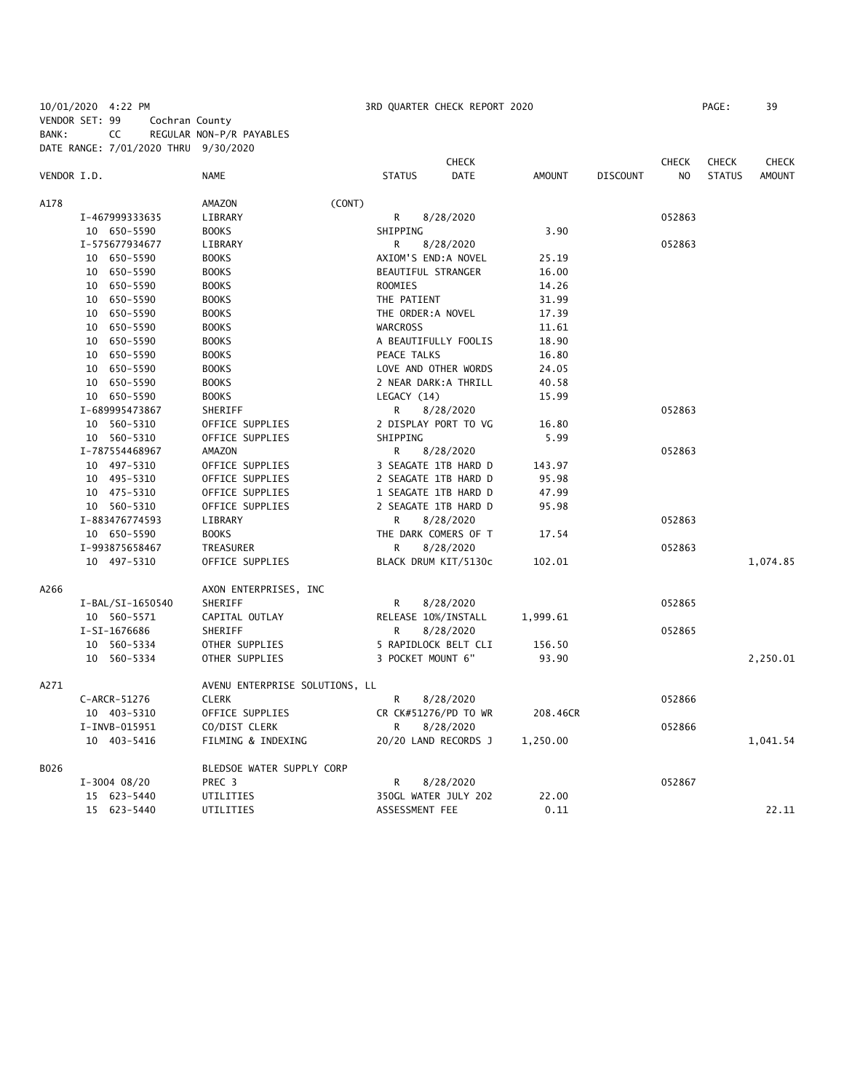10/01/2020 4:22 PM 3RD QUARTER CHECK REPORT 2020 PAGE: 39 VENDOR SET: 99 Cochran County BANK: CC REGULAR NON-P/R PAYABLES DATE RANGE: 7/01/2020 THRU 9/30/2020

|             |                  |                                |                     | <b>CHECK</b>          |          |                 | <b>CHECK</b> | <b>CHECK</b>  | CHECK         |
|-------------|------------------|--------------------------------|---------------------|-----------------------|----------|-----------------|--------------|---------------|---------------|
| VENDOR I.D. |                  | NAME                           | <b>STATUS</b>       | <b>DATE</b>           | AMOUNT   | <b>DISCOUNT</b> | NO           | <b>STATUS</b> | <b>AMOUNT</b> |
| A178        |                  | (CONT)<br>AMAZON               |                     |                       |          |                 |              |               |               |
|             | I-467999333635   | LIBRARY                        | R                   | 8/28/2020             |          |                 | 052863       |               |               |
|             | 10 650-5590      | <b>BOOKS</b>                   | SHIPPING            |                       | 3.90     |                 |              |               |               |
|             | I-575677934677   | LIBRARY                        | R                   | 8/28/2020             |          |                 | 052863       |               |               |
|             | 10 650-5590      | <b>BOOKS</b>                   | AXIOM'S END:A NOVEL |                       | 25.19    |                 |              |               |               |
|             | 10 650-5590      | <b>BOOKS</b>                   | BEAUTIFUL STRANGER  |                       | 16.00    |                 |              |               |               |
|             | 10 650-5590      | <b>BOOKS</b>                   | ROOMIES             |                       | 14.26    |                 |              |               |               |
|             | 10 650-5590      | <b>BOOKS</b>                   | THE PATIENT         |                       | 31.99    |                 |              |               |               |
|             | 10 650-5590      | <b>BOOKS</b>                   | THE ORDER: A NOVEL  |                       | 17.39    |                 |              |               |               |
|             | 10 650-5590      | <b>BOOKS</b>                   | <b>WARCROSS</b>     |                       | 11.61    |                 |              |               |               |
|             | 10 650-5590      | <b>BOOKS</b>                   |                     | A BEAUTIFULLY FOOLIS  | 18.90    |                 |              |               |               |
|             | 10 650-5590      | <b>BOOKS</b>                   | PEACE TALKS         |                       | 16.80    |                 |              |               |               |
|             | 10 650-5590      | <b>BOOKS</b>                   |                     | LOVE AND OTHER WORDS  | 24.05    |                 |              |               |               |
|             | 10 650-5590      | <b>BOOKS</b>                   |                     | 2 NEAR DARK: A THRILL | 40.58    |                 |              |               |               |
|             | 10 650-5590      | <b>BOOKS</b>                   | LEGACY (14)         |                       | 15.99    |                 |              |               |               |
|             | I-689995473867   | SHERIFF                        | R                   | 8/28/2020             |          |                 | 052863       |               |               |
|             | 10 560-5310      | OFFICE SUPPLIES                |                     | 2 DISPLAY PORT TO VG  | 16.80    |                 |              |               |               |
|             | 10 560-5310      | OFFICE SUPPLIES                | SHIPPING            |                       | 5.99     |                 |              |               |               |
|             | I-787554468967   | AMAZON                         | R                   | 8/28/2020             |          |                 | 052863       |               |               |
|             | 10 497-5310      | OFFICE SUPPLIES                |                     | 3 SEAGATE 1TB HARD D  | 143.97   |                 |              |               |               |
|             | 10 495-5310      | OFFICE SUPPLIES                |                     | 2 SEAGATE 1TB HARD D  | 95.98    |                 |              |               |               |
|             | 10 475-5310      | OFFICE SUPPLIES                |                     | 1 SEAGATE 1TB HARD D  | 47.99    |                 |              |               |               |
|             | 10 560-5310      | OFFICE SUPPLIES                |                     | 2 SEAGATE 1TB HARD D  | 95.98    |                 |              |               |               |
|             | I-883476774593   | LIBRARY                        | R                   | 8/28/2020             |          |                 | 052863       |               |               |
|             | 10 650-5590      | <b>BOOKS</b>                   |                     | THE DARK COMERS OF T  | 17.54    |                 |              |               |               |
|             | I-993875658467   | TREASURER                      | R                   | 8/28/2020             |          |                 | 052863       |               |               |
|             | 10 497-5310      | OFFICE SUPPLIES                |                     | BLACK DRUM KIT/5130c  | 102.01   |                 |              |               | 1,074.85      |
| A266        |                  | AXON ENTERPRISES, INC          |                     |                       |          |                 |              |               |               |
|             | I-BAL/SI-1650540 | SHERIFF                        | R                   | 8/28/2020             |          |                 | 052865       |               |               |
|             | 10 560-5571      | CAPITAL OUTLAY                 | RELEASE 10%/INSTALL |                       | 1,999.61 |                 |              |               |               |
|             | I-SI-1676686     | SHERIFF                        | R                   | 8/28/2020             |          |                 | 052865       |               |               |
|             | 10 560-5334      | OTHER SUPPLIES                 |                     | 5 RAPIDLOCK BELT CLI  | 156.50   |                 |              |               |               |
|             | 10 560-5334      | OTHER SUPPLIES                 | 3 POCKET MOUNT 6"   |                       | 93.90    |                 |              |               | 2,250.01      |
| A271        |                  | AVENU ENTERPRISE SOLUTIONS, LL |                     |                       |          |                 |              |               |               |
|             | C-ARCR-51276     | <b>CLERK</b>                   | R                   | 8/28/2020             |          |                 | 052866       |               |               |
|             | 10 403-5310      | OFFICE SUPPLIES                |                     | CR CK#51276/PD TO WR  | 208.46CR |                 |              |               |               |
|             | I-INVB-015951    | CO/DIST CLERK                  | R.                  | 8/28/2020             |          |                 | 052866       |               |               |
|             | 10 403-5416      | FILMING & INDEXING             |                     | 20/20 LAND RECORDS J  | 1,250.00 |                 |              |               | 1,041.54      |
| B026        |                  | BLEDSOE WATER SUPPLY CORP      |                     |                       |          |                 |              |               |               |
|             | $I-3004$ 08/20   | PREC 3                         | R                   | 8/28/2020             |          |                 | 052867       |               |               |
|             | 15 623-5440      | UTILITIES                      |                     | 350GL WATER JULY 202  | 22.00    |                 |              |               |               |
|             | 15 623-5440      | UTILITIES                      | ASSESSMENT FEE      |                       | 0.11     |                 |              |               | 22.11         |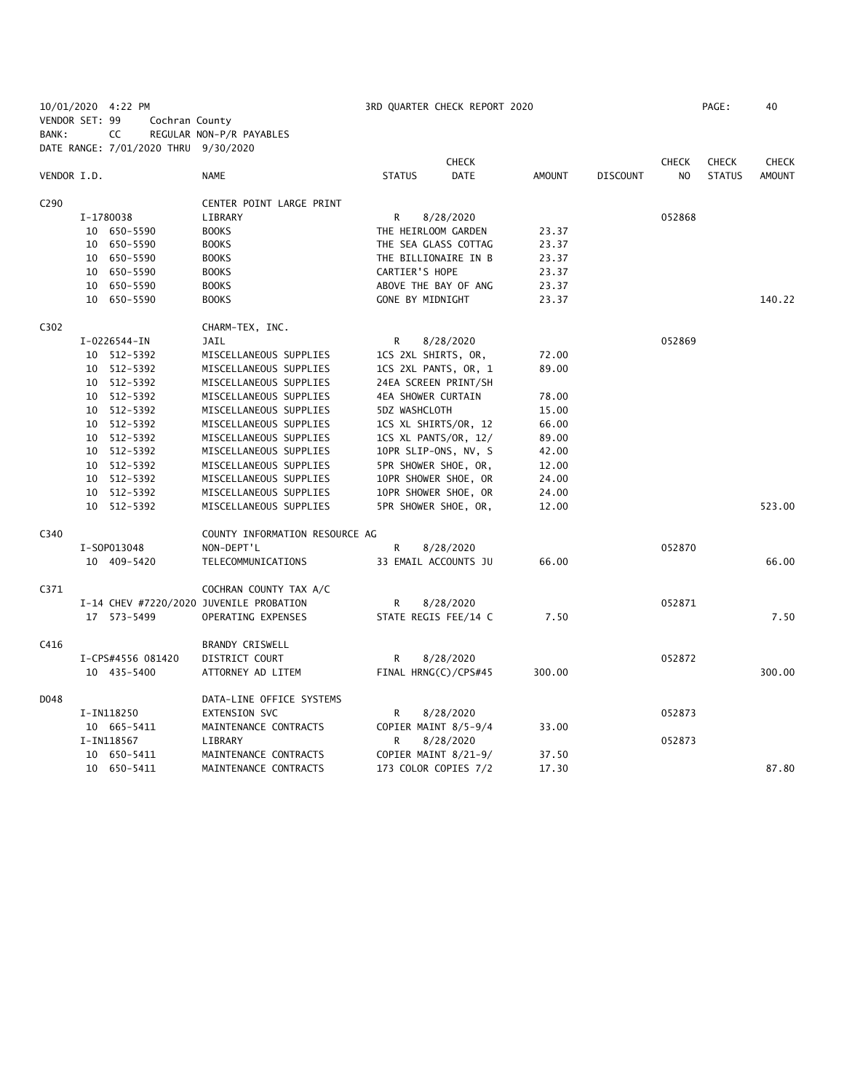10/01/2020 4:22 PM 3RD QUARTER CHECK REPORT 2020 PAGE: 40 VENDOR SET: 99 Cochran County BANK: CC REGULAR NON-P/R PAYABLES

|                  | DATE RANGE: 7/01/2020 THRU 9/30/2020 |                                         |                         |                             |        |          |              |               |               |
|------------------|--------------------------------------|-----------------------------------------|-------------------------|-----------------------------|--------|----------|--------------|---------------|---------------|
|                  |                                      |                                         |                         | <b>CHECK</b>                |        |          | <b>CHECK</b> | <b>CHECK</b>  | <b>CHECK</b>  |
| VENDOR I.D.      |                                      | <b>NAME</b>                             | <b>STATUS</b>           | DATE                        | AMOUNT | DISCOUNT | NO.          | <b>STATUS</b> | <b>AMOUNT</b> |
| C <sub>290</sub> |                                      | CENTER POINT LARGE PRINT                |                         |                             |        |          |              |               |               |
|                  | I-1780038                            | LIBRARY                                 | R                       | 8/28/2020                   |        |          | 052868       |               |               |
|                  | 10 650-5590                          | <b>BOOKS</b>                            | THE HEIRLOOM GARDEN     |                             | 23.37  |          |              |               |               |
|                  | 10 650-5590                          | <b>BOOKS</b>                            |                         | THE SEA GLASS COTTAG        | 23.37  |          |              |               |               |
|                  | 10 650-5590                          | <b>BOOKS</b>                            |                         | THE BILLIONAIRE IN B        | 23.37  |          |              |               |               |
|                  | 10 650-5590                          | <b>BOOKS</b>                            | CARTIER'S HOPE          |                             | 23.37  |          |              |               |               |
|                  | 10 650-5590                          | <b>BOOKS</b>                            |                         | ABOVE THE BAY OF ANG        | 23.37  |          |              |               |               |
|                  | 10 650-5590                          | <b>BOOKS</b>                            | <b>GONE BY MIDNIGHT</b> |                             | 23.37  |          |              |               | 140.22        |
| C302             |                                      | CHARM-TEX, INC.                         |                         |                             |        |          |              |               |               |
|                  | I-0226544-IN                         | JAIL                                    | R                       | 8/28/2020                   |        |          | 052869       |               |               |
|                  | 10 512-5392                          | MISCELLANEOUS SUPPLIES                  | 1CS 2XL SHIRTS, OR,     |                             | 72.00  |          |              |               |               |
|                  | 10 512-5392                          | MISCELLANEOUS SUPPLIES                  |                         | 1CS 2XL PANTS, OR, 1        | 89.00  |          |              |               |               |
|                  | 10 512-5392                          | MISCELLANEOUS SUPPLIES                  |                         | 24EA SCREEN PRINT/SH        |        |          |              |               |               |
|                  | 10 512-5392                          | MISCELLANEOUS SUPPLIES                  | 4EA SHOWER CURTAIN      |                             | 78.00  |          |              |               |               |
|                  | 10 512-5392                          | MISCELLANEOUS SUPPLIES                  | 5DZ WASHCLOTH           |                             | 15.00  |          |              |               |               |
|                  | 10 512-5392                          | MISCELLANEOUS SUPPLIES                  |                         | 1CS XL SHIRTS/OR, 12        | 66.00  |          |              |               |               |
|                  | 10 512-5392                          | MISCELLANEOUS SUPPLIES                  |                         | 1CS XL PANTS/OR, 12/        | 89.00  |          |              |               |               |
|                  | 10 512-5392                          | MISCELLANEOUS SUPPLIES                  |                         | 10PR SLIP-ONS, NV, S        | 42.00  |          |              |               |               |
|                  | 10 512-5392                          | MISCELLANEOUS SUPPLIES                  |                         | <b>5PR SHOWER SHOE, OR,</b> | 12.00  |          |              |               |               |
|                  | 10 512-5392                          | MISCELLANEOUS SUPPLIES                  |                         | 10PR SHOWER SHOE, OR        | 24.00  |          |              |               |               |
|                  | 10 512-5392                          | MISCELLANEOUS SUPPLIES                  |                         | 10PR SHOWER SHOE, OR        | 24.00  |          |              |               |               |
|                  | 10 512-5392                          | MISCELLANEOUS SUPPLIES                  |                         | 5PR SHOWER SHOE, OR,        | 12.00  |          |              |               | 523.00        |
| C340             |                                      | COUNTY INFORMATION RESOURCE AG          |                         |                             |        |          |              |               |               |
|                  | I-S0P013048                          | NON-DEPT'L                              | R                       | 8/28/2020                   |        |          | 052870       |               |               |
|                  | 10 409-5420                          | TELECOMMUNICATIONS                      |                         | 33 EMAIL ACCOUNTS JU        | 66.00  |          |              |               | 66.00         |
| C371             |                                      | COCHRAN COUNTY TAX A/C                  |                         |                             |        |          |              |               |               |
|                  |                                      | I-14 CHEV #7220/2020 JUVENILE PROBATION | R                       | 8/28/2020                   |        |          | 052871       |               |               |
|                  | 17 573-5499                          | OPERATING EXPENSES                      |                         | STATE REGIS FEE/14 C        | 7.50   |          |              |               | 7.50          |
| C416             |                                      | BRANDY CRISWELL                         |                         |                             |        |          |              |               |               |
|                  | I-CPS#4556 081420                    | DISTRICT COURT                          | R                       | 8/28/2020                   |        |          | 052872       |               |               |
|                  | 10 435-5400                          | ATTORNEY AD LITEM                       |                         | FINAL HRNG(C)/CPS#45        | 300.00 |          |              |               | 300.00        |
| D048             |                                      | DATA-LINE OFFICE SYSTEMS                |                         |                             |        |          |              |               |               |
|                  | I-IN118250                           | <b>EXTENSION SVC</b>                    | R                       | 8/28/2020                   |        |          | 052873       |               |               |
|                  | 10 665-5411                          | MAINTENANCE CONTRACTS                   |                         | COPIER MAINT 8/5-9/4        | 33.00  |          |              |               |               |
|                  | I-IN118567                           | LIBRARY                                 | R                       | 8/28/2020                   |        |          | 052873       |               |               |
|                  | 10 650-5411                          | MAINTENANCE CONTRACTS                   |                         | COPIER MAINT 8/21-9/        | 37.50  |          |              |               |               |
|                  | 10 650-5411                          | MAINTENANCE CONTRACTS                   |                         | 173 COLOR COPIES 7/2        | 17.30  |          |              |               | 87.80         |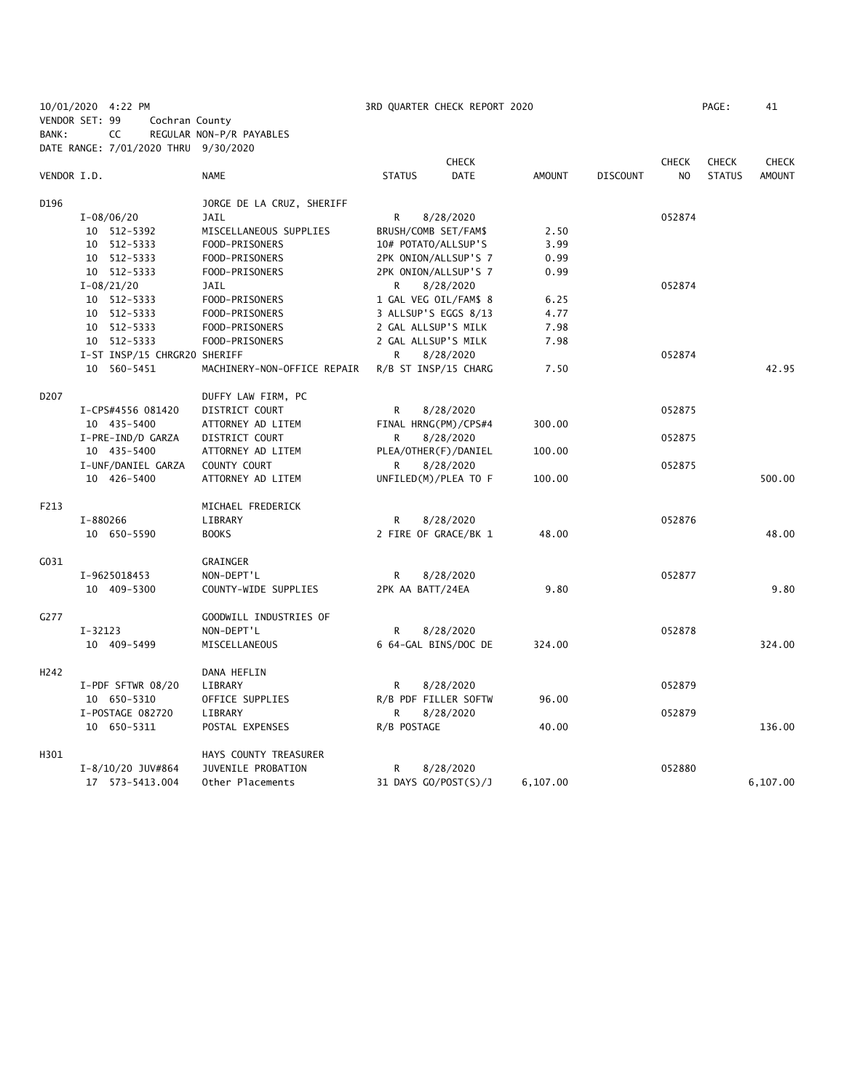10/01/2020 4:22 PM 3RD QUARTER CHECK REPORT 2020 PAGE: 41 VENDOR SET: 99 Cochran County BANK: CC REGULAR NON-P/R PAYABLES

DATE RANGE: 7/01/2020 THRU 9/30/2020 **CHECK CHECK CHECK CHECK CHECK CHECK CHECK** VENDOR I.D. NAME STATUS DATE AMOUNT DISCOUNT NO STATUS AMOUNT D196 JORGE DE LA CRUZ, SHERIFF I-08/06/20 JAIL R 8/28/2020 052874 10 512-5392 MISCELLANEOUS SUPPLIES BRUSH/COMB SET/FAM\$ 2.50 10 512-5333 FOOD-PRISONERS 10# POTATO/ALLSUP'S 3.99 10 512-5333 FOOD-PRISONERS 2PK ONION/ALLSUP'S 7 0.99 10 512-5333 FOOD-PRISONERS 2PK ONION/ALLSUP'S 7 0.99 I-08/21/20 JAIL R 8/28/2020 052874 10 512-5333 FOOD-PRISONERS 1 GAL VEG OIL/FAM\$ 8 6.25 10 512-5333 FOOD-PRISONERS 3 ALLSUP'S EGGS 8/13 4.77 10 512-5333 FOOD-PRISONERS 2 GAL ALLSUP'S MILK 7.98 10 512-5333 FOOD-PRISONERS 2 GAL ALLSUP'S MILK 7.98 I-ST INSP/15 CHRGR20 SHERIFF R 8/28/2020 052874 10 560-5451 MACHINERY-NON-OFFICE REPAIR R/B ST INSP/15 CHARG 7.50 42.95 D207 DUFFY LAW FIRM, PC I-CPS#4556 081420 DISTRICT COURT R 8/28/2020 052875 10 435-5400 ATTORNEY AD LITEM FINAL HRNG(PM)/CPS#4 300.00 I-PRE-IND/D GARZA DISTRICT COURT R 8/28/2020 852875 10 435-5400 ATTORNEY AD LITEM PLEA/OTHER(F)/DANIEL 100.00 I-UNF/DANIEL GARZA COUNTY COURT COURT COUNTY R 8/28/2020 10 426-5400 ATTORNEY AD LITEM UNFILED(M)/PLEA TO F 100.00 500.00 F213 MICHAEL FREDERICK I-880266 LIBRARY R 8/28/2020 052876 10 650-5590 BOOKS 2 FIRE OF GRACE/BK 1 48.00 48.00 G031 GRAINGER I-9625018453 NON-DEPT'L R 8/28/2020 052877 10 409-5300 COUNTY-WIDE SUPPLIES 2PK AA BATT/24EA 9.80 9.80 G277 GOODWILL INDUSTRIES OF I-32123 NON-DEPT'L R 8/28/2020 052878 10 409-5499 MISCELLANEOUS 6 64-GAL BINS/DOC DE 324.00 324.00 H242 DANA HEFLIN I-PDF SFTWR 08/20 LIBRARY R 8/28/2020 052879 10 650-5310 OFFICE SUPPLIES R/B PDF FILLER SOFTW 96.00 I-POSTAGE 082720 LIBRARY R 8/28/2020 R 800 MHz 10 650-5311 POSTAL EXPENSES R/B POSTAGE 40.00 136.00 H301 HAYS COUNTY TREASURER I-8/10/20 JUV#864 JUVENILE PROBATION R 8/28/2020 052880 17 573-5413.004 Other Placements 31 DAYS GO/POST(S)/J 6,107.00 6,107.00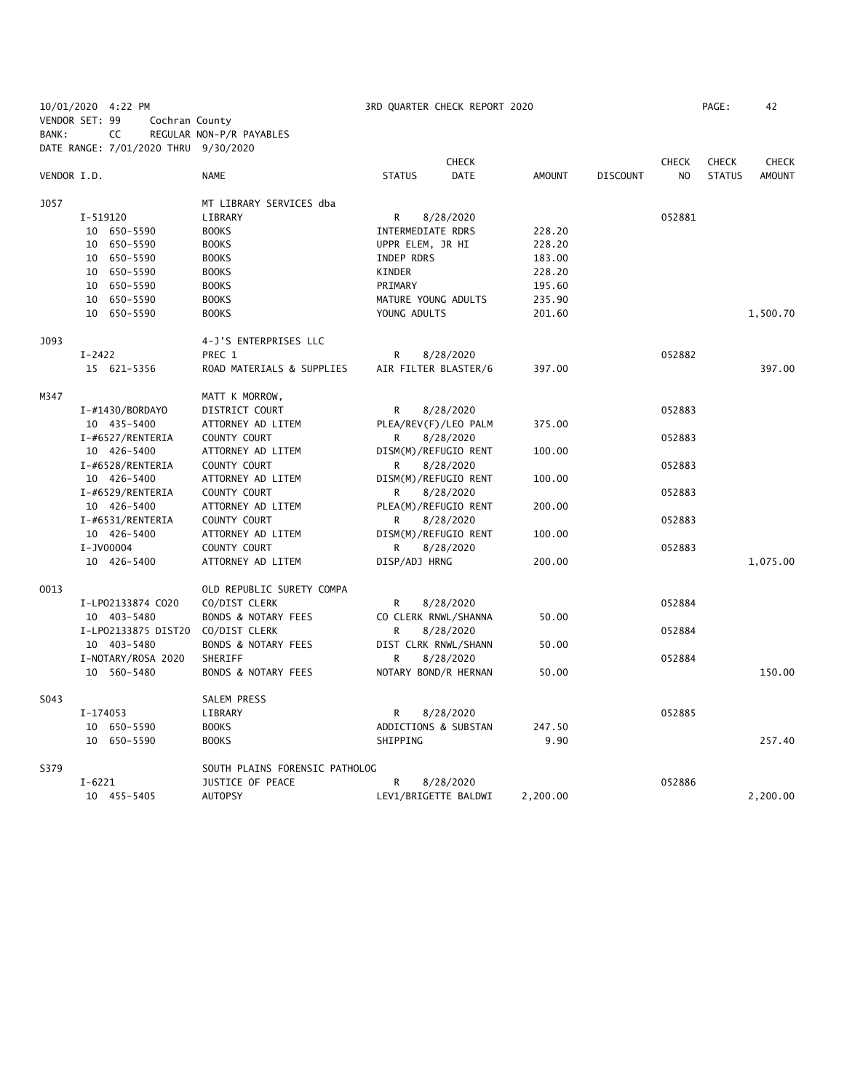10/01/2020 4:22 PM 3RD QUARTER CHECK REPORT 2020 PAGE: 42 VENDOR SET: 99 Cochran County BANK: CC REGULAR NON-P/R PAYABLES DATE RANGE: 7/01/2020 THRU 9/30/2020 **CHECK CHECK CHECK CHECK CHECK CHECK CHECK** VENDOR I.D. NAME STATUS DATE AMOUNT DISCOUNT NO STATUS AMOUNT J057 MT LIBRARY SERVICES dba I-519120 LIBRARY R 8/28/2020 052881 10 650-5590 BOOKS INTERMEDIATE RDRS 228.20 10 650-5590 BOOKS UPPR ELEM, JR HI 228.20 10 650-5590 BOOKS INDEP RDRS 183.00 10 650-5590 BOOKS KINDER 228.20 10 650-5590 BOOKS PRIMARY 195.60 10 650-5590 BOOKS MATURE YOUNG ADULTS 235.90 10 650-5590 BOOKS YOUNG ADULTS 201.60 1,500.70 J093 4-J'S ENTERPRISES LLC I-2422 PREC 1 R 8/28/2020 052882 15 621-5356 ROAD MATERIALS & SUPPLIES AIR FILTER BLASTER/6 397.00 397.00 M347 MATT K MORROW, I-#1430/BORDAYO DISTRICT COURT R 8/28/2020 052883 10 435-5400 ATTORNEY AD LITEM PLEA/REV(F)/LEO PALM 375.00 I-#6527/RENTERIA COUNTY COURT R 8/28/2020 052883 10 426-5400 ATTORNEY AD LITEM DISM(M)/REFUGIO RENT 100.00 I-#6528/RENTERIA COUNTY COURT R 8/28/2020 052883 10 426-5400 ATTORNEY AD LITEM DISM(M)/REFUGIO RENT 100.00 I-#6529/RENTERIA COUNTY COURT R 8/28/2020 052883 10 426-5400 ATTORNEY AD LITEM PLEA(M)/REFUGIO RENT 200.00 I-#6531/RENTERIA COUNTY COURT R 8/28/2020 R 8.000 R 8/28/2020 10 426-5400 ATTORNEY AD LITEM DISM(M)/REFUGIO RENT 100.00 I-JV00004 COUNTY COURT R 8/28/2020 052883 10 426-5400 ATTORNEY AD LITEM DISP/ADJ HRNG 200.00 1,075.00 O013 OLD REPUBLIC SURETY COMPA I-LP02133874 CO20 CO/DIST CLERK R 8/28/2020 R 8/28/2020 10 403-5480 BONDS & NOTARY FEES CO CLERK RNWL/SHANNA 50.00 I-LP02133875 DIST20 CO/DIST CLERK R 8/28/2020 R 8/28/2020 10 403-5480 BONDS & NOTARY FEES DIST CLRK RNWL/SHANN 50.00 I-NOTARY/ROSA 2020 SHERIFF R 8/28/2020 052884 10 560-5480 BONDS & NOTARY FEES NOTARY BOND/R HERNAN 50.00 150.00 S043 SALEM PRESS I-174053 LIBRARY R 8/28/2020 052885 10 650-5590 BOOKS ADDICTIONS & SUBSTAN 247.50 10 650-5590 BOOKS SHIPPING 9.90 257.40 S379 SOUTH PLAINS FORENSIC PATHOLOG I-6221 JUSTICE OF PEACE R 8/28/2020 852886 10 455-5405 AUTOPSY LEV1/BRIGETTE BALDWI 2,200.00 2,200.00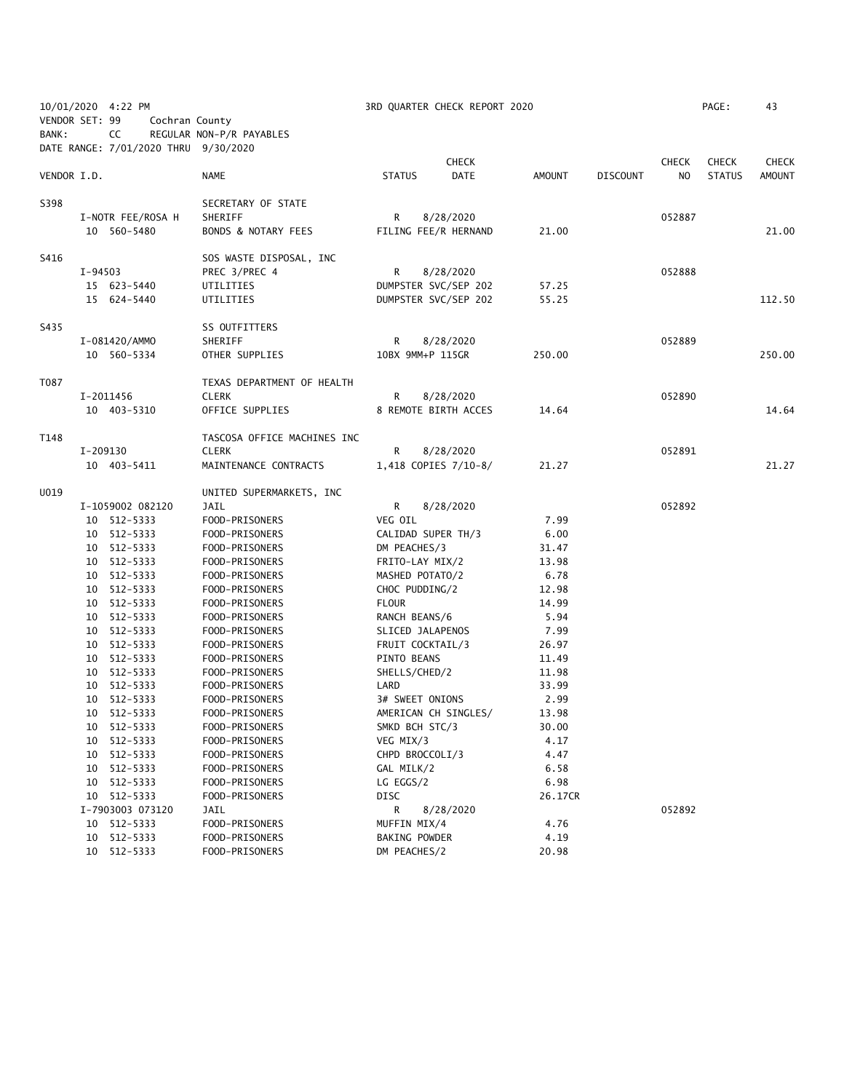|                |         | 10/01/2020 4:22 PM                   |                             |                    | 3RD QUARTER CHECK REPORT 2020 |         |                 |                | PAGE:         | 43           |
|----------------|---------|--------------------------------------|-----------------------------|--------------------|-------------------------------|---------|-----------------|----------------|---------------|--------------|
| VENDOR SET: 99 |         | Cochran County                       |                             |                    |                               |         |                 |                |               |              |
| BANK:          |         | CC                                   | REGULAR NON-P/R PAYABLES    |                    |                               |         |                 |                |               |              |
|                |         | DATE RANGE: 7/01/2020 THRU 9/30/2020 |                             |                    |                               |         |                 |                |               |              |
|                |         |                                      |                             |                    | <b>CHECK</b>                  |         |                 | <b>CHECK</b>   | <b>CHECK</b>  | <b>CHECK</b> |
| VENDOR I.D.    |         |                                      | NAME                        | <b>STATUS</b>      | <b>DATE</b>                   | AMOUNT  | <b>DISCOUNT</b> | N <sub>O</sub> | <b>STATUS</b> | AMOUNT       |
|                |         |                                      |                             |                    |                               |         |                 |                |               |              |
| S398           |         |                                      | SECRETARY OF STATE          |                    |                               |         |                 |                |               |              |
|                |         | I-NOTR FEE/ROSA H                    | SHERIFF                     | R.                 | 8/28/2020                     |         |                 | 052887         |               |              |
|                |         | 10 560-5480                          | BONDS & NOTARY FEES         |                    | FILING FEE/R HERNAND          | 21.00   |                 |                |               | 21.00        |
|                |         |                                      |                             |                    |                               |         |                 |                |               |              |
| S416           |         |                                      | SOS WASTE DISPOSAL, INC     |                    |                               |         |                 |                |               |              |
|                | I-94503 |                                      | PREC 3/PREC 4               | R                  | 8/28/2020                     |         |                 | 052888         |               |              |
|                |         | 15 623-5440                          | UTILITIES                   |                    | DUMPSTER SVC/SEP 202          | 57.25   |                 |                |               |              |
|                |         | 15 624-5440                          | UTILITIES                   |                    | DUMPSTER SVC/SEP 202          | 55.25   |                 |                |               | 112.50       |
| S435           |         |                                      | SS OUTFITTERS               |                    |                               |         |                 |                |               |              |
|                |         | I-081420/AMMO                        | SHERIFF                     | R                  | 8/28/2020                     |         |                 | 052889         |               |              |
|                |         | 10 560-5334                          | OTHER SUPPLIES              | 10BX 9MM+P 115GR   |                               | 250.00  |                 |                |               | 250.00       |
|                |         |                                      |                             |                    |                               |         |                 |                |               |              |
| T087           |         |                                      | TEXAS DEPARTMENT OF HEALTH  |                    |                               |         |                 |                |               |              |
|                |         | I-2011456                            | <b>CLERK</b>                | R                  | 8/28/2020                     |         |                 | 052890         |               |              |
|                |         | 10 403-5310                          | OFFICE SUPPLIES             |                    | 8 REMOTE BIRTH ACCES          | 14.64   |                 |                |               | 14.64        |
|                |         |                                      |                             |                    |                               |         |                 |                |               |              |
| T148           |         |                                      | TASCOSA OFFICE MACHINES INC |                    |                               |         |                 |                |               |              |
|                |         | I-209130                             | <b>CLERK</b>                | R                  | 8/28/2020                     |         |                 | 052891         |               |              |
|                |         | 10 403-5411                          | MAINTENANCE CONTRACTS       |                    | 1,418 COPIES 7/10-8/          | 21.27   |                 |                |               | 21.27        |
| U019           |         |                                      | UNITED SUPERMARKETS, INC    |                    |                               |         |                 |                |               |              |
|                |         | I-1059002 082120                     | JAIL                        | R                  | 8/28/2020                     |         |                 | 052892         |               |              |
|                |         | 10 512-5333                          | FOOD-PRISONERS              | VEG OIL            |                               | 7.99    |                 |                |               |              |
|                |         | 10 512-5333                          | FOOD-PRISONERS              | CALIDAD SUPER TH/3 |                               | 6.00    |                 |                |               |              |
|                |         | 10 512-5333                          | FOOD-PRISONERS              | DM PEACHES/3       |                               | 31.47   |                 |                |               |              |
|                |         | 10 512-5333                          | FOOD-PRISONERS              | FRITO-LAY MIX/2    |                               | 13.98   |                 |                |               |              |
|                |         | 10 512-5333                          | FOOD-PRISONERS              | MASHED POTATO/2    |                               | 6.78    |                 |                |               |              |
|                |         | 10 512-5333                          | FOOD-PRISONERS              | CHOC PUDDING/2     |                               | 12.98   |                 |                |               |              |
|                |         | 10 512-5333                          | FOOD-PRISONERS              | <b>FLOUR</b>       |                               | 14.99   |                 |                |               |              |
|                |         | 10 512-5333                          | FOOD-PRISONERS              | RANCH BEANS/6      |                               | 5.94    |                 |                |               |              |
|                |         | 10 512-5333                          | FOOD-PRISONERS              | SLICED JALAPENOS   |                               | 7.99    |                 |                |               |              |
|                |         | 10 512-5333                          | FOOD-PRISONERS              | FRUIT COCKTAIL/3   |                               | 26.97   |                 |                |               |              |
|                |         | 10 512-5333                          | FOOD-PRISONERS              | PINTO BEANS        |                               | 11.49   |                 |                |               |              |
|                |         | 10 512-5333                          | FOOD-PRISONERS              | SHELLS/CHED/2      |                               | 11.98   |                 |                |               |              |
|                |         | 10 512-5333                          | FOOD-PRISONERS              | LARD               |                               | 33.99   |                 |                |               |              |
|                |         | 10 512-5333                          | FOOD-PRISONERS              | 3# SWEET ONIONS    |                               | 2.99    |                 |                |               |              |
|                |         | 10 512-5333                          | FOOD-PRISONERS              |                    | AMERICAN CH SINGLES/          | 13.98   |                 |                |               |              |
|                |         | 10 512-5333                          | FOOD-PRISONERS              | SMKD BCH STC/3     |                               | 30.00   |                 |                |               |              |
|                | 10      | 512-5333                             | FOOD-PRISONERS              | VEG MIX/3          |                               | 4.17    |                 |                |               |              |
|                | 10      | 512-5333                             | FOOD-PRISONERS              | CHPD BROCCOLI/3    |                               | 4.47    |                 |                |               |              |
|                | 10      | 512-5333                             | FOOD-PRISONERS              | GAL MILK/2         |                               | 6.58    |                 |                |               |              |
|                | 10      | 512-5333                             | FOOD-PRISONERS              | LG EGGS/2          |                               | 6.98    |                 |                |               |              |
|                |         | 10 512-5333                          | FOOD-PRISONERS              | DISC               |                               | 26.17CR |                 |                |               |              |
|                |         | I-7903003 073120                     | JAIL                        | R                  | 8/28/2020                     |         |                 | 052892         |               |              |
|                |         | 10 512-5333                          | FOOD-PRISONERS              | MUFFIN MIX/4       |                               | 4.76    |                 |                |               |              |
|                |         | 10 512-5333                          | FOOD-PRISONERS              | BAKING POWDER      |                               | 4.19    |                 |                |               |              |
|                |         | 10 512-5333                          | FOOD-PRISONERS              | DM PEACHES/2       |                               | 20.98   |                 |                |               |              |
|                |         |                                      |                             |                    |                               |         |                 |                |               |              |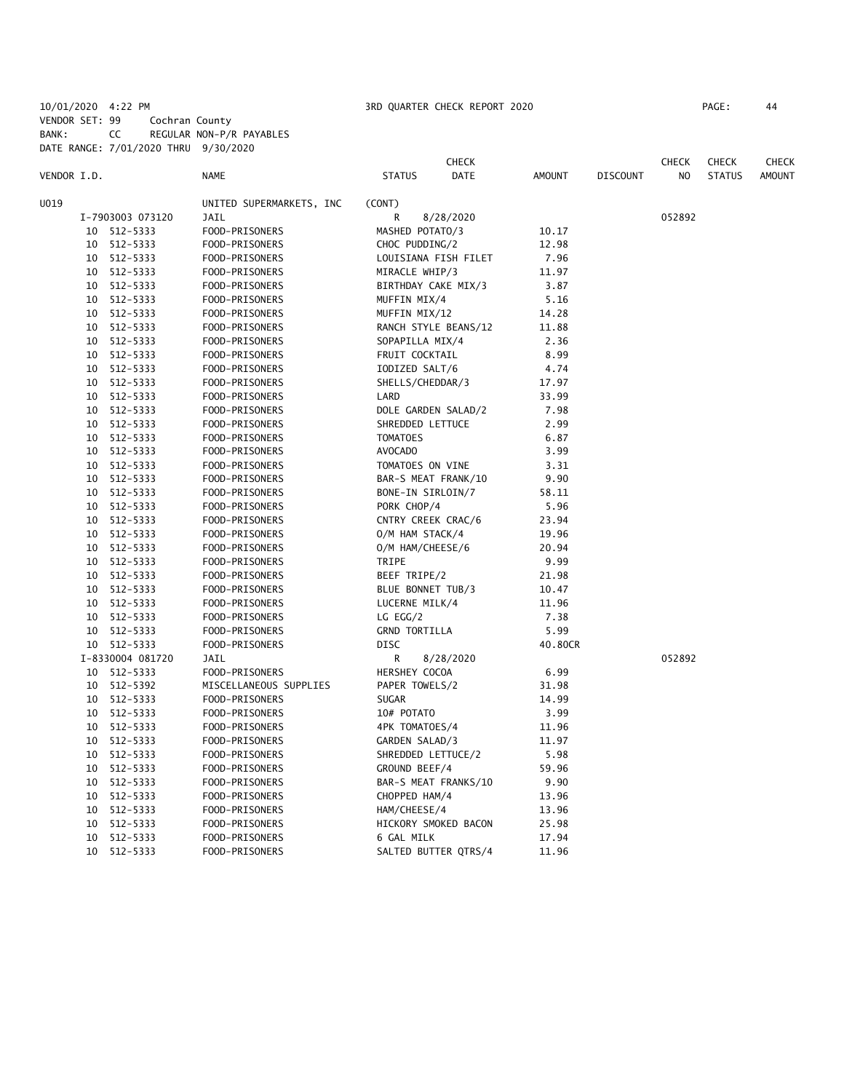10/01/2020 4:22 PM 3RD QUARTER CHECK REPORT 2020 PAGE: 44 VENDOR SET: 99 Cochran County BANK: CC REGULAR NON-P/R PAYABLES DATE RANGE: 7/01/2020 THRU 9/30/2020

|             |    |                  |                          | <b>CHECK</b>                 |           |               | CHECK           | <b>CHECK</b>   | <b>CHECK</b>  |               |
|-------------|----|------------------|--------------------------|------------------------------|-----------|---------------|-----------------|----------------|---------------|---------------|
| VENDOR I.D. |    |                  | <b>NAME</b>              | <b>STATUS</b><br><b>DATE</b> |           | <b>AMOUNT</b> | <b>DISCOUNT</b> | N <sub>O</sub> | <b>STATUS</b> | <b>AMOUNT</b> |
| U019        |    |                  | UNITED SUPERMARKETS, INC | (CONT)                       |           |               |                 |                |               |               |
|             |    | I-7903003 073120 | <b>JAIL</b>              | R                            | 8/28/2020 |               |                 | 052892         |               |               |
|             | 10 | 512-5333         | FOOD-PRISONERS           | MASHED POTATO/3              |           | 10.17         |                 |                |               |               |
|             | 10 | 512-5333         | FOOD-PRISONERS           | CHOC PUDDING/2               |           | 12.98         |                 |                |               |               |
|             | 10 | 512-5333         | FOOD-PRISONERS           | LOUISIANA FISH FILET         |           | 7.96          |                 |                |               |               |
|             | 10 | 512-5333         | FOOD-PRISONERS           | MIRACLE WHIP/3               |           | 11.97         |                 |                |               |               |
|             | 10 | 512-5333         | FOOD-PRISONERS           | BIRTHDAY CAKE MIX/3          |           | 3.87          |                 |                |               |               |
|             | 10 | 512-5333         | FOOD-PRISONERS           | MUFFIN MIX/4                 |           | 5.16          |                 |                |               |               |
|             | 10 | 512-5333         | FOOD-PRISONERS           | MUFFIN MIX/12                |           | 14.28         |                 |                |               |               |
|             | 10 | 512-5333         | FOOD-PRISONERS           | RANCH STYLE BEANS/12         |           | 11.88         |                 |                |               |               |
|             | 10 | 512-5333         | FOOD-PRISONERS           | SOPAPILLA MIX/4              |           | 2.36          |                 |                |               |               |
|             | 10 | 512-5333         | FOOD-PRISONERS           | FRUIT COCKTAIL               |           | 8.99          |                 |                |               |               |
|             | 10 | 512-5333         | FOOD-PRISONERS           | IODIZED SALT/6               |           | 4.74          |                 |                |               |               |
|             | 10 | 512-5333         | FOOD-PRISONERS           | SHELLS/CHEDDAR/3             |           | 17.97         |                 |                |               |               |
|             | 10 | 512-5333         | FOOD-PRISONERS           | LARD                         |           | 33.99         |                 |                |               |               |
|             | 10 | 512-5333         | FOOD-PRISONERS           | DOLE GARDEN SALAD/2          |           | 7.98          |                 |                |               |               |
|             | 10 | 512-5333         | FOOD-PRISONERS           | SHREDDED LETTUCE             |           | 2.99          |                 |                |               |               |
|             | 10 | 512-5333         | FOOD-PRISONERS           | <b>TOMATOES</b>              |           | 6.87          |                 |                |               |               |
|             | 10 | 512-5333         | FOOD-PRISONERS           | AVOCADO                      |           | 3.99          |                 |                |               |               |
|             | 10 | 512-5333         | FOOD-PRISONERS           | TOMATOES ON VINE             |           | 3.31          |                 |                |               |               |
|             | 10 | 512-5333         | FOOD-PRISONERS           | BAR-S MEAT FRANK/10          |           | 9.90          |                 |                |               |               |
|             | 10 | 512-5333         | FOOD-PRISONERS           | BONE-IN SIRLOIN/7            |           | 58.11         |                 |                |               |               |
|             | 10 | 512-5333         | FOOD-PRISONERS           | PORK CHOP/4                  |           | 5.96          |                 |                |               |               |
|             | 10 | 512-5333         | FOOD-PRISONERS           | CNTRY CREEK CRAC/6           |           | 23.94         |                 |                |               |               |
|             | 10 | 512-5333         | FOOD-PRISONERS           | O/M HAM STACK/4              |           | 19.96         |                 |                |               |               |
|             | 10 | 512-5333         | FOOD-PRISONERS           | O/M HAM/CHEESE/6             |           | 20.94         |                 |                |               |               |
|             | 10 | 512-5333         | FOOD-PRISONERS           | TRIPE                        |           | 9.99          |                 |                |               |               |
|             | 10 | 512-5333         | FOOD-PRISONERS           | BEEF TRIPE/2                 |           | 21.98         |                 |                |               |               |
|             | 10 | 512-5333         | FOOD-PRISONERS           | BLUE BONNET TUB/3            |           | 10.47         |                 |                |               |               |
|             | 10 | 512-5333         | FOOD-PRISONERS           | LUCERNE MILK/4               |           | 11.96         |                 |                |               |               |
|             | 10 | 512-5333         | FOOD-PRISONERS           | $LG$ EGG/2                   |           | 7.38          |                 |                |               |               |
|             |    | 10 512-5333      | FOOD-PRISONERS           | <b>GRND TORTILLA</b>         |           | 5.99          |                 |                |               |               |
|             |    | 10 512-5333      | FOOD-PRISONERS           | DISC                         |           | 40.80CR       |                 |                |               |               |
|             |    | I-8330004 081720 | JAIL                     | R                            | 8/28/2020 |               |                 | 052892         |               |               |
|             |    | 10 512-5333      | FOOD-PRISONERS           | HERSHEY COCOA                |           | 6.99          |                 |                |               |               |
|             | 10 | 512-5392         | MISCELLANEOUS SUPPLIES   | PAPER TOWELS/2               |           | 31.98         |                 |                |               |               |
|             | 10 | 512-5333         | FOOD-PRISONERS           | <b>SUGAR</b>                 |           | 14.99         |                 |                |               |               |
|             | 10 | 512-5333         | FOOD-PRISONERS           | 10# POTATO                   |           | 3.99          |                 |                |               |               |
|             | 10 | 512-5333         | FOOD-PRISONERS           | 4PK TOMATOES/4               |           | 11.96         |                 |                |               |               |
|             | 10 | 512-5333         | FOOD-PRISONERS           | GARDEN SALAD/3               |           | 11.97         |                 |                |               |               |
|             | 10 | 512-5333         | FOOD-PRISONERS           | SHREDDED LETTUCE/2           |           | 5.98          |                 |                |               |               |
|             | 10 | 512-5333         | FOOD-PRISONERS           | GROUND BEEF/4                |           | 59.96         |                 |                |               |               |
|             | 10 | 512-5333         | FOOD-PRISONERS           | BAR-S MEAT FRANKS/10         |           | 9.90          |                 |                |               |               |
|             | 10 | 512-5333         | FOOD-PRISONERS           | CHOPPED HAM/4                |           | 13.96         |                 |                |               |               |
|             | 10 | 512-5333         | FOOD-PRISONERS           | HAM/CHEESE/4                 |           | 13.96         |                 |                |               |               |
|             | 10 | 512-5333         | FOOD-PRISONERS           | HICKORY SMOKED BACON         |           | 25.98         |                 |                |               |               |
|             | 10 | 512-5333         | FOOD-PRISONERS           | 6 GAL MILK                   |           | 17.94         |                 |                |               |               |
|             |    | 10 512-5333      | FOOD-PRISONERS           | SALTED BUTTER QTRS/4         |           | 11.96         |                 |                |               |               |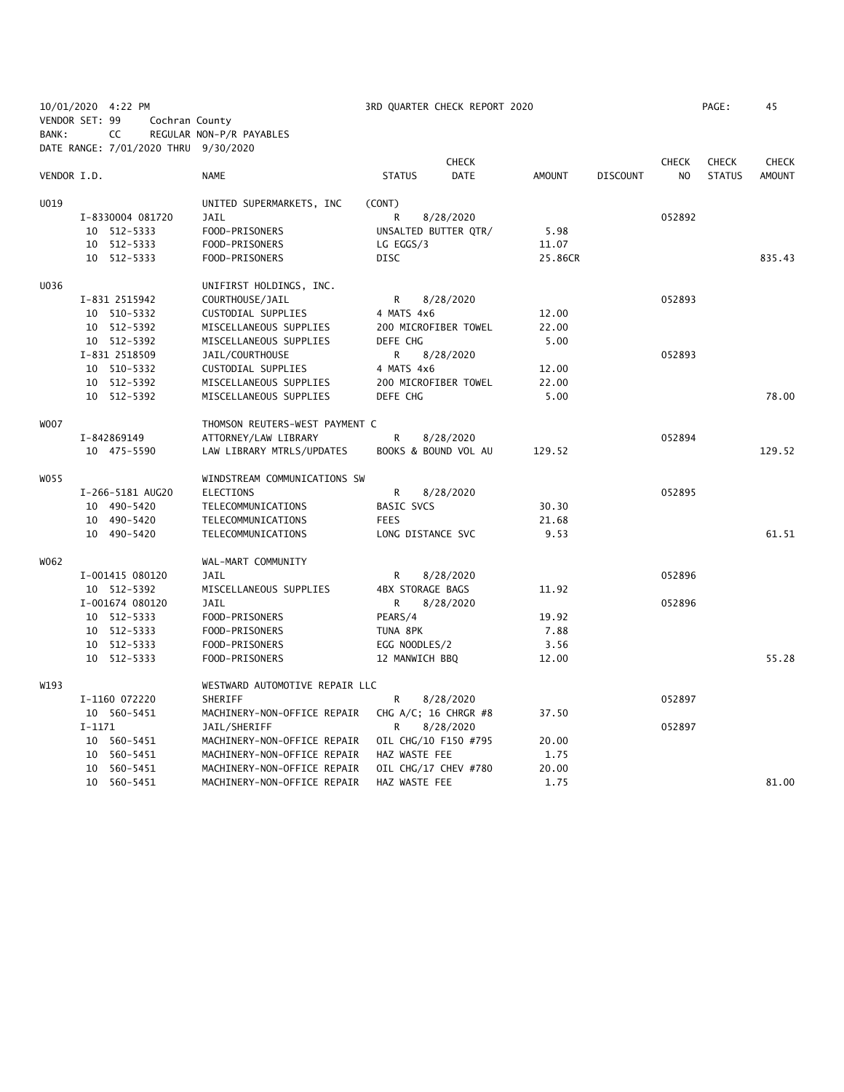| 10/01/2020 4:22 PM |          |                 |                  |                                      |                         | 3RD QUARTER CHECK REPORT 2020 |               |                 |                | PAGE:         | 45            |
|--------------------|----------|-----------------|------------------|--------------------------------------|-------------------------|-------------------------------|---------------|-----------------|----------------|---------------|---------------|
| VENDOR SET: 99     |          |                 |                  | Cochran County                       |                         |                               |               |                 |                |               |               |
| BANK:              |          | CC              |                  | REGULAR NON-P/R PAYABLES             |                         |                               |               |                 |                |               |               |
|                    |          |                 |                  | DATE RANGE: 7/01/2020 THRU 9/30/2020 |                         |                               |               |                 |                |               |               |
|                    |          |                 |                  |                                      |                         | <b>CHECK</b>                  |               |                 | <b>CHECK</b>   | <b>CHECK</b>  | <b>CHECK</b>  |
| VENDOR I.D.        |          |                 |                  | <b>NAME</b>                          | <b>STATUS</b>           | DATE                          | <b>AMOUNT</b> | <b>DISCOUNT</b> | N <sub>O</sub> | <b>STATUS</b> | <b>AMOUNT</b> |
| U019               |          |                 |                  | UNITED SUPERMARKETS, INC             | (CONT)                  |                               |               |                 |                |               |               |
|                    |          |                 | I-8330004 081720 | JAIL                                 | R                       | 8/28/2020                     |               |                 | 052892         |               |               |
|                    |          | 10 512-5333     |                  | FOOD-PRISONERS                       |                         | UNSALTED BUTTER QTR/          | 5.98          |                 |                |               |               |
|                    |          | 10 512-5333     |                  | FOOD-PRISONERS                       | LG EGGS/3               |                               | 11.07         |                 |                |               |               |
|                    |          | 10 512-5333     |                  | FOOD-PRISONERS                       | <b>DISC</b>             |                               | 25.86CR       |                 |                |               | 835.43        |
| U036               |          |                 |                  | UNIFIRST HOLDINGS, INC.              |                         |                               |               |                 |                |               |               |
|                    |          | I-831 2515942   |                  | COURTHOUSE/JAIL                      | R                       | 8/28/2020                     |               |                 | 052893         |               |               |
|                    |          | 10 510-5332     |                  | CUSTODIAL SUPPLIES                   | 4 MATS 4x6              |                               | 12.00         |                 |                |               |               |
|                    |          | 10 512-5392     |                  | MISCELLANEOUS SUPPLIES               |                         | 200 MICROFIBER TOWEL          | 22.00         |                 |                |               |               |
|                    |          | 10 512-5392     |                  | MISCELLANEOUS SUPPLIES               | DEFE CHG                |                               | 5.00          |                 |                |               |               |
|                    |          | I-831 2518509   |                  | JAIL/COURTHOUSE                      | R                       | 8/28/2020                     |               |                 | 052893         |               |               |
|                    |          | 10 510-5332     |                  | CUSTODIAL SUPPLIES                   | 4 MATS 4x6              |                               | 12.00         |                 |                |               |               |
|                    |          | 10 512-5392     |                  | MISCELLANEOUS SUPPLIES               |                         | 200 MICROFIBER TOWEL          | 22.00         |                 |                |               |               |
|                    |          | 10 512-5392     |                  | MISCELLANEOUS SUPPLIES               | DEFE CHG                |                               | 5.00          |                 |                |               | 78.00         |
| <b>WOO7</b>        |          |                 |                  | THOMSON REUTERS-WEST PAYMENT C       |                         |                               |               |                 |                |               |               |
|                    |          | I-842869149     |                  | ATTORNEY/LAW LIBRARY                 | R                       | 8/28/2020                     |               |                 | 052894         |               |               |
|                    |          | 10 475-5590     |                  | LAW LIBRARY MTRLS/UPDATES            |                         | BOOKS & BOUND VOL AU          | 129.52        |                 |                |               | 129.52        |
| W055               |          |                 |                  | WINDSTREAM COMMUNICATIONS SW         |                         |                               |               |                 |                |               |               |
|                    |          |                 | I-266-5181 AUG20 | ELECTIONS                            | R                       | 8/28/2020                     |               |                 | 052895         |               |               |
|                    |          | 10 490-5420     |                  | TELECOMMUNICATIONS                   | <b>BASIC SVCS</b>       |                               | 30.30         |                 |                |               |               |
|                    |          | 10 490-5420     |                  | TELECOMMUNICATIONS                   | <b>FEES</b>             |                               | 21.68         |                 |                |               |               |
|                    |          | 10 490-5420     |                  | TELECOMMUNICATIONS                   | LONG DISTANCE SVC       |                               | 9.53          |                 |                |               | 61.51         |
| W062               |          |                 |                  | WAL-MART COMMUNITY                   |                         |                               |               |                 |                |               |               |
|                    |          | I-001415 080120 |                  | <b>JAIL</b>                          | R                       | 8/28/2020                     |               |                 | 052896         |               |               |
|                    |          | 10 512-5392     |                  | MISCELLANEOUS SUPPLIES               | <b>4BX STORAGE BAGS</b> |                               | 11.92         |                 |                |               |               |
|                    |          | I-001674 080120 |                  | <b>JAIL</b>                          | R                       | 8/28/2020                     |               |                 | 052896         |               |               |
|                    |          | 10 512-5333     |                  | FOOD-PRISONERS                       | PEARS/4                 |                               | 19.92         |                 |                |               |               |
|                    |          | 10 512-5333     |                  | FOOD-PRISONERS                       | TUNA 8PK                |                               | 7.88          |                 |                |               |               |
|                    |          | 10 512-5333     |                  | FOOD-PRISONERS                       | EGG NOODLES/2           |                               | 3.56          |                 |                |               |               |
|                    |          | 10 512-5333     |                  | FOOD-PRISONERS                       | 12 MANWICH BBQ          |                               | 12.00         |                 |                |               | 55.28         |
| W193               |          |                 |                  | WESTWARD AUTOMOTIVE REPAIR LLC       |                         |                               |               |                 |                |               |               |
|                    |          | I-1160 072220   |                  | <b>SHERIFF</b>                       | R                       | 8/28/2020                     |               |                 | 052897         |               |               |
|                    |          | 10 560-5451     |                  | MACHINERY-NON-OFFICE REPAIR          |                         | CHG A/C; 16 CHRGR #8          | 37.50         |                 |                |               |               |
|                    | $I-1171$ |                 |                  | JAIL/SHERIFF                         | R                       | 8/28/2020                     |               |                 | 052897         |               |               |
|                    |          | 10 560-5451     |                  | MACHINERY-NON-OFFICE REPAIR          |                         | OIL CHG/10 F150 #795          | 20.00         |                 |                |               |               |
|                    |          | 10 560-5451     |                  | MACHINERY-NON-OFFICE REPAIR          | HAZ WASTE FEE           |                               | 1.75          |                 |                |               |               |
|                    |          | 10 560-5451     |                  | MACHINERY-NON-OFFICE REPAIR          |                         | OIL CHG/17 CHEV #780          | 20.00         |                 |                |               |               |
|                    |          | 10 560-5451     |                  | MACHINERY-NON-OFFICE REPAIR          | HAZ WASTE FEE           |                               | 1.75          |                 |                |               | 81.00         |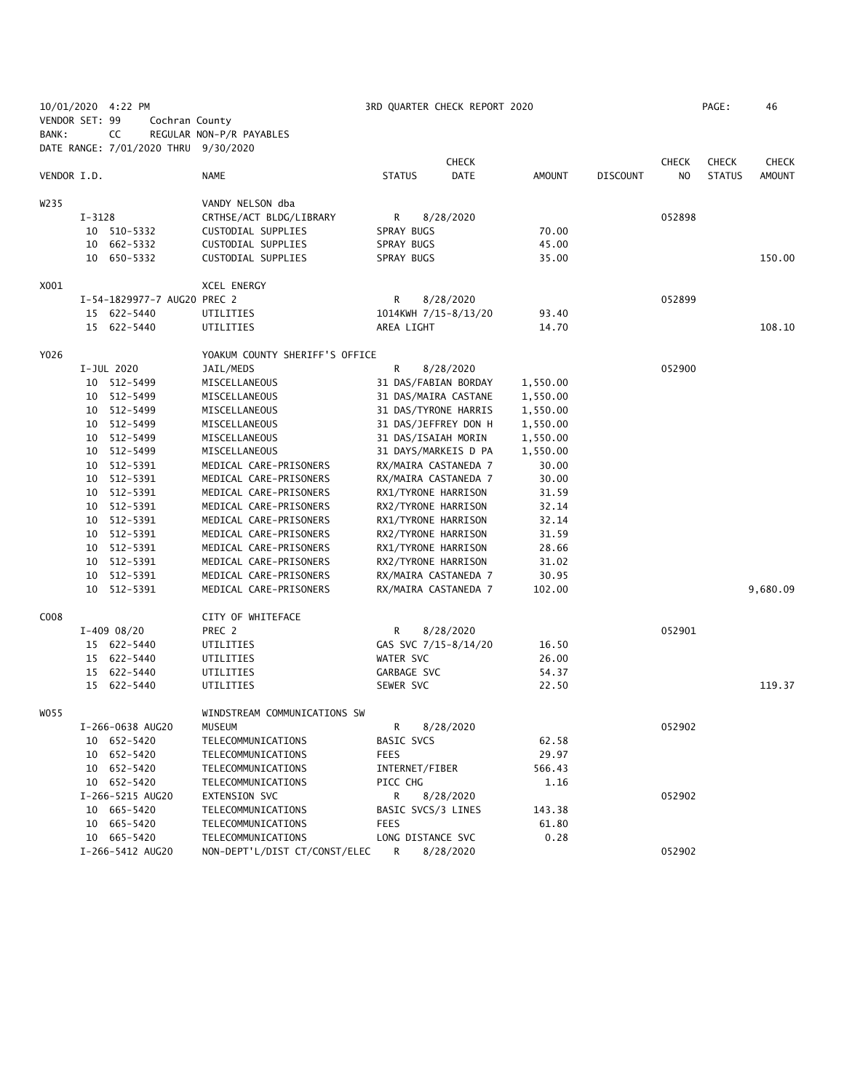|                |        | 10/01/2020 4:22 PM                   |                                          |                                  | 3RD QUARTER CHECK REPORT 2020 |               |                 |              | PAGE:         | 46            |
|----------------|--------|--------------------------------------|------------------------------------------|----------------------------------|-------------------------------|---------------|-----------------|--------------|---------------|---------------|
| VENDOR SET: 99 |        | Cochran County                       |                                          |                                  |                               |               |                 |              |               |               |
| BANK:          |        | CC                                   | REGULAR NON-P/R PAYABLES                 |                                  |                               |               |                 |              |               |               |
|                |        | DATE RANGE: 7/01/2020 THRU 9/30/2020 |                                          |                                  |                               |               |                 |              |               |               |
|                |        |                                      |                                          |                                  | <b>CHECK</b>                  |               |                 | <b>CHECK</b> | <b>CHECK</b>  | <b>CHECK</b>  |
| VENDOR I.D.    |        |                                      | <b>NAME</b>                              | <b>STATUS</b>                    | <b>DATE</b>                   | AMOUNT        | <b>DISCOUNT</b> | NO.          | <b>STATUS</b> | <b>AMOUNT</b> |
|                |        |                                      |                                          |                                  |                               |               |                 |              |               |               |
| W235           |        |                                      | VANDY NELSON dba                         |                                  |                               |               |                 |              |               |               |
|                | I-3128 |                                      | CRTHSE/ACT BLDG/LIBRARY                  | R                                | 8/28/2020                     |               |                 | 052898       |               |               |
|                |        | 10 510-5332                          | CUSTODIAL SUPPLIES                       | SPRAY BUGS                       |                               | 70.00         |                 |              |               |               |
|                |        | 10 662-5332                          | CUSTODIAL SUPPLIES                       | SPRAY BUGS                       |                               | 45.00         |                 |              |               |               |
|                |        | 10 650-5332                          | CUSTODIAL SUPPLIES                       | SPRAY BUGS                       |                               | 35.00         |                 |              |               | 150.00        |
| X001           |        |                                      | XCEL ENERGY                              |                                  |                               |               |                 |              |               |               |
|                |        | I-54-1829977-7 AUG20 PREC 2          |                                          | R                                | 8/28/2020                     |               |                 | 052899       |               |               |
|                |        | 15 622-5440                          | UTILITIES                                |                                  | 1014KWH 7/15-8/13/20          | 93.40         |                 |              |               |               |
|                |        | 15 622-5440                          | UTILITIES                                | AREA LIGHT                       |                               | 14.70         |                 |              |               | 108.10        |
|                |        |                                      |                                          |                                  |                               |               |                 |              |               |               |
| Y026           |        |                                      | YOAKUM COUNTY SHERIFF'S OFFICE           |                                  |                               |               |                 |              |               |               |
|                |        | I-JUL 2020                           | JAIL/MEDS                                | R                                | 8/28/2020                     |               |                 | 052900       |               |               |
|                |        | 10 512-5499                          | MISCELLANEOUS                            |                                  | 31 DAS/FABIAN BORDAY          | 1,550.00      |                 |              |               |               |
|                |        | 10 512-5499                          | MISCELLANEOUS                            |                                  | 31 DAS/MAIRA CASTANE          | 1,550.00      |                 |              |               |               |
|                |        | 10 512-5499                          | MISCELLANEOUS                            |                                  | 31 DAS/TYRONE HARRIS          | 1,550.00      |                 |              |               |               |
|                |        | 10 512-5499                          | MISCELLANEOUS                            |                                  | 31 DAS/JEFFREY DON H          | 1,550.00      |                 |              |               |               |
|                |        | 10 512-5499                          | MISCELLANEOUS                            | 31 DAS/ISAIAH MORIN              |                               | 1,550.00      |                 |              |               |               |
|                |        | 10 512-5499                          | MISCELLANEOUS                            |                                  | 31 DAYS/MARKEIS D PA          | 1,550.00      |                 |              |               |               |
|                |        | 10 512-5391                          | MEDICAL CARE-PRISONERS                   |                                  | RX/MAIRA CASTANEDA 7          | 30.00         |                 |              |               |               |
|                |        | 10 512-5391                          | MEDICAL CARE-PRISONERS                   |                                  | RX/MAIRA CASTANEDA 7          | 30.00         |                 |              |               |               |
|                |        | 10 512-5391                          | MEDICAL CARE-PRISONERS                   | RX1/TYRONE HARRISON              |                               | 31.59         |                 |              |               |               |
|                |        | 10 512-5391                          | MEDICAL CARE-PRISONERS                   | RX2/TYRONE HARRISON              |                               | 32.14         |                 |              |               |               |
|                |        | 10 512-5391                          | MEDICAL CARE-PRISONERS                   | RX1/TYRONE HARRISON              |                               | 32.14         |                 |              |               |               |
|                |        | 10 512-5391                          | MEDICAL CARE-PRISONERS                   | RX2/TYRONE HARRISON              |                               | 31.59         |                 |              |               |               |
|                |        | 10 512-5391                          | MEDICAL CARE-PRISONERS                   | RX1/TYRONE HARRISON              |                               | 28.66         |                 |              |               |               |
|                |        | 10 512-5391                          | MEDICAL CARE-PRISONERS                   | RX2/TYRONE HARRISON              |                               | 31.02         |                 |              |               |               |
|                |        | 10 512-5391                          | MEDICAL CARE-PRISONERS                   |                                  | RX/MAIRA CASTANEDA 7          | 30.95         |                 |              |               |               |
|                |        | 10 512-5391                          | MEDICAL CARE-PRISONERS                   |                                  | RX/MAIRA CASTANEDA 7          | 102.00        |                 |              |               | 9,680.09      |
| C008           |        |                                      | CITY OF WHITEFACE                        |                                  |                               |               |                 |              |               |               |
|                |        | $I-409$ 08/20                        | PREC 2                                   | R                                | 8/28/2020                     |               |                 | 052901       |               |               |
|                |        | 15 622-5440                          | UTILITIES                                |                                  | GAS SVC 7/15-8/14/20          | 16.50         |                 |              |               |               |
|                |        | 15 622-5440                          | UTILITIES                                | WATER SVC                        |                               | 26.00         |                 |              |               |               |
|                |        | 15 622-5440                          | UTILITIES                                | GARBAGE SVC                      |                               | 54.37         |                 |              |               |               |
|                |        | 15 622-5440                          | UTILITIES                                | SEWER SVC                        |                               | 22.50         |                 |              |               | 119.37        |
|                |        |                                      |                                          |                                  |                               |               |                 |              |               |               |
| W055           |        |                                      | WINDSTREAM COMMUNICATIONS SW             |                                  |                               |               |                 |              |               |               |
|                |        | I-266-0638 AUG20                     | MUSEUM                                   | R                                | 8/28/2020                     |               |                 | 052902       |               |               |
|                |        | 10 652-5420                          | TELECOMMUNICATIONS                       | BASIC SVCS                       |                               | 62.58         |                 |              |               |               |
|                |        | 10 652-5420                          | TELECOMMUNICATIONS                       | <b>FEES</b>                      |                               | 29.97         |                 |              |               |               |
|                |        | 10 652-5420                          | TELECOMMUNICATIONS                       | INTERNET/FIBER                   |                               | 566.43        |                 |              |               |               |
|                |        | 10 652-5420                          | TELECOMMUNICATIONS                       | PICC CHG                         |                               | 1.16          |                 |              |               |               |
|                |        | I-266-5215 AUG20                     | EXTENSION SVC<br>TELECOMMUNICATIONS      | R                                | 8/28/2020                     |               |                 | 052902       |               |               |
|                |        | 10 665-5420                          |                                          | BASIC SVCS/3 LINES               |                               | 143.38        |                 |              |               |               |
|                |        | 10 665-5420<br>10 665-5420           | TELECOMMUNICATIONS<br>TELECOMMUNICATIONS | <b>FEES</b><br>LONG DISTANCE SVC |                               | 61.80<br>0.28 |                 |              |               |               |
|                |        | I-266-5412 AUG20                     | NON-DEPT'L/DIST CT/CONST/ELEC            | R                                | 8/28/2020                     |               |                 | 052902       |               |               |
|                |        |                                      |                                          |                                  |                               |               |                 |              |               |               |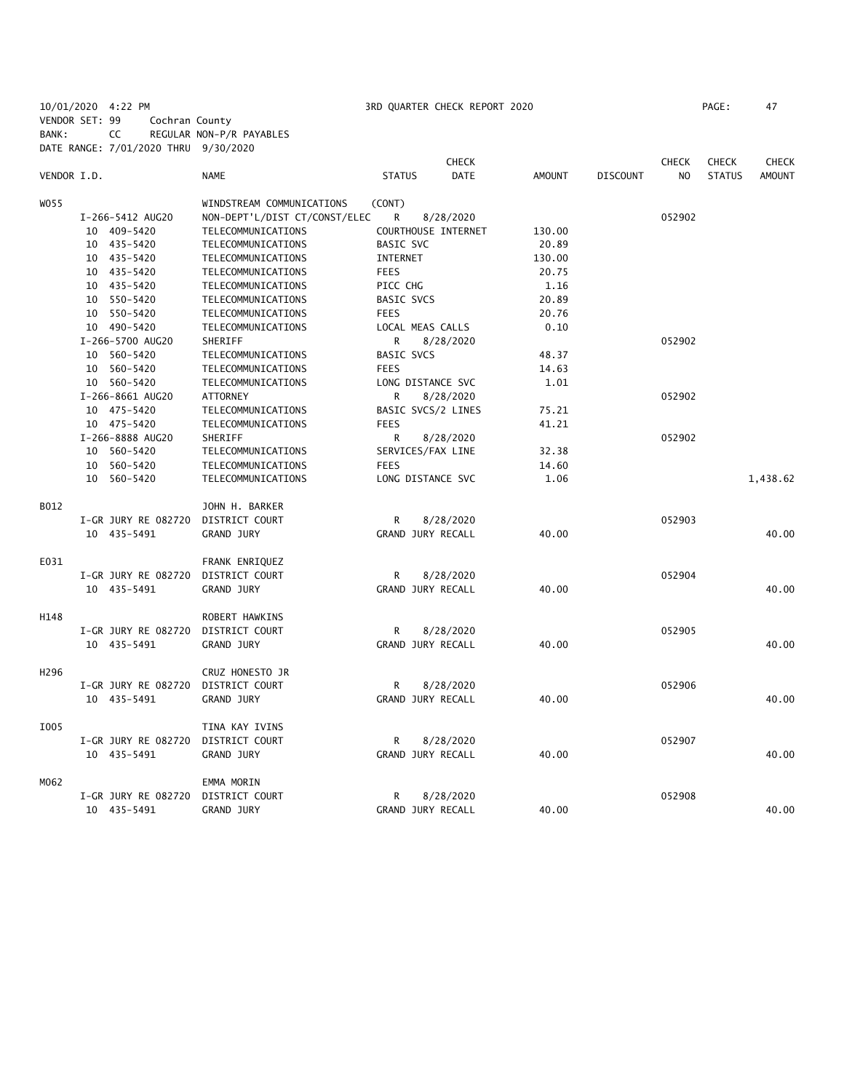10/01/2020 4:22 PM 3RD QUARTER CHECK REPORT 2020 PAGE: 47 VENDOR SET: 99 Cochran County BANK: CC REGULAR NON-P/R PAYABLES DATE RANGE: 7/01/2020 THRU 9/30/2020

|                  |                     |                               |                     | <b>CHECK</b> |               |                 | CHECK          | <b>CHECK</b>  | <b>CHECK</b>  |
|------------------|---------------------|-------------------------------|---------------------|--------------|---------------|-----------------|----------------|---------------|---------------|
| VENDOR I.D.      |                     | <b>NAME</b>                   | <b>STATUS</b>       | <b>DATE</b>  | <b>AMOUNT</b> | <b>DISCOUNT</b> | N <sub>O</sub> | <b>STATUS</b> | <b>AMOUNT</b> |
| WO55             |                     | WINDSTREAM COMMUNICATIONS     | (CONT)              |              |               |                 |                |               |               |
|                  | I-266-5412 AUG20    | NON-DEPT'L/DIST CT/CONST/ELEC | R                   | 8/28/2020    |               |                 | 052902         |               |               |
|                  | 10 409-5420         | TELECOMMUNICATIONS            | COURTHOUSE INTERNET |              | 130.00        |                 |                |               |               |
|                  | 10 435-5420         | TELECOMMUNICATIONS            | BASIC SVC           |              | 20.89         |                 |                |               |               |
|                  | 10 435-5420         | TELECOMMUNICATIONS            | INTERNET            |              | 130.00        |                 |                |               |               |
|                  | 10 435-5420         | TELECOMMUNICATIONS            | <b>FEES</b>         |              | 20.75         |                 |                |               |               |
|                  | 10 435-5420         | TELECOMMUNICATIONS            | PICC CHG            |              | 1.16          |                 |                |               |               |
|                  | 10 550-5420         | TELECOMMUNICATIONS            | BASIC SVCS          |              | 20.89         |                 |                |               |               |
|                  | 10 550-5420         | TELECOMMUNICATIONS            | <b>FEES</b>         |              | 20.76         |                 |                |               |               |
|                  | 10 490-5420         | TELECOMMUNICATIONS            | LOCAL MEAS CALLS    |              | 0.10          |                 |                |               |               |
|                  | I-266-5700 AUG20    | SHERIFF                       | R                   | 8/28/2020    |               |                 | 052902         |               |               |
|                  | 10 560-5420         | TELECOMMUNICATIONS            | <b>BASIC SVCS</b>   |              | 48.37         |                 |                |               |               |
|                  | 10 560-5420         | TELECOMMUNICATIONS            | <b>FEES</b>         |              | 14.63         |                 |                |               |               |
|                  | 10 560-5420         | TELECOMMUNICATIONS            | LONG DISTANCE SVC   |              | 1.01          |                 |                |               |               |
|                  | I-266-8661 AUG20    | <b>ATTORNEY</b>               | R                   | 8/28/2020    |               |                 | 052902         |               |               |
|                  | 10 475-5420         | TELECOMMUNICATIONS            | BASIC SVCS/2 LINES  |              | 75.21         |                 |                |               |               |
|                  | 10 475-5420         | TELECOMMUNICATIONS            | <b>FEES</b>         |              | 41.21         |                 |                |               |               |
|                  | I-266-8888 AUG20    | SHERIFF                       | R                   | 8/28/2020    |               |                 | 052902         |               |               |
|                  | 10 560-5420         | TELECOMMUNICATIONS            | SERVICES/FAX LINE   |              | 32.38         |                 |                |               |               |
|                  | 10 560-5420         | TELECOMMUNICATIONS            | <b>FEES</b>         |              | 14.60         |                 |                |               |               |
|                  | 10 560-5420         | TELECOMMUNICATIONS            | LONG DISTANCE SVC   |              | 1.06          |                 |                |               | 1,438.62      |
| B012             |                     | JOHN H. BARKER                |                     |              |               |                 |                |               |               |
|                  | I-GR JURY RE 082720 | DISTRICT COURT                | R                   | 8/28/2020    |               |                 | 052903         |               |               |
|                  | 10 435-5491         | <b>GRAND JURY</b>             | GRAND JURY RECALL   |              | 40.00         |                 |                |               | 40.00         |
| E031             |                     | FRANK ENRIQUEZ                |                     |              |               |                 |                |               |               |
|                  | I-GR JURY RE 082720 | DISTRICT COURT                | R                   | 8/28/2020    |               |                 | 052904         |               |               |
|                  | 10 435-5491         | <b>GRAND JURY</b>             | GRAND JURY RECALL   |              | 40.00         |                 |                |               | 40.00         |
| H148             |                     | ROBERT HAWKINS                |                     |              |               |                 |                |               |               |
|                  | I-GR JURY RE 082720 | DISTRICT COURT                | R                   | 8/28/2020    |               |                 | 052905         |               |               |
|                  | 10 435-5491         | <b>GRAND JURY</b>             | GRAND JURY RECALL   |              | 40.00         |                 |                |               | 40.00         |
| H <sub>296</sub> |                     | CRUZ HONESTO JR               |                     |              |               |                 |                |               |               |
|                  | I-GR JURY RE 082720 | DISTRICT COURT                | R                   | 8/28/2020    |               |                 | 052906         |               |               |
|                  | 10 435-5491         | <b>GRAND JURY</b>             | GRAND JURY RECALL   |              | 40.00         |                 |                |               | 40.00         |
| I005             |                     | TINA KAY IVINS                |                     |              |               |                 |                |               |               |
|                  | I-GR JURY RE 082720 | DISTRICT COURT                | R                   | 8/28/2020    |               |                 | 052907         |               |               |
|                  | 10 435-5491         | GRAND JURY                    | GRAND JURY RECALL   |              | 40.00         |                 |                |               | 40.00         |
| M062             |                     | EMMA MORIN                    |                     |              |               |                 |                |               |               |
|                  | I-GR JURY RE 082720 | DISTRICT COURT                | R                   | 8/28/2020    |               |                 | 052908         |               |               |
|                  | 10 435-5491         | <b>GRAND JURY</b>             | GRAND JURY RECALL   |              | 40.00         |                 |                |               | 40.00         |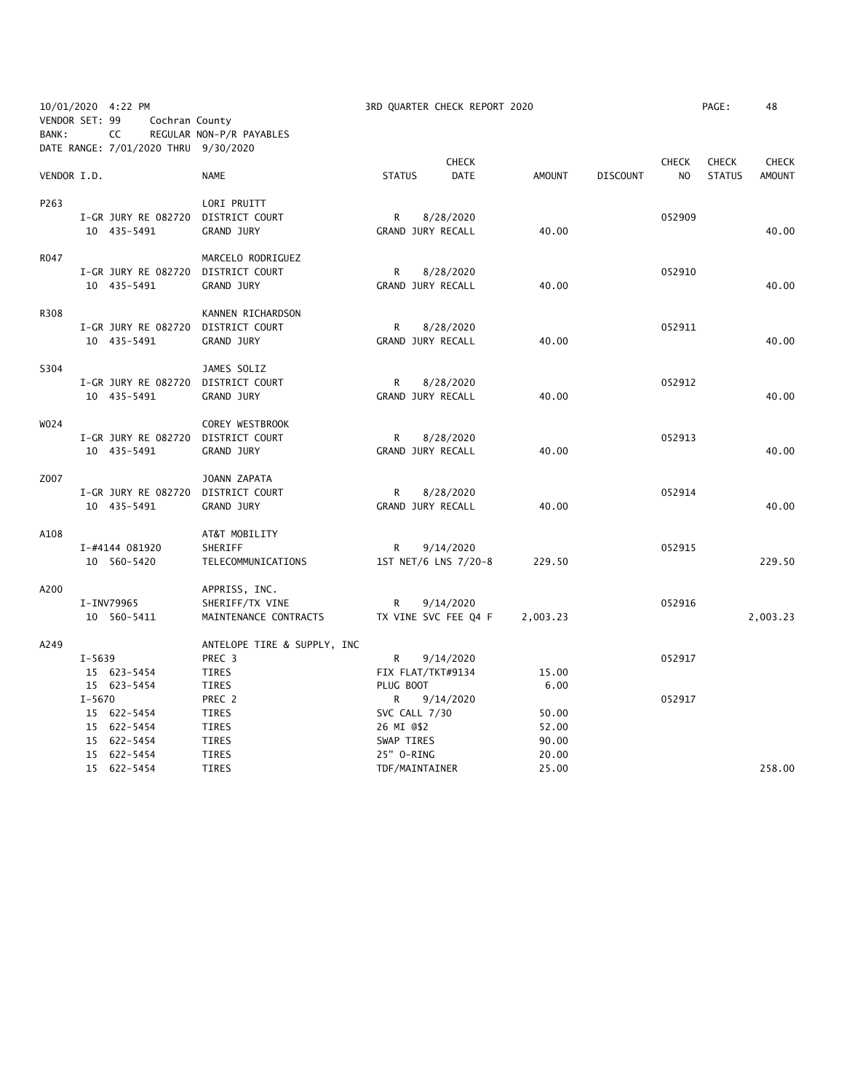| 10/01/2020 4:22 PM<br>VENDOR SET: 99<br>Cochran County |            |                                            |                             | 3RD QUARTER CHECK REPORT 2020 |                      |               |                 | PAGE:          | 48            |               |
|--------------------------------------------------------|------------|--------------------------------------------|-----------------------------|-------------------------------|----------------------|---------------|-----------------|----------------|---------------|---------------|
| BANK:                                                  |            | CC<br>DATE RANGE: 7/01/2020 THRU 9/30/2020 | REGULAR NON-P/R PAYABLES    |                               |                      |               |                 |                |               |               |
|                                                        |            |                                            |                             |                               | <b>CHECK</b>         |               |                 | <b>CHECK</b>   | <b>CHECK</b>  | <b>CHECK</b>  |
| VENDOR I.D.                                            |            |                                            | <b>NAME</b>                 | <b>STATUS</b>                 | <b>DATE</b>          | <b>AMOUNT</b> | <b>DISCOUNT</b> | N <sub>O</sub> | <b>STATUS</b> | <b>AMOUNT</b> |
| P263                                                   |            |                                            | LORI PRUITT                 |                               |                      |               |                 |                |               |               |
|                                                        |            | I-GR JURY RE 082720 DISTRICT COURT         |                             | R                             | 8/28/2020            |               |                 | 052909         |               |               |
|                                                        |            | 10 435-5491                                | <b>GRAND JURY</b>           |                               | GRAND JURY RECALL    | 40.00         |                 |                |               | 40.00         |
| R047                                                   |            |                                            | MARCELO RODRIGUEZ           |                               |                      |               |                 |                |               |               |
|                                                        |            | I-GR JURY RE 082720                        | DISTRICT COURT              | R                             | 8/28/2020            |               |                 | 052910         |               |               |
|                                                        |            | 10 435-5491                                | <b>GRAND JURY</b>           |                               | GRAND JURY RECALL    | 40.00         |                 |                |               | 40.00         |
| R308                                                   |            |                                            | KANNEN RICHARDSON           |                               |                      |               |                 |                |               |               |
|                                                        |            | I-GR JURY RE 082720                        | DISTRICT COURT              | R                             | 8/28/2020            |               |                 | 052911         |               |               |
|                                                        |            | 10 435-5491                                | <b>GRAND JURY</b>           |                               | GRAND JURY RECALL    | 40.00         |                 |                |               | 40.00         |
| S304                                                   |            |                                            | JAMES SOLIZ                 |                               |                      |               |                 |                |               |               |
|                                                        |            | I-GR JURY RE 082720 DISTRICT COURT         |                             | R                             | 8/28/2020            |               |                 | 052912         |               |               |
|                                                        |            | 10 435-5491                                | <b>GRAND JURY</b>           |                               | GRAND JURY RECALL    | 40.00         |                 |                |               | 40.00         |
| W024                                                   |            |                                            | COREY WESTBROOK             |                               |                      |               |                 |                |               |               |
|                                                        |            | I-GR JURY RE 082720                        | DISTRICT COURT              | R                             | 8/28/2020            |               |                 | 052913         |               |               |
|                                                        |            | 10 435-5491                                | GRAND JURY                  |                               | GRAND JURY RECALL    | 40.00         |                 |                |               | 40.00         |
| Z007                                                   |            |                                            | JOANN ZAPATA                |                               |                      |               |                 |                |               |               |
|                                                        |            | I-GR JURY RE 082720                        | DISTRICT COURT              | R                             | 8/28/2020            |               |                 | 052914         |               |               |
|                                                        |            | 10 435-5491                                | <b>GRAND JURY</b>           |                               | GRAND JURY RECALL    | 40.00         |                 |                |               | 40.00         |
| A108                                                   |            |                                            | AT&T MOBILITY               |                               |                      |               |                 |                |               |               |
|                                                        |            | I-#4144 081920                             | SHERIFF                     | R                             | 9/14/2020            |               |                 | 052915         |               |               |
|                                                        |            | 10 560-5420                                | TELECOMMUNICATIONS          |                               | 1ST NET/6 LNS 7/20-8 | 229.50        |                 |                |               | 229.50        |
| A200                                                   |            |                                            | APPRISS, INC.               |                               |                      |               |                 |                |               |               |
|                                                        |            | I-INV79965                                 | SHERIFF/TX VINE             | R                             | 9/14/2020            |               |                 | 052916         |               |               |
|                                                        |            | 10 560-5411                                | MAINTENANCE CONTRACTS       |                               | TX VINE SVC FEE Q4 F | 2,003.23      |                 |                |               | 2,003.23      |
| A249                                                   |            |                                            | ANTELOPE TIRE & SUPPLY, INC |                               |                      |               |                 |                |               |               |
|                                                        | $I - 5639$ |                                            | PREC 3                      | R                             | 9/14/2020            |               |                 | 052917         |               |               |
|                                                        |            | 15 623-5454                                | <b>TIRES</b>                |                               | FIX FLAT/TKT#9134    | 15.00         |                 |                |               |               |
|                                                        |            | 15 623-5454                                | TIRES                       | PLUG BOOT                     |                      | 6.00          |                 |                |               |               |
|                                                        | $I - 5670$ |                                            | PREC 2                      | R                             | 9/14/2020            |               |                 | 052917         |               |               |
|                                                        |            | 15 622-5454                                | <b>TIRES</b>                | SVC CALL 7/30                 |                      | 50.00         |                 |                |               |               |
|                                                        |            | 15 622-5454                                | TIRES                       | 26 MI @\$2                    |                      | 52.00         |                 |                |               |               |
|                                                        |            | 15 622-5454                                | TIRES                       | SWAP TIRES                    |                      | 90.00         |                 |                |               |               |
|                                                        |            | 15 622-5454                                | <b>TIRES</b>                | 25" O-RING                    |                      | 20.00         |                 |                |               |               |
|                                                        |            | 15 622-5454                                | <b>TIRES</b>                | TDF/MAINTAINER                |                      | 25.00         |                 |                |               | 258.00        |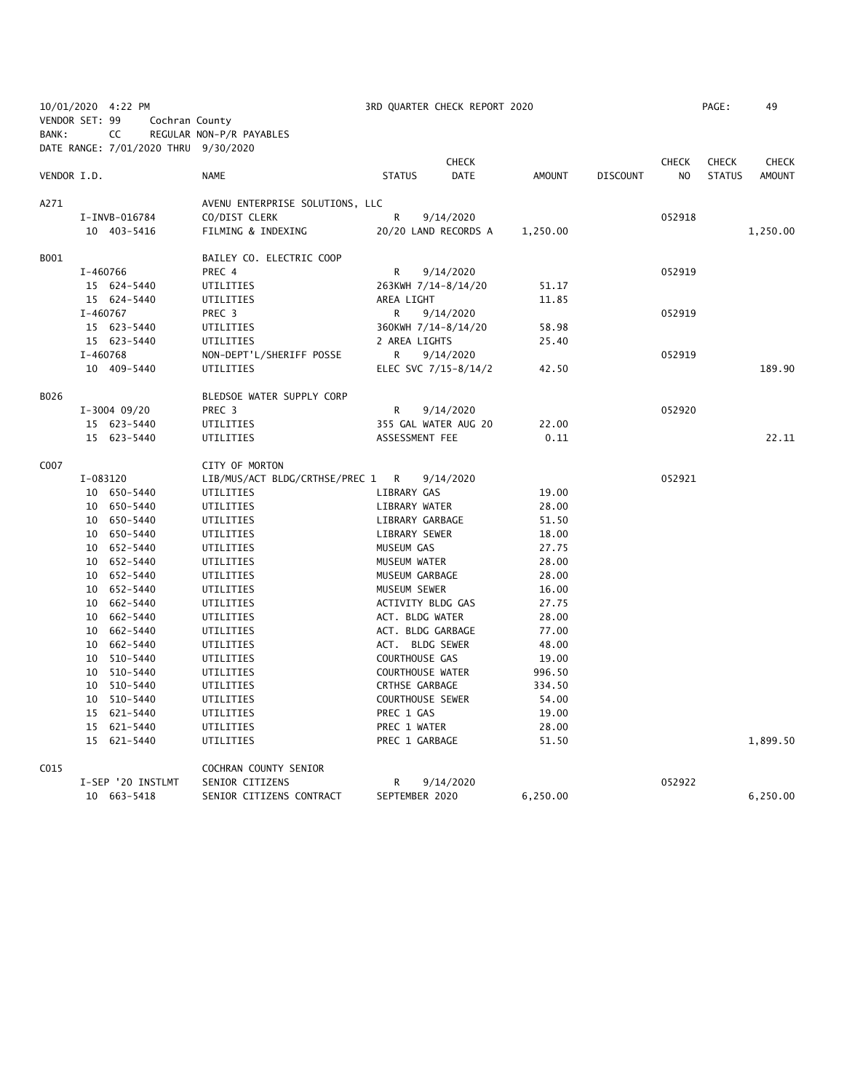|                |            | 10/01/2020 4:22 PM                   |                                       |                         | 3RD QUARTER CHECK REPORT 2020 |               |                 |                | PAGE:         | 49            |
|----------------|------------|--------------------------------------|---------------------------------------|-------------------------|-------------------------------|---------------|-----------------|----------------|---------------|---------------|
| VENDOR SET: 99 |            | Cochran County                       |                                       |                         |                               |               |                 |                |               |               |
| BANK:          |            | CC                                   | REGULAR NON-P/R PAYABLES              |                         |                               |               |                 |                |               |               |
|                |            | DATE RANGE: 7/01/2020 THRU 9/30/2020 |                                       |                         |                               |               |                 |                |               |               |
|                |            |                                      |                                       |                         | <b>CHECK</b>                  |               |                 | <b>CHECK</b>   | <b>CHECK</b>  | <b>CHECK</b>  |
| VENDOR I.D.    |            |                                      | <b>NAME</b>                           | <b>STATUS</b>           | <b>DATE</b>                   | <b>AMOUNT</b> | <b>DISCOUNT</b> | N <sub>O</sub> | <b>STATUS</b> | <b>AMOUNT</b> |
|                |            |                                      |                                       |                         |                               |               |                 |                |               |               |
| A271           |            |                                      | AVENU ENTERPRISE SOLUTIONS, LLC       |                         |                               |               |                 |                |               |               |
|                |            | I-INVB-016784                        | CO/DIST CLERK                         | R                       | 9/14/2020                     |               |                 | 052918         |               |               |
|                |            | 10 403-5416                          | FILMING & INDEXING                    |                         | 20/20 LAND RECORDS A          | 1,250.00      |                 |                |               | 1,250.00      |
| B001           |            |                                      | BAILEY CO. ELECTRIC COOP              |                         |                               |               |                 |                |               |               |
|                | I-460766   |                                      | PREC 4                                | R                       | 9/14/2020                     |               |                 | 052919         |               |               |
|                |            | 15 624-5440                          | UTILITIES                             | 263KWH 7/14-8/14/20     |                               | 51.17         |                 |                |               |               |
|                |            | 15 624-5440                          | UTILITIES                             | AREA LIGHT              |                               | 11.85         |                 |                |               |               |
|                | $I-460767$ |                                      | PREC <sub>3</sub>                     | R                       | 9/14/2020                     |               |                 | 052919         |               |               |
|                |            | 15 623-5440                          | UTILITIES                             | 360KWH 7/14-8/14/20     |                               | 58.98         |                 |                |               |               |
|                |            | 15 623-5440                          |                                       | 2 AREA LIGHTS           |                               |               |                 |                |               |               |
|                |            | I-460768                             | UTILITIES<br>NON-DEPT'L/SHERIFF POSSE | R                       | 9/14/2020                     | 25.40         |                 | 052919         |               |               |
|                |            |                                      | UTILITIES                             |                         |                               |               |                 |                |               | 189.90        |
|                |            | 10 409-5440                          |                                       |                         | ELEC SVC 7/15-8/14/2          | 42.50         |                 |                |               |               |
| B026           |            |                                      | BLEDSOE WATER SUPPLY CORP             |                         |                               |               |                 |                |               |               |
|                |            | $I-3004$ 09/20                       | PREC <sub>3</sub>                     | R                       | 9/14/2020                     |               |                 | 052920         |               |               |
|                |            | 15 623-5440                          | UTILITIES                             |                         | 355 GAL WATER AUG 20          | 22.00         |                 |                |               |               |
|                |            | 15 623-5440                          | UTILITIES                             | ASSESSMENT FEE          |                               | 0.11          |                 |                |               | 22.11         |
|                |            |                                      |                                       |                         |                               |               |                 |                |               |               |
| C007           |            |                                      | CITY OF MORTON                        |                         |                               |               |                 |                |               |               |
|                |            | I-083120                             | LIB/MUS/ACT BLDG/CRTHSE/PREC 1        | R                       | 9/14/2020                     |               |                 | 052921         |               |               |
|                |            | 10 650-5440                          | UTILITIES                             | LIBRARY GAS             |                               | 19.00         |                 |                |               |               |
|                |            | 10 650-5440                          | UTILITIES                             | LIBRARY WATER           |                               | 28.00         |                 |                |               |               |
|                |            | 10 650-5440                          | UTILITIES                             | LIBRARY GARBAGE         |                               | 51.50         |                 |                |               |               |
|                |            | 10 650-5440                          | UTILITIES                             | LIBRARY SEWER           |                               | 18.00         |                 |                |               |               |
|                |            | 10 652-5440                          | UTILITIES                             | MUSEUM GAS              |                               | 27.75         |                 |                |               |               |
|                |            | 10 652-5440                          | UTILITIES                             | MUSEUM WATER            |                               | 28.00         |                 |                |               |               |
|                |            | 10 652-5440                          | UTILITIES                             | MUSEUM GARBAGE          |                               | 28.00         |                 |                |               |               |
|                |            | 10 652-5440                          | UTILITIES                             | MUSEUM SEWER            |                               | 16.00         |                 |                |               |               |
|                |            | 10 662-5440                          | UTILITIES                             | ACTIVITY BLDG GAS       |                               | 27.75         |                 |                |               |               |
|                |            | 10 662-5440                          | UTILITIES                             | ACT. BLDG WATER         |                               | 28.00         |                 |                |               |               |
|                |            | 10 662-5440                          | UTILITIES                             | ACT. BLDG GARBAGE       |                               | 77.00         |                 |                |               |               |
|                |            | 10 662-5440                          | UTILITIES                             | ACT. BLDG SEWER         |                               | 48.00         |                 |                |               |               |
|                |            | 10 510-5440                          | UTILITIES                             | COURTHOUSE GAS          |                               | 19.00         |                 |                |               |               |
|                |            | 10 510-5440                          | UTILITIES                             | COURTHOUSE WATER        |                               | 996.50        |                 |                |               |               |
|                |            | 10 510-5440                          | UTILITIES                             | CRTHSE GARBAGE          |                               | 334.50        |                 |                |               |               |
|                |            | 10 510-5440                          | UTILITIES                             | <b>COURTHOUSE SEWER</b> |                               | 54.00         |                 |                |               |               |
|                |            | 15 621-5440                          | UTILITIES                             | PREC 1 GAS              |                               | 19.00         |                 |                |               |               |
|                |            | 15 621-5440                          | UTILITIES                             | PREC 1 WATER            |                               | 28.00         |                 |                |               |               |
|                |            | 15 621-5440                          | UTILITIES                             | PREC 1 GARBAGE          |                               | 51.50         |                 |                |               | 1,899.50      |
|                |            |                                      |                                       |                         |                               |               |                 |                |               |               |
| C015           |            |                                      | COCHRAN COUNTY SENIOR                 |                         |                               |               |                 |                |               |               |
|                |            | I-SEP '20 INSTLMT                    | SENIOR CITIZENS                       | R                       | 9/14/2020                     |               |                 | 052922         |               |               |
|                |            | 10 663-5418                          | SENIOR CITIZENS CONTRACT              | SEPTEMBER 2020          |                               | 6,250.00      |                 |                |               | 6,250.00      |
|                |            |                                      |                                       |                         |                               |               |                 |                |               |               |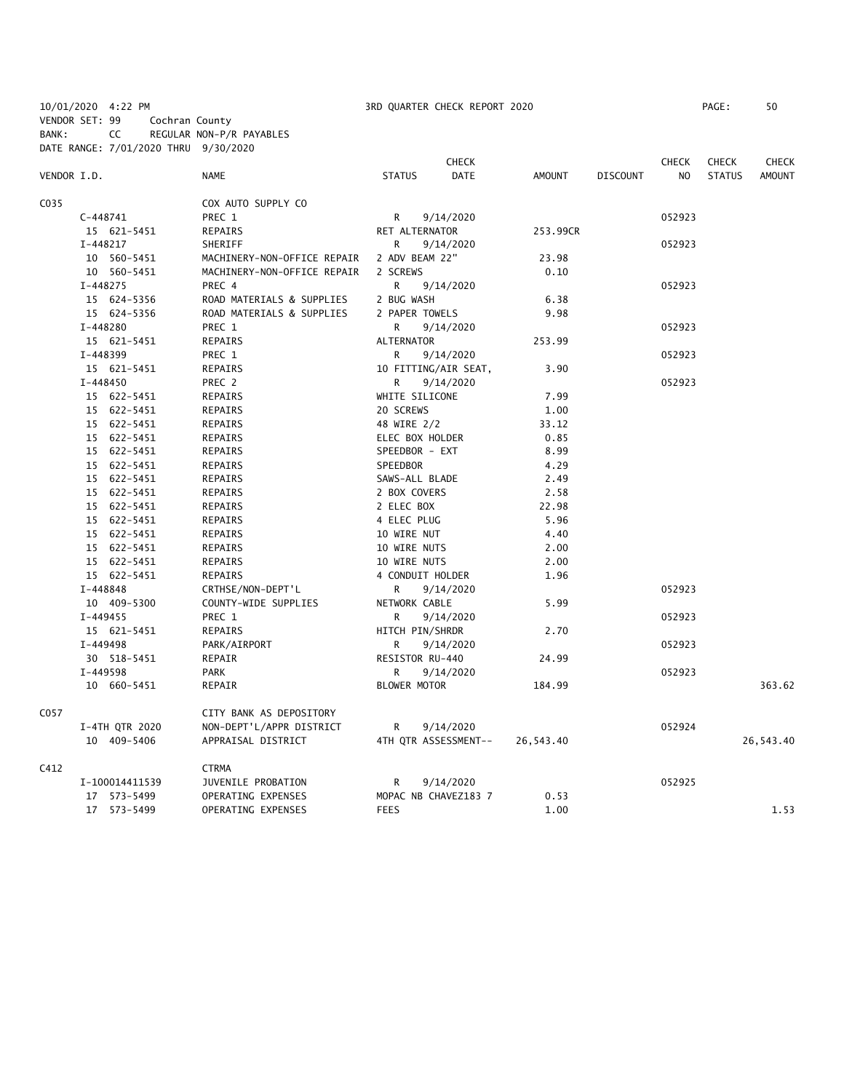10/01/2020 4:22 PM 3RD QUARTER CHECK REPORT 2020 PAGE: 50 VENDOR SET: 99 Cochran County BANK: CC REGULAR NON-P/R PAYABLES

|             | DATE RANGE: 7/01/2020 THRU 9/30/2020 |                             |                   |                      |               |                 |                |               |               |
|-------------|--------------------------------------|-----------------------------|-------------------|----------------------|---------------|-----------------|----------------|---------------|---------------|
|             |                                      |                             |                   | <b>CHECK</b>         |               |                 | <b>CHECK</b>   | <b>CHECK</b>  | <b>CHECK</b>  |
| VENDOR I.D. |                                      | <b>NAME</b>                 | <b>STATUS</b>     | <b>DATE</b>          | <b>AMOUNT</b> | <b>DISCOUNT</b> | N <sub>O</sub> | <b>STATUS</b> | <b>AMOUNT</b> |
| C035        |                                      | COX AUTO SUPPLY CO          |                   |                      |               |                 |                |               |               |
|             | $C-448741$                           | PREC 1                      | R                 | 9/14/2020            |               |                 | 052923         |               |               |
|             | 15 621-5451                          | REPAIRS                     | RET ALTERNATOR    |                      | 253.99CR      |                 |                |               |               |
|             | $I-448217$                           | SHERIFF                     | R.                | 9/14/2020            |               |                 | 052923         |               |               |
|             | 10 560-5451                          | MACHINERY-NON-OFFICE REPAIR | 2 ADV BEAM 22"    |                      | 23.98         |                 |                |               |               |
|             | 10 560-5451                          | MACHINERY-NON-OFFICE REPAIR | 2 SCREWS          |                      | 0.10          |                 |                |               |               |
|             | I-448275                             | PREC 4                      | R                 | 9/14/2020            |               |                 | 052923         |               |               |
|             | 15 624-5356                          | ROAD MATERIALS & SUPPLIES   | 2 BUG WASH        |                      | 6.38          |                 |                |               |               |
|             | 15 624-5356                          | ROAD MATERIALS & SUPPLIES   | 2 PAPER TOWELS    |                      | 9.98          |                 |                |               |               |
|             | I-448280                             | PREC 1                      | R                 | 9/14/2020            |               |                 | 052923         |               |               |
|             | 15 621-5451                          | REPAIRS                     | <b>ALTERNATOR</b> |                      | 253.99        |                 |                |               |               |
|             | I-448399                             | PREC 1                      | R                 | 9/14/2020            |               |                 | 052923         |               |               |
|             | 15 621-5451                          | <b>REPAIRS</b>              |                   | 10 FITTING/AIR SEAT, | 3.90          |                 |                |               |               |
|             | $I - 448450$                         | PREC 2                      | R.                | 9/14/2020            |               |                 | 052923         |               |               |
|             | 15 622-5451                          | REPAIRS                     | WHITE SILICONE    |                      | 7.99          |                 |                |               |               |
|             | 15 622-5451                          | REPAIRS                     | 20 SCREWS         |                      | 1.00          |                 |                |               |               |
|             | 15 622-5451                          | REPAIRS                     | 48 WIRE 2/2       |                      | 33.12         |                 |                |               |               |
|             | 15 622-5451                          | REPAIRS                     | ELEC BOX HOLDER   |                      | 0.85          |                 |                |               |               |
|             | 15 622-5451                          | REPAIRS                     | SPEEDBOR - EXT    |                      | 8.99          |                 |                |               |               |
|             | 15 622-5451                          | REPAIRS                     | SPEEDBOR          |                      | 4.29          |                 |                |               |               |
|             | 15 622-5451                          | REPAIRS                     | SAWS-ALL BLADE    |                      | 2.49          |                 |                |               |               |
|             | 15 622-5451                          | REPAIRS                     | 2 BOX COVERS      |                      | 2.58          |                 |                |               |               |
|             | 15 622-5451                          | REPAIRS                     | 2 ELEC BOX        |                      | 22.98         |                 |                |               |               |
|             | 15 622-5451                          | REPAIRS                     | 4 ELEC PLUG       |                      | 5.96          |                 |                |               |               |
|             | 15 622-5451                          | REPAIRS                     | 10 WIRE NUT       |                      | 4.40          |                 |                |               |               |
|             | 15 622-5451                          | REPAIRS                     | 10 WIRE NUTS      |                      | 2.00          |                 |                |               |               |
|             | 15 622-5451                          | REPAIRS                     | 10 WIRE NUTS      |                      | 2.00          |                 |                |               |               |
|             | 15 622-5451                          | REPAIRS                     | 4 CONDUIT HOLDER  |                      | 1.96          |                 |                |               |               |
|             | I-448848                             | CRTHSE/NON-DEPT'L           | R                 | 9/14/2020            |               |                 | 052923         |               |               |
|             | 10 409-5300                          | COUNTY-WIDE SUPPLIES        | NETWORK CABLE     |                      | 5.99          |                 |                |               |               |
|             | $I - 449455$                         | PREC 1                      | R.                | 9/14/2020            |               |                 | 052923         |               |               |
|             | 15 621-5451                          | REPAIRS                     | HITCH PIN/SHRDR   |                      | 2.70          |                 |                |               |               |
|             | I-449498                             | PARK/AIRPORT                | R                 | 9/14/2020            |               |                 | 052923         |               |               |
|             | 30 518-5451                          | REPAIR                      | RESISTOR RU-440   |                      | 24.99         |                 |                |               |               |
|             | I-449598                             | PARK                        | R.                | 9/14/2020            |               |                 | 052923         |               |               |
|             | 10 660-5451                          | REPAIR                      | BLOWER MOTOR      |                      | 184.99        |                 |                |               | 363.62        |
| C057        |                                      | CITY BANK AS DEPOSITORY     |                   |                      |               |                 |                |               |               |
|             | I-4TH QTR 2020                       | NON-DEPT'L/APPR DISTRICT    | R                 | 9/14/2020            |               |                 | 052924         |               |               |
|             | 10 409-5406                          | APPRAISAL DISTRICT          |                   | 4TH QTR ASSESSMENT-- | 26,543.40     |                 |                |               | 26,543.40     |
| C412        |                                      | <b>CTRMA</b>                |                   |                      |               |                 |                |               |               |
|             | I-100014411539                       | JUVENILE PROBATION          | R                 | 9/14/2020            |               |                 | 052925         |               |               |
|             | 17 573-5499                          | OPERATING EXPENSES          |                   | MOPAC NB CHAVEZ183 7 | 0.53          |                 |                |               |               |
|             | 17 573-5499                          | OPERATING EXPENSES          | <b>FEES</b>       |                      | 1.00          |                 |                |               | 1.53          |
|             |                                      |                             |                   |                      |               |                 |                |               |               |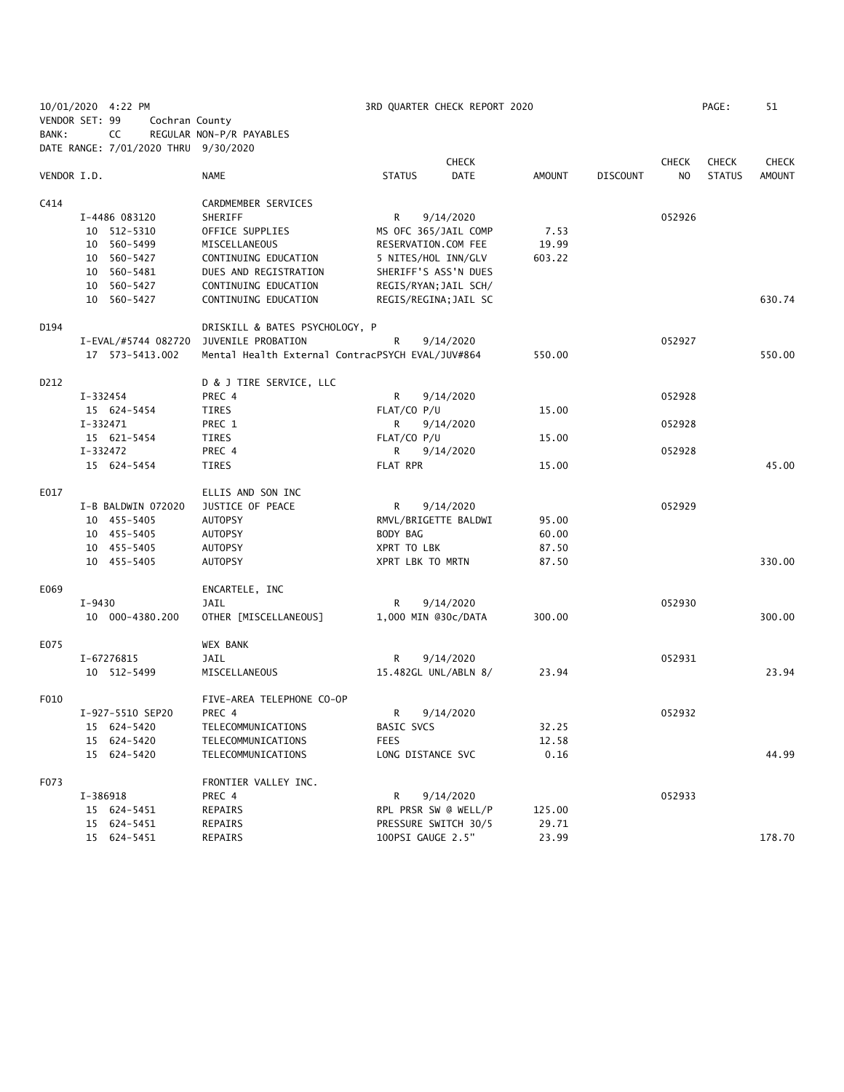|                | 10/01/2020 4:22 PM                   |                                                  | 3RD QUARTER CHECK REPORT 2020 |        |                 |              | PAGE:         | 51           |
|----------------|--------------------------------------|--------------------------------------------------|-------------------------------|--------|-----------------|--------------|---------------|--------------|
| VENDOR SET: 99 | Cochran County                       |                                                  |                               |        |                 |              |               |              |
| BANK:          | CC                                   | REGULAR NON-P/R PAYABLES                         |                               |        |                 |              |               |              |
|                | DATE RANGE: 7/01/2020 THRU 9/30/2020 |                                                  |                               |        |                 |              |               |              |
|                |                                      |                                                  | <b>CHECK</b>                  |        |                 | <b>CHECK</b> | <b>CHECK</b>  | <b>CHECK</b> |
| VENDOR I.D.    |                                      | NAME                                             | <b>DATE</b><br><b>STATUS</b>  | AMOUNT | <b>DISCOUNT</b> | NO           | <b>STATUS</b> | AMOUNT       |
|                |                                      |                                                  |                               |        |                 |              |               |              |
| C414           |                                      | CARDMEMBER SERVICES                              |                               |        |                 |              |               |              |
|                | I-4486 083120                        | SHERIFF                                          | R<br>9/14/2020                |        |                 | 052926       |               |              |
|                | 10 512-5310                          | OFFICE SUPPLIES                                  | MS OFC 365/JAIL COMP          | 7.53   |                 |              |               |              |
|                | 10 560-5499                          | MISCELLANEOUS                                    | RESERVATION.COM FEE           | 19.99  |                 |              |               |              |
|                | 10 560-5427                          | CONTINUING EDUCATION                             | 5 NITES/HOL INN/GLV           | 603.22 |                 |              |               |              |
|                | 10 560-5481                          | DUES AND REGISTRATION                            | SHERIFF'S ASS'N DUES          |        |                 |              |               |              |
|                | 10 560-5427                          | CONTINUING EDUCATION                             | REGIS/RYAN; JAIL SCH/         |        |                 |              |               |              |
|                | 10 560-5427                          | CONTINUING EDUCATION                             | REGIS/REGINA; JAIL SC         |        |                 |              |               | 630.74       |
| D194           |                                      | DRISKILL & BATES PSYCHOLOGY, P                   |                               |        |                 |              |               |              |
|                | I-EVAL/#5744 082720                  | JUVENILE PROBATION                               | R<br>9/14/2020                |        |                 | 052927       |               |              |
|                | 17  573-5413.002                     | Mental Health External ContracPSYCH EVAL/JUV#864 |                               | 550.00 |                 |              |               | 550.00       |
|                |                                      |                                                  |                               |        |                 |              |               |              |
| D212           |                                      | D & J TIRE SERVICE, LLC                          |                               |        |                 |              |               |              |
|                | $I - 332454$                         | PREC 4                                           | R<br>9/14/2020                |        |                 | 052928       |               |              |
|                | 15 624-5454                          | TIRES                                            | FLAT/CO P/U                   | 15.00  |                 |              |               |              |
|                | $I-332471$                           | PREC 1                                           | 9/14/2020<br>R                |        |                 | 052928       |               |              |
|                | 15 621-5454                          | TIRES                                            | FLAT/CO P/U                   | 15.00  |                 |              |               |              |
|                | I-332472                             | PREC 4                                           | 9/14/2020<br>R                |        |                 | 052928       |               |              |
|                | 15 624-5454                          | TIRES                                            | FLAT RPR                      | 15.00  |                 |              |               | 45.00        |
| E017           |                                      | ELLIS AND SON INC                                |                               |        |                 |              |               |              |
|                | I-B BALDWIN 072020                   | JUSTICE OF PEACE                                 | R<br>9/14/2020                |        |                 | 052929       |               |              |
|                | 10 455-5405                          | <b>AUTOPSY</b>                                   | RMVL/BRIGETTE BALDWI          | 95.00  |                 |              |               |              |
|                | 10 455-5405                          | <b>AUTOPSY</b>                                   | BODY BAG                      | 60.00  |                 |              |               |              |
|                | 10 455-5405                          | AUTOPSY                                          | XPRT TO LBK                   | 87.50  |                 |              |               |              |
|                | 10 455-5405                          | <b>AUTOPSY</b>                                   | XPRT LBK TO MRTN              | 87.50  |                 |              |               | 330.00       |
|                |                                      |                                                  |                               |        |                 |              |               |              |
| E069           |                                      | ENCARTELE, INC                                   |                               |        |                 |              |               |              |
|                | I-9430                               | JAIL                                             | R<br>9/14/2020                |        |                 | 052930       |               |              |
|                | 10 000-4380.200                      | OTHER [MISCELLANEOUS]                            | 1,000 MIN @30c/DATA           | 300.00 |                 |              |               | 300.00       |
| E075           |                                      | <b>WEX BANK</b>                                  |                               |        |                 |              |               |              |
|                | I-67276815                           | JAIL                                             | R<br>9/14/2020                |        |                 | 052931       |               |              |
|                | 10 512-5499                          | MISCELLANEOUS                                    | 15.482GL UNL/ABLN 8/          | 23.94  |                 |              |               | 23.94        |
| F010           |                                      | FIVE-AREA TELEPHONE CO-OP                        |                               |        |                 |              |               |              |
|                | I-927-5510 SEP20                     | PREC 4                                           | R<br>9/14/2020                |        |                 | 052932       |               |              |
|                | 15 624-5420                          | TELECOMMUNICATIONS                               | <b>BASIC SVCS</b>             | 32.25  |                 |              |               |              |
|                | 15 624-5420                          | TELECOMMUNICATIONS                               | <b>FEES</b>                   | 12.58  |                 |              |               |              |
|                | 15 624-5420                          | TELECOMMUNICATIONS                               | LONG DISTANCE SVC             | 0.16   |                 |              |               | 44.99        |
|                |                                      |                                                  |                               |        |                 |              |               |              |
| F073           |                                      | FRONTIER VALLEY INC.                             |                               |        |                 |              |               |              |
|                | I-386918                             | PREC 4                                           | 9/14/2020<br>R                |        |                 | 052933       |               |              |
|                | 15 624-5451                          | REPAIRS                                          | RPL PRSR SW @ WELL/P          | 125.00 |                 |              |               |              |
|                | 15 624-5451                          | REPAIRS                                          | PRESSURE SWITCH 30/5          | 29.71  |                 |              |               |              |
|                | 15 624-5451                          | REPAIRS                                          | 100PSI GAUGE 2.5"             | 23.99  |                 |              |               | 178.70       |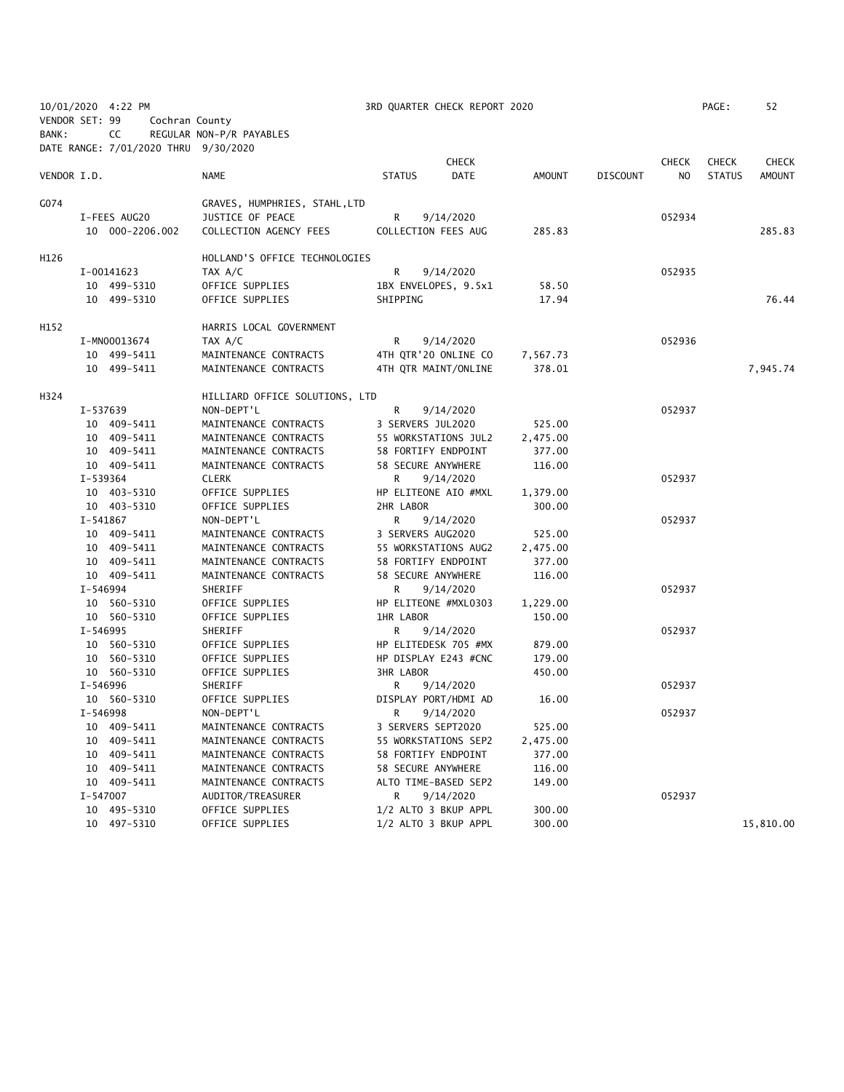|                |          | 10/01/2020 4:22 PM                   |                                |                    | 3RD QUARTER CHECK REPORT 2020 |          |                 |              | PAGE:         | 52            |
|----------------|----------|--------------------------------------|--------------------------------|--------------------|-------------------------------|----------|-----------------|--------------|---------------|---------------|
| VENDOR SET: 99 |          | Cochran County                       |                                |                    |                               |          |                 |              |               |               |
| BANK:          |          | CC                                   | REGULAR NON-P/R PAYABLES       |                    |                               |          |                 |              |               |               |
|                |          | DATE RANGE: 7/01/2020 THRU 9/30/2020 |                                |                    |                               |          |                 |              |               |               |
|                |          |                                      |                                |                    | <b>CHECK</b>                  |          |                 | <b>CHECK</b> | <b>CHECK</b>  | <b>CHECK</b>  |
| VENDOR I.D.    |          |                                      | <b>NAME</b>                    | <b>STATUS</b>      | <b>DATE</b>                   | AMOUNT   | <b>DISCOUNT</b> | NO           | <b>STATUS</b> | <b>AMOUNT</b> |
|                |          |                                      |                                |                    |                               |          |                 |              |               |               |
| G074           |          |                                      | GRAVES, HUMPHRIES, STAHL, LTD  |                    |                               |          |                 |              |               |               |
|                |          | I-FEES AUG20                         | JUSTICE OF PEACE               | R                  | 9/14/2020                     |          |                 | 052934       |               |               |
|                |          | 10 000-2206.002                      | COLLECTION AGENCY FEES         |                    | COLLECTION FEES AUG           | 285.83   |                 |              |               | 285.83        |
|                |          |                                      |                                |                    |                               |          |                 |              |               |               |
| H126           |          |                                      | HOLLAND'S OFFICE TECHNOLOGIES  |                    |                               |          |                 |              |               |               |
|                |          | I-00141623                           | TAX A/C                        | R                  | 9/14/2020                     |          |                 | 052935       |               |               |
|                |          | 10 499-5310                          | OFFICE SUPPLIES                |                    | 1BX ENVELOPES, 9.5x1          | 58.50    |                 |              |               |               |
|                |          | 10 499-5310                          | OFFICE SUPPLIES                | SHIPPING           |                               | 17.94    |                 |              |               | 76.44         |
|                |          |                                      |                                |                    |                               |          |                 |              |               |               |
| H152           |          |                                      | HARRIS LOCAL GOVERNMENT        |                    |                               |          |                 |              |               |               |
|                |          | I-MN00013674                         | TAX A/C                        | R                  | 9/14/2020                     |          |                 | 052936       |               |               |
|                |          | 10 499-5411                          | MAINTENANCE CONTRACTS          |                    | 4TH QTR'20 ONLINE CO          | 7,567.73 |                 |              |               |               |
|                |          | 10 499-5411                          | MAINTENANCE CONTRACTS          |                    | 4TH OTR MAINT/ONLINE          | 378.01   |                 |              |               | 7,945.74      |
|                |          |                                      |                                |                    |                               |          |                 |              |               |               |
| H324           |          |                                      | HILLIARD OFFICE SOLUTIONS, LTD |                    |                               |          |                 |              |               |               |
|                | I-537639 |                                      | NON-DEPT'L                     | R                  | 9/14/2020                     |          |                 | 052937       |               |               |
|                |          | 10 409-5411                          | MAINTENANCE CONTRACTS          | 3 SERVERS JUL2020  |                               | 525.00   |                 |              |               |               |
|                |          | 10 409-5411                          | MAINTENANCE CONTRACTS          |                    | 55 WORKSTATIONS JUL2          | 2,475.00 |                 |              |               |               |
|                |          | 10 409-5411                          | MAINTENANCE CONTRACTS          |                    | 58 FORTIFY ENDPOINT           | 377.00   |                 |              |               |               |
|                |          | 10 409-5411                          | MAINTENANCE CONTRACTS          | 58 SECURE ANYWHERE |                               | 116.00   |                 |              |               |               |
|                | I-539364 |                                      | <b>CLERK</b>                   | R.                 | 9/14/2020                     |          |                 | 052937       |               |               |
|                |          | 10 403-5310                          | OFFICE SUPPLIES                |                    | HP ELITEONE AIO #MXL          | 1,379.00 |                 |              |               |               |
|                |          | 10 403-5310                          | OFFICE SUPPLIES                | 2HR LABOR          |                               | 300.00   |                 |              |               |               |
|                | I-541867 |                                      | NON-DEPT'L                     | R                  | 9/14/2020                     |          |                 | 052937       |               |               |
|                |          | 10 409-5411                          | MAINTENANCE CONTRACTS          | 3 SERVERS AUG2020  |                               | 525.00   |                 |              |               |               |
|                |          | 10 409-5411                          | MAINTENANCE CONTRACTS          |                    | 55 WORKSTATIONS AUG2          | 2,475.00 |                 |              |               |               |
|                |          | 10 409-5411                          | MAINTENANCE CONTRACTS          |                    | 58 FORTIFY ENDPOINT           | 377.00   |                 |              |               |               |
|                |          | 10 409-5411                          | MAINTENANCE CONTRACTS          | 58 SECURE ANYWHERE |                               | 116.00   |                 |              |               |               |
|                | I-546994 |                                      | SHERIFF                        | R                  | 9/14/2020                     |          |                 | 052937       |               |               |
|                |          | 10 560-5310                          | OFFICE SUPPLIES                |                    | HP ELITEONE #MXL0303          | 1,229.00 |                 |              |               |               |
|                |          | 10 560-5310                          | OFFICE SUPPLIES                | <b>1HR LABOR</b>   |                               | 150.00   |                 |              |               |               |
|                | I-546995 |                                      | SHERIFF                        | R                  | 9/14/2020                     |          |                 | 052937       |               |               |
|                |          | 10 560-5310                          | OFFICE SUPPLIES                |                    | HP ELITEDESK 705 #MX          | 879.00   |                 |              |               |               |
|                |          | 10 560-5310                          | OFFICE SUPPLIES                |                    | HP DISPLAY E243 #CNC          | 179.00   |                 |              |               |               |
|                |          | 10 560-5310                          | OFFICE SUPPLIES                | <b>3HR LABOR</b>   |                               | 450.00   |                 |              |               |               |
|                | I-546996 |                                      | SHERIFF                        | R                  | 9/14/2020                     |          |                 | 052937       |               |               |
|                |          | 10 560-5310                          | OFFICE SUPPLIES                |                    | DISPLAY PORT/HDMI AD          | 16.00    |                 |              |               |               |
|                | I-546998 |                                      | NON-DEPT'L                     | R                  | 9/14/2020                     |          |                 | 052937       |               |               |
|                |          | 10 409-5411                          | MAINTENANCE CONTRACTS          | 3 SERVERS SEPT2020 |                               | 525.00   |                 |              |               |               |
|                |          | 10 409-5411                          | MAINTENANCE CONTRACTS          |                    | 55 WORKSTATIONS SEP2          | 2,475.00 |                 |              |               |               |
|                | 10       | 409-5411                             | MAINTENANCE CONTRACTS          |                    | 58 FORTIFY ENDPOINT           | 377.00   |                 |              |               |               |
|                |          | 10 409-5411                          | MAINTENANCE CONTRACTS          | 58 SECURE ANYWHERE |                               | 116.00   |                 |              |               |               |
|                |          | 10 409-5411                          | MAINTENANCE CONTRACTS          |                    | ALTO TIME-BASED SEP2          | 149.00   |                 |              |               |               |
|                | I-547007 |                                      | AUDITOR/TREASURER              | R                  | 9/14/2020                     |          |                 | 052937       |               |               |
|                |          | 10 495-5310                          | OFFICE SUPPLIES                |                    | 1/2 ALTO 3 BKUP APPL          | 300.00   |                 |              |               |               |
|                |          | 10 497-5310                          | OFFICE SUPPLIES                |                    | 1/2 ALTO 3 BKUP APPL          | 300.00   |                 |              |               | 15,810.00     |
|                |          |                                      |                                |                    |                               |          |                 |              |               |               |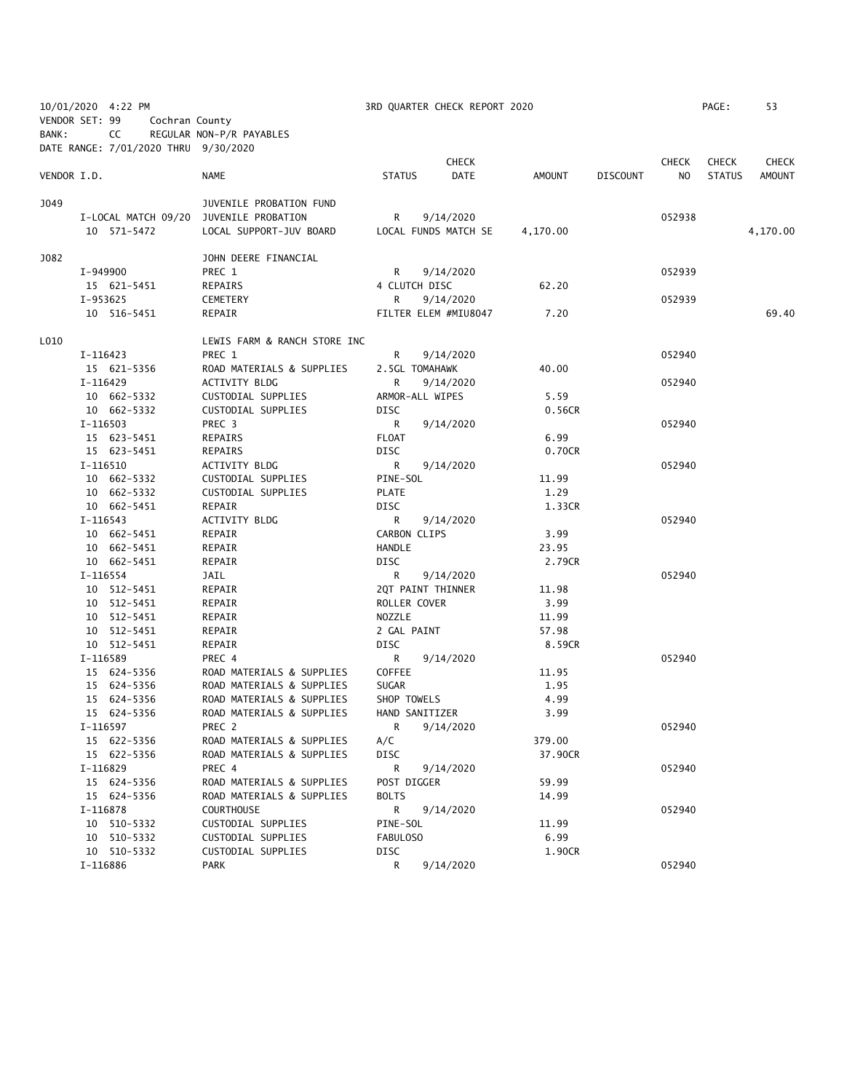| 10/01/2020 4:22 PM<br>VENDOR SET: 99<br>Cochran County |          |                                      |                                        | 3RD QUARTER CHECK REPORT 2020 |                      |          |                 |              | PAGE:         | 53           |
|--------------------------------------------------------|----------|--------------------------------------|----------------------------------------|-------------------------------|----------------------|----------|-----------------|--------------|---------------|--------------|
|                                                        |          |                                      |                                        |                               |                      |          |                 |              |               |              |
| BANK:                                                  |          | CC                                   | REGULAR NON-P/R PAYABLES               |                               |                      |          |                 |              |               |              |
|                                                        |          | DATE RANGE: 7/01/2020 THRU 9/30/2020 |                                        |                               |                      |          |                 |              |               |              |
|                                                        |          |                                      |                                        |                               | <b>CHECK</b>         |          |                 | <b>CHECK</b> | <b>CHECK</b>  | <b>CHECK</b> |
| VENDOR I.D.                                            |          |                                      | NAME                                   | <b>STATUS</b>                 | <b>DATE</b>          | AMOUNT   | <b>DISCOUNT</b> | NO.          | <b>STATUS</b> | AMOUNT       |
| J049                                                   |          |                                      | JUVENILE PROBATION FUND                |                               |                      |          |                 |              |               |              |
|                                                        |          |                                      | I-LOCAL MATCH 09/20 JUVENILE PROBATION | R                             | 9/14/2020            |          |                 | 052938       |               |              |
|                                                        |          | 10 571-5472                          | LOCAL SUPPORT-JUV BOARD                |                               | LOCAL FUNDS MATCH SE | 4,170.00 |                 |              |               | 4,170.00     |
|                                                        |          |                                      |                                        |                               |                      |          |                 |              |               |              |
| J082                                                   |          |                                      | JOHN DEERE FINANCIAL                   |                               |                      |          |                 |              |               |              |
|                                                        |          | I-949900                             | PREC 1                                 | R.                            | 9/14/2020            |          |                 | 052939       |               |              |
|                                                        |          | 15 621-5451                          | REPAIRS                                | 4 CLUTCH DISC                 |                      | 62.20    |                 |              |               |              |
|                                                        | I-953625 |                                      | CEMETERY                               | R                             | 9/14/2020            |          |                 | 052939       |               |              |
|                                                        |          | 10 516-5451                          | REPAIR                                 |                               | FILTER ELEM #MIU8047 | 7.20     |                 |              |               | 69.40        |
| L010                                                   |          |                                      | LEWIS FARM & RANCH STORE INC           |                               |                      |          |                 |              |               |              |
|                                                        |          | I-116423                             | PREC 1                                 | R                             | 9/14/2020            |          |                 | 052940       |               |              |
|                                                        |          | 15 621-5356                          | ROAD MATERIALS & SUPPLIES              |                               | 2.5GL TOMAHAWK       | 40.00    |                 |              |               |              |
|                                                        | I-116429 |                                      | ACTIVITY BLDG                          | R                             | 9/14/2020            |          |                 | 052940       |               |              |
|                                                        |          | 10 662-5332                          | CUSTODIAL SUPPLIES                     |                               | ARMOR-ALL WIPES      | 5.59     |                 |              |               |              |
|                                                        |          | 10 662-5332                          | CUSTODIAL SUPPLIES                     | DISC                          |                      | 0.56CR   |                 |              |               |              |
|                                                        | I-116503 |                                      | PREC <sub>3</sub>                      | R                             | 9/14/2020            |          |                 | 052940       |               |              |
|                                                        |          | 15 623-5451                          | REPAIRS                                | <b>FLOAT</b>                  |                      | 6.99     |                 |              |               |              |
|                                                        |          | 15 623-5451                          | REPAIRS                                | <b>DISC</b>                   |                      | 0.70CR   |                 |              |               |              |
|                                                        | I-116510 |                                      | ACTIVITY BLDG                          | R                             | 9/14/2020            |          |                 | 052940       |               |              |
|                                                        |          | 10 662-5332                          | CUSTODIAL SUPPLIES                     | PINE-SOL                      |                      | 11.99    |                 |              |               |              |
|                                                        |          | 10 662-5332                          | CUSTODIAL SUPPLIES                     | <b>PLATE</b>                  |                      | 1.29     |                 |              |               |              |
|                                                        |          | 10 662-5451                          | REPAIR                                 | DISC                          |                      | 1.33CR   |                 |              |               |              |
|                                                        | I-116543 |                                      | ACTIVITY BLDG                          | R                             | 9/14/2020            |          |                 | 052940       |               |              |
|                                                        |          | 10 662-5451                          | REPAIR                                 | CARBON CLIPS                  |                      | 3.99     |                 |              |               |              |
|                                                        |          | 10 662-5451                          | REPAIR                                 | HANDLE                        |                      | 23.95    |                 |              |               |              |
|                                                        |          | 10 662-5451                          | REPAIR                                 | DISC                          |                      | 2.79CR   |                 |              |               |              |
|                                                        |          | I-116554                             | JAIL                                   | R                             | 9/14/2020            |          |                 | 052940       |               |              |
|                                                        |          | 10 512-5451                          | REPAIR                                 |                               | 2QT PAINT THINNER    | 11.98    |                 |              |               |              |
|                                                        |          | 10 512-5451                          | REPAIR                                 | ROLLER COVER                  |                      | 3.99     |                 |              |               |              |
|                                                        |          | 10 512-5451                          | REPAIR                                 | NOZZLE                        |                      | 11.99    |                 |              |               |              |
|                                                        |          | 10 512-5451                          | REPAIR                                 | 2 GAL PAINT                   |                      | 57.98    |                 |              |               |              |
|                                                        |          | 10 512-5451                          | REPAIR                                 | DISC                          |                      | 8.59CR   |                 |              |               |              |
|                                                        | I-116589 |                                      | PREC 4                                 | R                             | 9/14/2020            |          |                 | 052940       |               |              |
|                                                        |          | 15 624-5356                          | ROAD MATERIALS & SUPPLIES              | COFFEE                        |                      | 11.95    |                 |              |               |              |
|                                                        |          | 15 624-5356                          | ROAD MATERIALS & SUPPLIES              | <b>SUGAR</b>                  |                      | 1.95     |                 |              |               |              |
|                                                        |          | 15 624-5356                          | ROAD MATERIALS & SUPPLIES              | SHOP TOWELS                   |                      | 4.99     |                 |              |               |              |
|                                                        |          | 15 624-5356                          | ROAD MATERIALS & SUPPLIES              |                               | HAND SANITIZER       | 3.99     |                 |              |               |              |
|                                                        |          | I-116597                             | PREC 2                                 | R                             | 9/14/2020            |          |                 | 052940       |               |              |
|                                                        |          | 15 622-5356                          | ROAD MATERIALS & SUPPLIES              | A/C                           |                      | 379.00   |                 |              |               |              |
|                                                        |          | 15 622-5356                          | ROAD MATERIALS & SUPPLIES              | <b>DISC</b>                   |                      | 37.90CR  |                 |              |               |              |
|                                                        | I-116829 |                                      | PREC 4                                 | R                             | 9/14/2020            |          |                 | 052940       |               |              |
|                                                        |          | 15 624-5356                          | ROAD MATERIALS & SUPPLIES              | POST DIGGER                   |                      | 59.99    |                 |              |               |              |
|                                                        |          | 15 624-5356                          | ROAD MATERIALS & SUPPLIES              | <b>BOLTS</b>                  |                      | 14.99    |                 |              |               |              |
|                                                        |          | I-116878                             | <b>COURTHOUSE</b>                      | R.                            | 9/14/2020            |          |                 | 052940       |               |              |
|                                                        |          | 10 510-5332                          | CUSTODIAL SUPPLIES                     | PINE-SOL                      |                      | 11.99    |                 |              |               |              |
|                                                        |          | 10 510-5332                          | CUSTODIAL SUPPLIES                     | FABULOSO                      |                      | 6.99     |                 |              |               |              |
|                                                        |          | 10 510-5332                          | CUSTODIAL SUPPLIES                     | DISC                          |                      | 1.90CR   |                 |              |               |              |
|                                                        |          | I-116886                             | <b>PARK</b>                            | R                             | 9/14/2020            |          |                 | 052940       |               |              |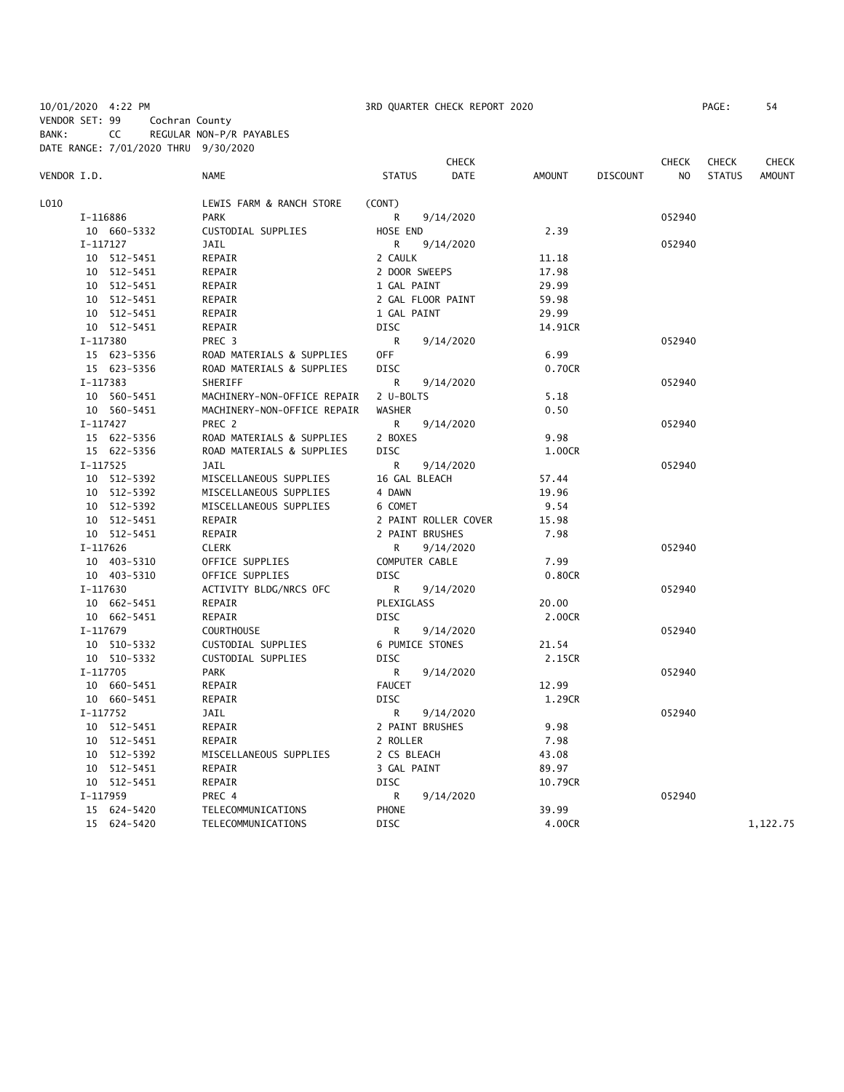10/01/2020 4:22 PM 3RD QUARTER CHECK REPORT 2020 PAGE: 54

BANK: CC REGULAR NON-P/R PAYABLES DATE RANGE: 7/01/2020 THRU 9/30/2020

CHECK CHECK CHECK CHECK VENDOR I.D. NAME STATUS DATE AMOUNT DISCOUNT NO STATUS AMOUNT L010 LEWIS FARM & RANCH STORE (CONT) I-116886 PARK R 9/14/2020 052940 10 660-5332 CUSTODIAL SUPPLIES HOSE END 2.39 I-117127 JAIL R 9/14/2020 052940 10 512-5451 REPAIR 2 CAULK 11.18 10 512-5451 REPAIR 2 DOOR SWEEPS 17.98 10 512-5451 REPAIR 1 GAL PAINT 29.99 10 512-5451 REPAIR 2 GAL FLOOR PAINT 59.98 10 512-5451 REPAIR 1 GAL PAINT 29.99 10 512-5451 REPAIR DISC 14.91CR I-117380 PREC 3 R 9/14/2020 052940 15 623-5356 ROAD MATERIALS & SUPPLIES OFF 6.99 15 623-5356 ROAD MATERIALS & SUPPLIES DISC 0.70CR I-117383 SHERIFF R 9/14/2020 052940 10 560-5451 MACHINERY-NON-OFFICE REPAIR 2 U-BOLTS 5.18 10 560-5451 MACHINERY-NON-OFFICE REPAIR WASHER 0.50 I-117427 PREC 2 R 9/14/2020 052940 15 622-5356 ROAD MATERIALS & SUPPLIES 2 BOXES 9.98 15 622-5356 ROAD MATERIALS & SUPPLIES DISC 1.00CR I-117525 JAIL R 9/14/2020 052940 10 512-5392 MISCELLANEOUS SUPPLIES 16 GAL BLEACH 57.44 10 512-5392 MISCELLANEOUS SUPPLIES 4 DAWN 19.96 10 512-5392 MISCELLANEOUS SUPPLIES 6 COMET 9.54 10 512-5451 REPAIR 2 PAINT ROLLER COVER 15.98 10 512-5451 REPAIR 2 PAINT BRUSHES 7.98 I-117626 CLERK R 9/14/2020 052940 10 403-5310 OFFICE SUPPLIES COMPUTER CABLE 7.99 10 403-5310 OFFICE SUPPLIES DISC 0.80CR I-117630 ACTIVITY BLDG/NRCS OFC R 9/14/2020 052940 10 662-5451 REPAIR PLEXIGLASS 20.00 10 662-5451 REPAIR DISC 2.00CR I-117679 COURTHOUSE R 9/14/2020 052940 10 510-5332 CUSTODIAL SUPPLIES 6 PUMICE STONES 21.54 10 510-5332 CUSTODIAL SUPPLIES DISC 2.15CR I-117705 PARK R 9/14/2020 052940 10 660-5451 REPAIR **FAUCET** FAUCET 12.99 10 660-5451 REPAIR DISC 1.29CR I-117752 JAIL R 9/14/2020 052940 10 512-5451 REPAIR 2 PAINT BRUSHES 9.98 10 512-5451 REPAIR 2 ROLLER 7.98 10 512-5392 MISCELLANEOUS SUPPLIES 2 CS BLEACH 43.08 10 512-5451 REPAIR 3 GAL PAINT 89.97 10 512-5451 REPAIR DISC 10.79CR I-117959 PREC 4 R 9/14/2020 052940 15 624-5420 TELECOMMUNICATIONS PHONE 39.99 15 624-5420 TELECOMMUNICATIONS DISC 4.00CR 1,122.75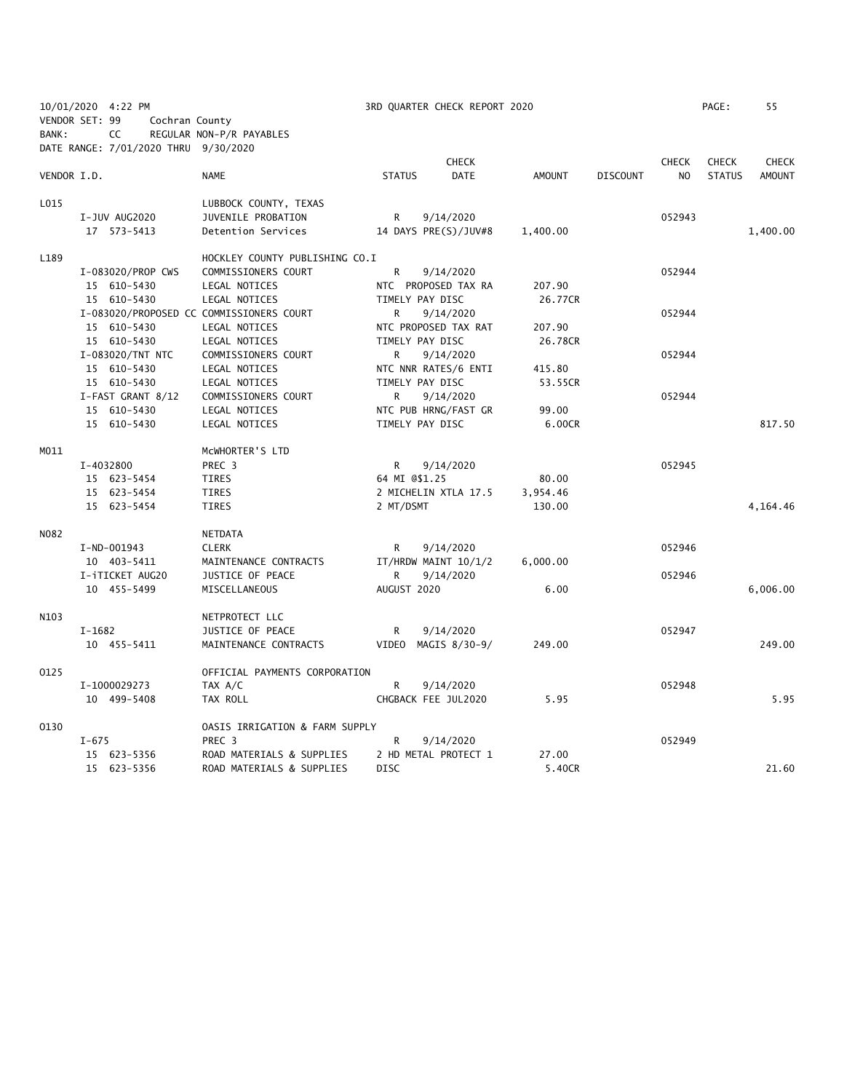|             | 10/01/2020 4:22 PM                   |                                          | 3RD QUARTER CHECK REPORT 2020 |               |                 |                | PAGE:         | 55            |
|-------------|--------------------------------------|------------------------------------------|-------------------------------|---------------|-----------------|----------------|---------------|---------------|
|             | VENDOR SET: 99                       | Cochran County                           |                               |               |                 |                |               |               |
| BANK:       | CC                                   | REGULAR NON-P/R PAYABLES                 |                               |               |                 |                |               |               |
|             | DATE RANGE: 7/01/2020 THRU 9/30/2020 |                                          |                               |               |                 |                |               |               |
|             |                                      |                                          | <b>CHECK</b>                  |               |                 | <b>CHECK</b>   | <b>CHECK</b>  | <b>CHECK</b>  |
| VENDOR I.D. |                                      | <b>NAME</b>                              | <b>DATE</b><br><b>STATUS</b>  | <b>AMOUNT</b> | <b>DISCOUNT</b> | N <sub>O</sub> | <b>STATUS</b> | <b>AMOUNT</b> |
| L015        |                                      | LUBBOCK COUNTY, TEXAS                    |                               |               |                 |                |               |               |
|             | I-JUV AUG2020                        | JUVENILE PROBATION                       | 9/14/2020<br>R                |               |                 | 052943         |               |               |
|             | 17 573-5413                          | Detention Services                       | 14 DAYS PRE(S)/JUV#8          | 1,400.00      |                 |                |               | 1,400.00      |
| L189        |                                      | HOCKLEY COUNTY PUBLISHING CO.I           |                               |               |                 |                |               |               |
|             | I-083020/PROP CWS                    | COMMISSIONERS COURT                      | R<br>9/14/2020                |               |                 | 052944         |               |               |
|             | 15 610-5430                          | LEGAL NOTICES                            | NTC PROPOSED TAX RA           | 207.90        |                 |                |               |               |
|             | 15 610-5430                          | LEGAL NOTICES                            | TIMELY PAY DISC               | 26.77CR       |                 |                |               |               |
|             |                                      | I-083020/PROPOSED CC COMMISSIONERS COURT | 9/14/2020<br>R.               |               |                 | 052944         |               |               |
|             | 15 610-5430                          | LEGAL NOTICES                            | NTC PROPOSED TAX RAT          | 207.90        |                 |                |               |               |
|             | 15 610-5430                          | LEGAL NOTICES                            | TIMELY PAY DISC               | 26.78CR       |                 |                |               |               |
|             | I-083020/TNT NTC                     | COMMISSIONERS COURT                      | 9/14/2020<br>R                |               |                 | 052944         |               |               |
|             | 15 610-5430                          | LEGAL NOTICES                            | NTC NNR RATES/6 ENTI          | 415.80        |                 |                |               |               |
|             | 15 610-5430                          | LEGAL NOTICES                            | TIMELY PAY DISC               | 53.55CR       |                 |                |               |               |
|             | I-FAST GRANT 8/12                    | COMMISSIONERS COURT                      | R<br>9/14/2020                |               |                 | 052944         |               |               |
|             | 15 610-5430                          | LEGAL NOTICES                            | NTC PUB HRNG/FAST GR          | 99.00         |                 |                |               |               |
|             | 15 610-5430                          | LEGAL NOTICES                            | TIMELY PAY DISC               | 6.00CR        |                 |                |               | 817.50        |
| M011        |                                      | MCWHORTER'S LTD                          |                               |               |                 |                |               |               |
|             | I-4032800                            | PREC 3                                   | R<br>9/14/2020                |               |                 | 052945         |               |               |
|             | 15 623-5454                          | TIRES                                    | 64 MI @\$1.25                 | 80.00         |                 |                |               |               |
|             | 15 623-5454                          | <b>TIRES</b>                             | 2 MICHELIN XTLA 17.5          | 3,954.46      |                 |                |               |               |
|             | 15 623-5454                          | <b>TIRES</b>                             | 2 MT/DSMT                     | 130.00        |                 |                |               | 4,164.46      |
| N082        |                                      | NETDATA                                  |                               |               |                 |                |               |               |
|             | I-ND-001943                          | <b>CLERK</b>                             | R<br>9/14/2020                |               |                 | 052946         |               |               |
|             | 10 403-5411                          | MAINTENANCE CONTRACTS                    | IT/HRDW MAINT 10/1/2          | 6,000.00      |                 |                |               |               |
|             | I-iTICKET AUG20                      | JUSTICE OF PEACE                         | R.<br>9/14/2020               |               |                 | 052946         |               |               |
|             | 10 455-5499                          | MISCELLANEOUS                            | AUGUST 2020                   | 6.00          |                 |                |               | 6,006.00      |
| N103        |                                      | NETPROTECT LLC                           |                               |               |                 |                |               |               |
|             | $I-1682$                             | JUSTICE OF PEACE                         | R<br>9/14/2020                |               |                 | 052947         |               |               |
|             | 10 455-5411                          | MAINTENANCE CONTRACTS                    | VIDEO MAGIS 8/30-9/           | 249.00        |                 |                |               | 249.00        |
| 0125        |                                      | OFFICIAL PAYMENTS CORPORATION            |                               |               |                 |                |               |               |
|             | I-1000029273                         | TAX A/C                                  | 9/14/2020<br>R                |               |                 | 052948         |               |               |
|             | 10 499-5408                          | TAX ROLL                                 | CHGBACK FEE JUL2020           | 5.95          |                 |                |               | 5.95          |
| 0130        |                                      | OASIS IRRIGATION & FARM SUPPLY           |                               |               |                 |                |               |               |
|             | $I - 675$                            | PREC 3                                   | R<br>9/14/2020                |               |                 | 052949         |               |               |
|             | 15 623-5356                          | ROAD MATERIALS & SUPPLIES                | 2 HD METAL PROTECT 1          | 27.00         |                 |                |               |               |
|             | 15 623-5356                          | ROAD MATERIALS & SUPPLIES                | <b>DISC</b>                   | 5.40CR        |                 |                |               | 21.60         |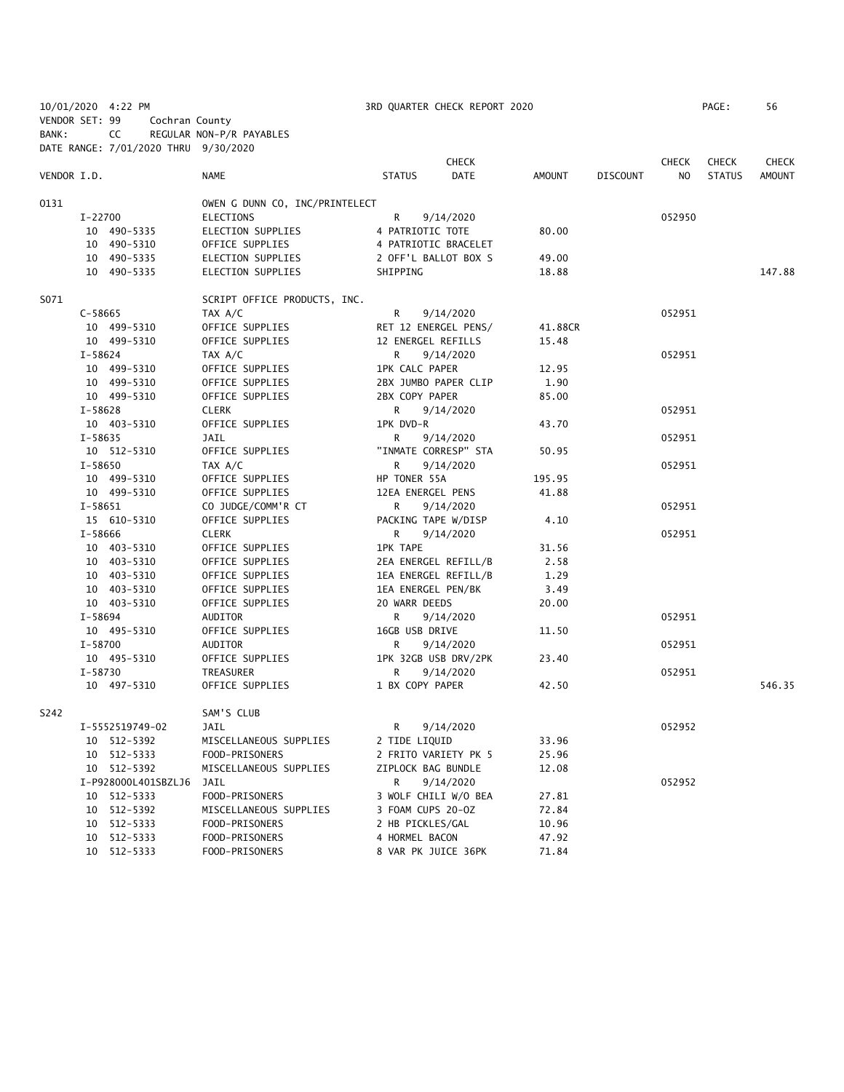|                |             | 10/01/2020 4:22 PM                   |                                |                       | 3RD QUARTER CHECK REPORT 2020 |         |                 |              | PAGE:         | 56           |
|----------------|-------------|--------------------------------------|--------------------------------|-----------------------|-------------------------------|---------|-----------------|--------------|---------------|--------------|
| VENDOR SET: 99 |             | Cochran County                       |                                |                       |                               |         |                 |              |               |              |
| BANK:          |             | CC                                   | REGULAR NON-P/R PAYABLES       |                       |                               |         |                 |              |               |              |
|                |             | DATE RANGE: 7/01/2020 THRU 9/30/2020 |                                |                       |                               |         |                 |              |               |              |
|                |             |                                      |                                |                       | <b>CHECK</b>                  |         |                 | <b>CHECK</b> | <b>CHECK</b>  | <b>CHECK</b> |
| VENDOR I.D.    |             |                                      | <b>NAME</b>                    | <b>STATUS</b>         | <b>DATE</b>                   | AMOUNT  | <b>DISCOUNT</b> | NO           | <b>STATUS</b> | AMOUNT       |
|                |             |                                      |                                |                       |                               |         |                 |              |               |              |
| 0131           |             |                                      | OWEN G DUNN CO, INC/PRINTELECT |                       |                               |         |                 |              |               |              |
|                | I-22700     |                                      | ELECTIONS                      | R                     | 9/14/2020                     |         |                 | 052950       |               |              |
|                |             | 10 490-5335                          | ELECTION SUPPLIES              | 4 PATRIOTIC TOTE      |                               | 80.00   |                 |              |               |              |
|                |             | 10 490-5310                          | OFFICE SUPPLIES                |                       | 4 PATRIOTIC BRACELET          |         |                 |              |               |              |
|                |             | 10 490-5335                          | ELECTION SUPPLIES              |                       | 2 OFF'L BALLOT BOX S          | 49.00   |                 |              |               |              |
|                |             | 10 490-5335                          | ELECTION SUPPLIES              | SHIPPING              |                               | 18.88   |                 |              |               | 147.88       |
| S071           |             |                                      | SCRIPT OFFICE PRODUCTS, INC.   |                       |                               |         |                 |              |               |              |
|                | $C - 58665$ |                                      | TAX A/C                        | R                     | 9/14/2020                     |         |                 | 052951       |               |              |
|                |             | 10 499-5310                          | OFFICE SUPPLIES                |                       | RET 12 ENERGEL PENS/          | 41.88CR |                 |              |               |              |
|                |             | 10 499-5310                          | OFFICE SUPPLIES                | 12 ENERGEL REFILLS    |                               | 15.48   |                 |              |               |              |
|                | $I - 58624$ |                                      | TAX A/C                        | R                     | 9/14/2020                     |         |                 | 052951       |               |              |
|                |             | 10 499-5310                          | OFFICE SUPPLIES                | <b>1PK CALC PAPER</b> |                               | 12.95   |                 |              |               |              |
|                |             | 10 499-5310                          | OFFICE SUPPLIES                |                       | 2BX JUMBO PAPER CLIP          | 1.90    |                 |              |               |              |
|                |             | 10 499-5310                          | OFFICE SUPPLIES                | 2BX COPY PAPER        |                               | 85.00   |                 |              |               |              |
|                | I-58628     |                                      | <b>CLERK</b>                   | R                     | 9/14/2020                     |         |                 | 052951       |               |              |
|                |             | 10 403-5310                          | OFFICE SUPPLIES                | 1PK DVD-R             |                               | 43.70   |                 |              |               |              |
|                | $I - 58635$ |                                      | JAIL                           | R                     | 9/14/2020                     |         |                 | 052951       |               |              |
|                |             | 10 512-5310                          | OFFICE SUPPLIES                |                       | "INMATE CORRESP" STA          | 50.95   |                 |              |               |              |
|                | I-58650     |                                      | TAX A/C                        | R                     | 9/14/2020                     |         |                 | 052951       |               |              |
|                |             | 10 499-5310                          | OFFICE SUPPLIES                | HP TONER 55A          |                               | 195.95  |                 |              |               |              |
|                |             | 10 499-5310                          | OFFICE SUPPLIES                | 12EA ENERGEL PENS     |                               | 41.88   |                 |              |               |              |
|                | $I-58651$   |                                      | CO JUDGE/COMM'R CT             | R                     | 9/14/2020                     |         |                 | 052951       |               |              |
|                |             | 15 610-5310                          | OFFICE SUPPLIES                | PACKING TAPE W/DISP   |                               | 4.10    |                 |              |               |              |
|                | I-58666     |                                      | <b>CLERK</b>                   | R                     | 9/14/2020                     |         |                 | 052951       |               |              |
|                |             | 10 403-5310                          | OFFICE SUPPLIES                | <b>1PK TAPE</b>       |                               | 31.56   |                 |              |               |              |
|                |             | 10 403-5310                          | OFFICE SUPPLIES                |                       | 2EA ENERGEL REFILL/B          | 2.58    |                 |              |               |              |
|                |             | 10 403-5310                          | OFFICE SUPPLIES                |                       | 1EA ENERGEL REFILL/B          | 1.29    |                 |              |               |              |
|                |             | 10 403-5310                          | OFFICE SUPPLIES                | 1EA ENERGEL PEN/BK    |                               | 3.49    |                 |              |               |              |
|                |             | 10 403-5310                          | OFFICE SUPPLIES                | 20 WARR DEEDS         |                               | 20.00   |                 |              |               |              |
|                | I-58694     |                                      | AUDITOR                        | R                     | 9/14/2020                     |         |                 | 052951       |               |              |
|                |             | 10 495-5310                          | OFFICE SUPPLIES                | 16GB USB DRIVE        |                               | 11.50   |                 |              |               |              |
|                | $I - 58700$ |                                      | AUDITOR                        | R                     | 9/14/2020                     |         |                 | 052951       |               |              |
|                |             | 10 495-5310                          | OFFICE SUPPLIES                |                       | 1PK 32GB USB DRV/2PK          | 23.40   |                 |              |               |              |
|                | $I - 58730$ |                                      | TREASURER                      | R                     | 9/14/2020                     |         |                 | 052951       |               |              |
|                |             | 10 497-5310                          | OFFICE SUPPLIES                | 1 BX COPY PAPER       |                               | 42.50   |                 |              |               | 546.35       |
|                |             |                                      |                                |                       |                               |         |                 |              |               |              |
| S242           |             |                                      | SAM'S CLUB                     |                       |                               |         |                 |              |               |              |
|                |             | I-5552519749-02                      | JAIL                           | R                     | 9/14/2020                     |         |                 | 052952       |               |              |
|                |             | 10 512-5392                          | MISCELLANEOUS SUPPLIES         | 2 TIDE LIQUID         |                               | 33.96   |                 |              |               |              |
|                |             | 10 512-5333                          | FOOD-PRISONERS                 |                       | 2 FRITO VARIETY PK 5          | 25.96   |                 |              |               |              |
|                |             | 10 512-5392                          | MISCELLANEOUS SUPPLIES         | ZIPLOCK BAG BUNDLE    |                               | 12.08   |                 |              |               |              |
|                |             | I-P928000L401SBZLJ6                  | JAIL                           | R                     | 9/14/2020                     |         |                 | 052952       |               |              |
|                |             | 10 512-5333                          | FOOD-PRISONERS                 |                       | 3 WOLF CHILI W/O BEA          | 27.81   |                 |              |               |              |
|                |             | 10 512-5392                          | MISCELLANEOUS SUPPLIES         | 3 FOAM CUPS 20-OZ     |                               | 72.84   |                 |              |               |              |
|                |             | 10 512-5333                          | FOOD-PRISONERS                 | 2 HB PICKLES/GAL      |                               | 10.96   |                 |              |               |              |
|                |             | 10 512-5333                          | FOOD-PRISONERS                 | 4 HORMEL BACON        |                               | 47.92   |                 |              |               |              |
|                |             | 10 512-5333                          | FOOD-PRISONERS                 | 8 VAR PK JUICE 36PK   |                               | 71.84   |                 |              |               |              |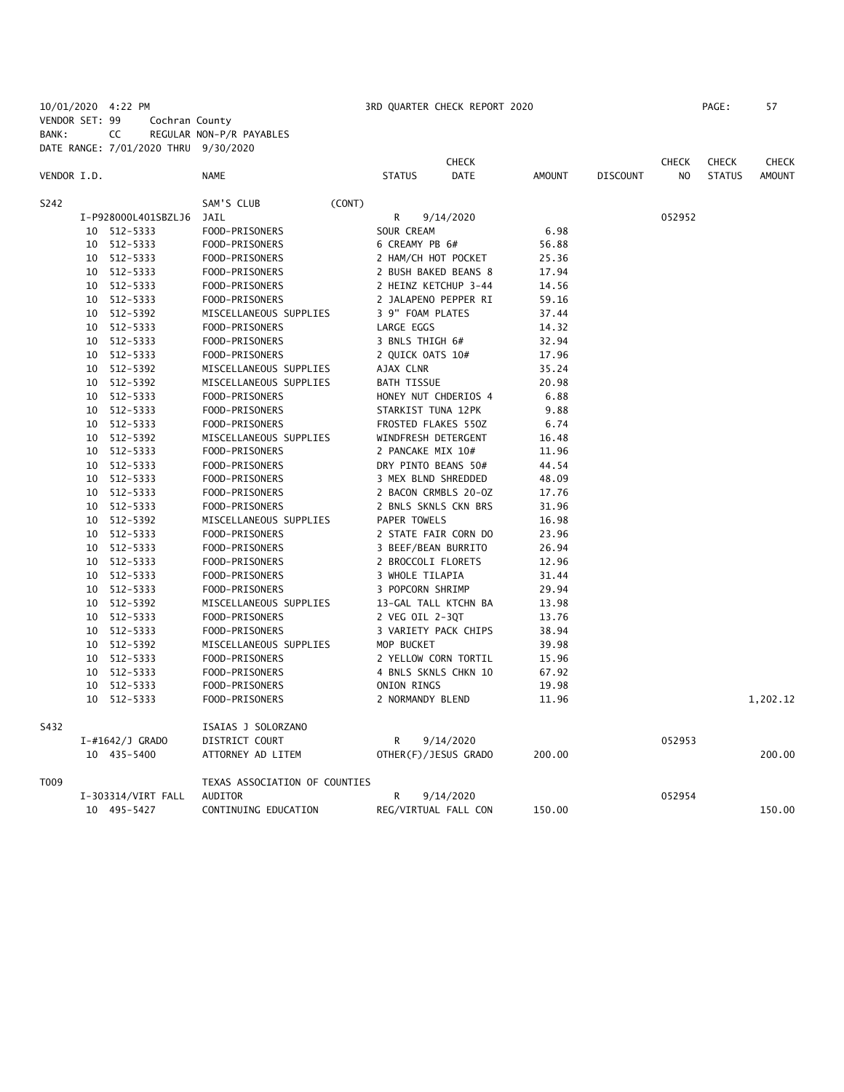10/01/2020 4:22 PM 3RD QUARTER CHECK REPORT 2020 PAGE: 57 VENDOR SET: 99 Cochran County BANK: CC REGULAR NON-P/R PAYABLES DATE RANGE: 7/01/2020 THRU 9/30/2020

|             |    |                     |                               |                     | <b>CHECK</b>         |        |                 | <b>CHECK</b>   | <b>CHECK</b>  | <b>CHECK</b>  |
|-------------|----|---------------------|-------------------------------|---------------------|----------------------|--------|-----------------|----------------|---------------|---------------|
| VENDOR I.D. |    |                     | NAME                          | <b>STATUS</b>       | <b>DATE</b>          | AMOUNT | <b>DISCOUNT</b> | N <sub>O</sub> | <b>STATUS</b> | <b>AMOUNT</b> |
| S242        |    |                     | SAM'S CLUB<br>(CONT)          |                     |                      |        |                 |                |               |               |
|             |    | I-P928000L401SBZLJ6 | JAIL                          | R                   | 9/14/2020            |        |                 | 052952         |               |               |
|             |    | 10 512-5333         | FOOD-PRISONERS                | SOUR CREAM          |                      | 6.98   |                 |                |               |               |
|             |    | 10 512-5333         | FOOD-PRISONERS                | 6 CREAMY PB 6#      |                      | 56.88  |                 |                |               |               |
|             |    | 10 512-5333         | FOOD-PRISONERS                | 2 HAM/CH HOT POCKET |                      | 25.36  |                 |                |               |               |
|             |    | 10 512-5333         | FOOD-PRISONERS                |                     | 2 BUSH BAKED BEANS 8 | 17.94  |                 |                |               |               |
|             |    | 10 512-5333         | FOOD-PRISONERS                |                     | 2 HEINZ KETCHUP 3-44 | 14.56  |                 |                |               |               |
|             | 10 | 512-5333            | FOOD-PRISONERS                |                     | 2 JALAPENO PEPPER RI | 59.16  |                 |                |               |               |
|             |    | 10 512-5392         | MISCELLANEOUS SUPPLIES        | 3 9" FOAM PLATES    |                      | 37.44  |                 |                |               |               |
|             |    | 10 512-5333         | FOOD-PRISONERS                | LARGE EGGS          |                      | 14.32  |                 |                |               |               |
|             |    | 10 512-5333         | FOOD-PRISONERS                | 3 BNLS THIGH 6#     |                      | 32.94  |                 |                |               |               |
|             |    | 10 512-5333         | FOOD-PRISONERS                | 2 QUICK OATS 10#    |                      | 17.96  |                 |                |               |               |
|             |    | 10 512-5392         | MISCELLANEOUS SUPPLIES        | AJAX CLNR           |                      | 35.24  |                 |                |               |               |
|             |    | 10 512-5392         | MISCELLANEOUS SUPPLIES        | <b>BATH TISSUE</b>  |                      | 20.98  |                 |                |               |               |
|             |    | 10 512-5333         | FOOD-PRISONERS                |                     | HONEY NUT CHDERIOS 4 | 6.88   |                 |                |               |               |
|             |    | 10 512-5333         | FOOD-PRISONERS                | STARKIST TUNA 12PK  |                      | 9.88   |                 |                |               |               |
|             | 10 | 512-5333            | FOOD-PRISONERS                | FROSTED FLAKES 550Z |                      | 6.74   |                 |                |               |               |
|             |    | 10 512-5392         | MISCELLANEOUS SUPPLIES        | WINDFRESH DETERGENT |                      | 16.48  |                 |                |               |               |
|             |    | 10 512-5333         | FOOD-PRISONERS                | 2 PANCAKE MIX 10#   |                      | 11.96  |                 |                |               |               |
|             |    | 10 512-5333         | FOOD-PRISONERS                | DRY PINTO BEANS 50# |                      | 44.54  |                 |                |               |               |
|             |    | 10 512-5333         | FOOD-PRISONERS                | 3 MEX BLND SHREDDED |                      | 48.09  |                 |                |               |               |
|             |    | 10 512-5333         | FOOD-PRISONERS                |                     | 2 BACON CRMBLS 20-0Z | 17.76  |                 |                |               |               |
|             |    | 10 512-5333         | FOOD-PRISONERS                |                     | 2 BNLS SKNLS CKN BRS | 31.96  |                 |                |               |               |
|             |    | 10 512-5392         | MISCELLANEOUS SUPPLIES        | PAPER TOWELS        |                      | 16.98  |                 |                |               |               |
|             |    | 10 512-5333         | FOOD-PRISONERS                |                     | 2 STATE FAIR CORN DO | 23.96  |                 |                |               |               |
|             |    | 10 512-5333         | FOOD-PRISONERS                | 3 BEEF/BEAN BURRITO |                      | 26.94  |                 |                |               |               |
|             |    | 10 512-5333         | FOOD-PRISONERS                | 2 BROCCOLI FLORETS  |                      | 12.96  |                 |                |               |               |
|             |    | 10 512-5333         | FOOD-PRISONERS                | 3 WHOLE TILAPIA     |                      | 31.44  |                 |                |               |               |
|             |    | 10 512-5333         | FOOD-PRISONERS                | 3 POPCORN SHRIMP    |                      | 29.94  |                 |                |               |               |
|             |    | 10 512-5392         | MISCELLANEOUS SUPPLIES        |                     | 13-GAL TALL KTCHN BA | 13.98  |                 |                |               |               |
|             |    | 10 512-5333         | FOOD-PRISONERS                | 2 VEG OIL 2-3QT     |                      | 13.76  |                 |                |               |               |
|             |    | 10 512-5333         | FOOD-PRISONERS                |                     | 3 VARIETY PACK CHIPS | 38.94  |                 |                |               |               |
|             |    | 10 512-5392         | MISCELLANEOUS SUPPLIES        | MOP BUCKET          |                      | 39.98  |                 |                |               |               |
|             |    | 10 512-5333         | FOOD-PRISONERS                |                     | 2 YELLOW CORN TORTIL | 15.96  |                 |                |               |               |
|             |    | 10 512-5333         | FOOD-PRISONERS                |                     | 4 BNLS SKNLS CHKN 10 | 67.92  |                 |                |               |               |
|             |    | 10 512-5333         | FOOD-PRISONERS                | ONION RINGS         |                      | 19.98  |                 |                |               |               |
|             |    | 10 512-5333         | FOOD-PRISONERS                | 2 NORMANDY BLEND    |                      | 11.96  |                 |                |               | 1,202.12      |
| S432        |    |                     | ISAIAS J SOLORZANO            |                     |                      |        |                 |                |               |               |
|             |    | $I$ -#1642/J GRADO  | DISTRICT COURT                | R                   | 9/14/2020            |        |                 | 052953         |               |               |
|             |    | 10 435-5400         | ATTORNEY AD LITEM             |                     | OTHER(F)/JESUS GRADO | 200.00 |                 |                |               | 200.00        |
| T009        |    |                     | TEXAS ASSOCIATION OF COUNTIES |                     |                      |        |                 |                |               |               |
|             |    | I-303314/VIRT FALL  | <b>AUDITOR</b>                | R                   | 9/14/2020            |        |                 | 052954         |               |               |
|             |    | 10 495-5427         | CONTINUING EDUCATION          |                     | REG/VIRTUAL FALL CON | 150.00 |                 |                |               | 150.00        |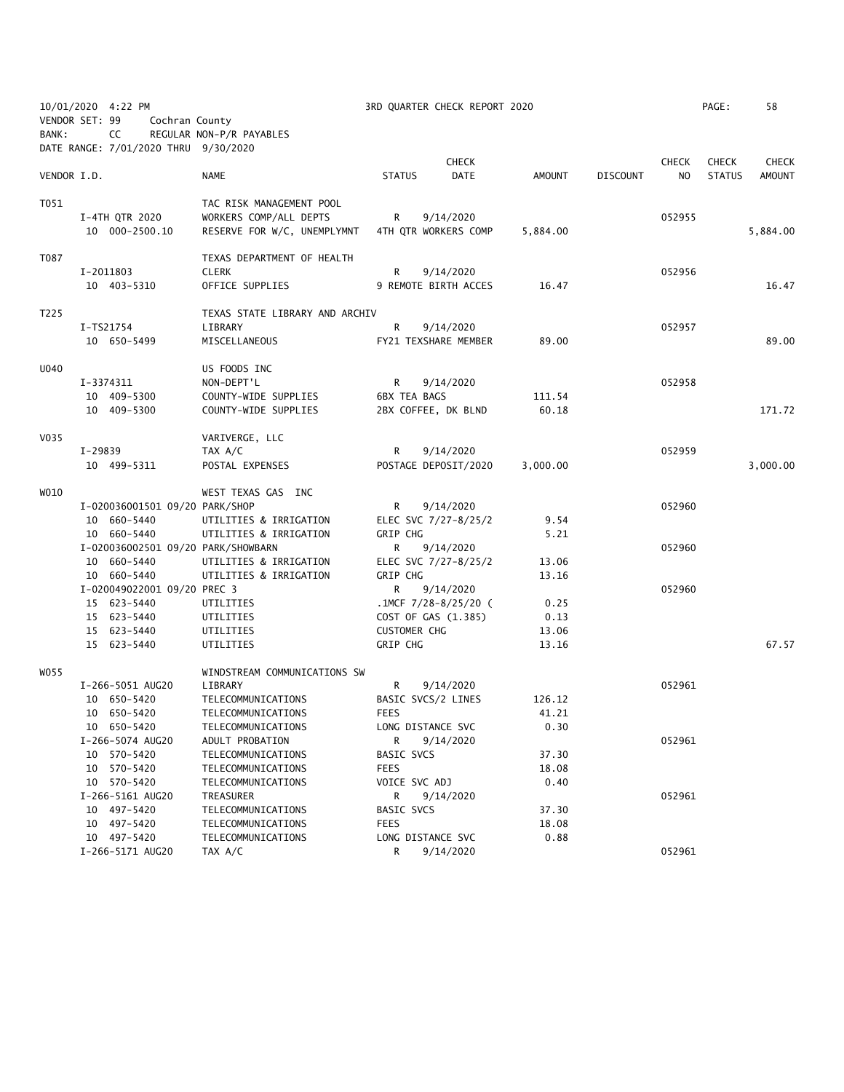| VENDOR SET: 99 |           | 10/01/2020 4:22 PM<br>Cochran County       |                                          |                           | 3RD QUARTER CHECK REPORT 2020 |                |                 |              | PAGE:         | 58           |
|----------------|-----------|--------------------------------------------|------------------------------------------|---------------------------|-------------------------------|----------------|-----------------|--------------|---------------|--------------|
| BANK:          |           | CC<br>DATE RANGE: 7/01/2020 THRU 9/30/2020 | REGULAR NON-P/R PAYABLES                 |                           |                               |                |                 |              |               |              |
|                |           |                                            |                                          |                           | <b>CHECK</b>                  |                |                 | <b>CHECK</b> | <b>CHECK</b>  | <b>CHECK</b> |
| VENDOR I.D.    |           |                                            | NAME                                     | <b>STATUS</b>             | DATE                          | AMOUNT         | <b>DISCOUNT</b> | NO.          | <b>STATUS</b> | AMOUNT       |
| T051           |           |                                            | TAC RISK MANAGEMENT POOL                 |                           |                               |                |                 |              |               |              |
|                |           | I-4TH QTR 2020                             | WORKERS COMP/ALL DEPTS                   | R                         | 9/14/2020                     |                |                 | 052955       |               |              |
|                |           | 10 000-2500.10                             | RESERVE FOR W/C, UNEMPLYMNT              |                           | 4TH QTR WORKERS COMP          | 5,884.00       |                 |              |               | 5,884.00     |
| T087           |           |                                            | TEXAS DEPARTMENT OF HEALTH               |                           |                               |                |                 |              |               |              |
|                |           | I-2011803                                  | <b>CLERK</b>                             | R                         | 9/14/2020                     |                |                 | 052956       |               |              |
|                |           | 10 403-5310                                | OFFICE SUPPLIES                          |                           | 9 REMOTE BIRTH ACCES          | 16.47          |                 |              |               | 16.47        |
| T225           |           |                                            | TEXAS STATE LIBRARY AND ARCHIV           |                           |                               |                |                 |              |               |              |
|                |           | I-TS21754                                  | LIBRARY                                  | R                         | 9/14/2020                     |                |                 | 052957       |               |              |
|                |           | 10 650-5499                                | MISCELLANEOUS                            |                           | FY21 TEXSHARE MEMBER          | 89.00          |                 |              |               | 89.00        |
| U040           |           |                                            | US FOODS INC                             |                           |                               |                |                 |              |               |              |
|                |           | I-3374311                                  | NON-DEPT'L                               | R                         | 9/14/2020                     |                |                 | 052958       |               |              |
|                |           | 10 409-5300                                | COUNTY-WIDE SUPPLIES                     | <b>6BX TEA BAGS</b>       |                               | 111.54         |                 |              |               |              |
|                |           | 10 409-5300                                | COUNTY-WIDE SUPPLIES                     |                           | 2BX COFFEE, DK BLND           | 60.18          |                 |              |               | 171.72       |
| V035           |           |                                            | VARIVERGE, LLC                           |                           |                               |                |                 |              |               |              |
|                | $I-29839$ |                                            | TAX A/C                                  | R                         | 9/14/2020                     |                |                 | 052959       |               |              |
|                |           | 10 499-5311                                | POSTAL EXPENSES                          |                           | POSTAGE DEPOSIT/2020          | 3,000.00       |                 |              |               | 3,000.00     |
| WO10           |           |                                            | WEST TEXAS GAS INC                       |                           |                               |                |                 |              |               |              |
|                |           | I-020036001501 09/20 PARK/SHOP             |                                          | R                         | 9/14/2020                     |                |                 | 052960       |               |              |
|                |           | 10 660-5440                                | UTILITIES & IRRIGATION                   |                           | ELEC SVC 7/27-8/25/2          | 9.54           |                 |              |               |              |
|                |           | 10 660-5440                                | UTILITIES & IRRIGATION                   | GRIP CHG                  |                               | 5.21           |                 |              |               |              |
|                |           | I-020036002501 09/20 PARK/SHOWBARN         |                                          | R                         | 9/14/2020                     |                |                 | 052960       |               |              |
|                |           | 10 660-5440                                | UTILITIES & IRRIGATION                   |                           | ELEC SVC 7/27-8/25/2          | 13.06          |                 |              |               |              |
|                |           | 10 660-5440                                | UTILITIES & IRRIGATION                   | GRIP CHG                  |                               | 13.16          |                 |              |               |              |
|                |           | I-020049022001 09/20 PREC 3                |                                          | R                         | 9/14/2020                     |                |                 | 052960       |               |              |
|                |           | 15 623-5440                                | UTILITIES                                |                           | .1MCF $7/28-8/25/20$ (        | 0.25           |                 |              |               |              |
|                |           | 15 623-5440<br>15 623-5440                 | UTILITIES<br>UTILITIES                   | <b>CUSTOMER CHG</b>       | COST OF GAS (1.385)           | 0.13<br>13.06  |                 |              |               |              |
|                |           | 15 623-5440                                | UTILITIES                                | GRIP CHG                  |                               | 13.16          |                 |              |               | 67.57        |
|                |           |                                            |                                          |                           |                               |                |                 |              |               |              |
| W055           |           |                                            | WINDSTREAM COMMUNICATIONS SW             |                           |                               |                |                 |              |               |              |
|                |           | I-266-5051 AUG20                           | LIBRARY                                  | R                         | 9/14/2020                     |                |                 | 052961       |               |              |
|                |           | 10 650-5420                                | TELECOMMUNICATIONS                       | BASIC SVCS/2 LINES        |                               | 126.12         |                 |              |               |              |
|                |           | 10 650-5420                                | TELECOMMUNICATIONS                       | <b>FEES</b>               |                               | 41.21          |                 |              |               |              |
|                |           | 10 650-5420                                | TELECOMMUNICATIONS                       | LONG DISTANCE SVC         |                               | 0.30           |                 |              |               |              |
|                |           | I-266-5074 AUG20                           | ADULT PROBATION                          | R                         | 9/14/2020                     |                |                 | 052961       |               |              |
|                |           | 10 570-5420<br>10 570-5420                 | TELECOMMUNICATIONS<br>TELECOMMUNICATIONS | BASIC SVCS<br><b>FEES</b> |                               | 37.30<br>18.08 |                 |              |               |              |
|                |           | 10 570-5420                                | TELECOMMUNICATIONS                       | VOICE SVC ADJ             |                               | 0.40           |                 |              |               |              |
|                |           | I-266-5161 AUG20                           | TREASURER                                | R                         | 9/14/2020                     |                |                 | 052961       |               |              |
|                |           | 10 497-5420                                | TELECOMMUNICATIONS                       | <b>BASIC SVCS</b>         |                               | 37.30          |                 |              |               |              |
|                |           | 10 497-5420                                | TELECOMMUNICATIONS                       | <b>FEES</b>               |                               | 18.08          |                 |              |               |              |
|                |           | 10 497-5420                                | TELECOMMUNICATIONS                       | LONG DISTANCE SVC         |                               | 0.88           |                 |              |               |              |
|                |           | I-266-5171 AUG20                           | TAX A/C                                  | R                         | 9/14/2020                     |                |                 | 052961       |               |              |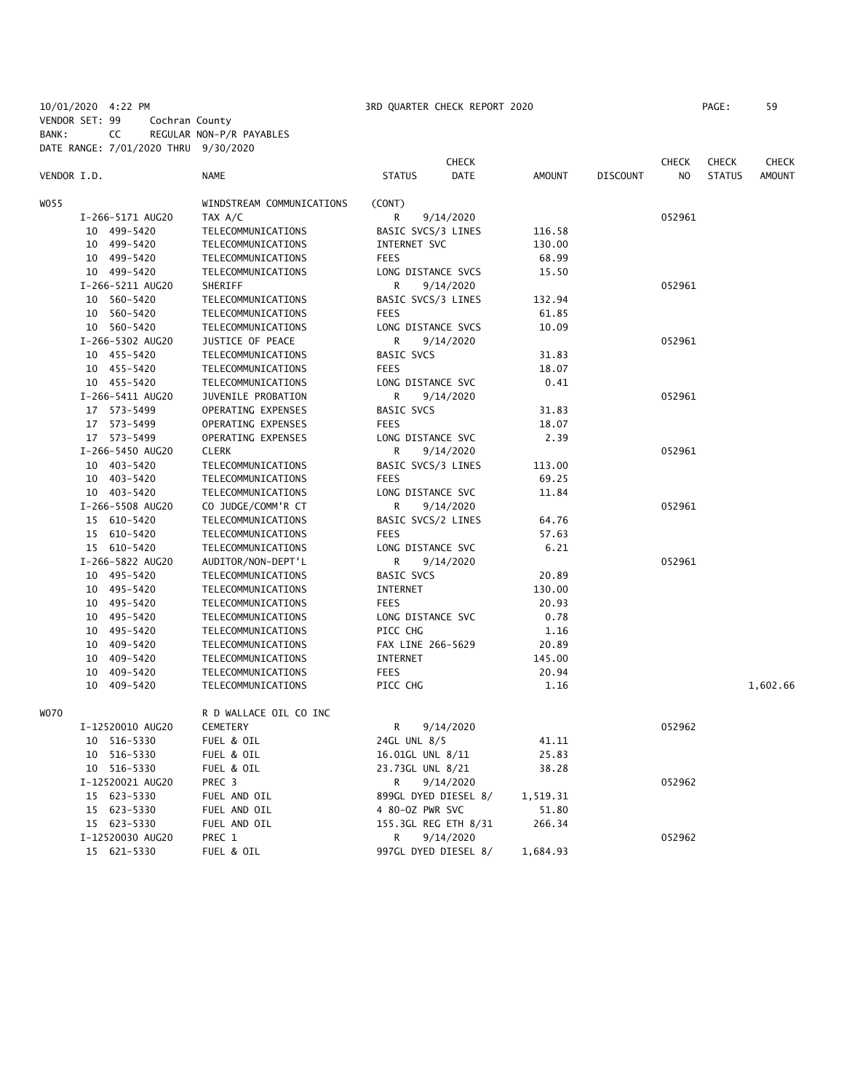10/01/2020 4:22 PM 3RD QUARTER CHECK REPORT 2020 PAGE: 59 VENDOR SET: 99 Cochran County

BANK: CC REGULAR NON-P/R PAYABLES

DATE RANGE: 7/01/2020 THRU 9/30/2020 **CHECK CHECK CHECK CHECK CHECK CHECK CHECK** VENDOR I.D. NAME STATUS DATE AMOUNT DISCOUNT NO STATUS AMOUNT WOSS WINDSTREAM COMMUNICATIONS (CONT) I-266-5171 AUG20 TAX A/C R 9/14/2020 052961 10 499-5420 TELECOMMUNICATIONS BASIC SVCS/3 LINES 116.58 10 499-5420 TELECOMMUNICATIONS INTERNET SVC 130.00 10 499-5420 TELECOMMUNICATIONS FEES 68.99 10 499-5420 TELECOMMUNICATIONS LONG DISTANCE SVCS 15.50 I-266-5211 AUG20 SHERIFF R R 9/14/2020 R 9/14/2020 10 560-5420 TELECOMMUNICATIONS BASIC SVCS/3 LINES 132.94 10 560-5420 TELECOMMUNICATIONS FEES 61.85 10 560-5420 TELECOMMUNICATIONS LONG DISTANCE SVCS 10.09 I-266-5302 AUG20 JUSTICE OF PEACE R 9/14/2020 052961 10 455-5420 TELECOMMUNICATIONS BASIC SVCS 31.83 10 455-5420 TELECOMMUNICATIONS FEES 18.07 10 455-5420 TELECOMMUNICATIONS LONG DISTANCE SVC 0.41 I-266-5411 AUG20 JUVENILE PROBATION R 9/14/2020 052961 17 573-5499 OPERATING EXPENSES BASIC SVCS 31.83 17 573-5499 OPERATING EXPENSES FEES 18.07 17 573-5499 OPERATING EXPENSES LONG DISTANCE SVC 2.39 I-266-5450 AUG20 CLERK R 9/14/2020 052961 10 403-5420 TELECOMMUNICATIONS BASIC SVCS/3 LINES 113.00 10 403-5420 TELECOMMUNICATIONS FEES 69.25 10 403-5420 TELECOMMUNICATIONS LONG DISTANCE SVC 11.84 I-266-5508 AUG20 CO JUDGE/COMM'R CT R 9/14/2020 052961 15 610-5420 TELECOMMUNICATIONS BASIC SVCS/2 LINES 64.76 15 610-5420 TELECOMMUNICATIONS FEES 57.63 15 610-5420 TELECOMMUNICATIONS LONG DISTANCE SVC 6.21 I-266-5822 AUG20 AUDITOR/NON-DEPT'L R 9/14/2020 052961 10 495-5420 TELECOMMUNICATIONS BASIC SVCS 20.89 10 495-5420 TELECOMMUNICATIONS INTERNET 130.00 10 495-5420 TELECOMMUNICATIONS FEES 20.93 10 495-5420 TELECOMMUNICATIONS LONG DISTANCE SVC 0.78 10 495-5420 TELECOMMUNICATIONS PICC CHG 1.16 10 409-5420 TELECOMMUNICATIONS FAX LINE 266-5629 20.89 10 409-5420 TELECOMMUNICATIONS INTERNET 145.00 10 409-5420 TELECOMMUNICATIONS FEES 20.94 10 409-5420 TELECOMMUNICATIONS PICC CHG 1.16 1,602.66 W070 R D WALLACE OIL CO INC I-12520010 AUG20 CEMETERY R 9/14/2020 052962 10 516-5330 FUEL & OIL 24GL UNL 8/5 41.11 10 516-5330 FUEL & OIL 16.01GL UNL 8/11 25.83 10 516-5330 FUEL & OIL 23.73GL UNL 8/21 38.28 I-12520021 AUG20 PREC 3 R 9/14/2020 052962 15 623-5330 FUEL AND OIL 899GL DYED DIESEL 8/ 1,519.31 15 623-5330 FUEL AND OIL 4 80-OZ PWR SVC 51.80 15 623-5330 FUEL AND OIL 155.3GL REG ETH 8/31 266.34 I-12520030 AUG20 PREC 1 R 9/14/2020 052962 15 621-5330 FUEL & OIL 997GL DYED DIESEL 8/ 1,684.93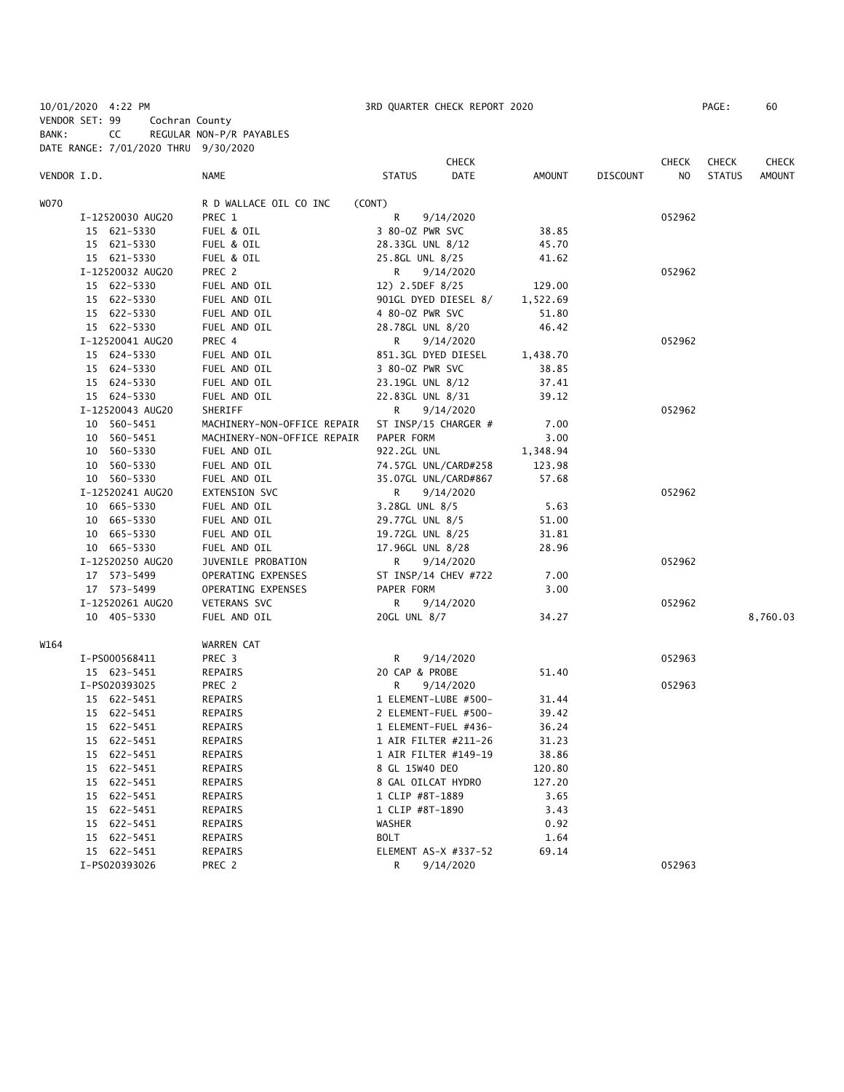10/01/2020 4:22 PM 3RD QUARTER CHECK REPORT 2020 PAGE: 60 VENDOR SET: 99 Cochran County BANK: CC REGULAR NON-P/R PAYABLES DATE RANGE: 7/01/2020 THRU 9/30/2020

|             |                  |                             | <b>CHECK</b>                 |          |                 | <b>CHECK</b> | <b>CHECK</b>  | CHECK         |
|-------------|------------------|-----------------------------|------------------------------|----------|-----------------|--------------|---------------|---------------|
| VENDOR I.D. |                  | <b>NAME</b>                 | <b>STATUS</b><br><b>DATE</b> | AMOUNT   | <b>DISCOUNT</b> | NO           | <b>STATUS</b> | <b>AMOUNT</b> |
| W070        |                  | R D WALLACE OIL CO INC      | (CONT)                       |          |                 |              |               |               |
|             | I-12520030 AUG20 | PREC 1                      | R<br>9/14/2020               |          |                 | 052962       |               |               |
|             | 15 621-5330      | FUEL & OIL                  | 3 80-0Z PWR SVC              | 38.85    |                 |              |               |               |
|             | 15 621-5330      | FUEL & OIL                  | 28.33GL UNL 8/12             | 45.70    |                 |              |               |               |
|             | 15 621-5330      | FUEL & OIL                  | 25.8GL UNL 8/25              | 41.62    |                 |              |               |               |
|             | I-12520032 AUG20 | PREC 2                      | 9/14/2020<br>R               |          |                 | 052962       |               |               |
|             | 15 622-5330      | FUEL AND OIL                | 12) 2.5DEF 8/25              | 129.00   |                 |              |               |               |
|             | 15 622-5330      | FUEL AND OIL                | 901GL DYED DIESEL 8/         | 1,522.69 |                 |              |               |               |
|             | 15 622-5330      | FUEL AND OIL                | 4 80-0Z PWR SVC              | 51.80    |                 |              |               |               |
|             | 15 622-5330      | FUEL AND OIL                | 28.78GL UNL 8/20             | 46.42    |                 |              |               |               |
|             | I-12520041 AUG20 | PREC 4                      | R<br>9/14/2020               |          |                 | 052962       |               |               |
|             | 15 624-5330      | FUEL AND OIL                | 851.3GL DYED DIESEL          | 1,438.70 |                 |              |               |               |
|             | 15 624-5330      | FUEL AND OIL                | 3 80-0Z PWR SVC              | 38.85    |                 |              |               |               |
|             | 15 624-5330      | FUEL AND OIL                | 23.19GL UNL 8/12             | 37.41    |                 |              |               |               |
|             | 15 624-5330      | FUEL AND OIL                | 22.83GL UNL 8/31             | 39.12    |                 |              |               |               |
|             | I-12520043 AUG20 | SHERIFF                     | R<br>9/14/2020               |          |                 | 052962       |               |               |
|             | 10 560-5451      | MACHINERY-NON-OFFICE REPAIR | ST INSP/15 CHARGER #         | 7.00     |                 |              |               |               |
|             | 10 560-5451      | MACHINERY-NON-OFFICE REPAIR | PAPER FORM                   | 3.00     |                 |              |               |               |
|             | 10 560-5330      | FUEL AND OIL                | 922.2GL UNL                  | 1,348.94 |                 |              |               |               |
|             | 10 560-5330      | FUEL AND OIL                | 74.57GL UNL/CARD#258         | 123.98   |                 |              |               |               |
|             | 10 560-5330      | FUEL AND OIL                | 35.07GL UNL/CARD#867         | 57.68    |                 |              |               |               |
|             | I-12520241 AUG20 | EXTENSION SVC               | 9/14/2020<br>R               |          |                 | 052962       |               |               |
|             | 10 665-5330      | FUEL AND OIL                | 3.28GL UNL 8/5               | 5.63     |                 |              |               |               |
|             | 10 665-5330      | FUEL AND OIL                | 29.77GL UNL 8/5              | 51.00    |                 |              |               |               |
|             | 10 665-5330      | FUEL AND OIL                | 19.72GL UNL 8/25             | 31.81    |                 |              |               |               |
|             | 10 665-5330      | FUEL AND OIL                | 17.96GL UNL 8/28             | 28.96    |                 |              |               |               |
|             | I-12520250 AUG20 | JUVENILE PROBATION          | 9/14/2020<br>R               |          |                 | 052962       |               |               |
|             | 17 573-5499      | OPERATING EXPENSES          | ST INSP/14 CHEV #722         | 7.00     |                 |              |               |               |
|             | 17 573-5499      | OPERATING EXPENSES          | PAPER FORM                   | 3.00     |                 |              |               |               |
|             | I-12520261 AUG20 | VETERANS SVC                | R<br>9/14/2020               |          |                 | 052962       |               |               |
|             | 10 405-5330      | FUEL AND OIL                | 20GL UNL 8/7                 | 34.27    |                 |              |               | 8,760.03      |
|             |                  |                             |                              |          |                 |              |               |               |
| W164        |                  | WARREN CAT                  |                              |          |                 |              |               |               |
|             | I-PS000568411    | PREC 3                      | 9/14/2020<br>R               |          |                 | 052963       |               |               |
|             | 15 623-5451      | REPAIRS                     | 20 CAP & PROBE               | 51.40    |                 |              |               |               |
|             | I-PS020393025    | PREC 2                      | R<br>9/14/2020               |          |                 | 052963       |               |               |
|             | 15 622-5451      | REPAIRS                     | 1 ELEMENT-LUBE #500-         | 31.44    |                 |              |               |               |
|             | 15 622-5451      | REPAIRS                     | 2 ELEMENT-FUEL #500-         | 39.42    |                 |              |               |               |
|             | 15 622-5451      | REPAIRS                     | 1 ELEMENT-FUEL #436-         | 36.24    |                 |              |               |               |
|             | 15 622-5451      | REPAIRS                     | 1 AIR FILTER #211-26         | 31.23    |                 |              |               |               |
|             | 15 622-5451      | REPAIRS                     | 1 AIR FILTER #149-19         | 38.86    |                 |              |               |               |
|             | 15 622-5451      | REPAIRS                     | 8 GL 15W40 DEO               | 120.80   |                 |              |               |               |
|             | 15 622-5451      | REPAIRS                     | 8 GAL OILCAT HYDRO           | 127.20   |                 |              |               |               |
|             | 15 622-5451      | REPAIRS                     | 1 CLIP #8T-1889              | 3.65     |                 |              |               |               |
|             | 15 622-5451      | REPAIRS                     | 1 CLIP #8T-1890              | 3.43     |                 |              |               |               |
|             | 15 622-5451      | REPAIRS                     | <b>WASHER</b>                | 0.92     |                 |              |               |               |
|             | 15 622-5451      | REPAIRS                     | <b>BOLT</b>                  | 1.64     |                 |              |               |               |
|             | 15 622-5451      | REPAIRS                     | ELEMENT AS-X #337-52         | 69.14    |                 |              |               |               |
|             | I-PS020393026    | PREC <sub>2</sub>           | R<br>9/14/2020               |          |                 | 052963       |               |               |
|             |                  |                             |                              |          |                 |              |               |               |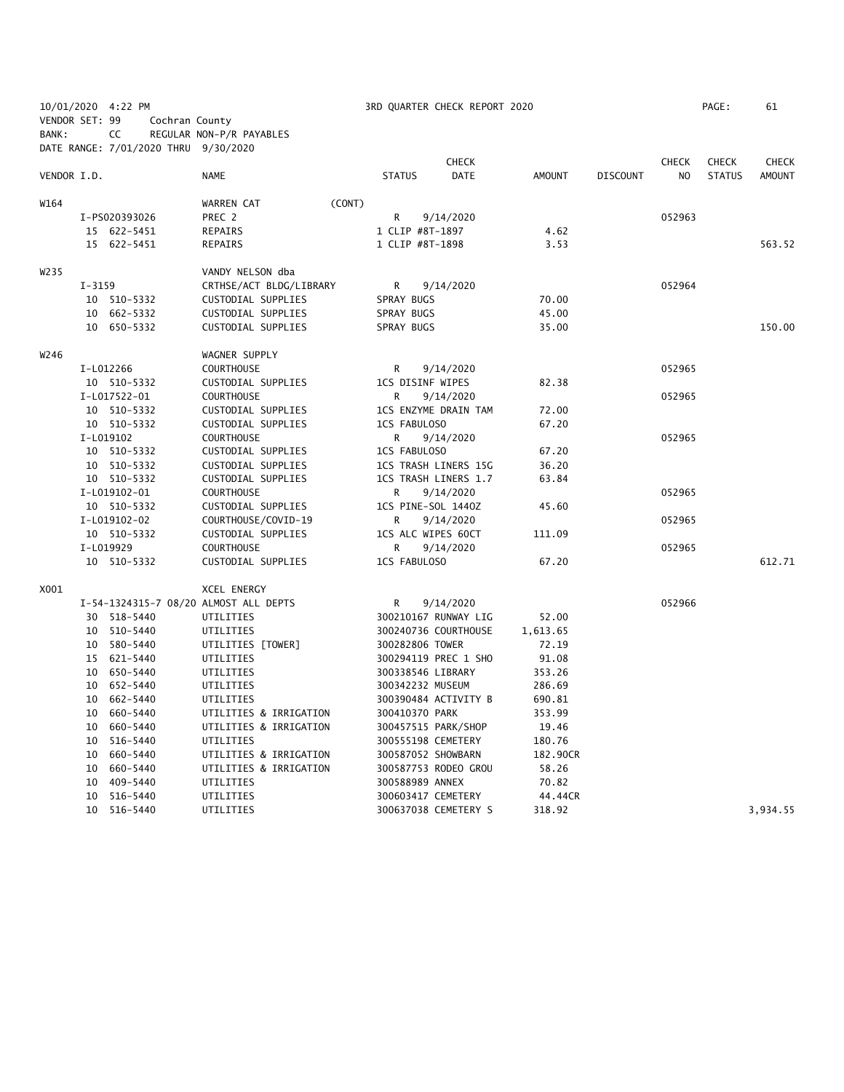|                |          | 10/01/2020 4:22 PM                   |                                       |                    | 3RD QUARTER CHECK REPORT 2020 |               |                 |                | PAGE:         | 61           |
|----------------|----------|--------------------------------------|---------------------------------------|--------------------|-------------------------------|---------------|-----------------|----------------|---------------|--------------|
| VENDOR SET: 99 |          | Cochran County                       |                                       |                    |                               |               |                 |                |               |              |
| BANK:          |          | CC                                   | REGULAR NON-P/R PAYABLES              |                    |                               |               |                 |                |               |              |
|                |          | DATE RANGE: 7/01/2020 THRU 9/30/2020 |                                       |                    |                               |               |                 |                |               |              |
|                |          |                                      |                                       |                    | <b>CHECK</b>                  |               |                 | <b>CHECK</b>   | <b>CHECK</b>  | <b>CHECK</b> |
| VENDOR I.D.    |          |                                      | NAME                                  | <b>STATUS</b>      | <b>DATE</b>                   | <b>AMOUNT</b> | <b>DISCOUNT</b> | N <sub>O</sub> | <b>STATUS</b> | AMOUNT       |
| W164           |          |                                      | (CONT)                                |                    |                               |               |                 |                |               |              |
|                |          | I-PS020393026                        | WARREN CAT<br>PREC 2                  | R                  | 9/14/2020                     |               |                 | 052963         |               |              |
|                |          | 15 622-5451                          | REPAIRS                               | 1 CLIP #8T-1897    |                               | 4.62          |                 |                |               |              |
|                |          | 15 622-5451                          | REPAIRS                               | 1 CLIP #8T-1898    |                               | 3.53          |                 |                |               | 563.52       |
|                |          |                                      |                                       |                    |                               |               |                 |                |               |              |
| W235           |          |                                      | VANDY NELSON dba                      |                    |                               |               |                 |                |               |              |
|                | $I-3159$ |                                      | CRTHSE/ACT BLDG/LIBRARY               | R                  | 9/14/2020                     |               |                 | 052964         |               |              |
|                |          | 10 510-5332                          | CUSTODIAL SUPPLIES                    | SPRAY BUGS         |                               | 70.00         |                 |                |               |              |
|                |          | 10 662-5332                          | CUSTODIAL SUPPLIES                    | SPRAY BUGS         |                               | 45.00         |                 |                |               |              |
|                |          | 10 650-5332                          | CUSTODIAL SUPPLIES                    | SPRAY BUGS         |                               | 35.00         |                 |                |               | 150.00       |
| W246           |          |                                      | WAGNER SUPPLY                         |                    |                               |               |                 |                |               |              |
|                |          | I-L012266                            | <b>COURTHOUSE</b>                     | R                  | 9/14/2020                     |               |                 | 052965         |               |              |
|                |          | 10 510-5332                          | CUSTODIAL SUPPLIES                    | 1CS DISINF WIPES   |                               | 82.38         |                 |                |               |              |
|                |          | I-L017522-01                         | <b>COURTHOUSE</b>                     | R                  | 9/14/2020                     |               |                 | 052965         |               |              |
|                |          | 10 510-5332                          | CUSTODIAL SUPPLIES                    |                    | 1CS ENZYME DRAIN TAM          | 72.00         |                 |                |               |              |
|                |          | 10 510-5332                          | CUSTODIAL SUPPLIES                    | 1CS FABULOSO       |                               | 67.20         |                 |                |               |              |
|                |          | I-L019102                            | <b>COURTHOUSE</b>                     | R                  | 9/14/2020                     |               |                 | 052965         |               |              |
|                |          | 10 510-5332                          | CUSTODIAL SUPPLIES                    | 1CS FABULOSO       |                               | 67.20         |                 |                |               |              |
|                |          | 10 510-5332                          | CUSTODIAL SUPPLIES                    |                    | 1CS TRASH LINERS 15G          | 36.20         |                 |                |               |              |
|                |          | 10 510-5332                          | CUSTODIAL SUPPLIES                    |                    | 1CS TRASH LINERS 1.7          | 63.84         |                 |                |               |              |
|                |          | I-L019102-01                         | <b>COURTHOUSE</b>                     | R                  | 9/14/2020                     |               |                 | 052965         |               |              |
|                |          | 10 510-5332                          | CUSTODIAL SUPPLIES                    | 1CS PINE-SOL 1440Z |                               | 45.60         |                 |                |               |              |
|                |          | I-L019102-02                         | COURTHOUSE/COVID-19                   | R                  | 9/14/2020                     |               |                 | 052965         |               |              |
|                |          | 10 510-5332                          | CUSTODIAL SUPPLIES                    | 1CS ALC WIPES 60CT |                               | 111.09        |                 |                |               |              |
|                |          | I-L019929                            | <b>COURTHOUSE</b>                     | R                  | 9/14/2020                     |               |                 | 052965         |               |              |
|                |          | 10 510-5332                          | CUSTODIAL SUPPLIES                    | 1CS FABULOSO       |                               | 67.20         |                 |                |               | 612.71       |
|                |          |                                      |                                       |                    |                               |               |                 |                |               |              |
| X001           |          |                                      | <b>XCEL ENERGY</b>                    |                    |                               |               |                 |                |               |              |
|                |          |                                      | I-54-1324315-7 08/20 ALMOST ALL DEPTS | R                  | 9/14/2020                     |               |                 | 052966         |               |              |
|                |          | 30 518-5440                          | UTILITIES                             |                    | 300210167 RUNWAY LIG          | 52.00         |                 |                |               |              |
|                |          | 10 510-5440                          | UTILITIES                             |                    | 300240736 COURTHOUSE          | 1,613.65      |                 |                |               |              |
|                |          | 10 580-5440                          | UTILITIES [TOWER]                     | 300282806 TOWER    |                               | 72.19         |                 |                |               |              |
|                |          | 15 621-5440                          | UTILITIES                             |                    | 300294119 PREC 1 SHO          | 91.08         |                 |                |               |              |
|                |          | 10 650-5440                          | UTILITIES                             | 300338546 LIBRARY  |                               | 353.26        |                 |                |               |              |
|                |          | 10 652-5440                          | UTILITIES                             | 300342232 MUSEUM   |                               | 286.69        |                 |                |               |              |
|                |          | 10 662-5440                          | UTILITIES                             |                    | 300390484 ACTIVITY B          | 690.81        |                 |                |               |              |
|                |          | 10 660-5440                          | UTILITIES & IRRIGATION                | 300410370 PARK     |                               | 353.99        |                 |                |               |              |
|                |          | 10 660-5440                          | UTILITIES & IRRIGATION                |                    | 300457515 PARK/SHOP           | 19.46         |                 |                |               |              |
|                |          | 10 516-5440                          | UTILITIES                             | 300555198 CEMETERY |                               | 180.76        |                 |                |               |              |
|                |          | 10 660-5440                          | UTILITIES & IRRIGATION                | 300587052 SHOWBARN |                               | 182.90CR      |                 |                |               |              |
|                |          | 10 660-5440                          | UTILITIES & IRRIGATION                |                    | 300587753 RODEO GROU          | 58.26         |                 |                |               |              |
|                | 10       | 409-5440                             | UTILITIES                             | 300588989 ANNEX    |                               | 70.82         |                 |                |               |              |
|                | 10       | 516-5440                             | UTILITIES                             | 300603417 CEMETERY |                               | 44.44CR       |                 |                |               |              |
|                |          | 10 516-5440                          | UTILITIES                             |                    | 300637038 CEMETERY S          | 318.92        |                 |                |               | 3,934.55     |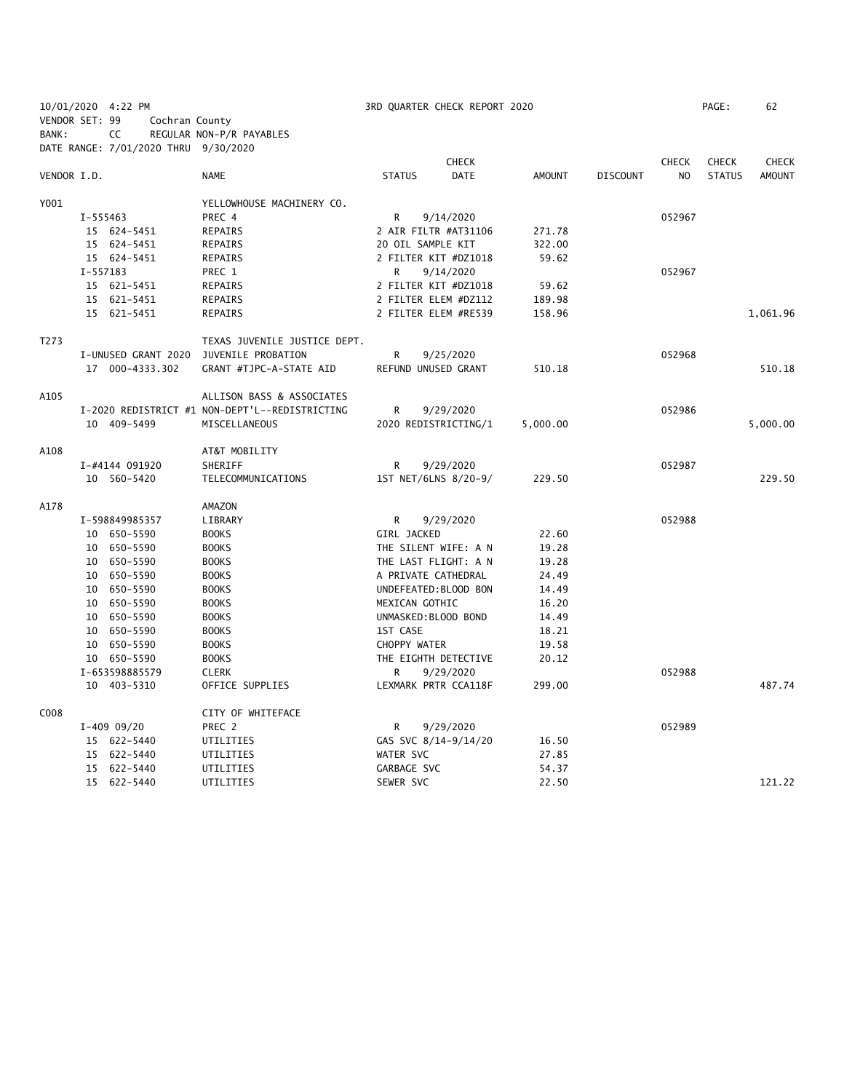| 10/01/2020 4:22 PM |          |                |                     |                                                |                   | 3RD QUARTER CHECK REPORT 2020 |               |                 |                | PAGE:         | 62            |
|--------------------|----------|----------------|---------------------|------------------------------------------------|-------------------|-------------------------------|---------------|-----------------|----------------|---------------|---------------|
| VENDOR SET: 99     |          |                | Cochran County      |                                                |                   |                               |               |                 |                |               |               |
| BANK:              |          | CC             |                     | REGULAR NON-P/R PAYABLES                       |                   |                               |               |                 |                |               |               |
|                    |          |                |                     | DATE RANGE: 7/01/2020 THRU 9/30/2020           |                   |                               |               |                 |                |               |               |
|                    |          |                |                     |                                                |                   | <b>CHECK</b>                  |               |                 | <b>CHECK</b>   | <b>CHECK</b>  | <b>CHECK</b>  |
| VENDOR I.D.        |          |                |                     | <b>NAME</b>                                    | <b>STATUS</b>     | <b>DATE</b>                   | <b>AMOUNT</b> | <b>DISCOUNT</b> | N <sub>O</sub> | <b>STATUS</b> | <b>AMOUNT</b> |
| Y001               |          |                |                     | YELLOWHOUSE MACHINERY CO.                      |                   |                               |               |                 |                |               |               |
|                    | I-555463 |                |                     | PREC 4                                         | $\mathsf{R}$      | 9/14/2020                     |               |                 | 052967         |               |               |
|                    |          | 15 624-5451    |                     | REPAIRS                                        |                   | 2 AIR FILTR #AT31106          | 271.78        |                 |                |               |               |
|                    |          | 15 624-5451    |                     | REPAIRS                                        | 20 OIL SAMPLE KIT |                               | 322.00        |                 |                |               |               |
|                    |          | 15 624-5451    |                     | REPAIRS                                        |                   | 2 FILTER KIT #DZ1018          | 59.62         |                 |                |               |               |
|                    | I-557183 |                |                     | PREC 1                                         | R                 | 9/14/2020                     |               |                 | 052967         |               |               |
|                    |          | 15 621-5451    |                     | REPAIRS                                        |                   | 2 FILTER KIT #DZ1018          | 59.62         |                 |                |               |               |
|                    |          | 15 621-5451    |                     | REPAIRS                                        |                   | 2 FILTER ELEM #DZ112          | 189.98        |                 |                |               |               |
|                    |          | 15 621-5451    |                     | REPAIRS                                        |                   | 2 FILTER ELEM #RE539          | 158.96        |                 |                |               | 1,061.96      |
| T273               |          |                |                     | TEXAS JUVENILE JUSTICE DEPT.                   |                   |                               |               |                 |                |               |               |
|                    |          |                | I-UNUSED GRANT 2020 | JUVENILE PROBATION                             | R                 | 9/25/2020                     |               |                 | 052968         |               |               |
|                    |          |                | 17 000-4333.302     | GRANT #TJPC-A-STATE AID                        |                   | REFUND UNUSED GRANT           | 510.18        |                 |                |               | 510.18        |
| A105               |          |                |                     | ALLISON BASS & ASSOCIATES                      |                   |                               |               |                 |                |               |               |
|                    |          |                |                     | I-2020 REDISTRICT #1 NON-DEPT'L--REDISTRICTING | R                 | 9/29/2020                     |               |                 | 052986         |               |               |
|                    |          | 10 409-5499    |                     | MISCELLANEOUS                                  |                   | 2020 REDISTRICTING/1          | 5,000.00      |                 |                |               | 5,000.00      |
|                    |          |                |                     |                                                |                   |                               |               |                 |                |               |               |
| A108               |          |                |                     | AT&T MOBILITY                                  |                   |                               |               |                 |                |               |               |
|                    |          | I-#4144 091920 |                     | SHERIFF                                        | R                 | 9/29/2020                     |               |                 | 052987         |               |               |
|                    |          | 10 560-5420    |                     | TELECOMMUNICATIONS                             |                   | 1ST NET/6LNS 8/20-9/          | 229.50        |                 |                |               | 229.50        |
| A178               |          |                |                     | AMAZON                                         |                   |                               |               |                 |                |               |               |
|                    |          | I-598849985357 |                     | LIBRARY                                        | R                 | 9/29/2020                     |               |                 | 052988         |               |               |
|                    |          | 10 650-5590    |                     | <b>BOOKS</b>                                   | GIRL JACKED       |                               | 22.60         |                 |                |               |               |
|                    |          | 10 650-5590    |                     | <b>BOOKS</b>                                   |                   | THE SILENT WIFE: A N          | 19.28         |                 |                |               |               |
|                    |          | 10 650-5590    |                     | <b>BOOKS</b>                                   |                   | THE LAST FLIGHT: A N          | 19.28         |                 |                |               |               |
|                    |          | 10 650-5590    |                     | <b>BOOKS</b>                                   |                   | A PRIVATE CATHEDRAL           | 24.49         |                 |                |               |               |
|                    |          | 10 650-5590    |                     | <b>BOOKS</b>                                   |                   | UNDEFEATED: BLOOD BON         | 14.49         |                 |                |               |               |
|                    |          | 10 650-5590    |                     | <b>BOOKS</b>                                   | MEXICAN GOTHIC    |                               | 16.20         |                 |                |               |               |
|                    |          | 10 650-5590    |                     | <b>BOOKS</b>                                   |                   | UNMASKED: BLOOD BOND          | 14.49         |                 |                |               |               |
|                    |          | 10 650-5590    |                     | <b>BOOKS</b>                                   | 1ST CASE          |                               | 18.21         |                 |                |               |               |
|                    |          | 10 650-5590    |                     | <b>BOOKS</b>                                   | CHOPPY WATER      |                               | 19.58         |                 |                |               |               |
|                    |          | 10 650-5590    |                     | <b>BOOKS</b>                                   |                   | THE EIGHTH DETECTIVE          | 20.12         |                 |                |               |               |
|                    |          | I-653598885579 |                     | <b>CLERK</b>                                   | R                 | 9/29/2020                     |               |                 | 052988         |               |               |
|                    |          | 10 403-5310    |                     | OFFICE SUPPLIES                                |                   | LEXMARK PRTR CCA118F          | 299.00        |                 |                |               | 487.74        |
| C008               |          |                |                     | CITY OF WHITEFACE                              |                   |                               |               |                 |                |               |               |
|                    |          | $I-409$ 09/20  |                     | PREC 2                                         | R                 | 9/29/2020                     |               |                 | 052989         |               |               |
|                    |          | 15 622-5440    |                     | UTILITIES                                      |                   | GAS SVC 8/14-9/14/20          | 16.50         |                 |                |               |               |
|                    |          | 15 622-5440    |                     | UTILITIES                                      | WATER SVC         |                               | 27.85         |                 |                |               |               |
|                    |          | 15 622-5440    |                     | UTILITIES                                      | GARBAGE SVC       |                               | 54.37         |                 |                |               |               |
|                    |          | 15 622-5440    |                     | UTILITIES                                      | SEWER SVC         |                               | 22.50         |                 |                |               | 121.22        |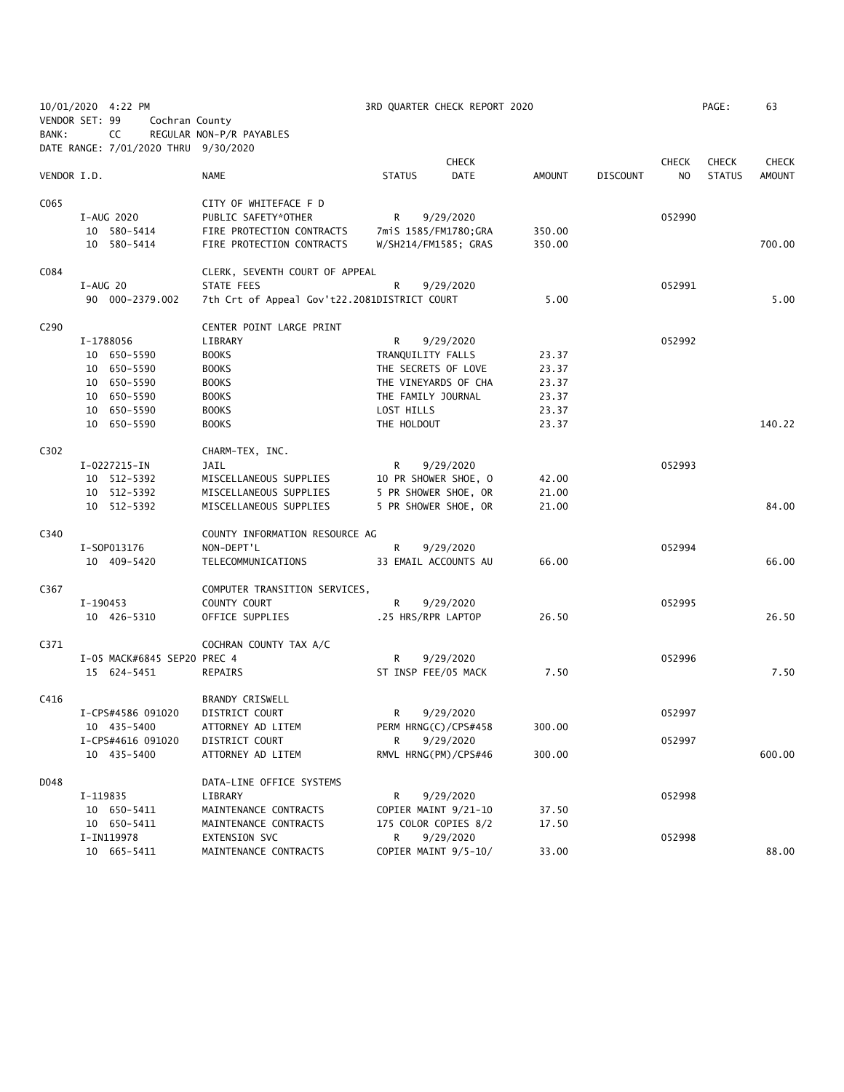|                  |          | 10/01/2020 4:22 PM                   |                                              |                    | 3RD QUARTER CHECK REPORT 2020 |        |                 |              | PAGE:         | 63            |
|------------------|----------|--------------------------------------|----------------------------------------------|--------------------|-------------------------------|--------|-----------------|--------------|---------------|---------------|
| VENDOR SET: 99   |          | Cochran County                       |                                              |                    |                               |        |                 |              |               |               |
| BANK:            |          | CC                                   | REGULAR NON-P/R PAYABLES                     |                    |                               |        |                 |              |               |               |
|                  |          | DATE RANGE: 7/01/2020 THRU 9/30/2020 |                                              |                    |                               |        |                 |              |               |               |
|                  |          |                                      |                                              |                    | <b>CHECK</b>                  |        |                 | <b>CHECK</b> | <b>CHECK</b>  | <b>CHECK</b>  |
| VENDOR I.D.      |          |                                      | <b>NAME</b>                                  | <b>STATUS</b>      | <b>DATE</b>                   | AMOUNT | <b>DISCOUNT</b> | NO           | <b>STATUS</b> | <b>AMOUNT</b> |
|                  |          |                                      |                                              |                    |                               |        |                 |              |               |               |
| C065             |          |                                      | CITY OF WHITEFACE F D                        |                    |                               |        |                 |              |               |               |
|                  |          | I-AUG 2020                           | PUBLIC SAFETY*OTHER                          | R                  | 9/29/2020                     |        |                 | 052990       |               |               |
|                  |          | 10 580-5414                          | FIRE PROTECTION CONTRACTS                    |                    | 7miS 1585/FM1780;GRA          | 350.00 |                 |              |               |               |
|                  |          | 10 580-5414                          | FIRE PROTECTION CONTRACTS                    |                    | W/SH214/FM1585; GRAS          | 350.00 |                 |              |               | 700.00        |
|                  |          |                                      |                                              |                    |                               |        |                 |              |               |               |
| C084             |          |                                      | CLERK, SEVENTH COURT OF APPEAL               |                    |                               |        |                 |              |               |               |
|                  | I-AUG 20 |                                      | STATE FEES                                   | R                  | 9/29/2020                     |        |                 | 052991       |               |               |
|                  |          | 90 000-2379.002                      | 7th Crt of Appeal Gov't22.2081DISTRICT COURT |                    |                               | 5.00   |                 |              |               | 5.00          |
|                  |          |                                      |                                              |                    |                               |        |                 |              |               |               |
| C <sub>290</sub> |          |                                      | CENTER POINT LARGE PRINT                     |                    |                               |        |                 |              |               |               |
|                  |          | I-1788056                            | LIBRARY                                      | R                  | 9/29/2020                     |        |                 | 052992       |               |               |
|                  |          | 10 650-5590                          | <b>BOOKS</b>                                 | TRANQUILITY FALLS  |                               | 23.37  |                 |              |               |               |
|                  |          | 10 650-5590                          | <b>BOOKS</b>                                 |                    | THE SECRETS OF LOVE           | 23.37  |                 |              |               |               |
|                  |          | 10 650-5590                          | <b>BOOKS</b>                                 |                    | THE VINEYARDS OF CHA          | 23.37  |                 |              |               |               |
|                  |          | 10 650-5590                          | <b>BOOKS</b>                                 | THE FAMILY JOURNAL |                               | 23.37  |                 |              |               |               |
|                  |          | 10 650-5590                          | <b>BOOKS</b>                                 | LOST HILLS         |                               | 23.37  |                 |              |               |               |
|                  |          | 10 650-5590                          | <b>BOOKS</b>                                 | THE HOLDOUT        |                               | 23.37  |                 |              |               | 140.22        |
|                  |          |                                      |                                              |                    |                               |        |                 |              |               |               |
| C302             |          |                                      | CHARM-TEX, INC.                              |                    |                               |        |                 |              |               |               |
|                  |          | I-0227215-IN                         | JAIL                                         | R                  | 9/29/2020                     |        |                 | 052993       |               |               |
|                  |          | 10 512-5392                          | MISCELLANEOUS SUPPLIES                       |                    | 10 PR SHOWER SHOE, O          | 42.00  |                 |              |               |               |
|                  |          | 10 512-5392                          | MISCELLANEOUS SUPPLIES                       |                    | 5 PR SHOWER SHOE, OR          | 21.00  |                 |              |               |               |
|                  |          | 10 512-5392                          | MISCELLANEOUS SUPPLIES                       |                    | 5 PR SHOWER SHOE, OR          | 21.00  |                 |              |               | 84.00         |
|                  |          |                                      |                                              |                    |                               |        |                 |              |               |               |
| C340             |          |                                      | COUNTY INFORMATION RESOURCE AG               |                    |                               |        |                 |              |               |               |
|                  |          | I-S0P013176                          | NON-DEPT'L                                   | R                  | 9/29/2020                     |        |                 | 052994       |               |               |
|                  |          | 10 409-5420                          | TELECOMMUNICATIONS                           |                    | 33 EMAIL ACCOUNTS AU          | 66.00  |                 |              |               | 66.00         |
|                  |          |                                      |                                              |                    |                               |        |                 |              |               |               |
| C367             |          |                                      | COMPUTER TRANSITION SERVICES,                |                    |                               |        |                 |              |               |               |
|                  | I-190453 |                                      | COUNTY COURT                                 | R                  | 9/29/2020                     |        |                 | 052995       |               |               |
|                  |          | 10 426-5310                          | OFFICE SUPPLIES                              |                    | .25 HRS/RPR LAPTOP            | 26.50  |                 |              |               | 26.50         |
|                  |          |                                      |                                              |                    |                               |        |                 |              |               |               |
| C371             |          |                                      | COCHRAN COUNTY TAX A/C                       |                    |                               |        |                 |              |               |               |
|                  |          | I-05 MACK#6845 SEP20 PREC 4          |                                              | R                  | 9/29/2020                     |        |                 | 052996       |               |               |
|                  |          | 15 624-5451                          | REPAIRS                                      |                    | ST INSP FEE/05 MACK           | 7.50   |                 |              |               | 7.50          |
|                  |          |                                      |                                              |                    |                               |        |                 |              |               |               |
| C416             |          |                                      | <b>BRANDY CRISWELL</b>                       |                    |                               |        |                 |              |               |               |
|                  |          | I-CPS#4586 091020                    | DISTRICT COURT                               | R                  | 9/29/2020                     |        |                 | 052997       |               |               |
|                  |          | 10 435-5400                          | ATTORNEY AD LITEM                            |                    | PERM HRNG(C)/CPS#458          | 300.00 |                 |              |               |               |
|                  |          | I-CPS#4616 091020                    | DISTRICT COURT                               | R                  | 9/29/2020                     |        |                 | 052997       |               |               |
|                  |          | 10 435-5400                          | ATTORNEY AD LITEM                            |                    | RMVL HRNG(PM)/CPS#46          | 300.00 |                 |              |               | 600.00        |
|                  |          |                                      |                                              |                    |                               |        |                 |              |               |               |
| D048             |          |                                      | DATA-LINE OFFICE SYSTEMS                     |                    |                               |        |                 |              |               |               |
|                  | I-119835 |                                      | LIBRARY                                      | R                  | 9/29/2020                     |        |                 | 052998       |               |               |
|                  |          | 10 650-5411                          | MAINTENANCE CONTRACTS                        |                    | COPIER MAINT 9/21-10          | 37.50  |                 |              |               |               |
|                  |          | 10 650-5411                          | MAINTENANCE CONTRACTS                        |                    | 175 COLOR COPIES 8/2          | 17.50  |                 |              |               |               |
|                  |          | I-IN119978                           | EXTENSION SVC                                | R                  | 9/29/2020                     |        |                 | 052998       |               |               |
|                  |          | 10 665-5411                          | MAINTENANCE CONTRACTS                        |                    | COPIER MAINT 9/5-10/          | 33.00  |                 |              |               | 88.00         |
|                  |          |                                      |                                              |                    |                               |        |                 |              |               |               |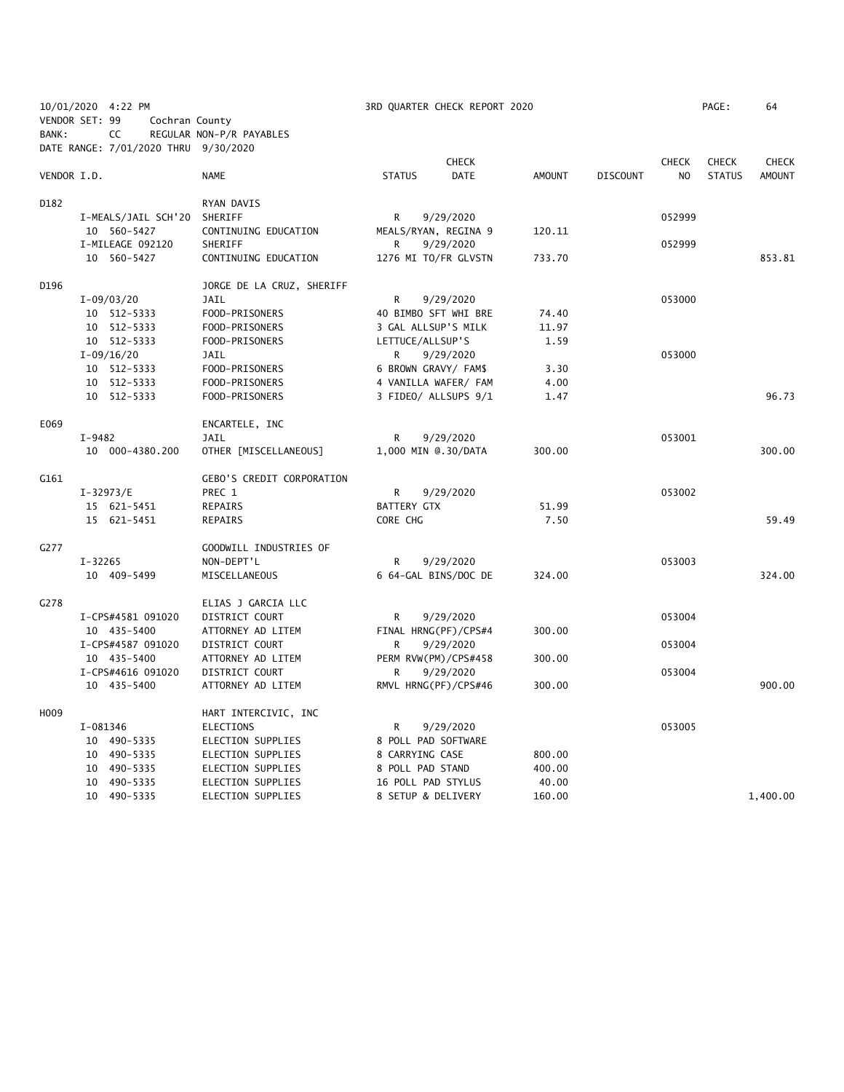| 10/01/2020 4:22 PM<br>VENDOR SET: 99<br>Cochran County |                                      | 3RD QUARTER CHECK REPORT 2020    |                      |             |               |                 |                | PAGE:         | 64            |
|--------------------------------------------------------|--------------------------------------|----------------------------------|----------------------|-------------|---------------|-----------------|----------------|---------------|---------------|
|                                                        |                                      |                                  |                      |             |               |                 |                |               |               |
| BANK:                                                  | CC                                   | REGULAR NON-P/R PAYABLES         |                      |             |               |                 |                |               |               |
|                                                        | DATE RANGE: 7/01/2020 THRU 9/30/2020 |                                  |                      |             |               |                 |                |               |               |
|                                                        |                                      |                                  |                      | CHECK       |               |                 | <b>CHECK</b>   | <b>CHECK</b>  | <b>CHECK</b>  |
| VENDOR I.D.                                            |                                      | <b>NAME</b>                      | <b>STATUS</b>        | <b>DATE</b> | <b>AMOUNT</b> | <b>DISCOUNT</b> | N <sub>O</sub> | <b>STATUS</b> | <b>AMOUNT</b> |
| D182                                                   |                                      | RYAN DAVIS                       |                      |             |               |                 |                |               |               |
|                                                        | I-MEALS/JAIL SCH'20                  | SHERIFF                          | R                    | 9/29/2020   |               |                 | 052999         |               |               |
|                                                        | 10 560-5427                          | CONTINUING EDUCATION             | MEALS/RYAN, REGINA 9 |             | 120.11        |                 |                |               |               |
|                                                        | I-MILEAGE 092120                     | SHERIFF                          | R                    | 9/29/2020   |               |                 | 052999         |               |               |
|                                                        | 10 560-5427                          | CONTINUING EDUCATION             | 1276 MI TO/FR GLVSTN |             | 733.70        |                 |                |               | 853.81        |
| D196                                                   |                                      | JORGE DE LA CRUZ, SHERIFF        |                      |             |               |                 |                |               |               |
|                                                        | $I-09/03/20$                         | JAIL                             | R                    | 9/29/2020   |               |                 | 053000         |               |               |
|                                                        | 10 512-5333                          | FOOD-PRISONERS                   | 40 BIMBO SFT WHI BRE |             | 74.40         |                 |                |               |               |
|                                                        | 10 512-5333                          | FOOD-PRISONERS                   | 3 GAL ALLSUP'S MILK  |             | 11.97         |                 |                |               |               |
|                                                        | 10 512-5333                          | FOOD-PRISONERS                   | LETTUCE/ALLSUP'S     |             | 1.59          |                 |                |               |               |
|                                                        | $I-09/16/20$                         | JAIL                             | R                    | 9/29/2020   |               |                 | 053000         |               |               |
|                                                        | 10 512-5333                          | FOOD-PRISONERS                   | 6 BROWN GRAVY/ FAM\$ |             | 3.30          |                 |                |               |               |
|                                                        | 10 512-5333                          | FOOD-PRISONERS                   | 4 VANILLA WAFER/ FAM |             | 4.00          |                 |                |               |               |
|                                                        | 10 512-5333                          | FOOD-PRISONERS                   | 3 FIDEO/ ALLSUPS 9/1 |             | 1.47          |                 |                |               | 96.73         |
| E069                                                   |                                      | ENCARTELE, INC                   |                      |             |               |                 |                |               |               |
|                                                        | $I-9482$                             | JAIL                             | R                    | 9/29/2020   |               |                 | 053001         |               |               |
|                                                        | 10 000-4380.200                      | OTHER [MISCELLANEOUS]            | 1,000 MIN @.30/DATA  |             | 300.00        |                 |                |               | 300.00        |
| G161                                                   |                                      | <b>GEBO'S CREDIT CORPORATION</b> |                      |             |               |                 |                |               |               |
|                                                        | $I-32973/E$                          | PREC 1                           | R                    | 9/29/2020   |               |                 | 053002         |               |               |
|                                                        | 15 621-5451                          | REPAIRS                          | BATTERY GTX          |             | 51.99         |                 |                |               |               |
|                                                        | 15 621-5451                          | REPAIRS                          | CORE CHG             |             | 7.50          |                 |                |               | 59.49         |
|                                                        |                                      |                                  |                      |             |               |                 |                |               |               |
| G277                                                   |                                      | GOODWILL INDUSTRIES OF           |                      |             |               |                 |                |               |               |
|                                                        | $I - 32265$                          | NON-DEPT'L                       | R                    | 9/29/2020   |               |                 | 053003         |               |               |
|                                                        | 10 409-5499                          | MISCELLANEOUS                    | 6 64-GAL BINS/DOC DE |             | 324.00        |                 |                |               | 324.00        |
| G278                                                   |                                      | ELIAS J GARCIA LLC               |                      |             |               |                 |                |               |               |
|                                                        | I-CPS#4581 091020                    | DISTRICT COURT                   | R                    | 9/29/2020   |               |                 | 053004         |               |               |
|                                                        | 10 435-5400                          | ATTORNEY AD LITEM                | FINAL HRNG(PF)/CPS#4 |             | 300.00        |                 |                |               |               |
|                                                        | I-CPS#4587 091020                    | DISTRICT COURT                   | R                    | 9/29/2020   |               |                 | 053004         |               |               |
|                                                        | 10 435-5400                          | ATTORNEY AD LITEM                | PERM RVW(PM)/CPS#458 |             | 300.00        |                 |                |               |               |
|                                                        | I-CPS#4616 091020                    | DISTRICT COURT                   | R                    | 9/29/2020   |               |                 | 053004         |               |               |
|                                                        | 10 435-5400                          | ATTORNEY AD LITEM                | RMVL HRNG(PF)/CPS#46 |             | 300.00        |                 |                |               | 900.00        |
| H <sub>009</sub>                                       |                                      | HART INTERCIVIC, INC             |                      |             |               |                 |                |               |               |
|                                                        | I-081346                             | <b>ELECTIONS</b>                 | R                    | 9/29/2020   |               |                 | 053005         |               |               |
|                                                        | 10 490-5335                          | ELECTION SUPPLIES                | 8 POLL PAD SOFTWARE  |             |               |                 |                |               |               |
|                                                        | 10 490-5335                          | ELECTION SUPPLIES                | 8 CARRYING CASE      |             | 800.00        |                 |                |               |               |
|                                                        | 10 490-5335                          | ELECTION SUPPLIES                | 8 POLL PAD STAND     |             | 400.00        |                 |                |               |               |
|                                                        | 10 490-5335                          | ELECTION SUPPLIES                | 16 POLL PAD STYLUS   |             | 40.00         |                 |                |               |               |
|                                                        | 10 490-5335                          | ELECTION SUPPLIES                | 8 SETUP & DELIVERY   |             | 160.00        |                 |                |               | 1,400.00      |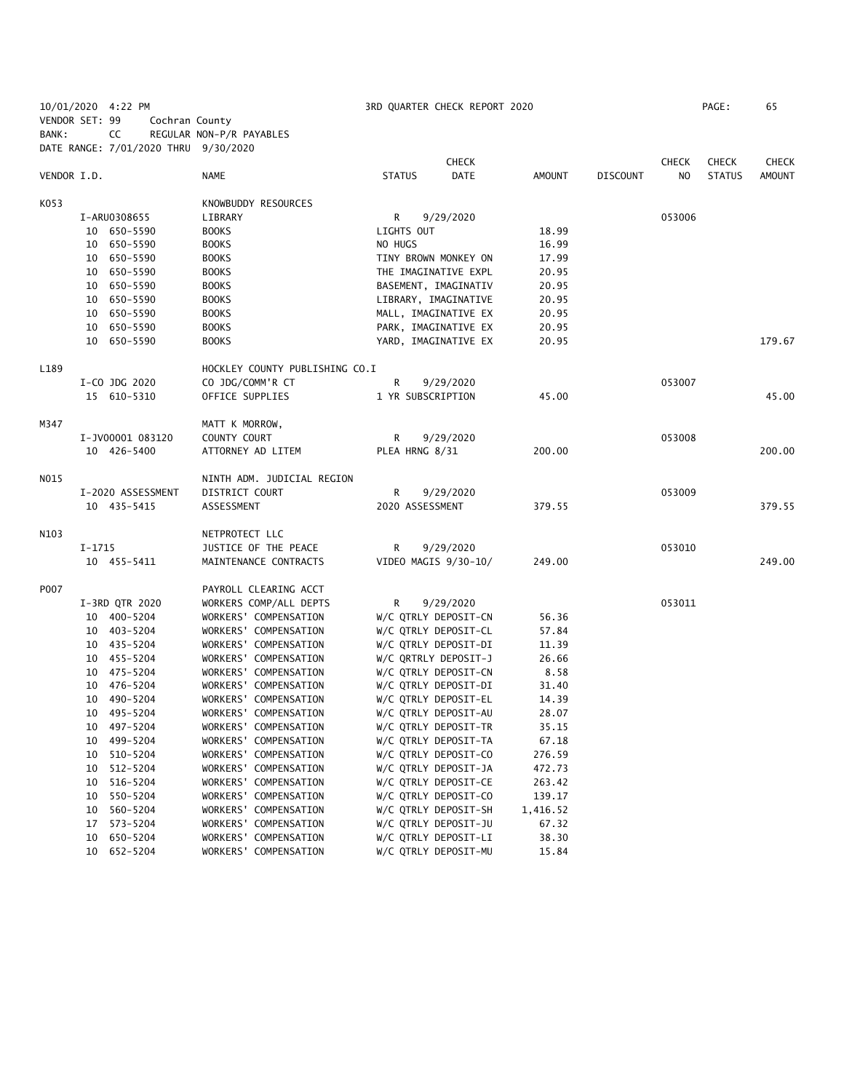10/01/2020 4:22 PM 3RD QUARTER CHECK REPORT 2020 PAGE: 65 VENDOR SET: 99 Cochran County BANK: CC REGULAR NON-P/R PAYABLES DATE RANGE: 7/01/2020 THRU 9/30/2020

|             |                   |                                | CHECK                        |               |                 | <b>CHECK</b> | <b>CHECK</b>  | <b>CHECK</b> |
|-------------|-------------------|--------------------------------|------------------------------|---------------|-----------------|--------------|---------------|--------------|
| VENDOR I.D. |                   | NAME                           | <b>DATE</b><br><b>STATUS</b> | <b>AMOUNT</b> | <b>DISCOUNT</b> | NO.          | <b>STATUS</b> | AMOUNT       |
| K053        |                   | KNOWBUDDY RESOURCES            |                              |               |                 |              |               |              |
|             | I-ARU0308655      | LIBRARY                        | R<br>9/29/2020               |               |                 | 053006       |               |              |
|             | 10 650-5590       | <b>BOOKS</b>                   | LIGHTS OUT                   | 18.99         |                 |              |               |              |
|             | 10 650-5590       | <b>BOOKS</b>                   | NO HUGS                      | 16.99         |                 |              |               |              |
|             | 10 650-5590       | <b>BOOKS</b>                   | TINY BROWN MONKEY ON         | 17.99         |                 |              |               |              |
|             | 10 650-5590       | <b>BOOKS</b>                   | THE IMAGINATIVE EXPL         | 20.95         |                 |              |               |              |
|             | 10 650-5590       | <b>BOOKS</b>                   | BASEMENT, IMAGINATIV         | 20.95         |                 |              |               |              |
|             | 10 650-5590       | <b>BOOKS</b>                   | LIBRARY, IMAGINATIVE         | 20.95         |                 |              |               |              |
|             | 10 650-5590       | <b>BOOKS</b>                   | MALL, IMAGINATIVE EX         | 20.95         |                 |              |               |              |
|             | 10<br>650-5590    | <b>BOOKS</b>                   | PARK, IMAGINATIVE EX         | 20.95         |                 |              |               |              |
|             | 10 650-5590       | <b>BOOKS</b>                   | YARD, IMAGINATIVE EX         | 20.95         |                 |              |               | 179.67       |
| L189        |                   | HOCKLEY COUNTY PUBLISHING CO.I |                              |               |                 |              |               |              |
|             | I-CO JDG 2020     | CO JDG/COMM'R CT               | R<br>9/29/2020               |               |                 | 053007       |               |              |
|             | 15 610-5310       | OFFICE SUPPLIES                | 1 YR SUBSCRIPTION            | 45.00         |                 |              |               | 45.00        |
| M347        |                   | MATT K MORROW,                 |                              |               |                 |              |               |              |
|             | I-JV00001 083120  | COUNTY COURT                   | R<br>9/29/2020               |               |                 | 053008       |               |              |
|             | 10 426-5400       | ATTORNEY AD LITEM              | PLEA HRNG 8/31               | 200.00        |                 |              |               | 200.00       |
| NO15        |                   | NINTH ADM. JUDICIAL REGION     |                              |               |                 |              |               |              |
|             | I-2020 ASSESSMENT | DISTRICT COURT                 | R<br>9/29/2020               |               |                 | 053009       |               |              |
|             | 10 435-5415       | ASSESSMENT                     | 2020 ASSESSMENT              | 379.55        |                 |              |               | 379.55       |
| N103        |                   | NETPROTECT LLC                 |                              |               |                 |              |               |              |
|             | $I-1715$          | JUSTICE OF THE PEACE           | R<br>9/29/2020               |               |                 | 053010       |               |              |
|             | 10 455-5411       | MAINTENANCE CONTRACTS          | VIDEO MAGIS 9/30-10/         | 249.00        |                 |              |               | 249.00       |
| P007        |                   | PAYROLL CLEARING ACCT          |                              |               |                 |              |               |              |
|             | I-3RD QTR 2020    | WORKERS COMP/ALL DEPTS         | R<br>9/29/2020               |               |                 | 053011       |               |              |
|             | 10 400-5204       | WORKERS' COMPENSATION          | W/C QTRLY DEPOSIT-CN         | 56.36         |                 |              |               |              |
|             | 10 403-5204       | WORKERS' COMPENSATION          | W/C QTRLY DEPOSIT-CL         | 57.84         |                 |              |               |              |
|             | 10 435-5204       | WORKERS' COMPENSATION          | W/C QTRLY DEPOSIT-DI         | 11.39         |                 |              |               |              |
|             | 10 455-5204       | WORKERS' COMPENSATION          | W/C QRTRLY DEPOSIT-J         | 26.66         |                 |              |               |              |
|             | 10 475-5204       | WORKERS' COMPENSATION          | W/C QTRLY DEPOSIT-CN         | 8.58          |                 |              |               |              |
|             | 10 476-5204       | WORKERS' COMPENSATION          | W/C QTRLY DEPOSIT-DI         | 31.40         |                 |              |               |              |
|             | 10 490-5204       | WORKERS' COMPENSATION          | W/C QTRLY DEPOSIT-EL         | 14.39         |                 |              |               |              |
|             | 10 495-5204       | WORKERS' COMPENSATION          | W/C QTRLY DEPOSIT-AU         | 28.07         |                 |              |               |              |
|             | 10 497-5204       | WORKERS' COMPENSATION          | W/C QTRLY DEPOSIT-TR         | 35.15         |                 |              |               |              |
|             | 10 499-5204       | WORKERS' COMPENSATION          | W/C QTRLY DEPOSIT-TA         | 67.18         |                 |              |               |              |
|             | 10<br>510-5204    | WORKERS' COMPENSATION          | W/C QTRLY DEPOSIT-CO         | 276.59        |                 |              |               |              |
|             | 10 512-5204       | WORKERS' COMPENSATION          | W/C QTRLY DEPOSIT-JA         | 472.73        |                 |              |               |              |
|             | 10 516-5204       | WORKERS' COMPENSATION          | W/C QTRLY DEPOSIT-CE         | 263.42        |                 |              |               |              |
|             | 10 550-5204       | WORKERS' COMPENSATION          | W/C QTRLY DEPOSIT-CO         | 139.17        |                 |              |               |              |
|             | 560-5204<br>10    | WORKERS' COMPENSATION          | W/C QTRLY DEPOSIT-SH         | 1,416.52      |                 |              |               |              |
|             | 17 573-5204       | WORKERS' COMPENSATION          | W/C QTRLY DEPOSIT-JU         | 67.32         |                 |              |               |              |
|             | 10 650-5204       | WORKERS' COMPENSATION          | W/C QTRLY DEPOSIT-LI         | 38.30         |                 |              |               |              |
|             | 10 652-5204       | WORKERS' COMPENSATION          | W/C QTRLY DEPOSIT-MU         | 15.84         |                 |              |               |              |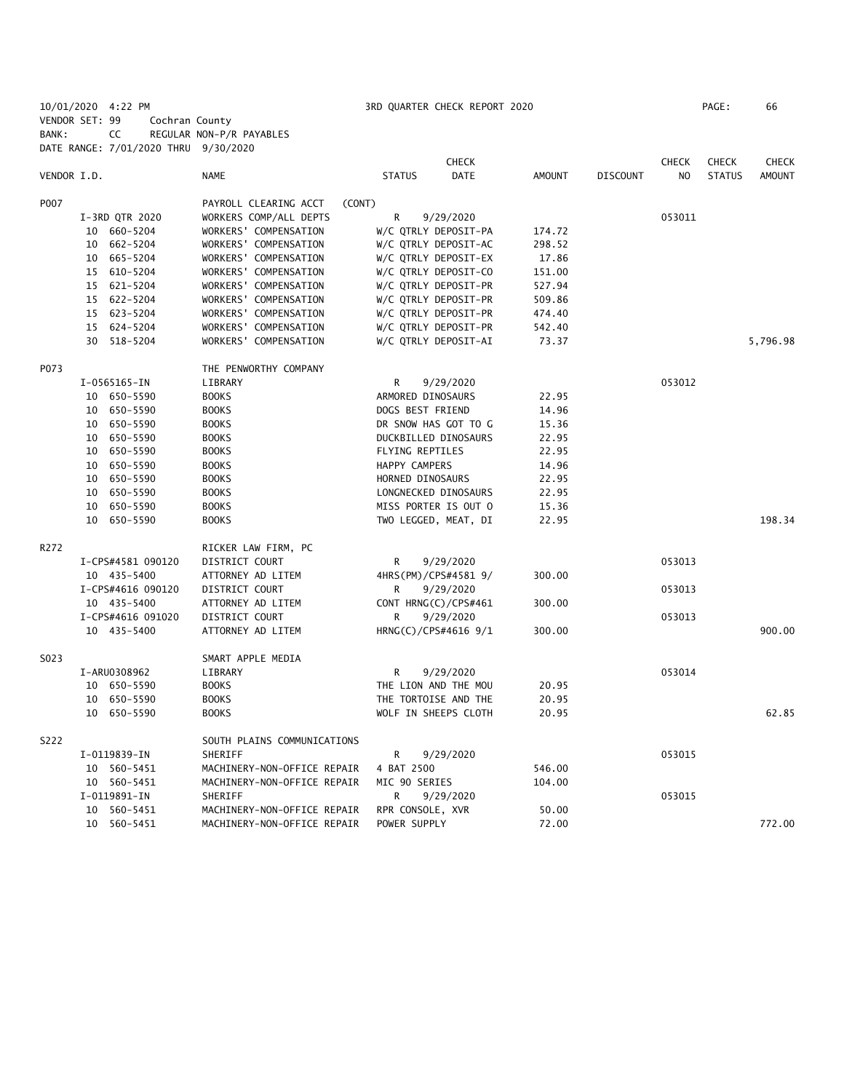10/01/2020 4:22 PM 3RD QUARTER CHECK REPORT 2020 PAGE: 66 VENDOR SET: 99 Cochran County BANK: CC REGULAR NON-P/R PAYABLES DATE RANGE: 7/01/2020 THRU 9/30/2020

|             |                   |                             | <b>CHECK</b>                 |               |                 | <b>CHECK</b>   | <b>CHECK</b>  | <b>CHECK</b>  |
|-------------|-------------------|-----------------------------|------------------------------|---------------|-----------------|----------------|---------------|---------------|
| VENDOR I.D. |                   | <b>NAME</b>                 | <b>STATUS</b><br><b>DATE</b> | <b>AMOUNT</b> | <b>DISCOUNT</b> | N <sub>O</sub> | <b>STATUS</b> | <b>AMOUNT</b> |
| P007        |                   | PAYROLL CLEARING ACCT       | (CONT)                       |               |                 |                |               |               |
|             | I-3RD QTR 2020    | WORKERS COMP/ALL DEPTS      | R<br>9/29/2020               |               |                 | 053011         |               |               |
|             | 10 660-5204       | WORKERS' COMPENSATION       | W/C QTRLY DEPOSIT-PA         | 174.72        |                 |                |               |               |
|             | 10 662-5204       | WORKERS' COMPENSATION       | W/C QTRLY DEPOSIT-AC         | 298.52        |                 |                |               |               |
|             | 665-5204<br>10    | WORKERS' COMPENSATION       | W/C QTRLY DEPOSIT-EX         | 17.86         |                 |                |               |               |
|             | 15 610-5204       | WORKERS' COMPENSATION       | W/C QTRLY DEPOSIT-CO         | 151.00        |                 |                |               |               |
|             | 621-5204<br>15    | WORKERS' COMPENSATION       | W/C QTRLY DEPOSIT-PR         | 527.94        |                 |                |               |               |
|             | 15 622-5204       | WORKERS' COMPENSATION       | W/C QTRLY DEPOSIT-PR         | 509.86        |                 |                |               |               |
|             | 15 623-5204       | WORKERS' COMPENSATION       | W/C QTRLY DEPOSIT-PR         | 474.40        |                 |                |               |               |
|             | 15 624-5204       | WORKERS' COMPENSATION       | W/C QTRLY DEPOSIT-PR         | 542.40        |                 |                |               |               |
|             | 30 518-5204       | WORKERS' COMPENSATION       | W/C QTRLY DEPOSIT-AI         | 73.37         |                 |                |               | 5,796.98      |
| P073        |                   | THE PENWORTHY COMPANY       |                              |               |                 |                |               |               |
|             | $I-0565165-IN$    | LIBRARY                     | R<br>9/29/2020               |               |                 | 053012         |               |               |
|             | 10 650-5590       | <b>BOOKS</b>                | ARMORED DINOSAURS            | 22.95         |                 |                |               |               |
|             | 10 650-5590       | <b>BOOKS</b>                | DOGS BEST FRIEND             | 14.96         |                 |                |               |               |
|             | 10 650-5590       | <b>BOOKS</b>                | DR SNOW HAS GOT TO G         | 15.36         |                 |                |               |               |
|             | 10 650-5590       | <b>BOOKS</b>                | DUCKBILLED DINOSAURS         | 22.95         |                 |                |               |               |
|             | 10 650-5590       | <b>BOOKS</b>                | FLYING REPTILES              | 22.95         |                 |                |               |               |
|             | 10 650-5590       | <b>BOOKS</b>                | HAPPY CAMPERS                | 14.96         |                 |                |               |               |
|             | 10 650-5590       | <b>BOOKS</b>                | HORNED DINOSAURS             | 22.95         |                 |                |               |               |
|             | 10 650-5590       | <b>BOOKS</b>                | LONGNECKED DINOSAURS         | 22.95         |                 |                |               |               |
|             | 10 650-5590       | <b>BOOKS</b>                | MISS PORTER IS OUT O         | 15.36         |                 |                |               |               |
|             | 10 650-5590       | <b>BOOKS</b>                | TWO LEGGED, MEAT, DI         | 22.95         |                 |                |               | 198.34        |
| R272        |                   | RICKER LAW FIRM, PC         |                              |               |                 |                |               |               |
|             | I-CPS#4581 090120 | DISTRICT COURT              | R<br>9/29/2020               |               |                 | 053013         |               |               |
|             | 10 435-5400       | ATTORNEY AD LITEM           | 4HRS(PM)/CPS#4581 9/         | 300.00        |                 |                |               |               |
|             | I-CPS#4616 090120 | DISTRICT COURT              | R<br>9/29/2020               |               |                 | 053013         |               |               |
|             | 10 435-5400       | ATTORNEY AD LITEM           | CONT HRNG(C)/CPS#461         | 300.00        |                 |                |               |               |
|             | I-CPS#4616 091020 | DISTRICT COURT              | R.<br>9/29/2020              |               |                 | 053013         |               |               |
|             | 10 435-5400       | ATTORNEY AD LITEM           | HRNG(C)/CPS#4616 9/1         | 300.00        |                 |                |               | 900.00        |
| S023        |                   | SMART APPLE MEDIA           |                              |               |                 |                |               |               |
|             | I-ARU0308962      | LIBRARY                     | R<br>9/29/2020               |               |                 | 053014         |               |               |
|             | 10 650-5590       | <b>BOOKS</b>                | THE LION AND THE MOU         | 20.95         |                 |                |               |               |
|             | 10 650-5590       | <b>BOOKS</b>                | THE TORTOISE AND THE         | 20.95         |                 |                |               |               |
|             | 10 650-5590       | <b>BOOKS</b>                | WOLF IN SHEEPS CLOTH         | 20.95         |                 |                |               | 62.85         |
| S222        |                   | SOUTH PLAINS COMMUNICATIONS |                              |               |                 |                |               |               |
|             | I-0119839-IN      | SHERIFF                     | R<br>9/29/2020               |               |                 | 053015         |               |               |
|             | 10 560-5451       | MACHINERY-NON-OFFICE REPAIR | 4 BAT 2500                   | 546.00        |                 |                |               |               |
|             | 10 560-5451       | MACHINERY-NON-OFFICE REPAIR | MIC 90 SERIES                | 104.00        |                 |                |               |               |
|             | I-0119891-IN      | SHERIFF                     | R<br>9/29/2020               |               |                 | 053015         |               |               |
|             | 10 560-5451       | MACHINERY-NON-OFFICE REPAIR | RPR CONSOLE, XVR             | 50.00         |                 |                |               |               |
|             | 10 560-5451       | MACHINERY-NON-OFFICE REPAIR | POWER SUPPLY                 | 72.00         |                 |                |               | 772.00        |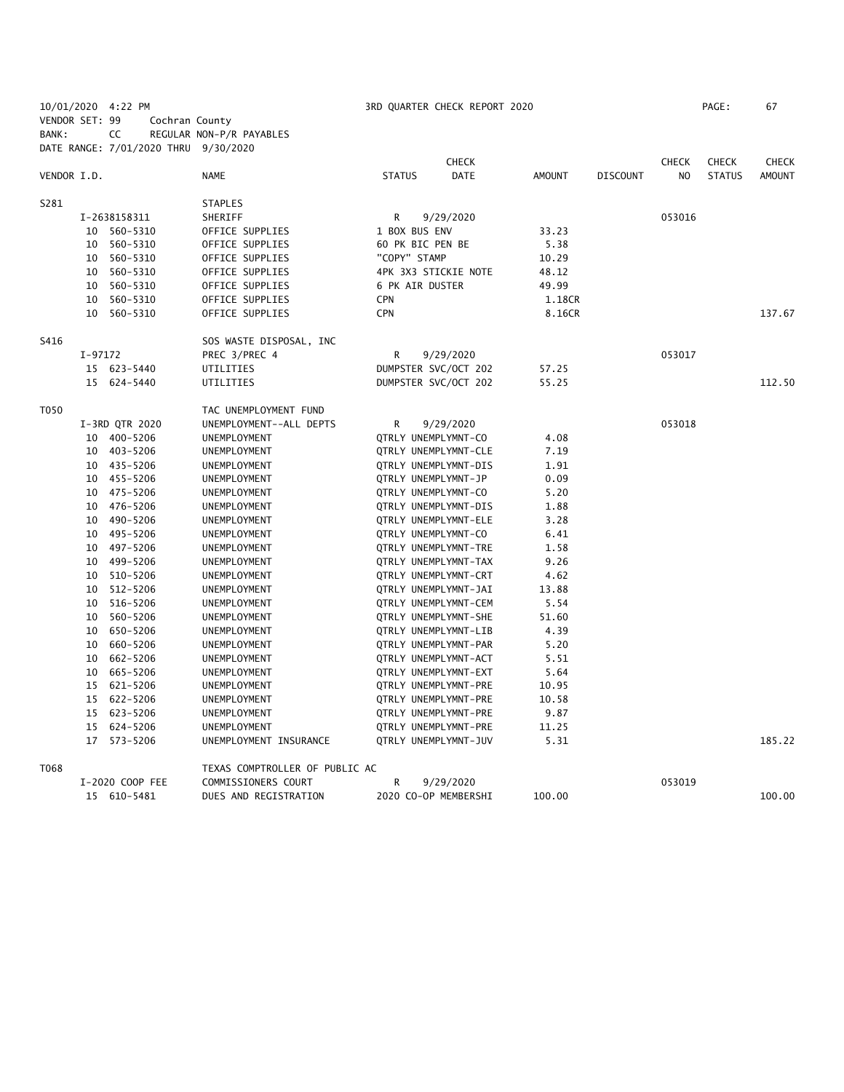| VENDOR SET: 99<br>Cochran County<br>CC<br>BANK:<br>REGULAR NON-P/R PAYABLES<br>DATE RANGE: 7/01/2020 THRU 9/30/2020<br><b>CHECK</b><br><b>CHECK</b><br><b>CHECK</b><br><b>CHECK</b><br>DATE<br><b>AMOUNT</b><br>VENDOR I.D.<br><b>NAME</b><br><b>STATUS</b><br><b>AMOUNT</b><br><b>DISCOUNT</b><br>N <sub>O</sub><br><b>STATUS</b><br>S281<br><b>STAPLES</b><br>$\mathsf{R}$<br>053016<br>I-2638158311<br>SHERIFF<br>9/29/2020<br>OFFICE SUPPLIES<br>1 BOX BUS ENV<br>33.23<br>10 560-5310<br>5.38<br>10 560-5310<br>OFFICE SUPPLIES<br>60 PK BIC PEN BE<br>"COPY" STAMP<br>OFFICE SUPPLIES<br>10.29<br>10 560-5310<br>4PK 3X3 STICKIE NOTE<br>48.12<br>10<br>560-5310<br>OFFICE SUPPLIES<br>6 PK AIR DUSTER<br>10<br>560-5310<br>OFFICE SUPPLIES<br>49.99<br>560-5310<br>OFFICE SUPPLIES<br><b>CPN</b><br>10<br>1.18CR<br>10 560-5310<br>OFFICE SUPPLIES<br><b>CPN</b><br>137.67<br>8.16CR<br>S416<br>SOS WASTE DISPOSAL, INC<br>R<br>9/29/2020<br>053017<br>I-97172<br>PREC 3/PREC 4<br>DUMPSTER SVC/OCT 202<br>15 623-5440<br>UTILITIES<br>57.25<br>15 624-5440<br>DUMPSTER SVC/OCT 202<br>112.50<br>UTILITIES<br>55.25<br>T050<br>TAC UNEMPLOYMENT FUND<br>053018<br>I-3RD QTR 2020<br>UNEMPLOYMENT--ALL DEPTS<br>R<br>9/29/2020<br>10 400-5206<br>QTRLY UNEMPLYMNT-CO<br>UNEMPLOYMENT<br>4.08<br>10 403-5206<br>UNEMPLOYMENT<br>QTRLY UNEMPLYMNT-CLE<br>7.19<br>10 435-5206<br>QTRLY UNEMPLYMNT-DIS<br>1.91<br>UNEMPLOYMENT<br>10 455-5206<br>QTRLY UNEMPLYMNT-JP<br>0.09<br>UNEMPLOYMENT<br>10 475-5206<br>UNEMPLOYMENT<br>QTRLY UNEMPLYMNT-CO<br>5.20<br>10 476-5206<br>UNEMPLOYMENT<br>QTRLY UNEMPLYMNT-DIS<br>1.88<br>10 490-5206<br>3.28<br>UNEMPLOYMENT<br>QTRLY UNEMPLYMNT-ELE<br>495-5206<br>UNEMPLOYMENT<br>QTRLY UNEMPLYMNT-CO<br>6.41<br>10<br>10 497-5206<br>QTRLY UNEMPLYMNT-TRE<br>1.58<br>UNEMPLOYMENT<br>10 499-5206<br>QTRLY UNEMPLYMNT-TAX<br>9.26<br>UNEMPLOYMENT<br>10 510-5206<br>UNEMPLOYMENT<br><b>QTRLY UNEMPLYMNT-CRT</b><br>4.62<br>512-5206<br>QTRLY UNEMPLYMNT-JAI<br>10<br>UNEMPLOYMENT<br>13.88<br>516-5206<br>QTRLY UNEMPLYMNT-CEM<br>5.54<br>10<br>UNEMPLOYMENT<br>10<br>560-5206<br>UNEMPLOYMENT<br>QTRLY UNEMPLYMNT-SHE<br>51.60<br>650-5206<br>QTRLY UNEMPLYMNT-LIB<br>4.39<br>10<br>UNEMPLOYMENT<br>10 660-5206<br>QTRLY UNEMPLYMNT-PAR<br>5.20<br>UNEMPLOYMENT<br>10<br>662-5206<br>UNEMPLOYMENT<br>QTRLY UNEMPLYMNT-ACT<br>5.51<br>10 665-5206<br>UNEMPLOYMENT<br>QTRLY UNEMPLYMNT-EXT<br>5.64<br>15 621-5206<br>10.95<br>UNEMPLOYMENT<br>QTRLY UNEMPLYMNT-PRE<br>15 622-5206<br>UNEMPLOYMENT<br>QTRLY UNEMPLYMNT-PRE<br>10.58<br>15 623-5206<br>QTRLY UNEMPLYMNT-PRE<br>9.87<br>UNEMPLOYMENT<br>15 624-5206<br>UNEMPLOYMENT<br>QTRLY UNEMPLYMNT-PRE<br>11.25<br>5.31<br>185.22<br>17 573-5206<br>UNEMPLOYMENT INSURANCE<br>QTRLY UNEMPLYMNT-JUV<br>T068<br>TEXAS COMPTROLLER OF PUBLIC AC<br>053019<br>I-2020 COOP FEE<br>COMMISSIONERS COURT<br>R<br>9/29/2020<br>15 610-5481<br>DUES AND REGISTRATION<br>2020 CO-OP MEMBERSHI<br>100.00<br>100.00 | 10/01/2020 4:22 PM |  |  | 3RD QUARTER CHECK REPORT 2020 |  | PAGE: | 67 |
|-------------------------------------------------------------------------------------------------------------------------------------------------------------------------------------------------------------------------------------------------------------------------------------------------------------------------------------------------------------------------------------------------------------------------------------------------------------------------------------------------------------------------------------------------------------------------------------------------------------------------------------------------------------------------------------------------------------------------------------------------------------------------------------------------------------------------------------------------------------------------------------------------------------------------------------------------------------------------------------------------------------------------------------------------------------------------------------------------------------------------------------------------------------------------------------------------------------------------------------------------------------------------------------------------------------------------------------------------------------------------------------------------------------------------------------------------------------------------------------------------------------------------------------------------------------------------------------------------------------------------------------------------------------------------------------------------------------------------------------------------------------------------------------------------------------------------------------------------------------------------------------------------------------------------------------------------------------------------------------------------------------------------------------------------------------------------------------------------------------------------------------------------------------------------------------------------------------------------------------------------------------------------------------------------------------------------------------------------------------------------------------------------------------------------------------------------------------------------------------------------------------------------------------------------------------------------------------------------------------------------------------------------------------------------------------------------------------------------------------------------------------------------------------------------------------------------------------------------------------------------------------------------------------------------------------------------------------------------------------------------|--------------------|--|--|-------------------------------|--|-------|----|
|                                                                                                                                                                                                                                                                                                                                                                                                                                                                                                                                                                                                                                                                                                                                                                                                                                                                                                                                                                                                                                                                                                                                                                                                                                                                                                                                                                                                                                                                                                                                                                                                                                                                                                                                                                                                                                                                                                                                                                                                                                                                                                                                                                                                                                                                                                                                                                                                                                                                                                                                                                                                                                                                                                                                                                                                                                                                                                                                                                                                 |                    |  |  |                               |  |       |    |
|                                                                                                                                                                                                                                                                                                                                                                                                                                                                                                                                                                                                                                                                                                                                                                                                                                                                                                                                                                                                                                                                                                                                                                                                                                                                                                                                                                                                                                                                                                                                                                                                                                                                                                                                                                                                                                                                                                                                                                                                                                                                                                                                                                                                                                                                                                                                                                                                                                                                                                                                                                                                                                                                                                                                                                                                                                                                                                                                                                                                 |                    |  |  |                               |  |       |    |
|                                                                                                                                                                                                                                                                                                                                                                                                                                                                                                                                                                                                                                                                                                                                                                                                                                                                                                                                                                                                                                                                                                                                                                                                                                                                                                                                                                                                                                                                                                                                                                                                                                                                                                                                                                                                                                                                                                                                                                                                                                                                                                                                                                                                                                                                                                                                                                                                                                                                                                                                                                                                                                                                                                                                                                                                                                                                                                                                                                                                 |                    |  |  |                               |  |       |    |
|                                                                                                                                                                                                                                                                                                                                                                                                                                                                                                                                                                                                                                                                                                                                                                                                                                                                                                                                                                                                                                                                                                                                                                                                                                                                                                                                                                                                                                                                                                                                                                                                                                                                                                                                                                                                                                                                                                                                                                                                                                                                                                                                                                                                                                                                                                                                                                                                                                                                                                                                                                                                                                                                                                                                                                                                                                                                                                                                                                                                 |                    |  |  |                               |  |       |    |
|                                                                                                                                                                                                                                                                                                                                                                                                                                                                                                                                                                                                                                                                                                                                                                                                                                                                                                                                                                                                                                                                                                                                                                                                                                                                                                                                                                                                                                                                                                                                                                                                                                                                                                                                                                                                                                                                                                                                                                                                                                                                                                                                                                                                                                                                                                                                                                                                                                                                                                                                                                                                                                                                                                                                                                                                                                                                                                                                                                                                 |                    |  |  |                               |  |       |    |
|                                                                                                                                                                                                                                                                                                                                                                                                                                                                                                                                                                                                                                                                                                                                                                                                                                                                                                                                                                                                                                                                                                                                                                                                                                                                                                                                                                                                                                                                                                                                                                                                                                                                                                                                                                                                                                                                                                                                                                                                                                                                                                                                                                                                                                                                                                                                                                                                                                                                                                                                                                                                                                                                                                                                                                                                                                                                                                                                                                                                 |                    |  |  |                               |  |       |    |
|                                                                                                                                                                                                                                                                                                                                                                                                                                                                                                                                                                                                                                                                                                                                                                                                                                                                                                                                                                                                                                                                                                                                                                                                                                                                                                                                                                                                                                                                                                                                                                                                                                                                                                                                                                                                                                                                                                                                                                                                                                                                                                                                                                                                                                                                                                                                                                                                                                                                                                                                                                                                                                                                                                                                                                                                                                                                                                                                                                                                 |                    |  |  |                               |  |       |    |
|                                                                                                                                                                                                                                                                                                                                                                                                                                                                                                                                                                                                                                                                                                                                                                                                                                                                                                                                                                                                                                                                                                                                                                                                                                                                                                                                                                                                                                                                                                                                                                                                                                                                                                                                                                                                                                                                                                                                                                                                                                                                                                                                                                                                                                                                                                                                                                                                                                                                                                                                                                                                                                                                                                                                                                                                                                                                                                                                                                                                 |                    |  |  |                               |  |       |    |
|                                                                                                                                                                                                                                                                                                                                                                                                                                                                                                                                                                                                                                                                                                                                                                                                                                                                                                                                                                                                                                                                                                                                                                                                                                                                                                                                                                                                                                                                                                                                                                                                                                                                                                                                                                                                                                                                                                                                                                                                                                                                                                                                                                                                                                                                                                                                                                                                                                                                                                                                                                                                                                                                                                                                                                                                                                                                                                                                                                                                 |                    |  |  |                               |  |       |    |
|                                                                                                                                                                                                                                                                                                                                                                                                                                                                                                                                                                                                                                                                                                                                                                                                                                                                                                                                                                                                                                                                                                                                                                                                                                                                                                                                                                                                                                                                                                                                                                                                                                                                                                                                                                                                                                                                                                                                                                                                                                                                                                                                                                                                                                                                                                                                                                                                                                                                                                                                                                                                                                                                                                                                                                                                                                                                                                                                                                                                 |                    |  |  |                               |  |       |    |
|                                                                                                                                                                                                                                                                                                                                                                                                                                                                                                                                                                                                                                                                                                                                                                                                                                                                                                                                                                                                                                                                                                                                                                                                                                                                                                                                                                                                                                                                                                                                                                                                                                                                                                                                                                                                                                                                                                                                                                                                                                                                                                                                                                                                                                                                                                                                                                                                                                                                                                                                                                                                                                                                                                                                                                                                                                                                                                                                                                                                 |                    |  |  |                               |  |       |    |
|                                                                                                                                                                                                                                                                                                                                                                                                                                                                                                                                                                                                                                                                                                                                                                                                                                                                                                                                                                                                                                                                                                                                                                                                                                                                                                                                                                                                                                                                                                                                                                                                                                                                                                                                                                                                                                                                                                                                                                                                                                                                                                                                                                                                                                                                                                                                                                                                                                                                                                                                                                                                                                                                                                                                                                                                                                                                                                                                                                                                 |                    |  |  |                               |  |       |    |
|                                                                                                                                                                                                                                                                                                                                                                                                                                                                                                                                                                                                                                                                                                                                                                                                                                                                                                                                                                                                                                                                                                                                                                                                                                                                                                                                                                                                                                                                                                                                                                                                                                                                                                                                                                                                                                                                                                                                                                                                                                                                                                                                                                                                                                                                                                                                                                                                                                                                                                                                                                                                                                                                                                                                                                                                                                                                                                                                                                                                 |                    |  |  |                               |  |       |    |
|                                                                                                                                                                                                                                                                                                                                                                                                                                                                                                                                                                                                                                                                                                                                                                                                                                                                                                                                                                                                                                                                                                                                                                                                                                                                                                                                                                                                                                                                                                                                                                                                                                                                                                                                                                                                                                                                                                                                                                                                                                                                                                                                                                                                                                                                                                                                                                                                                                                                                                                                                                                                                                                                                                                                                                                                                                                                                                                                                                                                 |                    |  |  |                               |  |       |    |
|                                                                                                                                                                                                                                                                                                                                                                                                                                                                                                                                                                                                                                                                                                                                                                                                                                                                                                                                                                                                                                                                                                                                                                                                                                                                                                                                                                                                                                                                                                                                                                                                                                                                                                                                                                                                                                                                                                                                                                                                                                                                                                                                                                                                                                                                                                                                                                                                                                                                                                                                                                                                                                                                                                                                                                                                                                                                                                                                                                                                 |                    |  |  |                               |  |       |    |
|                                                                                                                                                                                                                                                                                                                                                                                                                                                                                                                                                                                                                                                                                                                                                                                                                                                                                                                                                                                                                                                                                                                                                                                                                                                                                                                                                                                                                                                                                                                                                                                                                                                                                                                                                                                                                                                                                                                                                                                                                                                                                                                                                                                                                                                                                                                                                                                                                                                                                                                                                                                                                                                                                                                                                                                                                                                                                                                                                                                                 |                    |  |  |                               |  |       |    |
|                                                                                                                                                                                                                                                                                                                                                                                                                                                                                                                                                                                                                                                                                                                                                                                                                                                                                                                                                                                                                                                                                                                                                                                                                                                                                                                                                                                                                                                                                                                                                                                                                                                                                                                                                                                                                                                                                                                                                                                                                                                                                                                                                                                                                                                                                                                                                                                                                                                                                                                                                                                                                                                                                                                                                                                                                                                                                                                                                                                                 |                    |  |  |                               |  |       |    |
|                                                                                                                                                                                                                                                                                                                                                                                                                                                                                                                                                                                                                                                                                                                                                                                                                                                                                                                                                                                                                                                                                                                                                                                                                                                                                                                                                                                                                                                                                                                                                                                                                                                                                                                                                                                                                                                                                                                                                                                                                                                                                                                                                                                                                                                                                                                                                                                                                                                                                                                                                                                                                                                                                                                                                                                                                                                                                                                                                                                                 |                    |  |  |                               |  |       |    |
|                                                                                                                                                                                                                                                                                                                                                                                                                                                                                                                                                                                                                                                                                                                                                                                                                                                                                                                                                                                                                                                                                                                                                                                                                                                                                                                                                                                                                                                                                                                                                                                                                                                                                                                                                                                                                                                                                                                                                                                                                                                                                                                                                                                                                                                                                                                                                                                                                                                                                                                                                                                                                                                                                                                                                                                                                                                                                                                                                                                                 |                    |  |  |                               |  |       |    |
|                                                                                                                                                                                                                                                                                                                                                                                                                                                                                                                                                                                                                                                                                                                                                                                                                                                                                                                                                                                                                                                                                                                                                                                                                                                                                                                                                                                                                                                                                                                                                                                                                                                                                                                                                                                                                                                                                                                                                                                                                                                                                                                                                                                                                                                                                                                                                                                                                                                                                                                                                                                                                                                                                                                                                                                                                                                                                                                                                                                                 |                    |  |  |                               |  |       |    |
|                                                                                                                                                                                                                                                                                                                                                                                                                                                                                                                                                                                                                                                                                                                                                                                                                                                                                                                                                                                                                                                                                                                                                                                                                                                                                                                                                                                                                                                                                                                                                                                                                                                                                                                                                                                                                                                                                                                                                                                                                                                                                                                                                                                                                                                                                                                                                                                                                                                                                                                                                                                                                                                                                                                                                                                                                                                                                                                                                                                                 |                    |  |  |                               |  |       |    |
|                                                                                                                                                                                                                                                                                                                                                                                                                                                                                                                                                                                                                                                                                                                                                                                                                                                                                                                                                                                                                                                                                                                                                                                                                                                                                                                                                                                                                                                                                                                                                                                                                                                                                                                                                                                                                                                                                                                                                                                                                                                                                                                                                                                                                                                                                                                                                                                                                                                                                                                                                                                                                                                                                                                                                                                                                                                                                                                                                                                                 |                    |  |  |                               |  |       |    |
|                                                                                                                                                                                                                                                                                                                                                                                                                                                                                                                                                                                                                                                                                                                                                                                                                                                                                                                                                                                                                                                                                                                                                                                                                                                                                                                                                                                                                                                                                                                                                                                                                                                                                                                                                                                                                                                                                                                                                                                                                                                                                                                                                                                                                                                                                                                                                                                                                                                                                                                                                                                                                                                                                                                                                                                                                                                                                                                                                                                                 |                    |  |  |                               |  |       |    |
|                                                                                                                                                                                                                                                                                                                                                                                                                                                                                                                                                                                                                                                                                                                                                                                                                                                                                                                                                                                                                                                                                                                                                                                                                                                                                                                                                                                                                                                                                                                                                                                                                                                                                                                                                                                                                                                                                                                                                                                                                                                                                                                                                                                                                                                                                                                                                                                                                                                                                                                                                                                                                                                                                                                                                                                                                                                                                                                                                                                                 |                    |  |  |                               |  |       |    |
|                                                                                                                                                                                                                                                                                                                                                                                                                                                                                                                                                                                                                                                                                                                                                                                                                                                                                                                                                                                                                                                                                                                                                                                                                                                                                                                                                                                                                                                                                                                                                                                                                                                                                                                                                                                                                                                                                                                                                                                                                                                                                                                                                                                                                                                                                                                                                                                                                                                                                                                                                                                                                                                                                                                                                                                                                                                                                                                                                                                                 |                    |  |  |                               |  |       |    |
|                                                                                                                                                                                                                                                                                                                                                                                                                                                                                                                                                                                                                                                                                                                                                                                                                                                                                                                                                                                                                                                                                                                                                                                                                                                                                                                                                                                                                                                                                                                                                                                                                                                                                                                                                                                                                                                                                                                                                                                                                                                                                                                                                                                                                                                                                                                                                                                                                                                                                                                                                                                                                                                                                                                                                                                                                                                                                                                                                                                                 |                    |  |  |                               |  |       |    |
|                                                                                                                                                                                                                                                                                                                                                                                                                                                                                                                                                                                                                                                                                                                                                                                                                                                                                                                                                                                                                                                                                                                                                                                                                                                                                                                                                                                                                                                                                                                                                                                                                                                                                                                                                                                                                                                                                                                                                                                                                                                                                                                                                                                                                                                                                                                                                                                                                                                                                                                                                                                                                                                                                                                                                                                                                                                                                                                                                                                                 |                    |  |  |                               |  |       |    |
|                                                                                                                                                                                                                                                                                                                                                                                                                                                                                                                                                                                                                                                                                                                                                                                                                                                                                                                                                                                                                                                                                                                                                                                                                                                                                                                                                                                                                                                                                                                                                                                                                                                                                                                                                                                                                                                                                                                                                                                                                                                                                                                                                                                                                                                                                                                                                                                                                                                                                                                                                                                                                                                                                                                                                                                                                                                                                                                                                                                                 |                    |  |  |                               |  |       |    |
|                                                                                                                                                                                                                                                                                                                                                                                                                                                                                                                                                                                                                                                                                                                                                                                                                                                                                                                                                                                                                                                                                                                                                                                                                                                                                                                                                                                                                                                                                                                                                                                                                                                                                                                                                                                                                                                                                                                                                                                                                                                                                                                                                                                                                                                                                                                                                                                                                                                                                                                                                                                                                                                                                                                                                                                                                                                                                                                                                                                                 |                    |  |  |                               |  |       |    |
|                                                                                                                                                                                                                                                                                                                                                                                                                                                                                                                                                                                                                                                                                                                                                                                                                                                                                                                                                                                                                                                                                                                                                                                                                                                                                                                                                                                                                                                                                                                                                                                                                                                                                                                                                                                                                                                                                                                                                                                                                                                                                                                                                                                                                                                                                                                                                                                                                                                                                                                                                                                                                                                                                                                                                                                                                                                                                                                                                                                                 |                    |  |  |                               |  |       |    |
|                                                                                                                                                                                                                                                                                                                                                                                                                                                                                                                                                                                                                                                                                                                                                                                                                                                                                                                                                                                                                                                                                                                                                                                                                                                                                                                                                                                                                                                                                                                                                                                                                                                                                                                                                                                                                                                                                                                                                                                                                                                                                                                                                                                                                                                                                                                                                                                                                                                                                                                                                                                                                                                                                                                                                                                                                                                                                                                                                                                                 |                    |  |  |                               |  |       |    |
|                                                                                                                                                                                                                                                                                                                                                                                                                                                                                                                                                                                                                                                                                                                                                                                                                                                                                                                                                                                                                                                                                                                                                                                                                                                                                                                                                                                                                                                                                                                                                                                                                                                                                                                                                                                                                                                                                                                                                                                                                                                                                                                                                                                                                                                                                                                                                                                                                                                                                                                                                                                                                                                                                                                                                                                                                                                                                                                                                                                                 |                    |  |  |                               |  |       |    |
|                                                                                                                                                                                                                                                                                                                                                                                                                                                                                                                                                                                                                                                                                                                                                                                                                                                                                                                                                                                                                                                                                                                                                                                                                                                                                                                                                                                                                                                                                                                                                                                                                                                                                                                                                                                                                                                                                                                                                                                                                                                                                                                                                                                                                                                                                                                                                                                                                                                                                                                                                                                                                                                                                                                                                                                                                                                                                                                                                                                                 |                    |  |  |                               |  |       |    |
|                                                                                                                                                                                                                                                                                                                                                                                                                                                                                                                                                                                                                                                                                                                                                                                                                                                                                                                                                                                                                                                                                                                                                                                                                                                                                                                                                                                                                                                                                                                                                                                                                                                                                                                                                                                                                                                                                                                                                                                                                                                                                                                                                                                                                                                                                                                                                                                                                                                                                                                                                                                                                                                                                                                                                                                                                                                                                                                                                                                                 |                    |  |  |                               |  |       |    |
|                                                                                                                                                                                                                                                                                                                                                                                                                                                                                                                                                                                                                                                                                                                                                                                                                                                                                                                                                                                                                                                                                                                                                                                                                                                                                                                                                                                                                                                                                                                                                                                                                                                                                                                                                                                                                                                                                                                                                                                                                                                                                                                                                                                                                                                                                                                                                                                                                                                                                                                                                                                                                                                                                                                                                                                                                                                                                                                                                                                                 |                    |  |  |                               |  |       |    |
|                                                                                                                                                                                                                                                                                                                                                                                                                                                                                                                                                                                                                                                                                                                                                                                                                                                                                                                                                                                                                                                                                                                                                                                                                                                                                                                                                                                                                                                                                                                                                                                                                                                                                                                                                                                                                                                                                                                                                                                                                                                                                                                                                                                                                                                                                                                                                                                                                                                                                                                                                                                                                                                                                                                                                                                                                                                                                                                                                                                                 |                    |  |  |                               |  |       |    |
|                                                                                                                                                                                                                                                                                                                                                                                                                                                                                                                                                                                                                                                                                                                                                                                                                                                                                                                                                                                                                                                                                                                                                                                                                                                                                                                                                                                                                                                                                                                                                                                                                                                                                                                                                                                                                                                                                                                                                                                                                                                                                                                                                                                                                                                                                                                                                                                                                                                                                                                                                                                                                                                                                                                                                                                                                                                                                                                                                                                                 |                    |  |  |                               |  |       |    |
|                                                                                                                                                                                                                                                                                                                                                                                                                                                                                                                                                                                                                                                                                                                                                                                                                                                                                                                                                                                                                                                                                                                                                                                                                                                                                                                                                                                                                                                                                                                                                                                                                                                                                                                                                                                                                                                                                                                                                                                                                                                                                                                                                                                                                                                                                                                                                                                                                                                                                                                                                                                                                                                                                                                                                                                                                                                                                                                                                                                                 |                    |  |  |                               |  |       |    |
|                                                                                                                                                                                                                                                                                                                                                                                                                                                                                                                                                                                                                                                                                                                                                                                                                                                                                                                                                                                                                                                                                                                                                                                                                                                                                                                                                                                                                                                                                                                                                                                                                                                                                                                                                                                                                                                                                                                                                                                                                                                                                                                                                                                                                                                                                                                                                                                                                                                                                                                                                                                                                                                                                                                                                                                                                                                                                                                                                                                                 |                    |  |  |                               |  |       |    |
|                                                                                                                                                                                                                                                                                                                                                                                                                                                                                                                                                                                                                                                                                                                                                                                                                                                                                                                                                                                                                                                                                                                                                                                                                                                                                                                                                                                                                                                                                                                                                                                                                                                                                                                                                                                                                                                                                                                                                                                                                                                                                                                                                                                                                                                                                                                                                                                                                                                                                                                                                                                                                                                                                                                                                                                                                                                                                                                                                                                                 |                    |  |  |                               |  |       |    |
|                                                                                                                                                                                                                                                                                                                                                                                                                                                                                                                                                                                                                                                                                                                                                                                                                                                                                                                                                                                                                                                                                                                                                                                                                                                                                                                                                                                                                                                                                                                                                                                                                                                                                                                                                                                                                                                                                                                                                                                                                                                                                                                                                                                                                                                                                                                                                                                                                                                                                                                                                                                                                                                                                                                                                                                                                                                                                                                                                                                                 |                    |  |  |                               |  |       |    |
|                                                                                                                                                                                                                                                                                                                                                                                                                                                                                                                                                                                                                                                                                                                                                                                                                                                                                                                                                                                                                                                                                                                                                                                                                                                                                                                                                                                                                                                                                                                                                                                                                                                                                                                                                                                                                                                                                                                                                                                                                                                                                                                                                                                                                                                                                                                                                                                                                                                                                                                                                                                                                                                                                                                                                                                                                                                                                                                                                                                                 |                    |  |  |                               |  |       |    |
|                                                                                                                                                                                                                                                                                                                                                                                                                                                                                                                                                                                                                                                                                                                                                                                                                                                                                                                                                                                                                                                                                                                                                                                                                                                                                                                                                                                                                                                                                                                                                                                                                                                                                                                                                                                                                                                                                                                                                                                                                                                                                                                                                                                                                                                                                                                                                                                                                                                                                                                                                                                                                                                                                                                                                                                                                                                                                                                                                                                                 |                    |  |  |                               |  |       |    |
|                                                                                                                                                                                                                                                                                                                                                                                                                                                                                                                                                                                                                                                                                                                                                                                                                                                                                                                                                                                                                                                                                                                                                                                                                                                                                                                                                                                                                                                                                                                                                                                                                                                                                                                                                                                                                                                                                                                                                                                                                                                                                                                                                                                                                                                                                                                                                                                                                                                                                                                                                                                                                                                                                                                                                                                                                                                                                                                                                                                                 |                    |  |  |                               |  |       |    |
|                                                                                                                                                                                                                                                                                                                                                                                                                                                                                                                                                                                                                                                                                                                                                                                                                                                                                                                                                                                                                                                                                                                                                                                                                                                                                                                                                                                                                                                                                                                                                                                                                                                                                                                                                                                                                                                                                                                                                                                                                                                                                                                                                                                                                                                                                                                                                                                                                                                                                                                                                                                                                                                                                                                                                                                                                                                                                                                                                                                                 |                    |  |  |                               |  |       |    |
|                                                                                                                                                                                                                                                                                                                                                                                                                                                                                                                                                                                                                                                                                                                                                                                                                                                                                                                                                                                                                                                                                                                                                                                                                                                                                                                                                                                                                                                                                                                                                                                                                                                                                                                                                                                                                                                                                                                                                                                                                                                                                                                                                                                                                                                                                                                                                                                                                                                                                                                                                                                                                                                                                                                                                                                                                                                                                                                                                                                                 |                    |  |  |                               |  |       |    |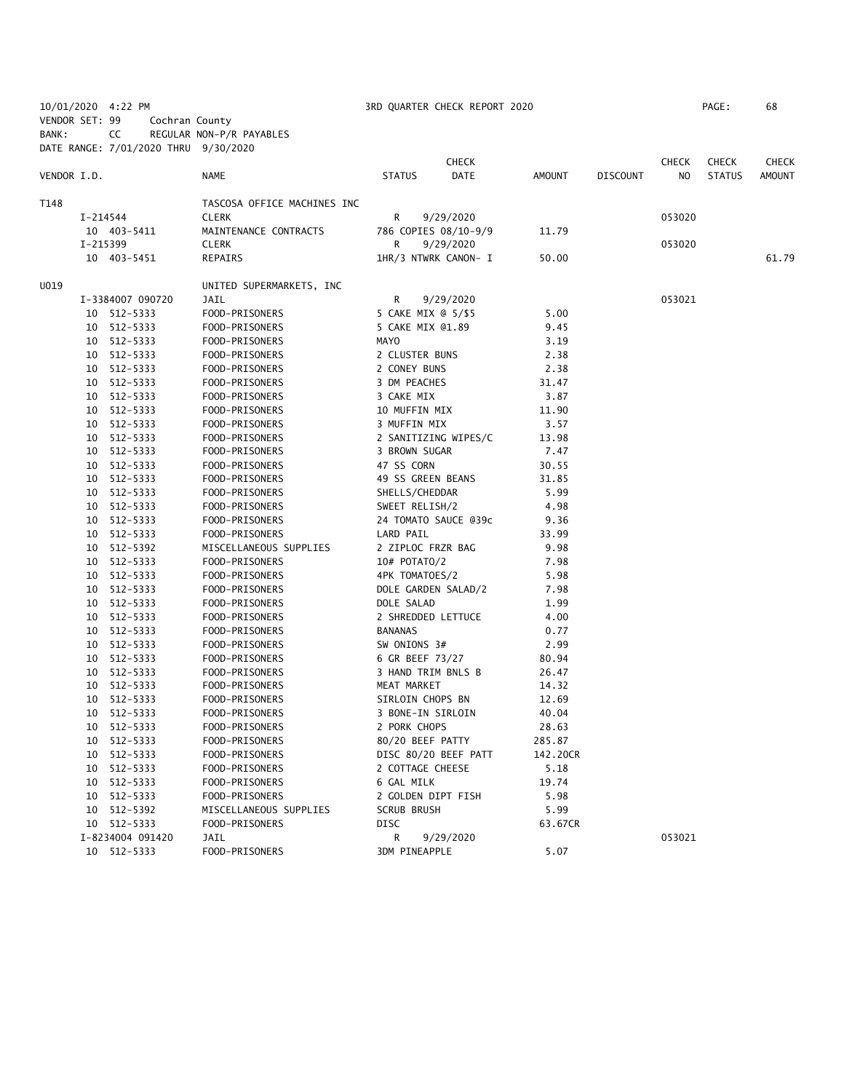|                |          | 10/01/2020 4:22 PM                   |                             |                     | 3RD QUARTER CHECK REPORT 2020 |          |                 |              | PAGE:         | 68            |
|----------------|----------|--------------------------------------|-----------------------------|---------------------|-------------------------------|----------|-----------------|--------------|---------------|---------------|
| VENDOR SET: 99 |          | Cochran County                       |                             |                     |                               |          |                 |              |               |               |
| BANK:          |          | CC                                   | REGULAR NON-P/R PAYABLES    |                     |                               |          |                 |              |               |               |
|                |          | DATE RANGE: 7/01/2020 THRU 9/30/2020 |                             |                     |                               |          |                 |              |               |               |
|                |          |                                      |                             |                     | <b>CHECK</b>                  |          |                 | <b>CHECK</b> | <b>CHECK</b>  | <b>CHECK</b>  |
| VENDOR I.D.    |          |                                      | <b>NAME</b>                 | <b>STATUS</b>       | <b>DATE</b>                   | AMOUNT   | <b>DISCOUNT</b> | NO.          | <b>STATUS</b> | <b>AMOUNT</b> |
| T148           |          |                                      | TASCOSA OFFICE MACHINES INC |                     |                               |          |                 |              |               |               |
|                |          | I-214544                             | <b>CLERK</b>                | R                   | 9/29/2020                     |          |                 | 053020       |               |               |
|                |          | 10 403-5411                          | MAINTENANCE CONTRACTS       |                     | 786 COPIES 08/10-9/9          | 11.79    |                 |              |               |               |
|                | I-215399 |                                      | <b>CLERK</b>                | R                   | 9/29/2020                     |          |                 | 053020       |               |               |
|                |          | 10 403-5451                          | REPAIRS                     |                     | 1HR/3 NTWRK CANON- I          | 50.00    |                 |              |               | 61.79         |
| U019           |          |                                      | UNITED SUPERMARKETS, INC    |                     |                               |          |                 |              |               |               |
|                |          | I-3384007 090720                     | JAIL                        | R                   | 9/29/2020                     |          |                 | 053021       |               |               |
|                |          | 10 512-5333                          | FOOD-PRISONERS              | 5 CAKE MIX @ 5/\$5  |                               | 5.00     |                 |              |               |               |
|                |          | 10 512-5333                          | FOOD-PRISONERS              | 5 CAKE MIX @1.89    |                               | 9.45     |                 |              |               |               |
|                |          | 10 512-5333                          | FOOD-PRISONERS              | <b>MAYO</b>         |                               | 3.19     |                 |              |               |               |
|                |          | 10 512-5333                          | FOOD-PRISONERS              | 2 CLUSTER BUNS      |                               | 2.38     |                 |              |               |               |
|                |          | 10 512-5333                          | FOOD-PRISONERS              | 2 CONEY BUNS        |                               | 2.38     |                 |              |               |               |
|                |          | 10 512-5333                          | FOOD-PRISONERS              | 3 DM PEACHES        |                               | 31.47    |                 |              |               |               |
|                |          | 10 512-5333                          | FOOD-PRISONERS              | 3 CAKE MIX          |                               | 3.87     |                 |              |               |               |
|                |          | 10 512-5333                          | FOOD-PRISONERS              | 10 MUFFIN MIX       |                               | 11.90    |                 |              |               |               |
|                |          | 10 512-5333                          | FOOD-PRISONERS              | 3 MUFFIN MIX        |                               | 3.57     |                 |              |               |               |
|                |          | 10 512-5333                          | FOOD-PRISONERS              |                     | 2 SANITIZING WIPES/C          | 13.98    |                 |              |               |               |
|                |          | 10 512-5333                          | FOOD-PRISONERS              | 3 BROWN SUGAR       |                               | 7.47     |                 |              |               |               |
|                |          | 10 512-5333                          | FOOD-PRISONERS              | 47 SS CORN          |                               | 30.55    |                 |              |               |               |
|                |          | 10 512-5333                          | FOOD-PRISONERS              | 49 SS GREEN BEANS   |                               | 31.85    |                 |              |               |               |
|                |          | 10 512-5333                          | FOOD-PRISONERS              | SHELLS/CHEDDAR      |                               | 5.99     |                 |              |               |               |
|                |          | 10 512-5333                          | FOOD-PRISONERS              | SWEET RELISH/2      |                               | 4.98     |                 |              |               |               |
|                |          | 10 512-5333                          | FOOD-PRISONERS              |                     | 24 TOMATO SAUCE @39c          | 9.36     |                 |              |               |               |
|                |          | 10 512-5333                          | FOOD-PRISONERS              | LARD PAIL           |                               | 33.99    |                 |              |               |               |
|                |          | 10 512-5392                          | MISCELLANEOUS SUPPLIES      | 2 ZIPLOC FRZR BAG   |                               | 9.98     |                 |              |               |               |
|                |          | 10 512-5333                          | FOOD-PRISONERS              | 10# POTATO/2        |                               | 7.98     |                 |              |               |               |
|                |          | 10 512-5333                          | FOOD-PRISONERS              | 4PK TOMATOES/2      |                               | 5.98     |                 |              |               |               |
|                |          | 10 512-5333                          | FOOD-PRISONERS              | DOLE GARDEN SALAD/2 |                               | 7.98     |                 |              |               |               |
|                |          | 10 512-5333                          | FOOD-PRISONERS              | DOLE SALAD          |                               | 1.99     |                 |              |               |               |
|                |          | 10 512-5333                          | FOOD-PRISONERS              | 2 SHREDDED LETTUCE  |                               | 4.00     |                 |              |               |               |
|                |          | 10 512-5333                          | FOOD-PRISONERS              | <b>BANANAS</b>      |                               | 0.77     |                 |              |               |               |
|                |          | 10 512-5333                          | FOOD-PRISONERS              | SW ONIONS 3#        |                               | 2.99     |                 |              |               |               |
|                |          | 10 512-5333                          | FOOD-PRISONERS              | 6 GR BEEF 73/27     |                               | 80.94    |                 |              |               |               |
|                |          | 10 512-5333                          | FOOD-PRISONERS              | 3 HAND TRIM BNLS B  |                               | 26.47    |                 |              |               |               |
|                |          | 10 512-5333                          | FOOD-PRISONERS              | MEAT MARKET         |                               | 14.32    |                 |              |               |               |
|                |          | 10 512-5333                          | FOOD-PRISONERS              | SIRLOIN CHOPS BN    |                               | 12.69    |                 |              |               |               |
|                |          | 10 512-5333                          | FOOD-PRISONERS              | 3 BONE-IN SIRLOIN   |                               | 40.04    |                 |              |               |               |
|                |          |                                      |                             |                     |                               |          |                 |              |               |               |
|                |          | 10 512-5333                          | FOOD-PRISONERS              | 2 PORK CHOPS        |                               | 28.63    |                 |              |               |               |
|                |          | 10 512-5333                          | FOOD-PRISONERS              | 80/20 BEEF PATTY    |                               | 285.87   |                 |              |               |               |
|                |          | 10 512-5333                          | FOOD-PRISONERS              |                     | DISC 80/20 BEEF PATT          | 142.20CR |                 |              |               |               |
|                | 10       | 512-5333                             | FOOD-PRISONERS              | 2 COTTAGE CHEESE    |                               | 5.18     |                 |              |               |               |
|                | 10       | 512-5333                             | FOOD-PRISONERS              | 6 GAL MILK          |                               | 19.74    |                 |              |               |               |
|                |          | 10 512-5333                          | FOOD-PRISONERS              | 2 GOLDEN DIPT FISH  |                               | 5.98     |                 |              |               |               |
|                |          | 10 512-5392                          | MISCELLANEOUS SUPPLIES      | <b>SCRUB BRUSH</b>  |                               | 5.99     |                 |              |               |               |
|                |          | 10 512-5333                          | FOOD-PRISONERS              | DISC                |                               | 63.67CR  |                 |              |               |               |
|                |          | I-8234004 091420                     | JAIL                        | R                   | 9/29/2020                     |          |                 | 053021       |               |               |
|                |          | 10 512-5333                          | FOOD-PRISONERS              | 3DM PINEAPPLE       |                               | 5.07     |                 |              |               |               |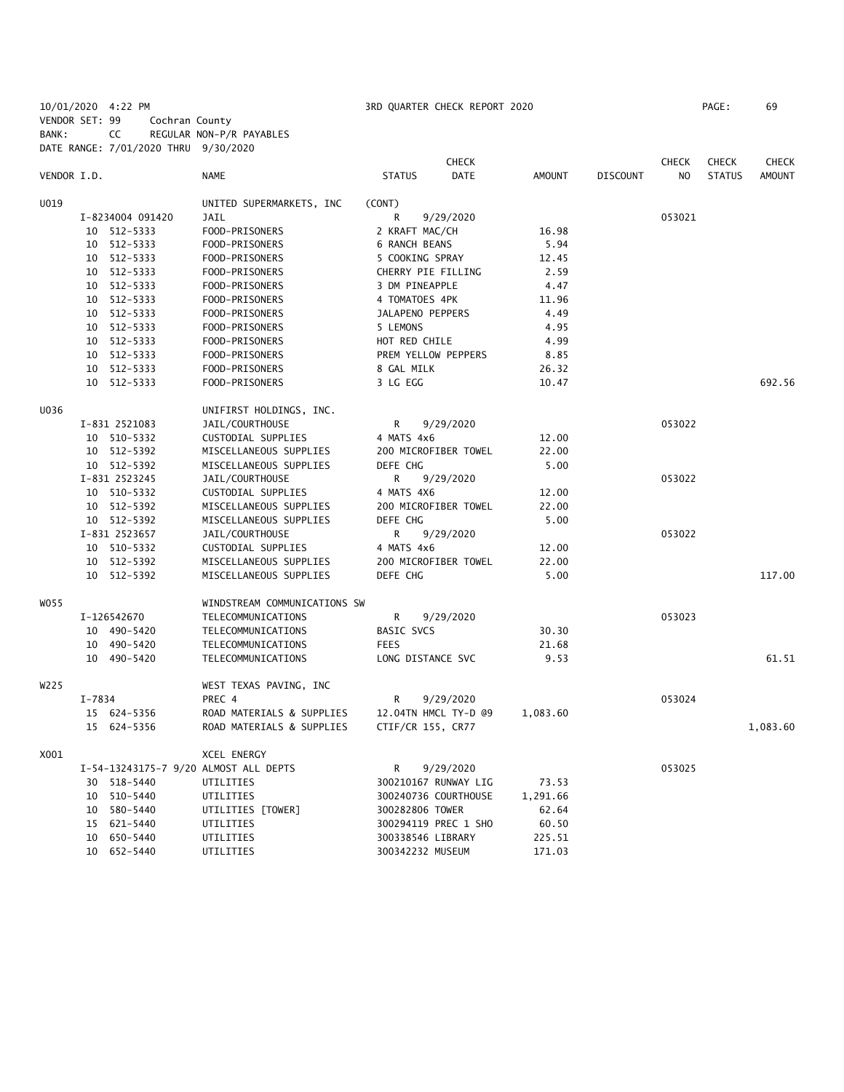10/01/2020 4:22 PM 3RD QUARTER CHECK REPORT 2020 PAGE: 69 VENDOR SET: 99 Cochran County BANK: CC REGULAR NON-P/R PAYABLES DATE RANGE: 7/01/2020 THRU 9/30/2020

|             |                  |                                       | <b>CHECK</b>                 |               |                 | <b>CHECK</b>   | <b>CHECK</b>  | <b>CHECK</b> |
|-------------|------------------|---------------------------------------|------------------------------|---------------|-----------------|----------------|---------------|--------------|
| VENDOR I.D. |                  | <b>NAME</b>                           | <b>DATE</b><br><b>STATUS</b> | <b>AMOUNT</b> | <b>DISCOUNT</b> | N <sub>O</sub> | <b>STATUS</b> | AMOUNT       |
| U019        |                  | UNITED SUPERMARKETS, INC.             | (CONT)                       |               |                 |                |               |              |
|             | I-8234004 091420 | JAIL                                  | R<br>9/29/2020               |               |                 | 053021         |               |              |
|             | 10 512-5333      | FOOD-PRISONERS                        | 2 KRAFT MAC/CH               | 16.98         |                 |                |               |              |
|             | 10 512-5333      | FOOD-PRISONERS                        | <b>6 RANCH BEANS</b>         | 5.94          |                 |                |               |              |
|             | 10 512-5333      | FOOD-PRISONERS                        | 5 COOKING SPRAY              | 12.45         |                 |                |               |              |
|             | 10 512-5333      | FOOD-PRISONERS                        | CHERRY PIE FILLING           | 2.59          |                 |                |               |              |
|             | 10 512-5333      | FOOD-PRISONERS                        | 3 DM PINEAPPLE               | 4.47          |                 |                |               |              |
|             | 10 512-5333      | FOOD-PRISONERS                        | 4 TOMATOES 4PK               | 11.96         |                 |                |               |              |
|             | 10 512-5333      | FOOD-PRISONERS                        | JALAPENO PEPPERS             | 4.49          |                 |                |               |              |
|             | 10 512-5333      | FOOD-PRISONERS                        | 5 LEMONS                     | 4.95          |                 |                |               |              |
|             | 10 512-5333      | FOOD-PRISONERS                        | HOT RED CHILE                | 4.99          |                 |                |               |              |
|             |                  |                                       |                              |               |                 |                |               |              |
|             | 10 512-5333      | FOOD-PRISONERS                        | PREM YELLOW PEPPERS          | 8.85          |                 |                |               |              |
|             | 10 512-5333      | FOOD-PRISONERS                        | 8 GAL MILK                   | 26.32         |                 |                |               |              |
|             | 10 512-5333      | FOOD-PRISONERS                        | 3 LG EGG                     | 10.47         |                 |                |               | 692.56       |
| U036        |                  | UNIFIRST HOLDINGS, INC.               |                              |               |                 |                |               |              |
|             | I-831 2521083    | JAIL/COURTHOUSE                       | R<br>9/29/2020               |               |                 | 053022         |               |              |
|             | 10 510-5332      | CUSTODIAL SUPPLIES                    | 4 MATS 4x6                   | 12.00         |                 |                |               |              |
|             | 10 512-5392      | MISCELLANEOUS SUPPLIES                | 200 MICROFIBER TOWEL         | 22.00         |                 |                |               |              |
|             | 10 512-5392      | MISCELLANEOUS SUPPLIES                | DEFE CHG                     | 5.00          |                 |                |               |              |
|             | I-831 2523245    | JAIL/COURTHOUSE                       | R<br>9/29/2020               |               |                 | 053022         |               |              |
|             | 10 510-5332      | CUSTODIAL SUPPLIES                    | 4 MATS 4X6                   | 12.00         |                 |                |               |              |
|             | 10 512-5392      | MISCELLANEOUS SUPPLIES                | 200 MICROFIBER TOWEL         | 22.00         |                 |                |               |              |
|             | 10 512-5392      | MISCELLANEOUS SUPPLIES                | DEFE CHG                     | 5.00          |                 |                |               |              |
|             | I-831 2523657    | JAIL/COURTHOUSE                       | R<br>9/29/2020               |               |                 | 053022         |               |              |
|             | 10 510-5332      | CUSTODIAL SUPPLIES                    | 4 MATS 4x6                   | 12.00         |                 |                |               |              |
|             | 10 512-5392      | MISCELLANEOUS SUPPLIES                | 200 MICROFIBER TOWEL         | 22.00         |                 |                |               |              |
|             | 10 512-5392      | MISCELLANEOUS SUPPLIES                | DEFE CHG                     | 5.00          |                 |                |               | 117.00       |
| WO 55       |                  | WINDSTREAM COMMUNICATIONS SW          |                              |               |                 |                |               |              |
|             | I-126542670      | TELECOMMUNICATIONS                    | R<br>9/29/2020               |               |                 | 053023         |               |              |
|             | 10 490-5420      | TELECOMMUNICATIONS                    | BASIC SVCS                   | 30.30         |                 |                |               |              |
|             | 10 490-5420      | TELECOMMUNICATIONS                    | <b>FEES</b>                  | 21.68         |                 |                |               |              |
|             | 10 490-5420      | TELECOMMUNICATIONS                    | LONG DISTANCE SVC            | 9.53          |                 |                |               | 61.51        |
|             |                  |                                       |                              |               |                 |                |               |              |
| W225        |                  | WEST TEXAS PAVING, INC                |                              |               |                 |                |               |              |
|             | I-7834           | PREC 4                                | R<br>9/29/2020               |               |                 | 053024         |               |              |
|             | 15 624-5356      | ROAD MATERIALS & SUPPLIES             | 12.04TN HMCL TY-D @9         | 1,083.60      |                 |                |               |              |
|             | 15 624-5356      | ROAD MATERIALS & SUPPLIES             | CTIF/CR 155, CR77            |               |                 |                |               | 1,083.60     |
| X001        |                  | <b>XCEL ENERGY</b>                    |                              |               |                 |                |               |              |
|             |                  | I-54-13243175-7 9/20 ALMOST ALL DEPTS | 9/29/2020<br>R               |               |                 | 053025         |               |              |
|             | 30 518-5440      | UTILITIES                             | 300210167 RUNWAY LIG         | 73.53         |                 |                |               |              |
|             | 10 510-5440      | UTILITIES                             | 300240736 COURTHOUSE         | 1,291.66      |                 |                |               |              |
|             | 10 580-5440      | UTILITIES [TOWER]                     | 300282806 TOWER              | 62.64         |                 |                |               |              |
|             | 15 621-5440      | UTILITIES                             | 300294119 PREC 1 SHO         | 60.50         |                 |                |               |              |
|             | 10 650-5440      | UTILITIES                             | 300338546 LIBRARY            | 225.51        |                 |                |               |              |
|             | 10 652-5440      | UTILITIES                             | 300342232 MUSEUM             | 171.03        |                 |                |               |              |
|             |                  |                                       |                              |               |                 |                |               |              |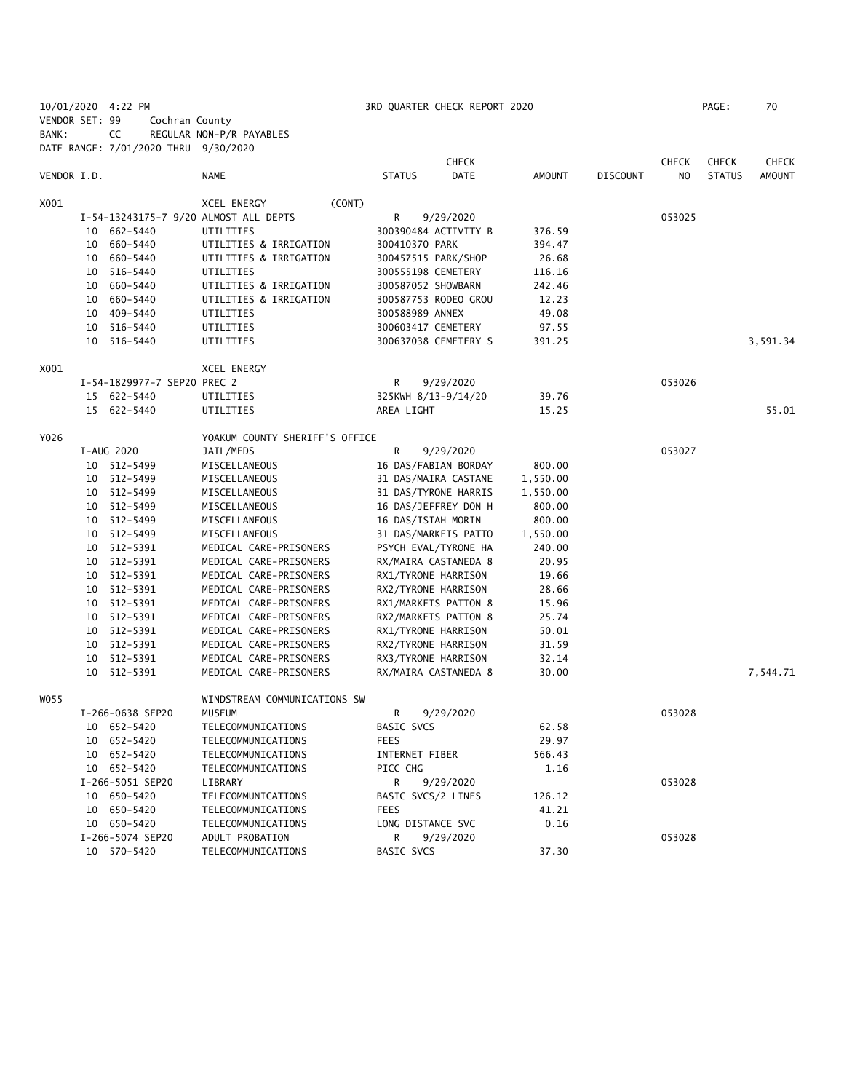|                |    | 10/01/2020 4:22 PM                   |                                                  |                                             | 3RD QUARTER CHECK REPORT 2020 |                |                 |              | PAGE:         | 70            |
|----------------|----|--------------------------------------|--------------------------------------------------|---------------------------------------------|-------------------------------|----------------|-----------------|--------------|---------------|---------------|
| VENDOR SET: 99 |    | Cochran County                       |                                                  |                                             |                               |                |                 |              |               |               |
| BANK:          |    | CC                                   | REGULAR NON-P/R PAYABLES                         |                                             |                               |                |                 |              |               |               |
|                |    | DATE RANGE: 7/01/2020 THRU 9/30/2020 |                                                  |                                             |                               |                |                 |              |               |               |
|                |    |                                      |                                                  |                                             | <b>CHECK</b>                  |                |                 | <b>CHECK</b> | <b>CHECK</b>  | CHECK         |
| VENDOR I.D.    |    |                                      | NAME                                             | <b>STATUS</b>                               | <b>DATE</b>                   | <b>AMOUNT</b>  | <b>DISCOUNT</b> | NO.          | <b>STATUS</b> | <b>AMOUNT</b> |
|                |    |                                      |                                                  |                                             |                               |                |                 |              |               |               |
| X001           |    |                                      | (CONT)<br>XCEL ENERGY                            |                                             |                               |                |                 |              |               |               |
|                |    |                                      | I-54-13243175-7 9/20 ALMOST ALL DEPTS            | R                                           | 9/29/2020                     |                |                 | 053025       |               |               |
|                |    | 10 662-5440                          | UTILITIES                                        | 300390484 ACTIVITY B                        |                               | 376.59         |                 |              |               |               |
|                |    | 10 660-5440                          | UTILITIES & IRRIGATION                           | 300410370 PARK                              |                               | 394.47         |                 |              |               |               |
|                |    | 10 660-5440                          | UTILITIES & IRRIGATION                           | 300457515 PARK/SHOP                         |                               | 26.68          |                 |              |               |               |
|                |    | 10 516-5440                          | UTILITIES                                        | 300555198 CEMETERY                          |                               | 116.16         |                 |              |               |               |
|                |    | 10 660-5440                          | UTILITIES & IRRIGATION                           | 300587052 SHOWBARN                          |                               | 242.46         |                 |              |               |               |
|                |    | 10 660-5440                          | UTILITIES & IRRIGATION                           |                                             | 300587753 RODEO GROU          | 12.23          |                 |              |               |               |
|                |    | 10 409-5440                          | UTILITIES                                        | 300588989 ANNEX                             |                               | 49.08          |                 |              |               |               |
|                |    | 10 516-5440                          | UTILITIES                                        | 300603417 CEMETERY                          |                               | 97.55          |                 |              |               |               |
|                |    | 10 516-5440                          | UTILITIES                                        |                                             | 300637038 CEMETERY S          | 391.25         |                 |              |               | 3,591.34      |
| X001           |    |                                      | XCEL ENERGY                                      |                                             |                               |                |                 |              |               |               |
|                |    | I-54-1829977-7 SEP20 PREC 2          |                                                  | R                                           | 9/29/2020                     |                |                 | 053026       |               |               |
|                |    | 15 622-5440                          | UTILITIES                                        | 325KWH 8/13-9/14/20                         |                               | 39.76          |                 |              |               |               |
|                |    | 15 622-5440                          | UTILITIES                                        | AREA LIGHT                                  |                               | 15.25          |                 |              |               | 55.01         |
|                |    |                                      |                                                  |                                             |                               |                |                 |              |               |               |
| Y026           |    |                                      | YOAKUM COUNTY SHERIFF'S OFFICE                   |                                             |                               |                |                 |              |               |               |
|                |    | I-AUG 2020                           | JAIL/MEDS                                        | R                                           | 9/29/2020                     |                |                 | 053027       |               |               |
|                |    | 10 512-5499                          | MISCELLANEOUS                                    |                                             | 16 DAS/FABIAN BORDAY          | 800.00         |                 |              |               |               |
|                |    | 10 512-5499                          | MISCELLANEOUS                                    |                                             | 31 DAS/MAIRA CASTANE          | 1,550.00       |                 |              |               |               |
|                |    | 10 512-5499                          | MISCELLANEOUS                                    |                                             | 31 DAS/TYRONE HARRIS          | 1,550.00       |                 |              |               |               |
|                |    | 10 512-5499                          | MISCELLANEOUS                                    |                                             | 16 DAS/JEFFREY DON H          | 800.00         |                 |              |               |               |
|                |    | 10 512-5499                          | MISCELLANEOUS                                    | 16 DAS/ISIAH MORIN                          |                               | 800.00         |                 |              |               |               |
|                |    | 10 512-5499                          | MISCELLANEOUS                                    |                                             | 31 DAS/MARKEIS PATTO          | 1,550.00       |                 |              |               |               |
|                |    | 10 512-5391                          | MEDICAL CARE-PRISONERS                           | PSYCH EVAL/TYRONE HA                        |                               | 240.00         |                 |              |               |               |
|                |    | 10 512-5391                          | MEDICAL CARE-PRISONERS                           | RX/MAIRA CASTANEDA 8                        |                               | 20.95          |                 |              |               |               |
|                |    | 10 512-5391                          | MEDICAL CARE-PRISONERS                           | RX1/TYRONE HARRISON                         |                               | 19.66          |                 |              |               |               |
|                |    | 10 512-5391                          | MEDICAL CARE-PRISONERS                           | RX2/TYRONE HARRISON                         |                               | 28.66          |                 |              |               |               |
|                |    | 10 512-5391                          | MEDICAL CARE-PRISONERS                           | RX1/MARKEIS PATTON 8                        |                               | 15.96          |                 |              |               |               |
|                |    | 10 512-5391                          | MEDICAL CARE-PRISONERS                           | RX2/MARKEIS PATTON 8                        |                               | 25.74          |                 |              |               |               |
|                |    | 10 512-5391<br>10 512-5391           | MEDICAL CARE-PRISONERS<br>MEDICAL CARE-PRISONERS | RX1/TYRONE HARRISON<br>RX2/TYRONE HARRISON  |                               | 50.01<br>31.59 |                 |              |               |               |
|                |    |                                      |                                                  |                                             |                               |                |                 |              |               |               |
|                | 10 | 512-5391<br>10 512-5391              | MEDICAL CARE-PRISONERS<br>MEDICAL CARE-PRISONERS | RX3/TYRONE HARRISON<br>RX/MAIRA CASTANEDA 8 |                               | 32.14<br>30.00 |                 |              |               | 7,544.71      |
|                |    |                                      |                                                  |                                             |                               |                |                 |              |               |               |
| WO 55          |    |                                      | WINDSTREAM COMMUNICATIONS SW                     |                                             |                               |                |                 |              |               |               |
|                |    | I-266-0638 SEP20                     | MUSEUM                                           | R                                           | 9/29/2020                     |                |                 | 053028       |               |               |
|                |    | 10 652-5420                          | TELECOMMUNICATIONS                               | BASIC SVCS                                  |                               | 62.58          |                 |              |               |               |
|                |    | 10 652-5420                          | TELECOMMUNICATIONS                               | <b>FEES</b>                                 |                               | 29.97          |                 |              |               |               |
|                |    | 10 652-5420                          | TELECOMMUNICATIONS                               | INTERNET FIBER                              |                               | 566.43         |                 |              |               |               |
|                |    | 10 652-5420                          | TELECOMMUNICATIONS                               | PICC CHG                                    |                               | 1.16           |                 |              |               |               |
|                |    | I-266-5051 SEP20                     | LIBRARY                                          | R                                           | 9/29/2020                     |                |                 | 053028       |               |               |
|                |    | 10 650-5420                          | TELECOMMUNICATIONS                               | BASIC SVCS/2 LINES                          |                               | 126.12         |                 |              |               |               |
|                |    | 10 650-5420                          | TELECOMMUNICATIONS                               | <b>FEES</b>                                 |                               | 41.21          |                 |              |               |               |
|                |    | 10 650-5420                          | TELECOMMUNICATIONS                               | LONG DISTANCE SVC                           |                               | 0.16           |                 |              |               |               |
|                |    | I-266-5074 SEP20                     | ADULT PROBATION                                  | R                                           | 9/29/2020                     |                |                 | 053028       |               |               |
|                |    | 10 570-5420                          | TELECOMMUNICATIONS                               | BASIC SVCS                                  |                               | 37.30          |                 |              |               |               |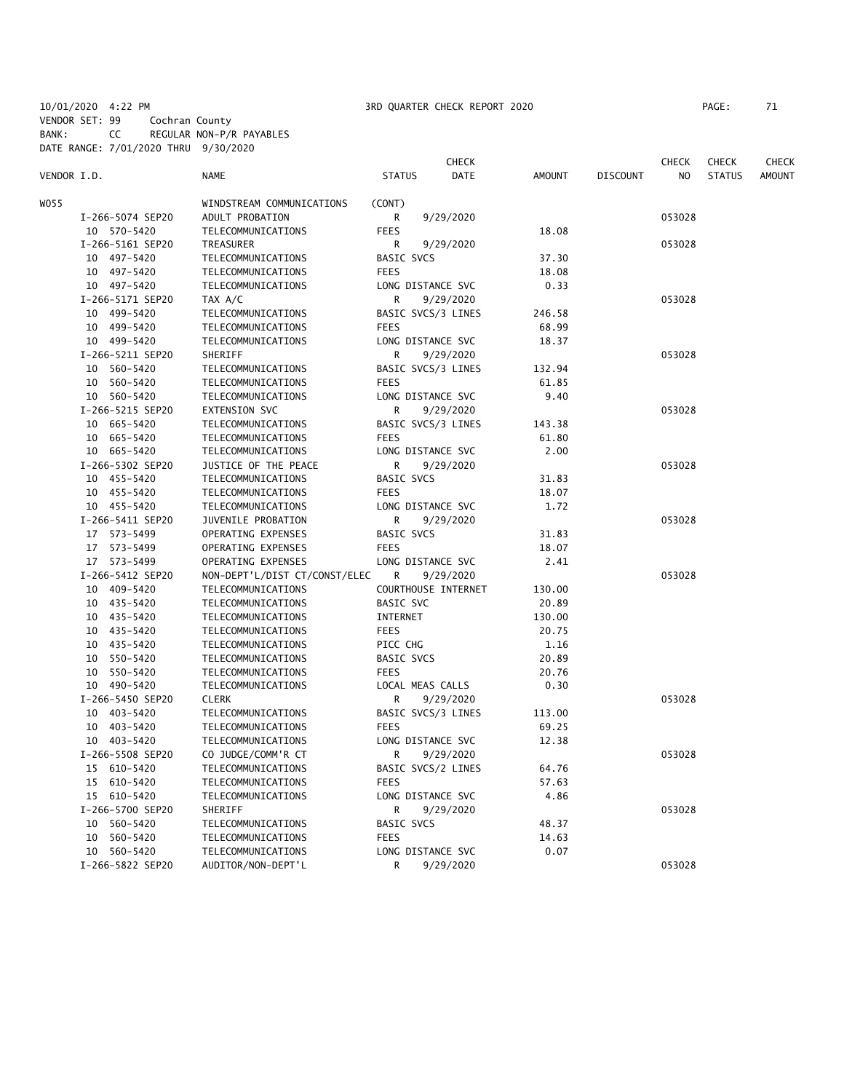10/01/2020 4:22 PM 3RD QUARTER CHECK REPORT 2020 PAGE: 71 VENDOR SET: 99 Cochran County BANK: CC REGULAR NON-P/R PAYABLES DATE RANGE: 7/01/2020 THRU 9/30/2020

|             |                  |                               |                     | <b>CHECK</b> |               |                 | <b>CHECK</b> | <b>CHECK</b>  | CHECK         |
|-------------|------------------|-------------------------------|---------------------|--------------|---------------|-----------------|--------------|---------------|---------------|
| VENDOR I.D. |                  | <b>NAME</b>                   | <b>STATUS</b>       | <b>DATE</b>  | <b>AMOUNT</b> | <b>DISCOUNT</b> | NO.          | <b>STATUS</b> | <b>AMOUNT</b> |
| WO55        |                  | WINDSTREAM COMMUNICATIONS     | (CONT)              |              |               |                 |              |               |               |
|             | I-266-5074 SEP20 | ADULT PROBATION               | R                   | 9/29/2020    |               |                 | 053028       |               |               |
|             | 10 570-5420      | TELECOMMUNICATIONS            | <b>FEES</b>         |              | 18.08         |                 |              |               |               |
|             | I-266-5161 SEP20 | TREASURER                     | R                   | 9/29/2020    |               |                 | 053028       |               |               |
|             | 10 497-5420      | TELECOMMUNICATIONS            | <b>BASIC SVCS</b>   |              | 37.30         |                 |              |               |               |
|             | 10 497-5420      | TELECOMMUNICATIONS            | <b>FEES</b>         |              | 18.08         |                 |              |               |               |
|             | 10 497-5420      | TELECOMMUNICATIONS            | LONG DISTANCE SVC   |              | 0.33          |                 |              |               |               |
|             | I-266-5171 SEP20 | TAX A/C                       | R                   | 9/29/2020    |               |                 | 053028       |               |               |
|             | 10 499-5420      | TELECOMMUNICATIONS            | BASIC SVCS/3 LINES  |              | 246.58        |                 |              |               |               |
|             | 10 499-5420      | TELECOMMUNICATIONS            | <b>FEES</b>         |              | 68.99         |                 |              |               |               |
|             | 10 499-5420      | TELECOMMUNICATIONS            | LONG DISTANCE SVC   |              | 18.37         |                 |              |               |               |
|             | I-266-5211 SEP20 | SHERIFF                       | R                   | 9/29/2020    |               |                 | 053028       |               |               |
|             | 10 560-5420      | TELECOMMUNICATIONS            | BASIC SVCS/3 LINES  |              | 132.94        |                 |              |               |               |
|             | 10 560-5420      | TELECOMMUNICATIONS            | <b>FEES</b>         |              | 61.85         |                 |              |               |               |
|             | 10 560-5420      | TELECOMMUNICATIONS            | LONG DISTANCE SVC   |              | 9.40          |                 |              |               |               |
|             | I-266-5215 SEP20 | EXTENSION SVC                 | R                   | 9/29/2020    |               |                 | 053028       |               |               |
|             | 10 665-5420      | TELECOMMUNICATIONS            | BASIC SVCS/3 LINES  |              | 143.38        |                 |              |               |               |
|             | 10 665-5420      | TELECOMMUNICATIONS            | <b>FEES</b>         |              | 61.80         |                 |              |               |               |
|             | 10 665-5420      | TELECOMMUNICATIONS            | LONG DISTANCE SVC   |              | 2.00          |                 |              |               |               |
|             | I-266-5302 SEP20 | JUSTICE OF THE PEACE          | R                   | 9/29/2020    |               |                 | 053028       |               |               |
|             | 10 455-5420      | TELECOMMUNICATIONS            | <b>BASIC SVCS</b>   |              | 31.83         |                 |              |               |               |
|             | 10 455-5420      | TELECOMMUNICATIONS            | <b>FEES</b>         |              | 18.07         |                 |              |               |               |
|             | 10 455-5420      | TELECOMMUNICATIONS            | LONG DISTANCE SVC   |              | 1.72          |                 |              |               |               |
|             | I-266-5411 SEP20 | JUVENILE PROBATION            | R                   | 9/29/2020    |               |                 | 053028       |               |               |
|             | 17 573-5499      | OPERATING EXPENSES            | <b>BASIC SVCS</b>   |              | 31.83         |                 |              |               |               |
|             | 17 573-5499      | OPERATING EXPENSES            | <b>FEES</b>         |              | 18.07         |                 |              |               |               |
|             | 17 573-5499      | OPERATING EXPENSES            | LONG DISTANCE SVC   |              | 2.41          |                 |              |               |               |
|             | I-266-5412 SEP20 | NON-DEPT'L/DIST CT/CONST/ELEC | R                   | 9/29/2020    |               |                 | 053028       |               |               |
|             | 10 409-5420      | TELECOMMUNICATIONS            | COURTHOUSE INTERNET |              | 130.00        |                 |              |               |               |
|             | 10 435-5420      | TELECOMMUNICATIONS            | BASIC SVC           |              | 20.89         |                 |              |               |               |
|             | 10 435-5420      | TELECOMMUNICATIONS            | <b>INTERNET</b>     |              | 130.00        |                 |              |               |               |
|             | 10 435-5420      | TELECOMMUNICATIONS            | <b>FEES</b>         |              | 20.75         |                 |              |               |               |
|             | 10 435-5420      | TELECOMMUNICATIONS            | PICC CHG            |              | 1.16          |                 |              |               |               |
|             | 10 550-5420      | TELECOMMUNICATIONS            | <b>BASIC SVCS</b>   |              | 20.89         |                 |              |               |               |
|             | 10 550-5420      | TELECOMMUNICATIONS            | <b>FEES</b>         |              | 20.76         |                 |              |               |               |
|             | 10 490-5420      | TELECOMMUNICATIONS            | LOCAL MEAS CALLS    |              | 0.30          |                 |              |               |               |
|             | I-266-5450 SEP20 | <b>CLERK</b>                  | R                   | 9/29/2020    |               |                 | 053028       |               |               |
|             | 10 403-5420      | TELECOMMUNICATIONS            | BASIC SVCS/3 LINES  |              | 113.00        |                 |              |               |               |
|             | 10 403-5420      | TELECOMMUNICATIONS            | <b>FEES</b>         |              | 69.25         |                 |              |               |               |
|             | 10 403-5420      | TELECOMMUNICATIONS            | LONG DISTANCE SVC   |              | 12.38         |                 |              |               |               |
|             | I-266-5508 SEP20 | CO JUDGE/COMM'R CT            | R                   | 9/29/2020    |               |                 | 053028       |               |               |
|             | 15 610-5420      | TELECOMMUNICATIONS            | BASIC SVCS/2 LINES  |              | 64.76         |                 |              |               |               |
|             | 15 610-5420      | TELECOMMUNICATIONS            | <b>FEES</b>         |              | 57.63         |                 |              |               |               |
|             | 15 610-5420      | TELECOMMUNICATIONS            | LONG DISTANCE SVC   |              | 4.86          |                 |              |               |               |
|             | I-266-5700 SEP20 | SHERIFF                       | R                   | 9/29/2020    |               |                 | 053028       |               |               |
|             | 10 560-5420      | TELECOMMUNICATIONS            | <b>BASIC SVCS</b>   |              | 48.37         |                 |              |               |               |
|             | 10 560-5420      | TELECOMMUNICATIONS            | <b>FEES</b>         |              | 14.63         |                 |              |               |               |
|             | 10 560-5420      | TELECOMMUNICATIONS            | LONG DISTANCE SVC   |              | 0.07          |                 |              |               |               |
|             | I-266-5822 SEP20 | AUDITOR/NON-DEPT'L            | R                   | 9/29/2020    |               |                 | 053028       |               |               |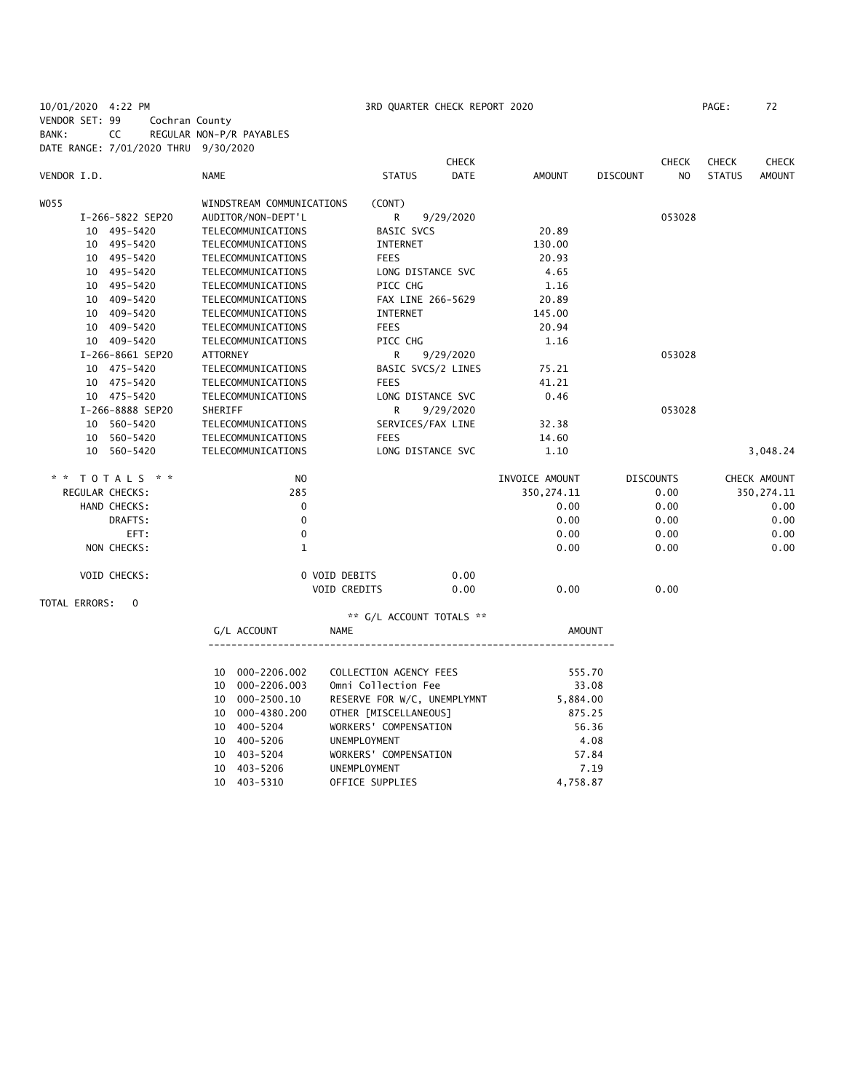10/01/2020 4:22 PM 3RD QUARTER CHECK REPORT 2020 PAGE: 72 VENDOR SET: 99 Cochran County BANK: CC REGULAR NON-P/R PAYABLES DATE RANGE: 7/01/2020 THRU 9/30/2020

|                           |                                                          | <b>CHECK</b>                 |                        | <b>CHECK</b>                      | <b>CHECK</b>  | <b>CHECK</b> |
|---------------------------|----------------------------------------------------------|------------------------------|------------------------|-----------------------------------|---------------|--------------|
| VENDOR I.D.               | <b>NAME</b>                                              | <b>DATE</b><br><b>STATUS</b> | <b>AMOUNT</b>          | N <sub>O</sub><br><b>DISCOUNT</b> | <b>STATUS</b> | AMOUNT       |
| W055                      | WINDSTREAM COMMUNICATIONS                                | (CONT)                       |                        |                                   |               |              |
| I-266-5822 SEP20          | AUDITOR/NON-DEPT'L                                       | R<br>9/29/2020               |                        | 053028                            |               |              |
| 10 495-5420               | TELECOMMUNICATIONS                                       | <b>BASIC SVCS</b>            | 20.89                  |                                   |               |              |
| 10 495-5420               | TELECOMMUNICATIONS                                       | INTERNET                     | 130.00                 |                                   |               |              |
| 10 495-5420               | TELECOMMUNICATIONS                                       | <b>FEES</b>                  | 20.93                  |                                   |               |              |
| 10 495-5420               | TELECOMMUNICATIONS                                       | LONG DISTANCE SVC            | 4.65                   |                                   |               |              |
| 10 495-5420               | TELECOMMUNICATIONS                                       | PICC CHG                     | 1.16                   |                                   |               |              |
| 10 409-5420               | TELECOMMUNICATIONS                                       | FAX LINE 266-5629            | 20.89                  |                                   |               |              |
| 10 409-5420               | TELECOMMUNICATIONS                                       | INTERNET                     | 145.00                 |                                   |               |              |
| 10 409-5420               | TELECOMMUNICATIONS                                       | <b>FEES</b>                  | 20.94                  |                                   |               |              |
| 10 409-5420               | TELECOMMUNICATIONS                                       | PICC CHG                     | 1.16                   |                                   |               |              |
| I-266-8661 SEP20          | ATTORNEY                                                 | R<br>9/29/2020               |                        | 053028                            |               |              |
| 10 475-5420               | TELECOMMUNICATIONS                                       | BASIC SVCS/2 LINES           | 75.21                  |                                   |               |              |
| 10 475-5420               | TELECOMMUNICATIONS                                       | <b>FEES</b>                  | 41.21                  |                                   |               |              |
| 10 475-5420               | TELECOMMUNICATIONS                                       | LONG DISTANCE SVC            | 0.46                   |                                   |               |              |
| I-266-8888 SEP20          | SHERIFF                                                  | R<br>9/29/2020               |                        | 053028                            |               |              |
| 10 560-5420               | TELECOMMUNICATIONS                                       | SERVICES/FAX LINE            | 32.38                  |                                   |               |              |
| 10 560-5420               | TELECOMMUNICATIONS                                       | <b>FEES</b>                  | 14.60                  |                                   |               |              |
| 10 560-5420               | TELECOMMUNICATIONS                                       | LONG DISTANCE SVC            | 1.10                   |                                   |               | 3,048.24     |
| * * TOTALS * *            | N <sub>O</sub>                                           |                              | INVOICE AMOUNT         | <b>DISCOUNTS</b>                  |               | CHECK AMOUNT |
| REGULAR CHECKS:           | 285                                                      |                              | 350, 274.11            | 0.00                              |               | 350, 274.11  |
| HAND CHECKS:              | $\mathbf 0$                                              |                              | 0.00                   | 0.00                              |               | 0.00         |
| DRAFTS:                   | $\mathbf 0$                                              |                              | 0.00                   | 0.00                              |               | 0.00         |
| EFT:                      | $\mathbf 0$                                              |                              | 0.00                   | 0.00                              |               | 0.00         |
| NON CHECKS:               | $\mathbf{1}$                                             |                              | 0.00                   | 0.00                              |               | 0.00         |
| VOID CHECKS:              | 0 VOID DEBITS                                            | 0.00                         |                        |                                   |               |              |
|                           | VOID CREDITS                                             | 0.00                         | 0.00                   | 0.00                              |               |              |
| TOTAL ERRORS:<br>$\Omega$ |                                                          |                              |                        |                                   |               |              |
|                           |                                                          | ** G/L ACCOUNT TOTALS **     |                        |                                   |               |              |
|                           | G/L ACCOUNT<br><b>NAME</b>                               |                              | <b>AMOUNT</b>          |                                   |               |              |
|                           |                                                          |                              |                        |                                   |               |              |
|                           | 10 000-2206.002<br>$10.000-2206.003$ Omni Collection Eee | COLLECTION AGENCY FEES       | 555.70<br><b>22 UB</b> |                                   |               |              |
|                           |                                                          |                              |                        |                                   |               |              |

|  | LU UUU-ZZUD.UUZ | CULLECTION AGENCY FEES      | 0/. כככ  |
|--|-----------------|-----------------------------|----------|
|  | 10 000-2206.003 | Omni Collection Fee         | 33.08    |
|  | 10 000-2500.10  | RESERVE FOR W/C, UNEMPLYMNT | 5,884.00 |
|  | 10 000-4380.200 | OTHER [MISCELLANEOUS]       | 875.25   |
|  | 10 400-5204     | WORKERS' COMPENSATION       | 56.36    |
|  | 10 400-5206     | UNEMPLOYMENT                | 4.08     |
|  | 10 403-5204     | WORKERS' COMPENSATION       | 57.84    |
|  | 10 403-5206     | <b>UNEMPLOYMENT</b>         | 7.19     |
|  | 10 403-5310     | OFFICE SUPPLIES             | 4,758.87 |
|  |                 |                             |          |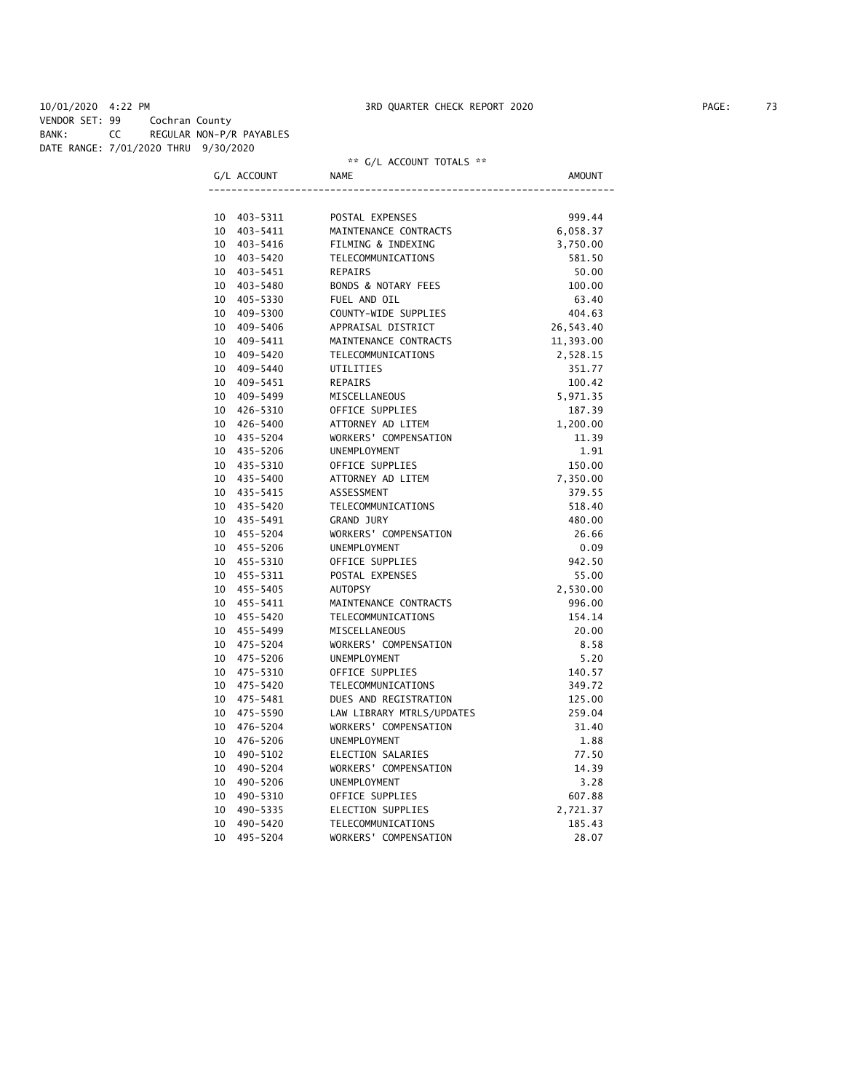#### \*\* G/L ACCOUNT TOTALS \*\*

|                 | G/L ACCOUNT | NAME                           | AMOUNT    |
|-----------------|-------------|--------------------------------|-----------|
|                 |             |                                |           |
| 10              | 403-5311    | POSTAL EXPENSES                | 999.44    |
| 10              | 403-5411    | MAINTENANCE CONTRACTS          | 6,058.37  |
| 10              | 403-5416    | FILMING & INDEXING             | 3,750.00  |
| 10              | 403-5420    | TELECOMMUNICATIONS             | 581.50    |
| 10              | 403-5451    | REPAIRS                        | 50.00     |
| 10              | 403-5480    | <b>BONDS &amp; NOTARY FEES</b> | 100.00    |
| 10              | 405-5330    | FUEL AND OIL                   | 63.40     |
| 10              | 409-5300    | COUNTY-WIDE SUPPLIES           | 404.63    |
| 10              | 409-5406    | APPRAISAL DISTRICT             | 26,543.40 |
| 10              | 409-5411    | MAINTENANCE CONTRACTS          | 11,393.00 |
| 10              | 409-5420    | <b>TELECOMMUNICATIONS</b>      | 2,528.15  |
| 10              | 409-5440    | UTILITIES                      | 351.77    |
| 10              | 409-5451    | <b>REPAIRS</b>                 | 100.42    |
| 10              | 409-5499    | MISCELLANEOUS                  | 5,971.35  |
| 10              | 426-5310    | OFFICE SUPPLIES                | 187.39    |
| 10              | 426-5400    | ATTORNEY AD LITEM              | 1,200.00  |
| 10              | 435-5204    | WORKERS' COMPENSATION          | 11.39     |
| 10              | 435-5206    | <b>UNEMPLOYMENT</b>            | 1.91      |
| 10              | 435-5310    | OFFICE SUPPLIES                | 150.00    |
| 10              | 435-5400    | ATTORNEY AD LITEM              | 7,350.00  |
| 10              | 435-5415    | ASSESSMENT                     | 379.55    |
| 10 <sup>°</sup> | 435-5420    | TELECOMMUNICATIONS             | 518.40    |
|                 | 10 435-5491 | <b>GRAND JURY</b>              | 480.00    |
| 10              | 455-5204    | WORKERS' COMPENSATION          | 26.66     |
| 10              | 455-5206    | <b>UNEMPLOYMENT</b>            | 0.09      |
| 10              | 455-5310    | OFFICE SUPPLIES                | 942.50    |
| 10              | 455-5311    | POSTAL EXPENSES                | 55.00     |
| 10              | 455-5405    | <b>AUTOPSY</b>                 | 2,530.00  |
|                 | 10 455-5411 | MAINTENANCE CONTRACTS          | 996.00    |
|                 | 10 455-5420 | TELECOMMUNICATIONS             | 154.14    |
|                 | 10 455-5499 | MISCELLANEOUS                  | 20.00     |
| 10              | 475-5204    | WORKERS' COMPENSATION          | 8.58      |
|                 | 10 475-5206 | <b>UNEMPLOYMENT</b>            | 5.20      |
| 10              | 475-5310    | OFFICE SUPPLIES                | 140.57    |
| 10              | 475-5420    | TELECOMMUNICATIONS             | 349.72    |
| 10              | 475-5481    | DUES AND REGISTRATION          | 125.00    |
| 10              | 475-5590    | LAW LIBRARY MTRLS/UPDATES      | 259.04    |
| 10              | 476-5204    | WORKERS' COMPENSATION          | 31.40     |
| 10              | 476-5206    | <b>UNEMPLOYMENT</b>            | 1.88      |
| 10 <sup>°</sup> | 490-5102    | ELECTION SALARIES              | 77.50     |
| 10              | 490-5204    | WORKERS' COMPENSATION          | 14.39     |
| 10              | 490-5206    | <b>UNEMPLOYMENT</b>            | 3.28      |
| 10              | 490-5310    | OFFICE SUPPLIES                | 607.88    |
| 10              | 490-5335    | ELECTION SUPPLIES              | 2,721.37  |
| 10              | 490-5420    | TELECOMMUNICATIONS             | 185.43    |
| 10              | 495-5204    | WORKERS' COMPENSATION          | 28.07     |
|                 |             |                                |           |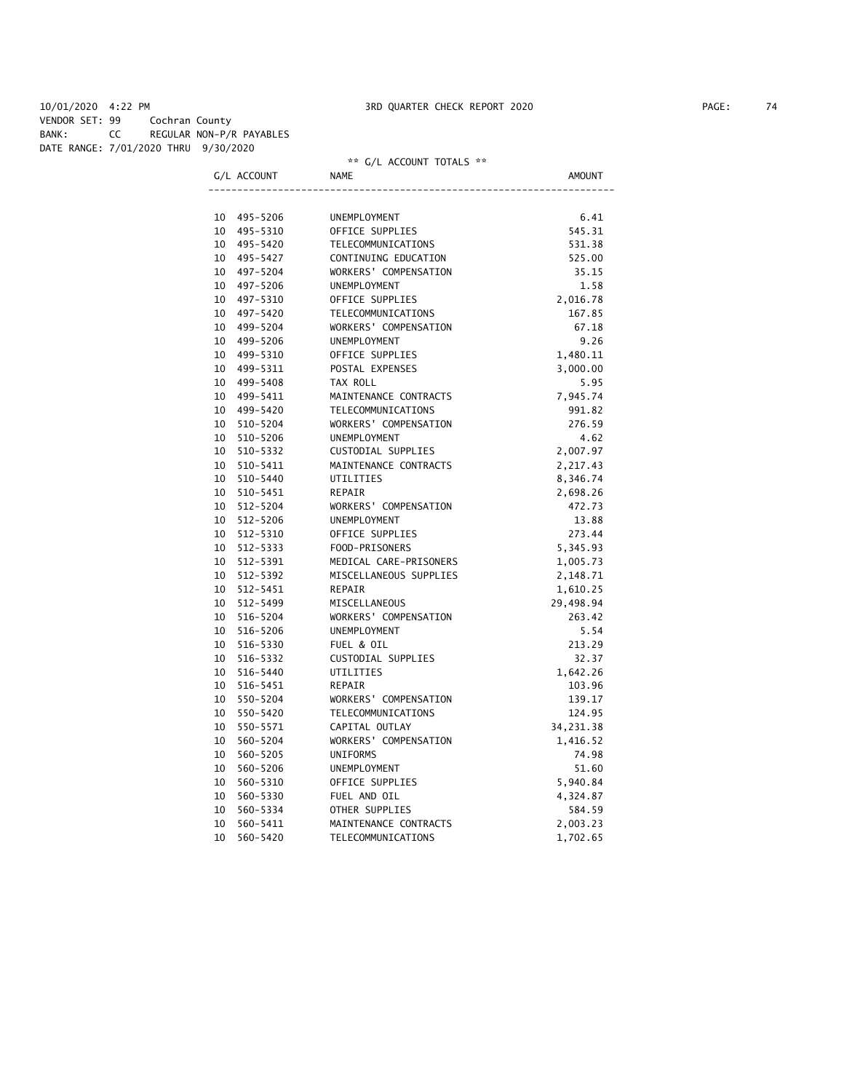VENDOR SET: 99 Cochran County BANK: CC REGULAR NON-P/R PAYABLES

DATE RANGE: 7/01/2020 THRU 9/30/2020

| DATE NANUE. 7/01/2020 THNO 3/30/2020 |                |                      | ** G/L ACCOUNT TOTALS **  |               |
|--------------------------------------|----------------|----------------------|---------------------------|---------------|
|                                      | G/L ACCOUNT    |                      | <b>NAME</b>               | <b>AMOUNT</b> |
|                                      | 10             | 495-5206             | UNEMPLOYMENT              | 6.41          |
|                                      | 10 495-5310    |                      | OFFICE SUPPLIES           | 545.31        |
|                                      | 10 495-5420    |                      | TELECOMMUNICATIONS        | 531.38        |
|                                      | 10 495-5427    |                      | CONTINUING EDUCATION      | 525.00        |
|                                      | 10<br>497–5204 |                      | WORKERS' COMPENSATION     | 35.15         |
|                                      | 10<br>497–5206 |                      | UNEMPLOYMENT              | 1.58          |
|                                      |                |                      | OFFICE SUPPLIES           |               |
|                                      | 10<br>10       | 497-5310<br>497-5420 | TELECOMMUNICATIONS        | 2,016.78      |
|                                      | 10             |                      | WORKERS' COMPENSATION     | 167.85        |
|                                      |                | 499-5204             |                           | 67.18         |
|                                      | 10             | 499-5206             | UNEMPLOYMENT              | 9.26          |
|                                      | 10<br>499-5310 |                      | OFFICE SUPPLIES           | 1,480.11      |
|                                      | 10             | 499-5311             | POSTAL EXPENSES           | 3,000.00      |
|                                      | 499-5408<br>10 |                      | TAX ROLL                  | 5.95          |
|                                      | 10             | 499-5411             | MAINTENANCE CONTRACTS     | 7,945.74      |
|                                      | 10             | 499-5420             | TELECOMMUNICATIONS        | 991.82        |
|                                      | 10             | 510-5204             | WORKERS' COMPENSATION     | 276.59        |
|                                      | 10             | 510-5206             | UNEMPLOYMENT              | 4.62          |
|                                      | 10<br>510-5332 |                      | CUSTODIAL SUPPLIES        | 2,007.97      |
|                                      | 10             | 510-5411             | MAINTENANCE CONTRACTS     | 2,217.43      |
|                                      | 10 510-5440    |                      | UTILITIES                 | 8,346.74      |
|                                      | 10             | 510-5451             | REPAIR                    | 2,698.26      |
|                                      | 10 512-5204    |                      | WORKERS' COMPENSATION     | 472.73        |
|                                      | 10             | $512 - 5206$         | UNEMPLOYMENT              | 13.88         |
|                                      | 10             | 512-5310             | OFFICE SUPPLIES           | 273.44        |
|                                      | 10<br>512-5333 |                      | FOOD-PRISONERS            | 5,345.93      |
|                                      | 10<br>512-5391 |                      | MEDICAL CARE-PRISONERS    | 1,005.73      |
|                                      | 10 512-5392    |                      | MISCELLANEOUS SUPPLIES    | 2,148.71      |
|                                      | 10             | $512 - 5451$         | REPAIR                    | 1,610.25      |
|                                      | 10 512-5499    |                      | MISCELLANEOUS             | 29,498.94     |
|                                      | 10             | 516-5204             | WORKERS' COMPENSATION     | 263.42        |
|                                      | 10             | 516-5206             | UNEMPLOYMENT              | 5.54          |
|                                      | 10             | 516-5330             | FUEL & OIL                | 213.29        |
|                                      | 10             | 516-5332             | CUSTODIAL SUPPLIES        | 32.37         |
|                                      | 10<br>516-5440 |                      | UTILITIES                 | 1,642.26      |
|                                      | 10             | 516-5451             | REPAIR                    | 103.96        |
|                                      | 10<br>550-5204 |                      | WORKERS' COMPENSATION     | 139.17        |
|                                      | 10             | 550-5420             | <b>TELECOMMUNICATIONS</b> | 124.95        |
|                                      | 10<br>550-5571 |                      | CAPITAL OUTLAY            | 34, 231.38    |
|                                      | 10             | 560-5204             | WORKERS' COMPENSATION     | 1,416.52      |
|                                      | 10             | 560-5205             | <b>UNIFORMS</b>           | 74.98         |
|                                      | 10             | 560-5206             | UNEMPLOYMENT              | 51.60         |
|                                      | 10             | 560-5310             | OFFICE SUPPLIES           | 5,940.84      |
|                                      | 10             | 560-5330             | FUEL AND OIL              | 4,324.87      |
|                                      | 10             | 560-5334             | OTHER SUPPLIES            | 584.59        |
|                                      | 10             | 560-5411             | MAINTENANCE CONTRACTS     | 2,003.23      |
|                                      | 10<br>560-5420 |                      | TELECOMMUNICATIONS        | 1,702.65      |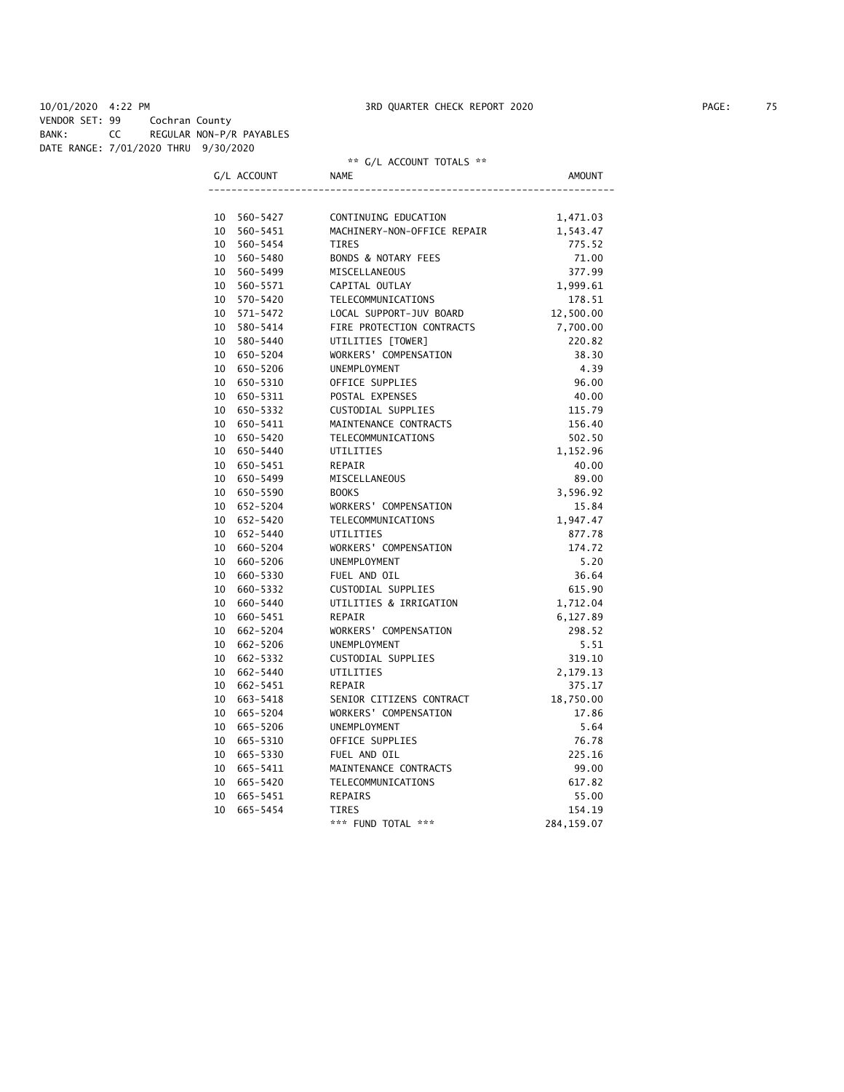VENDOR SET: 99 Cochran County BANK: CC REGULAR NON-P/R PAYABLES

DATE RANGE: 7/01/2020 THRU 9/30/2020

|             |             | ** G/L ACCOUNT TOTALS **    |           |  |  |
|-------------|-------------|-----------------------------|-----------|--|--|
|             | G/L ACCOUNT | <b>NAME</b>                 | AMOUNT    |  |  |
|             |             |                             |           |  |  |
| 10 560-5427 |             | CONTINUING EDUCATION        | 1,471.03  |  |  |
| 10 560-5451 |             | MACHINERY-NON-OFFICE REPAIR | 1,543.47  |  |  |
| 10 560-5454 |             | <b>TIRES</b>                | 775.52    |  |  |
| 10 560-5480 |             | BONDS & NOTARY FEES         | 71.00     |  |  |
| 10 560-5499 |             | MISCELLANEOUS               | 377.99    |  |  |
| 10 560-5571 |             | CAPITAL OUTLAY              | 1,999.61  |  |  |
| 10 570-5420 |             | TELECOMMUNICATIONS          | 178.51    |  |  |
| 10 571-5472 |             | LOCAL SUPPORT-JUV BOARD     | 12,500.00 |  |  |
| 10 580-5414 |             | FIRE PROTECTION CONTRACTS   | 7,700.00  |  |  |
| 10 580-5440 |             | UTILITIES [TOWER]           | 220.82    |  |  |
| 10 650-5204 |             | WORKERS' COMPENSATION       | 38.30     |  |  |
| 10 650-5206 |             | <b>UNEMPLOYMENT</b>         | 4.39      |  |  |
| 10 650-5310 |             | OFFICE SUPPLIES             | 96.00     |  |  |
| 10 650-5311 |             | POSTAL EXPENSES             | 40.00     |  |  |
| 10 650-5332 |             | CUSTODIAL SUPPLIES          | 115.79    |  |  |
| 10 650-5411 |             | MAINTENANCE CONTRACTS       | 156.40    |  |  |
| 10 650-5420 |             | TELECOMMUNICATIONS          | 502.50    |  |  |
| 10 650-5440 |             | UTILITIES                   | 1,152.96  |  |  |
| 10 650-5451 |             | REPAIR                      | 40.00     |  |  |
| 10 650-5499 |             | MISCELLANEOUS               | 89.00     |  |  |
| 10 650-5590 |             | <b>BOOKS</b>                | 3,596.92  |  |  |
| 10 652-5204 |             | WORKERS' COMPENSATION       | 15.84     |  |  |
| 10 652-5420 |             | TELECOMMUNICATIONS          | 1,947.47  |  |  |
| 10 652-5440 |             | <b>UTILITIES</b>            | 877.78    |  |  |
| 10 660-5204 |             | WORKERS' COMPENSATION       | 174.72    |  |  |
| 10 660-5206 |             | UNEMPLOYMENT                | 5.20      |  |  |
| 10 660-5330 |             | FUEL AND OIL                | 36.64     |  |  |
| 10 660-5332 |             | CUSTODIAL SUPPLIES          | 615.90    |  |  |
| 10 660-5440 |             | UTILITIES & IRRIGATION      | 1,712.04  |  |  |
| 10 660-5451 |             | <b>REPAIR</b>               | 6,127.89  |  |  |
| 10 662-5204 |             | WORKERS' COMPENSATION       | 298.52    |  |  |
| 10 662-5206 |             | UNEMPLOYMENT                | 5.51      |  |  |
| 10 662-5332 |             | CUSTODIAL SUPPLIES          | 319.10    |  |  |
| 10 662-5440 |             | UTILITIES                   | 2,179.13  |  |  |
| 10 662-5451 |             | REPAIR                      | 375.17    |  |  |
| 10 663-5418 |             | SENIOR CITIZENS CONTRACT    | 18,750.00 |  |  |
| 10 665-5204 |             | WORKERS' COMPENSATION       | 17.86     |  |  |
| 10 665-5206 |             | UNEMPLOYMENT                | 5.64      |  |  |
| 10 665-5310 |             | OFFICE SUPPLIES             | 76.78     |  |  |
| 10 665-5330 |             | FUEL AND OIL                | 225.16    |  |  |
| 10 665-5411 |             | MAINTENANCE CONTRACTS       | 99.00     |  |  |
| 10 665-5420 |             | TELECOMMUNICATIONS          | 617.82    |  |  |
| 10 665-5451 |             | <b>REPAIRS</b>              | 55.00     |  |  |
| 10 665-5454 |             | <b>TIRES</b>                | 154.19    |  |  |
|             |             |                             |           |  |  |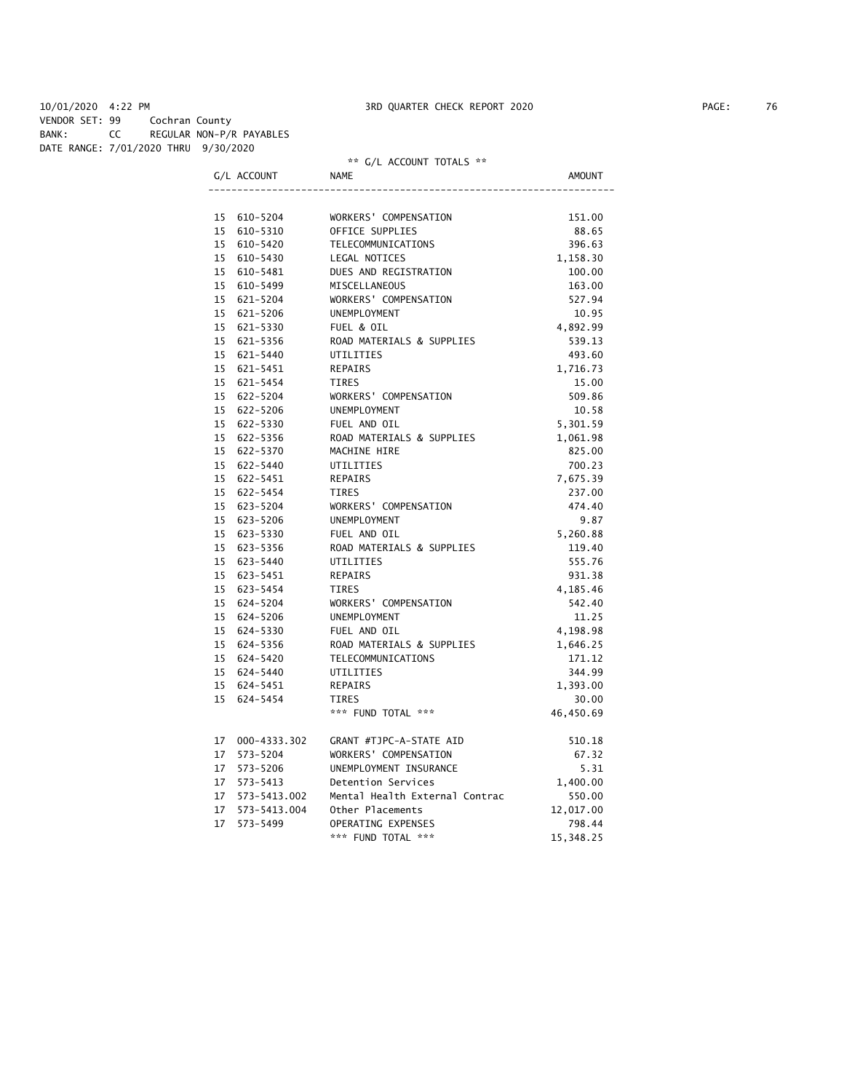VENDOR SET: 99 Cochran County BANK: CC REGULAR NON-P/R PAYABLES

DATE RANGE: 7/01/2020 THRU 9/30/2020

## \*\* G/L ACCOUNT TOTALS \*\*

| וחוו<br>ΔТ. |  |
|-------------|--|
|             |  |

|                 | 15 610-5204      | WORKERS' COMPENSATION          | 151.00    |
|-----------------|------------------|--------------------------------|-----------|
|                 | 15 610-5310      | OFFICE SUPPLIES                | 88.65     |
|                 | 15 610-5420      | TELECOMMUNICATIONS             | 396.63    |
|                 | 15 610-5430      | LEGAL NOTICES                  | 1,158.30  |
|                 | 15 610-5481      | DUES AND REGISTRATION          | 100.00    |
|                 | 15 610-5499      | MISCELLANEOUS                  | 163.00    |
|                 | 15 621-5204      | WORKERS' COMPENSATION          | 527.94    |
|                 | 15 621-5206      | UNEMPLOYMENT                   | 10.95     |
|                 | 15 621-5330      | FUEL & OIL                     | 4,892.99  |
|                 | 15 621-5356      | ROAD MATERIALS & SUPPLIES      | 539.13    |
|                 | 15 621-5440      | UTILITIES                      | 493.60    |
|                 | 15 621-5451      | REPAIRS                        | 1,716.73  |
|                 | 15 621-5454      | <b>TIRES</b>                   | 15.00     |
|                 | 15 622-5204      | WORKERS' COMPENSATION          | 509.86    |
|                 | 15 622-5206      | UNEMPLOYMENT                   | 10.58     |
|                 | 15 622-5330      | FUEL AND OIL                   | 5,301.59  |
|                 | 15 622-5356      | ROAD MATERIALS & SUPPLIES      | 1,061.98  |
|                 | 15 622-5370      | MACHINE HIRE                   | 825.00    |
|                 | 15 622-5440      | UTILITIES                      | 700.23    |
|                 | 15 622-5451      | <b>REPAIRS</b>                 | 7,675.39  |
|                 | 15 622-5454      | TIRES                          | 237.00    |
|                 | 15 623-5204      | WORKERS' COMPENSATION          | 474.40    |
|                 | 15 623-5206      | UNEMPLOYMENT                   | 9.87      |
|                 | 15 623-5330      | FUEL AND OIL                   | 5,260.88  |
|                 | 15 623-5356      | ROAD MATERIALS & SUPPLIES      | 119.40    |
|                 | 15 623-5440      | UTILITIES                      | 555.76    |
|                 | 15 623-5451      | <b>REPAIRS</b>                 | 931.38    |
|                 | 15 623-5454      | <b>TIRES</b>                   | 4,185.46  |
|                 | 15 624-5204      | WORKERS' COMPENSATION          | 542.40    |
|                 | 15 624-5206      | UNEMPLOYMENT                   | 11.25     |
|                 | 15 624-5330      | FUEL AND OIL                   | 4,198.98  |
|                 | 15 624-5356      | ROAD MATERIALS & SUPPLIES      | 1,646.25  |
|                 | 15 624-5420      | TELECOMMUNICATIONS             | 171.12    |
|                 | 15 624-5440      | UTILITIES                      | 344.99    |
|                 | 15 624-5451      | REPAIRS                        | 1,393.00  |
|                 | 15 624-5454      | <b>TIRES</b>                   | 30.00     |
|                 |                  | *** FUND TOTAL ***             | 46,450.69 |
|                 |                  |                                |           |
|                 | 17 000-4333.302  | GRANT #TJPC-A-STATE AID        | 510.18    |
| 17              | 573-5204         | WORKERS' COMPENSATION          | 67.32     |
| 17              | 573-5206         | UNEMPLOYMENT INSURANCE         | 5.31      |
| 17              | 573-5413         | Detention Services             | 1,400.00  |
| 17              | 573-5413.002     | Mental Health External Contrac | 550.00    |
|                 | 17  573-5413.004 | Other Placements               | 12,017.00 |
| 17 <sup>7</sup> | 573-5499         | OPERATING EXPENSES             | 798.44    |
|                 |                  | *** FUND TOTAL ***             | 15,348.25 |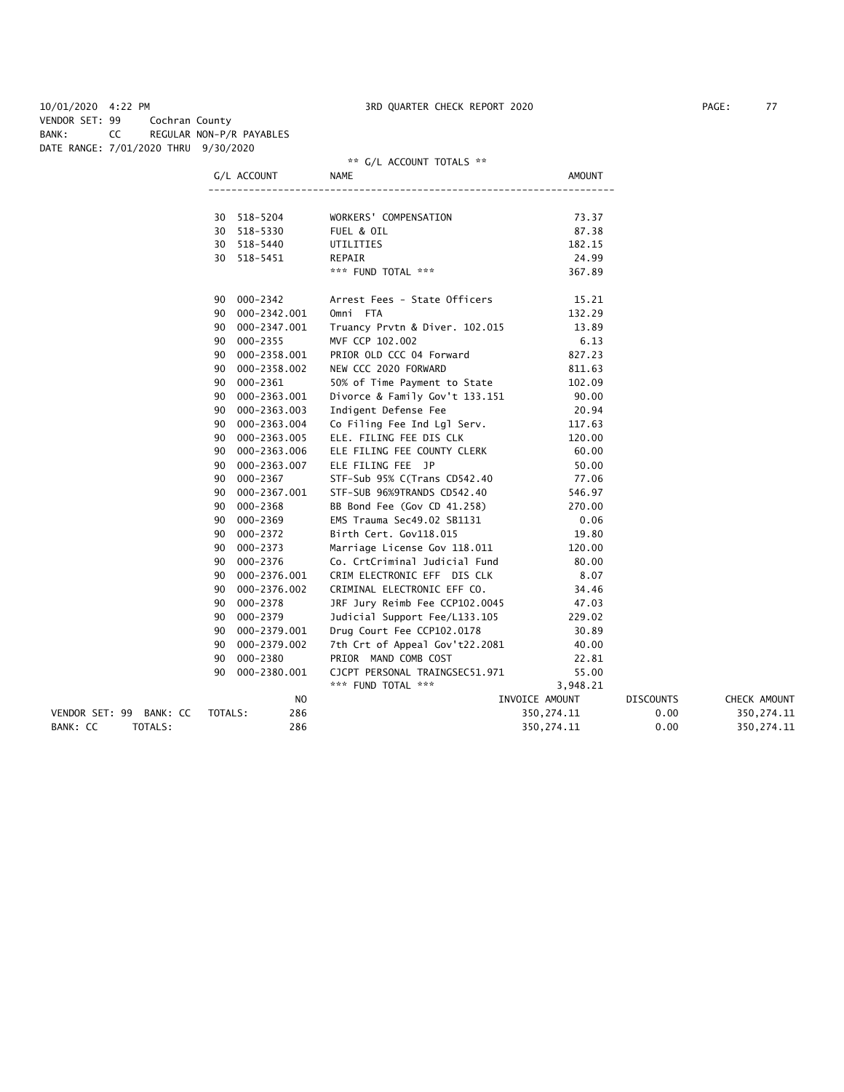VENDOR SET: 99 BANK: CC TOTALS: 286<br>BANK: CC TOTALS: 286

| 10/01/2020 4:22 PM |                                      |    |                          | 3RD QUARTER CHECK REPORT 2020  |                |                  | PAGE:<br>77 |
|--------------------|--------------------------------------|----|--------------------------|--------------------------------|----------------|------------------|-------------|
| VENDOR SET: 99     | Cochran County                       |    |                          |                                |                |                  |             |
| BANK:              | CC                                   |    | REGULAR NON-P/R PAYABLES |                                |                |                  |             |
|                    | DATE RANGE: 7/01/2020 THRU 9/30/2020 |    |                          |                                |                |                  |             |
|                    |                                      |    |                          | ** G/L ACCOUNT TOTALS **       |                |                  |             |
|                    |                                      |    | G/L ACCOUNT              | NAME                           | <b>AMOUNT</b>  |                  |             |
|                    |                                      |    |                          |                                |                |                  |             |
|                    |                                      |    | 30 518-5204              | WORKERS' COMPENSATION          | 73.37          |                  |             |
|                    |                                      |    | 30 518-5330              | FUEL & OIL                     | 87.38          |                  |             |
|                    |                                      |    | 30 518-5440              | UTILITIES                      | 182.15         |                  |             |
|                    |                                      |    | 30 518-5451              | REPAIR                         | 24.99          |                  |             |
|                    |                                      |    |                          | *** FUND TOTAL ***             | 367.89         |                  |             |
|                    |                                      |    | 90 000-2342              | Arrest Fees - State Officers   | 15.21          |                  |             |
|                    |                                      |    | 90 000-2342.001          | Omni FTA                       | 132.29         |                  |             |
|                    |                                      |    | 90 000-2347.001          | Truancy Prvtn & Diver. 102.015 | 13.89          |                  |             |
|                    |                                      |    | 90 000-2355              | MVF CCP 102.002                | 6.13           |                  |             |
|                    |                                      |    | 90 000-2358.001          | PRIOR OLD CCC 04 Forward       | 827.23         |                  |             |
|                    |                                      | 90 | 000-2358.002             | NEW CCC 2020 FORWARD           | 811.63         |                  |             |
|                    |                                      | 90 | 000-2361                 | 50% of Time Payment to State   | 102.09         |                  |             |
|                    |                                      |    | 90 000-2363.001          | Divorce & Family Gov't 133.151 | 90.00          |                  |             |
|                    |                                      |    | 90 000-2363.003          | Indigent Defense Fee           | 20.94          |                  |             |
|                    |                                      |    | 90 000-2363.004          | Co Filing Fee Ind Lgl Serv.    | 117.63         |                  |             |
|                    |                                      |    | 90 000-2363.005          | ELE. FILING FEE DIS CLK        | 120.00         |                  |             |
|                    |                                      |    | 90 000-2363.006          | ELE FILING FEE COUNTY CLERK    | 60.00          |                  |             |
|                    |                                      | 90 | 000-2363.007             | ELE FILING FEE JP              | 50.00          |                  |             |
|                    |                                      |    | 90 000-2367              | STF-Sub 95% C(Trans CD542.40   | 77.06          |                  |             |
|                    |                                      |    | 90 000-2367.001          | STF-SUB 96%9TRANDS CD542.40    | 546.97         |                  |             |
|                    |                                      | 90 | 000-2368                 | BB Bond Fee (Gov CD 41.258)    | 270.00         |                  |             |
|                    |                                      |    | 90 000-2369              | EMS Trauma Sec49.02 SB1131     | 0.06           |                  |             |
|                    |                                      |    | 90 000-2372              | Birth Cert. Gov118.015         | 19.80          |                  |             |
|                    |                                      | 90 | 000-2373                 | Marriage License Gov 118.011   | 120.00         |                  |             |
|                    |                                      | 90 | 000-2376                 | Co. CrtCriminal Judicial Fund  | 80.00          |                  |             |
|                    |                                      |    | 90 000-2376.001          | CRIM ELECTRONIC EFF DIS CLK    | 8.07           |                  |             |
|                    |                                      | 90 | 000-2376.002             | CRIMINAL ELECTRONIC EFF CO.    | 34.46          |                  |             |
|                    |                                      | 90 | 000-2378                 | JRF Jury Reimb Fee CCP102.0045 | 47.03          |                  |             |
|                    |                                      |    | 90 000-2379              | Judicial Support Fee/L133.105  | 229.02         |                  |             |
|                    |                                      |    | 90 000-2379.001          | Drug Court Fee CCP102.0178     | 30.89          |                  |             |
|                    |                                      | 90 | 000-2379.002             | 7th Crt of Appeal Gov't22.2081 | 40.00          |                  |             |
|                    |                                      | 90 | 000-2380                 | PRIOR MAND COMB COST           | 22.81          |                  |             |
|                    |                                      |    | 90 000-2380.001          | CJCPT PERSONAL TRAINGSEC51.971 | 55.00          |                  |             |
|                    |                                      |    |                          | *** FUND TOTAL ***             | 3,948.21       |                  |             |
|                    |                                      |    | NO                       |                                | INVOICE AMOUNT | <b>DISCOUNTS</b> | CHECK AMOL  |

| ΙVΨ                                       | INVOICE AMOUNT | <b>DISCOUNTS</b> | CHECK AMOUNT |
|-------------------------------------------|----------------|------------------|--------------|
| 286<br>VENDOR SET: 99 BANK: CC<br>TOTALS: | 350.274.11     | 0.00             | 350.274.11   |
| 286<br>BANK: CC<br>TOTALS:                | 350,274.11     | 0.00             | 350.274.11   |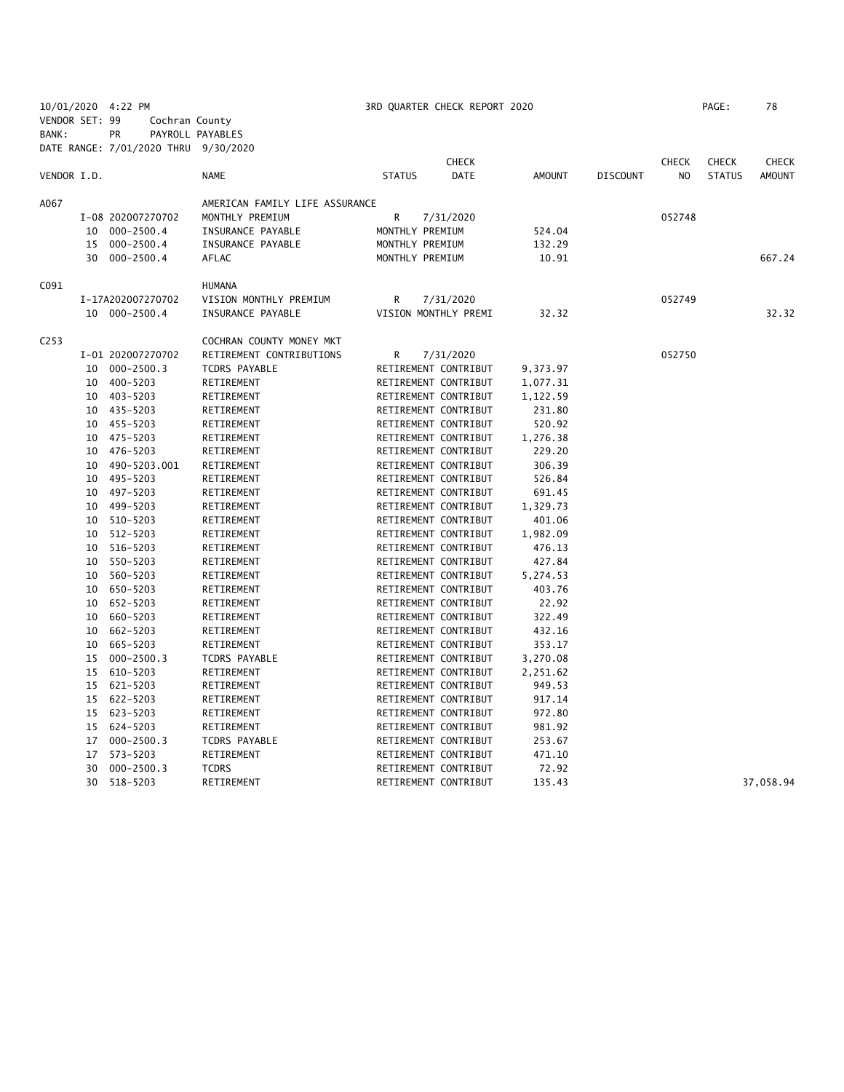|                  |    | 10/01/2020 4:22 PM                   |                                |                 | 3RD QUARTER CHECK REPORT 2020 |          |                 |                | PAGE:         | 78            |
|------------------|----|--------------------------------------|--------------------------------|-----------------|-------------------------------|----------|-----------------|----------------|---------------|---------------|
| VENDOR SET: 99   |    | Cochran County                       |                                |                 |                               |          |                 |                |               |               |
| BANK:            |    | <b>PR</b>                            | PAYROLL PAYABLES               |                 |                               |          |                 |                |               |               |
|                  |    | DATE RANGE: 7/01/2020 THRU 9/30/2020 |                                |                 |                               |          |                 |                |               |               |
|                  |    |                                      |                                |                 | <b>CHECK</b>                  |          |                 | <b>CHECK</b>   | <b>CHECK</b>  | <b>CHECK</b>  |
| VENDOR I.D.      |    |                                      | <b>NAME</b>                    | <b>STATUS</b>   | <b>DATE</b>                   | AMOUNT   | <b>DISCOUNT</b> | N <sub>O</sub> | <b>STATUS</b> | <b>AMOUNT</b> |
| A067             |    |                                      | AMERICAN FAMILY LIFE ASSURANCE |                 |                               |          |                 |                |               |               |
|                  |    | I-08 202007270702                    | MONTHLY PREMIUM                | R               | 7/31/2020                     |          |                 | 052748         |               |               |
|                  |    | 10 000-2500.4                        | INSURANCE PAYABLE              | MONTHLY PREMIUM |                               | 524.04   |                 |                |               |               |
|                  |    | 15 000-2500.4                        | INSURANCE PAYABLE              | MONTHLY PREMIUM |                               | 132.29   |                 |                |               |               |
|                  |    | 30 000-2500.4                        | AFLAC                          | MONTHLY PREMIUM |                               | 10.91    |                 |                |               | 667.24        |
|                  |    |                                      |                                |                 |                               |          |                 |                |               |               |
| C091             |    |                                      | <b>HUMANA</b>                  |                 |                               |          |                 |                |               |               |
|                  |    | I-17A202007270702                    | VISION MONTHLY PREMIUM         | R               | 7/31/2020                     |          |                 | 052749         |               |               |
|                  |    | 10 000-2500.4                        | INSURANCE PAYABLE              |                 | VISION MONTHLY PREMI          | 32.32    |                 |                |               | 32.32         |
| C <sub>253</sub> |    |                                      | COCHRAN COUNTY MONEY MKT       |                 |                               |          |                 |                |               |               |
|                  |    | I-01 202007270702                    | RETIREMENT CONTRIBUTIONS       | R               | 7/31/2020                     |          |                 | 052750         |               |               |
|                  |    | 10 000-2500.3                        | TCDRS PAYABLE                  |                 | RETIREMENT CONTRIBUT          | 9,373.97 |                 |                |               |               |
|                  |    | 10 400-5203                          | RETIREMENT                     |                 | RETIREMENT CONTRIBUT          | 1,077.31 |                 |                |               |               |
|                  |    | 10 403-5203                          | RETIREMENT                     |                 | RETIREMENT CONTRIBUT          | 1,122.59 |                 |                |               |               |
|                  |    | 10 435-5203                          | RETIREMENT                     |                 | RETIREMENT CONTRIBUT          | 231.80   |                 |                |               |               |
|                  |    | 10 455-5203                          | RETIREMENT                     |                 | RETIREMENT CONTRIBUT          | 520.92   |                 |                |               |               |
|                  |    | 10 475-5203                          | RETIREMENT                     |                 | RETIREMENT CONTRIBUT          | 1,276.38 |                 |                |               |               |
|                  | 10 | 476-5203                             | RETIREMENT                     |                 | RETIREMENT CONTRIBUT          | 229.20   |                 |                |               |               |
|                  | 10 | 490-5203.001                         | RETIREMENT                     |                 | RETIREMENT CONTRIBUT          | 306.39   |                 |                |               |               |
|                  | 10 | 495-5203                             | RETIREMENT                     |                 | RETIREMENT CONTRIBUT          | 526.84   |                 |                |               |               |
|                  | 10 | 497–5203                             | RETIREMENT                     |                 | RETIREMENT CONTRIBUT          | 691.45   |                 |                |               |               |
|                  | 10 | 499-5203                             | RETIREMENT                     |                 | RETIREMENT CONTRIBUT          | 1,329.73 |                 |                |               |               |
|                  |    | 10 510-5203                          | RETIREMENT                     |                 | RETIREMENT CONTRIBUT          | 401.06   |                 |                |               |               |
|                  |    | 10 512-5203                          | RETIREMENT                     |                 | RETIREMENT CONTRIBUT          | 1,982.09 |                 |                |               |               |
|                  | 10 | 516-5203                             | RETIREMENT                     |                 | RETIREMENT CONTRIBUT          | 476.13   |                 |                |               |               |
|                  |    | 10 550-5203                          | RETIREMENT                     |                 | RETIREMENT CONTRIBUT          | 427.84   |                 |                |               |               |
|                  |    | 10 560-5203                          | RETIREMENT                     |                 | RETIREMENT CONTRIBUT          | 5,274.53 |                 |                |               |               |
|                  |    | 10 650-5203                          | RETIREMENT                     |                 | RETIREMENT CONTRIBUT          | 403.76   |                 |                |               |               |
|                  | 10 | 652-5203                             | RETIREMENT                     |                 | RETIREMENT CONTRIBUT          | 22.92    |                 |                |               |               |
|                  | 10 | 660-5203                             | RETIREMENT                     |                 | RETIREMENT CONTRIBUT          | 322.49   |                 |                |               |               |
|                  | 10 | 662-5203                             | RETIREMENT                     |                 | RETIREMENT CONTRIBUT          | 432.16   |                 |                |               |               |
|                  |    | 10 665-5203                          | RETIREMENT                     |                 | RETIREMENT CONTRIBUT          | 353.17   |                 |                |               |               |
|                  | 15 | $000 - 2500.3$                       | TCDRS PAYABLE                  |                 | RETIREMENT CONTRIBUT          | 3,270.08 |                 |                |               |               |
|                  | 15 | 610-5203                             | RETIREMENT                     |                 | RETIREMENT CONTRIBUT          | 2,251.62 |                 |                |               |               |
|                  |    | 15 621-5203                          | RETIREMENT                     |                 | RETIREMENT CONTRIBUT          | 949.53   |                 |                |               |               |
|                  |    | 15 622-5203                          | RETIREMENT                     |                 | RETIREMENT CONTRIBUT          | 917.14   |                 |                |               |               |
|                  |    | 15 623-5203                          | RETIREMENT                     |                 | RETIREMENT CONTRIBUT          | 972.80   |                 |                |               |               |
|                  |    | 15 624-5203                          | RETIREMENT                     |                 | RETIREMENT CONTRIBUT          | 981.92   |                 |                |               |               |
|                  |    | 17 000-2500.3                        | TCDRS PAYABLE                  |                 | RETIREMENT CONTRIBUT          | 253.67   |                 |                |               |               |
|                  | 17 | 573-5203                             | RETIREMENT                     |                 | RETIREMENT CONTRIBUT          | 471.10   |                 |                |               |               |
|                  | 30 | $000 - 2500.3$                       | <b>TCDRS</b>                   |                 | RETIREMENT CONTRIBUT          | 72.92    |                 |                |               |               |
|                  |    | 30 518-5203                          | RETIREMENT                     |                 | RETIREMENT CONTRIBUT          | 135.43   |                 |                |               | 37,058.94     |
|                  |    |                                      |                                |                 |                               |          |                 |                |               |               |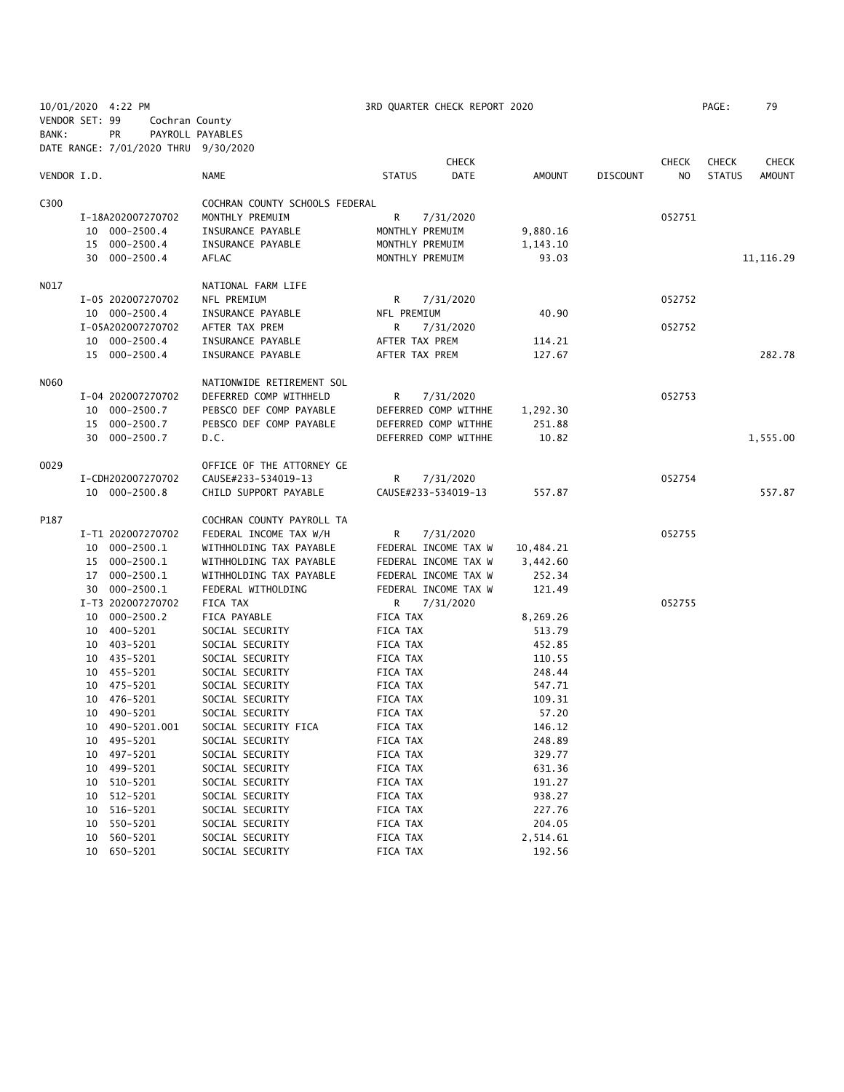|                |    | 10/01/2020 4:22 PM                   |                                                    |                 | 3RD QUARTER CHECK REPORT 2020                |           |                 |              | PAGE:         | 79           |
|----------------|----|--------------------------------------|----------------------------------------------------|-----------------|----------------------------------------------|-----------|-----------------|--------------|---------------|--------------|
| VENDOR SET: 99 |    | Cochran County                       |                                                    |                 |                                              |           |                 |              |               |              |
| BANK:          |    | PR                                   | PAYROLL PAYABLES                                   |                 |                                              |           |                 |              |               |              |
|                |    | DATE RANGE: 7/01/2020 THRU 9/30/2020 |                                                    |                 |                                              |           |                 |              |               |              |
|                |    |                                      |                                                    |                 | <b>CHECK</b>                                 |           |                 | <b>CHECK</b> | <b>CHECK</b>  | <b>CHECK</b> |
| VENDOR I.D.    |    |                                      | NAME                                               | <b>STATUS</b>   | <b>DATE</b>                                  | AMOUNT    | <b>DISCOUNT</b> | NO.          | <b>STATUS</b> | AMOUNT       |
|                |    |                                      |                                                    |                 |                                              |           |                 |              |               |              |
| C300           |    |                                      | COCHRAN COUNTY SCHOOLS FEDERAL                     |                 |                                              |           |                 |              |               |              |
|                |    | I-18A202007270702                    | MONTHLY PREMUIM                                    | R               | 7/31/2020                                    |           |                 | 052751       |               |              |
|                |    | 10 000-2500.4                        | INSURANCE PAYABLE                                  | MONTHLY PREMUIM |                                              | 9,880.16  |                 |              |               |              |
|                |    | 15 000-2500.4                        | INSURANCE PAYABLE                                  | MONTHLY PREMUIM |                                              | 1,143.10  |                 |              |               |              |
|                |    | 30 000-2500.4                        | AFLAC                                              | MONTHLY PREMUIM |                                              | 93.03     |                 |              |               | 11, 116.29   |
|                |    |                                      |                                                    |                 |                                              |           |                 |              |               |              |
| NO17           |    |                                      | NATIONAL FARM LIFE                                 |                 |                                              |           |                 |              |               |              |
|                |    | I-05 202007270702                    | NFL PREMIUM                                        | R               | 7/31/2020                                    |           |                 | 052752       |               |              |
|                |    | 10 000-2500.4                        | INSURANCE PAYABLE                                  | NFL PREMIUM     |                                              | 40.90     |                 |              |               |              |
|                |    | I-05A202007270702                    | AFTER TAX PREM                                     | R               | 7/31/2020                                    |           |                 | 052752       |               |              |
|                |    | 10 000-2500.4                        | INSURANCE PAYABLE                                  | AFTER TAX PREM  |                                              | 114.21    |                 |              |               |              |
|                |    | 15 000-2500.4                        | INSURANCE PAYABLE                                  | AFTER TAX PREM  |                                              | 127.67    |                 |              |               | 282.78       |
| N060           |    |                                      | NATIONWIDE RETIREMENT SOL                          |                 |                                              |           |                 |              |               |              |
|                |    | I-04 202007270702                    | DEFERRED COMP WITHHELD                             | R               |                                              |           |                 | 052753       |               |              |
|                |    |                                      |                                                    |                 | 7/31/2020<br>DEFERRED COMP WITHHE            |           |                 |              |               |              |
|                |    | 10 000-2500.7                        | PEBSCO DEF COMP PAYABLE<br>PEBSCO DEF COMP PAYABLE |                 |                                              | 1,292.30  |                 |              |               |              |
|                |    | 15 000-2500.7<br>30 000-2500.7       |                                                    |                 | DEFERRED COMP WITHHE<br>DEFERRED COMP WITHHE | 251.88    |                 |              |               | 1,555.00     |
|                |    |                                      | D.C.                                               |                 |                                              | 10.82     |                 |              |               |              |
| 0029           |    |                                      | OFFICE OF THE ATTORNEY GE                          |                 |                                              |           |                 |              |               |              |
|                |    | I-CDH202007270702                    | CAUSE#233-534019-13                                | R.              | 7/31/2020                                    |           |                 | 052754       |               |              |
|                |    | 10 000-2500.8                        | CHILD SUPPORT PAYABLE                              |                 | CAUSE#233-534019-13                          | 557.87    |                 |              |               | 557.87       |
|                |    |                                      |                                                    |                 |                                              |           |                 |              |               |              |
| P187           |    |                                      | COCHRAN COUNTY PAYROLL TA                          |                 |                                              |           |                 |              |               |              |
|                |    | I-T1 202007270702                    | FEDERAL INCOME TAX W/H                             | R               | 7/31/2020                                    |           |                 | 052755       |               |              |
|                |    | 10 000-2500.1                        | WITHHOLDING TAX PAYABLE                            |                 | FEDERAL INCOME TAX W                         | 10,484.21 |                 |              |               |              |
|                |    | 15 000-2500.1                        | WITHHOLDING TAX PAYABLE                            |                 | FEDERAL INCOME TAX W                         | 3,442.60  |                 |              |               |              |
|                |    | 17 000-2500.1                        | WITHHOLDING TAX PAYABLE                            |                 | FEDERAL INCOME TAX W                         | 252.34    |                 |              |               |              |
|                |    | 30 000-2500.1                        | FEDERAL WITHOLDING                                 |                 | FEDERAL INCOME TAX W                         | 121.49    |                 |              |               |              |
|                |    | I-T3 202007270702                    | FICA TAX                                           | R.              | 7/31/2020                                    |           |                 | 052755       |               |              |
|                |    | 10 000-2500.2                        | FICA PAYABLE                                       | FICA TAX        |                                              | 8,269.26  |                 |              |               |              |
|                |    | 10 400-5201                          | SOCIAL SECURITY                                    | FICA TAX        |                                              | 513.79    |                 |              |               |              |
|                |    | 10 403-5201                          | SOCIAL SECURITY                                    | FICA TAX        |                                              | 452.85    |                 |              |               |              |
|                |    | 10 435-5201                          | SOCIAL SECURITY                                    | FICA TAX        |                                              | 110.55    |                 |              |               |              |
|                |    | 10 455-5201                          | SOCIAL SECURITY                                    | FICA TAX        |                                              | 248.44    |                 |              |               |              |
|                |    | 10 475-5201                          | SOCIAL SECURITY                                    | FICA TAX        |                                              | 547.71    |                 |              |               |              |
|                |    | 10 476-5201                          | SOCIAL SECURITY                                    | FICA TAX        |                                              | 109.31    |                 |              |               |              |
|                |    | 10 490-5201                          | SOCIAL SECURITY                                    | FICA TAX        |                                              | 57.20     |                 |              |               |              |
|                | 10 | 490-5201.001                         | SOCIAL SECURITY FICA                               | FICA TAX        |                                              | 146.12    |                 |              |               |              |
|                | 10 | 495-5201                             | SOCIAL SECURITY                                    | FICA TAX        |                                              | 248.89    |                 |              |               |              |
|                | 10 | 497-5201                             | SOCIAL SECURITY                                    | FICA TAX        |                                              | 329.77    |                 |              |               |              |
|                | 10 | 499-5201                             | SOCIAL SECURITY                                    | FICA TAX        |                                              | 631.36    |                 |              |               |              |
|                | 10 | 510-5201                             | SOCIAL SECURITY                                    | FICA TAX        |                                              | 191.27    |                 |              |               |              |
|                | 10 | 512-5201                             | SOCIAL SECURITY                                    | FICA TAX        |                                              | 938.27    |                 |              |               |              |
|                | 10 | 516-5201                             | SOCIAL SECURITY                                    | FICA TAX        |                                              | 227.76    |                 |              |               |              |
|                | 10 | 550-5201                             | SOCIAL SECURITY                                    | FICA TAX        |                                              | 204.05    |                 |              |               |              |
|                | 10 | 560-5201                             | SOCIAL SECURITY                                    | FICA TAX        |                                              | 2,514.61  |                 |              |               |              |
|                | 10 | 650-5201                             | SOCIAL SECURITY                                    | FICA TAX        |                                              | 192.56    |                 |              |               |              |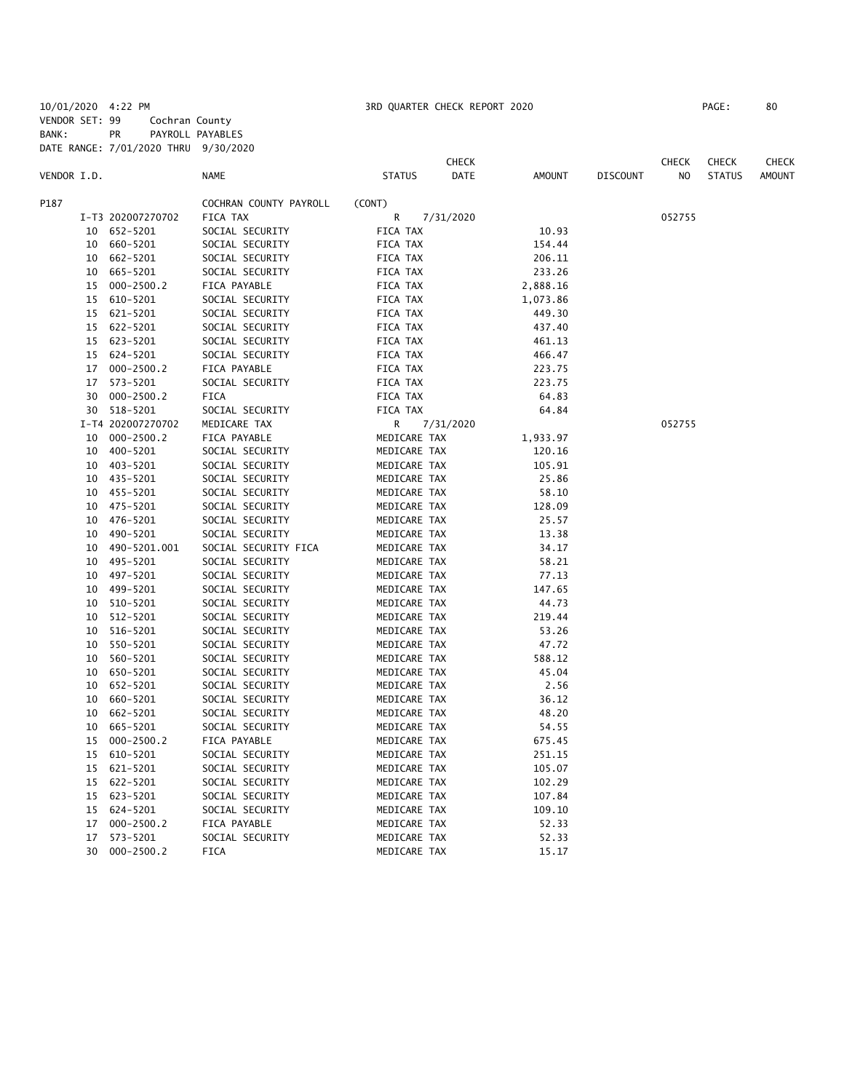10/01/2020 4:22 PM 3RD QUARTER CHECK REPORT 2020 PAGE: 80 VENDOR SET: 99 Cochran County BANK: PR PAYROLL PAYABLES DATE RANGE: 7/01/2020 THRU 9/30/2020

|             |    | DATE KANUE. 770172020 THIND |                        |               |                             |               |          |                                |                               |                               |
|-------------|----|-----------------------------|------------------------|---------------|-----------------------------|---------------|----------|--------------------------------|-------------------------------|-------------------------------|
| VENDOR I.D. |    |                             | <b>NAME</b>            | <b>STATUS</b> | <b>CHECK</b><br><b>DATE</b> | <b>AMOUNT</b> | DISCOUNT | <b>CHECK</b><br>N <sub>O</sub> | <b>CHECK</b><br><b>STATUS</b> | <b>CHECK</b><br><b>AMOUNT</b> |
| P187        |    |                             | COCHRAN COUNTY PAYROLL | (CONT)        |                             |               |          |                                |                               |                               |
|             |    | I-T3 202007270702           | FICA TAX               | R             | 7/31/2020                   |               |          | 052755                         |                               |                               |
|             | 10 | 652-5201                    | SOCIAL SECURITY        | FICA TAX      |                             | 10.93         |          |                                |                               |                               |
|             | 10 | 660-5201                    | SOCIAL SECURITY        | FICA TAX      |                             | 154.44        |          |                                |                               |                               |
|             | 10 | 662-5201                    | SOCIAL SECURITY        | FICA TAX      |                             | 206.11        |          |                                |                               |                               |
|             | 10 | 665-5201                    | SOCIAL SECURITY        | FICA TAX      |                             | 233.26        |          |                                |                               |                               |
|             | 15 | $000 - 2500.2$              | FICA PAYABLE           | FICA TAX      |                             | 2,888.16      |          |                                |                               |                               |
|             | 15 | 610-5201                    | SOCIAL SECURITY        | FICA TAX      |                             | 1,073.86      |          |                                |                               |                               |
|             | 15 | 621-5201                    | SOCIAL SECURITY        | FICA TAX      |                             | 449.30        |          |                                |                               |                               |
|             | 15 | 622-5201                    | SOCIAL SECURITY        | FICA TAX      |                             | 437.40        |          |                                |                               |                               |
|             |    | 15 623-5201                 | SOCIAL SECURITY        | FICA TAX      |                             | 461.13        |          |                                |                               |                               |
|             |    | 15 624-5201                 | SOCIAL SECURITY        | FICA TAX      |                             | 466.47        |          |                                |                               |                               |
|             | 17 | $000 - 2500.2$              | FICA PAYABLE           | FICA TAX      |                             | 223.75        |          |                                |                               |                               |
|             |    | 17 573-5201                 | SOCIAL SECURITY        | FICA TAX      |                             | 223.75        |          |                                |                               |                               |
|             | 30 | 000-2500.2                  | <b>FICA</b>            | FICA TAX      |                             | 64.83         |          |                                |                               |                               |
|             | 30 | 518-5201                    | SOCIAL SECURITY        | FICA TAX      |                             | 64.84         |          |                                |                               |                               |
|             |    | I-T4 202007270702           | MEDICARE TAX           | R             | 7/31/2020                   |               |          | 052755                         |                               |                               |
|             | 10 | $000 - 2500.2$              | FICA PAYABLE           | MEDICARE TAX  |                             | 1,933.97      |          |                                |                               |                               |
|             |    | 10 400-5201                 | SOCIAL SECURITY        | MEDICARE TAX  |                             | 120.16        |          |                                |                               |                               |
|             | 10 | 403-5201                    | SOCIAL SECURITY        | MEDICARE TAX  |                             | 105.91        |          |                                |                               |                               |
|             |    | 10 435-5201                 | SOCIAL SECURITY        | MEDICARE TAX  |                             | 25.86         |          |                                |                               |                               |
|             | 10 | 455-5201                    | SOCIAL SECURITY        | MEDICARE TAX  |                             | 58.10         |          |                                |                               |                               |
|             | 10 | 475-5201                    | SOCIAL SECURITY        | MEDICARE TAX  |                             | 128.09        |          |                                |                               |                               |
|             |    | 10 476-5201                 | SOCIAL SECURITY        | MEDICARE TAX  |                             | 25.57         |          |                                |                               |                               |
|             | 10 | 490-5201                    | SOCIAL SECURITY        | MEDICARE TAX  |                             | 13.38         |          |                                |                               |                               |
|             | 10 | 490-5201.001                | SOCIAL SECURITY FICA   | MEDICARE TAX  |                             | 34.17         |          |                                |                               |                               |
|             | 10 | 495-5201                    | SOCIAL SECURITY        | MEDICARE TAX  |                             | 58.21         |          |                                |                               |                               |
|             | 10 | 497-5201                    | SOCIAL SECURITY        | MEDICARE TAX  |                             | 77.13         |          |                                |                               |                               |
|             | 10 | 499-5201                    | SOCIAL SECURITY        | MEDICARE TAX  |                             | 147.65        |          |                                |                               |                               |
|             |    | 10 510-5201                 | SOCIAL SECURITY        | MEDICARE TAX  |                             | 44.73         |          |                                |                               |                               |
|             |    | 10 512-5201                 | SOCIAL SECURITY        | MEDICARE TAX  |                             | 219.44        |          |                                |                               |                               |
|             | 10 | 516-5201                    | SOCIAL SECURITY        | MEDICARE TAX  |                             | 53.26         |          |                                |                               |                               |
|             | 10 | 550-5201                    | SOCIAL SECURITY        | MEDICARE TAX  |                             | 47.72         |          |                                |                               |                               |
|             | 10 | 560-5201                    | SOCIAL SECURITY        | MEDICARE TAX  |                             | 588.12        |          |                                |                               |                               |
|             | 10 | 650-5201                    | SOCIAL SECURITY        | MEDICARE TAX  |                             | 45.04         |          |                                |                               |                               |
|             | 10 | 652-5201                    | SOCIAL SECURITY        | MEDICARE TAX  |                             | 2.56          |          |                                |                               |                               |
|             | 10 | 660-5201                    | SOCIAL SECURITY        | MEDICARE TAX  |                             | 36.12         |          |                                |                               |                               |
|             | 10 | 662-5201                    | SOCIAL SECURITY        | MEDICARE TAX  |                             | 48.20         |          |                                |                               |                               |
|             | 10 | 665-5201                    | SOCIAL SECURITY        | MEDICARE TAX  |                             | 54.55         |          |                                |                               |                               |
|             | 15 | $000 - 2500.2$              | FICA PAYABLE           | MEDICARE TAX  |                             | 675.45        |          |                                |                               |                               |
|             | 15 | 610-5201                    | SOCIAL SECURITY        | MEDICARE TAX  |                             | 251.15        |          |                                |                               |                               |
|             | 15 | 621-5201                    | SOCIAL SECURITY        | MEDICARE TAX  |                             | 105.07        |          |                                |                               |                               |
|             |    | 15 622-5201                 | SOCIAL SECURITY        | MEDICARE TAX  |                             | 102.29        |          |                                |                               |                               |
|             | 15 | 623-5201                    | SOCIAL SECURITY        | MEDICARE TAX  |                             | 107.84        |          |                                |                               |                               |
|             | 15 | 624-5201                    | SOCIAL SECURITY        | MEDICARE TAX  |                             | 109.10        |          |                                |                               |                               |
|             | 17 | $000 - 2500.2$              | FICA PAYABLE           | MEDICARE TAX  |                             | 52.33         |          |                                |                               |                               |
|             | 17 | $573 - 5201$                | SOCIAL SECURITY        | MEDICARE TAX  |                             | 52.33         |          |                                |                               |                               |
|             | 30 | $000 - 2500.2$              | <b>FICA</b>            | MEDICARE TAX  |                             | 15.17         |          |                                |                               |                               |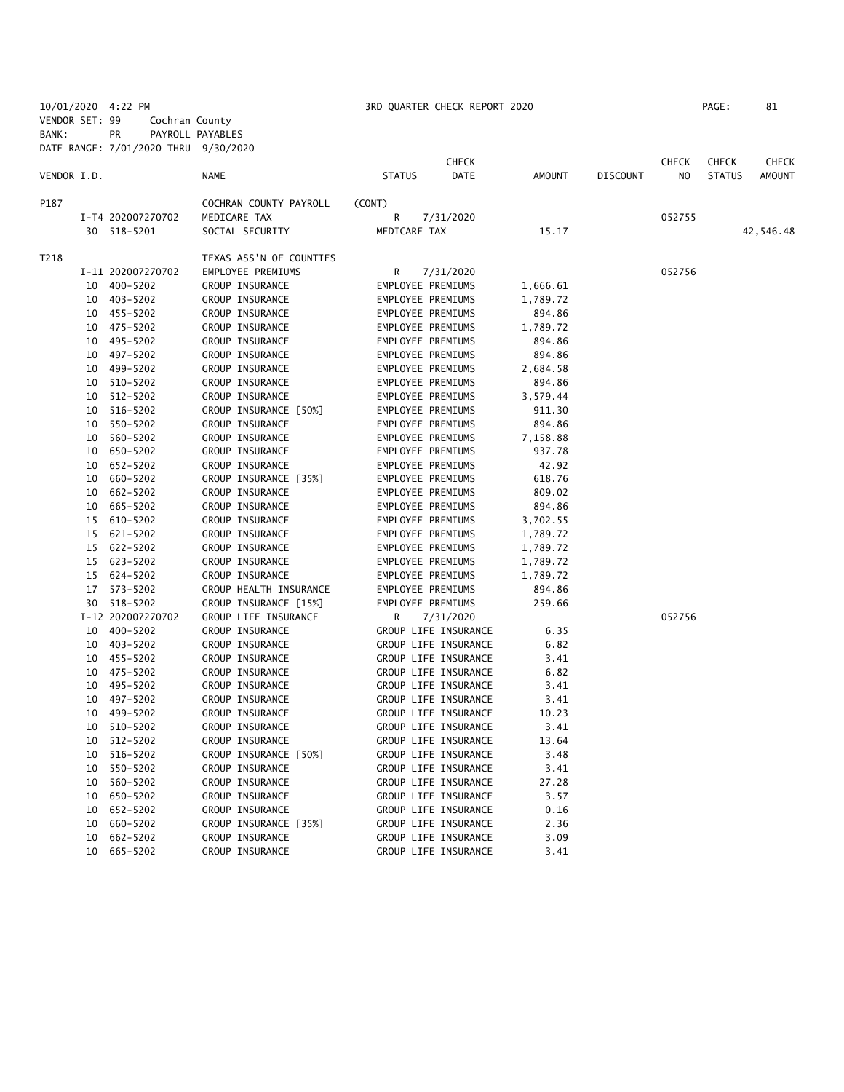10/01/2020 4:22 PM 3RD QUARTER CHECK REPORT 2020 PAGE: 81 VENDOR SET: 99 Cochran County BANK: PR PAYROLL PAYABLES

|             |    | DATE RANGE: 7/01/2020 THRU 9/30/2020 |                         |               |                      |               |                 |              |               |               |
|-------------|----|--------------------------------------|-------------------------|---------------|----------------------|---------------|-----------------|--------------|---------------|---------------|
|             |    |                                      |                         |               | <b>CHECK</b>         |               |                 | <b>CHECK</b> | <b>CHECK</b>  | CHECK         |
| VENDOR I.D. |    |                                      | <b>NAME</b>             | <b>STATUS</b> | DATE                 | <b>AMOUNT</b> | <b>DISCOUNT</b> | NO.          | <b>STATUS</b> | <b>AMOUNT</b> |
| P187        |    |                                      | COCHRAN COUNTY PAYROLL  | (CONT)        |                      |               |                 |              |               |               |
|             |    | I-T4 202007270702                    | MEDICARE TAX            | R             | 7/31/2020            |               |                 | 052755       |               |               |
|             |    | 30 518-5201                          | SOCIAL SECURITY         | MEDICARE TAX  |                      | 15.17         |                 |              |               | 42,546.48     |
| T218        |    |                                      | TEXAS ASS'N OF COUNTIES |               |                      |               |                 |              |               |               |
|             |    | I-11 202007270702                    | EMPLOYEE PREMIUMS       | R             | 7/31/2020            |               |                 | 052756       |               |               |
|             |    | 10 400-5202                          | GROUP INSURANCE         |               | EMPLOYEE PREMIUMS    | 1,666.61      |                 |              |               |               |
|             |    | 10 403-5202                          | GROUP INSURANCE         |               | EMPLOYEE PREMIUMS    | 1,789.72      |                 |              |               |               |
|             |    | 10 455-5202                          | GROUP INSURANCE         |               | EMPLOYEE PREMIUMS    | 894.86        |                 |              |               |               |
|             |    | 10 475-5202                          | GROUP INSURANCE         |               | EMPLOYEE PREMIUMS    | 1,789.72      |                 |              |               |               |
|             |    | 10 495-5202                          | GROUP INSURANCE         |               | EMPLOYEE PREMIUMS    | 894.86        |                 |              |               |               |
|             | 10 | 497-5202                             | GROUP INSURANCE         |               | EMPLOYEE PREMIUMS    | 894.86        |                 |              |               |               |
|             |    | 10 499-5202                          | GROUP INSURANCE         |               | EMPLOYEE PREMIUMS    | 2,684.58      |                 |              |               |               |
|             |    | 10 510-5202                          | GROUP INSURANCE         |               | EMPLOYEE PREMIUMS    | 894.86        |                 |              |               |               |
|             |    | 10 512-5202                          | GROUP INSURANCE         |               | EMPLOYEE PREMIUMS    | 3,579.44      |                 |              |               |               |
|             |    | 10 516-5202                          | GROUP INSURANCE [50%]   |               | EMPLOYEE PREMIUMS    | 911.30        |                 |              |               |               |
|             | 10 | 550-5202                             | GROUP INSURANCE         |               | EMPLOYEE PREMIUMS    | 894.86        |                 |              |               |               |
|             | 10 | 560-5202                             | GROUP INSURANCE         |               | EMPLOYEE PREMIUMS    | 7,158.88      |                 |              |               |               |
|             | 10 | 650-5202                             | GROUP INSURANCE         |               | EMPLOYEE PREMIUMS    | 937.78        |                 |              |               |               |
|             |    | 10 652-5202                          | GROUP INSURANCE         |               | EMPLOYEE PREMIUMS    | 42.92         |                 |              |               |               |
|             | 10 | 660-5202                             | GROUP INSURANCE [35%]   |               | EMPLOYEE PREMIUMS    | 618.76        |                 |              |               |               |
|             | 10 | 662-5202                             | GROUP INSURANCE         |               | EMPLOYEE PREMIUMS    | 809.02        |                 |              |               |               |
|             | 10 | 665-5202                             | GROUP INSURANCE         |               | EMPLOYEE PREMIUMS    | 894.86        |                 |              |               |               |
|             |    | 15 610-5202                          | GROUP INSURANCE         |               | EMPLOYEE PREMIUMS    | 3,702.55      |                 |              |               |               |
|             |    | 15 621-5202                          | GROUP INSURANCE         |               | EMPLOYEE PREMIUMS    | 1,789.72      |                 |              |               |               |
|             |    | 15 622-5202                          | GROUP INSURANCE         |               | EMPLOYEE PREMIUMS    | 1,789.72      |                 |              |               |               |
|             |    | 15 623-5202                          | GROUP INSURANCE         |               | EMPLOYEE PREMIUMS    | 1,789.72      |                 |              |               |               |
|             |    | 15 624-5202                          | GROUP INSURANCE         |               | EMPLOYEE PREMIUMS    | 1,789.72      |                 |              |               |               |
|             |    | 17 573-5202                          | GROUP HEALTH INSURANCE  |               | EMPLOYEE PREMIUMS    | 894.86        |                 |              |               |               |
|             |    | 30 518-5202                          | GROUP INSURANCE [15%]   |               | EMPLOYEE PREMIUMS    | 259.66        |                 |              |               |               |
|             |    | I-12 202007270702                    | GROUP LIFE INSURANCE    | R             | 7/31/2020            |               |                 | 052756       |               |               |
|             |    | 10 400-5202                          | GROUP INSURANCE         |               | GROUP LIFE INSURANCE | 6.35          |                 |              |               |               |
|             |    | 10 403-5202                          | GROUP INSURANCE         |               | GROUP LIFE INSURANCE | 6.82          |                 |              |               |               |
|             |    | 10 455-5202                          | GROUP INSURANCE         |               | GROUP LIFE INSURANCE | 3.41          |                 |              |               |               |
|             |    | 10 475-5202                          | GROUP INSURANCE         |               | GROUP LIFE INSURANCE | 6.82          |                 |              |               |               |
|             |    | 10 495-5202                          | GROUP INSURANCE         |               | GROUP LIFE INSURANCE | 3.41          |                 |              |               |               |
|             |    | 10 497-5202                          | GROUP INSURANCE         |               | GROUP LIFE INSURANCE | 3.41          |                 |              |               |               |
|             | 10 | 499-5202                             | GROUP INSURANCE         |               | GROUP LIFE INSURANCE | 10.23         |                 |              |               |               |
|             |    | 10 510-5202                          | GROUP INSURANCE         |               | GROUP LIFE INSURANCE | 3.41          |                 |              |               |               |
|             |    | 10 512-5202                          | GROUP INSURANCE         |               | GROUP LIFE INSURANCE | 13.64         |                 |              |               |               |
|             | 10 | 516-5202                             | GROUP INSURANCE [50%]   |               | GROUP LIFE INSURANCE | 3.48          |                 |              |               |               |
|             | 10 | 550-5202                             | GROUP INSURANCE         |               | GROUP LIFE INSURANCE | 3.41          |                 |              |               |               |
|             | 10 | 560-5202                             | GROUP INSURANCE         |               | GROUP LIFE INSURANCE | 27.28         |                 |              |               |               |
|             | 10 | 650-5202                             | GROUP INSURANCE         |               | GROUP LIFE INSURANCE | 3.57          |                 |              |               |               |
|             | 10 | 652-5202                             | GROUP INSURANCE         |               | GROUP LIFE INSURANCE | 0.16          |                 |              |               |               |
|             | 10 | 660-5202                             | GROUP INSURANCE [35%]   |               | GROUP LIFE INSURANCE | 2.36          |                 |              |               |               |
|             | 10 | 662-5202                             | GROUP INSURANCE         |               | GROUP LIFE INSURANCE | 3.09          |                 |              |               |               |
|             | 10 | 665-5202                             | GROUP INSURANCE         |               | GROUP LIFE INSURANCE | 3.41          |                 |              |               |               |
|             |    |                                      |                         |               |                      |               |                 |              |               |               |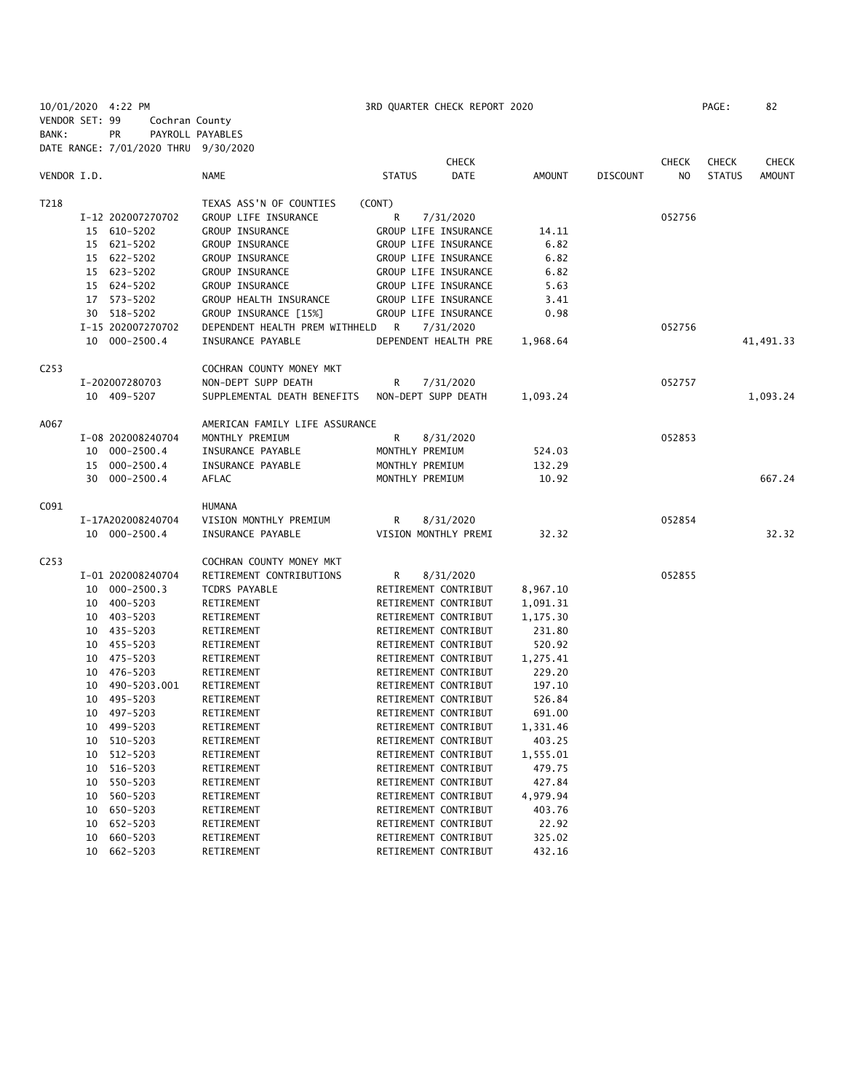10/01/2020 4:22 PM 3RD QUARTER CHECK REPORT 2020 PAGE: 82 VENDOR SET: 99 Cochran County BANK: PR PAYROLL PAYABLES DATE RANGE: 7/01/2020 THRU 9/30/2020

|                  |                      |                                | <b>CHECK</b>          |               |                 | <b>CHECK</b>   | <b>CHECK</b>  | <b>CHECK</b>  |
|------------------|----------------------|--------------------------------|-----------------------|---------------|-----------------|----------------|---------------|---------------|
| VENDOR I.D.      |                      | <b>NAME</b>                    | <b>STATUS</b><br>DATE | <b>AMOUNT</b> | <b>DISCOUNT</b> | N <sub>O</sub> | <b>STATUS</b> | <b>AMOUNT</b> |
| T218             |                      | TEXAS ASS'N OF COUNTIES        | (CONT)                |               |                 |                |               |               |
|                  | I-12 202007270702    | GROUP LIFE INSURANCE           | R<br>7/31/2020        |               |                 | 052756         |               |               |
|                  | 15 610-5202          | GROUP INSURANCE                | GROUP LIFE INSURANCE  | 14.11         |                 |                |               |               |
|                  | 621-5202<br>15       | GROUP INSURANCE                | GROUP LIFE INSURANCE  | 6.82          |                 |                |               |               |
|                  | 15 622-5202          | GROUP INSURANCE                | GROUP LIFE INSURANCE  | 6.82          |                 |                |               |               |
|                  | 15 623-5202          | GROUP INSURANCE                | GROUP LIFE INSURANCE  | 6.82          |                 |                |               |               |
|                  | 15 624-5202          | GROUP INSURANCE                | GROUP LIFE INSURANCE  | 5.63          |                 |                |               |               |
|                  | 17 573-5202          | GROUP HEALTH INSURANCE         | GROUP LIFE INSURANCE  | 3.41          |                 |                |               |               |
|                  | 30 518-5202          | GROUP INSURANCE [15%]          | GROUP LIFE INSURANCE  | 0.98          |                 |                |               |               |
|                  | I-15 202007270702    | DEPENDENT HEALTH PREM WITHHELD | R<br>7/31/2020        |               |                 | 052756         |               |               |
|                  | $000 - 2500.4$<br>10 | INSURANCE PAYABLE              | DEPENDENT HEALTH PRE  | 1,968.64      |                 |                |               | 41,491.33     |
| C <sub>253</sub> |                      | COCHRAN COUNTY MONEY MKT       |                       |               |                 |                |               |               |
|                  | I-202007280703       | NON-DEPT SUPP DEATH            | 7/31/2020<br>R        |               |                 | 052757         |               |               |
|                  | 10 409-5207          | SUPPLEMENTAL DEATH BENEFITS    | NON-DEPT SUPP DEATH   | 1,093.24      |                 |                |               | 1,093.24      |
| A067             |                      | AMERICAN FAMILY LIFE ASSURANCE |                       |               |                 |                |               |               |
|                  | I-08 202008240704    | MONTHLY PREMIUM                | R<br>8/31/2020        |               |                 | 052853         |               |               |
|                  | $000 - 2500.4$<br>10 | INSURANCE PAYABLE              | MONTHLY PREMIUM       | 524.03        |                 |                |               |               |
|                  | $000 - 2500.4$<br>15 | INSURANCE PAYABLE              | MONTHLY PREMIUM       | 132.29        |                 |                |               |               |
|                  | $000 - 2500.4$<br>30 | AFLAC                          | MONTHLY PREMIUM       | 10.92         |                 |                |               | 667.24        |
| C091             |                      | <b>HUMANA</b>                  |                       |               |                 |                |               |               |
|                  | I-17A202008240704    | VISION MONTHLY PREMIUM         | 8/31/2020<br>R        |               |                 | 052854         |               |               |
|                  | 10 000-2500.4        | INSURANCE PAYABLE              | VISION MONTHLY PREMI  | 32.32         |                 |                |               | 32.32         |
| C <sub>253</sub> |                      | COCHRAN COUNTY MONEY MKT       |                       |               |                 |                |               |               |
|                  | I-01 202008240704    | RETIREMENT CONTRIBUTIONS       | R<br>8/31/2020        |               |                 | 052855         |               |               |
|                  | $000 - 2500.3$<br>10 | TCDRS PAYABLE                  | RETIREMENT CONTRIBUT  | 8,967.10      |                 |                |               |               |
|                  | 400-5203<br>10       | RETIREMENT                     | RETIREMENT CONTRIBUT  | 1,091.31      |                 |                |               |               |
|                  | 403-5203<br>10       | RETIREMENT                     | RETIREMENT CONTRIBUT  | 1,175.30      |                 |                |               |               |
|                  | 435-5203<br>10       | RETIREMENT                     | RETIREMENT CONTRIBUT  | 231.80        |                 |                |               |               |
|                  | 10 455-5203          | RETIREMENT                     | RETIREMENT CONTRIBUT  | 520.92        |                 |                |               |               |
|                  | 10 475-5203          | RETIREMENT                     | RETIREMENT CONTRIBUT  | 1,275.41      |                 |                |               |               |
|                  | 10 476-5203          | RETIREMENT                     | RETIREMENT CONTRIBUT  | 229.20        |                 |                |               |               |
|                  | 10 490-5203.001      | RETIREMENT                     | RETIREMENT CONTRIBUT  | 197.10        |                 |                |               |               |
|                  | 495-5203<br>10       | RETIREMENT                     | RETIREMENT CONTRIBUT  | 526.84        |                 |                |               |               |
|                  | 497-5203<br>10       | RETIREMENT                     | RETIREMENT CONTRIBUT  | 691.00        |                 |                |               |               |
|                  | 499-5203<br>10       | RETIREMENT                     | RETIREMENT CONTRIBUT  | 1,331.46      |                 |                |               |               |
|                  | 510-5203<br>10       | RETIREMENT                     | RETIREMENT CONTRIBUT  | 403.25        |                 |                |               |               |
|                  | 512-5203<br>10       | RETIREMENT                     | RETIREMENT CONTRIBUT  | 1,555.01      |                 |                |               |               |
|                  | 516-5203<br>10       | RETIREMENT                     | RETIREMENT CONTRIBUT  | 479.75        |                 |                |               |               |
|                  | 550-5203<br>10       | RETIREMENT                     | RETIREMENT CONTRIBUT  | 427.84        |                 |                |               |               |
|                  | 560-5203<br>10       | RETIREMENT                     | RETIREMENT CONTRIBUT  | 4,979.94      |                 |                |               |               |
|                  | 650-5203<br>10       | RETIREMENT                     | RETIREMENT CONTRIBUT  | 403.76        |                 |                |               |               |
|                  | 652-5203<br>10       | RETIREMENT                     | RETIREMENT CONTRIBUT  | 22.92         |                 |                |               |               |
|                  | 10<br>660-5203       | RETIREMENT                     | RETIREMENT CONTRIBUT  | 325.02        |                 |                |               |               |
|                  | 10<br>662-5203       | RETIREMENT                     | RETIREMENT CONTRIBUT  | 432.16        |                 |                |               |               |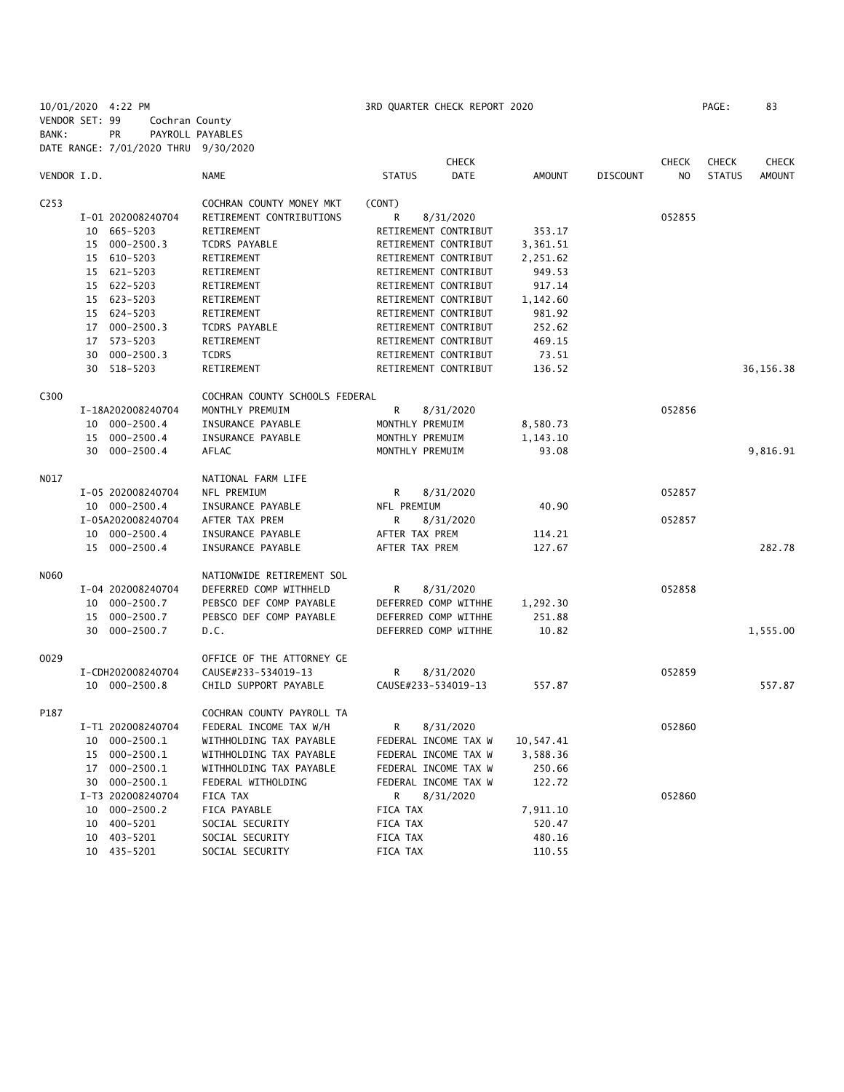10/01/2020 4:22 PM 3RD QUARTER CHECK REPORT 2020 PAGE: 83 VENDOR SET: 99 Cochran County BANK: PR PAYROLL PAYABLES DATE RANGE: 7/01/2020 THRU 9/30/2020

|                  |    |                   |                                |                      | <b>CHECK</b> |               |                 | <b>CHECK</b>   | <b>CHECK</b>  | <b>CHECK</b>  |
|------------------|----|-------------------|--------------------------------|----------------------|--------------|---------------|-----------------|----------------|---------------|---------------|
| VENDOR I.D.      |    |                   | <b>NAME</b>                    | <b>STATUS</b>        | <b>DATE</b>  | <b>AMOUNT</b> | <b>DISCOUNT</b> | N <sub>O</sub> | <b>STATUS</b> | <b>AMOUNT</b> |
| C <sub>253</sub> |    |                   | COCHRAN COUNTY MONEY MKT       | (CONT)               |              |               |                 |                |               |               |
|                  |    | I-01 202008240704 | RETIREMENT CONTRIBUTIONS       | R                    | 8/31/2020    |               |                 | 052855         |               |               |
|                  |    | 10 665-5203       | RETIREMENT                     | RETIREMENT CONTRIBUT |              | 353.17        |                 |                |               |               |
|                  |    | 15 000-2500.3     | TCDRS PAYABLE                  | RETIREMENT CONTRIBUT |              | 3,361.51      |                 |                |               |               |
|                  |    | 15 610-5203       | RETIREMENT                     | RETIREMENT CONTRIBUT |              | 2,251.62      |                 |                |               |               |
|                  |    | 15 621-5203       | RETIREMENT                     | RETIREMENT CONTRIBUT |              | 949.53        |                 |                |               |               |
|                  |    | 15 622-5203       | RETIREMENT                     | RETIREMENT CONTRIBUT |              | 917.14        |                 |                |               |               |
|                  |    | 15 623-5203       | RETIREMENT                     | RETIREMENT CONTRIBUT |              | 1,142.60      |                 |                |               |               |
|                  |    | 15 624-5203       | RETIREMENT                     | RETIREMENT CONTRIBUT |              | 981.92        |                 |                |               |               |
|                  |    | 17 000-2500.3     | TCDRS PAYABLE                  | RETIREMENT CONTRIBUT |              | 252.62        |                 |                |               |               |
|                  |    | 17 573-5203       | RETIREMENT                     | RETIREMENT CONTRIBUT |              | 469.15        |                 |                |               |               |
|                  | 30 | $000 - 2500.3$    | <b>TCDRS</b>                   | RETIREMENT CONTRIBUT |              | 73.51         |                 |                |               |               |
|                  | 30 | 518-5203          | RETIREMENT                     | RETIREMENT CONTRIBUT |              | 136.52        |                 |                |               | 36,156.38     |
| C300             |    |                   | COCHRAN COUNTY SCHOOLS FEDERAL |                      |              |               |                 |                |               |               |
|                  |    | I-18A202008240704 | MONTHLY PREMUIM                | R                    | 8/31/2020    |               |                 | 052856         |               |               |
|                  |    | 10 000-2500.4     | INSURANCE PAYABLE              | MONTHLY PREMUIM      |              | 8,580.73      |                 |                |               |               |
|                  |    | 15 000-2500.4     | INSURANCE PAYABLE              | MONTHLY PREMUIM      |              | 1,143.10      |                 |                |               |               |
|                  |    | 30 000-2500.4     | AFLAC                          | MONTHLY PREMUIM      |              | 93.08         |                 |                |               | 9,816.91      |
| NO17             |    |                   | NATIONAL FARM LIFE             |                      |              |               |                 |                |               |               |
|                  |    | I-05 202008240704 | NFL PREMIUM                    | R                    | 8/31/2020    |               |                 | 052857         |               |               |
|                  |    | 10 000-2500.4     | INSURANCE PAYABLE              | NFL PREMIUM          |              | 40.90         |                 |                |               |               |
|                  |    | I-05A202008240704 | AFTER TAX PREM                 | R                    | 8/31/2020    |               |                 | 052857         |               |               |
|                  |    | 10 000-2500.4     | INSURANCE PAYABLE              | AFTER TAX PREM       |              | 114.21        |                 |                |               |               |
|                  |    | 15 000-2500.4     | INSURANCE PAYABLE              | AFTER TAX PREM       |              | 127.67        |                 |                |               | 282.78        |
| N060             |    |                   | NATIONWIDE RETIREMENT SOL      |                      |              |               |                 |                |               |               |
|                  |    | I-04 202008240704 | DEFERRED COMP WITHHELD         | R                    | 8/31/2020    |               |                 | 052858         |               |               |
|                  |    | 10 000-2500.7     | PEBSCO DEF COMP PAYABLE        | DEFERRED COMP WITHHE |              | 1,292.30      |                 |                |               |               |
|                  | 15 | 000-2500.7        | PEBSCO DEF COMP PAYABLE        | DEFERRED COMP WITHHE |              | 251.88        |                 |                |               |               |
|                  | 30 | 000-2500.7        | D.C.                           | DEFERRED COMP WITHHE |              | 10.82         |                 |                |               | 1,555.00      |
| 0029             |    |                   | OFFICE OF THE ATTORNEY GE      |                      |              |               |                 |                |               |               |
|                  |    | I-CDH202008240704 | CAUSE#233-534019-13            | R                    | 8/31/2020    |               |                 | 052859         |               |               |
|                  |    | 10 000-2500.8     | CHILD SUPPORT PAYABLE          | CAUSE#233-534019-13  |              | 557.87        |                 |                |               | 557.87        |
| P187             |    |                   | COCHRAN COUNTY PAYROLL TA      |                      |              |               |                 |                |               |               |
|                  |    | I-T1 202008240704 | FEDERAL INCOME TAX W/H         | R                    | 8/31/2020    |               |                 | 052860         |               |               |
|                  |    | 10 000-2500.1     | WITHHOLDING TAX PAYABLE        | FEDERAL INCOME TAX W |              | 10,547.41     |                 |                |               |               |
|                  |    | 15 000-2500.1     | WITHHOLDING TAX PAYABLE        | FEDERAL INCOME TAX W |              | 3,588.36      |                 |                |               |               |
|                  |    | 17 000-2500.1     | WITHHOLDING TAX PAYABLE        | FEDERAL INCOME TAX W |              | 250.66        |                 |                |               |               |
|                  |    | 30 000-2500.1     | FEDERAL WITHOLDING             | FEDERAL INCOME TAX W |              | 122.72        |                 |                |               |               |
|                  |    | I-T3 202008240704 | FICA TAX                       | R                    | 8/31/2020    |               |                 | 052860         |               |               |
|                  |    | 10 000-2500.2     | FICA PAYABLE                   | FICA TAX             |              | 7,911.10      |                 |                |               |               |
|                  |    | 10 400-5201       | SOCIAL SECURITY                | FICA TAX             |              | 520.47        |                 |                |               |               |
|                  |    | 10 403-5201       | SOCIAL SECURITY                | FICA TAX             |              | 480.16        |                 |                |               |               |
|                  |    | 10 435-5201       | SOCIAL SECURITY                | <b>FICA TAX</b>      |              | 110.55        |                 |                |               |               |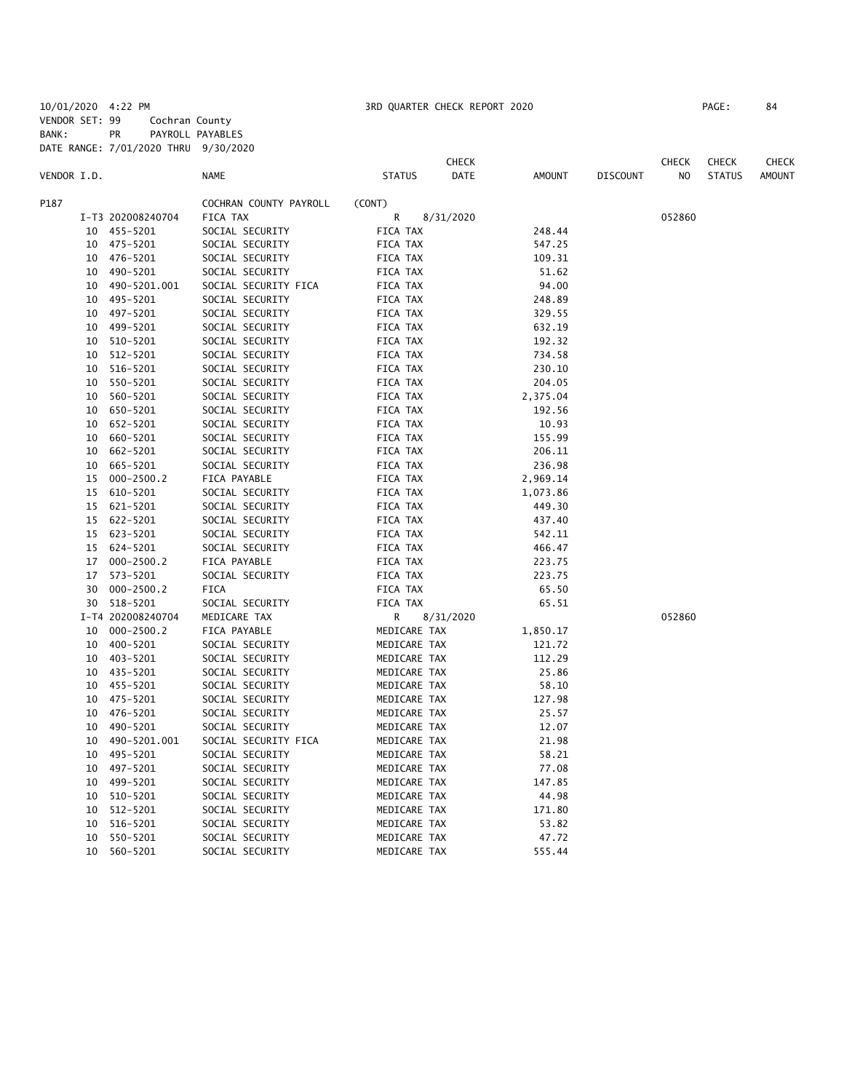10/01/2020 4:22 PM 3RD QUARTER CHECK REPORT 2020 PAGE: 84 VENDOR SET: 99 Cochran County BANK: PR PAYROLL PAYABLES DATE RANGE: 7/01/2020 THRU 9/30/2020

|             |    |                   |                        |               | CHECK     |               |                 | CHECK  | <b>CHECK</b>  | CHECK         |
|-------------|----|-------------------|------------------------|---------------|-----------|---------------|-----------------|--------|---------------|---------------|
| VENDOR I.D. |    |                   | <b>NAME</b>            | <b>STATUS</b> | DATE      | <b>AMOUNT</b> | <b>DISCOUNT</b> | NO     | <b>STATUS</b> | <b>AMOUNT</b> |
| P187        |    |                   | COCHRAN COUNTY PAYROLL | (CONT)        |           |               |                 |        |               |               |
|             |    | I-T3 202008240704 | FICA TAX               | R             | 8/31/2020 |               |                 | 052860 |               |               |
|             | 10 | 455-5201          | SOCIAL SECURITY        | FICA TAX      |           | 248.44        |                 |        |               |               |
|             | 10 | 475-5201          | SOCIAL SECURITY        | FICA TAX      |           | 547.25        |                 |        |               |               |
|             | 10 | 476-5201          | SOCIAL SECURITY        | FICA TAX      |           | 109.31        |                 |        |               |               |
|             | 10 | 490-5201          | SOCIAL SECURITY        | FICA TAX      |           | 51.62         |                 |        |               |               |
|             | 10 | 490-5201.001      | SOCIAL SECURITY FICA   | FICA TAX      |           | 94.00         |                 |        |               |               |
|             | 10 | 495-5201          | SOCIAL SECURITY        | FICA TAX      |           | 248.89        |                 |        |               |               |
|             | 10 | 497-5201          | SOCIAL SECURITY        | FICA TAX      |           | 329.55        |                 |        |               |               |
|             | 10 | 499-5201          | SOCIAL SECURITY        | FICA TAX      |           | 632.19        |                 |        |               |               |
|             | 10 | 510-5201          | SOCIAL SECURITY        | FICA TAX      |           | 192.32        |                 |        |               |               |
|             | 10 | 512-5201          | SOCIAL SECURITY        | FICA TAX      |           | 734.58        |                 |        |               |               |
|             | 10 | 516-5201          | SOCIAL SECURITY        | FICA TAX      |           | 230.10        |                 |        |               |               |
|             | 10 | 550-5201          | SOCIAL SECURITY        | FICA TAX      |           | 204.05        |                 |        |               |               |
|             | 10 | 560-5201          | SOCIAL SECURITY        | FICA TAX      |           | 2,375.04      |                 |        |               |               |
|             | 10 | 650-5201          | SOCIAL SECURITY        | FICA TAX      |           | 192.56        |                 |        |               |               |
|             | 10 | 652-5201          | SOCIAL SECURITY        | FICA TAX      |           | 10.93         |                 |        |               |               |
|             | 10 | 660-5201          | SOCIAL SECURITY        | FICA TAX      |           | 155.99        |                 |        |               |               |
|             | 10 | 662-5201          | SOCIAL SECURITY        | FICA TAX      |           | 206.11        |                 |        |               |               |
|             | 10 | 665-5201          | SOCIAL SECURITY        | FICA TAX      |           | 236.98        |                 |        |               |               |
|             | 15 | $000 - 2500.2$    | FICA PAYABLE           | FICA TAX      |           | 2,969.14      |                 |        |               |               |
|             | 15 | 610-5201          | SOCIAL SECURITY        | FICA TAX      |           | 1,073.86      |                 |        |               |               |
|             | 15 | 621-5201          | SOCIAL SECURITY        | FICA TAX      |           | 449.30        |                 |        |               |               |
|             | 15 | 622-5201          | SOCIAL SECURITY        | FICA TAX      |           | 437.40        |                 |        |               |               |
|             | 15 | 623-5201          | SOCIAL SECURITY        | FICA TAX      |           | 542.11        |                 |        |               |               |
|             | 15 | 624-5201          | SOCIAL SECURITY        | FICA TAX      |           | 466.47        |                 |        |               |               |
|             | 17 | $000 - 2500.2$    | FICA PAYABLE           | FICA TAX      |           | 223.75        |                 |        |               |               |
|             | 17 | 573-5201          | SOCIAL SECURITY        | FICA TAX      |           | 223.75        |                 |        |               |               |
|             | 30 | $000 - 2500.2$    | FICA                   | FICA TAX      |           | 65.50         |                 |        |               |               |
|             | 30 | 518-5201          | SOCIAL SECURITY        | FICA TAX      |           | 65.51         |                 |        |               |               |
|             |    | I-T4 202008240704 | MEDICARE TAX           | R             | 8/31/2020 |               |                 | 052860 |               |               |
|             | 10 | $000 - 2500.2$    | FICA PAYABLE           | MEDICARE TAX  |           | 1,850.17      |                 |        |               |               |
|             | 10 | 400-5201          | SOCIAL SECURITY        | MEDICARE TAX  |           | 121.72        |                 |        |               |               |
|             | 10 | 403-5201          | SOCIAL SECURITY        | MEDICARE TAX  |           | 112.29        |                 |        |               |               |
|             |    | 10 435-5201       | SOCIAL SECURITY        | MEDICARE TAX  |           | 25.86         |                 |        |               |               |
|             |    | 10 455-5201       | SOCIAL SECURITY        | MEDICARE TAX  |           | 58.10         |                 |        |               |               |
|             | 10 | 475-5201          | SOCIAL SECURITY        | MEDICARE TAX  |           | 127.98        |                 |        |               |               |
|             | 10 | 476-5201          | SOCIAL SECURITY        | MEDICARE TAX  |           | 25.57         |                 |        |               |               |
|             | 10 | 490-5201          | SOCIAL SECURITY        | MEDICARE TAX  |           | 12.07         |                 |        |               |               |
|             | 10 | 490-5201.001      | SOCIAL SECURITY FICA   | MEDICARE TAX  |           | 21.98         |                 |        |               |               |
|             | 10 | 495-5201          | SOCIAL SECURITY        | MEDICARE TAX  |           | 58.21         |                 |        |               |               |
|             | 10 | 497-5201          | SOCIAL SECURITY        | MEDICARE TAX  |           | 77.08         |                 |        |               |               |
|             | 10 | 499-5201          | SOCIAL SECURITY        | MEDICARE TAX  |           | 147.85        |                 |        |               |               |
|             | 10 | 510-5201          | SOCIAL SECURITY        | MEDICARE TAX  |           | 44.98         |                 |        |               |               |
|             | 10 | 512-5201          | SOCIAL SECURITY        | MEDICARE TAX  |           | 171.80        |                 |        |               |               |
|             | 10 | 516-5201          | SOCIAL SECURITY        | MEDICARE TAX  |           | 53.82         |                 |        |               |               |
|             | 10 | 550-5201          | SOCIAL SECURITY        | MEDICARE TAX  |           | 47.72         |                 |        |               |               |
|             | 10 | 560-5201          | SOCIAL SECURITY        | MEDICARE TAX  |           | 555.44        |                 |        |               |               |
|             |    |                   |                        |               |           |               |                 |        |               |               |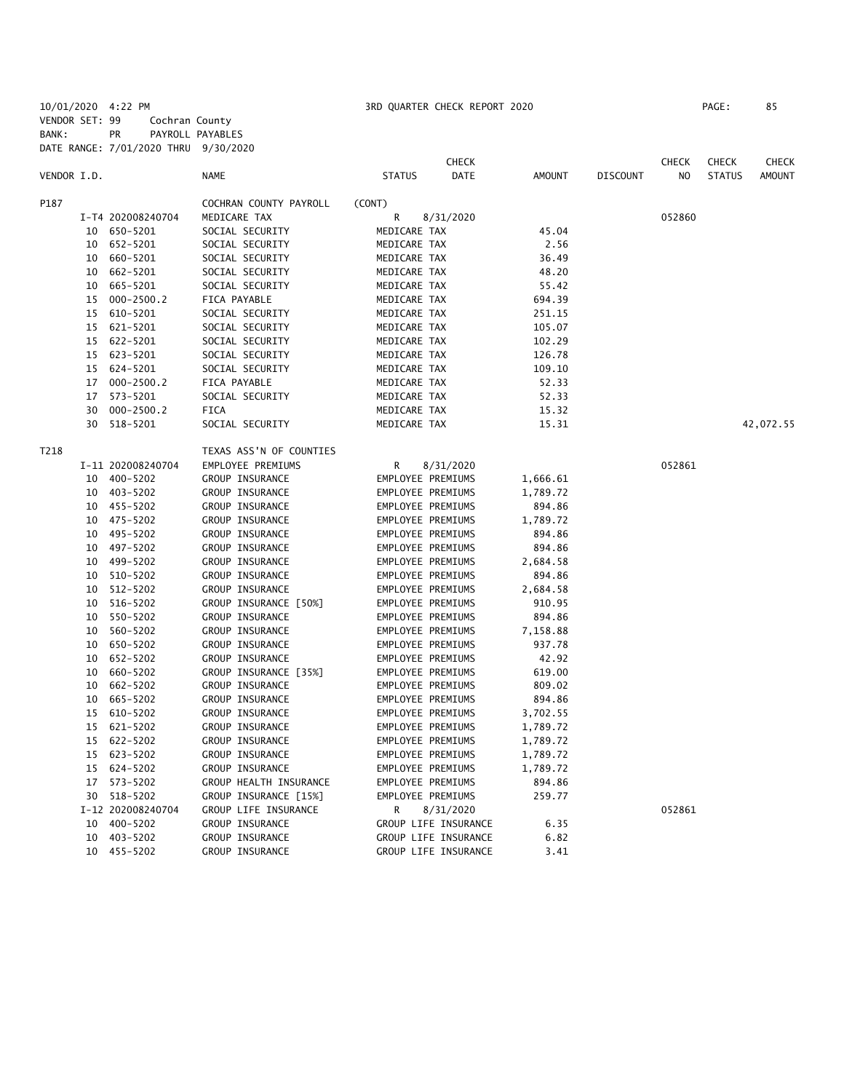10/01/2020 4:22 PM 3RD QUARTER CHECK REPORT 2020 PAGE: 85 VENDOR SET: 99 Cochran County BANK: PR PAYROLL PAYABLES DATE RANGE: 7/01/2020 THRU 9/30/2020

|             |    |                   |                         |                      | <b>CHECK</b> |               |                 | <b>CHECK</b>   | <b>CHECK</b>  | CHECK         |
|-------------|----|-------------------|-------------------------|----------------------|--------------|---------------|-----------------|----------------|---------------|---------------|
| VENDOR I.D. |    |                   | <b>NAME</b>             | <b>STATUS</b>        | DATE         | <b>AMOUNT</b> | <b>DISCOUNT</b> | N <sub>O</sub> | <b>STATUS</b> | <b>AMOUNT</b> |
| P187        |    |                   | COCHRAN COUNTY PAYROLL  | (CONT)               |              |               |                 |                |               |               |
|             |    | I-T4 202008240704 | MEDICARE TAX            | R                    | 8/31/2020    |               |                 | 052860         |               |               |
|             |    | 10 650-5201       | SOCIAL SECURITY         | MEDICARE TAX         |              | 45.04         |                 |                |               |               |
|             |    | 10 652-5201       | SOCIAL SECURITY         | MEDICARE TAX         |              | 2.56          |                 |                |               |               |
|             |    | 10 660-5201       | SOCIAL SECURITY         | MEDICARE TAX         |              | 36.49         |                 |                |               |               |
|             |    | 10 662-5201       | SOCIAL SECURITY         | MEDICARE TAX         |              | 48.20         |                 |                |               |               |
|             | 10 | 665-5201          | SOCIAL SECURITY         | MEDICARE TAX         |              | 55.42         |                 |                |               |               |
|             | 15 | 000-2500.2        | FICA PAYABLE            | MEDICARE TAX         |              | 694.39        |                 |                |               |               |
|             | 15 | 610-5201          | SOCIAL SECURITY         | MEDICARE TAX         |              | 251.15        |                 |                |               |               |
|             | 15 | 621-5201          | SOCIAL SECURITY         | MEDICARE TAX         |              | 105.07        |                 |                |               |               |
|             |    | 15 622-5201       | SOCIAL SECURITY         | MEDICARE TAX         |              | 102.29        |                 |                |               |               |
|             | 15 | 623-5201          | SOCIAL SECURITY         | MEDICARE TAX         |              | 126.78        |                 |                |               |               |
|             |    | 15 624-5201       | SOCIAL SECURITY         | MEDICARE TAX         |              | 109.10        |                 |                |               |               |
|             | 17 | $000 - 2500.2$    | FICA PAYABLE            | MEDICARE TAX         |              | 52.33         |                 |                |               |               |
|             | 17 | 573-5201          | SOCIAL SECURITY         | MEDICARE TAX         |              | 52.33         |                 |                |               |               |
|             | 30 | $000 - 2500.2$    | FICA                    | MEDICARE TAX         |              | 15.32         |                 |                |               |               |
|             | 30 | 518-5201          | SOCIAL SECURITY         | MEDICARE TAX         |              | 15.31         |                 |                |               | 42,072.55     |
| T218        |    |                   | TEXAS ASS'N OF COUNTIES |                      |              |               |                 |                |               |               |
|             |    | I-11 202008240704 | EMPLOYEE PREMIUMS       | R                    | 8/31/2020    |               |                 | 052861         |               |               |
|             |    | 10 400-5202       | GROUP INSURANCE         | EMPLOYEE PREMIUMS    |              | 1,666.61      |                 |                |               |               |
|             |    | 10 403-5202       | GROUP INSURANCE         | EMPLOYEE PREMIUMS    |              | 1,789.72      |                 |                |               |               |
|             |    | 10 455-5202       | GROUP INSURANCE         | EMPLOYEE PREMIUMS    |              | 894.86        |                 |                |               |               |
|             |    | 10 475-5202       | GROUP INSURANCE         | EMPLOYEE PREMIUMS    |              | 1,789.72      |                 |                |               |               |
|             |    | 10 495-5202       | GROUP INSURANCE         | EMPLOYEE PREMIUMS    |              | 894.86        |                 |                |               |               |
|             |    | 10 497-5202       | GROUP INSURANCE         | EMPLOYEE PREMIUMS    |              | 894.86        |                 |                |               |               |
|             |    | 10 499-5202       | GROUP INSURANCE         | EMPLOYEE PREMIUMS    |              | 2,684.58      |                 |                |               |               |
|             |    | 10 510-5202       | GROUP INSURANCE         | EMPLOYEE PREMIUMS    |              | 894.86        |                 |                |               |               |
|             |    | 10 512-5202       | GROUP INSURANCE         | EMPLOYEE PREMIUMS    |              | 2,684.58      |                 |                |               |               |
|             | 10 | 516-5202          | GROUP INSURANCE [50%]   | EMPLOYEE PREMIUMS    |              | 910.95        |                 |                |               |               |
|             | 10 | 550-5202          | GROUP INSURANCE         | EMPLOYEE PREMIUMS    |              | 894.86        |                 |                |               |               |
|             | 10 | 560-5202          | GROUP INSURANCE         | EMPLOYEE PREMIUMS    |              | 7,158.88      |                 |                |               |               |
|             |    | 10 650-5202       | GROUP INSURANCE         | EMPLOYEE PREMIUMS    |              | 937.78        |                 |                |               |               |
|             |    | 10 652-5202       | GROUP INSURANCE         | EMPLOYEE PREMIUMS    |              | 42.92         |                 |                |               |               |
|             |    | 10 660-5202       | GROUP INSURANCE [35%]   | EMPLOYEE PREMIUMS    |              | 619.00        |                 |                |               |               |
|             |    | 10 662-5202       | GROUP INSURANCE         | EMPLOYEE PREMIUMS    |              | 809.02        |                 |                |               |               |
|             | 10 | 665-5202          | GROUP INSURANCE         | EMPLOYEE PREMIUMS    |              | 894.86        |                 |                |               |               |
|             | 15 | 610-5202          | GROUP INSURANCE         | EMPLOYEE PREMIUMS    |              | 3,702.55      |                 |                |               |               |
|             | 15 | 621-5202          | GROUP INSURANCE         | EMPLOYEE PREMIUMS    |              | 1,789.72      |                 |                |               |               |
|             |    | 15 622-5202       | GROUP INSURANCE         | EMPLOYEE PREMIUMS    |              | 1,789.72      |                 |                |               |               |
|             |    | 15 623-5202       | GROUP INSURANCE         | EMPLOYEE PREMIUMS    |              | 1,789.72      |                 |                |               |               |
|             |    | 15 624-5202       | GROUP INSURANCE         | EMPLOYEE PREMIUMS    |              | 1,789.72      |                 |                |               |               |
|             |    | 17 573-5202       | GROUP HEALTH INSURANCE  | EMPLOYEE PREMIUMS    |              | 894.86        |                 |                |               |               |
|             |    | 30 518-5202       | GROUP INSURANCE [15%]   | EMPLOYEE PREMIUMS    |              | 259.77        |                 |                |               |               |
|             |    | I-12 202008240704 | GROUP LIFE INSURANCE    | R.                   | 8/31/2020    |               |                 | 052861         |               |               |
|             |    | 10 400-5202       | GROUP INSURANCE         | GROUP LIFE INSURANCE |              | 6.35          |                 |                |               |               |
|             |    | 10 403-5202       | GROUP INSURANCE         | GROUP LIFE INSURANCE |              | 6.82          |                 |                |               |               |
|             |    | 10 455-5202       | GROUP INSURANCE         | GROUP LIFE INSURANCE |              | 3.41          |                 |                |               |               |
|             |    |                   |                         |                      |              |               |                 |                |               |               |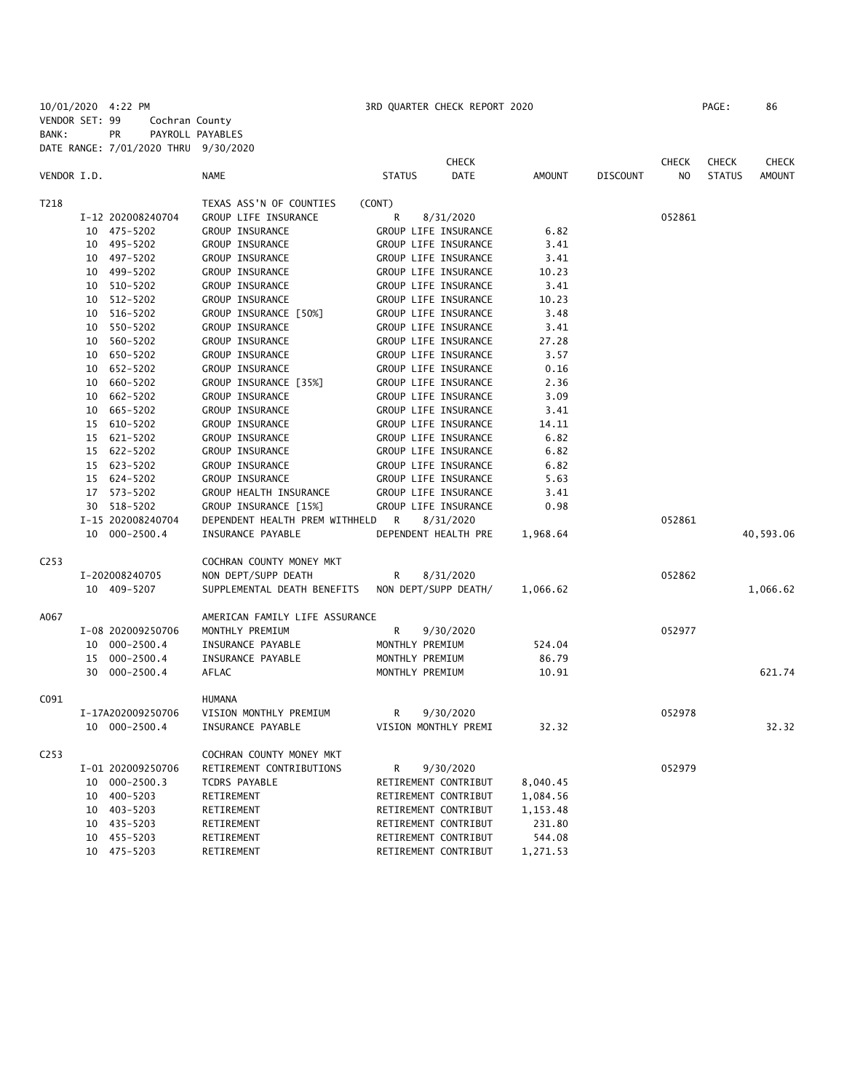10/01/2020 4:22 PM 3RD QUARTER CHECK REPORT 2020 PAGE: 86 VENDOR SET: 99 Cochran County BANK: PR PAYROLL PAYABLES DATE RANGE: 7/01/2020 THRU 9/30/2020

|                  |    |                   |                                |                 | <b>CHECK</b>         |               |                 | <b>CHECK</b>   | <b>CHECK</b>  | <b>CHECK</b>  |
|------------------|----|-------------------|--------------------------------|-----------------|----------------------|---------------|-----------------|----------------|---------------|---------------|
| VENDOR I.D.      |    |                   | <b>NAME</b>                    | <b>STATUS</b>   | <b>DATE</b>          | <b>AMOUNT</b> | <b>DISCOUNT</b> | N <sub>O</sub> | <b>STATUS</b> | <b>AMOUNT</b> |
| T218             |    |                   | TEXAS ASS'N OF COUNTIES        | (CONT)          |                      |               |                 |                |               |               |
|                  |    | I-12 202008240704 | GROUP LIFE INSURANCE           | R               | 8/31/2020            |               |                 | 052861         |               |               |
|                  |    | 10 475-5202       | GROUP INSURANCE                |                 | GROUP LIFE INSURANCE | 6.82          |                 |                |               |               |
|                  | 10 | 495–5202          | GROUP INSURANCE                |                 | GROUP LIFE INSURANCE | 3.41          |                 |                |               |               |
|                  |    | 10 497-5202       | GROUP INSURANCE                |                 | GROUP LIFE INSURANCE | 3.41          |                 |                |               |               |
|                  | 10 | 499-5202          | GROUP INSURANCE                |                 | GROUP LIFE INSURANCE | 10.23         |                 |                |               |               |
|                  | 10 | 510-5202          | GROUP INSURANCE                |                 | GROUP LIFE INSURANCE | 3.41          |                 |                |               |               |
|                  | 10 | 512-5202          | GROUP INSURANCE                |                 | GROUP LIFE INSURANCE | 10.23         |                 |                |               |               |
|                  | 10 | 516-5202          | GROUP INSURANCE [50%]          |                 | GROUP LIFE INSURANCE | 3.48          |                 |                |               |               |
|                  | 10 | 550-5202          | GROUP INSURANCE                |                 | GROUP LIFE INSURANCE | 3.41          |                 |                |               |               |
|                  | 10 | 560-5202          | GROUP INSURANCE                |                 | GROUP LIFE INSURANCE | 27.28         |                 |                |               |               |
|                  | 10 | 650-5202          | GROUP INSURANCE                |                 | GROUP LIFE INSURANCE | 3.57          |                 |                |               |               |
|                  | 10 | 652-5202          | GROUP INSURANCE                |                 | GROUP LIFE INSURANCE | 0.16          |                 |                |               |               |
|                  | 10 | 660-5202          | GROUP INSURANCE [35%]          |                 | GROUP LIFE INSURANCE | 2.36          |                 |                |               |               |
|                  | 10 | 662-5202          | GROUP INSURANCE                |                 | GROUP LIFE INSURANCE | 3.09          |                 |                |               |               |
|                  | 10 | 665-5202          | <b>GROUP INSURANCE</b>         |                 | GROUP LIFE INSURANCE | 3.41          |                 |                |               |               |
|                  | 15 | 610-5202          | GROUP INSURANCE                |                 | GROUP LIFE INSURANCE | 14.11         |                 |                |               |               |
|                  |    | 15 621-5202       | GROUP INSURANCE                |                 | GROUP LIFE INSURANCE | 6.82          |                 |                |               |               |
|                  |    | 15 622-5202       | GROUP INSURANCE                |                 | GROUP LIFE INSURANCE | 6.82          |                 |                |               |               |
|                  |    | 15 623-5202       | GROUP INSURANCE                |                 | GROUP LIFE INSURANCE | 6.82          |                 |                |               |               |
|                  |    | 15 624-5202       | GROUP INSURANCE                |                 | GROUP LIFE INSURANCE | 5.63          |                 |                |               |               |
|                  |    | 17 573-5202       | GROUP HEALTH INSURANCE         |                 | GROUP LIFE INSURANCE | 3.41          |                 |                |               |               |
|                  | 30 | 518-5202          | GROUP INSURANCE [15%]          |                 | GROUP LIFE INSURANCE | 0.98          |                 |                |               |               |
|                  |    | I-15 202008240704 | DEPENDENT HEALTH PREM WITHHELD | R               | 8/31/2020            |               |                 | 052861         |               |               |
|                  |    | 10 000-2500.4     | INSURANCE PAYABLE              |                 | DEPENDENT HEALTH PRE | 1,968.64      |                 |                |               | 40,593.06     |
| C <sub>253</sub> |    |                   | COCHRAN COUNTY MONEY MKT       |                 |                      |               |                 |                |               |               |
|                  |    | I-202008240705    | NON DEPT/SUPP DEATH            | R               | 8/31/2020            |               |                 | 052862         |               |               |
|                  |    | 10 409-5207       | SUPPLEMENTAL DEATH BENEFITS    |                 | NON DEPT/SUPP DEATH/ | 1,066.62      |                 |                |               | 1,066.62      |
| A067             |    |                   | AMERICAN FAMILY LIFE ASSURANCE |                 |                      |               |                 |                |               |               |
|                  |    | I-08 202009250706 | MONTHLY PREMIUM                | R               | 9/30/2020            |               |                 | 052977         |               |               |
|                  |    | 10 000-2500.4     | INSURANCE PAYABLE              | MONTHLY PREMIUM |                      | 524.04        |                 |                |               |               |
|                  | 15 | 000-2500.4        | INSURANCE PAYABLE              | MONTHLY PREMIUM |                      | 86.79         |                 |                |               |               |
|                  | 30 | 000-2500.4        | AFLAC                          | MONTHLY PREMIUM |                      | 10.91         |                 |                |               | 621.74        |
| C091             |    |                   | HUMANA                         |                 |                      |               |                 |                |               |               |
|                  |    | I-17A202009250706 | VISION MONTHLY PREMIUM         | R               | 9/30/2020            |               |                 | 052978         |               |               |
|                  |    | 10 000-2500.4     | INSURANCE PAYABLE              |                 | VISION MONTHLY PREMI | 32.32         |                 |                |               | 32.32         |
| C <sub>253</sub> |    |                   | COCHRAN COUNTY MONEY MKT       |                 |                      |               |                 |                |               |               |
|                  |    | I-01 202009250706 | RETIREMENT CONTRIBUTIONS       | R               | 9/30/2020            |               |                 | 052979         |               |               |
|                  |    | 10 000-2500.3     | TCDRS PAYABLE                  |                 | RETIREMENT CONTRIBUT | 8,040.45      |                 |                |               |               |
|                  |    | 10 400-5203       | RETIREMENT                     |                 | RETIREMENT CONTRIBUT | 1,084.56      |                 |                |               |               |
|                  | 10 | 403-5203          | RETIREMENT                     |                 | RETIREMENT CONTRIBUT | 1,153.48      |                 |                |               |               |
|                  | 10 | 435-5203          | RETIREMENT                     |                 | RETIREMENT CONTRIBUT | 231.80        |                 |                |               |               |
|                  | 10 | 455-5203          | RETIREMENT                     |                 | RETIREMENT CONTRIBUT | 544.08        |                 |                |               |               |
|                  |    | 10 475-5203       | RETIREMENT                     |                 | RETIREMENT CONTRIBUT | 1,271.53      |                 |                |               |               |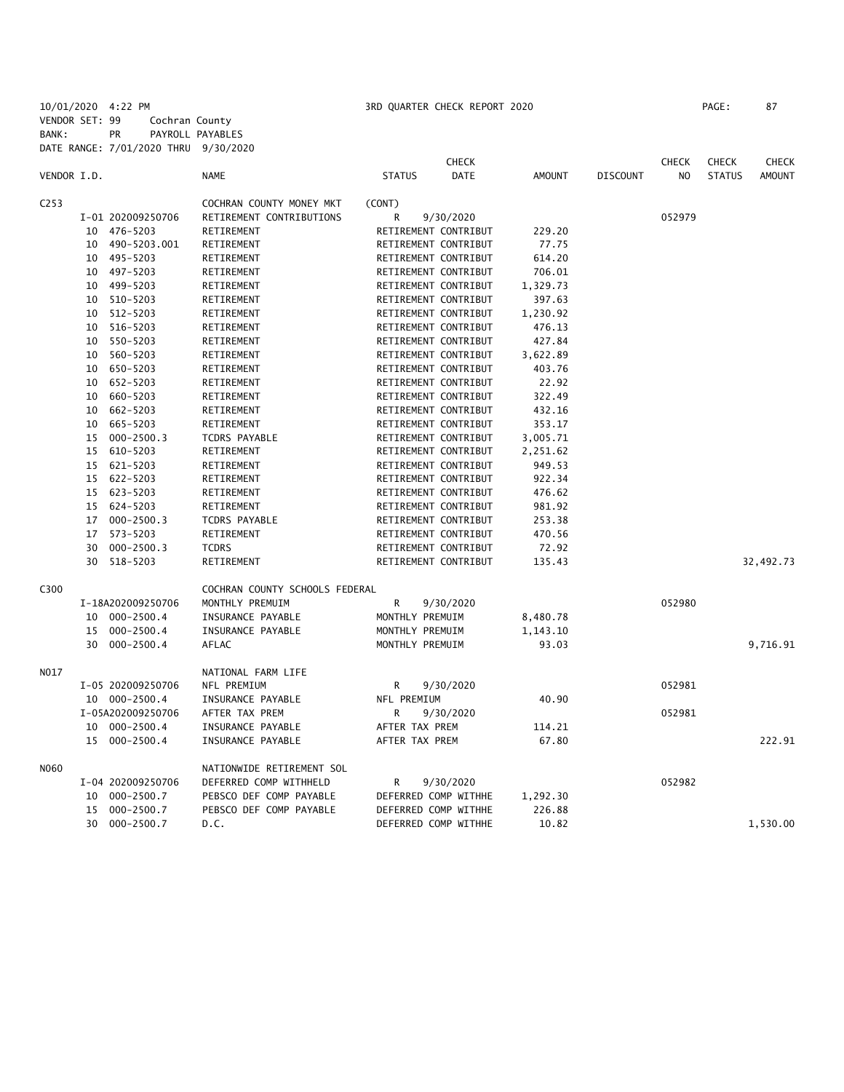10/01/2020 4:22 PM 3RD QUARTER CHECK REPORT 2020 PAGE: 87 VENDOR SET: 99 Cochran County BANK: PR PAYROLL PAYABLES DATE RANGE: 7/01/2020 THRU 9/30/2020

|             |    |                   |                                |                 | <b>CHECK</b>         |               |                 | <b>CHECK</b>   | <b>CHECK</b>  | <b>CHECK</b>  |
|-------------|----|-------------------|--------------------------------|-----------------|----------------------|---------------|-----------------|----------------|---------------|---------------|
| VENDOR I.D. |    |                   | <b>NAME</b>                    | <b>STATUS</b>   | DATE                 | <b>AMOUNT</b> | <b>DISCOUNT</b> | N <sub>O</sub> | <b>STATUS</b> | <b>AMOUNT</b> |
| C253        |    |                   | COCHRAN COUNTY MONEY MKT       | (CONT)          |                      |               |                 |                |               |               |
|             |    | I-01 202009250706 | RETIREMENT CONTRIBUTIONS       | R               | 9/30/2020            |               |                 | 052979         |               |               |
|             |    | 10 476-5203       | RETIREMENT                     |                 | RETIREMENT CONTRIBUT | 229.20        |                 |                |               |               |
|             | 10 | 490-5203.001      | RETIREMENT                     |                 | RETIREMENT CONTRIBUT | 77.75         |                 |                |               |               |
|             | 10 | 495-5203          | RETIREMENT                     |                 | RETIREMENT CONTRIBUT | 614.20        |                 |                |               |               |
|             |    | 10 497-5203       | RETIREMENT                     |                 | RETIREMENT CONTRIBUT | 706.01        |                 |                |               |               |
|             | 10 | 499-5203          | RETIREMENT                     |                 | RETIREMENT CONTRIBUT | 1,329.73      |                 |                |               |               |
|             | 10 | 510-5203          | RETIREMENT                     |                 | RETIREMENT CONTRIBUT | 397.63        |                 |                |               |               |
|             | 10 | 512-5203          | RETIREMENT                     |                 | RETIREMENT CONTRIBUT | 1,230.92      |                 |                |               |               |
|             |    | 10 516-5203       | RETIREMENT                     |                 | RETIREMENT CONTRIBUT | 476.13        |                 |                |               |               |
|             | 10 | 550-5203          | RETIREMENT                     |                 | RETIREMENT CONTRIBUT | 427.84        |                 |                |               |               |
|             | 10 | 560-5203          | RETIREMENT                     |                 | RETIREMENT CONTRIBUT | 3,622.89      |                 |                |               |               |
|             | 10 | 650-5203          | RETIREMENT                     |                 | RETIREMENT CONTRIBUT | 403.76        |                 |                |               |               |
|             | 10 | 652-5203          | RETIREMENT                     |                 | RETIREMENT CONTRIBUT | 22.92         |                 |                |               |               |
|             | 10 | 660-5203          | RETIREMENT                     |                 | RETIREMENT CONTRIBUT | 322.49        |                 |                |               |               |
|             | 10 | 662-5203          | RETIREMENT                     |                 | RETIREMENT CONTRIBUT | 432.16        |                 |                |               |               |
|             | 10 | 665-5203          | RETIREMENT                     |                 | RETIREMENT CONTRIBUT | 353.17        |                 |                |               |               |
|             |    | 15 000-2500.3     | <b>TCDRS PAYABLE</b>           |                 | RETIREMENT CONTRIBUT | 3,005.71      |                 |                |               |               |
|             |    | 15 610-5203       | RETIREMENT                     |                 | RETIREMENT CONTRIBUT | 2,251.62      |                 |                |               |               |
|             |    | 15 621-5203       | RETIREMENT                     |                 | RETIREMENT CONTRIBUT | 949.53        |                 |                |               |               |
|             |    | 15 622-5203       | RETIREMENT                     |                 | RETIREMENT CONTRIBUT | 922.34        |                 |                |               |               |
|             |    | 15 623-5203       | RETIREMENT                     |                 | RETIREMENT CONTRIBUT | 476.62        |                 |                |               |               |
|             |    | 15 624-5203       | RETIREMENT                     |                 | RETIREMENT CONTRIBUT | 981.92        |                 |                |               |               |
|             | 17 | $000 - 2500.3$    | TCDRS PAYABLE                  |                 | RETIREMENT CONTRIBUT | 253.38        |                 |                |               |               |
|             | 17 | 573-5203          | RETIREMENT                     |                 | RETIREMENT CONTRIBUT | 470.56        |                 |                |               |               |
|             | 30 | $000 - 2500.3$    | <b>TCDRS</b>                   |                 | RETIREMENT CONTRIBUT | 72.92         |                 |                |               |               |
|             | 30 | 518-5203          | RETIREMENT                     |                 | RETIREMENT CONTRIBUT | 135.43        |                 |                |               | 32,492.73     |
| C300        |    |                   | COCHRAN COUNTY SCHOOLS FEDERAL |                 |                      |               |                 |                |               |               |
|             |    | I-18A202009250706 | MONTHLY PREMUIM                | R               | 9/30/2020            |               |                 | 052980         |               |               |
|             |    | 10 000-2500.4     | INSURANCE PAYABLE              | MONTHLY PREMUIM |                      | 8,480.78      |                 |                |               |               |
|             | 15 | $000 - 2500.4$    | INSURANCE PAYABLE              | MONTHLY PREMUIM |                      | 1,143.10      |                 |                |               |               |
|             |    | 30 000-2500.4     | AFLAC                          | MONTHLY PREMUIM |                      | 93.03         |                 |                |               | 9,716.91      |
| N017        |    |                   | NATIONAL FARM LIFE             |                 |                      |               |                 |                |               |               |
|             |    | I-05 202009250706 | NFL PREMIUM                    | R               | 9/30/2020            |               |                 | 052981         |               |               |
|             |    | 10 000-2500.4     | INSURANCE PAYABLE              | NFL PREMIUM     |                      | 40.90         |                 |                |               |               |
|             |    | I-05A202009250706 | AFTER TAX PREM                 | R               | 9/30/2020            |               |                 | 052981         |               |               |
|             |    | 10 000-2500.4     | INSURANCE PAYABLE              | AFTER TAX PREM  |                      | 114.21        |                 |                |               |               |
|             |    | 15 000-2500.4     | INSURANCE PAYABLE              | AFTER TAX PREM  |                      | 67.80         |                 |                |               | 222.91        |
| N060        |    |                   | NATIONWIDE RETIREMENT SOL      |                 |                      |               |                 |                |               |               |
|             |    | I-04 202009250706 | DEFERRED COMP WITHHELD         | R               | 9/30/2020            |               |                 | 052982         |               |               |
|             | 10 | 000-2500.7        | PEBSCO DEF COMP PAYABLE        |                 | DEFERRED COMP WITHHE | 1,292.30      |                 |                |               |               |
|             | 15 | 000-2500.7        | PEBSCO DEF COMP PAYABLE        |                 | DEFERRED COMP WITHHE | 226.88        |                 |                |               |               |
|             | 30 | $000 - 2500.7$    | D.C.                           |                 | DEFERRED COMP WITHHE | 10.82         |                 |                |               | 1,530.00      |
|             |    |                   |                                |                 |                      |               |                 |                |               |               |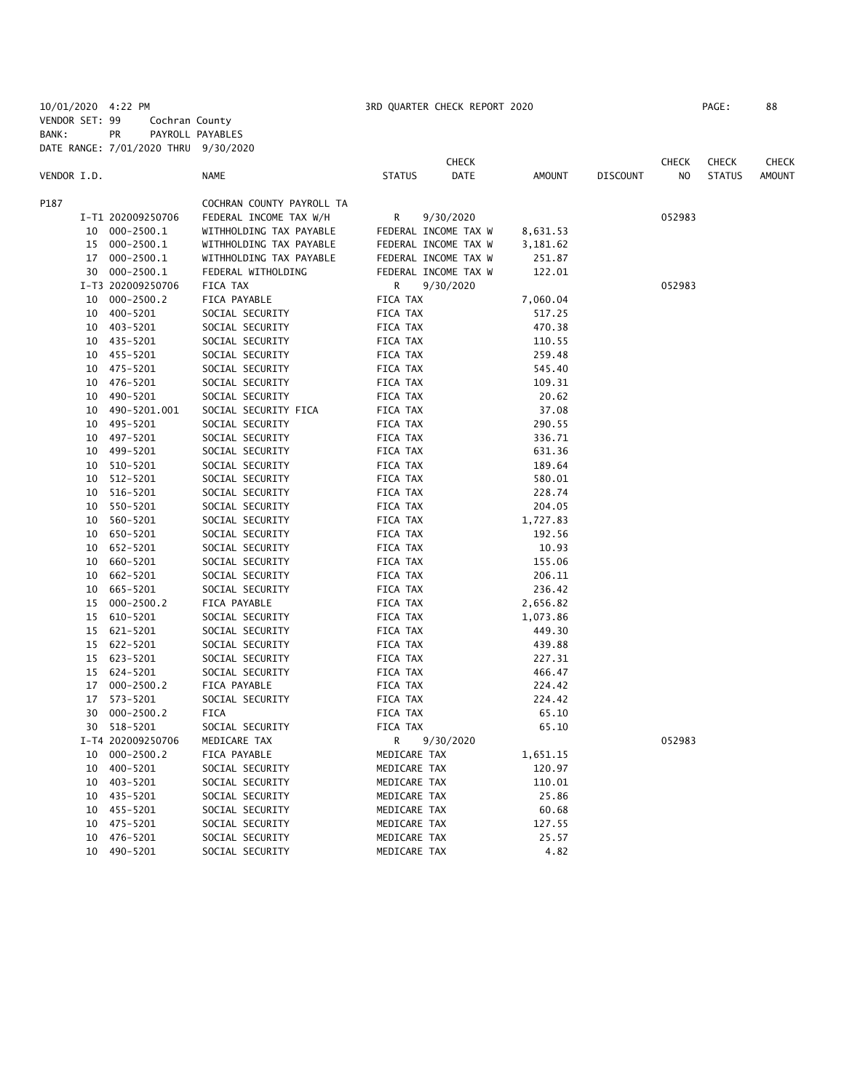10/01/2020 4:22 PM 3RD QUARTER CHECK REPORT 2020 PAGE: 88 VENDOR SET: 99 Cochran County BANK: PR PAYROLL PAYABLES DATE RANGE: 7/01/2020 THRU 9/30/2020

|             |    | DATE RANGE: 7/01/2020 THRU | 9/30/2020                 |                      |              |          |                 |              |               |               |
|-------------|----|----------------------------|---------------------------|----------------------|--------------|----------|-----------------|--------------|---------------|---------------|
|             |    |                            |                           |                      | <b>CHECK</b> |          |                 | <b>CHECK</b> | <b>CHECK</b>  | <b>CHECK</b>  |
| VENDOR I.D. |    |                            | <b>NAME</b>               | <b>STATUS</b>        | DATE         | AMOUNT   | <b>DISCOUNT</b> | NO           | <b>STATUS</b> | <b>AMOUNT</b> |
| P187        |    |                            | COCHRAN COUNTY PAYROLL TA |                      |              |          |                 |              |               |               |
|             |    | I-T1 202009250706          | FEDERAL INCOME TAX W/H    | R                    | 9/30/2020    |          |                 | 052983       |               |               |
|             | 10 | 000-2500.1                 | WITHHOLDING TAX PAYABLE   | FEDERAL INCOME TAX W |              | 8,631.53 |                 |              |               |               |
|             | 15 | 000-2500.1                 | WITHHOLDING TAX PAYABLE   | FEDERAL INCOME TAX W |              | 3,181.62 |                 |              |               |               |
|             | 17 | 000-2500.1                 | WITHHOLDING TAX PAYABLE   | FEDERAL INCOME TAX W |              | 251.87   |                 |              |               |               |
|             |    | 30 000-2500.1              | FEDERAL WITHOLDING        | FEDERAL INCOME TAX W |              | 122.01   |                 |              |               |               |
|             |    | I-T3 202009250706          | FICA TAX                  | R                    | 9/30/2020    |          |                 | 052983       |               |               |
|             | 10 | $000 - 2500.2$             | FICA PAYABLE              | FICA TAX             |              | 7,060.04 |                 |              |               |               |
|             | 10 | 400-5201                   | SOCIAL SECURITY           | FICA TAX             |              | 517.25   |                 |              |               |               |
|             | 10 | 403-5201                   | SOCIAL SECURITY           | FICA TAX             |              | 470.38   |                 |              |               |               |
|             | 10 | 435-5201                   | SOCIAL SECURITY           | FICA TAX             |              | 110.55   |                 |              |               |               |
|             |    | 10 455-5201                | SOCIAL SECURITY           | FICA TAX             |              | 259.48   |                 |              |               |               |
|             | 10 | 475-5201                   | SOCIAL SECURITY           | FICA TAX             |              | 545.40   |                 |              |               |               |
|             | 10 | 476-5201                   | SOCIAL SECURITY           | FICA TAX             |              | 109.31   |                 |              |               |               |
|             | 10 | 490-5201                   | SOCIAL SECURITY           | FICA TAX             |              | 20.62    |                 |              |               |               |
|             | 10 | 490-5201.001               | SOCIAL SECURITY FICA      | FICA TAX             |              | 37.08    |                 |              |               |               |
|             | 10 | 495-5201                   | SOCIAL SECURITY           | FICA TAX             |              | 290.55   |                 |              |               |               |
|             | 10 | 497-5201                   | SOCIAL SECURITY           | FICA TAX             |              | 336.71   |                 |              |               |               |
|             | 10 | 499-5201                   | SOCIAL SECURITY           | FICA TAX             |              | 631.36   |                 |              |               |               |
|             | 10 | 510-5201                   | SOCIAL SECURITY           | FICA TAX             |              | 189.64   |                 |              |               |               |
|             | 10 | 512-5201                   | SOCIAL SECURITY           | FICA TAX             |              | 580.01   |                 |              |               |               |
|             | 10 | 516-5201                   | SOCIAL SECURITY           | FICA TAX             |              | 228.74   |                 |              |               |               |
|             | 10 | 550-5201                   | SOCIAL SECURITY           | FICA TAX             |              | 204.05   |                 |              |               |               |
|             | 10 | 560-5201                   | SOCIAL SECURITY           | FICA TAX             |              | 1,727.83 |                 |              |               |               |
|             | 10 | 650-5201                   | SOCIAL SECURITY           | FICA TAX             |              | 192.56   |                 |              |               |               |
|             | 10 | 652-5201                   | SOCIAL SECURITY           | FICA TAX             |              | 10.93    |                 |              |               |               |
|             | 10 | 660-5201                   | SOCIAL SECURITY           | FICA TAX             |              | 155.06   |                 |              |               |               |
|             | 10 | 662-5201                   | SOCIAL SECURITY           | FICA TAX             |              | 206.11   |                 |              |               |               |
|             | 10 | 665-5201                   | SOCIAL SECURITY           | FICA TAX             |              | 236.42   |                 |              |               |               |
|             | 15 | $000 - 2500.2$             | FICA PAYABLE              | FICA TAX             |              | 2,656.82 |                 |              |               |               |
|             | 15 | 610-5201                   | SOCIAL SECURITY           | FICA TAX             |              | 1,073.86 |                 |              |               |               |
|             | 15 | 621-5201                   | SOCIAL SECURITY           | FICA TAX             |              | 449.30   |                 |              |               |               |
|             |    | 15 622-5201                | SOCIAL SECURITY           | FICA TAX             |              | 439.88   |                 |              |               |               |
|             |    | 15 623-5201                | SOCIAL SECURITY           | FICA TAX             |              | 227.31   |                 |              |               |               |
|             |    | 15 624-5201                | SOCIAL SECURITY           | FICA TAX             |              | 466.47   |                 |              |               |               |
|             |    | 17 000-2500.2              | FICA PAYABLE              | FICA TAX             |              | 224.42   |                 |              |               |               |
|             | 17 | 573-5201                   | SOCIAL SECURITY           | FICA TAX             |              | 224.42   |                 |              |               |               |
|             | 30 | $000 - 2500.2$             | <b>FICA</b>               | FICA TAX             |              | 65.10    |                 |              |               |               |
|             | 30 | 518-5201                   | SOCIAL SECURITY           | FICA TAX             |              | 65.10    |                 |              |               |               |
|             |    | I-T4 202009250706          | MEDICARE TAX              | R                    | 9/30/2020    |          |                 | 052983       |               |               |
|             | 10 | $000 - 2500.2$             | FICA PAYABLE              | MEDICARE TAX         |              | 1,651.15 |                 |              |               |               |
|             | 10 | 400-5201                   | SOCIAL SECURITY           | MEDICARE TAX         |              | 120.97   |                 |              |               |               |
|             | 10 | 403-5201                   | SOCIAL SECURITY           | MEDICARE TAX         |              | 110.01   |                 |              |               |               |
|             | 10 | 435-5201                   | SOCIAL SECURITY           | MEDICARE TAX         |              | 25.86    |                 |              |               |               |
|             | 10 | 455-5201                   | SOCIAL SECURITY           | MEDICARE TAX         |              | 60.68    |                 |              |               |               |
|             | 10 | 475-5201                   | SOCIAL SECURITY           | MEDICARE TAX         |              | 127.55   |                 |              |               |               |
|             | 10 | 476-5201                   | SOCIAL SECURITY           | MEDICARE TAX         |              | 25.57    |                 |              |               |               |
|             | 10 | 490-5201                   | SOCIAL SECURITY           | MEDICARE TAX         |              | 4.82     |                 |              |               |               |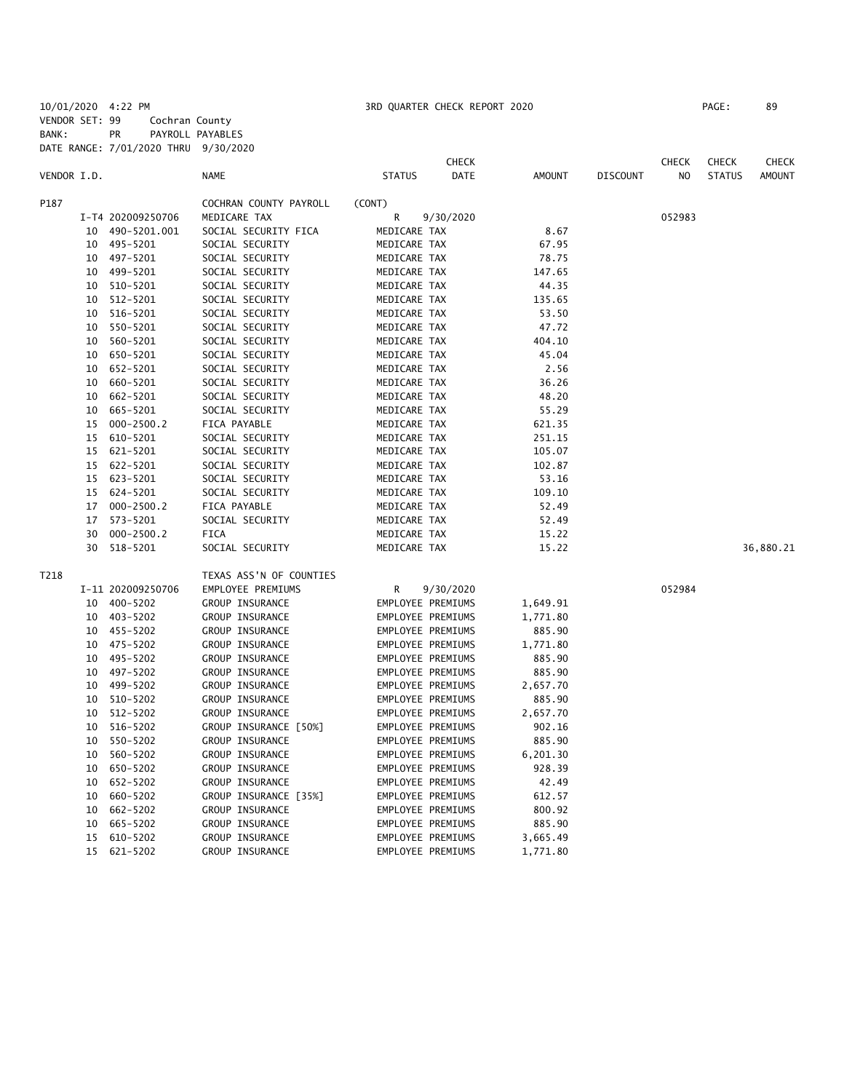10/01/2020 4:22 PM 3RD QUARTER CHECK REPORT 2020 PAGE: 89 VENDOR SET: 99 Cochran County BANK: PR PAYROLL PAYABLES DATE RANGE: 7/01/2020 THRU 9/30/2020

|             |    |                   |                         |                   | <b>CHECK</b> |               |                 | <b>CHECK</b> | <b>CHECK</b>  | <b>CHECK</b>  |
|-------------|----|-------------------|-------------------------|-------------------|--------------|---------------|-----------------|--------------|---------------|---------------|
| VENDOR I.D. |    |                   | <b>NAME</b>             | <b>STATUS</b>     | DATE         | <b>AMOUNT</b> | <b>DISCOUNT</b> | NO.          | <b>STATUS</b> | <b>AMOUNT</b> |
| P187        |    |                   | COCHRAN COUNTY PAYROLL  | (CONT)            |              |               |                 |              |               |               |
|             |    | I-T4 202009250706 | MEDICARE TAX            | R                 | 9/30/2020    |               |                 | 052983       |               |               |
|             | 10 | 490-5201.001      | SOCIAL SECURITY FICA    | MEDICARE TAX      |              | 8.67          |                 |              |               |               |
|             |    | 10 495-5201       | SOCIAL SECURITY         | MEDICARE TAX      |              | 67.95         |                 |              |               |               |
|             |    | 10 497-5201       | SOCIAL SECURITY         | MEDICARE TAX      |              | 78.75         |                 |              |               |               |
|             |    | 10 499-5201       | SOCIAL SECURITY         | MEDICARE TAX      |              | 147.65        |                 |              |               |               |
|             |    | 10 510-5201       | SOCIAL SECURITY         | MEDICARE TAX      |              | 44.35         |                 |              |               |               |
|             | 10 | 512-5201          | SOCIAL SECURITY         | MEDICARE TAX      |              | 135.65        |                 |              |               |               |
|             | 10 | 516-5201          | SOCIAL SECURITY         | MEDICARE TAX      |              | 53.50         |                 |              |               |               |
|             |    | 10 550-5201       | SOCIAL SECURITY         | MEDICARE TAX      |              | 47.72         |                 |              |               |               |
|             | 10 | 560-5201          | SOCIAL SECURITY         | MEDICARE TAX      |              | 404.10        |                 |              |               |               |
|             |    | 10 650-5201       | SOCIAL SECURITY         | MEDICARE TAX      |              | 45.04         |                 |              |               |               |
|             | 10 | 652-5201          | SOCIAL SECURITY         | MEDICARE TAX      |              | 2.56          |                 |              |               |               |
|             |    | 10 660-5201       | SOCIAL SECURITY         | MEDICARE TAX      |              | 36.26         |                 |              |               |               |
|             | 10 | 662-5201          | SOCIAL SECURITY         | MEDICARE TAX      |              | 48.20         |                 |              |               |               |
|             | 10 | 665-5201          | SOCIAL SECURITY         | MEDICARE TAX      |              | 55.29         |                 |              |               |               |
|             | 15 | $000 - 2500.2$    | FICA PAYABLE            | MEDICARE TAX      |              | 621.35        |                 |              |               |               |
|             |    | 15 610-5201       | SOCIAL SECURITY         | MEDICARE TAX      |              | 251.15        |                 |              |               |               |
|             |    | 15 621-5201       | SOCIAL SECURITY         | MEDICARE TAX      |              | 105.07        |                 |              |               |               |
|             |    | 15 622-5201       | SOCIAL SECURITY         | MEDICARE TAX      |              | 102.87        |                 |              |               |               |
|             |    | 15 623-5201       | SOCIAL SECURITY         | MEDICARE TAX      |              | 53.16         |                 |              |               |               |
|             |    | 15 624-5201       | SOCIAL SECURITY         | MEDICARE TAX      |              | 109.10        |                 |              |               |               |
|             | 17 | $000 - 2500.2$    | FICA PAYABLE            | MEDICARE TAX      |              | 52.49         |                 |              |               |               |
|             | 17 | 573-5201          | SOCIAL SECURITY         | MEDICARE TAX      |              | 52.49         |                 |              |               |               |
|             | 30 | $000 - 2500.2$    | FICA                    | MEDICARE TAX      |              | 15.22         |                 |              |               |               |
|             | 30 | 518-5201          | SOCIAL SECURITY         | MEDICARE TAX      |              | 15.22         |                 |              |               | 36,880.21     |
| T218        |    |                   | TEXAS ASS'N OF COUNTIES |                   |              |               |                 |              |               |               |
|             |    | I-11 202009250706 | EMPLOYEE PREMIUMS       | R                 | 9/30/2020    |               |                 | 052984       |               |               |
|             |    | 10 400-5202       | GROUP INSURANCE         | EMPLOYEE PREMIUMS |              | 1,649.91      |                 |              |               |               |
|             |    | 10 403-5202       | GROUP INSURANCE         | EMPLOYEE PREMIUMS |              | 1,771.80      |                 |              |               |               |
|             |    | 10 455-5202       | GROUP INSURANCE         | EMPLOYEE PREMIUMS |              | 885.90        |                 |              |               |               |
|             |    | 10 475-5202       | GROUP INSURANCE         | EMPLOYEE PREMIUMS |              | 1,771.80      |                 |              |               |               |
|             |    | 10 495-5202       | GROUP INSURANCE         | EMPLOYEE PREMIUMS |              | 885.90        |                 |              |               |               |
|             |    | 10 497-5202       | GROUP INSURANCE         | EMPLOYEE PREMIUMS |              | 885.90        |                 |              |               |               |
|             |    | 10 499-5202       | GROUP INSURANCE         | EMPLOYEE PREMIUMS |              | 2,657.70      |                 |              |               |               |
|             | 10 | 510-5202          | GROUP INSURANCE         | EMPLOYEE PREMIUMS |              | 885.90        |                 |              |               |               |
|             | 10 | 512-5202          | GROUP INSURANCE         | EMPLOYEE PREMIUMS |              | 2,657.70      |                 |              |               |               |
|             | 10 | 516-5202          | GROUP INSURANCE [50%]   | EMPLOYEE PREMIUMS |              | 902.16        |                 |              |               |               |
|             | 10 | 550-5202          | GROUP INSURANCE         | EMPLOYEE PREMIUMS |              | 885.90        |                 |              |               |               |
|             | 10 | 560-5202          | GROUP INSURANCE         | EMPLOYEE PREMIUMS |              | 6,201.30      |                 |              |               |               |
|             | 10 | 650-5202          | GROUP INSURANCE         | EMPLOYEE PREMIUMS |              | 928.39        |                 |              |               |               |
|             | 10 | 652-5202          | GROUP INSURANCE         | EMPLOYEE PREMIUMS |              | 42.49         |                 |              |               |               |
|             | 10 | 660-5202          | GROUP INSURANCE [35%]   | EMPLOYEE PREMIUMS |              | 612.57        |                 |              |               |               |
|             | 10 | 662-5202          | GROUP INSURANCE         | EMPLOYEE PREMIUMS |              | 800.92        |                 |              |               |               |
|             | 10 | 665-5202          | GROUP INSURANCE         | EMPLOYEE PREMIUMS |              | 885.90        |                 |              |               |               |
|             | 15 | 610-5202          | GROUP INSURANCE         | EMPLOYEE PREMIUMS |              | 3,665.49      |                 |              |               |               |

15 621-5202 GROUP INSURANCE EMPLOYEE PREMIUMS 1,771.80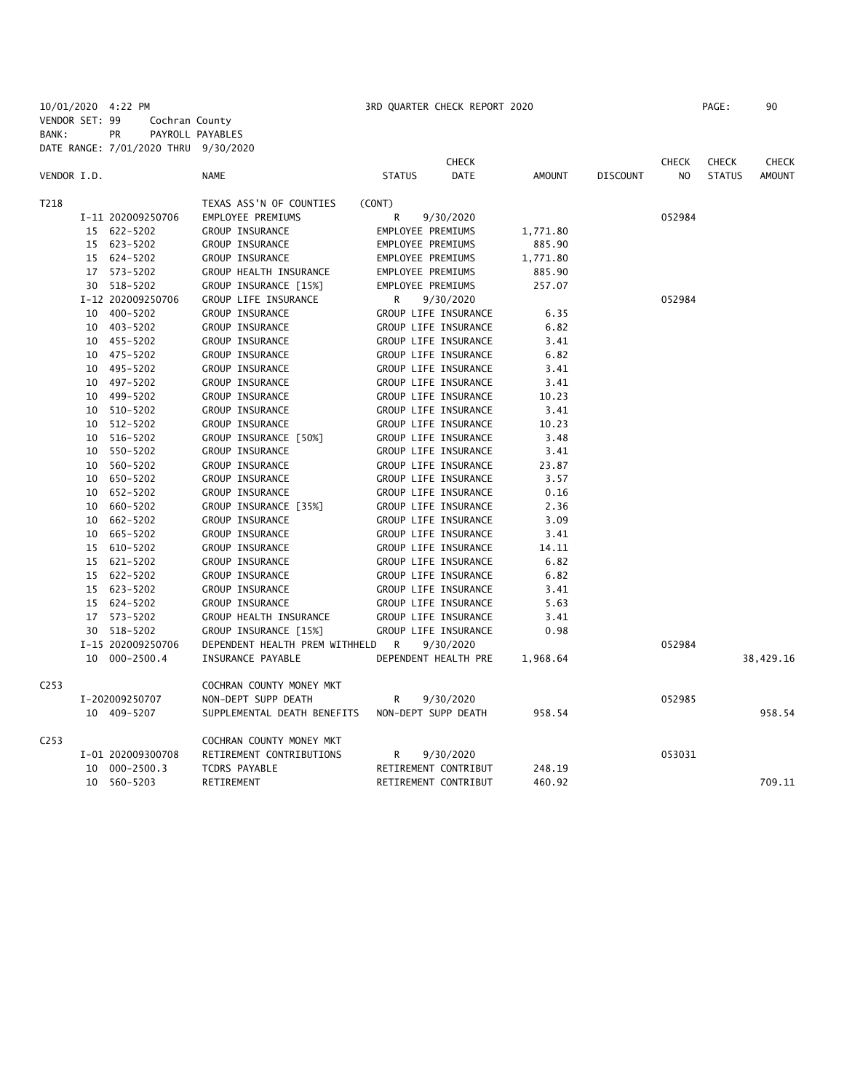10/01/2020 4:22 PM 3RD QUARTER CHECK REPORT 2020 PAGE: 90 VENDOR SET: 99 Cochran County BANK: PR PAYROLL PAYABLES DATE RANGE: 7/01/2020 THRU 9/30/2020

|                  |    |                   |                                |                   | <b>CHECK</b>         |               |                 | <b>CHECK</b>   | <b>CHECK</b>  | <b>CHECK</b>  |
|------------------|----|-------------------|--------------------------------|-------------------|----------------------|---------------|-----------------|----------------|---------------|---------------|
| VENDOR I.D.      |    |                   | <b>NAME</b>                    | <b>STATUS</b>     | <b>DATE</b>          | <b>AMOUNT</b> | <b>DISCOUNT</b> | N <sub>O</sub> | <b>STATUS</b> | <b>AMOUNT</b> |
| T218             |    |                   | TEXAS ASS'N OF COUNTIES        | (CONT)            |                      |               |                 |                |               |               |
|                  |    | I-11 202009250706 | EMPLOYEE PREMIUMS              | R                 | 9/30/2020            |               |                 | 052984         |               |               |
|                  |    | 15 622-5202       | GROUP INSURANCE                | EMPLOYEE PREMIUMS |                      | 1,771.80      |                 |                |               |               |
|                  |    | 15 623-5202       | GROUP INSURANCE                | EMPLOYEE PREMIUMS |                      | 885.90        |                 |                |               |               |
|                  |    | 15 624-5202       | GROUP INSURANCE                | EMPLOYEE PREMIUMS |                      | 1,771.80      |                 |                |               |               |
|                  |    | 17 573-5202       | GROUP HEALTH INSURANCE         | EMPLOYEE PREMIUMS |                      | 885.90        |                 |                |               |               |
|                  |    | 30 518-5202       | GROUP INSURANCE [15%]          | EMPLOYEE PREMIUMS |                      | 257.07        |                 |                |               |               |
|                  |    | I-12 202009250706 | GROUP LIFE INSURANCE           | R                 | 9/30/2020            |               |                 | 052984         |               |               |
|                  | 10 | 400-5202          | <b>GROUP INSURANCE</b>         |                   | GROUP LIFE INSURANCE | 6.35          |                 |                |               |               |
|                  |    | 10 403-5202       | GROUP INSURANCE                |                   | GROUP LIFE INSURANCE | 6.82          |                 |                |               |               |
|                  |    | 10 455-5202       | GROUP INSURANCE                |                   | GROUP LIFE INSURANCE | 3.41          |                 |                |               |               |
|                  |    | 10 475-5202       | GROUP INSURANCE                |                   | GROUP LIFE INSURANCE | 6.82          |                 |                |               |               |
|                  | 10 | 495-5202          | GROUP INSURANCE                |                   | GROUP LIFE INSURANCE | 3.41          |                 |                |               |               |
|                  |    | 10 497-5202       | GROUP INSURANCE                |                   | GROUP LIFE INSURANCE | 3.41          |                 |                |               |               |
|                  | 10 | 499-5202          | GROUP INSURANCE                |                   | GROUP LIFE INSURANCE | 10.23         |                 |                |               |               |
|                  | 10 | 510-5202          | GROUP INSURANCE                |                   | GROUP LIFE INSURANCE | 3.41          |                 |                |               |               |
|                  | 10 | 512-5202          | GROUP INSURANCE                |                   | GROUP LIFE INSURANCE | 10.23         |                 |                |               |               |
|                  | 10 | 516-5202          | GROUP INSURANCE [50%]          |                   | GROUP LIFE INSURANCE | 3.48          |                 |                |               |               |
|                  | 10 | 550-5202          | GROUP INSURANCE                |                   | GROUP LIFE INSURANCE | 3.41          |                 |                |               |               |
|                  | 10 | 560-5202          | GROUP INSURANCE                |                   | GROUP LIFE INSURANCE | 23.87         |                 |                |               |               |
|                  | 10 | 650-5202          | GROUP INSURANCE                |                   | GROUP LIFE INSURANCE | 3.57          |                 |                |               |               |
|                  | 10 | 652-5202          | GROUP INSURANCE                |                   | GROUP LIFE INSURANCE | 0.16          |                 |                |               |               |
|                  | 10 | 660-5202          | GROUP INSURANCE [35%]          |                   | GROUP LIFE INSURANCE | 2.36          |                 |                |               |               |
|                  | 10 | 662-5202          | GROUP INSURANCE                |                   | GROUP LIFE INSURANCE | 3.09          |                 |                |               |               |
|                  |    | 10 665-5202       | GROUP INSURANCE                |                   | GROUP LIFE INSURANCE | 3.41          |                 |                |               |               |
|                  |    | 15 610-5202       | GROUP INSURANCE                |                   | GROUP LIFE INSURANCE | 14.11         |                 |                |               |               |
|                  |    | 15 621-5202       | GROUP INSURANCE                |                   | GROUP LIFE INSURANCE | 6.82          |                 |                |               |               |
|                  |    | 15 622-5202       | GROUP INSURANCE                |                   | GROUP LIFE INSURANCE | 6.82          |                 |                |               |               |
|                  |    | 15 623-5202       | GROUP INSURANCE                |                   | GROUP LIFE INSURANCE | 3.41          |                 |                |               |               |
|                  |    | 15 624-5202       | GROUP INSURANCE                |                   | GROUP LIFE INSURANCE | 5.63          |                 |                |               |               |
|                  |    | 17 573-5202       | GROUP HEALTH INSURANCE         |                   | GROUP LIFE INSURANCE | 3.41          |                 |                |               |               |
|                  |    | 30 518-5202       | GROUP INSURANCE [15%]          |                   | GROUP LIFE INSURANCE | 0.98          |                 |                |               |               |
|                  |    | I-15 202009250706 | DEPENDENT HEALTH PREM WITHHELD | R                 | 9/30/2020            |               |                 | 052984         |               |               |
|                  |    | 10 000-2500.4     | INSURANCE PAYABLE              |                   | DEPENDENT HEALTH PRE | 1,968.64      |                 |                |               | 38,429.16     |
| C <sub>253</sub> |    |                   | COCHRAN COUNTY MONEY MKT       |                   |                      |               |                 |                |               |               |
|                  |    | I-202009250707    | NON-DEPT SUPP DEATH            | R                 | 9/30/2020            |               |                 | 052985         |               |               |
|                  |    | 10 409-5207       | SUPPLEMENTAL DEATH BENEFITS    |                   | NON-DEPT SUPP DEATH  | 958.54        |                 |                |               | 958.54        |
| C <sub>253</sub> |    |                   | COCHRAN COUNTY MONEY MKT       |                   |                      |               |                 |                |               |               |
|                  |    | I-01 202009300708 | RETIREMENT CONTRIBUTIONS       | R                 | 9/30/2020            |               |                 | 053031         |               |               |
|                  |    | 10 000-2500.3     | TCDRS PAYABLE                  |                   | RETIREMENT CONTRIBUT | 248.19        |                 |                |               |               |
|                  |    | 10 560-5203       | <b>RETIREMENT</b>              |                   | RETIREMENT CONTRIBUT | 460.92        |                 |                |               | 709.11        |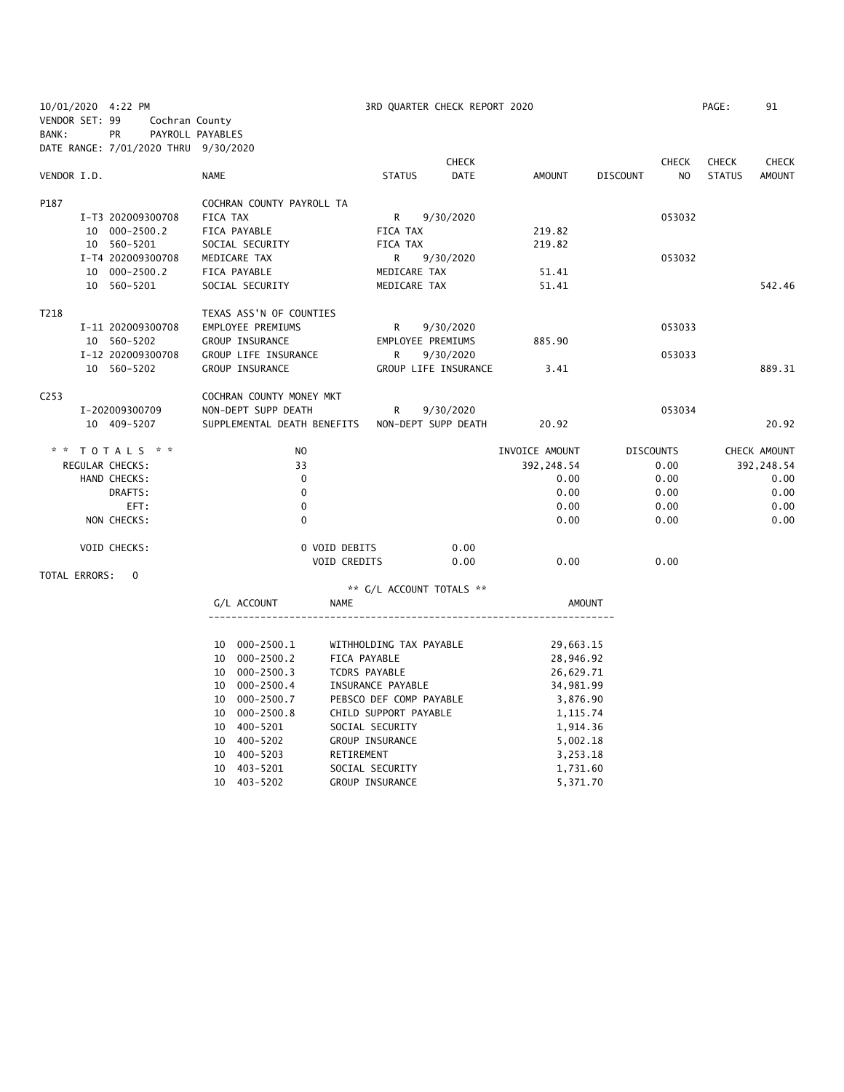| 10/01/2020 4:22 PM                   |                   |                  |          |                           |                |               |                         | 3RD QUARTER CHECK REPORT 2020                   |                |                       |                 |                  | PAGE:         | 91           |
|--------------------------------------|-------------------|------------------|----------|---------------------------|----------------|---------------|-------------------------|-------------------------------------------------|----------------|-----------------------|-----------------|------------------|---------------|--------------|
| VENDOR SET: 99                       |                   | Cochran County   |          |                           |                |               |                         |                                                 |                |                       |                 |                  |               |              |
| BANK:                                | <b>PR</b>         | PAYROLL PAYABLES |          |                           |                |               |                         |                                                 |                |                       |                 |                  |               |              |
| DATE RANGE: 7/01/2020 THRU 9/30/2020 |                   |                  |          |                           |                |               |                         |                                                 |                |                       |                 |                  |               |              |
|                                      |                   |                  |          |                           |                |               |                         | <b>CHECK</b>                                    |                |                       |                 | <b>CHECK</b>     | <b>CHECK</b>  | <b>CHECK</b> |
| VENDOR I.D.                          |                   |                  | NAME     |                           |                |               | <b>STATUS</b>           | <b>DATE</b>                                     |                | AMOUNT                | <b>DISCOUNT</b> | NO.              | <b>STATUS</b> | AMOUNT       |
| P187                                 |                   |                  |          | COCHRAN COUNTY PAYROLL TA |                |               |                         |                                                 |                |                       |                 |                  |               |              |
|                                      | I-T3 202009300708 |                  | FICA TAX |                           |                |               | R.                      | 9/30/2020                                       |                |                       |                 | 053032           |               |              |
|                                      | 10 000-2500.2     |                  |          | FICA PAYABLE              |                |               | FICA TAX                |                                                 | 219.82         |                       |                 |                  |               |              |
|                                      | 10 560-5201       |                  |          | SOCIAL SECURITY           |                |               | FICA TAX                |                                                 | 219.82         |                       |                 |                  |               |              |
|                                      | I-T4 202009300708 |                  |          | MEDICARE TAX              |                |               | R.                      | 9/30/2020                                       |                |                       |                 | 053032           |               |              |
|                                      | 10 000-2500.2     |                  |          | FICA PAYABLE              |                |               | MEDICARE TAX            |                                                 |                | 51.41                 |                 |                  |               |              |
|                                      | 10 560-5201       |                  |          | SOCIAL SECURITY           |                |               | MEDICARE TAX            |                                                 |                | 51.41                 |                 |                  |               | 542.46       |
| T218                                 |                   |                  |          | TEXAS ASS'N OF COUNTIES   |                |               |                         |                                                 |                |                       |                 |                  |               |              |
|                                      | I-11 202009300708 |                  |          | EMPLOYEE PREMIUMS         |                |               | R.                      | 9/30/2020                                       |                |                       |                 | 053033           |               |              |
|                                      | 10 560-5202       |                  |          | GROUP INSURANCE           |                |               |                         | EMPLOYEE PREMIUMS                               | 885.90         |                       |                 |                  |               |              |
|                                      | I-12 202009300708 |                  |          | GROUP LIFE INSURANCE      |                |               | R                       | 9/30/2020                                       |                |                       |                 | 053033           |               |              |
|                                      | 10 560-5202       |                  |          | GROUP INSURANCE           |                |               |                         | GROUP LIFE INSURANCE                            |                | 3.41                  |                 |                  |               | 889.31       |
| C <sub>253</sub>                     |                   |                  |          | COCHRAN COUNTY MONEY MKT  |                |               |                         |                                                 |                |                       |                 |                  |               |              |
|                                      | I-202009300709    |                  |          | NON-DEPT SUPP DEATH       |                |               | R                       | 9/30/2020                                       |                |                       |                 | 053034           |               |              |
|                                      | 10 409-5207       |                  |          |                           |                |               |                         | SUPPLEMENTAL DEATH BENEFITS NON-DEPT SUPP DEATH |                | 20.92                 |                 |                  |               | 20.92        |
|                                      | T 0 T A L S * *   |                  |          |                           | N <sub>O</sub> |               |                         |                                                 | INVOICE AMOUNT |                       |                 | <b>DISCOUNTS</b> |               | CHECK AMOUNT |
| REGULAR CHECKS:                      |                   |                  |          |                           | 33             |               |                         |                                                 |                | 392, 248.54           |                 | 0.00             |               | 392,248.54   |
|                                      | HAND CHECKS:      |                  |          |                           | $\mathbf 0$    |               |                         |                                                 |                | 0.00                  |                 | 0.00             |               | 0.00         |
|                                      | DRAFTS:           |                  |          |                           | $\mathbf 0$    |               |                         |                                                 |                | 0.00                  |                 | 0.00             |               | 0.00         |
|                                      | EFT:              |                  |          |                           | $\mathbf 0$    |               |                         |                                                 |                | 0.00                  |                 | 0.00             |               | 0.00         |
|                                      | NON CHECKS:       |                  |          |                           | $\Omega$       |               |                         |                                                 |                | 0.00                  |                 | 0.00             |               | 0.00         |
|                                      |                   |                  |          |                           |                |               |                         |                                                 |                |                       |                 |                  |               |              |
|                                      | VOID CHECKS:      |                  |          |                           |                | 0 VOID DEBITS |                         | 0.00                                            |                |                       |                 |                  |               |              |
|                                      |                   |                  |          |                           |                | VOID CREDITS  |                         | 0.00                                            |                | 0.00                  |                 | 0.00             |               |              |
| TOTAL ERRORS:                        | $\mathbf 0$       |                  |          |                           |                |               |                         | ** G/L ACCOUNT TOTALS **                        |                |                       |                 |                  |               |              |
|                                      |                   |                  |          | G/L ACCOUNT               |                | NAME          |                         |                                                 |                | AMOUNT                |                 |                  |               |              |
|                                      |                   |                  |          |                           |                |               |                         |                                                 |                |                       |                 |                  |               |              |
|                                      |                   |                  |          | 10 000-2500.1             |                |               | WITHHOLDING TAX PAYABLE |                                                 |                | 29,663.15             |                 |                  |               |              |
|                                      |                   |                  |          | 10 000-2500.2             |                | FICA PAYABLE  |                         |                                                 |                | 28,946.92             |                 |                  |               |              |
|                                      |                   |                  |          | 10 000-2500.3             |                | TCDRS PAYABLE |                         |                                                 |                | 26,629.71             |                 |                  |               |              |
|                                      |                   |                  |          | 10 000-2500.4             |                |               | INSURANCE PAYABLE       |                                                 |                |                       |                 |                  |               |              |
|                                      |                   |                  |          | 10 000-2500.7             |                |               | PEBSCO DEF COMP PAYABLE |                                                 |                | 34,981.99<br>3,876.90 |                 |                  |               |              |
|                                      |                   |                  |          | 10 000-2500.8             |                |               | CHILD SUPPORT PAYABLE   |                                                 |                | 1, 115.74             |                 |                  |               |              |
|                                      |                   |                  |          | 10 400-5201               |                |               | SOCIAL SECURITY         |                                                 |                | 1,914.36              |                 |                  |               |              |
|                                      |                   |                  |          | 10 400-5202               |                |               | GROUP INSURANCE         |                                                 |                | 5,002.18              |                 |                  |               |              |
|                                      |                   |                  |          | 10 400-5203               |                | RETIREMENT    |                         |                                                 |                | 3,253.18              |                 |                  |               |              |
|                                      |                   |                  | 10       | 403-5201                  |                |               | SOCIAL SECURITY         |                                                 |                | 1,731.60              |                 |                  |               |              |
|                                      |                   |                  |          | 10 403-5202               |                |               | GROUP INSURANCE         |                                                 |                | 5,371.70              |                 |                  |               |              |
|                                      |                   |                  |          |                           |                |               |                         |                                                 |                |                       |                 |                  |               |              |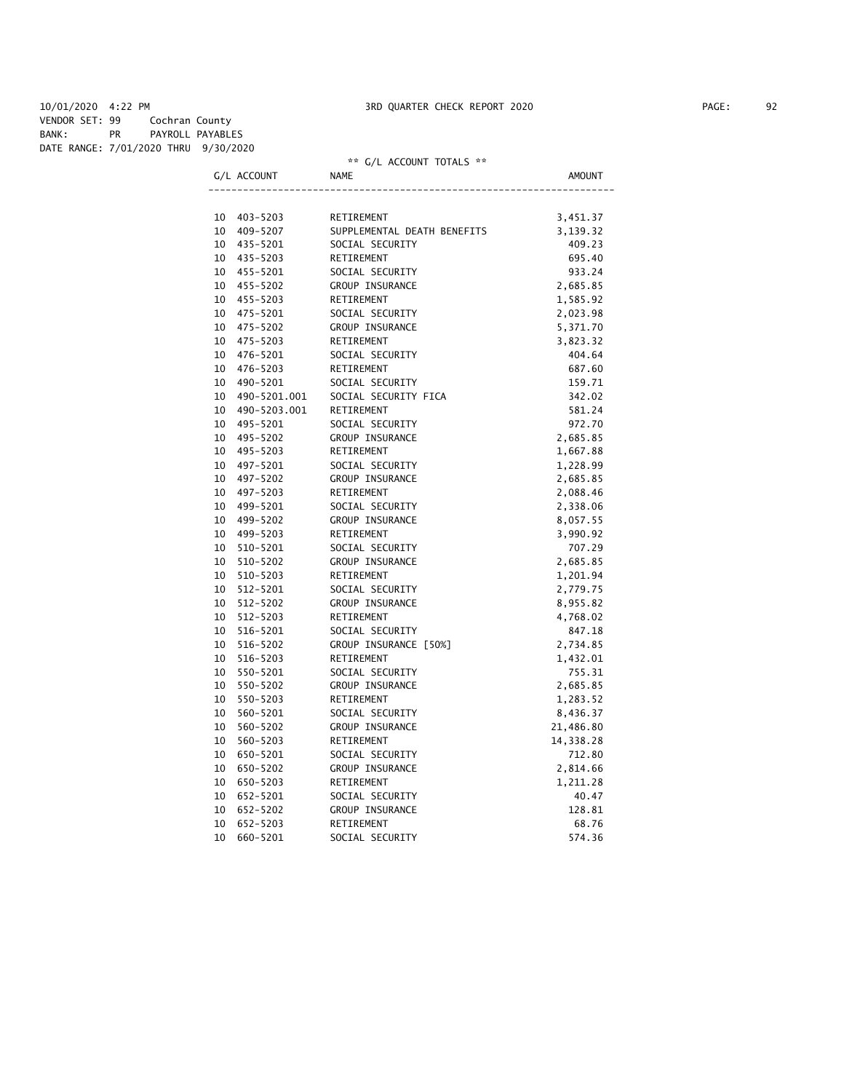10/01/2020 4:22 PM 3RD QUARTER CHECK REPORT 2020 PAGE: 92 VENDOR SET: 99 Cochran County BANK: PR PAYROLL PAYABLES DATE RANGE: 7/01/2020 THRU 9/30/2020

## \*\* G/L ACCOUNT TOTALS \*\*

G/L ACCOUNT NAME ----------------------------------------------------------------------

| 10 | 403-5203     | RETIREMENT                  | 3,451.37  |
|----|--------------|-----------------------------|-----------|
| 10 | 409-5207     | SUPPLEMENTAL DEATH BENEFITS | 3,139.32  |
| 10 | 435-5201     | SOCIAL SECURITY             | 409.23    |
| 10 | 435-5203     | RETIREMENT                  | 695.40    |
| 10 | 455-5201     | SOCIAL SECURITY             | 933.24    |
| 10 | 455-5202     | GROUP INSURANCE             | 2,685.85  |
| 10 | 455-5203     | RETIREMENT                  | 1,585.92  |
| 10 | 475-5201     | SOCIAL SECURITY             | 2,023.98  |
| 10 | 475-5202     | GROUP INSURANCE             | 5,371.70  |
| 10 | 475-5203     | RETIREMENT                  | 3,823.32  |
| 10 | 476-5201     | SOCIAL SECURITY             | 404.64    |
| 10 | 476-5203     | RETIREMENT                  | 687.60    |
| 10 | 490-5201     | SOCIAL SECURITY             | 159.71    |
| 10 | 490-5201.001 | SOCIAL SECURITY FICA        | 342.02    |
| 10 | 490-5203.001 | RETIREMENT                  | 581.24    |
| 10 | 495-5201     | SOCIAL SECURITY             | 972.70    |
| 10 | 495-5202     | GROUP INSURANCE             | 2,685.85  |
| 10 | 495-5203     | RETIREMENT                  | 1,667.88  |
| 10 | 497-5201     | SOCIAL SECURITY             | 1,228.99  |
| 10 | 497-5202     | GROUP INSURANCE             | 2,685.85  |
| 10 | 497-5203     | RETIREMENT                  | 2,088.46  |
| 10 | 499-5201     | SOCIAL SECURITY             | 2,338.06  |
| 10 | 499-5202     | GROUP INSURANCE             | 8,057.55  |
| 10 | 499-5203     | RETIREMENT                  | 3,990.92  |
| 10 | 510-5201     | SOCIAL SECURITY             | 707.29    |
| 10 | 510-5202     | GROUP INSURANCE             | 2,685.85  |
| 10 | 510-5203     | RETIREMENT                  | 1,201.94  |
| 10 | $512 - 5201$ | SOCIAL SECURITY             | 2,779.75  |
| 10 | $512 - 5202$ | GROUP INSURANCE             | 8,955.82  |
| 10 | 512-5203     | RETIREMENT                  | 4,768.02  |
| 10 | 516-5201     | SOCIAL SECURITY             | 847.18    |
| 10 | 516-5202     | GROUP INSURANCE [50%]       | 2,734.85  |
| 10 | 516-5203     | RETIREMENT                  | 1,432.01  |
| 10 | 550-5201     | SOCIAL SECURITY             | 755.31    |
| 10 | 550-5202     | GROUP INSURANCE             | 2,685.85  |
| 10 | 550-5203     | RETIREMENT                  | 1,283.52  |
| 10 | 560-5201     | SOCIAL SECURITY             | 8,436.37  |
| 10 | 560-5202     | GROUP INSURANCE             | 21,486.80 |
| 10 | 560-5203     | RETIREMENT                  | 14,338.28 |
| 10 | 650-5201     | SOCIAL SECURITY             | 712.80    |
| 10 | 650-5202     | GROUP INSURANCE             | 2,814.66  |
| 10 | 650-5203     | RETIREMENT                  | 1,211.28  |
| 10 | 652-5201     | SOCIAL SECURITY             | 40.47     |
| 10 | 652-5202     | GROUP INSURANCE             | 128.81    |
| 10 | 652-5203     | RETIREMENT                  | 68.76     |
| 10 | 660-5201     | SOCIAL SECURITY             | 574.36    |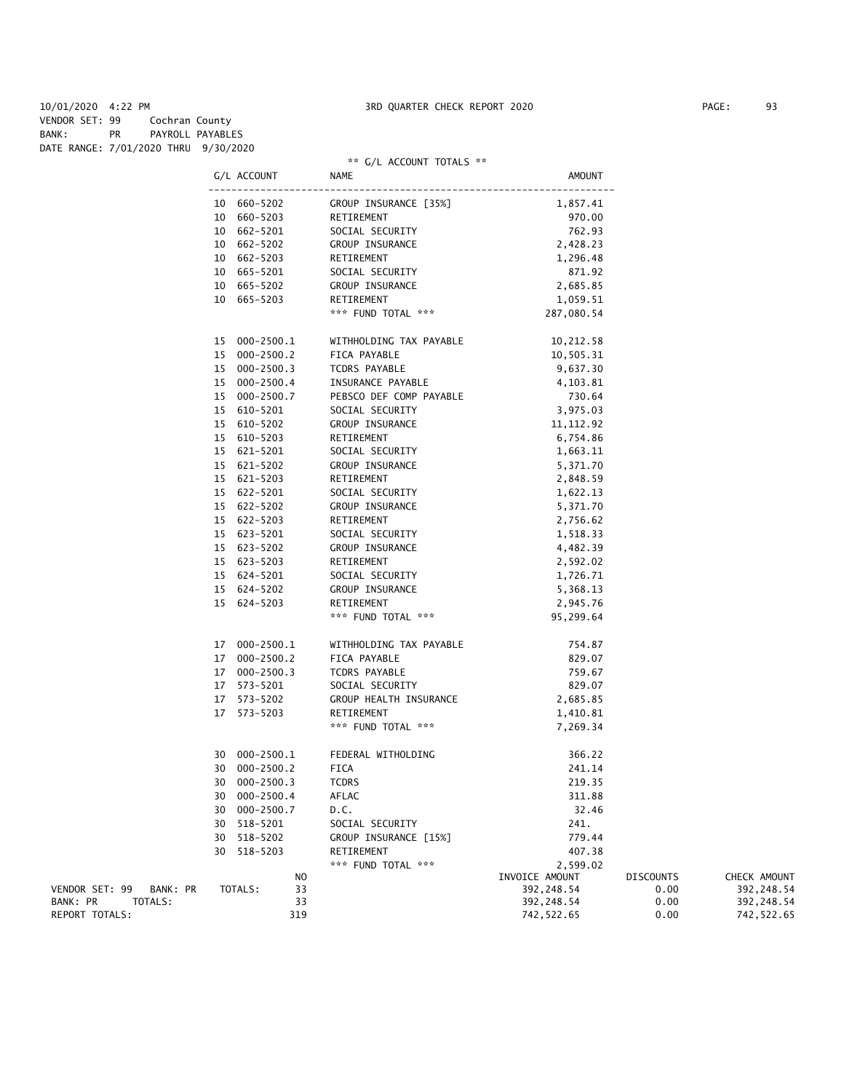10/01/2020 4:22 PM 3RD QUARTER CHECK REPORT 2020 PAGE: 93 VENDOR SET: 99 Cochran County BANK: PR PAYROLL PAYABLES DATE RANGE: 7/01/2020 THRU 9/30/2020

#### \*\* G/L ACCOUNT TOTALS \*\*

|                            | G/L ACCOUNT   | NAME                                                                                                                                                                                                                                       | AMOUNT                                 |                  |              |
|----------------------------|---------------|--------------------------------------------------------------------------------------------------------------------------------------------------------------------------------------------------------------------------------------------|----------------------------------------|------------------|--------------|
|                            |               |                                                                                                                                                                                                                                            |                                        |                  |              |
|                            |               |                                                                                                                                                                                                                                            |                                        |                  |              |
|                            |               |                                                                                                                                                                                                                                            |                                        |                  |              |
|                            |               |                                                                                                                                                                                                                                            |                                        |                  |              |
|                            |               |                                                                                                                                                                                                                                            |                                        |                  |              |
|                            |               |                                                                                                                                                                                                                                            |                                        |                  |              |
|                            |               |                                                                                                                                                                                                                                            |                                        |                  |              |
|                            |               |                                                                                                                                                                                                                                            |                                        |                  |              |
|                            |               | 10 660-5202 GROUP INSURANCE [35%] 1,857.41<br>10 660-5203 RETIREMENT 970.00<br>10 662-5201 SOCIAL SECURITY 762.93<br>10 662-5202 GROUP INSURANCE 2,428.23<br>10 662-5202 GROUP INSURANCE 2,428.23<br>10 665-5203 RETIREMENT 1,296.48<br>10 |                                        |                  |              |
|                            | 15 000-2500.1 | WITHHOLDING TAX PAYABLE 10,212.58<br>FICA PAYABLE 10,505.31                                                                                                                                                                                |                                        |                  |              |
|                            | 15 000-2500.2 |                                                                                                                                                                                                                                            |                                        |                  |              |
|                            | 15 000-2500.3 | TCDRS PAYABLE                                                                                                                                                                                                                              | 9,637.30                               |                  |              |
|                            | 15 000-2500.4 | INSURANCE PAYABLE                                                                                                                                                                                                                          | 4,103.81                               |                  |              |
|                            | 15 000-2500.7 | PEBSCO DEF COMP PAYABLE 730.64                                                                                                                                                                                                             |                                        |                  |              |
|                            | 15 610-5201   | SOCIAL SECURITY                                                                                                                                                                                                                            |                                        |                  |              |
|                            | 15 610-5202   | GROUP INSURANCE                                                                                                                                                                                                                            | 3, 975.03<br>11, 112.92<br>6, 754.86   |                  |              |
|                            | 15 610-5203   | RETIREMENT                                                                                                                                                                                                                                 |                                        |                  |              |
|                            | 15 621-5201   | SOCIAL SECURITY                                                                                                                                                                                                                            |                                        |                  |              |
|                            | 15 621-5202   | SOCIAL SECURITY 1,663.11<br>GROUP INSURANCE 5,371.70<br>RETIREMENT 2,848.59                                                                                                                                                                |                                        |                  |              |
|                            | 15 621-5203   |                                                                                                                                                                                                                                            |                                        |                  |              |
|                            | 15 622-5201   | SOCIAL SECURITY                                                                                                                                                                                                                            |                                        |                  |              |
|                            | 15 622-5202   | GROUP INSURANCE                                                                                                                                                                                                                            |                                        |                  |              |
|                            | 15 622-5203   | RETIREMENT                                                                                                                                                                                                                                 | TY<br>1,622.13<br>5,371.70<br>2,756.62 |                  |              |
|                            | 15 623-5201   | SOCIAL SECURITY                                                                                                                                                                                                                            |                                        |                  |              |
|                            | 15 623-5202   | GROUP INSURANCE                                                                                                                                                                                                                            |                                        |                  |              |
|                            | 15 623-5203   | RETIREMENT                                                                                                                                                                                                                                 | 1, 518.33<br>4, 482.39<br>2, 592.02    |                  |              |
|                            | 15 624-5201   |                                                                                                                                                                                                                                            |                                        |                  |              |
|                            | 15 624-5202   | SOCIAL SECURITY<br>GROUP INSURANCE<br>RETIREMENT<br>2,945.76                                                                                                                                                                               |                                        |                  |              |
|                            | 15 624-5203   |                                                                                                                                                                                                                                            |                                        |                  |              |
|                            |               | *** FUND TOTAL ***                                                                                                                                                                                                                         | 95,299.64                              |                  |              |
|                            |               |                                                                                                                                                                                                                                            |                                        |                  |              |
|                            | 17 000-2500.1 | WITHHOLDING TAX PAYABLE                                                                                                                                                                                                                    | 754.87                                 |                  |              |
|                            | 17 000-2500.2 | FICA PAYABLE                                                                                                                                                                                                                               | 829.07                                 |                  |              |
|                            | 17 000-2500.3 | TCDRS PAYABLE                                                                                                                                                                                                                              | 759.67                                 |                  |              |
|                            | 17 573-5201   | SOCIAL SECURITY                                                                                                                                                                                                                            | 829.07                                 |                  |              |
|                            | 17 573-5202   | GROUP HEALTH INSURANCE 2,685.85                                                                                                                                                                                                            |                                        |                  |              |
|                            | 17 573-5203   | RETIREMENT                                                                                                                                                                                                                                 | 1,410.81                               |                  |              |
|                            |               | *** FUND TOTAL ***                                                                                                                                                                                                                         | 7,269.34                               |                  |              |
|                            | 30 000-2500.1 | FEDERAL WITHOLDING                                                                                                                                                                                                                         | 366.22                                 |                  |              |
|                            | 30 000-2500.2 | FICA                                                                                                                                                                                                                                       | 241.14                                 |                  |              |
|                            | 30 000-2500.3 | <b>TCDRS</b>                                                                                                                                                                                                                               | 219.35                                 |                  |              |
|                            | 30 000-2500.4 | AFLAC                                                                                                                                                                                                                                      | 311.88                                 |                  |              |
|                            | 30 000-2500.7 | D.C.                                                                                                                                                                                                                                       | 32.46                                  |                  |              |
|                            | 30 518-5201   | SOCIAL SECURITY                                                                                                                                                                                                                            | 241.                                   |                  |              |
|                            | 30 518-5202   | GROUP INSURANCE [15%]                                                                                                                                                                                                                      | 779.44                                 |                  |              |
|                            | 30 518-5203   | RETIREMENT                                                                                                                                                                                                                                 | 407.38                                 |                  |              |
|                            |               | *** FUND TOTAL ***                                                                                                                                                                                                                         | 2,599.02                               |                  |              |
|                            | NO            |                                                                                                                                                                                                                                            | INVOICE AMOUNT                         | <b>DISCOUNTS</b> | CHECK AMOUNT |
| VENDOR SET: 99<br>BANK: PR | 33<br>TOTALS: |                                                                                                                                                                                                                                            | 392, 248.54                            | 0.00             | 392, 248.54  |
| BANK: PR<br>TOTALS:        | 33            |                                                                                                                                                                                                                                            | 392, 248.54                            | 0.00             | 392, 248.54  |
| REPORT TOTALS:             | 319           |                                                                                                                                                                                                                                            | 742, 522.65                            | 0.00             | 742,522.65   |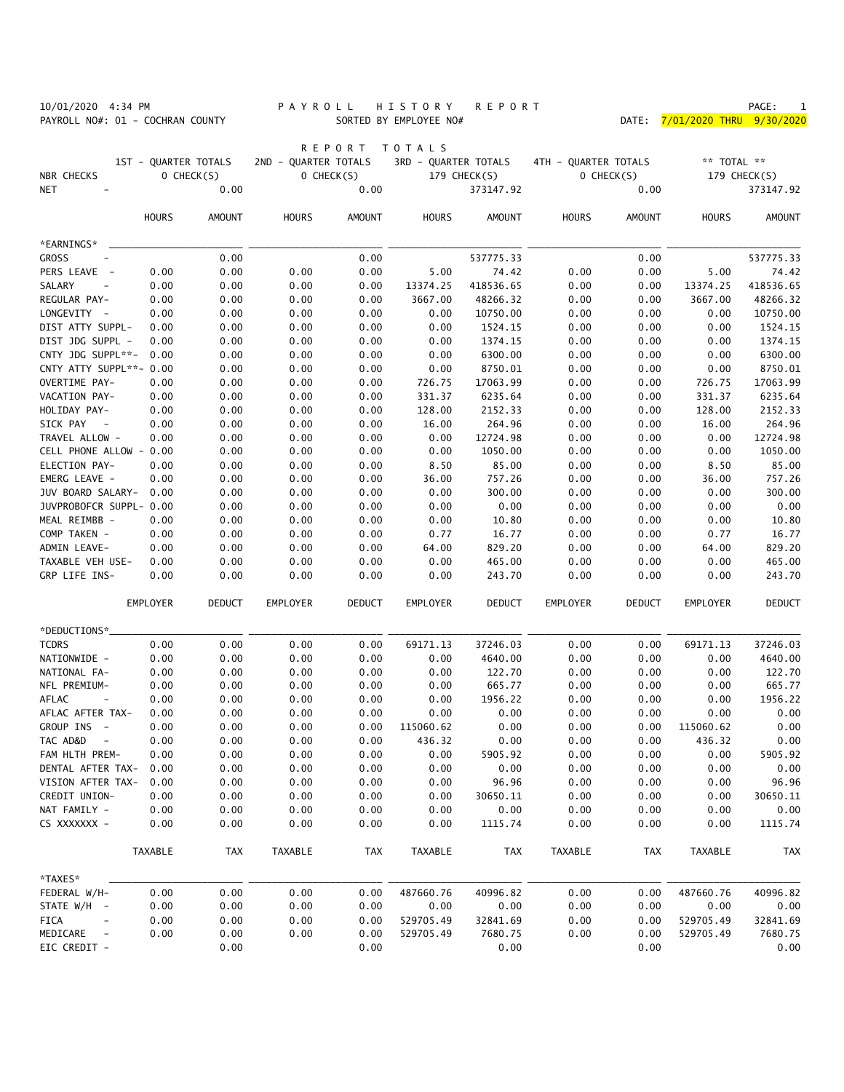PAYROLL NO#: 01 - COCHRAN COUNTY SORTED BY EMPLOYEE NO#

# 10/01/2020 4:34 PM PACE: 1<br>PAYROLL NO#: 01 - COCHRAN COUNTY PA Y R O L L H I S T O R Y R E P O R T PAYROLL NO#: 01 - COCHRAN COUNTY SORTED BY EMPLOYEE NO#

|                                                    |                      |               |                      | <b>REPORT</b> | TOTALS               |                      |                      |               |                 |                       |
|----------------------------------------------------|----------------------|---------------|----------------------|---------------|----------------------|----------------------|----------------------|---------------|-----------------|-----------------------|
|                                                    | 1ST - QUARTER TOTALS |               | 2ND - QUARTER TOTALS |               | 3RD - QUARTER TOTALS |                      | 4TH - QUARTER TOTALS |               | ** TOTAL **     |                       |
| NBR CHECKS                                         |                      | O CHECK(S)    | O CHECK(S)           |               | 179 CHECK(S)         |                      |                      | O CHECK(S)    |                 | 179 CHECK(S)          |
| NET                                                |                      | 0.00          |                      | 0.00          |                      | 373147.92            |                      | 0.00          |                 | 373147.92             |
|                                                    |                      |               |                      |               |                      |                      |                      |               |                 |                       |
|                                                    | <b>HOURS</b>         | <b>AMOUNT</b> | <b>HOURS</b>         | <b>AMOUNT</b> | <b>HOURS</b>         | AMOUNT               | <b>HOURS</b>         | <b>AMOUNT</b> | <b>HOURS</b>    | <b>AMOUNT</b>         |
| *EARNINGS*                                         |                      |               |                      |               |                      |                      |                      |               |                 |                       |
| <b>GROSS</b><br>$\qquad \qquad -$                  |                      | 0.00          |                      | 0.00          |                      | 537775.33            |                      | 0.00          |                 | 537775.33             |
| PERS LEAVE<br>$\overline{a}$                       | 0.00                 | 0.00          | 0.00                 | 0.00          | 5.00                 | 74.42                | 0.00                 | 0.00          | 5.00            | 74.42                 |
| SALARY<br>$\overline{\phantom{a}}$<br>REGULAR PAY- | 0.00                 | 0.00          | 0.00                 | 0.00          | 13374.25             | 418536.65            | 0.00                 | 0.00          | 13374.25        | 418536.65<br>48266.32 |
| LONGEVITY -                                        | 0.00<br>0.00         | 0.00<br>0.00  | 0.00<br>0.00         | 0.00<br>0.00  | 3667.00<br>0.00      | 48266.32<br>10750.00 | 0.00<br>0.00         | 0.00<br>0.00  | 3667.00<br>0.00 | 10750.00              |
| DIST ATTY SUPPL-                                   | 0.00                 | 0.00          | 0.00                 | 0.00          | 0.00                 | 1524.15              | 0.00                 | 0.00          | 0.00            | 1524.15               |
| DIST JDG SUPPL -                                   | 0.00                 | 0.00          | 0.00                 | 0.00          | 0.00                 | 1374.15              | 0.00                 | 0.00          | 0.00            | 1374.15               |
| CNTY JDG SUPPL**-                                  | 0.00                 | 0.00          | 0.00                 | 0.00          | 0.00                 | 6300.00              | 0.00                 | 0.00          | 0.00            | 6300.00               |
| CNTY ATTY SUPPL**- 0.00                            |                      | 0.00          | 0.00                 | 0.00          | 0.00                 | 8750.01              | 0.00                 | 0.00          | 0.00            | 8750.01               |
| OVERTIME PAY-                                      | 0.00                 | 0.00          | 0.00                 | 0.00          | 726.75               | 17063.99             | 0.00                 | 0.00          | 726.75          | 17063.99              |
| VACATION PAY-                                      | 0.00                 | 0.00          | 0.00                 | 0.00          | 331.37               | 6235.64              | 0.00                 | 0.00          | 331.37          | 6235.64               |
| HOLIDAY PAY-                                       | 0.00                 | 0.00          | 0.00                 | 0.00          | 128.00               | 2152.33              | 0.00                 | 0.00          | 128.00          | 2152.33               |
| SICK PAY<br>$\sim$ $-$                             | 0.00                 | 0.00          | 0.00                 | 0.00          | 16.00                | 264.96               | 0.00                 | 0.00          | 16.00           | 264.96                |
| TRAVEL ALLOW -                                     | 0.00                 | 0.00          | 0.00                 | 0.00          | 0.00                 | 12724.98             | 0.00                 | 0.00          | 0.00            | 12724.98              |
| CELL PHONE ALLOW - 0.00                            |                      | 0.00          | 0.00                 | 0.00          | 0.00                 | 1050.00              | 0.00                 | 0.00          | 0.00            | 1050.00               |
| ELECTION PAY-                                      | 0.00                 | 0.00          | 0.00                 | 0.00          | 8.50                 | 85.00                | 0.00                 | 0.00          | 8.50            | 85.00                 |
| EMERG LEAVE -                                      | 0.00                 | 0.00          | 0.00                 | 0.00          | 36.00                | 757.26               | 0.00                 | 0.00          | 36.00           | 757.26                |
| JUV BOARD SALARY-                                  | 0.00                 | 0.00          | 0.00                 | 0.00          | 0.00                 | 300.00               | 0.00                 | 0.00          | 0.00            | 300.00                |
| JUVPROBOFCR SUPPL- 0.00                            |                      | 0.00          | 0.00                 | 0.00          | 0.00                 | 0.00                 | 0.00                 | 0.00          | 0.00            | 0.00                  |
| MEAL REIMBB -                                      | 0.00                 | 0.00          | 0.00                 | 0.00          | 0.00                 | 10.80                | 0.00                 | 0.00          | 0.00            | 10.80                 |
| COMP TAKEN -                                       | 0.00                 | 0.00          | 0.00                 | 0.00          | 0.77                 | 16.77                | 0.00                 | 0.00          | 0.77            | 16.77                 |
| ADMIN LEAVE-                                       | 0.00                 | 0.00          | 0.00                 | 0.00          | 64.00                | 829.20               | 0.00                 | 0.00          | 64.00           | 829.20                |
| TAXABLE VEH USE-                                   | 0.00                 | 0.00          | 0.00                 | 0.00          | 0.00                 | 465.00               | 0.00                 | 0.00          | 0.00            | 465.00                |
| GRP LIFE INS-                                      | 0.00                 | 0.00          | 0.00                 | 0.00          | 0.00                 | 243.70               | 0.00                 | 0.00          | 0.00            | 243.70                |
|                                                    |                      |               |                      |               |                      |                      |                      |               |                 |                       |
|                                                    | EMPLOYER             | <b>DEDUCT</b> | EMPLOYER             | <b>DEDUCT</b> | EMPLOYER             | <b>DEDUCT</b>        | EMPLOYER             | <b>DEDUCT</b> | EMPLOYER        | <b>DEDUCT</b>         |
| *DEDUCTIONS*.                                      |                      |               |                      |               |                      |                      |                      |               |                 |                       |
| <b>TCDRS</b>                                       | 0.00                 | 0.00          | 0.00                 | 0.00          | 69171.13             | 37246.03             | 0.00                 | 0.00          | 69171.13        | 37246.03              |
| NATIONWIDE -                                       | 0.00                 | 0.00          | 0.00                 | 0.00          | 0.00                 | 4640.00              | 0.00                 | 0.00          | 0.00            | 4640.00               |
| NATIONAL FA-                                       | 0.00                 | 0.00          | 0.00                 | 0.00          | 0.00                 | 122.70               | 0.00                 | 0.00          | 0.00            | 122.70                |
| NFL PREMIUM-                                       | 0.00                 | 0.00          | 0.00                 | 0.00          | 0.00                 | 665.77               | 0.00                 | 0.00          | 0.00            | 665.77                |
| <b>AFLAC</b><br>$\overline{\phantom{a}}$           | 0.00                 | 0.00          | 0.00                 | 0.00          | 0.00                 | 1956.22              | 0.00                 | 0.00          | 0.00            | 1956.22               |
| AFLAC AFTER TAX-                                   | 0.00                 | 0.00          | 0.00                 | 0.00          | 0.00                 | 0.00                 | 0.00                 | 0.00          | 0.00            | 0.00                  |
| GROUP INS<br>$\sim$ $-$                            | 0.00                 | 0.00          | 0.00                 | 0.00          | 115060.62            | 0.00                 | 0.00                 | 0.00          | 115060.62       | 0.00                  |
| TAC AD&D<br>$\overline{\phantom{a}}$               | 0.00                 | 0.00          | 0.00                 | 0.00          | 436.32               | 0.00                 | 0.00                 | 0.00          | 436.32          | 0.00                  |
| FAM HLTH PREM-                                     | 0.00                 | 0.00          | 0.00                 | 0.00          | 0.00                 | 5905.92              | 0.00                 | 0.00          | 0.00            | 5905.92               |
| DENTAL AFTER TAX- 0.00                             |                      | 0.00          | 0.00                 | 0.00          | 0.00                 | 0.00                 | 0.00                 | 0.00          | 0.00            | 0.00                  |
| VISION AFTER TAX-                                  | 0.00                 | 0.00          | 0.00                 | 0.00          | 0.00                 | 96.96                | 0.00                 | 0.00          | 0.00            | 96.96                 |
| CREDIT UNION-                                      | 0.00                 | 0.00          | 0.00                 | 0.00          | 0.00                 | 30650.11             | 0.00                 | 0.00          | 0.00            | 30650.11              |
| NAT FAMILY -                                       | 0.00                 | 0.00          | 0.00                 | 0.00          | 0.00                 | 0.00                 | 0.00                 | 0.00          | 0.00            | 0.00                  |
| CS XXXXXXX -                                       | 0.00                 | 0.00          | 0.00                 | 0.00          | 0.00                 | 1115.74              | 0.00                 | 0.00          | 0.00            | 1115.74               |
|                                                    | TAXABLE              | <b>TAX</b>    | TAXABLE              | TAX           | TAXABLE              | <b>TAX</b>           | TAXABLE              | TAX           | TAXABLE         | <b>TAX</b>            |
| *TAXES*                                            |                      |               |                      |               |                      |                      |                      |               |                 |                       |
| FEDERAL W/H-                                       | 0.00                 | 0.00          | 0.00                 | 0.00          | 487660.76            | 40996.82             | 0.00                 | 0.00          | 487660.76       | 40996.82              |
| STATE W/H -                                        | 0.00                 | 0.00          | 0.00                 | 0.00          | 0.00                 | 0.00                 | 0.00                 | 0.00          | 0.00            | 0.00                  |
| FICA<br>$\sim$                                     | 0.00                 | 0.00          | 0.00                 | 0.00          | 529705.49            | 32841.69             | 0.00                 | 0.00          | 529705.49       | 32841.69              |
| MEDICARE<br>$\sim$ $-$                             | 0.00                 | 0.00          | 0.00                 | 0.00          | 529705.49            | 7680.75              | 0.00                 | 0.00          | 529705.49       | 7680.75               |
| EIC CREDIT -                                       |                      | 0.00          |                      | 0.00          |                      | 0.00                 |                      | 0.00          |                 | 0.00                  |